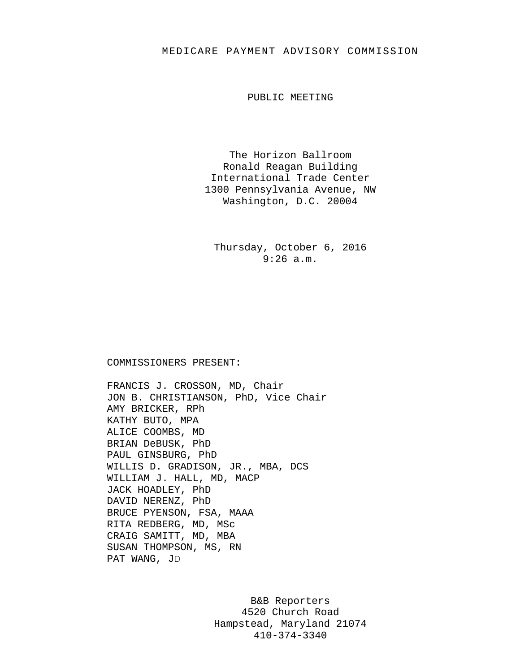## MEDICARE PAYMENT ADVISORY COMMISSION

PUBLIC MEETING

The Horizon Ballroom Ronald Reagan Building International Trade Center 1300 Pennsylvania Avenue, NW Washington, D.C. 20004

Thursday, October 6, 2016 9:26 a.m.

## COMMISSIONERS PRESENT:

FRANCIS J. CROSSON, MD, Chair JON B. CHRISTIANSON, PhD, Vice Chair AMY BRICKER, RPh KATHY BUTO, MPA ALICE COOMBS, MD BRIAN DeBUSK, PhD PAUL GINSBURG, PhD WILLIS D. GRADISON, JR., MBA, DCS WILLIAM J. HALL, MD, MACP JACK HOADLEY, PhD DAVID NERENZ, PhD BRUCE PYENSON, FSA, MAAA RITA REDBERG, MD, MSc CRAIG SAMITT, MD, MBA SUSAN THOMPSON, MS, RN PAT WANG, JD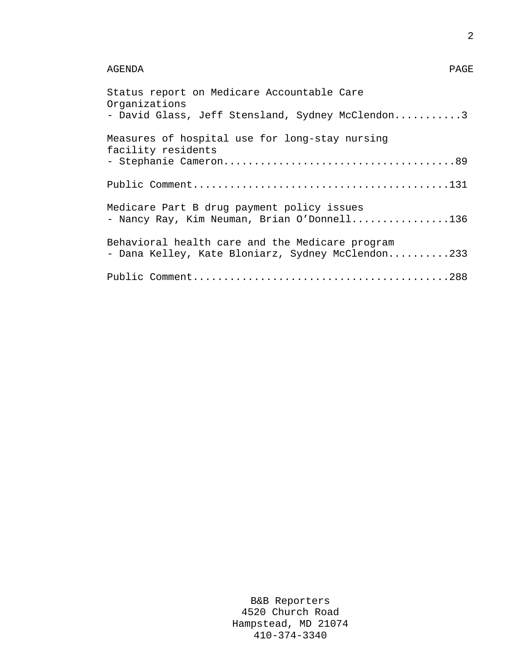## AGENDA PAGE

| Status report on Medicare Accountable Care<br>Organizations<br>- David Glass, Jeff Stensland, Sydney McClendon3 |
|-----------------------------------------------------------------------------------------------------------------|
| Measures of hospital use for long-stay nursing<br>facility residents                                            |
|                                                                                                                 |
| Medicare Part B drug payment policy issues<br>- Nancy Ray, Kim Neuman, Brian O'Donnell136                       |
| Behavioral health care and the Medicare program<br>- Dana Kelley, Kate Bloniarz, Sydney McClendon233            |
|                                                                                                                 |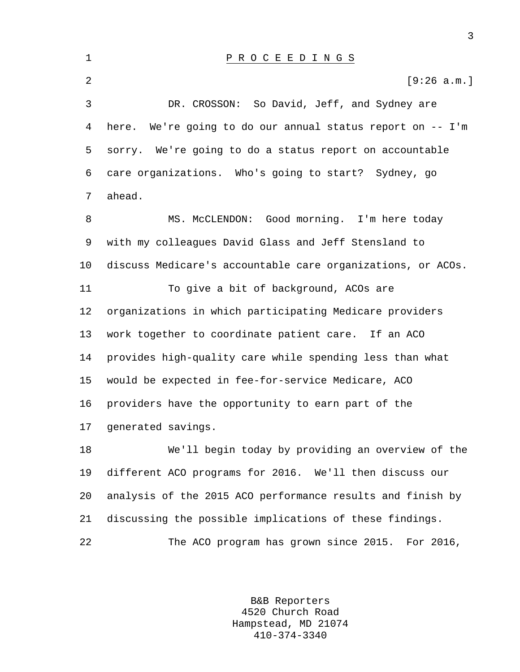| $\mathbf 1$    | PROCEEDINGS                                                  |
|----------------|--------------------------------------------------------------|
| $\overline{2}$ | [9:26 a.m.]                                                  |
| 3              | DR. CROSSON: So David, Jeff, and Sydney are                  |
|                | 4 here. We're going to do our annual status report on -- I'm |
| 5              | sorry. We're going to do a status report on accountable      |
|                | 6 care organizations. Who's going to start? Sydney, go       |
| 7              | ahead.                                                       |
| 8              | MS. McCLENDON: Good morning. I'm here today                  |
|                |                                                              |

9 with my colleagues David Glass and Jeff Stensland to 10 discuss Medicare's accountable care organizations, or ACOs. 11 To give a bit of background, ACOs are 12 organizations in which participating Medicare providers 13 work together to coordinate patient care. If an ACO 14 provides high-quality care while spending less than what 15 would be expected in fee-for-service Medicare, ACO 16 providers have the opportunity to earn part of the 17 generated savings.

18 We'll begin today by providing an overview of the 19 different ACO programs for 2016. We'll then discuss our 20 analysis of the 2015 ACO performance results and finish by 21 discussing the possible implications of these findings. 22 The ACO program has grown since 2015. For 2016,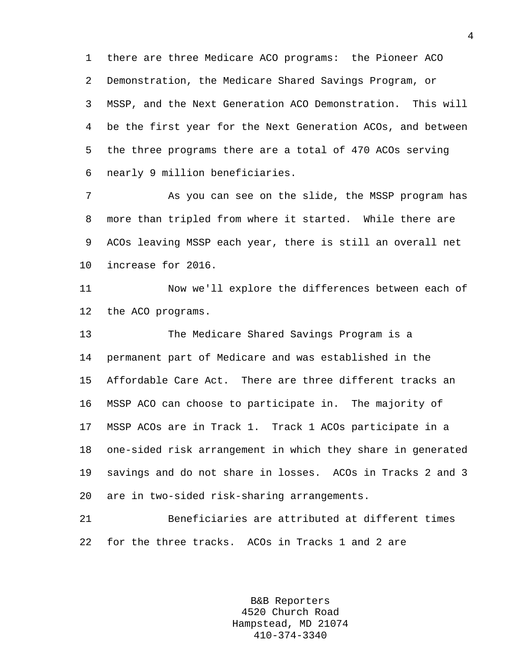1 there are three Medicare ACO programs: the Pioneer ACO 2 Demonstration, the Medicare Shared Savings Program, or 3 MSSP, and the Next Generation ACO Demonstration. This will 4 be the first year for the Next Generation ACOs, and between 5 the three programs there are a total of 470 ACOs serving 6 nearly 9 million beneficiaries.

7 As you can see on the slide, the MSSP program has 8 more than tripled from where it started. While there are 9 ACOs leaving MSSP each year, there is still an overall net 10 increase for 2016.

11 Now we'll explore the differences between each of 12 the ACO programs.

13 The Medicare Shared Savings Program is a 14 permanent part of Medicare and was established in the 15 Affordable Care Act. There are three different tracks an 16 MSSP ACO can choose to participate in. The majority of 17 MSSP ACOs are in Track 1. Track 1 ACOs participate in a 18 one-sided risk arrangement in which they share in generated 19 savings and do not share in losses. ACOs in Tracks 2 and 3 20 are in two-sided risk-sharing arrangements.

21 Beneficiaries are attributed at different times 22 for the three tracks. ACOs in Tracks 1 and 2 are

> B&B Reporters 4520 Church Road Hampstead, MD 21074 410-374-3340

4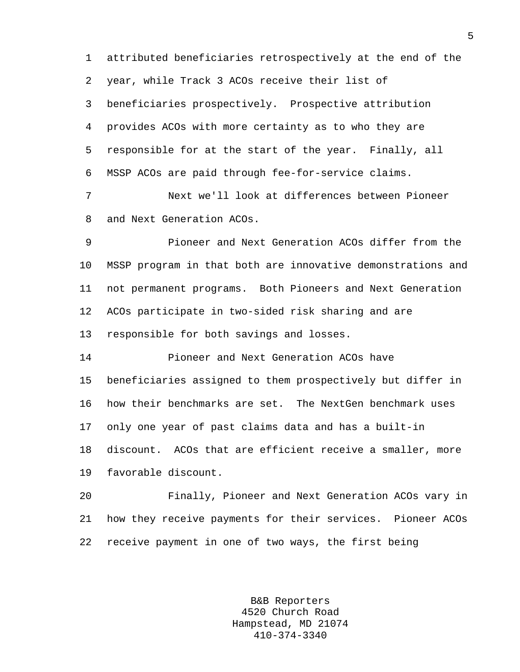1 attributed beneficiaries retrospectively at the end of the 2 year, while Track 3 ACOs receive their list of 3 beneficiaries prospectively. Prospective attribution 4 provides ACOs with more certainty as to who they are 5 responsible for at the start of the year. Finally, all 6 MSSP ACOs are paid through fee-for-service claims.

7 Next we'll look at differences between Pioneer 8 and Next Generation ACOs.

9 Pioneer and Next Generation ACOs differ from the 10 MSSP program in that both are innovative demonstrations and 11 not permanent programs. Both Pioneers and Next Generation 12 ACOs participate in two-sided risk sharing and are 13 responsible for both savings and losses.

14 Pioneer and Next Generation ACOs have 15 beneficiaries assigned to them prospectively but differ in 16 how their benchmarks are set. The NextGen benchmark uses 17 only one year of past claims data and has a built-in 18 discount. ACOs that are efficient receive a smaller, more 19 favorable discount.

20 Finally, Pioneer and Next Generation ACOs vary in 21 how they receive payments for their services. Pioneer ACOs 22 receive payment in one of two ways, the first being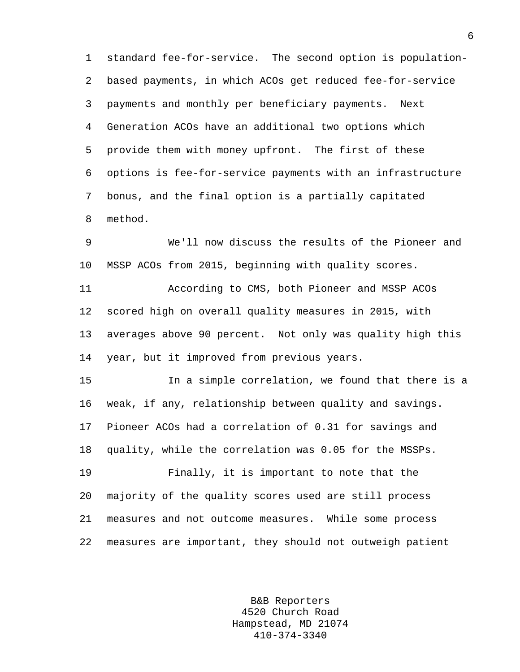1 standard fee-for-service. The second option is population-2 based payments, in which ACOs get reduced fee-for-service 3 payments and monthly per beneficiary payments. Next 4 Generation ACOs have an additional two options which 5 provide them with money upfront. The first of these 6 options is fee-for-service payments with an infrastructure 7 bonus, and the final option is a partially capitated 8 method.

9 We'll now discuss the results of the Pioneer and 10 MSSP ACOs from 2015, beginning with quality scores.

11 According to CMS, both Pioneer and MSSP ACOs 12 scored high on overall quality measures in 2015, with 13 averages above 90 percent. Not only was quality high this 14 year, but it improved from previous years.

15 In a simple correlation, we found that there is a 16 weak, if any, relationship between quality and savings. 17 Pioneer ACOs had a correlation of 0.31 for savings and 18 quality, while the correlation was 0.05 for the MSSPs. 19 Finally, it is important to note that the

20 majority of the quality scores used are still process 21 measures and not outcome measures. While some process 22 measures are important, they should not outweigh patient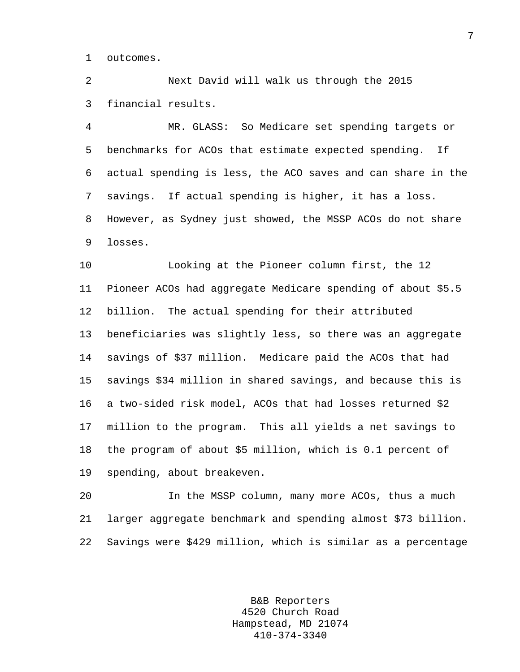1 outcomes.

2 Next David will walk us through the 2015 3 financial results.

4 MR. GLASS: So Medicare set spending targets or 5 benchmarks for ACOs that estimate expected spending. If 6 actual spending is less, the ACO saves and can share in the 7 savings. If actual spending is higher, it has a loss. 8 However, as Sydney just showed, the MSSP ACOs do not share 9 losses.

10 Looking at the Pioneer column first, the 12 11 Pioneer ACOs had aggregate Medicare spending of about \$5.5 12 billion. The actual spending for their attributed 13 beneficiaries was slightly less, so there was an aggregate 14 savings of \$37 million. Medicare paid the ACOs that had 15 savings \$34 million in shared savings, and because this is 16 a two-sided risk model, ACOs that had losses returned \$2 17 million to the program. This all yields a net savings to 18 the program of about \$5 million, which is 0.1 percent of 19 spending, about breakeven.

20 In the MSSP column, many more ACOs, thus a much 21 larger aggregate benchmark and spending almost \$73 billion. 22 Savings were \$429 million, which is similar as a percentage

> B&B Reporters 4520 Church Road Hampstead, MD 21074 410-374-3340

7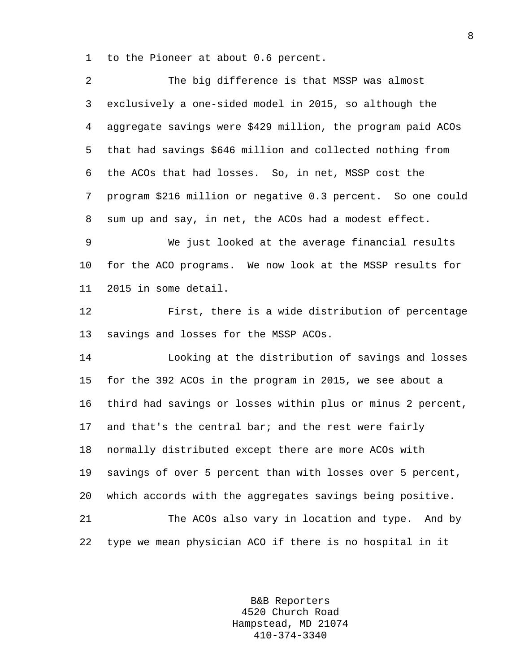1 to the Pioneer at about 0.6 percent.

| 2       | The big difference is that MSSP was almost                  |
|---------|-------------------------------------------------------------|
| 3       | exclusively a one-sided model in 2015, so although the      |
| 4       | aggregate savings were \$429 million, the program paid ACOs |
| 5       | that had savings \$646 million and collected nothing from   |
| 6       | the ACOs that had losses. So, in net, MSSP cost the         |
| 7       | program \$216 million or negative 0.3 percent. So one could |
| 8       | sum up and say, in net, the ACOs had a modest effect.       |
| 9       | We just looked at the average financial results             |
| $10 \,$ | for the ACO programs. We now look at the MSSP results for   |
| 11      | 2015 in some detail.                                        |
| 12      | First, there is a wide distribution of percentage           |
| 13      | savings and losses for the MSSP ACOs.                       |
| 14      | Looking at the distribution of savings and losses           |
| 15      | for the 392 ACOs in the program in 2015, we see about a     |
| 16      | third had savings or losses within plus or minus 2 percent, |
| 17      | and that's the central bar; and the rest were fairly        |
| 18      | normally distributed except there are more ACOs with        |
| 19      | savings of over 5 percent than with losses over 5 percent,  |
| 20      | which accords with the aggregates savings being positive.   |
| 21      | The ACOs also vary in location and type. And by             |
| 22      | type we mean physician ACO if there is no hospital in it    |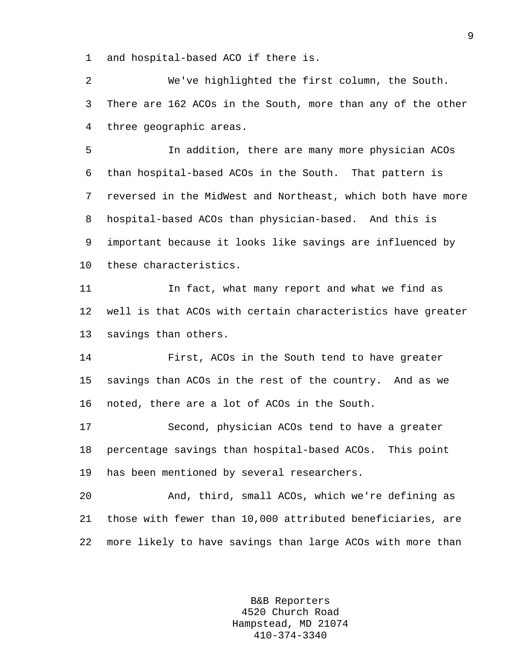1 and hospital-based ACO if there is.

2 We've highlighted the first column, the South. 3 There are 162 ACOs in the South, more than any of the other 4 three geographic areas.

5 In addition, there are many more physician ACOs 6 than hospital-based ACOs in the South. That pattern is 7 reversed in the MidWest and Northeast, which both have more 8 hospital-based ACOs than physician-based. And this is 9 important because it looks like savings are influenced by 10 these characteristics.

11 In fact, what many report and what we find as 12 well is that ACOs with certain characteristics have greater 13 savings than others.

14 First, ACOs in the South tend to have greater 15 savings than ACOs in the rest of the country. And as we 16 noted, there are a lot of ACOs in the South.

17 Second, physician ACOs tend to have a greater 18 percentage savings than hospital-based ACOs. This point 19 has been mentioned by several researchers.

20 And, third, small ACOs, which we're defining as 21 those with fewer than 10,000 attributed beneficiaries, are 22 more likely to have savings than large ACOs with more than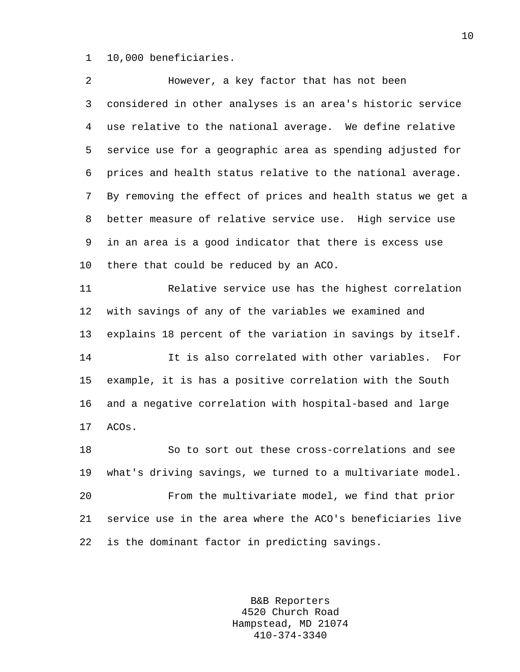1 10,000 beneficiaries.

| 2            | However, a key factor that has not been                     |
|--------------|-------------------------------------------------------------|
| $\mathsf{3}$ | considered in other analyses is an area's historic service  |
| 4            | use relative to the national average. We define relative    |
| 5            | service use for a geographic area as spending adjusted for  |
| 6            | prices and health status relative to the national average.  |
| 7            | By removing the effect of prices and health status we get a |
| 8            | better measure of relative service use. High service use    |
| 9            | in an area is a good indicator that there is excess use     |
| $10 \,$      | there that could be reduced by an ACO.                      |
| 11           | Relative service use has the highest correlation            |
| 12           | with savings of any of the variables we examined and        |
| 13           | explains 18 percent of the variation in savings by itself.  |
| 14           | It is also correlated with other variables.<br>For          |
| 15           | example, it is has a positive correlation with the South    |
| 16           | and a negative correlation with hospital-based and large    |
| 17           | ACOs.                                                       |
| 18           | So to sort out these cross-correlations and see             |
| 19           | what's driving savings, we turned to a multivariate model.  |
| 20           | From the multivariate model, we find that prior             |
| 21           | service use in the area where the ACO's beneficiaries live  |
| 22           | is the dominant factor in predicting savings.               |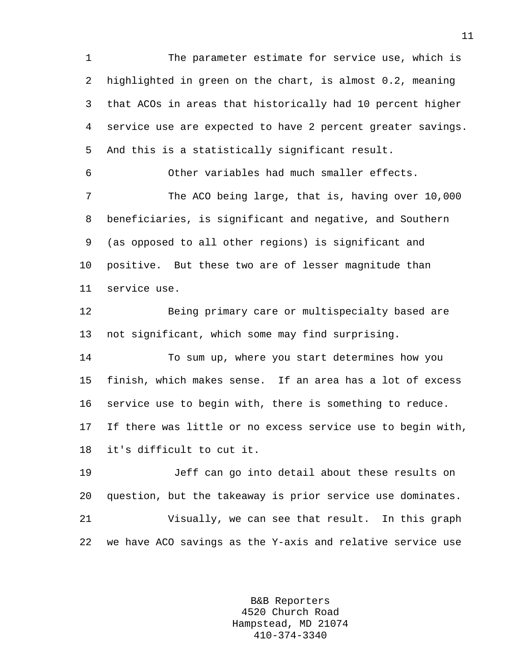1 The parameter estimate for service use, which is 2 highlighted in green on the chart, is almost 0.2, meaning 3 that ACOs in areas that historically had 10 percent higher 4 service use are expected to have 2 percent greater savings. 5 And this is a statistically significant result.

6 Other variables had much smaller effects.

7 The ACO being large, that is, having over 10,000 8 beneficiaries, is significant and negative, and Southern 9 (as opposed to all other regions) is significant and 10 positive. But these two are of lesser magnitude than 11 service use.

12 Being primary care or multispecialty based are 13 not significant, which some may find surprising.

14 To sum up, where you start determines how you 15 finish, which makes sense. If an area has a lot of excess 16 service use to begin with, there is something to reduce. 17 If there was little or no excess service use to begin with, 18 it's difficult to cut it.

19 Jeff can go into detail about these results on 20 question, but the takeaway is prior service use dominates. 21 Visually, we can see that result. In this graph 22 we have ACO savings as the Y-axis and relative service use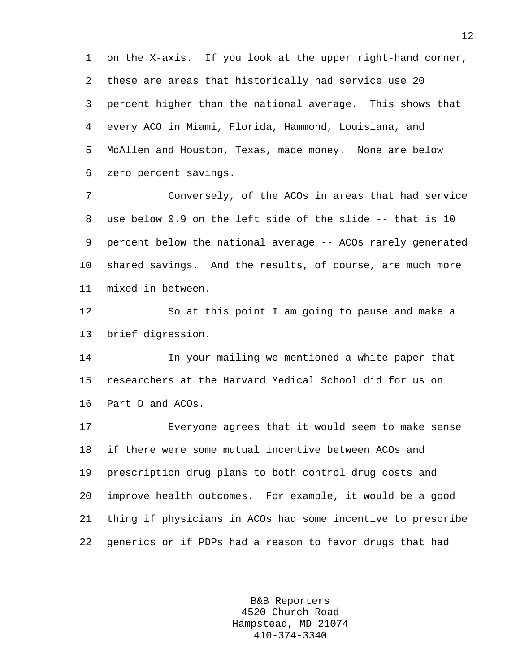1 on the X-axis. If you look at the upper right-hand corner, 2 these are areas that historically had service use 20 3 percent higher than the national average. This shows that 4 every ACO in Miami, Florida, Hammond, Louisiana, and 5 McAllen and Houston, Texas, made money. None are below 6 zero percent savings.

7 Conversely, of the ACOs in areas that had service 8 use below 0.9 on the left side of the slide -- that is 10 9 percent below the national average -- ACOs rarely generated 10 shared savings. And the results, of course, are much more 11 mixed in between.

12 So at this point I am going to pause and make a 13 brief digression.

14 In your mailing we mentioned a white paper that 15 researchers at the Harvard Medical School did for us on 16 Part D and ACOs.

17 Everyone agrees that it would seem to make sense 18 if there were some mutual incentive between ACOs and 19 prescription drug plans to both control drug costs and 20 improve health outcomes. For example, it would be a good 21 thing if physicians in ACOs had some incentive to prescribe 22 generics or if PDPs had a reason to favor drugs that had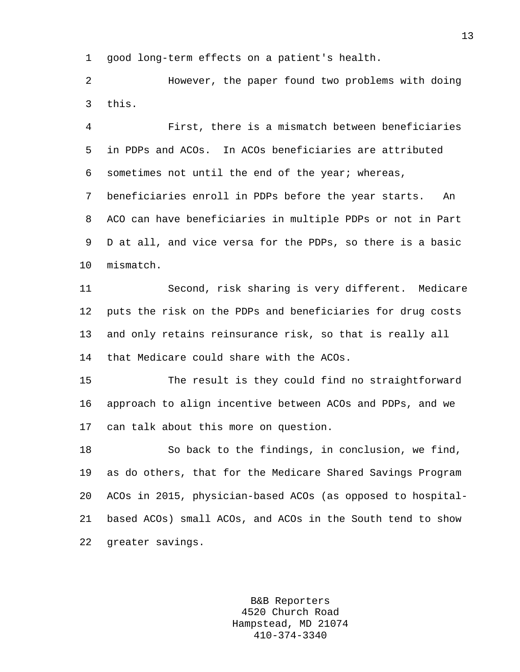1 good long-term effects on a patient's health.

2 However, the paper found two problems with doing 3 this.

4 First, there is a mismatch between beneficiaries 5 in PDPs and ACOs. In ACOs beneficiaries are attributed 6 sometimes not until the end of the year; whereas, 7 beneficiaries enroll in PDPs before the year starts. An 8 ACO can have beneficiaries in multiple PDPs or not in Part 9 D at all, and vice versa for the PDPs, so there is a basic 10 mismatch.

11 Second, risk sharing is very different. Medicare 12 puts the risk on the PDPs and beneficiaries for drug costs 13 and only retains reinsurance risk, so that is really all 14 that Medicare could share with the ACOs.

15 The result is they could find no straightforward 16 approach to align incentive between ACOs and PDPs, and we 17 can talk about this more on question.

18 So back to the findings, in conclusion, we find, 19 as do others, that for the Medicare Shared Savings Program 20 ACOs in 2015, physician-based ACOs (as opposed to hospital-21 based ACOs) small ACOs, and ACOs in the South tend to show 22 greater savings.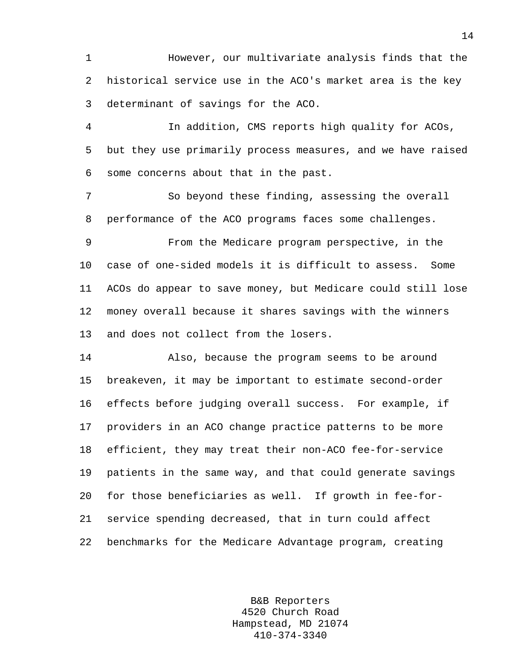1 However, our multivariate analysis finds that the 2 historical service use in the ACO's market area is the key 3 determinant of savings for the ACO.

4 In addition, CMS reports high quality for ACOs, 5 but they use primarily process measures, and we have raised 6 some concerns about that in the past.

7 So beyond these finding, assessing the overall 8 performance of the ACO programs faces some challenges.

9 From the Medicare program perspective, in the 10 case of one-sided models it is difficult to assess. Some 11 ACOs do appear to save money, but Medicare could still lose 12 money overall because it shares savings with the winners 13 and does not collect from the losers.

14 Also, because the program seems to be around 15 breakeven, it may be important to estimate second-order 16 effects before judging overall success. For example, if 17 providers in an ACO change practice patterns to be more 18 efficient, they may treat their non-ACO fee-for-service 19 patients in the same way, and that could generate savings 20 for those beneficiaries as well. If growth in fee-for-21 service spending decreased, that in turn could affect 22 benchmarks for the Medicare Advantage program, creating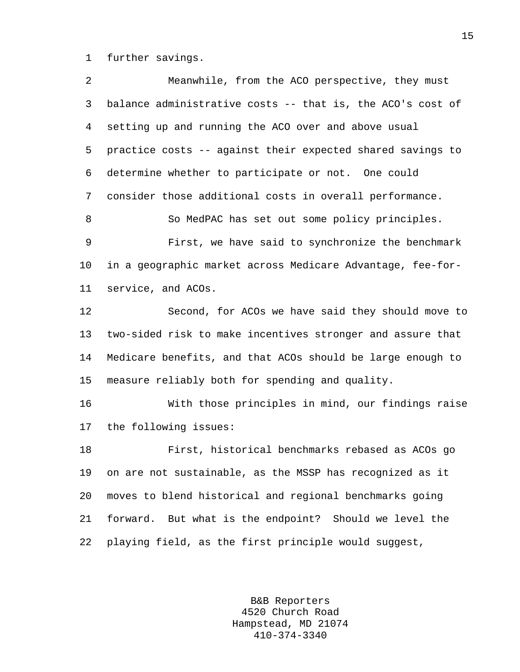1 further savings.

| 2  | Meanwhile, from the ACO perspective, they must             |
|----|------------------------------------------------------------|
| 3  | balance administrative costs -- that is, the ACO's cost of |
| 4  | setting up and running the ACO over and above usual        |
| 5  | practice costs -- against their expected shared savings to |
| 6  | determine whether to participate or not. One could         |
| 7  | consider those additional costs in overall performance.    |
| 8  | So MedPAC has set out some policy principles.              |
| 9  | First, we have said to synchronize the benchmark           |
| 10 | in a geographic market across Medicare Advantage, fee-for- |
| 11 | service, and ACOs.                                         |
| 12 | Second, for ACOs we have said they should move to          |
| 13 | two-sided risk to make incentives stronger and assure that |
| 14 | Medicare benefits, and that ACOs should be large enough to |
| 15 | measure reliably both for spending and quality.            |
| 16 | With those principles in mind, our findings raise          |
| 17 | the following issues:                                      |
| 18 | First, historical benchmarks rebased as ACOs go            |
| 19 | on are not sustainable, as the MSSP has recognized as it   |
| 20 | moves to blend historical and regional benchmarks going    |
| 21 | forward. But what is the endpoint? Should we level the     |
| 22 | playing field, as the first principle would suggest,       |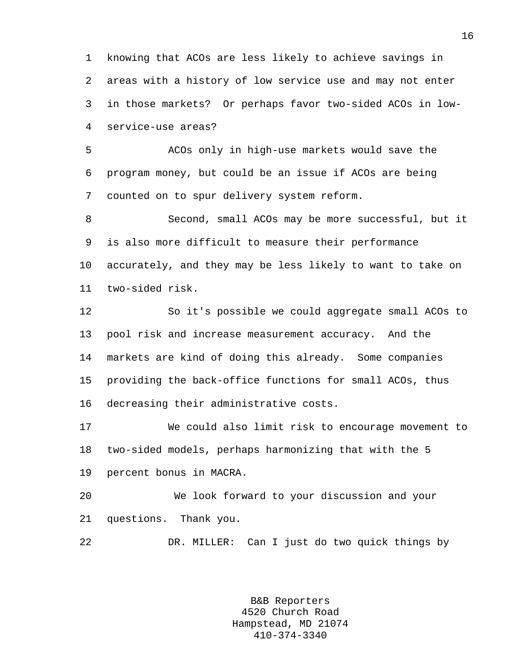1 knowing that ACOs are less likely to achieve savings in 2 areas with a history of low service use and may not enter 3 in those markets? Or perhaps favor two-sided ACOs in low-4 service-use areas?

5 ACOs only in high-use markets would save the 6 program money, but could be an issue if ACOs are being 7 counted on to spur delivery system reform.

8 Second, small ACOs may be more successful, but it 9 is also more difficult to measure their performance 10 accurately, and they may be less likely to want to take on 11 two-sided risk.

12 So it's possible we could aggregate small ACOs to 13 pool risk and increase measurement accuracy. And the 14 markets are kind of doing this already. Some companies 15 providing the back-office functions for small ACOs, thus 16 decreasing their administrative costs.

17 We could also limit risk to encourage movement to 18 two-sided models, perhaps harmonizing that with the 5 19 percent bonus in MACRA.

20 We look forward to your discussion and your 21 questions. Thank you.

22 DR. MILLER: Can I just do two quick things by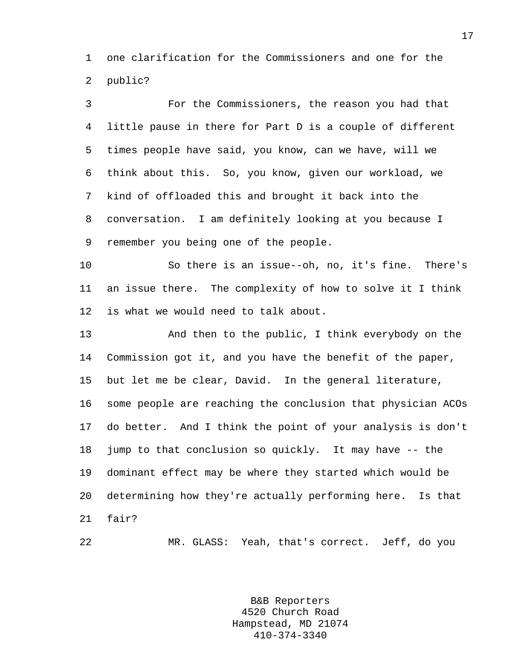1 one clarification for the Commissioners and one for the 2 public?

3 For the Commissioners, the reason you had that 4 little pause in there for Part D is a couple of different 5 times people have said, you know, can we have, will we 6 think about this. So, you know, given our workload, we 7 kind of offloaded this and brought it back into the 8 conversation. I am definitely looking at you because I 9 remember you being one of the people.

10 So there is an issue--oh, no, it's fine. There's 11 an issue there. The complexity of how to solve it I think 12 is what we would need to talk about.

13 And then to the public, I think everybody on the 14 Commission got it, and you have the benefit of the paper, 15 but let me be clear, David. In the general literature, 16 some people are reaching the conclusion that physician ACOs 17 do better. And I think the point of your analysis is don't 18 jump to that conclusion so quickly. It may have -- the 19 dominant effect may be where they started which would be 20 determining how they're actually performing here. Is that 21 fair?

22 MR. GLASS: Yeah, that's correct. Jeff, do you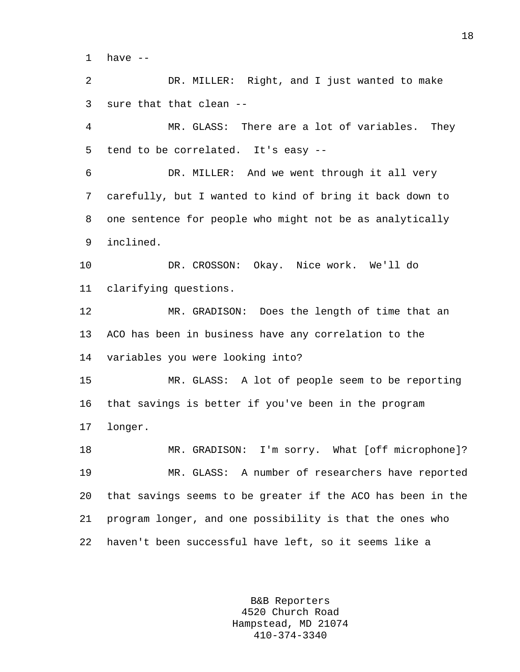1 have --

2 DR. MILLER: Right, and I just wanted to make 3 sure that that clean --

4 MR. GLASS: There are a lot of variables. They 5 tend to be correlated. It's easy --

6 DR. MILLER: And we went through it all very 7 carefully, but I wanted to kind of bring it back down to 8 one sentence for people who might not be as analytically 9 inclined.

10 DR. CROSSON: Okay. Nice work. We'll do 11 clarifying questions.

12 MR. GRADISON: Does the length of time that an 13 ACO has been in business have any correlation to the 14 variables you were looking into?

15 MR. GLASS: A lot of people seem to be reporting 16 that savings is better if you've been in the program 17 longer.

18 MR. GRADISON: I'm sorry. What [off microphone]? 19 MR. GLASS: A number of researchers have reported 20 that savings seems to be greater if the ACO has been in the 21 program longer, and one possibility is that the ones who 22 haven't been successful have left, so it seems like a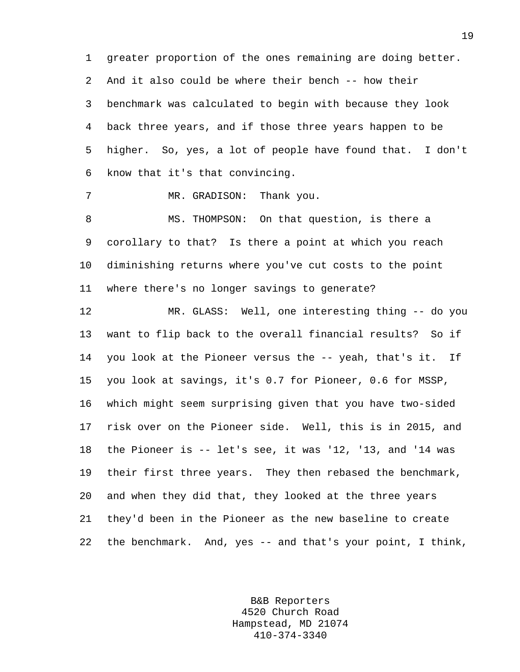1 greater proportion of the ones remaining are doing better. 2 And it also could be where their bench -- how their 3 benchmark was calculated to begin with because they look 4 back three years, and if those three years happen to be 5 higher. So, yes, a lot of people have found that. I don't 6 know that it's that convincing.

7 MR. GRADISON: Thank you.

8 MS. THOMPSON: On that question, is there a 9 corollary to that? Is there a point at which you reach 10 diminishing returns where you've cut costs to the point 11 where there's no longer savings to generate?

12 MR. GLASS: Well, one interesting thing -- do you 13 want to flip back to the overall financial results? So if 14 you look at the Pioneer versus the -- yeah, that's it. If 15 you look at savings, it's 0.7 for Pioneer, 0.6 for MSSP, 16 which might seem surprising given that you have two-sided 17 risk over on the Pioneer side. Well, this is in 2015, and 18 the Pioneer is -- let's see, it was '12, '13, and '14 was 19 their first three years. They then rebased the benchmark, 20 and when they did that, they looked at the three years 21 they'd been in the Pioneer as the new baseline to create 22 the benchmark. And, yes -- and that's your point, I think,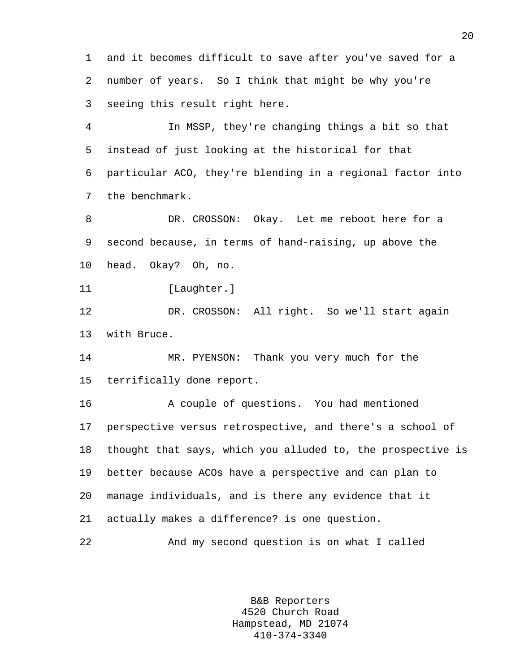1 and it becomes difficult to save after you've saved for a 2 number of years. So I think that might be why you're 3 seeing this result right here.

4 In MSSP, they're changing things a bit so that 5 instead of just looking at the historical for that 6 particular ACO, they're blending in a regional factor into 7 the benchmark.

8 DR. CROSSON: Okay. Let me reboot here for a 9 second because, in terms of hand-raising, up above the 10 head. Okay? Oh, no.

11 [Laughter.]

12 DR. CROSSON: All right. So we'll start again 13 with Bruce.

14 MR. PYENSON: Thank you very much for the 15 terrifically done report.

16 A couple of questions. You had mentioned 17 perspective versus retrospective, and there's a school of 18 thought that says, which you alluded to, the prospective is 19 better because ACOs have a perspective and can plan to 20 manage individuals, and is there any evidence that it 21 actually makes a difference? is one question.

22 And my second question is on what I called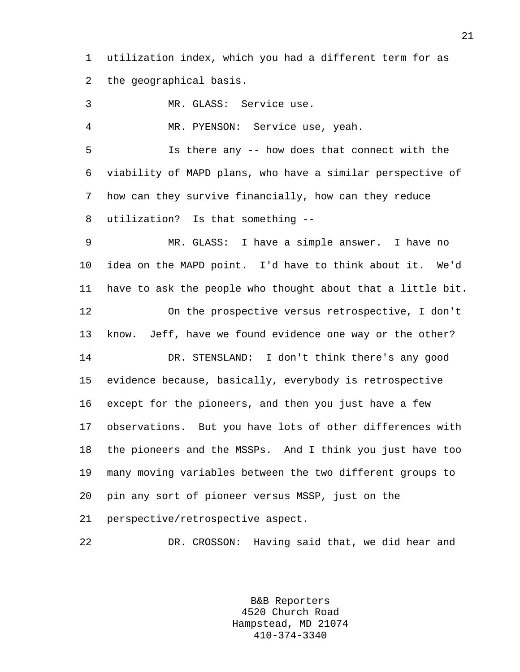1 utilization index, which you had a different term for as 2 the geographical basis.

3 MR. GLASS: Service use.

4 MR. PYENSON: Service use, yeah.

5 Is there any -- how does that connect with the 6 viability of MAPD plans, who have a similar perspective of 7 how can they survive financially, how can they reduce 8 utilization? Is that something --

9 MR. GLASS: I have a simple answer. I have no 10 idea on the MAPD point. I'd have to think about it. We'd 11 have to ask the people who thought about that a little bit. 12 On the prospective versus retrospective, I don't 13 know. Jeff, have we found evidence one way or the other? 14 DR. STENSLAND: I don't think there's any good 15 evidence because, basically, everybody is retrospective 16 except for the pioneers, and then you just have a few 17 observations. But you have lots of other differences with 18 the pioneers and the MSSPs. And I think you just have too 19 many moving variables between the two different groups to 20 pin any sort of pioneer versus MSSP, just on the 21 perspective/retrospective aspect.

22 DR. CROSSON: Having said that, we did hear and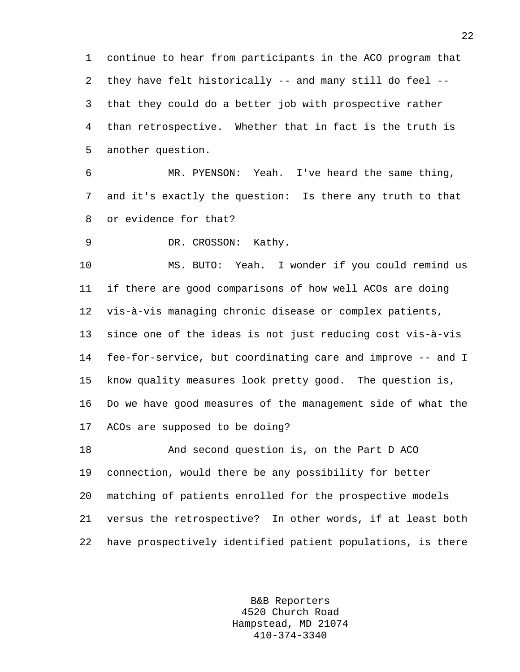1 continue to hear from participants in the ACO program that 2 they have felt historically -- and many still do feel -- 3 that they could do a better job with prospective rather 4 than retrospective. Whether that in fact is the truth is 5 another question.

6 MR. PYENSON: Yeah. I've heard the same thing, 7 and it's exactly the question: Is there any truth to that 8 or evidence for that?

9 DR. CROSSON: Kathy.

10 MS. BUTO: Yeah. I wonder if you could remind us 11 if there are good comparisons of how well ACOs are doing 12 vis-à-vis managing chronic disease or complex patients, 13 since one of the ideas is not just reducing cost vis-à-vis 14 fee-for-service, but coordinating care and improve -- and I 15 know quality measures look pretty good. The question is, 16 Do we have good measures of the management side of what the 17 ACOs are supposed to be doing?

18 And second question is, on the Part D ACO 19 connection, would there be any possibility for better 20 matching of patients enrolled for the prospective models 21 versus the retrospective? In other words, if at least both 22 have prospectively identified patient populations, is there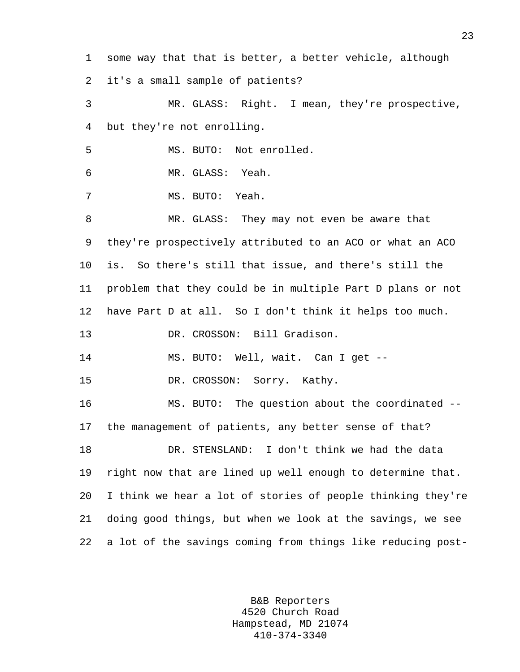1 some way that that is better, a better vehicle, although 2 it's a small sample of patients? 3 MR. GLASS: Right. I mean, they're prospective, 4 but they're not enrolling. 5 MS. BUTO: Not enrolled. 6 MR. GLASS: Yeah. 7 MS. BUTO: Yeah. 8 MR. GLASS: They may not even be aware that 9 they're prospectively attributed to an ACO or what an ACO 10 is. So there's still that issue, and there's still the 11 problem that they could be in multiple Part D plans or not 12 have Part D at all. So I don't think it helps too much. 13 DR. CROSSON: Bill Gradison. 14 MS. BUTO: Well, wait. Can I get -- 15 DR. CROSSON: Sorry. Kathy. 16 MS. BUTO: The question about the coordinated -- 17 the management of patients, any better sense of that? 18 DR. STENSLAND: I don't think we had the data 19 right now that are lined up well enough to determine that. 20 I think we hear a lot of stories of people thinking they're 21 doing good things, but when we look at the savings, we see 22 a lot of the savings coming from things like reducing post-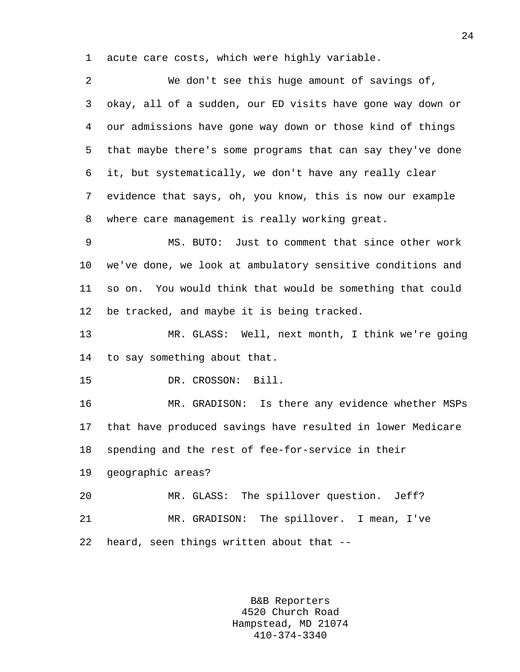1 acute care costs, which were highly variable.

2 We don't see this huge amount of savings of, 3 okay, all of a sudden, our ED visits have gone way down or 4 our admissions have gone way down or those kind of things 5 that maybe there's some programs that can say they've done 6 it, but systematically, we don't have any really clear 7 evidence that says, oh, you know, this is now our example 8 where care management is really working great. 9 MS. BUTO: Just to comment that since other work 10 we've done, we look at ambulatory sensitive conditions and 11 so on. You would think that would be something that could 12 be tracked, and maybe it is being tracked. 13 MR. GLASS: Well, next month, I think we're going 14 to say something about that. 15 DR. CROSSON: Bill. 16 MR. GRADISON: Is there any evidence whether MSPs 17 that have produced savings have resulted in lower Medicare 18 spending and the rest of fee-for-service in their 19 geographic areas? 20 MR. GLASS: The spillover question. Jeff? 21 MR. GRADISON: The spillover. I mean, I've 22 heard, seen things written about that --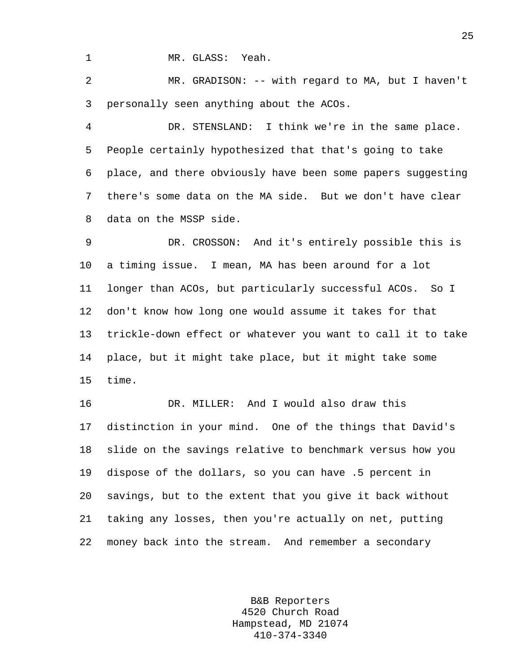1 MR. GLASS: Yeah.

2 MR. GRADISON: -- with regard to MA, but I haven't 3 personally seen anything about the ACOs.

4 DR. STENSLAND: I think we're in the same place. 5 People certainly hypothesized that that's going to take 6 place, and there obviously have been some papers suggesting 7 there's some data on the MA side. But we don't have clear 8 data on the MSSP side.

9 DR. CROSSON: And it's entirely possible this is 10 a timing issue. I mean, MA has been around for a lot 11 longer than ACOs, but particularly successful ACOs. So I 12 don't know how long one would assume it takes for that 13 trickle-down effect or whatever you want to call it to take 14 place, but it might take place, but it might take some 15 time.

16 DR. MILLER: And I would also draw this 17 distinction in your mind. One of the things that David's 18 slide on the savings relative to benchmark versus how you 19 dispose of the dollars, so you can have .5 percent in 20 savings, but to the extent that you give it back without 21 taking any losses, then you're actually on net, putting 22 money back into the stream. And remember a secondary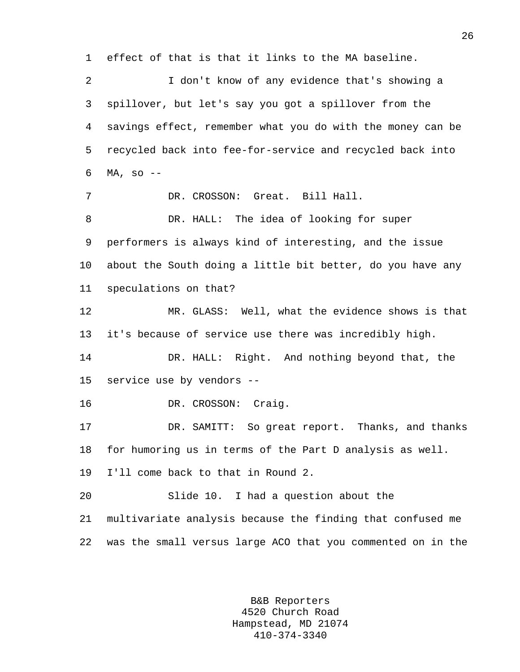1 effect of that is that it links to the MA baseline. 2 I don't know of any evidence that's showing a 3 spillover, but let's say you got a spillover from the 4 savings effect, remember what you do with the money can be 5 recycled back into fee-for-service and recycled back into 6  $MA, SO --$ 7 DR. CROSSON: Great. Bill Hall. 8 DR. HALL: The idea of looking for super 9 performers is always kind of interesting, and the issue 10 about the South doing a little bit better, do you have any 11 speculations on that? 12 MR. GLASS: Well, what the evidence shows is that 13 it's because of service use there was incredibly high. 14 DR. HALL: Right. And nothing beyond that, the 15 service use by vendors -- 16 DR. CROSSON: Craig. 17 DR. SAMITT: So great report. Thanks, and thanks 18 for humoring us in terms of the Part D analysis as well. 19 I'll come back to that in Round 2. 20 Slide 10. I had a question about the 21 multivariate analysis because the finding that confused me 22 was the small versus large ACO that you commented on in the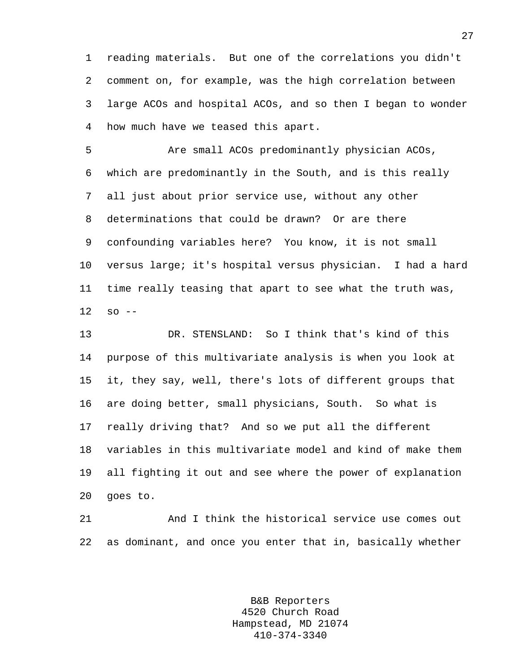1 reading materials. But one of the correlations you didn't 2 comment on, for example, was the high correlation between 3 large ACOs and hospital ACOs, and so then I began to wonder 4 how much have we teased this apart.

5 Are small ACOs predominantly physician ACOs, 6 which are predominantly in the South, and is this really 7 all just about prior service use, without any other 8 determinations that could be drawn? Or are there 9 confounding variables here? You know, it is not small 10 versus large; it's hospital versus physician. I had a hard 11 time really teasing that apart to see what the truth was, 12 so --

13 DR. STENSLAND: So I think that's kind of this 14 purpose of this multivariate analysis is when you look at 15 it, they say, well, there's lots of different groups that 16 are doing better, small physicians, South. So what is 17 really driving that? And so we put all the different 18 variables in this multivariate model and kind of make them 19 all fighting it out and see where the power of explanation 20 goes to.

21 And I think the historical service use comes out 22 as dominant, and once you enter that in, basically whether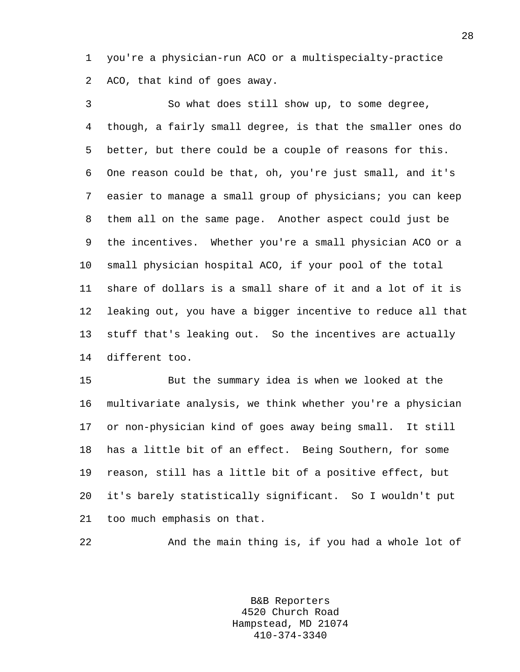1 you're a physician-run ACO or a multispecialty-practice 2 ACO, that kind of goes away.

3 So what does still show up, to some degree, 4 though, a fairly small degree, is that the smaller ones do 5 better, but there could be a couple of reasons for this. 6 One reason could be that, oh, you're just small, and it's 7 easier to manage a small group of physicians; you can keep 8 them all on the same page. Another aspect could just be 9 the incentives. Whether you're a small physician ACO or a 10 small physician hospital ACO, if your pool of the total 11 share of dollars is a small share of it and a lot of it is 12 leaking out, you have a bigger incentive to reduce all that 13 stuff that's leaking out. So the incentives are actually 14 different too.

15 But the summary idea is when we looked at the 16 multivariate analysis, we think whether you're a physician 17 or non-physician kind of goes away being small. It still 18 has a little bit of an effect. Being Southern, for some 19 reason, still has a little bit of a positive effect, but 20 it's barely statistically significant. So I wouldn't put 21 too much emphasis on that.

22 And the main thing is, if you had a whole lot of

B&B Reporters 4520 Church Road Hampstead, MD 21074 410-374-3340

28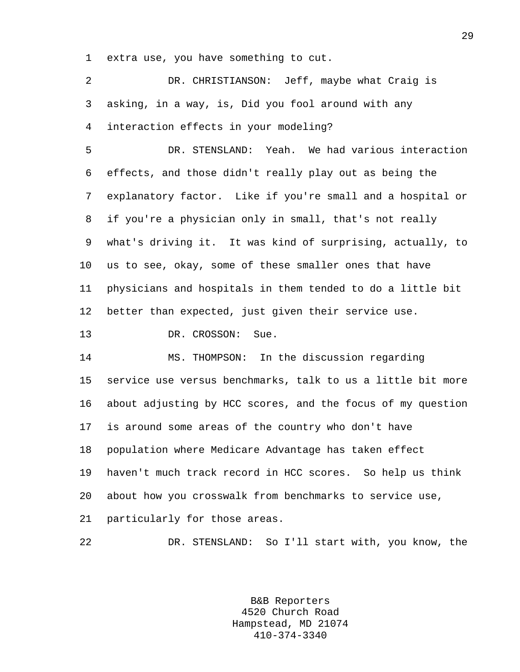1 extra use, you have something to cut.

2 DR. CHRISTIANSON: Jeff, maybe what Craig is 3 asking, in a way, is, Did you fool around with any 4 interaction effects in your modeling? 5 DR. STENSLAND: Yeah. We had various interaction 6 effects, and those didn't really play out as being the 7 explanatory factor. Like if you're small and a hospital or 8 if you're a physician only in small, that's not really 9 what's driving it. It was kind of surprising, actually, to 10 us to see, okay, some of these smaller ones that have 11 physicians and hospitals in them tended to do a little bit 12 better than expected, just given their service use. 13 DR. CROSSON: Sue. 14 MS. THOMPSON: In the discussion regarding 15 service use versus benchmarks, talk to us a little bit more 16 about adjusting by HCC scores, and the focus of my question 17 is around some areas of the country who don't have 18 population where Medicare Advantage has taken effect 19 haven't much track record in HCC scores. So help us think 20 about how you crosswalk from benchmarks to service use, 21 particularly for those areas. 22 DR. STENSLAND: So I'll start with, you know, the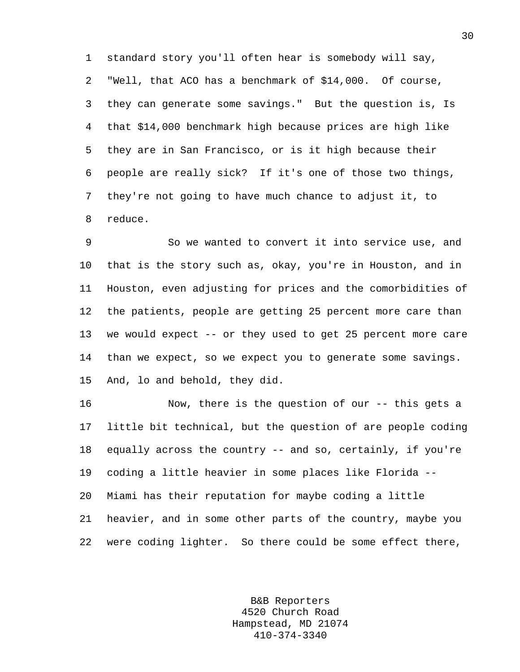1 standard story you'll often hear is somebody will say, 2 "Well, that ACO has a benchmark of \$14,000. Of course, 3 they can generate some savings." But the question is, Is 4 that \$14,000 benchmark high because prices are high like 5 they are in San Francisco, or is it high because their 6 people are really sick? If it's one of those two things, 7 they're not going to have much chance to adjust it, to 8 reduce.

9 So we wanted to convert it into service use, and 10 that is the story such as, okay, you're in Houston, and in 11 Houston, even adjusting for prices and the comorbidities of 12 the patients, people are getting 25 percent more care than 13 we would expect -- or they used to get 25 percent more care 14 than we expect, so we expect you to generate some savings. 15 And, lo and behold, they did.

16 Now, there is the question of our -- this gets a 17 little bit technical, but the question of are people coding 18 equally across the country -- and so, certainly, if you're 19 coding a little heavier in some places like Florida -- 20 Miami has their reputation for maybe coding a little 21 heavier, and in some other parts of the country, maybe you 22 were coding lighter. So there could be some effect there,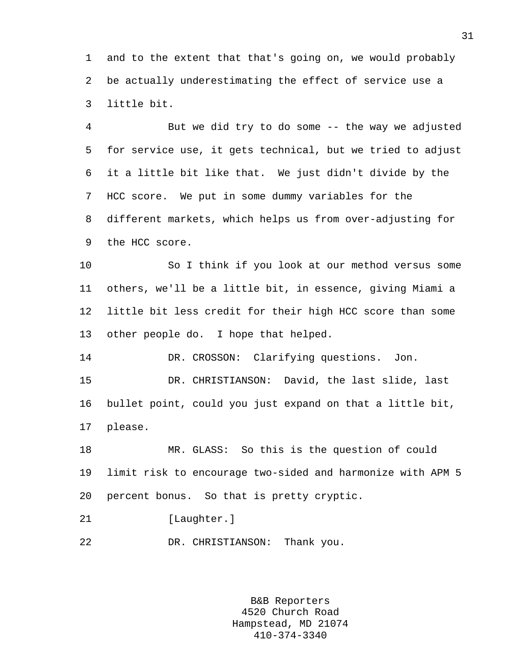1 and to the extent that that's going on, we would probably 2 be actually underestimating the effect of service use a 3 little bit.

4 But we did try to do some -- the way we adjusted 5 for service use, it gets technical, but we tried to adjust 6 it a little bit like that. We just didn't divide by the 7 HCC score. We put in some dummy variables for the 8 different markets, which helps us from over-adjusting for 9 the HCC score.

10 So I think if you look at our method versus some 11 others, we'll be a little bit, in essence, giving Miami a 12 little bit less credit for their high HCC score than some 13 other people do. I hope that helped.

14 DR. CROSSON: Clarifying questions. Jon. 15 DR. CHRISTIANSON: David, the last slide, last 16 bullet point, could you just expand on that a little bit, 17 please.

18 MR. GLASS: So this is the question of could 19 limit risk to encourage two-sided and harmonize with APM 5 20 percent bonus. So that is pretty cryptic.

21 [Laughter.]

22 DR. CHRISTIANSON: Thank you.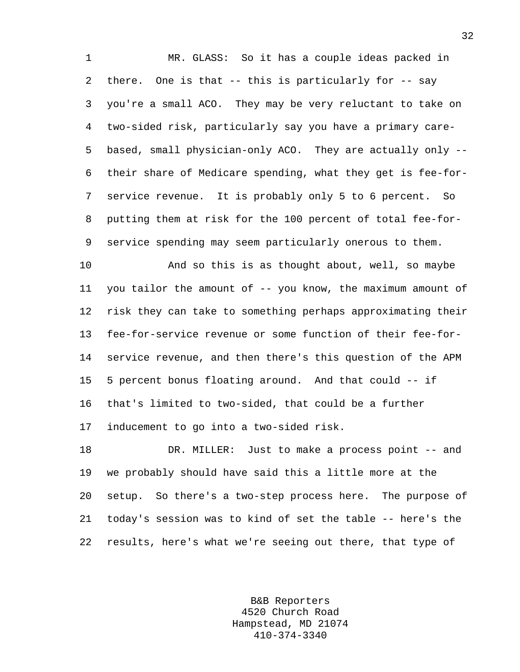1 MR. GLASS: So it has a couple ideas packed in 2 there. One is that -- this is particularly for -- say 3 you're a small ACO. They may be very reluctant to take on 4 two-sided risk, particularly say you have a primary care-5 based, small physician-only ACO. They are actually only -- 6 their share of Medicare spending, what they get is fee-for-7 service revenue. It is probably only 5 to 6 percent. So 8 putting them at risk for the 100 percent of total fee-for-9 service spending may seem particularly onerous to them.

10 And so this is as thought about, well, so maybe 11 you tailor the amount of -- you know, the maximum amount of 12 risk they can take to something perhaps approximating their 13 fee-for-service revenue or some function of their fee-for-14 service revenue, and then there's this question of the APM 15 5 percent bonus floating around. And that could -- if 16 that's limited to two-sided, that could be a further 17 inducement to go into a two-sided risk.

18 DR. MILLER: Just to make a process point -- and 19 we probably should have said this a little more at the 20 setup. So there's a two-step process here. The purpose of 21 today's session was to kind of set the table -- here's the 22 results, here's what we're seeing out there, that type of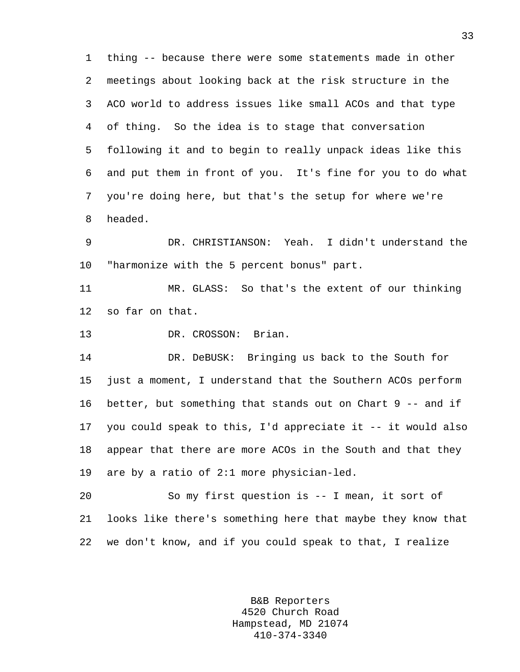1 thing -- because there were some statements made in other 2 meetings about looking back at the risk structure in the 3 ACO world to address issues like small ACOs and that type 4 of thing. So the idea is to stage that conversation 5 following it and to begin to really unpack ideas like this 6 and put them in front of you. It's fine for you to do what 7 you're doing here, but that's the setup for where we're 8 headed.

9 DR. CHRISTIANSON: Yeah. I didn't understand the 10 "harmonize with the 5 percent bonus" part.

11 MR. GLASS: So that's the extent of our thinking 12 so far on that.

13 DR. CROSSON: Brian.

14 DR. DeBUSK: Bringing us back to the South for 15 just a moment, I understand that the Southern ACOs perform 16 better, but something that stands out on Chart 9 -- and if 17 you could speak to this, I'd appreciate it -- it would also 18 appear that there are more ACOs in the South and that they 19 are by a ratio of 2:1 more physician-led.

20 So my first question is -- I mean, it sort of 21 looks like there's something here that maybe they know that 22 we don't know, and if you could speak to that, I realize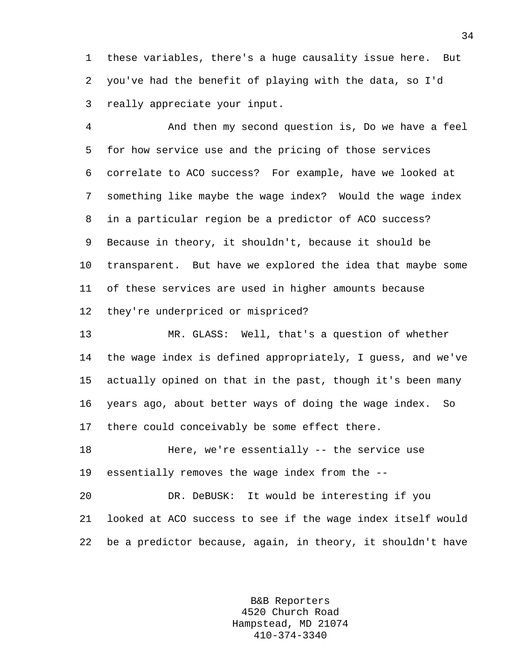1 these variables, there's a huge causality issue here. But 2 you've had the benefit of playing with the data, so I'd 3 really appreciate your input.

4 And then my second question is, Do we have a feel 5 for how service use and the pricing of those services 6 correlate to ACO success? For example, have we looked at 7 something like maybe the wage index? Would the wage index 8 in a particular region be a predictor of ACO success? 9 Because in theory, it shouldn't, because it should be 10 transparent. But have we explored the idea that maybe some 11 of these services are used in higher amounts because 12 they're underpriced or mispriced?

13 MR. GLASS: Well, that's a question of whether 14 the wage index is defined appropriately, I guess, and we've 15 actually opined on that in the past, though it's been many 16 years ago, about better ways of doing the wage index. So 17 there could conceivably be some effect there.

18 Here, we're essentially -- the service use 19 essentially removes the wage index from the --

20 DR. DeBUSK: It would be interesting if you 21 looked at ACO success to see if the wage index itself would 22 be a predictor because, again, in theory, it shouldn't have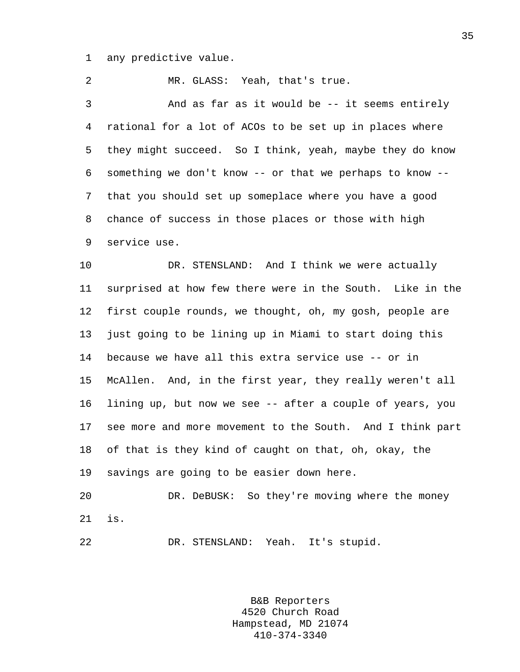1 any predictive value.

2 MR. GLASS: Yeah, that's true. 3 And as far as it would be -- it seems entirely 4 rational for a lot of ACOs to be set up in places where 5 they might succeed. So I think, yeah, maybe they do know 6 something we don't know -- or that we perhaps to know -- 7 that you should set up someplace where you have a good 8 chance of success in those places or those with high 9 service use. 10 DR. STENSLAND: And I think we were actually 11 surprised at how few there were in the South. Like in the 12 first couple rounds, we thought, oh, my gosh, people are 13 just going to be lining up in Miami to start doing this

14 because we have all this extra service use -- or in 15 McAllen. And, in the first year, they really weren't all 16 lining up, but now we see -- after a couple of years, you 17 see more and more movement to the South. And I think part 18 of that is they kind of caught on that, oh, okay, the 19 savings are going to be easier down here.

20 DR. DeBUSK: So they're moving where the money 21 is.

22 DR. STENSLAND: Yeah. It's stupid.

B&B Reporters 4520 Church Road Hampstead, MD 21074 410-374-3340

35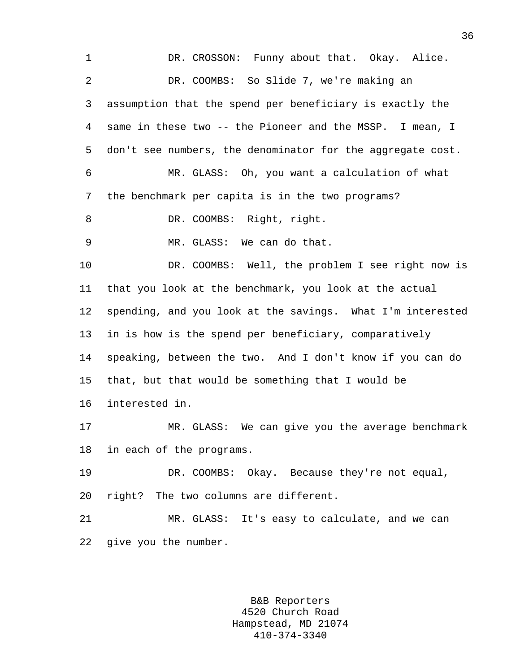| 1  | DR. CROSSON: Funny about that. Okay. Alice.                |
|----|------------------------------------------------------------|
| 2  | DR. COOMBS: So Slide 7, we're making an                    |
| 3  | assumption that the spend per beneficiary is exactly the   |
| 4  | same in these two -- the Pioneer and the MSSP. I mean, I   |
| 5  | don't see numbers, the denominator for the aggregate cost. |
| 6  | MR. GLASS: Oh, you want a calculation of what              |
| 7  | the benchmark per capita is in the two programs?           |
| 8  | DR. COOMBS: Right, right.                                  |
| 9  | MR. GLASS: We can do that.                                 |
| 10 | DR. COOMBS: Well, the problem I see right now is           |
| 11 | that you look at the benchmark, you look at the actual     |
| 12 | spending, and you look at the savings. What I'm interested |
| 13 | in is how is the spend per beneficiary, comparatively      |
| 14 | speaking, between the two. And I don't know if you can do  |
| 15 | that, but that would be something that I would be          |
| 16 | interested in.                                             |
| 17 | We can give you the average benchmark<br>MR. GLASS:        |
| 18 | in each of the programs.                                   |
| 19 | DR. COOMBS: Okay. Because they're not equal,               |
| 20 | right? The two columns are different.                      |
| 21 | MR. GLASS: It's easy to calculate, and we can              |
| 22 | give you the number.                                       |
|    |                                                            |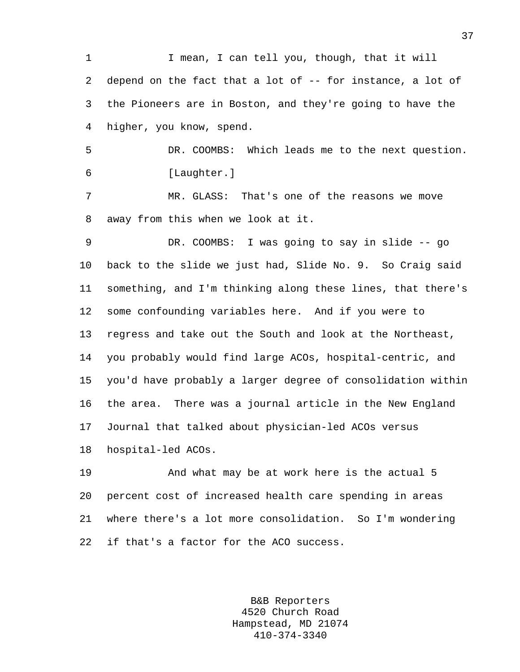1 I mean, I can tell you, though, that it will 2 depend on the fact that a lot of -- for instance, a lot of 3 the Pioneers are in Boston, and they're going to have the 4 higher, you know, spend.

5 DR. COOMBS: Which leads me to the next question. 6 [Laughter.]

7 MR. GLASS: That's one of the reasons we move 8 away from this when we look at it.

9 DR. COOMBS: I was going to say in slide -- go 10 back to the slide we just had, Slide No. 9. So Craig said 11 something, and I'm thinking along these lines, that there's 12 some confounding variables here. And if you were to 13 regress and take out the South and look at the Northeast, 14 you probably would find large ACOs, hospital-centric, and 15 you'd have probably a larger degree of consolidation within 16 the area. There was a journal article in the New England 17 Journal that talked about physician-led ACOs versus 18 hospital-led ACOs.

19 And what may be at work here is the actual 5 20 percent cost of increased health care spending in areas 21 where there's a lot more consolidation. So I'm wondering 22 if that's a factor for the ACO success.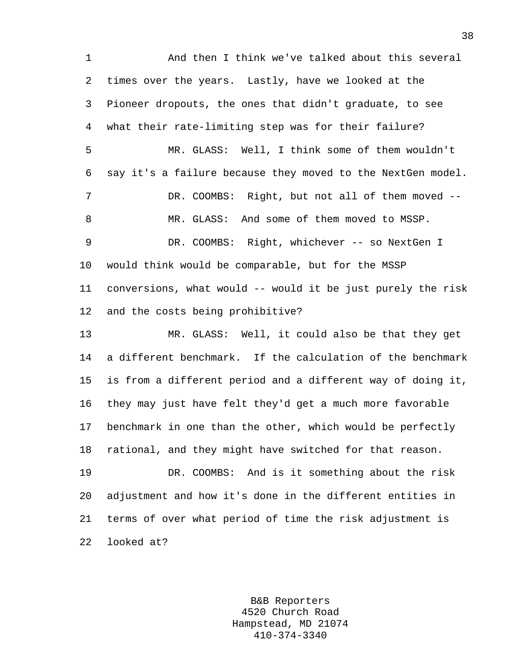1 And then I think we've talked about this several 2 times over the years. Lastly, have we looked at the 3 Pioneer dropouts, the ones that didn't graduate, to see 4 what their rate-limiting step was for their failure? 5 MR. GLASS: Well, I think some of them wouldn't 6 say it's a failure because they moved to the NextGen model. 7 DR. COOMBS: Right, but not all of them moved --8 MR. GLASS: And some of them moved to MSSP. 9 DR. COOMBS: Right, whichever -- so NextGen I 10 would think would be comparable, but for the MSSP 11 conversions, what would -- would it be just purely the risk 12 and the costs being prohibitive? 13 MR. GLASS: Well, it could also be that they get 14 a different benchmark. If the calculation of the benchmark 15 is from a different period and a different way of doing it, 16 they may just have felt they'd get a much more favorable 17 benchmark in one than the other, which would be perfectly 18 rational, and they might have switched for that reason. 19 DR. COOMBS: And is it something about the risk 20 adjustment and how it's done in the different entities in 21 terms of over what period of time the risk adjustment is

22 looked at?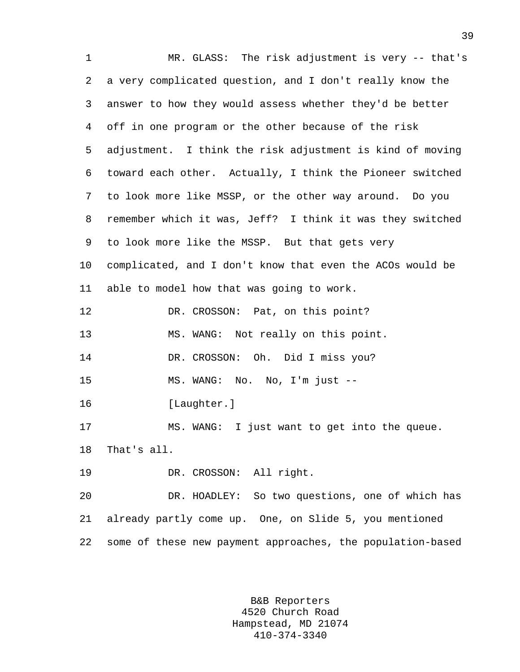1 MR. GLASS: The risk adjustment is very -- that's 2 a very complicated question, and I don't really know the 3 answer to how they would assess whether they'd be better 4 off in one program or the other because of the risk 5 adjustment. I think the risk adjustment is kind of moving 6 toward each other. Actually, I think the Pioneer switched 7 to look more like MSSP, or the other way around. Do you 8 remember which it was, Jeff? I think it was they switched 9 to look more like the MSSP. But that gets very 10 complicated, and I don't know that even the ACOs would be 11 able to model how that was going to work. 12 DR. CROSSON: Pat, on this point? 13 MS. WANG: Not really on this point. 14 DR. CROSSON: Oh. Did I miss you? 15 MS. WANG: No. No, I'm just -- 16 [Laughter.] 17 MS. WANG: I just want to get into the queue. 18 That's all. 19 DR. CROSSON: All right. 20 DR. HOADLEY: So two questions, one of which has 21 already partly come up. One, on Slide 5, you mentioned 22 some of these new payment approaches, the population-based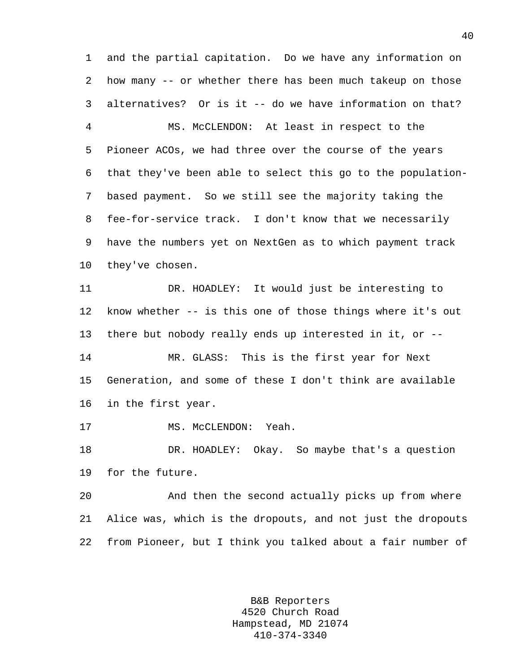1 and the partial capitation. Do we have any information on 2 how many -- or whether there has been much takeup on those 3 alternatives? Or is it -- do we have information on that? 4 MS. McCLENDON: At least in respect to the

5 Pioneer ACOs, we had three over the course of the years 6 that they've been able to select this go to the population-7 based payment. So we still see the majority taking the 8 fee-for-service track. I don't know that we necessarily 9 have the numbers yet on NextGen as to which payment track 10 they've chosen.

11 DR. HOADLEY: It would just be interesting to 12 know whether -- is this one of those things where it's out 13 there but nobody really ends up interested in it, or -- 14 MR. GLASS: This is the first year for Next 15 Generation, and some of these I don't think are available 16 in the first year.

17 MS. McCLENDON: Yeah.

18 DR. HOADLEY: Okay. So maybe that's a question 19 for the future.

20 And then the second actually picks up from where 21 Alice was, which is the dropouts, and not just the dropouts 22 from Pioneer, but I think you talked about a fair number of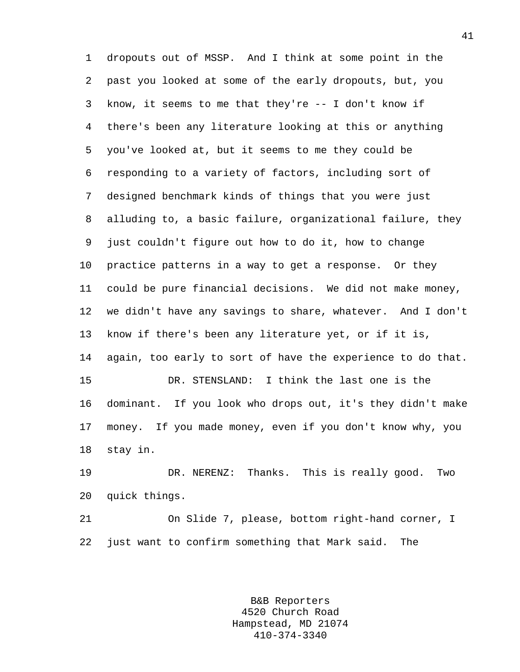1 dropouts out of MSSP. And I think at some point in the 2 past you looked at some of the early dropouts, but, you 3 know, it seems to me that they're -- I don't know if 4 there's been any literature looking at this or anything 5 you've looked at, but it seems to me they could be 6 responding to a variety of factors, including sort of 7 designed benchmark kinds of things that you were just 8 alluding to, a basic failure, organizational failure, they 9 just couldn't figure out how to do it, how to change 10 practice patterns in a way to get a response. Or they 11 could be pure financial decisions. We did not make money, 12 we didn't have any savings to share, whatever. And I don't 13 know if there's been any literature yet, or if it is, 14 again, too early to sort of have the experience to do that. 15 DR. STENSLAND: I think the last one is the 16 dominant. If you look who drops out, it's they didn't make 17 money. If you made money, even if you don't know why, you 18 stay in.

19 DR. NERENZ: Thanks. This is really good. Two 20 quick things.

21 On Slide 7, please, bottom right-hand corner, I 22 just want to confirm something that Mark said. The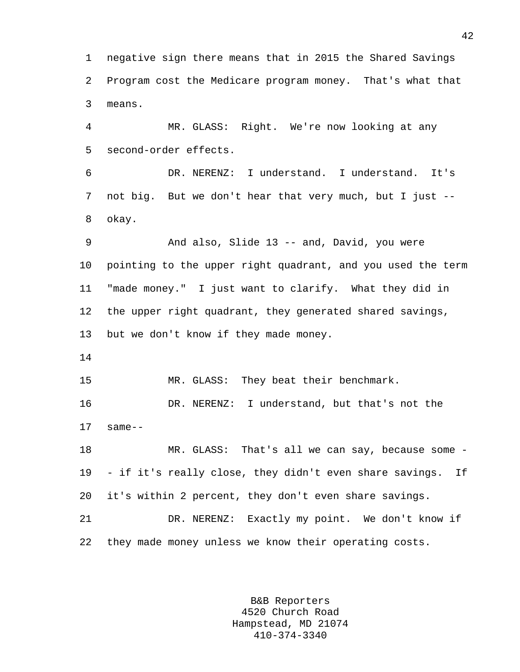1 negative sign there means that in 2015 the Shared Savings 2 Program cost the Medicare program money. That's what that 3 means.

4 MR. GLASS: Right. We're now looking at any 5 second-order effects.

6 DR. NERENZ: I understand. I understand. It's 7 not big. But we don't hear that very much, but I just -- 8 okay.

9 And also, Slide 13 -- and, David, you were 10 pointing to the upper right quadrant, and you used the term 11 "made money." I just want to clarify. What they did in 12 the upper right quadrant, they generated shared savings, 13 but we don't know if they made money.

14

15 MR. GLASS: They beat their benchmark.

16 DR. NERENZ: I understand, but that's not the 17 same--

18 MR. GLASS: That's all we can say, because some - 19 - if it's really close, they didn't even share savings. If 20 it's within 2 percent, they don't even share savings.

21 DR. NERENZ: Exactly my point. We don't know if 22 they made money unless we know their operating costs.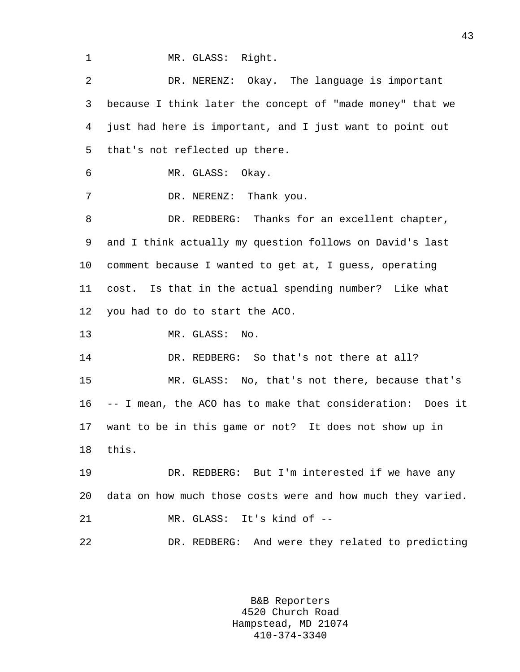1 MR. GLASS: Right.

2 DR. NERENZ: Okay. The language is important 3 because I think later the concept of "made money" that we 4 just had here is important, and I just want to point out 5 that's not reflected up there. 6 MR. GLASS: Okay. 7 DR. NERENZ: Thank you. 8 DR. REDBERG: Thanks for an excellent chapter, 9 and I think actually my question follows on David's last 10 comment because I wanted to get at, I guess, operating 11 cost. Is that in the actual spending number? Like what 12 you had to do to start the ACO. 13 MR. GLASS: No. 14 DR. REDBERG: So that's not there at all? 15 MR. GLASS: No, that's not there, because that's 16 -- I mean, the ACO has to make that consideration: Does it 17 want to be in this game or not? It does not show up in 18 this. 19 DR. REDBERG: But I'm interested if we have any 20 data on how much those costs were and how much they varied. 21 MR. GLASS: It's kind of -- 22 DR. REDBERG: And were they related to predicting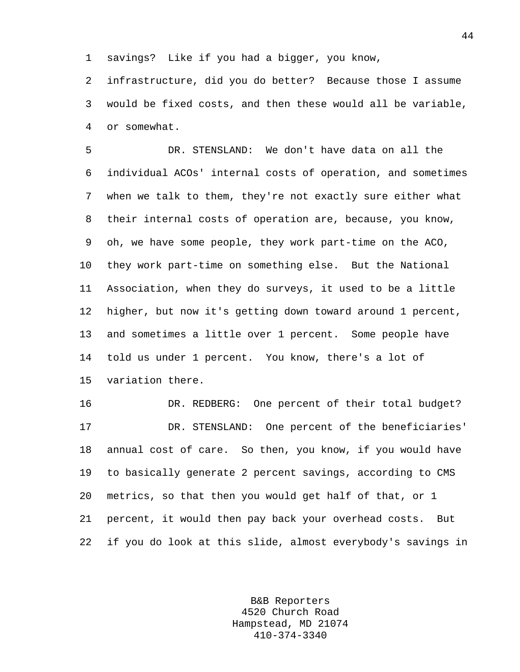1 savings? Like if you had a bigger, you know,

2 infrastructure, did you do better? Because those I assume 3 would be fixed costs, and then these would all be variable, 4 or somewhat.

5 DR. STENSLAND: We don't have data on all the 6 individual ACOs' internal costs of operation, and sometimes 7 when we talk to them, they're not exactly sure either what 8 their internal costs of operation are, because, you know, 9 oh, we have some people, they work part-time on the ACO, 10 they work part-time on something else. But the National 11 Association, when they do surveys, it used to be a little 12 higher, but now it's getting down toward around 1 percent, 13 and sometimes a little over 1 percent. Some people have 14 told us under 1 percent. You know, there's a lot of 15 variation there.

16 DR. REDBERG: One percent of their total budget? 17 DR. STENSLAND: One percent of the beneficiaries' 18 annual cost of care. So then, you know, if you would have 19 to basically generate 2 percent savings, according to CMS 20 metrics, so that then you would get half of that, or 1 21 percent, it would then pay back your overhead costs. But 22 if you do look at this slide, almost everybody's savings in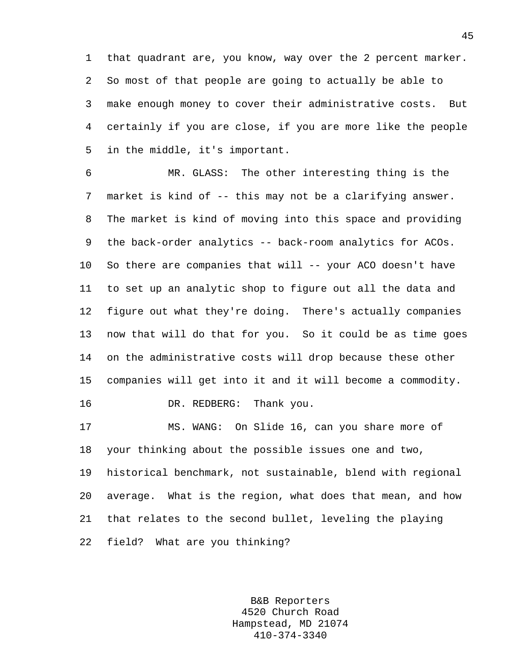1 that quadrant are, you know, way over the 2 percent marker. 2 So most of that people are going to actually be able to 3 make enough money to cover their administrative costs. But 4 certainly if you are close, if you are more like the people 5 in the middle, it's important.

6 MR. GLASS: The other interesting thing is the 7 market is kind of -- this may not be a clarifying answer. 8 The market is kind of moving into this space and providing 9 the back-order analytics -- back-room analytics for ACOs. 10 So there are companies that will -- your ACO doesn't have 11 to set up an analytic shop to figure out all the data and 12 figure out what they're doing. There's actually companies 13 now that will do that for you. So it could be as time goes 14 on the administrative costs will drop because these other 15 companies will get into it and it will become a commodity. 16 DR. REDBERG: Thank you.

17 MS. WANG: On Slide 16, can you share more of 18 your thinking about the possible issues one and two, 19 historical benchmark, not sustainable, blend with regional 20 average. What is the region, what does that mean, and how 21 that relates to the second bullet, leveling the playing 22 field? What are you thinking?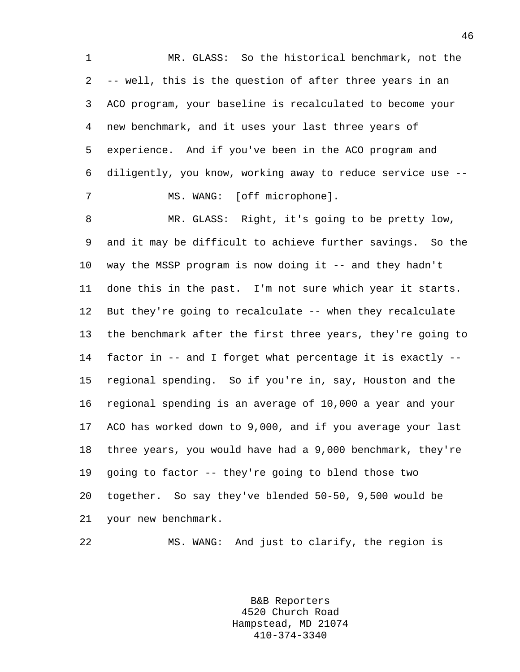1 MR. GLASS: So the historical benchmark, not the 2 -- well, this is the question of after three years in an 3 ACO program, your baseline is recalculated to become your 4 new benchmark, and it uses your last three years of 5 experience. And if you've been in the ACO program and 6 diligently, you know, working away to reduce service use -- 7 MS. WANG: [off microphone].

8 MR. GLASS: Right, it's going to be pretty low, 9 and it may be difficult to achieve further savings. So the 10 way the MSSP program is now doing it -- and they hadn't 11 done this in the past. I'm not sure which year it starts. 12 But they're going to recalculate -- when they recalculate 13 the benchmark after the first three years, they're going to 14 factor in -- and I forget what percentage it is exactly -- 15 regional spending. So if you're in, say, Houston and the 16 regional spending is an average of 10,000 a year and your 17 ACO has worked down to 9,000, and if you average your last 18 three years, you would have had a 9,000 benchmark, they're 19 going to factor -- they're going to blend those two 20 together. So say they've blended 50-50, 9,500 would be 21 your new benchmark.

22 MS. WANG: And just to clarify, the region is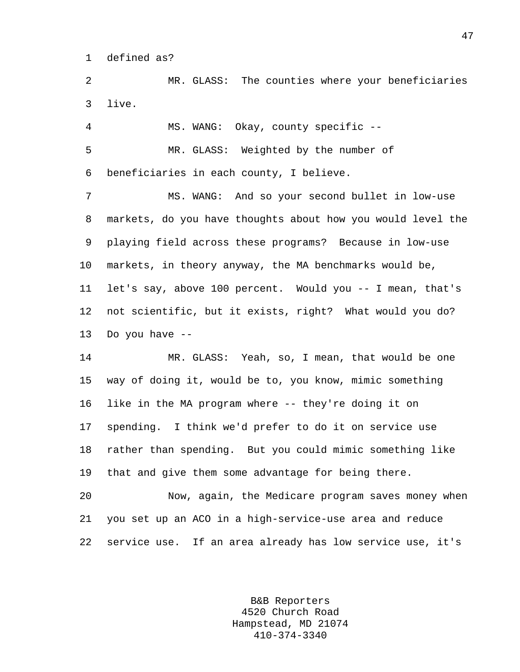1 defined as?

2 MR. GLASS: The counties where your beneficiaries 3 live.

4 MS. WANG: Okay, county specific -- 5 MR. GLASS: Weighted by the number of 6 beneficiaries in each county, I believe.

7 MS. WANG: And so your second bullet in low-use 8 markets, do you have thoughts about how you would level the 9 playing field across these programs? Because in low-use 10 markets, in theory anyway, the MA benchmarks would be, 11 let's say, above 100 percent. Would you -- I mean, that's 12 not scientific, but it exists, right? What would you do? 13 Do you have --

14 MR. GLASS: Yeah, so, I mean, that would be one 15 way of doing it, would be to, you know, mimic something 16 like in the MA program where -- they're doing it on 17 spending. I think we'd prefer to do it on service use 18 rather than spending. But you could mimic something like 19 that and give them some advantage for being there.

20 Now, again, the Medicare program saves money when 21 you set up an ACO in a high-service-use area and reduce 22 service use. If an area already has low service use, it's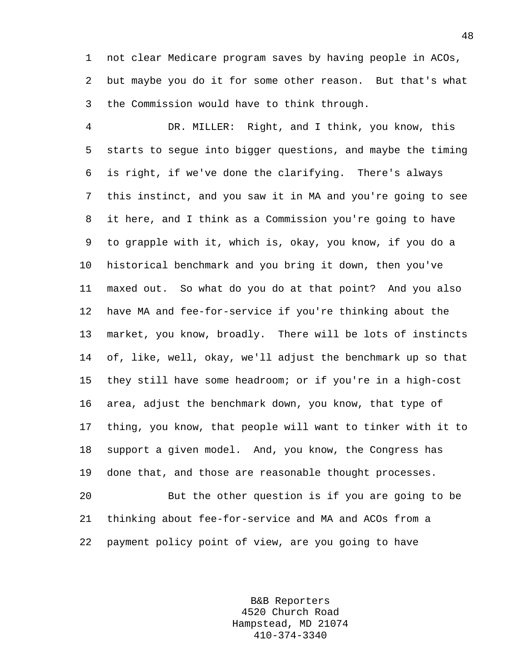1 not clear Medicare program saves by having people in ACOs, 2 but maybe you do it for some other reason. But that's what 3 the Commission would have to think through.

4 DR. MILLER: Right, and I think, you know, this 5 starts to segue into bigger questions, and maybe the timing 6 is right, if we've done the clarifying. There's always 7 this instinct, and you saw it in MA and you're going to see 8 it here, and I think as a Commission you're going to have 9 to grapple with it, which is, okay, you know, if you do a 10 historical benchmark and you bring it down, then you've 11 maxed out. So what do you do at that point? And you also 12 have MA and fee-for-service if you're thinking about the 13 market, you know, broadly. There will be lots of instincts 14 of, like, well, okay, we'll adjust the benchmark up so that 15 they still have some headroom; or if you're in a high-cost 16 area, adjust the benchmark down, you know, that type of 17 thing, you know, that people will want to tinker with it to 18 support a given model. And, you know, the Congress has 19 done that, and those are reasonable thought processes. 20 But the other question is if you are going to be

21 thinking about fee-for-service and MA and ACOs from a 22 payment policy point of view, are you going to have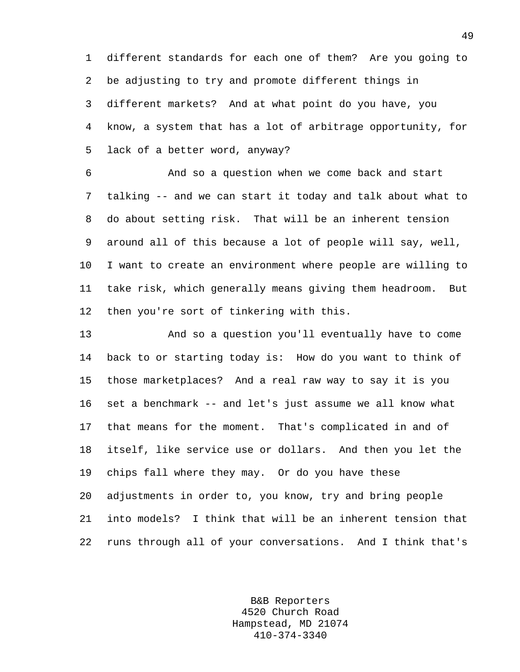1 different standards for each one of them? Are you going to 2 be adjusting to try and promote different things in 3 different markets? And at what point do you have, you 4 know, a system that has a lot of arbitrage opportunity, for 5 lack of a better word, anyway?

6 And so a question when we come back and start 7 talking -- and we can start it today and talk about what to 8 do about setting risk. That will be an inherent tension 9 around all of this because a lot of people will say, well, 10 I want to create an environment where people are willing to 11 take risk, which generally means giving them headroom. But 12 then you're sort of tinkering with this.

13 And so a question you'll eventually have to come 14 back to or starting today is: How do you want to think of 15 those marketplaces? And a real raw way to say it is you 16 set a benchmark -- and let's just assume we all know what 17 that means for the moment. That's complicated in and of 18 itself, like service use or dollars. And then you let the 19 chips fall where they may. Or do you have these 20 adjustments in order to, you know, try and bring people 21 into models? I think that will be an inherent tension that 22 runs through all of your conversations. And I think that's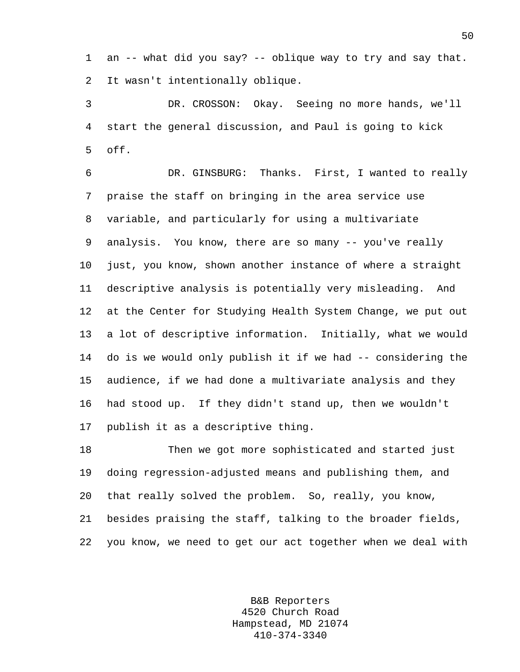1 an -- what did you say? -- oblique way to try and say that. 2 It wasn't intentionally oblique.

3 DR. CROSSON: Okay. Seeing no more hands, we'll 4 start the general discussion, and Paul is going to kick 5 off.

6 DR. GINSBURG: Thanks. First, I wanted to really 7 praise the staff on bringing in the area service use 8 variable, and particularly for using a multivariate 9 analysis. You know, there are so many -- you've really 10 just, you know, shown another instance of where a straight 11 descriptive analysis is potentially very misleading. And 12 at the Center for Studying Health System Change, we put out 13 a lot of descriptive information. Initially, what we would 14 do is we would only publish it if we had -- considering the 15 audience, if we had done a multivariate analysis and they 16 had stood up. If they didn't stand up, then we wouldn't 17 publish it as a descriptive thing.

18 Then we got more sophisticated and started just 19 doing regression-adjusted means and publishing them, and 20 that really solved the problem. So, really, you know, 21 besides praising the staff, talking to the broader fields, 22 you know, we need to get our act together when we deal with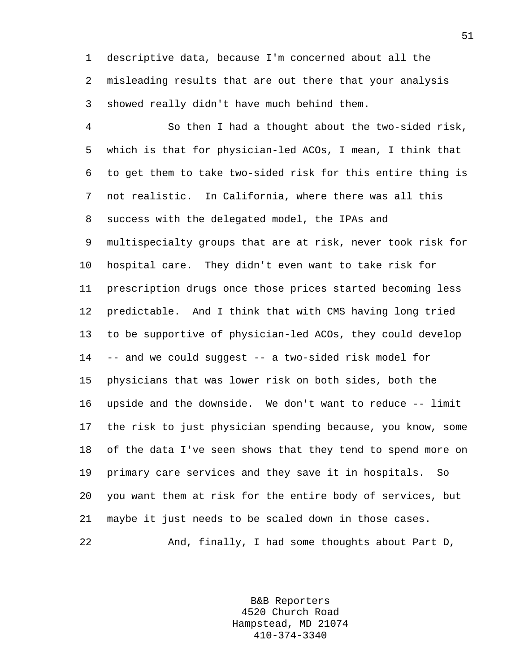1 descriptive data, because I'm concerned about all the 2 misleading results that are out there that your analysis 3 showed really didn't have much behind them.

4 So then I had a thought about the two-sided risk, 5 which is that for physician-led ACOs, I mean, I think that 6 to get them to take two-sided risk for this entire thing is 7 not realistic. In California, where there was all this 8 success with the delegated model, the IPAs and 9 multispecialty groups that are at risk, never took risk for 10 hospital care. They didn't even want to take risk for 11 prescription drugs once those prices started becoming less 12 predictable. And I think that with CMS having long tried 13 to be supportive of physician-led ACOs, they could develop 14 -- and we could suggest -- a two-sided risk model for 15 physicians that was lower risk on both sides, both the 16 upside and the downside. We don't want to reduce -- limit 17 the risk to just physician spending because, you know, some 18 of the data I've seen shows that they tend to spend more on 19 primary care services and they save it in hospitals. So 20 you want them at risk for the entire body of services, but 21 maybe it just needs to be scaled down in those cases. 22 And, finally, I had some thoughts about Part D,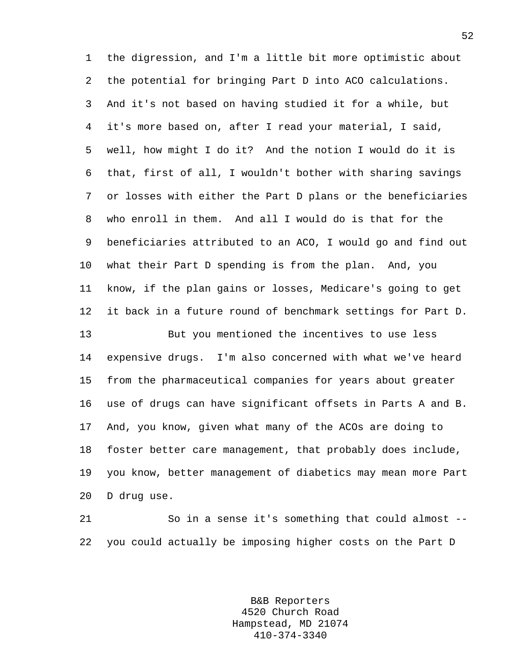1 the digression, and I'm a little bit more optimistic about 2 the potential for bringing Part D into ACO calculations. 3 And it's not based on having studied it for a while, but 4 it's more based on, after I read your material, I said, 5 well, how might I do it? And the notion I would do it is 6 that, first of all, I wouldn't bother with sharing savings 7 or losses with either the Part D plans or the beneficiaries 8 who enroll in them. And all I would do is that for the 9 beneficiaries attributed to an ACO, I would go and find out 10 what their Part D spending is from the plan. And, you 11 know, if the plan gains or losses, Medicare's going to get 12 it back in a future round of benchmark settings for Part D. 13 But you mentioned the incentives to use less 14 expensive drugs. I'm also concerned with what we've heard 15 from the pharmaceutical companies for years about greater 16 use of drugs can have significant offsets in Parts A and B. 17 And, you know, given what many of the ACOs are doing to 18 foster better care management, that probably does include, 19 you know, better management of diabetics may mean more Part 20 D drug use.

21 So in a sense it's something that could almost -- 22 you could actually be imposing higher costs on the Part D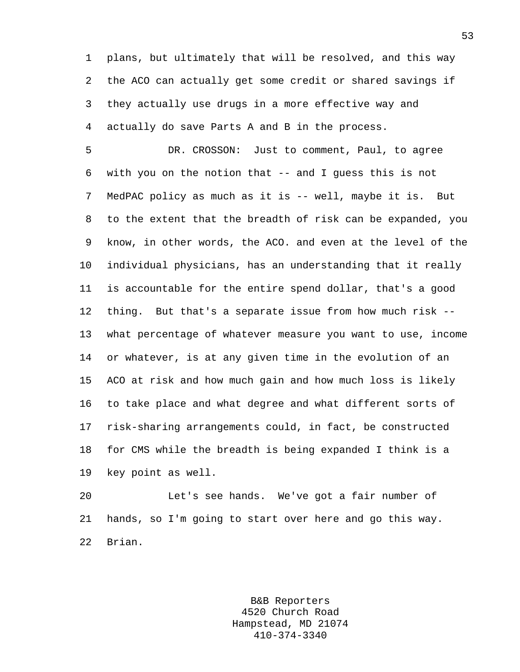1 plans, but ultimately that will be resolved, and this way 2 the ACO can actually get some credit or shared savings if 3 they actually use drugs in a more effective way and 4 actually do save Parts A and B in the process.

5 DR. CROSSON: Just to comment, Paul, to agree 6 with you on the notion that -- and I guess this is not 7 MedPAC policy as much as it is -- well, maybe it is. But 8 to the extent that the breadth of risk can be expanded, you 9 know, in other words, the ACO. and even at the level of the 10 individual physicians, has an understanding that it really 11 is accountable for the entire spend dollar, that's a good 12 thing. But that's a separate issue from how much risk -- 13 what percentage of whatever measure you want to use, income 14 or whatever, is at any given time in the evolution of an 15 ACO at risk and how much gain and how much loss is likely 16 to take place and what degree and what different sorts of 17 risk-sharing arrangements could, in fact, be constructed 18 for CMS while the breadth is being expanded I think is a 19 key point as well.

20 Let's see hands. We've got a fair number of 21 hands, so I'm going to start over here and go this way. 22 Brian.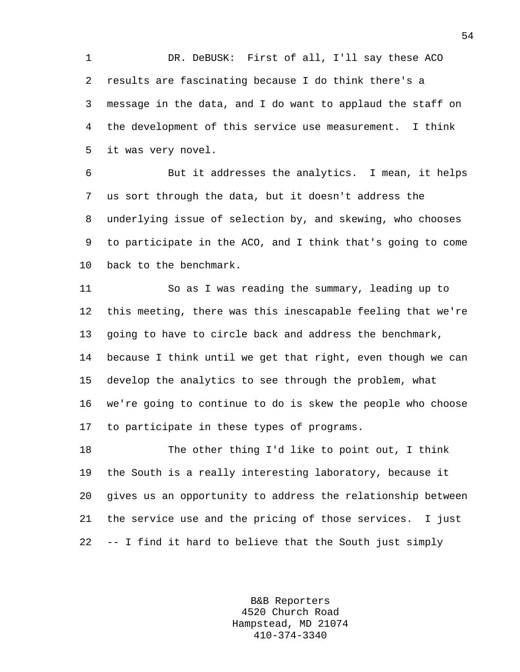1 DR. DeBUSK: First of all, I'll say these ACO 2 results are fascinating because I do think there's a 3 message in the data, and I do want to applaud the staff on 4 the development of this service use measurement. I think 5 it was very novel.

6 But it addresses the analytics. I mean, it helps 7 us sort through the data, but it doesn't address the 8 underlying issue of selection by, and skewing, who chooses 9 to participate in the ACO, and I think that's going to come 10 back to the benchmark.

11 So as I was reading the summary, leading up to 12 this meeting, there was this inescapable feeling that we're 13 going to have to circle back and address the benchmark, 14 because I think until we get that right, even though we can 15 develop the analytics to see through the problem, what 16 we're going to continue to do is skew the people who choose 17 to participate in these types of programs.

18 The other thing I'd like to point out, I think 19 the South is a really interesting laboratory, because it 20 gives us an opportunity to address the relationship between 21 the service use and the pricing of those services. I just 22 -- I find it hard to believe that the South just simply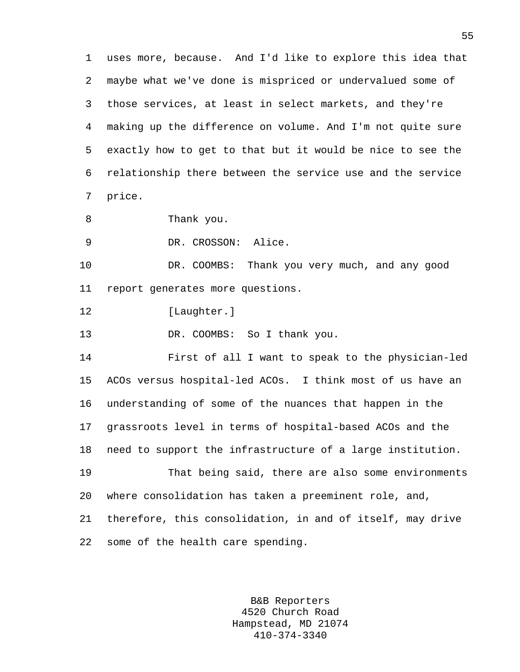1 uses more, because. And I'd like to explore this idea that 2 maybe what we've done is mispriced or undervalued some of 3 those services, at least in select markets, and they're 4 making up the difference on volume. And I'm not quite sure 5 exactly how to get to that but it would be nice to see the 6 relationship there between the service use and the service 7 price.

8 Thank you.

9 DR. CROSSON: Alice.

10 DR. COOMBS: Thank you very much, and any good 11 report generates more questions.

12 [Laughter.]

13 DR. COOMBS: So I thank you.

14 First of all I want to speak to the physician-led 15 ACOs versus hospital-led ACOs. I think most of us have an 16 understanding of some of the nuances that happen in the 17 grassroots level in terms of hospital-based ACOs and the 18 need to support the infrastructure of a large institution. 19 That being said, there are also some environments

20 where consolidation has taken a preeminent role, and, 21 therefore, this consolidation, in and of itself, may drive

22 some of the health care spending.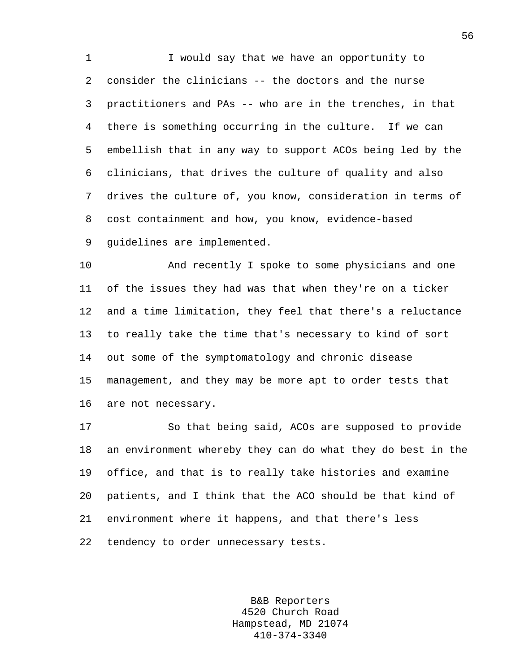1 I would say that we have an opportunity to 2 consider the clinicians -- the doctors and the nurse 3 practitioners and PAs -- who are in the trenches, in that 4 there is something occurring in the culture. If we can 5 embellish that in any way to support ACOs being led by the 6 clinicians, that drives the culture of quality and also 7 drives the culture of, you know, consideration in terms of 8 cost containment and how, you know, evidence-based 9 guidelines are implemented.

10 And recently I spoke to some physicians and one 11 of the issues they had was that when they're on a ticker 12 and a time limitation, they feel that there's a reluctance 13 to really take the time that's necessary to kind of sort 14 out some of the symptomatology and chronic disease 15 management, and they may be more apt to order tests that 16 are not necessary.

17 So that being said, ACOs are supposed to provide 18 an environment whereby they can do what they do best in the 19 office, and that is to really take histories and examine 20 patients, and I think that the ACO should be that kind of 21 environment where it happens, and that there's less 22 tendency to order unnecessary tests.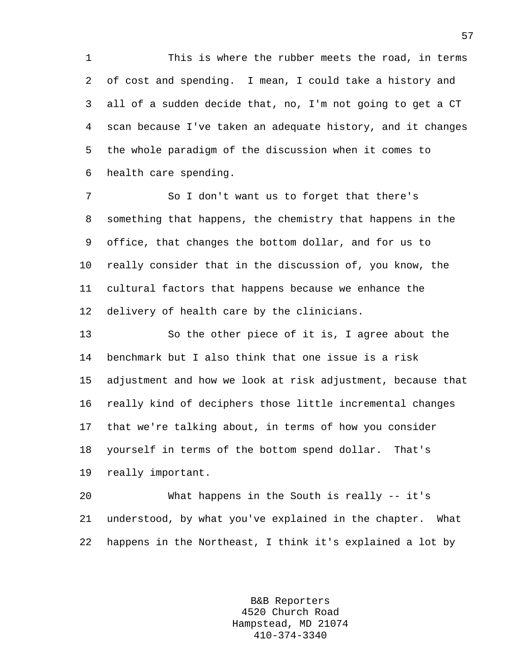1 This is where the rubber meets the road, in terms 2 of cost and spending. I mean, I could take a history and 3 all of a sudden decide that, no, I'm not going to get a CT 4 scan because I've taken an adequate history, and it changes 5 the whole paradigm of the discussion when it comes to 6 health care spending.

7 So I don't want us to forget that there's 8 something that happens, the chemistry that happens in the 9 office, that changes the bottom dollar, and for us to 10 really consider that in the discussion of, you know, the 11 cultural factors that happens because we enhance the 12 delivery of health care by the clinicians.

13 So the other piece of it is, I agree about the 14 benchmark but I also think that one issue is a risk 15 adjustment and how we look at risk adjustment, because that 16 really kind of deciphers those little incremental changes 17 that we're talking about, in terms of how you consider 18 yourself in terms of the bottom spend dollar. That's 19 really important.

20 What happens in the South is really -- it's 21 understood, by what you've explained in the chapter. What 22 happens in the Northeast, I think it's explained a lot by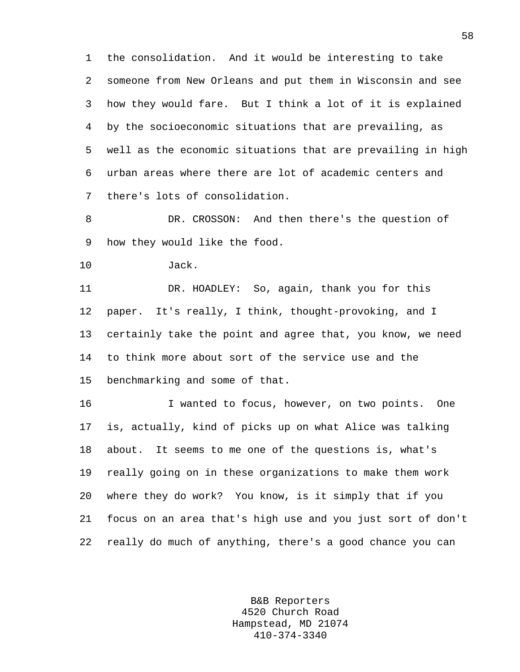1 the consolidation. And it would be interesting to take 2 someone from New Orleans and put them in Wisconsin and see 3 how they would fare. But I think a lot of it is explained 4 by the socioeconomic situations that are prevailing, as 5 well as the economic situations that are prevailing in high 6 urban areas where there are lot of academic centers and 7 there's lots of consolidation.

8 DR. CROSSON: And then there's the question of 9 how they would like the food.

10 Jack.

11 DR. HOADLEY: So, again, thank you for this 12 paper. It's really, I think, thought-provoking, and I 13 certainly take the point and agree that, you know, we need 14 to think more about sort of the service use and the 15 benchmarking and some of that.

16 I wanted to focus, however, on two points. One 17 is, actually, kind of picks up on what Alice was talking 18 about. It seems to me one of the questions is, what's 19 really going on in these organizations to make them work 20 where they do work? You know, is it simply that if you 21 focus on an area that's high use and you just sort of don't 22 really do much of anything, there's a good chance you can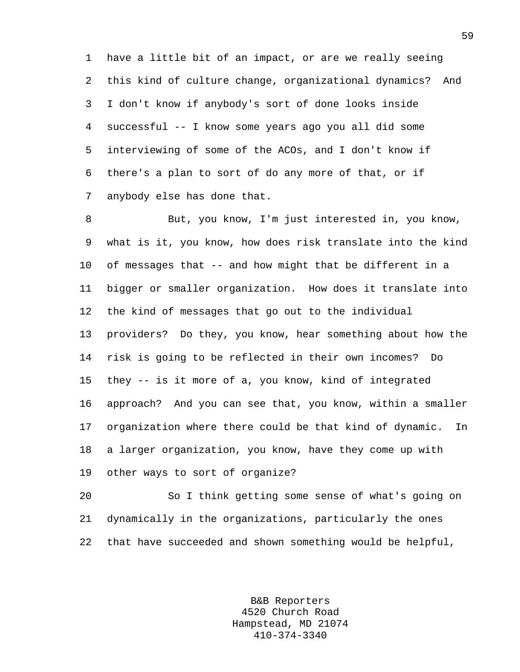1 have a little bit of an impact, or are we really seeing 2 this kind of culture change, organizational dynamics? And 3 I don't know if anybody's sort of done looks inside 4 successful -- I know some years ago you all did some 5 interviewing of some of the ACOs, and I don't know if 6 there's a plan to sort of do any more of that, or if 7 anybody else has done that.

8 But, you know, I'm just interested in, you know, 9 what is it, you know, how does risk translate into the kind 10 of messages that -- and how might that be different in a 11 bigger or smaller organization. How does it translate into 12 the kind of messages that go out to the individual 13 providers? Do they, you know, hear something about how the 14 risk is going to be reflected in their own incomes? Do 15 they -- is it more of a, you know, kind of integrated 16 approach? And you can see that, you know, within a smaller 17 organization where there could be that kind of dynamic. In 18 a larger organization, you know, have they come up with 19 other ways to sort of organize?

20 So I think getting some sense of what's going on 21 dynamically in the organizations, particularly the ones 22 that have succeeded and shown something would be helpful,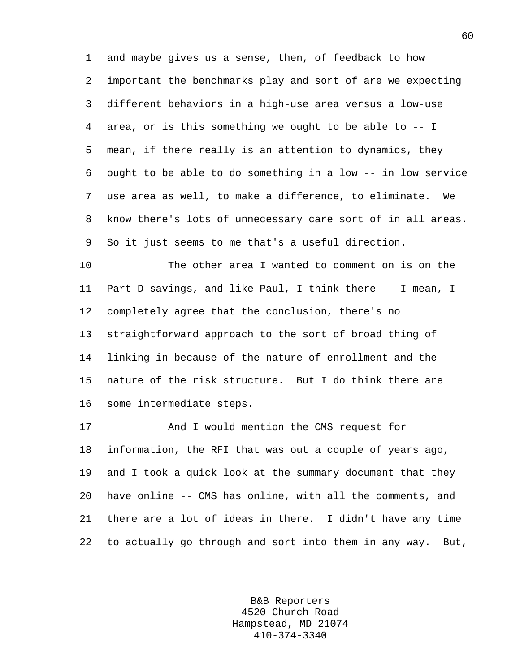1 and maybe gives us a sense, then, of feedback to how 2 important the benchmarks play and sort of are we expecting 3 different behaviors in a high-use area versus a low-use 4 area, or is this something we ought to be able to -- I 5 mean, if there really is an attention to dynamics, they 6 ought to be able to do something in a low -- in low service 7 use area as well, to make a difference, to eliminate. We 8 know there's lots of unnecessary care sort of in all areas. 9 So it just seems to me that's a useful direction.

10 The other area I wanted to comment on is on the 11 Part D savings, and like Paul, I think there -- I mean, I 12 completely agree that the conclusion, there's no 13 straightforward approach to the sort of broad thing of 14 linking in because of the nature of enrollment and the 15 nature of the risk structure. But I do think there are 16 some intermediate steps.

17 And I would mention the CMS request for 18 information, the RFI that was out a couple of years ago, 19 and I took a quick look at the summary document that they 20 have online -- CMS has online, with all the comments, and 21 there are a lot of ideas in there. I didn't have any time 22 to actually go through and sort into them in any way. But,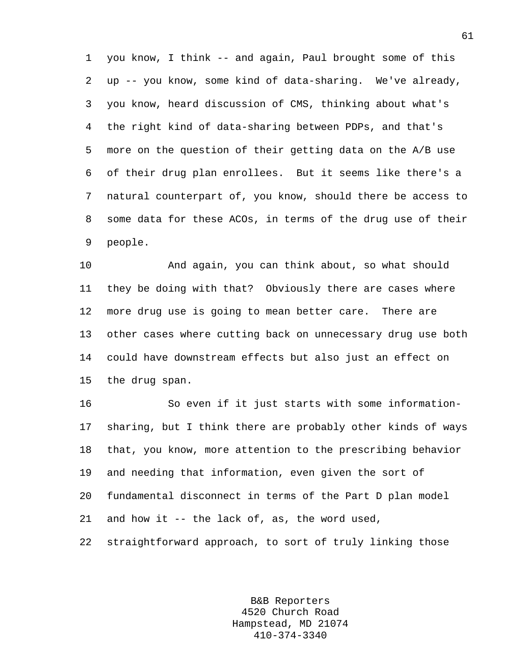1 you know, I think -- and again, Paul brought some of this 2 up -- you know, some kind of data-sharing. We've already, 3 you know, heard discussion of CMS, thinking about what's 4 the right kind of data-sharing between PDPs, and that's 5 more on the question of their getting data on the A/B use 6 of their drug plan enrollees. But it seems like there's a 7 natural counterpart of, you know, should there be access to 8 some data for these ACOs, in terms of the drug use of their 9 people.

10 And again, you can think about, so what should 11 they be doing with that? Obviously there are cases where 12 more drug use is going to mean better care. There are 13 other cases where cutting back on unnecessary drug use both 14 could have downstream effects but also just an effect on 15 the drug span.

16 So even if it just starts with some information-17 sharing, but I think there are probably other kinds of ways 18 that, you know, more attention to the prescribing behavior 19 and needing that information, even given the sort of 20 fundamental disconnect in terms of the Part D plan model 21 and how it -- the lack of, as, the word used, 22 straightforward approach, to sort of truly linking those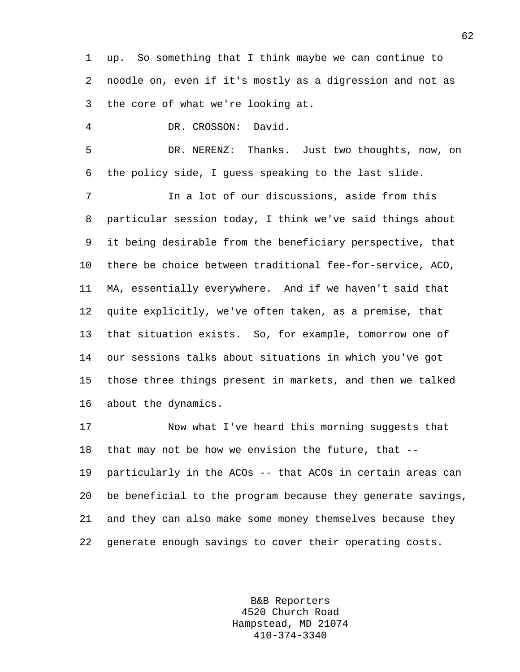1 up. So something that I think maybe we can continue to 2 noodle on, even if it's mostly as a digression and not as 3 the core of what we're looking at.

4 DR. CROSSON: David.

5 DR. NERENZ: Thanks. Just two thoughts, now, on 6 the policy side, I guess speaking to the last slide.

7 In a lot of our discussions, aside from this 8 particular session today, I think we've said things about 9 it being desirable from the beneficiary perspective, that 10 there be choice between traditional fee-for-service, ACO, 11 MA, essentially everywhere. And if we haven't said that 12 quite explicitly, we've often taken, as a premise, that 13 that situation exists. So, for example, tomorrow one of 14 our sessions talks about situations in which you've got 15 those three things present in markets, and then we talked 16 about the dynamics.

17 Now what I've heard this morning suggests that 18 that may not be how we envision the future, that -- 19 particularly in the ACOs -- that ACOs in certain areas can 20 be beneficial to the program because they generate savings, 21 and they can also make some money themselves because they 22 generate enough savings to cover their operating costs.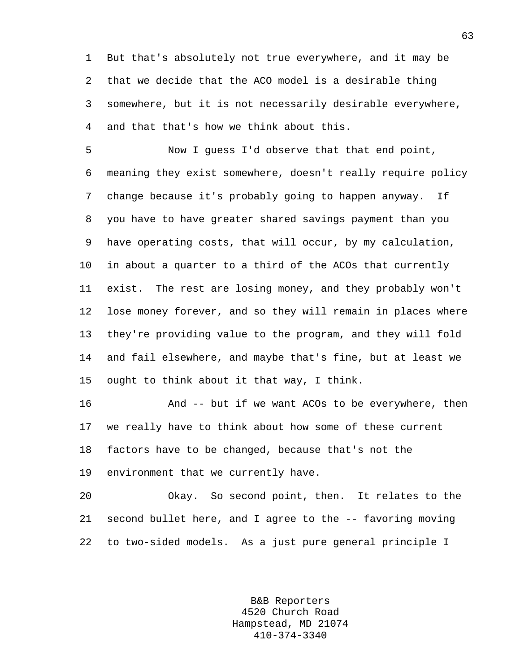1 But that's absolutely not true everywhere, and it may be 2 that we decide that the ACO model is a desirable thing 3 somewhere, but it is not necessarily desirable everywhere, 4 and that that's how we think about this.

5 Now I guess I'd observe that that end point, 6 meaning they exist somewhere, doesn't really require policy 7 change because it's probably going to happen anyway. If 8 you have to have greater shared savings payment than you 9 have operating costs, that will occur, by my calculation, 10 in about a quarter to a third of the ACOs that currently 11 exist. The rest are losing money, and they probably won't 12 lose money forever, and so they will remain in places where 13 they're providing value to the program, and they will fold 14 and fail elsewhere, and maybe that's fine, but at least we 15 ought to think about it that way, I think.

16 And -- but if we want ACOs to be everywhere, then 17 we really have to think about how some of these current 18 factors have to be changed, because that's not the 19 environment that we currently have.

20 Okay. So second point, then. It relates to the 21 second bullet here, and I agree to the -- favoring moving 22 to two-sided models. As a just pure general principle I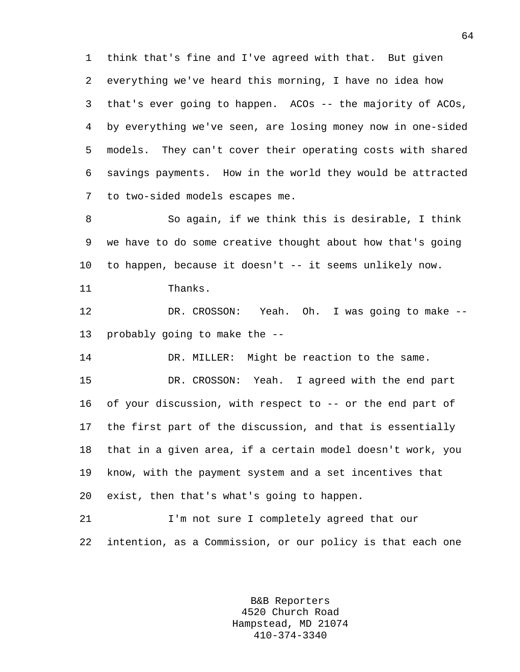1 think that's fine and I've agreed with that. But given 2 everything we've heard this morning, I have no idea how 3 that's ever going to happen. ACOs -- the majority of ACOs, 4 by everything we've seen, are losing money now in one-sided 5 models. They can't cover their operating costs with shared 6 savings payments. How in the world they would be attracted 7 to two-sided models escapes me.

8 So again, if we think this is desirable, I think 9 we have to do some creative thought about how that's going 10 to happen, because it doesn't -- it seems unlikely now.

11 Thanks.

12 DR. CROSSON: Yeah. Oh. I was going to make -- 13 probably going to make the --

14 DR. MILLER: Might be reaction to the same.

15 DR. CROSSON: Yeah. I agreed with the end part 16 of your discussion, with respect to -- or the end part of 17 the first part of the discussion, and that is essentially 18 that in a given area, if a certain model doesn't work, you 19 know, with the payment system and a set incentives that 20 exist, then that's what's going to happen.

21 I'm not sure I completely agreed that our 22 intention, as a Commission, or our policy is that each one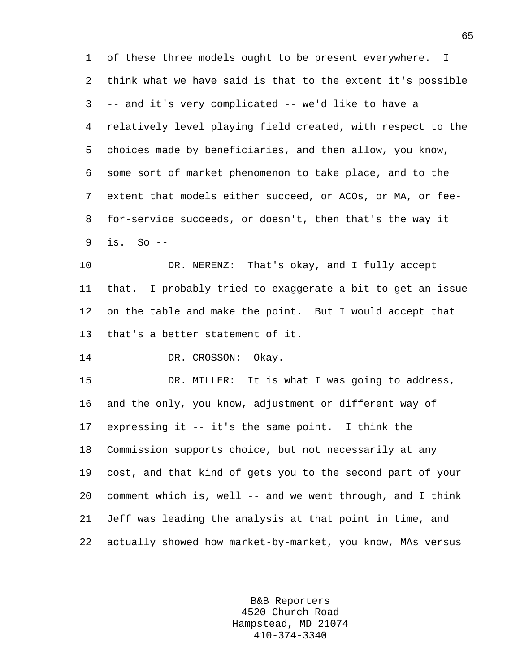1 of these three models ought to be present everywhere. I 2 think what we have said is that to the extent it's possible 3 -- and it's very complicated -- we'd like to have a 4 relatively level playing field created, with respect to the 5 choices made by beneficiaries, and then allow, you know, 6 some sort of market phenomenon to take place, and to the 7 extent that models either succeed, or ACOs, or MA, or fee-8 for-service succeeds, or doesn't, then that's the way it 9 is. So --

10 DR. NERENZ: That's okay, and I fully accept 11 that. I probably tried to exaggerate a bit to get an issue 12 on the table and make the point. But I would accept that 13 that's a better statement of it.

14 DR. CROSSON: Okay.

15 DR. MILLER: It is what I was going to address, 16 and the only, you know, adjustment or different way of 17 expressing it -- it's the same point. I think the 18 Commission supports choice, but not necessarily at any 19 cost, and that kind of gets you to the second part of your 20 comment which is, well -- and we went through, and I think 21 Jeff was leading the analysis at that point in time, and 22 actually showed how market-by-market, you know, MAs versus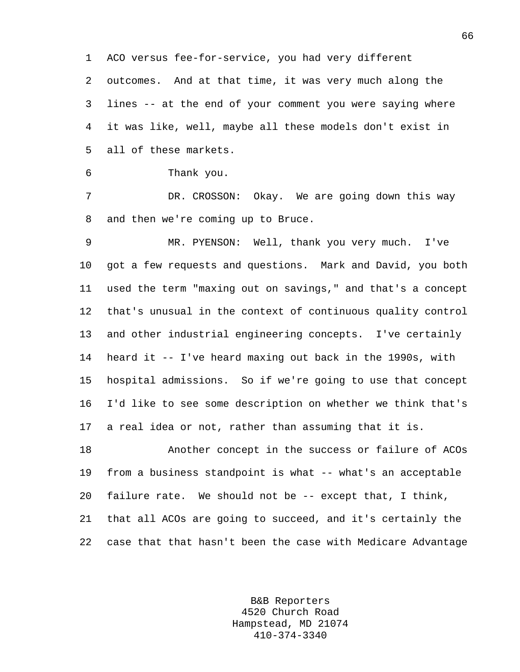1 ACO versus fee-for-service, you had very different 2 outcomes. And at that time, it was very much along the 3 lines -- at the end of your comment you were saying where 4 it was like, well, maybe all these models don't exist in 5 all of these markets.

```
6 Thank you.
```
7 DR. CROSSON: Okay. We are going down this way 8 and then we're coming up to Bruce.

9 MR. PYENSON: Well, thank you very much. I've 10 got a few requests and questions. Mark and David, you both 11 used the term "maxing out on savings," and that's a concept 12 that's unusual in the context of continuous quality control 13 and other industrial engineering concepts. I've certainly 14 heard it -- I've heard maxing out back in the 1990s, with 15 hospital admissions. So if we're going to use that concept 16 I'd like to see some description on whether we think that's 17 a real idea or not, rather than assuming that it is.

18 Another concept in the success or failure of ACOs 19 from a business standpoint is what -- what's an acceptable 20 failure rate. We should not be -- except that, I think, 21 that all ACOs are going to succeed, and it's certainly the 22 case that that hasn't been the case with Medicare Advantage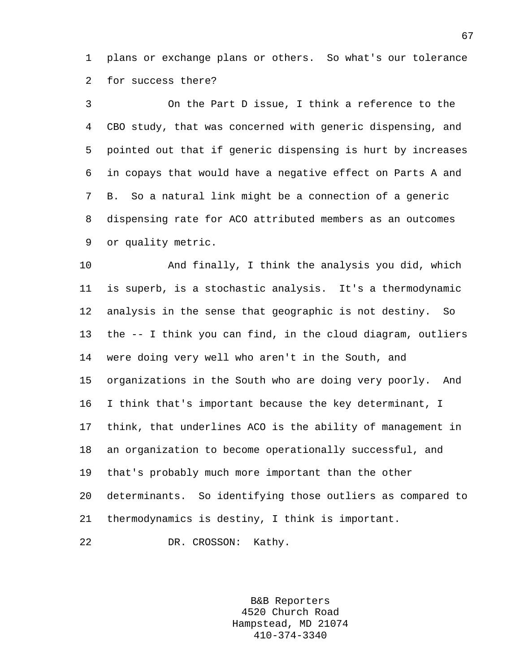1 plans or exchange plans or others. So what's our tolerance 2 for success there?

3 On the Part D issue, I think a reference to the 4 CBO study, that was concerned with generic dispensing, and 5 pointed out that if generic dispensing is hurt by increases 6 in copays that would have a negative effect on Parts A and 7 B. So a natural link might be a connection of a generic 8 dispensing rate for ACO attributed members as an outcomes 9 or quality metric.

10 And finally, I think the analysis you did, which 11 is superb, is a stochastic analysis. It's a thermodynamic 12 analysis in the sense that geographic is not destiny. So 13 the -- I think you can find, in the cloud diagram, outliers 14 were doing very well who aren't in the South, and 15 organizations in the South who are doing very poorly. And 16 I think that's important because the key determinant, I 17 think, that underlines ACO is the ability of management in 18 an organization to become operationally successful, and 19 that's probably much more important than the other 20 determinants. So identifying those outliers as compared to 21 thermodynamics is destiny, I think is important.

22 DR. CROSSON: Kathy.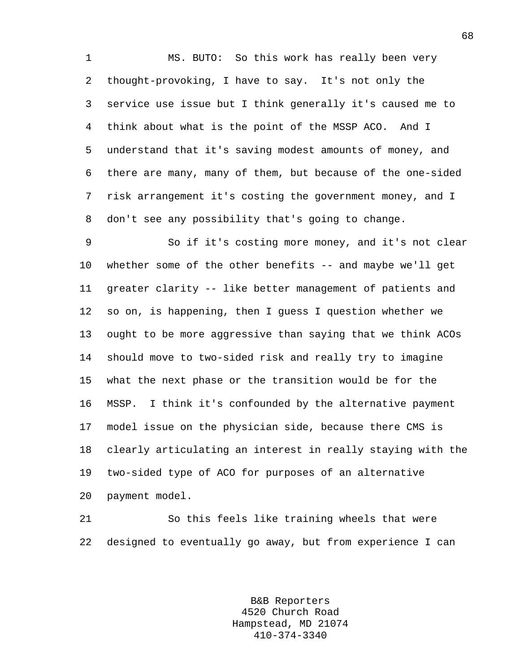1 MS. BUTO: So this work has really been very 2 thought-provoking, I have to say. It's not only the 3 service use issue but I think generally it's caused me to 4 think about what is the point of the MSSP ACO. And I 5 understand that it's saving modest amounts of money, and 6 there are many, many of them, but because of the one-sided 7 risk arrangement it's costing the government money, and I 8 don't see any possibility that's going to change.

9 So if it's costing more money, and it's not clear 10 whether some of the other benefits -- and maybe we'll get 11 greater clarity -- like better management of patients and 12 so on, is happening, then I guess I question whether we 13 ought to be more aggressive than saying that we think ACOs 14 should move to two-sided risk and really try to imagine 15 what the next phase or the transition would be for the 16 MSSP. I think it's confounded by the alternative payment 17 model issue on the physician side, because there CMS is 18 clearly articulating an interest in really staying with the 19 two-sided type of ACO for purposes of an alternative 20 payment model.

21 So this feels like training wheels that were 22 designed to eventually go away, but from experience I can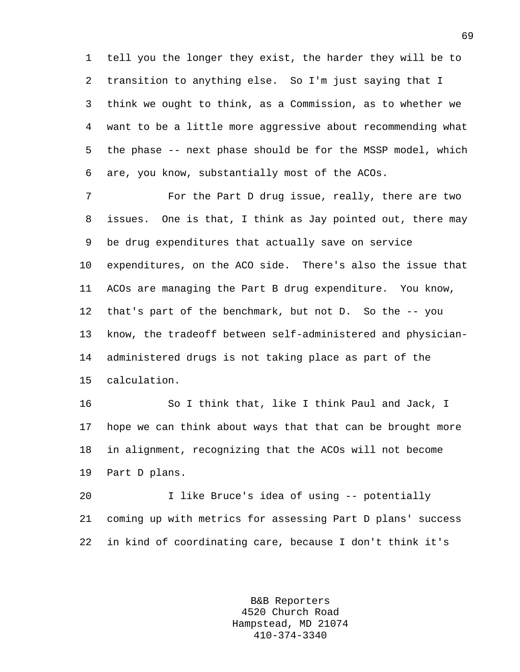1 tell you the longer they exist, the harder they will be to 2 transition to anything else. So I'm just saying that I 3 think we ought to think, as a Commission, as to whether we 4 want to be a little more aggressive about recommending what 5 the phase -- next phase should be for the MSSP model, which 6 are, you know, substantially most of the ACOs.

7 For the Part D drug issue, really, there are two 8 issues. One is that, I think as Jay pointed out, there may 9 be drug expenditures that actually save on service 10 expenditures, on the ACO side. There's also the issue that 11 ACOs are managing the Part B drug expenditure. You know, 12 that's part of the benchmark, but not D. So the -- you 13 know, the tradeoff between self-administered and physician-14 administered drugs is not taking place as part of the 15 calculation.

16 So I think that, like I think Paul and Jack, I 17 hope we can think about ways that that can be brought more 18 in alignment, recognizing that the ACOs will not become 19 Part D plans.

20 I like Bruce's idea of using -- potentially 21 coming up with metrics for assessing Part D plans' success 22 in kind of coordinating care, because I don't think it's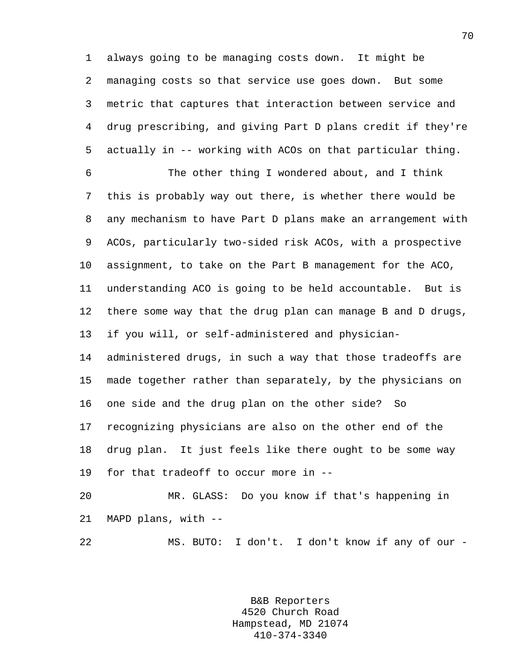1 always going to be managing costs down. It might be 2 managing costs so that service use goes down. But some 3 metric that captures that interaction between service and 4 drug prescribing, and giving Part D plans credit if they're 5 actually in -- working with ACOs on that particular thing.

6 The other thing I wondered about, and I think 7 this is probably way out there, is whether there would be 8 any mechanism to have Part D plans make an arrangement with 9 ACOs, particularly two-sided risk ACOs, with a prospective 10 assignment, to take on the Part B management for the ACO, 11 understanding ACO is going to be held accountable. But is 12 there some way that the drug plan can manage B and D drugs, 13 if you will, or self-administered and physician-14 administered drugs, in such a way that those tradeoffs are 15 made together rather than separately, by the physicians on 16 one side and the drug plan on the other side? So 17 recognizing physicians are also on the other end of the 18 drug plan. It just feels like there ought to be some way 19 for that tradeoff to occur more in --

20 MR. GLASS: Do you know if that's happening in 21 MAPD plans, with --

22 MS. BUTO: I don't. I don't know if any of our -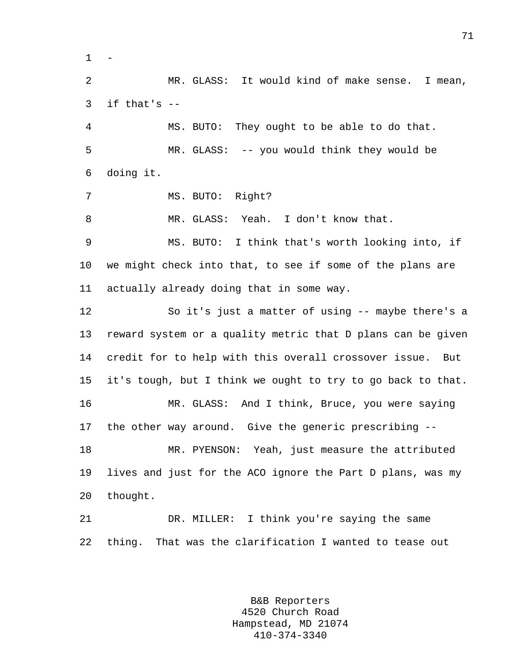$1 -$ 

2 MR. GLASS: It would kind of make sense. I mean,  $3$  if that's  $-$ 4 MS. BUTO: They ought to be able to do that. 5 MR. GLASS: -- you would think they would be

6 doing it.

7 MS. BUTO: Right?

8 MR. GLASS: Yeah. I don't know that.

9 MS. BUTO: I think that's worth looking into, if 10 we might check into that, to see if some of the plans are 11 actually already doing that in some way.

12 So it's just a matter of using -- maybe there's a 13 reward system or a quality metric that D plans can be given 14 credit for to help with this overall crossover issue. But 15 it's tough, but I think we ought to try to go back to that. 16 MR. GLASS: And I think, Bruce, you were saying 17 the other way around. Give the generic prescribing -- 18 MR. PYENSON: Yeah, just measure the attributed 19 lives and just for the ACO ignore the Part D plans, was my 20 thought.

21 DR. MILLER: I think you're saying the same 22 thing. That was the clarification I wanted to tease out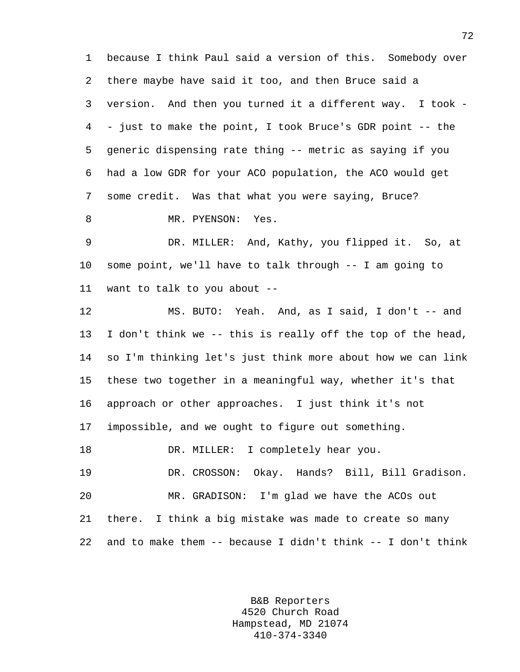1 because I think Paul said a version of this. Somebody over 2 there maybe have said it too, and then Bruce said a 3 version. And then you turned it a different way. I took - 4 - just to make the point, I took Bruce's GDR point -- the 5 generic dispensing rate thing -- metric as saying if you 6 had a low GDR for your ACO population, the ACO would get 7 some credit. Was that what you were saying, Bruce? 8 MR. PYENSON: Yes. 9 DR. MILLER: And, Kathy, you flipped it. So, at 10 some point, we'll have to talk through -- I am going to 11 want to talk to you about -- 12 MS. BUTO: Yeah. And, as I said, I don't -- and 13 I don't think we -- this is really off the top of the head, 14 so I'm thinking let's just think more about how we can link 15 these two together in a meaningful way, whether it's that 16 approach or other approaches. I just think it's not 17 impossible, and we ought to figure out something. 18 DR. MILLER: I completely hear you. 19 DR. CROSSON: Okay. Hands? Bill, Bill Gradison. 20 MR. GRADISON: I'm glad we have the ACOs out 21 there. I think a big mistake was made to create so many 22 and to make them -- because I didn't think -- I don't think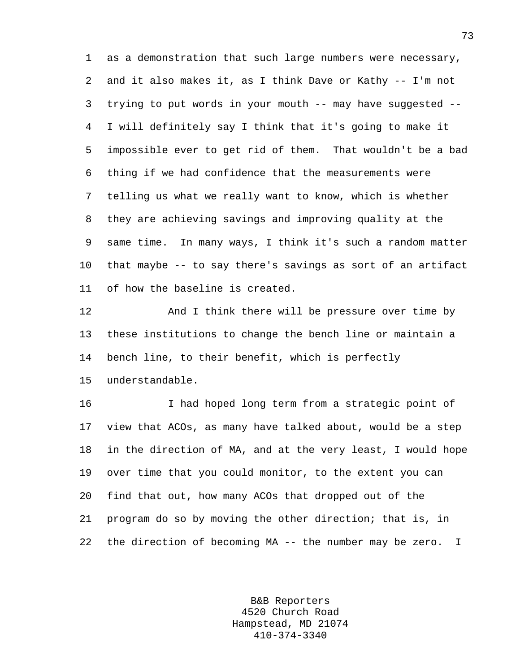1 as a demonstration that such large numbers were necessary, 2 and it also makes it, as I think Dave or Kathy -- I'm not 3 trying to put words in your mouth -- may have suggested -- 4 I will definitely say I think that it's going to make it 5 impossible ever to get rid of them. That wouldn't be a bad 6 thing if we had confidence that the measurements were 7 telling us what we really want to know, which is whether 8 they are achieving savings and improving quality at the 9 same time. In many ways, I think it's such a random matter 10 that maybe -- to say there's savings as sort of an artifact 11 of how the baseline is created.

12 And I think there will be pressure over time by 13 these institutions to change the bench line or maintain a 14 bench line, to their benefit, which is perfectly

15 understandable.

16 I had hoped long term from a strategic point of 17 view that ACOs, as many have talked about, would be a step 18 in the direction of MA, and at the very least, I would hope 19 over time that you could monitor, to the extent you can 20 find that out, how many ACOs that dropped out of the 21 program do so by moving the other direction; that is, in 22 the direction of becoming MA -- the number may be zero. I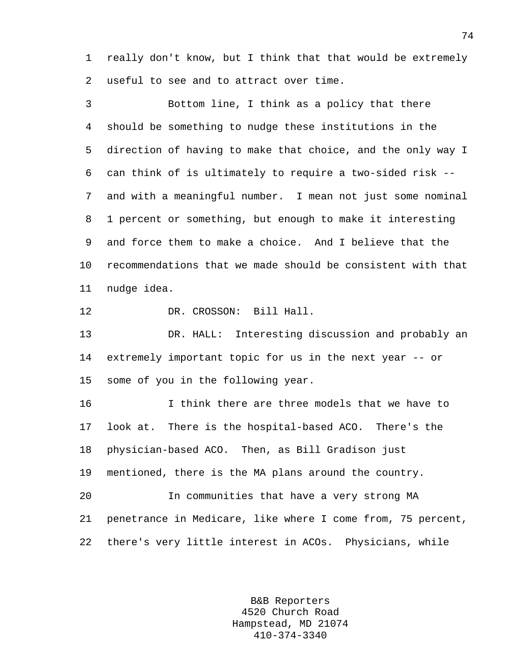1 really don't know, but I think that that would be extremely 2 useful to see and to attract over time.

3 Bottom line, I think as a policy that there 4 should be something to nudge these institutions in the 5 direction of having to make that choice, and the only way I 6 can think of is ultimately to require a two-sided risk -- 7 and with a meaningful number. I mean not just some nominal 8 1 percent or something, but enough to make it interesting 9 and force them to make a choice. And I believe that the 10 recommendations that we made should be consistent with that 11 nudge idea.

12 DR. CROSSON: Bill Hall.

13 DR. HALL: Interesting discussion and probably an 14 extremely important topic for us in the next year -- or 15 some of you in the following year.

16 I think there are three models that we have to 17 look at. There is the hospital-based ACO. There's the 18 physician-based ACO. Then, as Bill Gradison just 19 mentioned, there is the MA plans around the country. 20 In communities that have a very strong MA 21 penetrance in Medicare, like where I come from, 75 percent, 22 there's very little interest in ACOs. Physicians, while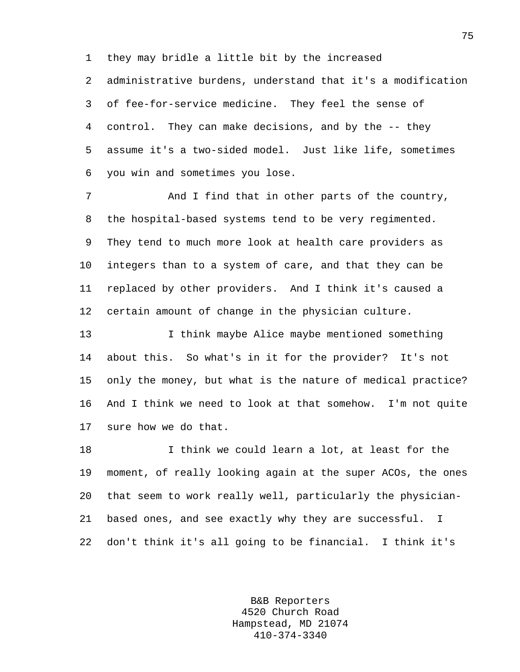1 they may bridle a little bit by the increased

2 administrative burdens, understand that it's a modification 3 of fee-for-service medicine. They feel the sense of 4 control. They can make decisions, and by the -- they 5 assume it's a two-sided model. Just like life, sometimes 6 you win and sometimes you lose.

7 And I find that in other parts of the country, 8 the hospital-based systems tend to be very regimented. 9 They tend to much more look at health care providers as 10 integers than to a system of care, and that they can be 11 replaced by other providers. And I think it's caused a 12 certain amount of change in the physician culture.

13 I think maybe Alice maybe mentioned something 14 about this. So what's in it for the provider? It's not 15 only the money, but what is the nature of medical practice? 16 And I think we need to look at that somehow. I'm not quite 17 sure how we do that.

18 I think we could learn a lot, at least for the 19 moment, of really looking again at the super ACOs, the ones 20 that seem to work really well, particularly the physician-21 based ones, and see exactly why they are successful. I 22 don't think it's all going to be financial. I think it's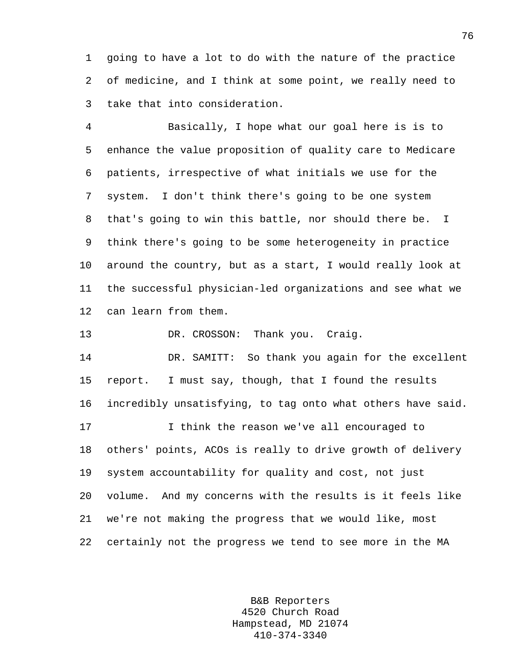1 going to have a lot to do with the nature of the practice 2 of medicine, and I think at some point, we really need to 3 take that into consideration.

4 Basically, I hope what our goal here is is to 5 enhance the value proposition of quality care to Medicare 6 patients, irrespective of what initials we use for the 7 system. I don't think there's going to be one system 8 that's going to win this battle, nor should there be. I 9 think there's going to be some heterogeneity in practice 10 around the country, but as a start, I would really look at 11 the successful physician-led organizations and see what we 12 can learn from them.

13 DR. CROSSON: Thank you. Craig.

14 DR. SAMITT: So thank you again for the excellent 15 report. I must say, though, that I found the results 16 incredibly unsatisfying, to tag onto what others have said. 17 I think the reason we've all encouraged to 18 others' points, ACOs is really to drive growth of delivery 19 system accountability for quality and cost, not just 20 volume. And my concerns with the results is it feels like 21 we're not making the progress that we would like, most 22 certainly not the progress we tend to see more in the MA

> B&B Reporters 4520 Church Road Hampstead, MD 21074 410-374-3340

76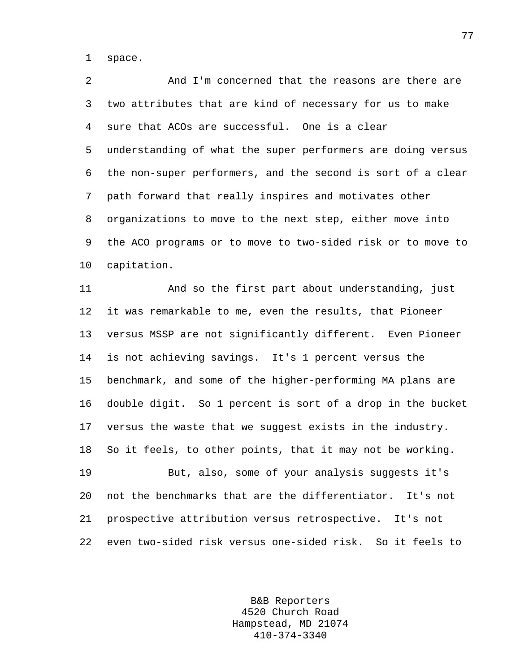1 space.

2 And I'm concerned that the reasons are there are 3 two attributes that are kind of necessary for us to make 4 sure that ACOs are successful. One is a clear 5 understanding of what the super performers are doing versus 6 the non-super performers, and the second is sort of a clear 7 path forward that really inspires and motivates other 8 organizations to move to the next step, either move into 9 the ACO programs or to move to two-sided risk or to move to 10 capitation.

11 And so the first part about understanding, just 12 it was remarkable to me, even the results, that Pioneer 13 versus MSSP are not significantly different. Even Pioneer 14 is not achieving savings. It's 1 percent versus the 15 benchmark, and some of the higher-performing MA plans are 16 double digit. So 1 percent is sort of a drop in the bucket 17 versus the waste that we suggest exists in the industry. 18 So it feels, to other points, that it may not be working. 19 But, also, some of your analysis suggests it's 20 not the benchmarks that are the differentiator. It's not

21 prospective attribution versus retrospective. It's not 22 even two-sided risk versus one-sided risk. So it feels to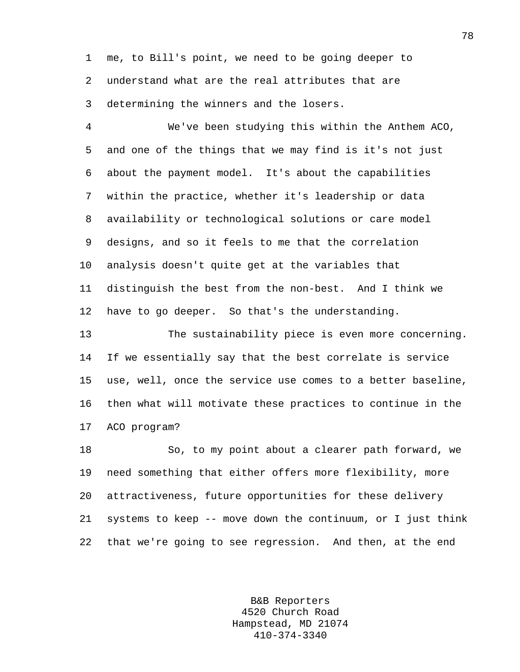1 me, to Bill's point, we need to be going deeper to 2 understand what are the real attributes that are 3 determining the winners and the losers.

4 We've been studying this within the Anthem ACO, 5 and one of the things that we may find is it's not just 6 about the payment model. It's about the capabilities 7 within the practice, whether it's leadership or data 8 availability or technological solutions or care model 9 designs, and so it feels to me that the correlation 10 analysis doesn't quite get at the variables that 11 distinguish the best from the non-best. And I think we 12 have to go deeper. So that's the understanding.

13 The sustainability piece is even more concerning. 14 If we essentially say that the best correlate is service 15 use, well, once the service use comes to a better baseline, 16 then what will motivate these practices to continue in the 17 ACO program?

18 So, to my point about a clearer path forward, we 19 need something that either offers more flexibility, more 20 attractiveness, future opportunities for these delivery 21 systems to keep -- move down the continuum, or I just think 22 that we're going to see regression. And then, at the end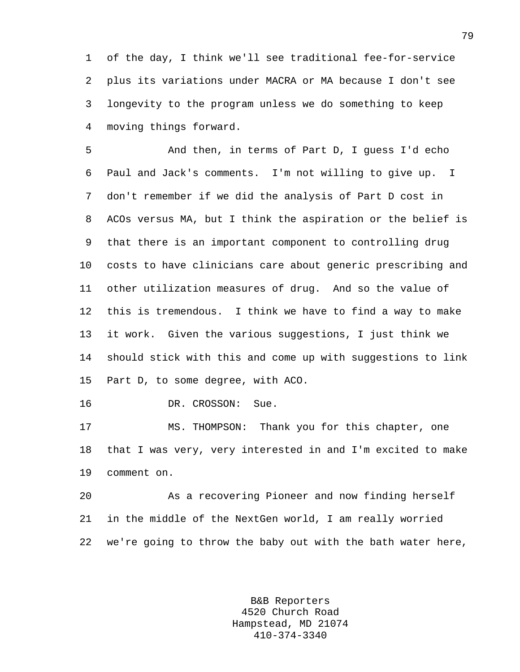1 of the day, I think we'll see traditional fee-for-service 2 plus its variations under MACRA or MA because I don't see 3 longevity to the program unless we do something to keep 4 moving things forward.

5 And then, in terms of Part D, I guess I'd echo 6 Paul and Jack's comments. I'm not willing to give up. I 7 don't remember if we did the analysis of Part D cost in 8 ACOs versus MA, but I think the aspiration or the belief is 9 that there is an important component to controlling drug 10 costs to have clinicians care about generic prescribing and 11 other utilization measures of drug. And so the value of 12 this is tremendous. I think we have to find a way to make 13 it work. Given the various suggestions, I just think we 14 should stick with this and come up with suggestions to link 15 Part D, to some degree, with ACO.

16 DR. CROSSON: Sue.

17 MS. THOMPSON: Thank you for this chapter, one 18 that I was very, very interested in and I'm excited to make 19 comment on.

20 As a recovering Pioneer and now finding herself 21 in the middle of the NextGen world, I am really worried 22 we're going to throw the baby out with the bath water here,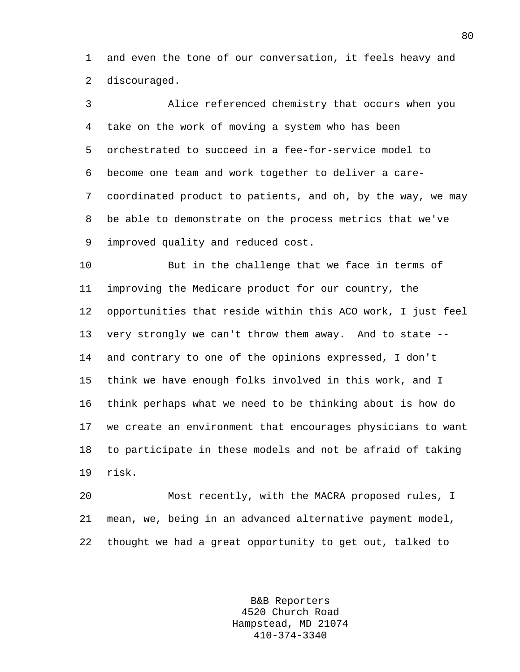1 and even the tone of our conversation, it feels heavy and 2 discouraged.

3 Alice referenced chemistry that occurs when you 4 take on the work of moving a system who has been 5 orchestrated to succeed in a fee-for-service model to 6 become one team and work together to deliver a care-7 coordinated product to patients, and oh, by the way, we may 8 be able to demonstrate on the process metrics that we've 9 improved quality and reduced cost.

10 But in the challenge that we face in terms of 11 improving the Medicare product for our country, the 12 opportunities that reside within this ACO work, I just feel 13 very strongly we can't throw them away. And to state -- 14 and contrary to one of the opinions expressed, I don't 15 think we have enough folks involved in this work, and I 16 think perhaps what we need to be thinking about is how do 17 we create an environment that encourages physicians to want 18 to participate in these models and not be afraid of taking 19 risk.

20 Most recently, with the MACRA proposed rules, I 21 mean, we, being in an advanced alternative payment model, 22 thought we had a great opportunity to get out, talked to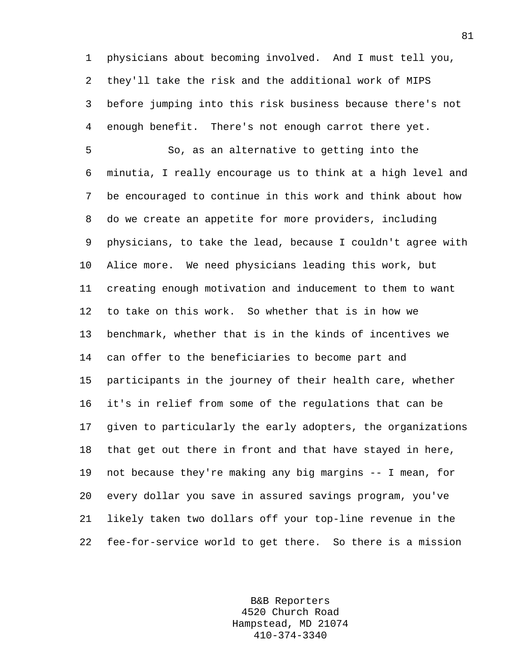1 physicians about becoming involved. And I must tell you, 2 they'll take the risk and the additional work of MIPS 3 before jumping into this risk business because there's not 4 enough benefit. There's not enough carrot there yet.

5 So, as an alternative to getting into the 6 minutia, I really encourage us to think at a high level and 7 be encouraged to continue in this work and think about how 8 do we create an appetite for more providers, including 9 physicians, to take the lead, because I couldn't agree with 10 Alice more. We need physicians leading this work, but 11 creating enough motivation and inducement to them to want 12 to take on this work. So whether that is in how we 13 benchmark, whether that is in the kinds of incentives we 14 can offer to the beneficiaries to become part and 15 participants in the journey of their health care, whether 16 it's in relief from some of the regulations that can be 17 given to particularly the early adopters, the organizations 18 that get out there in front and that have stayed in here, 19 not because they're making any big margins -- I mean, for 20 every dollar you save in assured savings program, you've 21 likely taken two dollars off your top-line revenue in the 22 fee-for-service world to get there. So there is a mission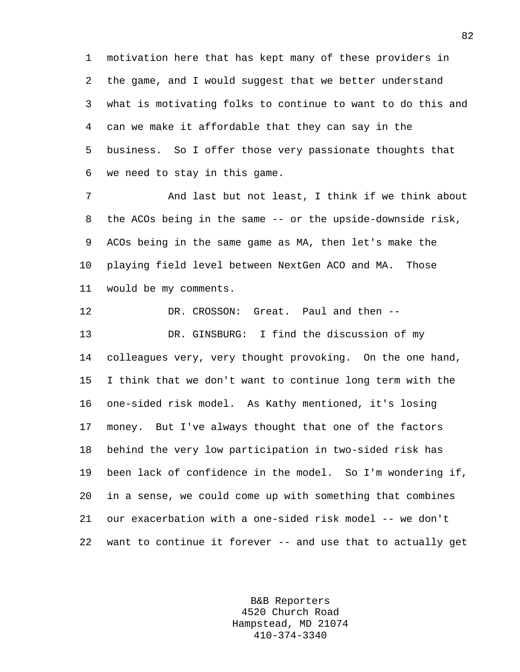1 motivation here that has kept many of these providers in 2 the game, and I would suggest that we better understand 3 what is motivating folks to continue to want to do this and 4 can we make it affordable that they can say in the 5 business. So I offer those very passionate thoughts that 6 we need to stay in this game.

7 And last but not least, I think if we think about 8 the ACOs being in the same -- or the upside-downside risk, 9 ACOs being in the same game as MA, then let's make the 10 playing field level between NextGen ACO and MA. Those 11 would be my comments.

12 DR. CROSSON: Great. Paul and then -- 13 DR. GINSBURG: I find the discussion of my 14 colleagues very, very thought provoking. On the one hand, 15 I think that we don't want to continue long term with the 16 one-sided risk model. As Kathy mentioned, it's losing 17 money. But I've always thought that one of the factors 18 behind the very low participation in two-sided risk has 19 been lack of confidence in the model. So I'm wondering if, 20 in a sense, we could come up with something that combines 21 our exacerbation with a one-sided risk model -- we don't 22 want to continue it forever -- and use that to actually get

> B&B Reporters 4520 Church Road Hampstead, MD 21074 410-374-3340

82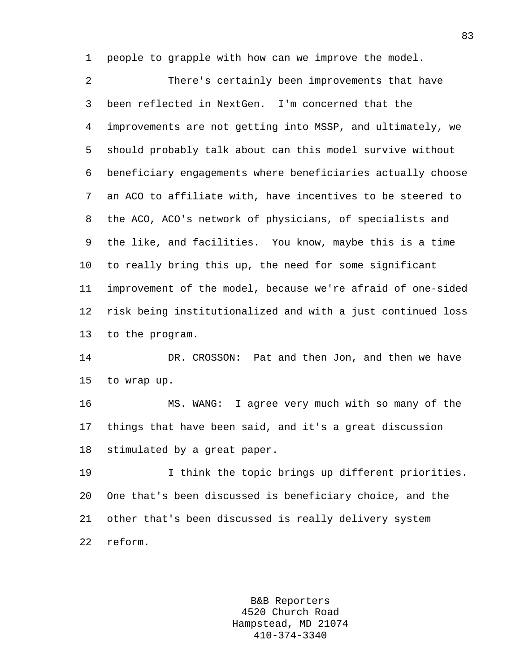1 people to grapple with how can we improve the model.

2 There's certainly been improvements that have 3 been reflected in NextGen. I'm concerned that the 4 improvements are not getting into MSSP, and ultimately, we 5 should probably talk about can this model survive without 6 beneficiary engagements where beneficiaries actually choose 7 an ACO to affiliate with, have incentives to be steered to 8 the ACO, ACO's network of physicians, of specialists and 9 the like, and facilities. You know, maybe this is a time 10 to really bring this up, the need for some significant 11 improvement of the model, because we're afraid of one-sided 12 risk being institutionalized and with a just continued loss 13 to the program.

14 DR. CROSSON: Pat and then Jon, and then we have 15 to wrap up.

16 MS. WANG: I agree very much with so many of the 17 things that have been said, and it's a great discussion 18 stimulated by a great paper.

19 I think the topic brings up different priorities. 20 One that's been discussed is beneficiary choice, and the 21 other that's been discussed is really delivery system 22 reform.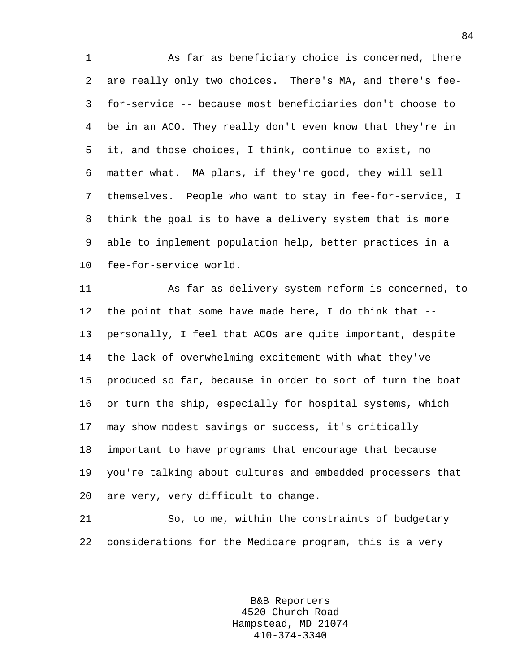1 As far as beneficiary choice is concerned, there 2 are really only two choices. There's MA, and there's fee-3 for-service -- because most beneficiaries don't choose to 4 be in an ACO. They really don't even know that they're in 5 it, and those choices, I think, continue to exist, no 6 matter what. MA plans, if they're good, they will sell 7 themselves. People who want to stay in fee-for-service, I 8 think the goal is to have a delivery system that is more 9 able to implement population help, better practices in a 10 fee-for-service world.

11 As far as delivery system reform is concerned, to 12 the point that some have made here, I do think that -- 13 personally, I feel that ACOs are quite important, despite 14 the lack of overwhelming excitement with what they've 15 produced so far, because in order to sort of turn the boat 16 or turn the ship, especially for hospital systems, which 17 may show modest savings or success, it's critically 18 important to have programs that encourage that because 19 you're talking about cultures and embedded processers that 20 are very, very difficult to change.

21 So, to me, within the constraints of budgetary 22 considerations for the Medicare program, this is a very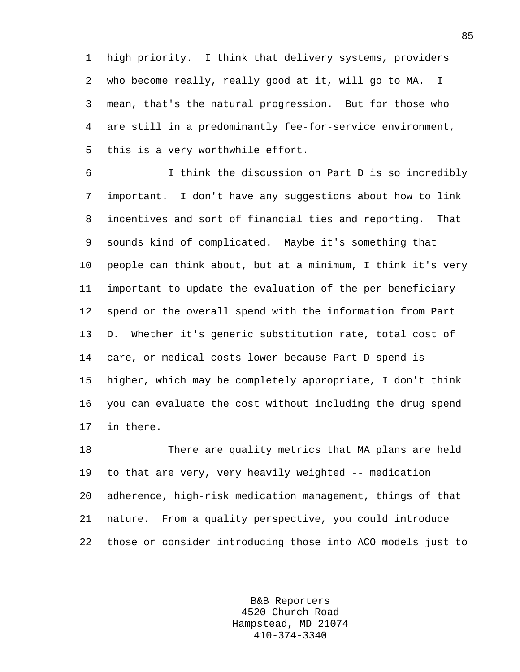1 high priority. I think that delivery systems, providers 2 who become really, really good at it, will go to MA. I 3 mean, that's the natural progression. But for those who 4 are still in a predominantly fee-for-service environment, 5 this is a very worthwhile effort.

6 I think the discussion on Part D is so incredibly 7 important. I don't have any suggestions about how to link 8 incentives and sort of financial ties and reporting. That 9 sounds kind of complicated. Maybe it's something that 10 people can think about, but at a minimum, I think it's very 11 important to update the evaluation of the per-beneficiary 12 spend or the overall spend with the information from Part 13 D. Whether it's generic substitution rate, total cost of 14 care, or medical costs lower because Part D spend is 15 higher, which may be completely appropriate, I don't think 16 you can evaluate the cost without including the drug spend 17 in there.

18 There are quality metrics that MA plans are held 19 to that are very, very heavily weighted -- medication 20 adherence, high-risk medication management, things of that 21 nature. From a quality perspective, you could introduce 22 those or consider introducing those into ACO models just to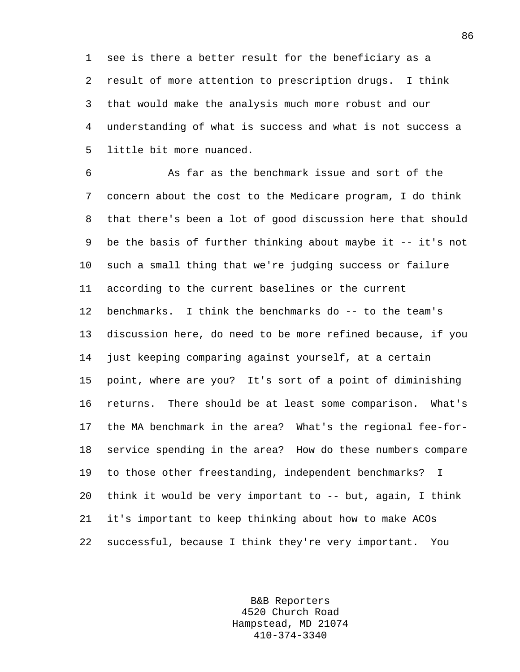1 see is there a better result for the beneficiary as a 2 result of more attention to prescription drugs. I think 3 that would make the analysis much more robust and our 4 understanding of what is success and what is not success a 5 little bit more nuanced.

6 As far as the benchmark issue and sort of the 7 concern about the cost to the Medicare program, I do think 8 that there's been a lot of good discussion here that should 9 be the basis of further thinking about maybe it -- it's not 10 such a small thing that we're judging success or failure 11 according to the current baselines or the current 12 benchmarks. I think the benchmarks do -- to the team's 13 discussion here, do need to be more refined because, if you 14 just keeping comparing against yourself, at a certain 15 point, where are you? It's sort of a point of diminishing 16 returns. There should be at least some comparison. What's 17 the MA benchmark in the area? What's the regional fee-for-18 service spending in the area? How do these numbers compare 19 to those other freestanding, independent benchmarks? I 20 think it would be very important to -- but, again, I think 21 it's important to keep thinking about how to make ACOs 22 successful, because I think they're very important. You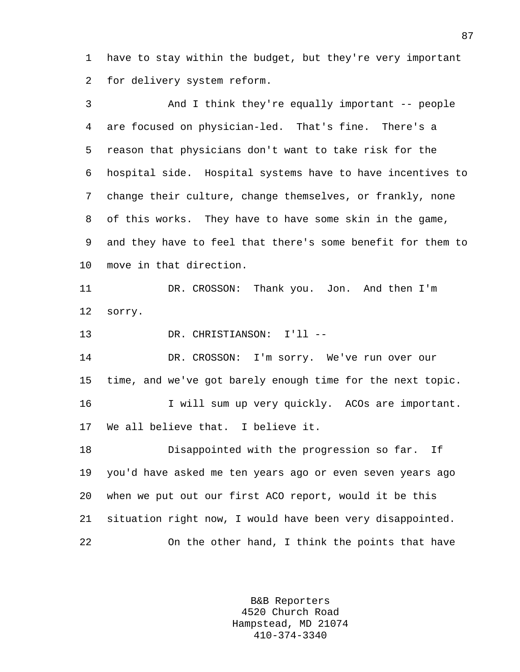1 have to stay within the budget, but they're very important 2 for delivery system reform.

3 And I think they're equally important -- people 4 are focused on physician-led. That's fine. There's a 5 reason that physicians don't want to take risk for the 6 hospital side. Hospital systems have to have incentives to 7 change their culture, change themselves, or frankly, none 8 of this works. They have to have some skin in the game, 9 and they have to feel that there's some benefit for them to 10 move in that direction. 11 DR. CROSSON: Thank you. Jon. And then I'm 12 sorry. 13 DR. CHRISTIANSON: I'll -- 14 DR. CROSSON: I'm sorry. We've run over our 15 time, and we've got barely enough time for the next topic. 16 I will sum up very quickly. ACOs are important. 17 We all believe that. I believe it. 18 Disappointed with the progression so far. If

19 you'd have asked me ten years ago or even seven years ago 20 when we put out our first ACO report, would it be this 21 situation right now, I would have been very disappointed. 22 On the other hand, I think the points that have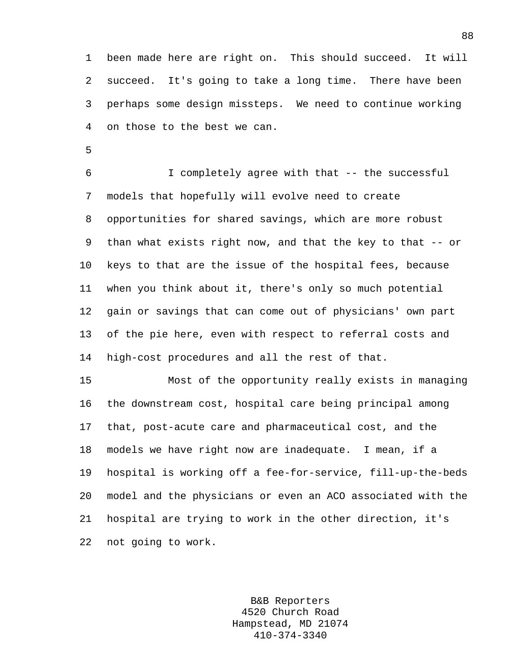1 been made here are right on. This should succeed. It will 2 succeed. It's going to take a long time. There have been 3 perhaps some design missteps. We need to continue working 4 on those to the best we can.

5

6 I completely agree with that -- the successful 7 models that hopefully will evolve need to create 8 opportunities for shared savings, which are more robust 9 than what exists right now, and that the key to that -- or 10 keys to that are the issue of the hospital fees, because 11 when you think about it, there's only so much potential 12 gain or savings that can come out of physicians' own part 13 of the pie here, even with respect to referral costs and 14 high-cost procedures and all the rest of that.

15 Most of the opportunity really exists in managing 16 the downstream cost, hospital care being principal among 17 that, post-acute care and pharmaceutical cost, and the 18 models we have right now are inadequate. I mean, if a 19 hospital is working off a fee-for-service, fill-up-the-beds 20 model and the physicians or even an ACO associated with the 21 hospital are trying to work in the other direction, it's 22 not going to work.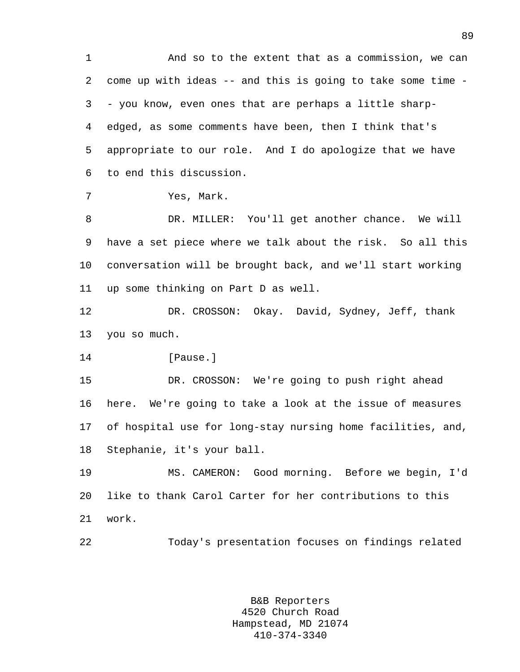1 And so to the extent that as a commission, we can 2 come up with ideas -- and this is going to take some time - 3 - you know, even ones that are perhaps a little sharp-4 edged, as some comments have been, then I think that's 5 appropriate to our role. And I do apologize that we have 6 to end this discussion. 7 Yes, Mark. 8 DR. MILLER: You'll get another chance. We will 9 have a set piece where we talk about the risk. So all this 10 conversation will be brought back, and we'll start working 11 up some thinking on Part D as well. 12 DR. CROSSON: Okay. David, Sydney, Jeff, thank 13 you so much. 14 **I**Pause. 15 DR. CROSSON: We're going to push right ahead 16 here. We're going to take a look at the issue of measures 17 of hospital use for long-stay nursing home facilities, and, 18 Stephanie, it's your ball. 19 MS. CAMERON: Good morning. Before we begin, I'd 20 like to thank Carol Carter for her contributions to this 21 work.

22 Today's presentation focuses on findings related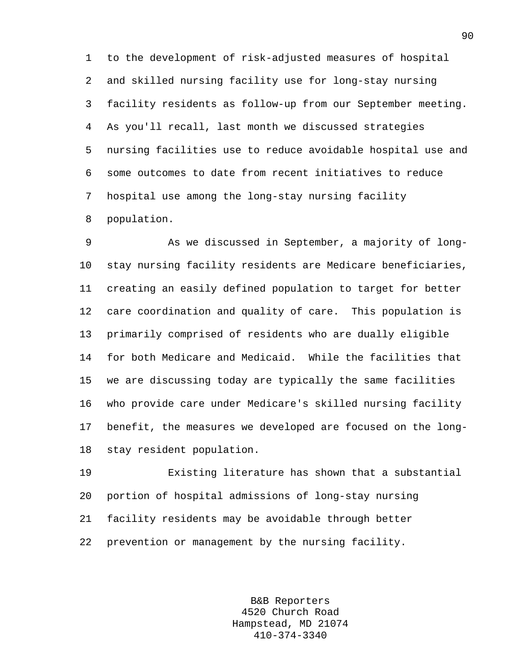1 to the development of risk-adjusted measures of hospital 2 and skilled nursing facility use for long-stay nursing 3 facility residents as follow-up from our September meeting. 4 As you'll recall, last month we discussed strategies 5 nursing facilities use to reduce avoidable hospital use and 6 some outcomes to date from recent initiatives to reduce 7 hospital use among the long-stay nursing facility 8 population.

9 As we discussed in September, a majority of long-10 stay nursing facility residents are Medicare beneficiaries, 11 creating an easily defined population to target for better 12 care coordination and quality of care. This population is 13 primarily comprised of residents who are dually eligible 14 for both Medicare and Medicaid. While the facilities that 15 we are discussing today are typically the same facilities 16 who provide care under Medicare's skilled nursing facility 17 benefit, the measures we developed are focused on the long-18 stay resident population.

19 Existing literature has shown that a substantial 20 portion of hospital admissions of long-stay nursing 21 facility residents may be avoidable through better 22 prevention or management by the nursing facility.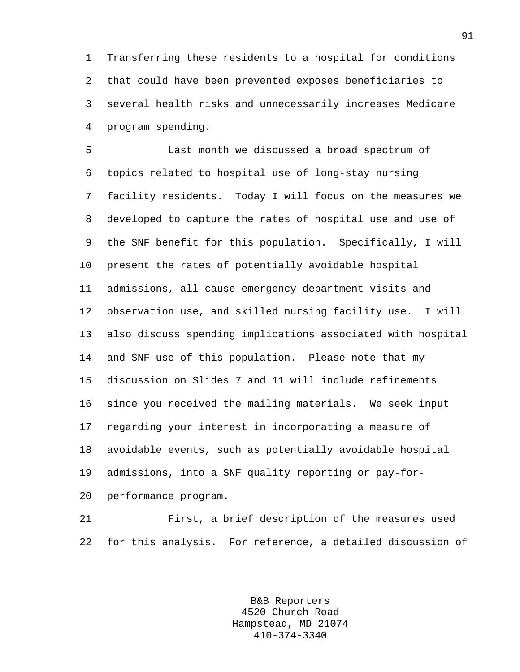1 Transferring these residents to a hospital for conditions 2 that could have been prevented exposes beneficiaries to 3 several health risks and unnecessarily increases Medicare 4 program spending.

5 Last month we discussed a broad spectrum of 6 topics related to hospital use of long-stay nursing 7 facility residents. Today I will focus on the measures we 8 developed to capture the rates of hospital use and use of 9 the SNF benefit for this population. Specifically, I will 10 present the rates of potentially avoidable hospital 11 admissions, all-cause emergency department visits and 12 observation use, and skilled nursing facility use. I will 13 also discuss spending implications associated with hospital 14 and SNF use of this population. Please note that my 15 discussion on Slides 7 and 11 will include refinements 16 since you received the mailing materials. We seek input 17 regarding your interest in incorporating a measure of 18 avoidable events, such as potentially avoidable hospital 19 admissions, into a SNF quality reporting or pay-for-20 performance program.

21 First, a brief description of the measures used 22 for this analysis. For reference, a detailed discussion of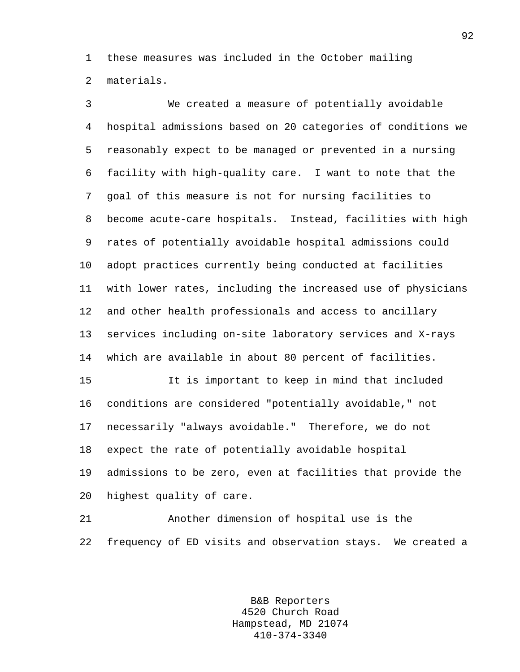1 these measures was included in the October mailing 2 materials.

3 We created a measure of potentially avoidable 4 hospital admissions based on 20 categories of conditions we 5 reasonably expect to be managed or prevented in a nursing 6 facility with high-quality care. I want to note that the 7 goal of this measure is not for nursing facilities to 8 become acute-care hospitals. Instead, facilities with high 9 rates of potentially avoidable hospital admissions could 10 adopt practices currently being conducted at facilities 11 with lower rates, including the increased use of physicians 12 and other health professionals and access to ancillary 13 services including on-site laboratory services and X-rays 14 which are available in about 80 percent of facilities. 15 It is important to keep in mind that included

16 conditions are considered "potentially avoidable," not 17 necessarily "always avoidable." Therefore, we do not 18 expect the rate of potentially avoidable hospital 19 admissions to be zero, even at facilities that provide the 20 highest quality of care.

21 Another dimension of hospital use is the 22 frequency of ED visits and observation stays. We created a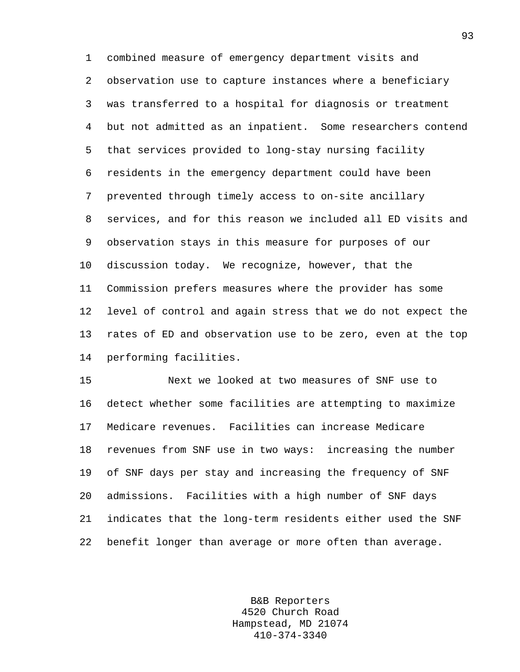1 combined measure of emergency department visits and 2 observation use to capture instances where a beneficiary 3 was transferred to a hospital for diagnosis or treatment 4 but not admitted as an inpatient. Some researchers contend 5 that services provided to long-stay nursing facility 6 residents in the emergency department could have been 7 prevented through timely access to on-site ancillary 8 services, and for this reason we included all ED visits and 9 observation stays in this measure for purposes of our 10 discussion today. We recognize, however, that the 11 Commission prefers measures where the provider has some 12 level of control and again stress that we do not expect the 13 rates of ED and observation use to be zero, even at the top 14 performing facilities.

15 Next we looked at two measures of SNF use to 16 detect whether some facilities are attempting to maximize 17 Medicare revenues. Facilities can increase Medicare 18 revenues from SNF use in two ways: increasing the number 19 of SNF days per stay and increasing the frequency of SNF 20 admissions. Facilities with a high number of SNF days 21 indicates that the long-term residents either used the SNF 22 benefit longer than average or more often than average.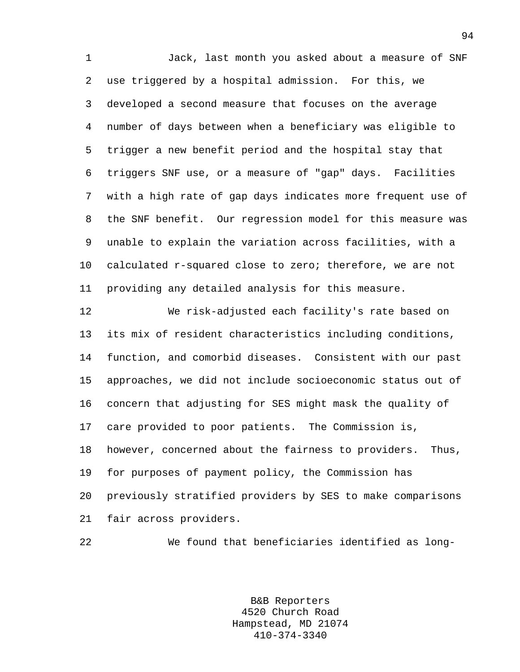1 Jack, last month you asked about a measure of SNF 2 use triggered by a hospital admission. For this, we 3 developed a second measure that focuses on the average 4 number of days between when a beneficiary was eligible to 5 trigger a new benefit period and the hospital stay that 6 triggers SNF use, or a measure of "gap" days. Facilities 7 with a high rate of gap days indicates more frequent use of 8 the SNF benefit. Our regression model for this measure was 9 unable to explain the variation across facilities, with a 10 calculated r-squared close to zero; therefore, we are not 11 providing any detailed analysis for this measure.

12 We risk-adjusted each facility's rate based on 13 its mix of resident characteristics including conditions, 14 function, and comorbid diseases. Consistent with our past 15 approaches, we did not include socioeconomic status out of 16 concern that adjusting for SES might mask the quality of 17 care provided to poor patients. The Commission is, 18 however, concerned about the fairness to providers. Thus, 19 for purposes of payment policy, the Commission has 20 previously stratified providers by SES to make comparisons 21 fair across providers.

22 We found that beneficiaries identified as long-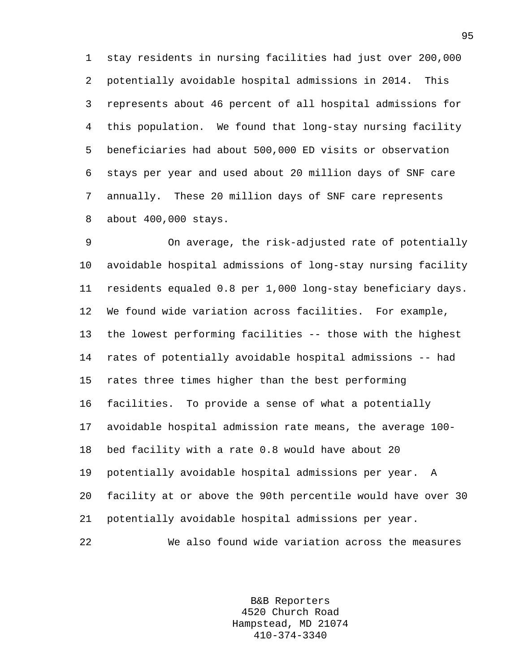1 stay residents in nursing facilities had just over 200,000 2 potentially avoidable hospital admissions in 2014. This 3 represents about 46 percent of all hospital admissions for 4 this population. We found that long-stay nursing facility 5 beneficiaries had about 500,000 ED visits or observation 6 stays per year and used about 20 million days of SNF care 7 annually. These 20 million days of SNF care represents 8 about 400,000 stays.

9 On average, the risk-adjusted rate of potentially 10 avoidable hospital admissions of long-stay nursing facility 11 residents equaled 0.8 per 1,000 long-stay beneficiary days. 12 We found wide variation across facilities. For example, 13 the lowest performing facilities -- those with the highest 14 rates of potentially avoidable hospital admissions -- had 15 rates three times higher than the best performing 16 facilities. To provide a sense of what a potentially 17 avoidable hospital admission rate means, the average 100- 18 bed facility with a rate 0.8 would have about 20 19 potentially avoidable hospital admissions per year. A 20 facility at or above the 90th percentile would have over 30 21 potentially avoidable hospital admissions per year. 22 We also found wide variation across the measures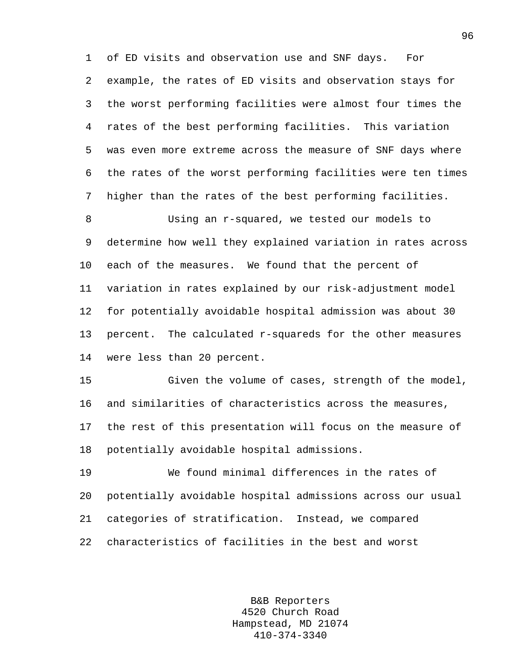1 of ED visits and observation use and SNF days. For 2 example, the rates of ED visits and observation stays for 3 the worst performing facilities were almost four times the 4 rates of the best performing facilities. This variation 5 was even more extreme across the measure of SNF days where 6 the rates of the worst performing facilities were ten times 7 higher than the rates of the best performing facilities.

8 Using an r-squared, we tested our models to 9 determine how well they explained variation in rates across 10 each of the measures. We found that the percent of 11 variation in rates explained by our risk-adjustment model 12 for potentially avoidable hospital admission was about 30 13 percent. The calculated r-squareds for the other measures 14 were less than 20 percent.

15 Given the volume of cases, strength of the model, 16 and similarities of characteristics across the measures, 17 the rest of this presentation will focus on the measure of 18 potentially avoidable hospital admissions.

19 We found minimal differences in the rates of 20 potentially avoidable hospital admissions across our usual 21 categories of stratification. Instead, we compared 22 characteristics of facilities in the best and worst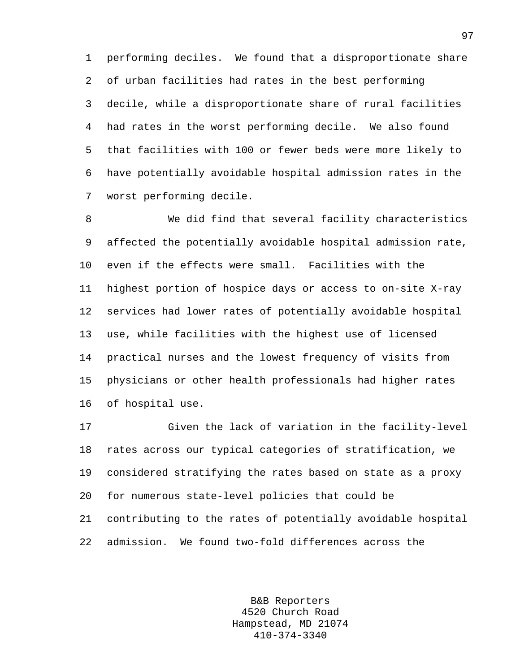1 performing deciles. We found that a disproportionate share 2 of urban facilities had rates in the best performing 3 decile, while a disproportionate share of rural facilities 4 had rates in the worst performing decile. We also found 5 that facilities with 100 or fewer beds were more likely to 6 have potentially avoidable hospital admission rates in the 7 worst performing decile.

8 We did find that several facility characteristics 9 affected the potentially avoidable hospital admission rate, 10 even if the effects were small. Facilities with the 11 highest portion of hospice days or access to on-site X-ray 12 services had lower rates of potentially avoidable hospital 13 use, while facilities with the highest use of licensed 14 practical nurses and the lowest frequency of visits from 15 physicians or other health professionals had higher rates 16 of hospital use.

17 Given the lack of variation in the facility-level 18 rates across our typical categories of stratification, we 19 considered stratifying the rates based on state as a proxy 20 for numerous state-level policies that could be 21 contributing to the rates of potentially avoidable hospital 22 admission. We found two-fold differences across the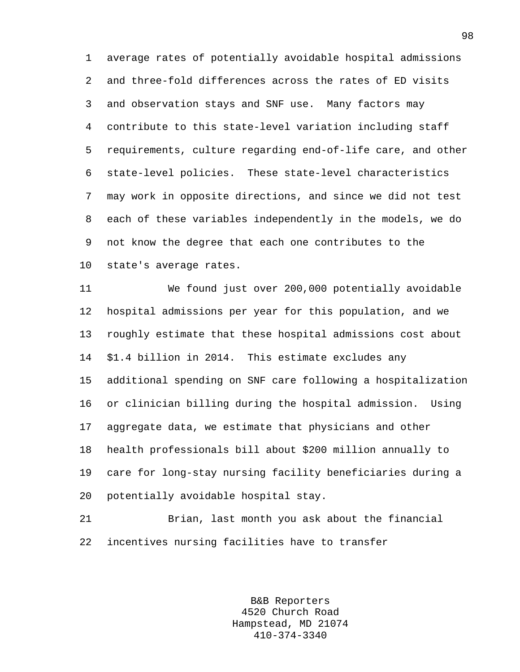1 average rates of potentially avoidable hospital admissions 2 and three-fold differences across the rates of ED visits 3 and observation stays and SNF use. Many factors may 4 contribute to this state-level variation including staff 5 requirements, culture regarding end-of-life care, and other 6 state-level policies. These state-level characteristics 7 may work in opposite directions, and since we did not test 8 each of these variables independently in the models, we do 9 not know the degree that each one contributes to the 10 state's average rates.

11 We found just over 200,000 potentially avoidable 12 hospital admissions per year for this population, and we 13 roughly estimate that these hospital admissions cost about 14 \$1.4 billion in 2014. This estimate excludes any 15 additional spending on SNF care following a hospitalization 16 or clinician billing during the hospital admission. Using 17 aggregate data, we estimate that physicians and other 18 health professionals bill about \$200 million annually to 19 care for long-stay nursing facility beneficiaries during a 20 potentially avoidable hospital stay.

21 Brian, last month you ask about the financial 22 incentives nursing facilities have to transfer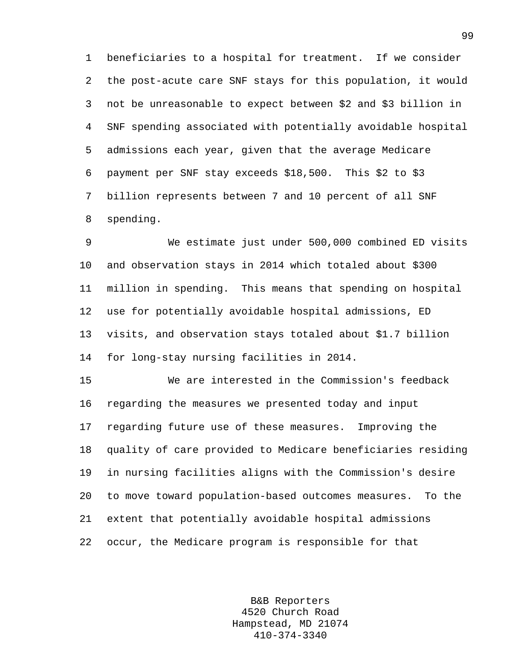1 beneficiaries to a hospital for treatment. If we consider 2 the post-acute care SNF stays for this population, it would 3 not be unreasonable to expect between \$2 and \$3 billion in 4 SNF spending associated with potentially avoidable hospital 5 admissions each year, given that the average Medicare 6 payment per SNF stay exceeds \$18,500. This \$2 to \$3 7 billion represents between 7 and 10 percent of all SNF 8 spending.

9 We estimate just under 500,000 combined ED visits 10 and observation stays in 2014 which totaled about \$300 11 million in spending. This means that spending on hospital 12 use for potentially avoidable hospital admissions, ED 13 visits, and observation stays totaled about \$1.7 billion 14 for long-stay nursing facilities in 2014.

15 We are interested in the Commission's feedback 16 regarding the measures we presented today and input 17 regarding future use of these measures. Improving the 18 quality of care provided to Medicare beneficiaries residing 19 in nursing facilities aligns with the Commission's desire 20 to move toward population-based outcomes measures. To the 21 extent that potentially avoidable hospital admissions 22 occur, the Medicare program is responsible for that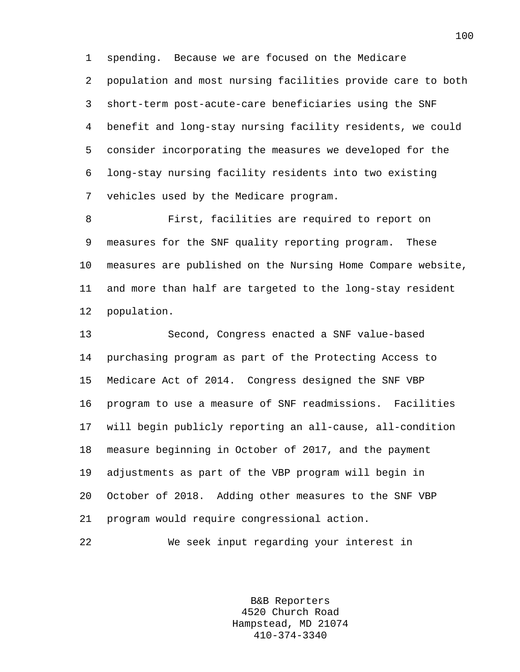1 spending. Because we are focused on the Medicare 2 population and most nursing facilities provide care to both 3 short-term post-acute-care beneficiaries using the SNF 4 benefit and long-stay nursing facility residents, we could 5 consider incorporating the measures we developed for the 6 long-stay nursing facility residents into two existing 7 vehicles used by the Medicare program.

8 First, facilities are required to report on 9 measures for the SNF quality reporting program. These 10 measures are published on the Nursing Home Compare website, 11 and more than half are targeted to the long-stay resident 12 population.

13 Second, Congress enacted a SNF value-based 14 purchasing program as part of the Protecting Access to 15 Medicare Act of 2014. Congress designed the SNF VBP 16 program to use a measure of SNF readmissions. Facilities 17 will begin publicly reporting an all-cause, all-condition 18 measure beginning in October of 2017, and the payment 19 adjustments as part of the VBP program will begin in 20 October of 2018. Adding other measures to the SNF VBP 21 program would require congressional action.

22 We seek input regarding your interest in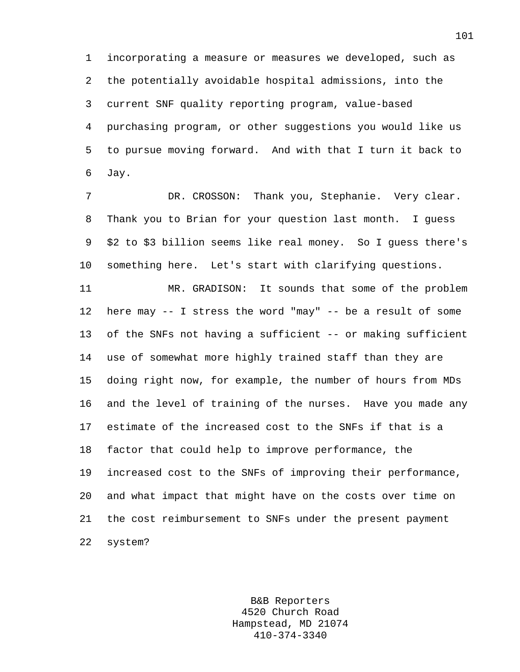1 incorporating a measure or measures we developed, such as 2 the potentially avoidable hospital admissions, into the 3 current SNF quality reporting program, value-based 4 purchasing program, or other suggestions you would like us 5 to pursue moving forward. And with that I turn it back to 6 Jay.

7 DR. CROSSON: Thank you, Stephanie. Very clear. 8 Thank you to Brian for your question last month. I guess 9 \$2 to \$3 billion seems like real money. So I guess there's 10 something here. Let's start with clarifying questions.

11 MR. GRADISON: It sounds that some of the problem 12 here may -- I stress the word "may" -- be a result of some 13 of the SNFs not having a sufficient -- or making sufficient 14 use of somewhat more highly trained staff than they are 15 doing right now, for example, the number of hours from MDs 16 and the level of training of the nurses. Have you made any 17 estimate of the increased cost to the SNFs if that is a 18 factor that could help to improve performance, the 19 increased cost to the SNFs of improving their performance, 20 and what impact that might have on the costs over time on 21 the cost reimbursement to SNFs under the present payment 22 system?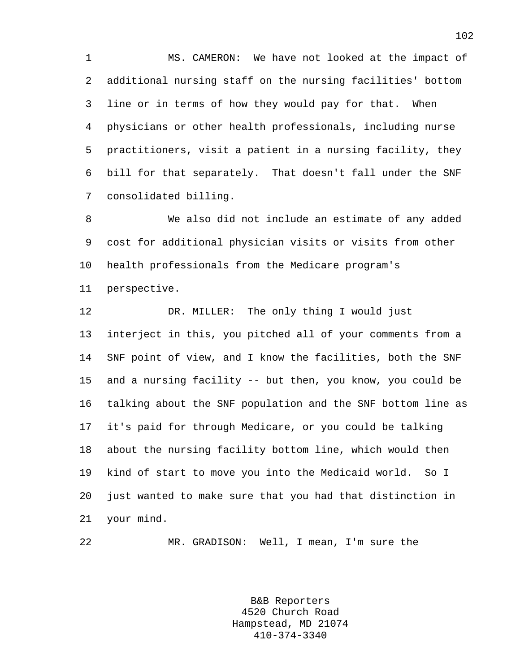1 MS. CAMERON: We have not looked at the impact of 2 additional nursing staff on the nursing facilities' bottom 3 line or in terms of how they would pay for that. When 4 physicians or other health professionals, including nurse 5 practitioners, visit a patient in a nursing facility, they 6 bill for that separately. That doesn't fall under the SNF 7 consolidated billing.

8 We also did not include an estimate of any added 9 cost for additional physician visits or visits from other 10 health professionals from the Medicare program's 11 perspective.

12 DR. MILLER: The only thing I would just 13 interject in this, you pitched all of your comments from a 14 SNF point of view, and I know the facilities, both the SNF 15 and a nursing facility -- but then, you know, you could be 16 talking about the SNF population and the SNF bottom line as 17 it's paid for through Medicare, or you could be talking 18 about the nursing facility bottom line, which would then 19 kind of start to move you into the Medicaid world. So I 20 just wanted to make sure that you had that distinction in 21 your mind.

22 MR. GRADISON: Well, I mean, I'm sure the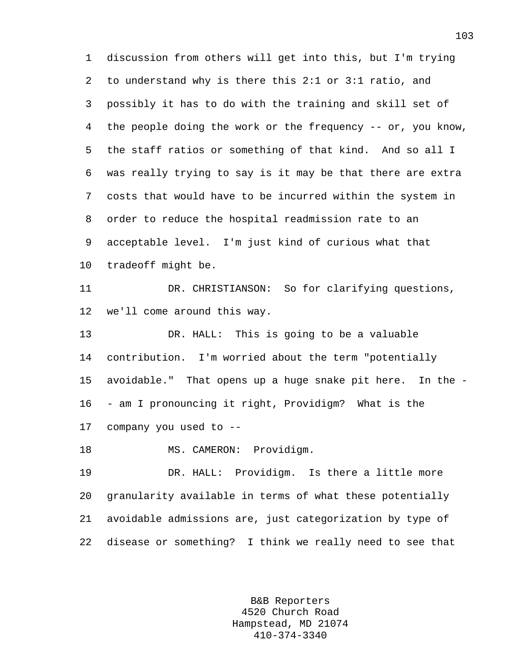1 discussion from others will get into this, but I'm trying 2 to understand why is there this 2:1 or 3:1 ratio, and 3 possibly it has to do with the training and skill set of 4 the people doing the work or the frequency -- or, you know, 5 the staff ratios or something of that kind. And so all I 6 was really trying to say is it may be that there are extra 7 costs that would have to be incurred within the system in 8 order to reduce the hospital readmission rate to an 9 acceptable level. I'm just kind of curious what that 10 tradeoff might be. 11 DR. CHRISTIANSON: So for clarifying questions, 12 we'll come around this way. 13 DR. HALL: This is going to be a valuable 14 contribution. I'm worried about the term "potentially 15 avoidable." That opens up a huge snake pit here. In the - 16 - am I pronouncing it right, Providigm? What is the 17 company you used to -- 18 MS. CAMERON: Providigm. 19 DR. HALL: Providigm. Is there a little more 20 granularity available in terms of what these potentially 21 avoidable admissions are, just categorization by type of 22 disease or something? I think we really need to see that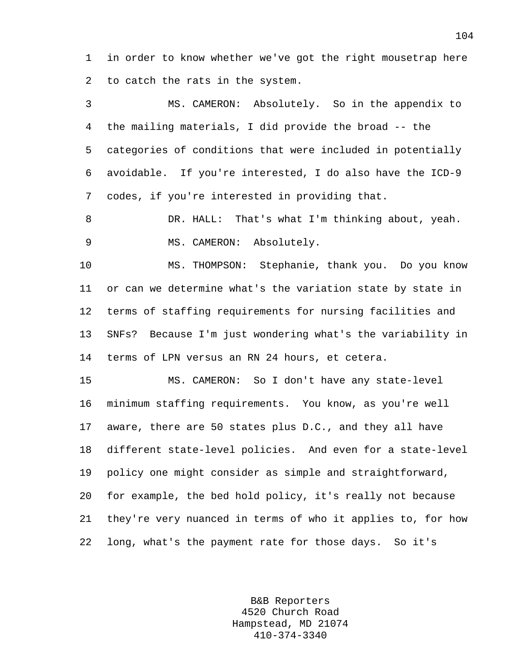1 in order to know whether we've got the right mousetrap here 2 to catch the rats in the system.

3 MS. CAMERON: Absolutely. So in the appendix to 4 the mailing materials, I did provide the broad -- the 5 categories of conditions that were included in potentially 6 avoidable. If you're interested, I do also have the ICD-9 7 codes, if you're interested in providing that.

8 DR. HALL: That's what I'm thinking about, yeah. 9 MS. CAMERON: Absolutely.

10 MS. THOMPSON: Stephanie, thank you. Do you know 11 or can we determine what's the variation state by state in 12 terms of staffing requirements for nursing facilities and 13 SNFs? Because I'm just wondering what's the variability in 14 terms of LPN versus an RN 24 hours, et cetera.

15 MS. CAMERON: So I don't have any state-level 16 minimum staffing requirements. You know, as you're well 17 aware, there are 50 states plus D.C., and they all have 18 different state-level policies. And even for a state-level 19 policy one might consider as simple and straightforward, 20 for example, the bed hold policy, it's really not because 21 they're very nuanced in terms of who it applies to, for how 22 long, what's the payment rate for those days. So it's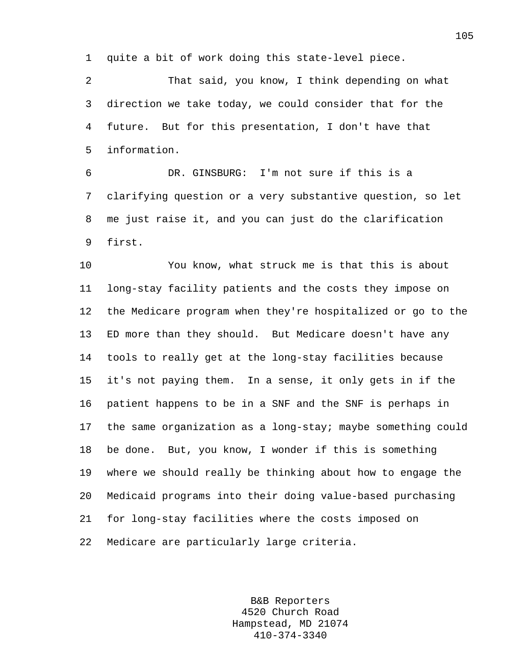1 quite a bit of work doing this state-level piece.

2 That said, you know, I think depending on what 3 direction we take today, we could consider that for the 4 future. But for this presentation, I don't have that 5 information.

6 DR. GINSBURG: I'm not sure if this is a 7 clarifying question or a very substantive question, so let 8 me just raise it, and you can just do the clarification 9 first.

10 You know, what struck me is that this is about 11 long-stay facility patients and the costs they impose on 12 the Medicare program when they're hospitalized or go to the 13 ED more than they should. But Medicare doesn't have any 14 tools to really get at the long-stay facilities because 15 it's not paying them. In a sense, it only gets in if the 16 patient happens to be in a SNF and the SNF is perhaps in 17 the same organization as a long-stay; maybe something could 18 be done. But, you know, I wonder if this is something 19 where we should really be thinking about how to engage the 20 Medicaid programs into their doing value-based purchasing 21 for long-stay facilities where the costs imposed on 22 Medicare are particularly large criteria.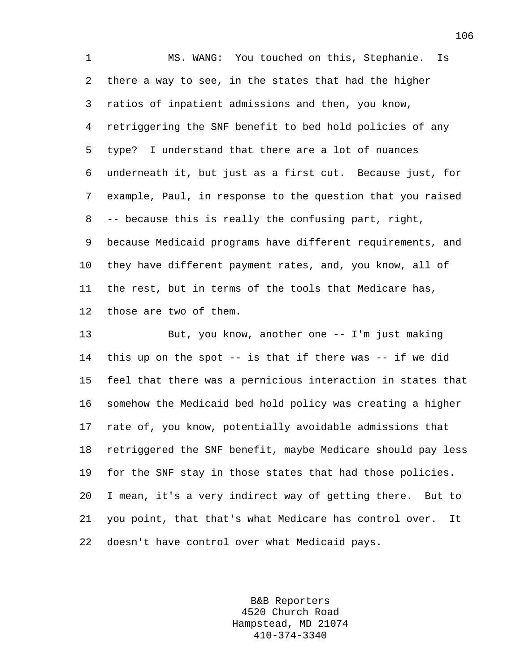1 MS. WANG: You touched on this, Stephanie. Is 2 there a way to see, in the states that had the higher 3 ratios of inpatient admissions and then, you know, 4 retriggering the SNF benefit to bed hold policies of any 5 type? I understand that there are a lot of nuances 6 underneath it, but just as a first cut. Because just, for 7 example, Paul, in response to the question that you raised 8 -- because this is really the confusing part, right, 9 because Medicaid programs have different requirements, and 10 they have different payment rates, and, you know, all of 11 the rest, but in terms of the tools that Medicare has, 12 those are two of them.

13 But, you know, another one -- I'm just making 14 this up on the spot -- is that if there was -- if we did 15 feel that there was a pernicious interaction in states that 16 somehow the Medicaid bed hold policy was creating a higher 17 rate of, you know, potentially avoidable admissions that 18 retriggered the SNF benefit, maybe Medicare should pay less 19 for the SNF stay in those states that had those policies. 20 I mean, it's a very indirect way of getting there. But to 21 you point, that that's what Medicare has control over. It 22 doesn't have control over what Medicaid pays.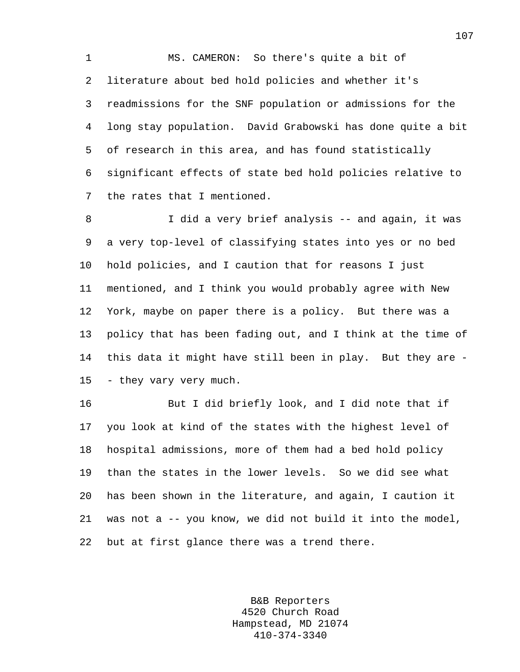1 MS. CAMERON: So there's quite a bit of 2 literature about bed hold policies and whether it's 3 readmissions for the SNF population or admissions for the 4 long stay population. David Grabowski has done quite a bit 5 of research in this area, and has found statistically 6 significant effects of state bed hold policies relative to 7 the rates that I mentioned.

8 I did a very brief analysis -- and again, it was 9 a very top-level of classifying states into yes or no bed 10 hold policies, and I caution that for reasons I just 11 mentioned, and I think you would probably agree with New 12 York, maybe on paper there is a policy. But there was a 13 policy that has been fading out, and I think at the time of 14 this data it might have still been in play. But they are - 15 - they vary very much.

16 But I did briefly look, and I did note that if 17 you look at kind of the states with the highest level of 18 hospital admissions, more of them had a bed hold policy 19 than the states in the lower levels. So we did see what 20 has been shown in the literature, and again, I caution it 21 was not a -- you know, we did not build it into the model, 22 but at first glance there was a trend there.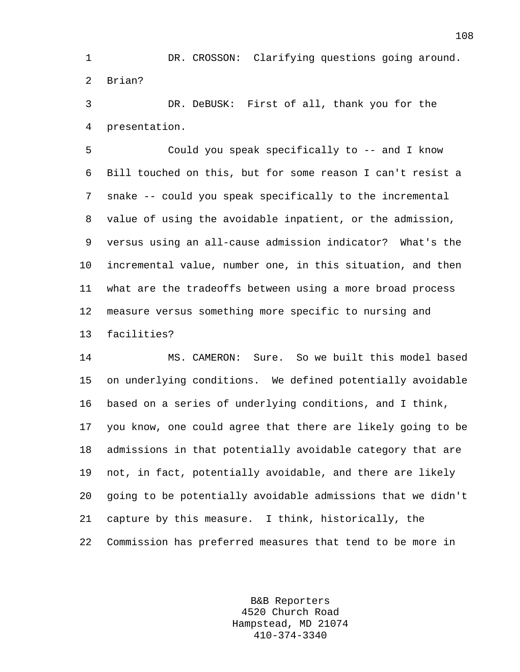1 DR. CROSSON: Clarifying questions going around. 2 Brian?

3 DR. DeBUSK: First of all, thank you for the 4 presentation.

5 Could you speak specifically to -- and I know 6 Bill touched on this, but for some reason I can't resist a 7 snake -- could you speak specifically to the incremental 8 value of using the avoidable inpatient, or the admission, 9 versus using an all-cause admission indicator? What's the 10 incremental value, number one, in this situation, and then 11 what are the tradeoffs between using a more broad process 12 measure versus something more specific to nursing and 13 facilities?

14 MS. CAMERON: Sure. So we built this model based 15 on underlying conditions. We defined potentially avoidable 16 based on a series of underlying conditions, and I think, 17 you know, one could agree that there are likely going to be 18 admissions in that potentially avoidable category that are 19 not, in fact, potentially avoidable, and there are likely 20 going to be potentially avoidable admissions that we didn't 21 capture by this measure. I think, historically, the 22 Commission has preferred measures that tend to be more in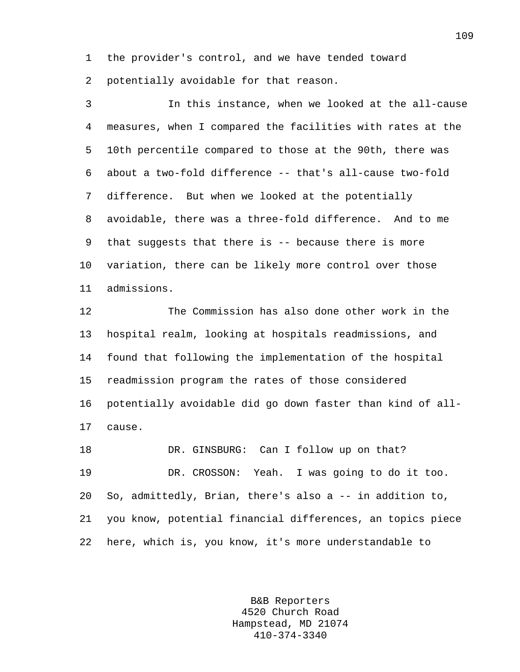1 the provider's control, and we have tended toward

2 potentially avoidable for that reason.

3 In this instance, when we looked at the all-cause 4 measures, when I compared the facilities with rates at the 5 10th percentile compared to those at the 90th, there was 6 about a two-fold difference -- that's all-cause two-fold 7 difference. But when we looked at the potentially 8 avoidable, there was a three-fold difference. And to me 9 that suggests that there is -- because there is more 10 variation, there can be likely more control over those 11 admissions.

12 The Commission has also done other work in the 13 hospital realm, looking at hospitals readmissions, and 14 found that following the implementation of the hospital 15 readmission program the rates of those considered 16 potentially avoidable did go down faster than kind of all-17 cause.

18 DR. GINSBURG: Can I follow up on that? 19 DR. CROSSON: Yeah. I was going to do it too. 20 So, admittedly, Brian, there's also a -- in addition to, 21 you know, potential financial differences, an topics piece 22 here, which is, you know, it's more understandable to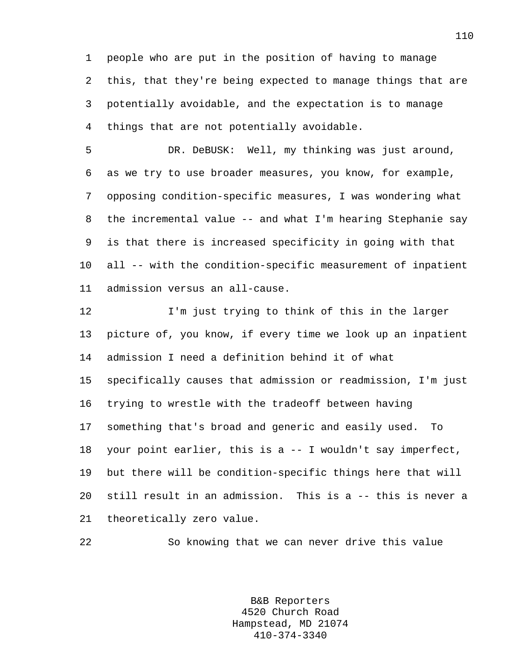1 people who are put in the position of having to manage 2 this, that they're being expected to manage things that are 3 potentially avoidable, and the expectation is to manage 4 things that are not potentially avoidable.

5 DR. DeBUSK: Well, my thinking was just around, 6 as we try to use broader measures, you know, for example, 7 opposing condition-specific measures, I was wondering what 8 the incremental value -- and what I'm hearing Stephanie say 9 is that there is increased specificity in going with that 10 all -- with the condition-specific measurement of inpatient 11 admission versus an all-cause.

12 I'm just trying to think of this in the larger 13 picture of, you know, if every time we look up an inpatient 14 admission I need a definition behind it of what 15 specifically causes that admission or readmission, I'm just 16 trying to wrestle with the tradeoff between having 17 something that's broad and generic and easily used. To 18 your point earlier, this is a -- I wouldn't say imperfect, 19 but there will be condition-specific things here that will 20 still result in an admission. This is a -- this is never a 21 theoretically zero value.

22 So knowing that we can never drive this value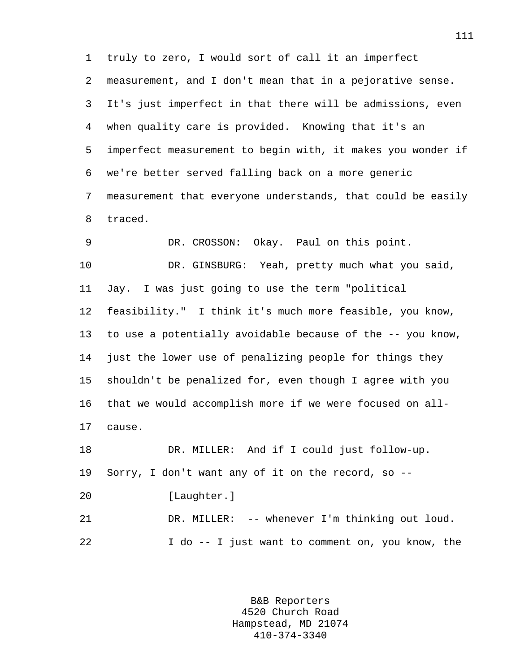1 truly to zero, I would sort of call it an imperfect 2 measurement, and I don't mean that in a pejorative sense. 3 It's just imperfect in that there will be admissions, even 4 when quality care is provided. Knowing that it's an 5 imperfect measurement to begin with, it makes you wonder if 6 we're better served falling back on a more generic 7 measurement that everyone understands, that could be easily 8 traced.

9 DR. CROSSON: Okay. Paul on this point. 10 DR. GINSBURG: Yeah, pretty much what you said, 11 Jay. I was just going to use the term "political 12 feasibility." I think it's much more feasible, you know, 13 to use a potentially avoidable because of the -- you know, 14 just the lower use of penalizing people for things they 15 shouldn't be penalized for, even though I agree with you 16 that we would accomplish more if we were focused on all-17 cause. 18 DR. MILLER: And if I could just follow-up. 19 Sorry, I don't want any of it on the record, so -- 20 [Laughter.]

21 DR. MILLER: -- whenever I'm thinking out loud. 22 I do -- I just want to comment on, you know, the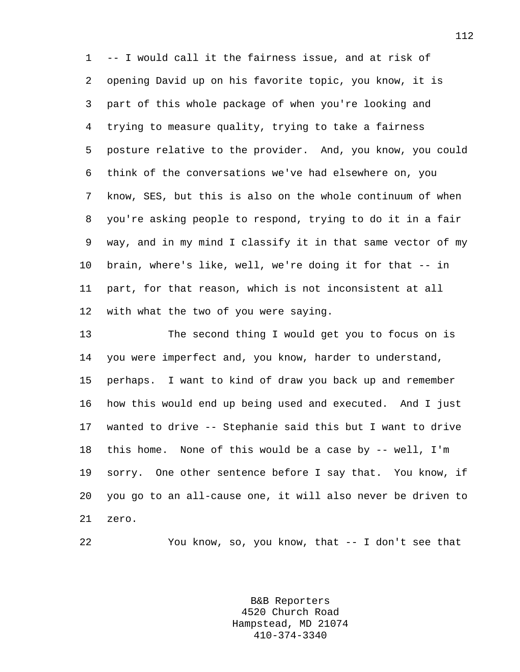1 -- I would call it the fairness issue, and at risk of 2 opening David up on his favorite topic, you know, it is 3 part of this whole package of when you're looking and 4 trying to measure quality, trying to take a fairness 5 posture relative to the provider. And, you know, you could 6 think of the conversations we've had elsewhere on, you 7 know, SES, but this is also on the whole continuum of when 8 you're asking people to respond, trying to do it in a fair 9 way, and in my mind I classify it in that same vector of my 10 brain, where's like, well, we're doing it for that -- in 11 part, for that reason, which is not inconsistent at all 12 with what the two of you were saying.

13 The second thing I would get you to focus on is 14 you were imperfect and, you know, harder to understand, 15 perhaps. I want to kind of draw you back up and remember 16 how this would end up being used and executed. And I just 17 wanted to drive -- Stephanie said this but I want to drive 18 this home. None of this would be a case by -- well, I'm 19 sorry. One other sentence before I say that. You know, if 20 you go to an all-cause one, it will also never be driven to 21 zero.

22 You know, so, you know, that -- I don't see that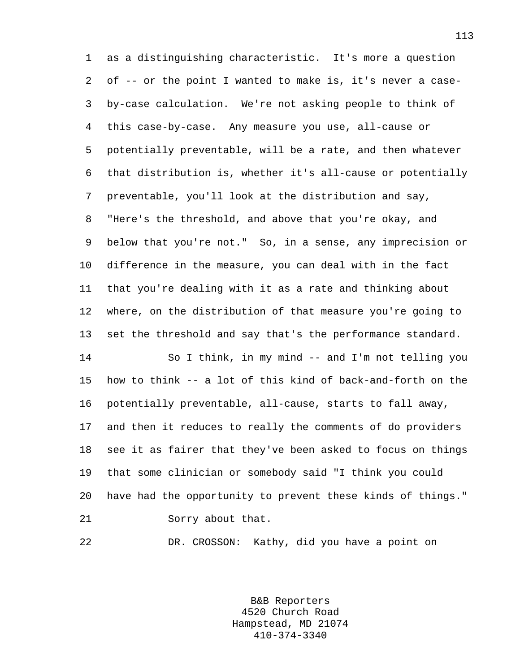1 as a distinguishing characteristic. It's more a question 2 of -- or the point I wanted to make is, it's never a case-3 by-case calculation. We're not asking people to think of 4 this case-by-case. Any measure you use, all-cause or 5 potentially preventable, will be a rate, and then whatever 6 that distribution is, whether it's all-cause or potentially 7 preventable, you'll look at the distribution and say, 8 "Here's the threshold, and above that you're okay, and 9 below that you're not." So, in a sense, any imprecision or 10 difference in the measure, you can deal with in the fact 11 that you're dealing with it as a rate and thinking about 12 where, on the distribution of that measure you're going to 13 set the threshold and say that's the performance standard. 14 So I think, in my mind -- and I'm not telling you 15 how to think -- a lot of this kind of back-and-forth on the

16 potentially preventable, all-cause, starts to fall away, 17 and then it reduces to really the comments of do providers 18 see it as fairer that they've been asked to focus on things 19 that some clinician or somebody said "I think you could 20 have had the opportunity to prevent these kinds of things." 21 Sorry about that.

22 DR. CROSSON: Kathy, did you have a point on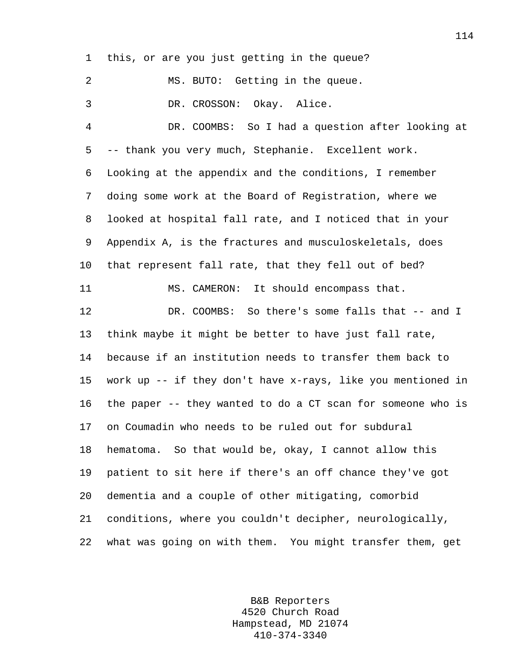1 this, or are you just getting in the queue? 2 MS. BUTO: Getting in the queue. 3 DR. CROSSON: Okay. Alice. 4 DR. COOMBS: So I had a question after looking at 5 -- thank you very much, Stephanie. Excellent work. 6 Looking at the appendix and the conditions, I remember 7 doing some work at the Board of Registration, where we 8 looked at hospital fall rate, and I noticed that in your 9 Appendix A, is the fractures and musculoskeletals, does 10 that represent fall rate, that they fell out of bed? 11 MS. CAMERON: It should encompass that. 12 DR. COOMBS: So there's some falls that -- and I 13 think maybe it might be better to have just fall rate, 14 because if an institution needs to transfer them back to 15 work up -- if they don't have x-rays, like you mentioned in 16 the paper -- they wanted to do a CT scan for someone who is 17 on Coumadin who needs to be ruled out for subdural 18 hematoma. So that would be, okay, I cannot allow this 19 patient to sit here if there's an off chance they've got 20 dementia and a couple of other mitigating, comorbid 21 conditions, where you couldn't decipher, neurologically, 22 what was going on with them. You might transfer them, get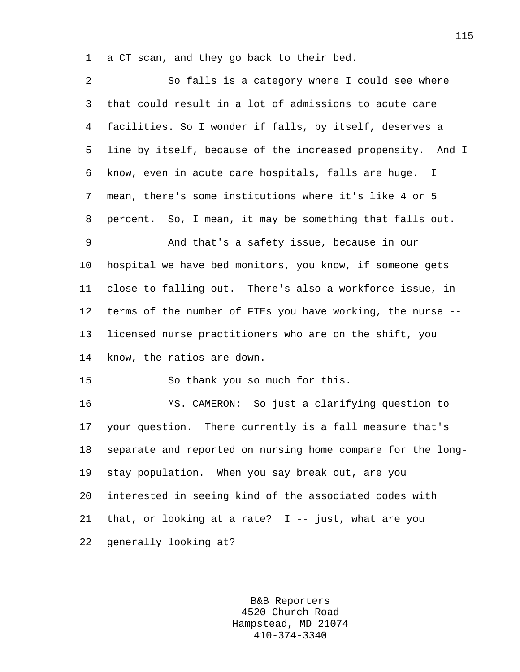1 a CT scan, and they go back to their bed.

| $\overline{a}$  | So falls is a category where I could see where              |
|-----------------|-------------------------------------------------------------|
| 3               | that could result in a lot of admissions to acute care      |
| 4               | facilities. So I wonder if falls, by itself, deserves a     |
| 5               | line by itself, because of the increased propensity. And I  |
| 6               | know, even in acute care hospitals, falls are huge. I       |
| 7               | mean, there's some institutions where it's like 4 or 5      |
| 8               | percent. So, I mean, it may be something that falls out.    |
| 9               | And that's a safety issue, because in our                   |
| $10 \,$         | hospital we have bed monitors, you know, if someone gets    |
| 11              | close to falling out. There's also a workforce issue, in    |
| 12 <sub>1</sub> | terms of the number of FTEs you have working, the nurse --  |
| 13              | licensed nurse practitioners who are on the shift, you      |
| 14              | know, the ratios are down.                                  |
| 15              | So thank you so much for this.                              |
| 16              | MS. CAMERON: So just a clarifying question to               |
| 17              | your question. There currently is a fall measure that's     |
| 18              | separate and reported on nursing home compare for the long- |
| 19              | stay population. When you say break out, are you            |
| 20              | interested in seeing kind of the associated codes with      |
| 21              | that, or looking at a rate? $I$ -- just, what are you       |
| 22              | generally looking at?                                       |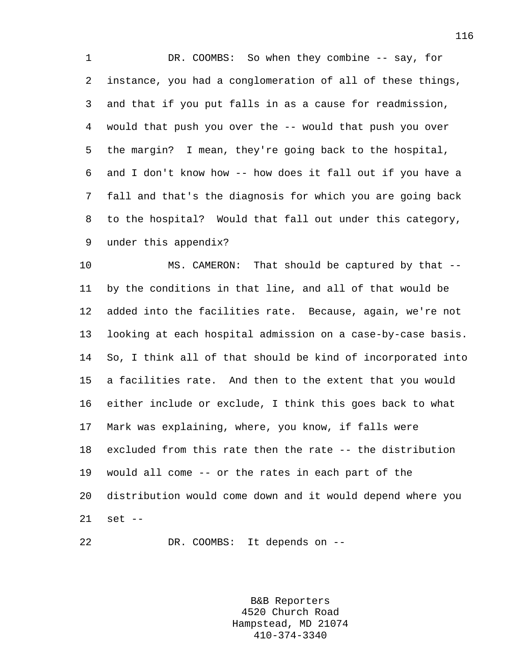1 DR. COOMBS: So when they combine -- say, for 2 instance, you had a conglomeration of all of these things, 3 and that if you put falls in as a cause for readmission, 4 would that push you over the -- would that push you over 5 the margin? I mean, they're going back to the hospital, 6 and I don't know how -- how does it fall out if you have a 7 fall and that's the diagnosis for which you are going back 8 to the hospital? Would that fall out under this category, 9 under this appendix?

10 MS. CAMERON: That should be captured by that -- 11 by the conditions in that line, and all of that would be 12 added into the facilities rate. Because, again, we're not 13 looking at each hospital admission on a case-by-case basis. 14 So, I think all of that should be kind of incorporated into 15 a facilities rate. And then to the extent that you would 16 either include or exclude, I think this goes back to what 17 Mark was explaining, where, you know, if falls were 18 excluded from this rate then the rate -- the distribution 19 would all come -- or the rates in each part of the 20 distribution would come down and it would depend where you 21 set --

22 DR. COOMBS: It depends on --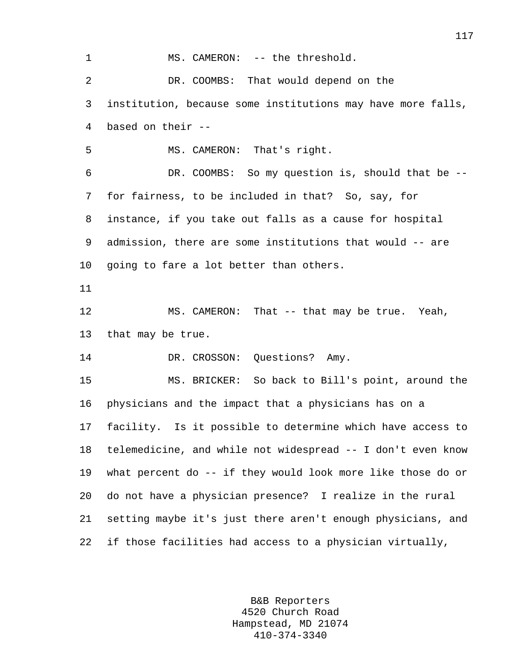1 MS. CAMERON: -- the threshold. 2 DR. COOMBS: That would depend on the 3 institution, because some institutions may have more falls, 4 based on their -- 5 MS. CAMERON: That's right. 6 DR. COOMBS: So my question is, should that be -- 7 for fairness, to be included in that? So, say, for 8 instance, if you take out falls as a cause for hospital 9 admission, there are some institutions that would -- are 10 going to fare a lot better than others. 11 12 MS. CAMERON: That -- that may be true. Yeah, 13 that may be true. 14 DR. CROSSON: Questions? Amy. 15 MS. BRICKER: So back to Bill's point, around the 16 physicians and the impact that a physicians has on a 17 facility. Is it possible to determine which have access to 18 telemedicine, and while not widespread -- I don't even know 19 what percent do -- if they would look more like those do or 20 do not have a physician presence? I realize in the rural 21 setting maybe it's just there aren't enough physicians, and 22 if those facilities had access to a physician virtually,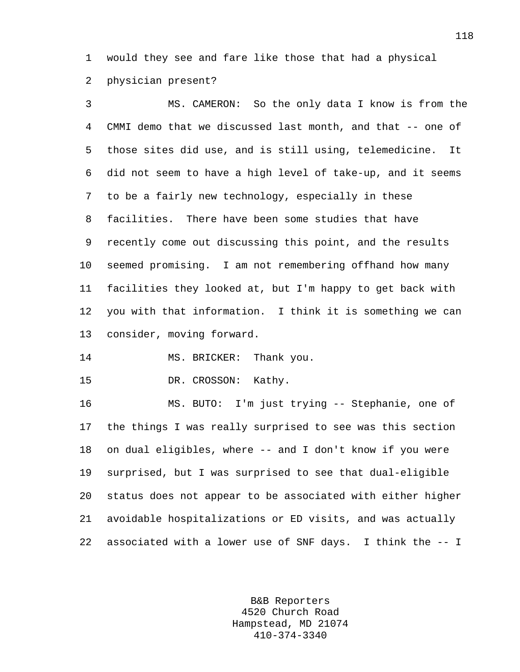1 would they see and fare like those that had a physical 2 physician present?

3 MS. CAMERON: So the only data I know is from the 4 CMMI demo that we discussed last month, and that -- one of 5 those sites did use, and is still using, telemedicine. It 6 did not seem to have a high level of take-up, and it seems 7 to be a fairly new technology, especially in these 8 facilities. There have been some studies that have 9 recently come out discussing this point, and the results 10 seemed promising. I am not remembering offhand how many 11 facilities they looked at, but I'm happy to get back with 12 you with that information. I think it is something we can 13 consider, moving forward.

14 MS. BRICKER: Thank you.

15 DR. CROSSON: Kathy.

16 MS. BUTO: I'm just trying -- Stephanie, one of 17 the things I was really surprised to see was this section 18 on dual eligibles, where -- and I don't know if you were 19 surprised, but I was surprised to see that dual-eligible 20 status does not appear to be associated with either higher 21 avoidable hospitalizations or ED visits, and was actually 22 associated with a lower use of SNF days. I think the -- I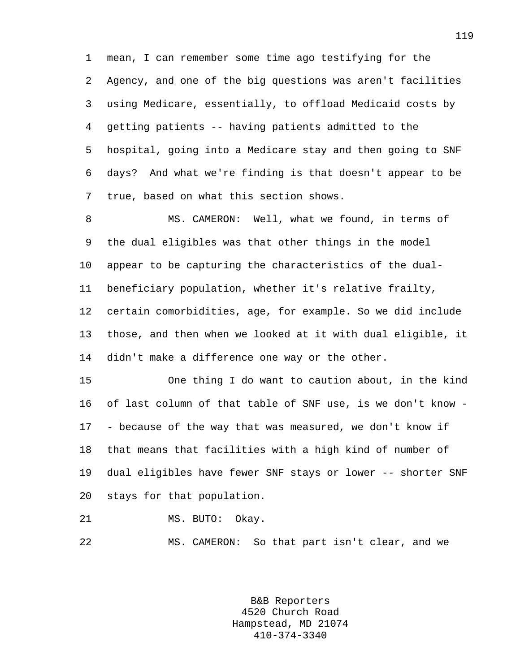1 mean, I can remember some time ago testifying for the 2 Agency, and one of the big questions was aren't facilities 3 using Medicare, essentially, to offload Medicaid costs by 4 getting patients -- having patients admitted to the 5 hospital, going into a Medicare stay and then going to SNF 6 days? And what we're finding is that doesn't appear to be 7 true, based on what this section shows.

8 MS. CAMERON: Well, what we found, in terms of 9 the dual eligibles was that other things in the model 10 appear to be capturing the characteristics of the dual-11 beneficiary population, whether it's relative frailty, 12 certain comorbidities, age, for example. So we did include 13 those, and then when we looked at it with dual eligible, it 14 didn't make a difference one way or the other.

15 One thing I do want to caution about, in the kind 16 of last column of that table of SNF use, is we don't know - 17 - because of the way that was measured, we don't know if 18 that means that facilities with a high kind of number of 19 dual eligibles have fewer SNF stays or lower -- shorter SNF 20 stays for that population.

21 MS. BUTO: Okay.

22 MS. CAMERON: So that part isn't clear, and we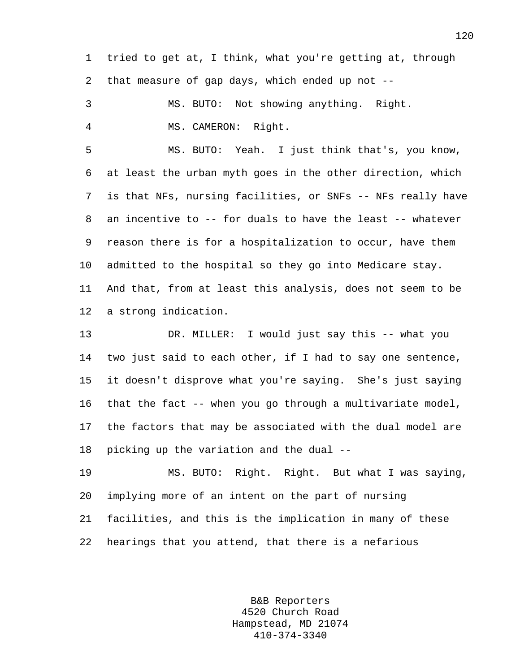1 tried to get at, I think, what you're getting at, through 2 that measure of gap days, which ended up not --

3 MS. BUTO: Not showing anything. Right. 4 MS. CAMERON: Right.

5 MS. BUTO: Yeah. I just think that's, you know, 6 at least the urban myth goes in the other direction, which 7 is that NFs, nursing facilities, or SNFs -- NFs really have 8 an incentive to -- for duals to have the least -- whatever 9 reason there is for a hospitalization to occur, have them 10 admitted to the hospital so they go into Medicare stay. 11 And that, from at least this analysis, does not seem to be 12 a strong indication.

13 DR. MILLER: I would just say this -- what you 14 two just said to each other, if I had to say one sentence, 15 it doesn't disprove what you're saying. She's just saying 16 that the fact -- when you go through a multivariate model, 17 the factors that may be associated with the dual model are 18 picking up the variation and the dual --

19 MS. BUTO: Right. Right. But what I was saying, 20 implying more of an intent on the part of nursing 21 facilities, and this is the implication in many of these 22 hearings that you attend, that there is a nefarious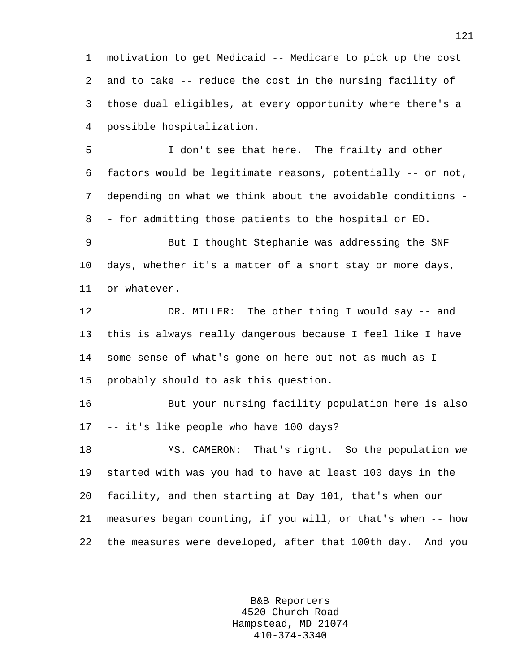1 motivation to get Medicaid -- Medicare to pick up the cost 2 and to take -- reduce the cost in the nursing facility of 3 those dual eligibles, at every opportunity where there's a 4 possible hospitalization.

5 I don't see that here. The frailty and other 6 factors would be legitimate reasons, potentially -- or not, 7 depending on what we think about the avoidable conditions - 8 - for admitting those patients to the hospital or ED.

9 But I thought Stephanie was addressing the SNF 10 days, whether it's a matter of a short stay or more days, 11 or whatever.

12 DR. MILLER: The other thing I would say -- and 13 this is always really dangerous because I feel like I have 14 some sense of what's gone on here but not as much as I 15 probably should to ask this question.

16 But your nursing facility population here is also 17 -- it's like people who have 100 days?

18 MS. CAMERON: That's right. So the population we 19 started with was you had to have at least 100 days in the 20 facility, and then starting at Day 101, that's when our 21 measures began counting, if you will, or that's when -- how 22 the measures were developed, after that 100th day. And you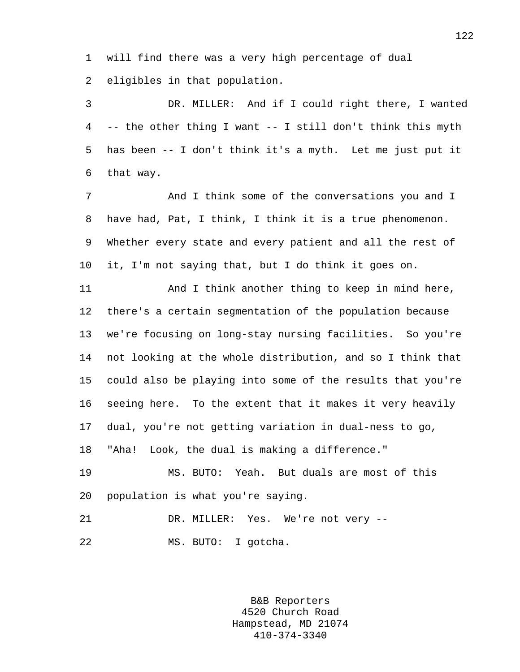1 will find there was a very high percentage of dual

2 eligibles in that population.

3 DR. MILLER: And if I could right there, I wanted 4 -- the other thing I want -- I still don't think this myth 5 has been -- I don't think it's a myth. Let me just put it 6 that way.

7 And I think some of the conversations you and I 8 have had, Pat, I think, I think it is a true phenomenon. 9 Whether every state and every patient and all the rest of 10 it, I'm not saying that, but I do think it goes on.

11 And I think another thing to keep in mind here, 12 there's a certain segmentation of the population because 13 we're focusing on long-stay nursing facilities. So you're 14 not looking at the whole distribution, and so I think that 15 could also be playing into some of the results that you're 16 seeing here. To the extent that it makes it very heavily 17 dual, you're not getting variation in dual-ness to go, 18 "Aha! Look, the dual is making a difference."

19 MS. BUTO: Yeah. But duals are most of this 20 population is what you're saying.

21 DR. MILLER: Yes. We're not very -- 22 MS. BUTO: I gotcha.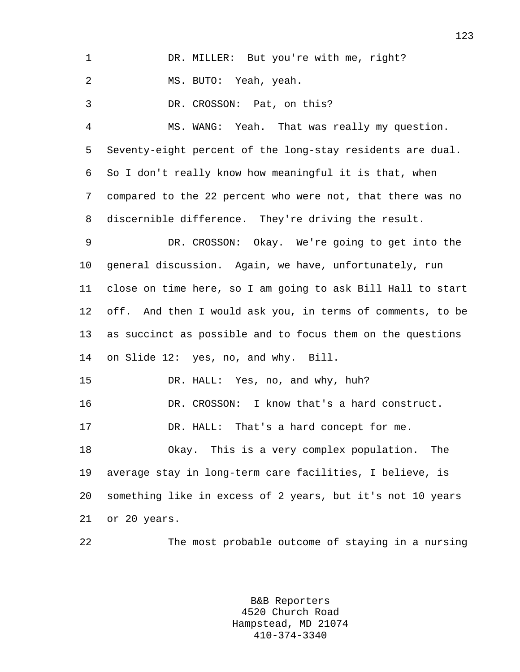| $\mathbf{1}$   | DR. MILLER: But you're with me, right?                      |
|----------------|-------------------------------------------------------------|
| 2              | MS. BUTO: Yeah, yeah.                                       |
| 3              | DR. CROSSON: Pat, on this?                                  |
| $\overline{4}$ | MS. WANG: Yeah. That was really my question.                |
| 5              | Seventy-eight percent of the long-stay residents are dual.  |
| 6              | So I don't really know how meaningful it is that, when      |
| 7              | compared to the 22 percent who were not, that there was no  |
| 8              | discernible difference. They're driving the result.         |
| 9              | DR. CROSSON: Okay. We're going to get into the              |
| 10             | general discussion. Again, we have, unfortunately, run      |
| 11             | close on time here, so I am going to ask Bill Hall to start |
| $12 \,$        | off. And then I would ask you, in terms of comments, to be  |
| 13             | as succinct as possible and to focus them on the questions  |
| 14             | on Slide 12: yes, no, and why. Bill.                        |
| 15             | DR. HALL: Yes, no, and why, huh?                            |
| 16             | DR. CROSSON: I know that's a hard construct.                |
| 17             | DR. HALL: That's a hard concept for me.                     |
| 18             | Okay. This is a very complex population.<br>The             |
| 19             | average stay in long-term care facilities, I believe, is    |
| 20             | something like in excess of 2 years, but it's not 10 years  |
| 21             | or 20 years.                                                |
| 22             | The most probable outcome of staying in a nursing           |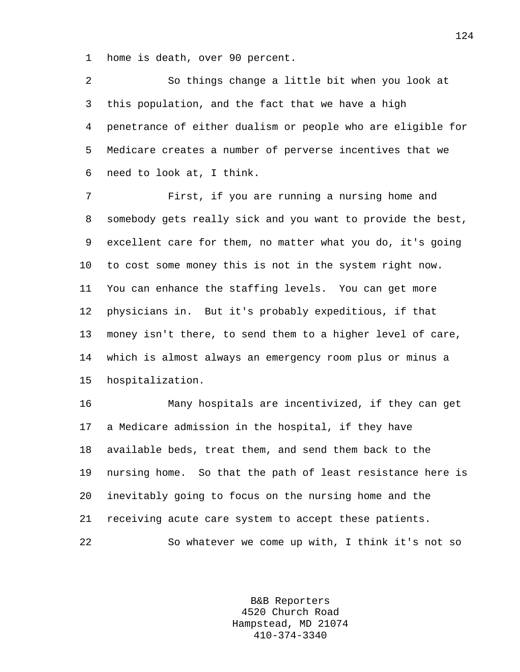1 home is death, over 90 percent.

2 So things change a little bit when you look at 3 this population, and the fact that we have a high 4 penetrance of either dualism or people who are eligible for 5 Medicare creates a number of perverse incentives that we 6 need to look at, I think.

7 First, if you are running a nursing home and 8 somebody gets really sick and you want to provide the best, 9 excellent care for them, no matter what you do, it's going 10 to cost some money this is not in the system right now. 11 You can enhance the staffing levels. You can get more 12 physicians in. But it's probably expeditious, if that 13 money isn't there, to send them to a higher level of care, 14 which is almost always an emergency room plus or minus a 15 hospitalization.

16 Many hospitals are incentivized, if they can get 17 a Medicare admission in the hospital, if they have 18 available beds, treat them, and send them back to the 19 nursing home. So that the path of least resistance here is 20 inevitably going to focus on the nursing home and the 21 receiving acute care system to accept these patients. 22 So whatever we come up with, I think it's not so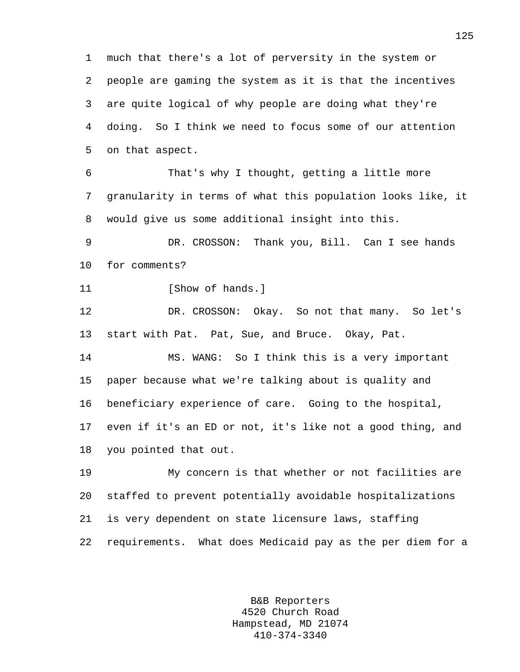1 much that there's a lot of perversity in the system or 2 people are gaming the system as it is that the incentives 3 are quite logical of why people are doing what they're 4 doing. So I think we need to focus some of our attention 5 on that aspect.

6 That's why I thought, getting a little more 7 granularity in terms of what this population looks like, it 8 would give us some additional insight into this.

9 DR. CROSSON: Thank you, Bill. Can I see hands 10 for comments?

11 [Show of hands.]

12 DR. CROSSON: Okay. So not that many. So let's 13 start with Pat. Pat, Sue, and Bruce. Okay, Pat.

14 MS. WANG: So I think this is a very important 15 paper because what we're talking about is quality and 16 beneficiary experience of care. Going to the hospital, 17 even if it's an ED or not, it's like not a good thing, and 18 you pointed that out.

19 My concern is that whether or not facilities are 20 staffed to prevent potentially avoidable hospitalizations 21 is very dependent on state licensure laws, staffing 22 requirements. What does Medicaid pay as the per diem for a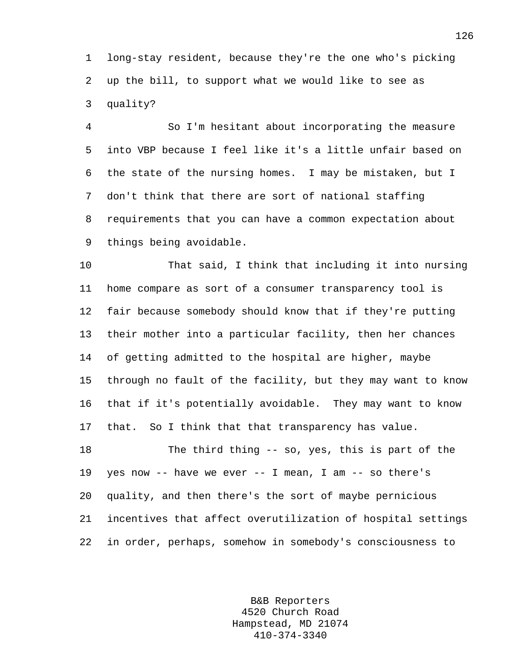1 long-stay resident, because they're the one who's picking 2 up the bill, to support what we would like to see as 3 quality?

4 So I'm hesitant about incorporating the measure 5 into VBP because I feel like it's a little unfair based on 6 the state of the nursing homes. I may be mistaken, but I 7 don't think that there are sort of national staffing 8 requirements that you can have a common expectation about 9 things being avoidable.

10 That said, I think that including it into nursing 11 home compare as sort of a consumer transparency tool is 12 fair because somebody should know that if they're putting 13 their mother into a particular facility, then her chances 14 of getting admitted to the hospital are higher, maybe 15 through no fault of the facility, but they may want to know 16 that if it's potentially avoidable. They may want to know 17 that. So I think that that transparency has value.

18 The third thing -- so, yes, this is part of the 19 yes now -- have we ever -- I mean, I am -- so there's 20 quality, and then there's the sort of maybe pernicious 21 incentives that affect overutilization of hospital settings 22 in order, perhaps, somehow in somebody's consciousness to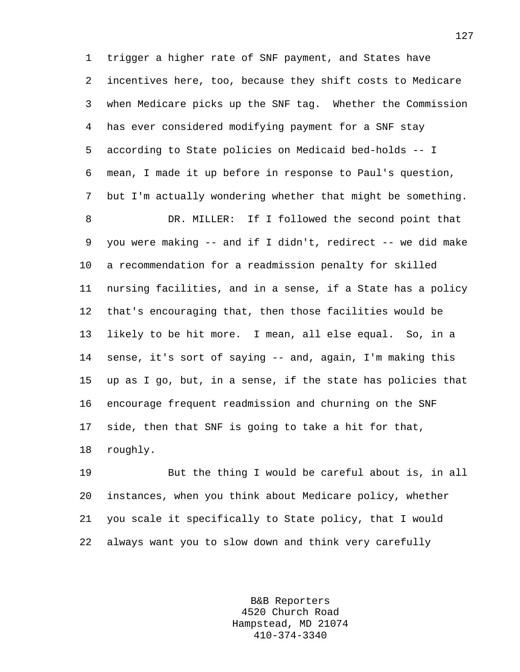1 trigger a higher rate of SNF payment, and States have 2 incentives here, too, because they shift costs to Medicare 3 when Medicare picks up the SNF tag. Whether the Commission 4 has ever considered modifying payment for a SNF stay 5 according to State policies on Medicaid bed-holds -- I 6 mean, I made it up before in response to Paul's question, 7 but I'm actually wondering whether that might be something. 8 DR. MILLER: If I followed the second point that 9 you were making -- and if I didn't, redirect -- we did make 10 a recommendation for a readmission penalty for skilled 11 nursing facilities, and in a sense, if a State has a policy 12 that's encouraging that, then those facilities would be 13 likely to be hit more. I mean, all else equal. So, in a 14 sense, it's sort of saying -- and, again, I'm making this 15 up as I go, but, in a sense, if the state has policies that 16 encourage frequent readmission and churning on the SNF 17 side, then that SNF is going to take a hit for that, 18 roughly.

19 But the thing I would be careful about is, in all 20 instances, when you think about Medicare policy, whether 21 you scale it specifically to State policy, that I would 22 always want you to slow down and think very carefully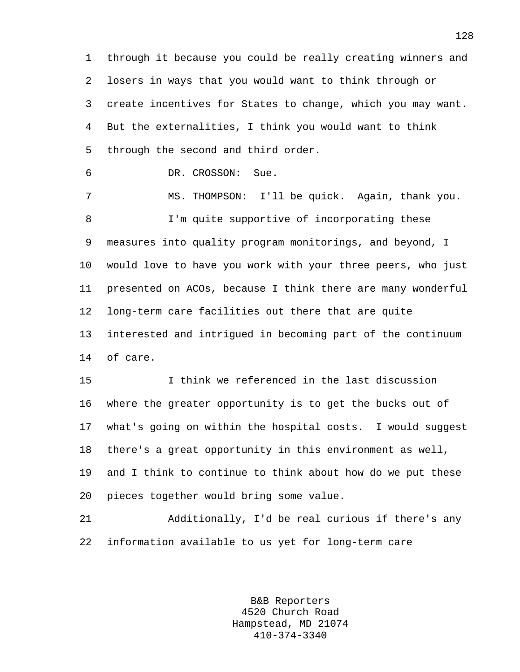1 through it because you could be really creating winners and 2 losers in ways that you would want to think through or 3 create incentives for States to change, which you may want. 4 But the externalities, I think you would want to think 5 through the second and third order.

6 DR. CROSSON: Sue.

7 MS. THOMPSON: I'll be quick. Again, thank you. 8 I'm quite supportive of incorporating these 9 measures into quality program monitorings, and beyond, I 10 would love to have you work with your three peers, who just 11 presented on ACOs, because I think there are many wonderful 12 long-term care facilities out there that are quite 13 interested and intrigued in becoming part of the continuum 14 of care.

15 I think we referenced in the last discussion 16 where the greater opportunity is to get the bucks out of 17 what's going on within the hospital costs. I would suggest 18 there's a great opportunity in this environment as well, 19 and I think to continue to think about how do we put these 20 pieces together would bring some value.

21 Additionally, I'd be real curious if there's any 22 information available to us yet for long-term care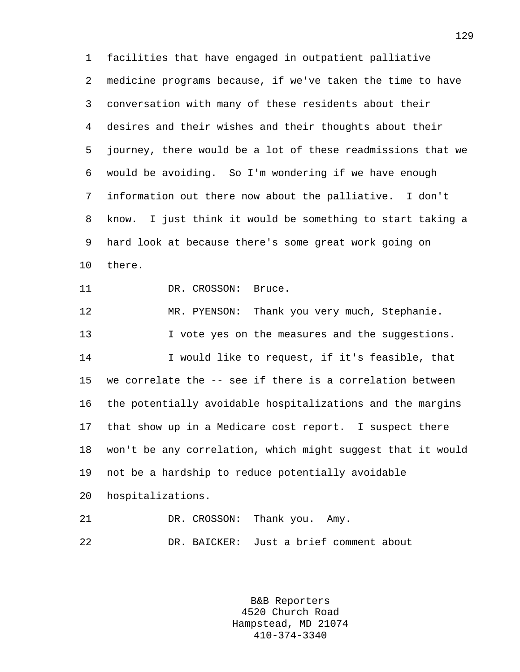1 facilities that have engaged in outpatient palliative 2 medicine programs because, if we've taken the time to have 3 conversation with many of these residents about their 4 desires and their wishes and their thoughts about their 5 journey, there would be a lot of these readmissions that we 6 would be avoiding. So I'm wondering if we have enough 7 information out there now about the palliative. I don't 8 know. I just think it would be something to start taking a 9 hard look at because there's some great work going on 10 there. 11 DR. CROSSON: Bruce. 12 MR. PYENSON: Thank you very much, Stephanie. 13 I vote yes on the measures and the suggestions. 14 I would like to request, if it's feasible, that 15 we correlate the -- see if there is a correlation between

16 the potentially avoidable hospitalizations and the margins 17 that show up in a Medicare cost report. I suspect there 18 won't be any correlation, which might suggest that it would 19 not be a hardship to reduce potentially avoidable

20 hospitalizations.

21 DR. CROSSON: Thank you. Amy. 22 DR. BAICKER: Just a brief comment about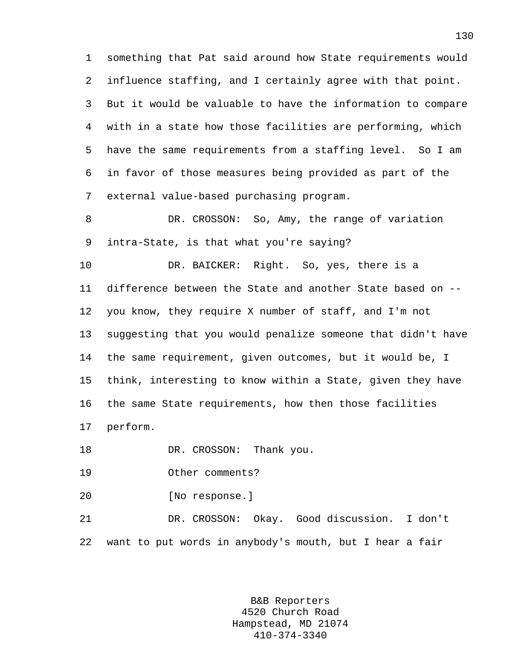1 something that Pat said around how State requirements would 2 influence staffing, and I certainly agree with that point. 3 But it would be valuable to have the information to compare 4 with in a state how those facilities are performing, which 5 have the same requirements from a staffing level. So I am 6 in favor of those measures being provided as part of the 7 external value-based purchasing program.

8 DR. CROSSON: So, Amy, the range of variation 9 intra-State, is that what you're saying?

10 DR. BAICKER: Right. So, yes, there is a 11 difference between the State and another State based on -- 12 you know, they require X number of staff, and I'm not 13 suggesting that you would penalize someone that didn't have 14 the same requirement, given outcomes, but it would be, I 15 think, interesting to know within a State, given they have 16 the same State requirements, how then those facilities 17 perform.

18 DR. CROSSON: Thank you.

19 Other comments?

20 [No response.]

21 DR. CROSSON: Okay. Good discussion. I don't 22 want to put words in anybody's mouth, but I hear a fair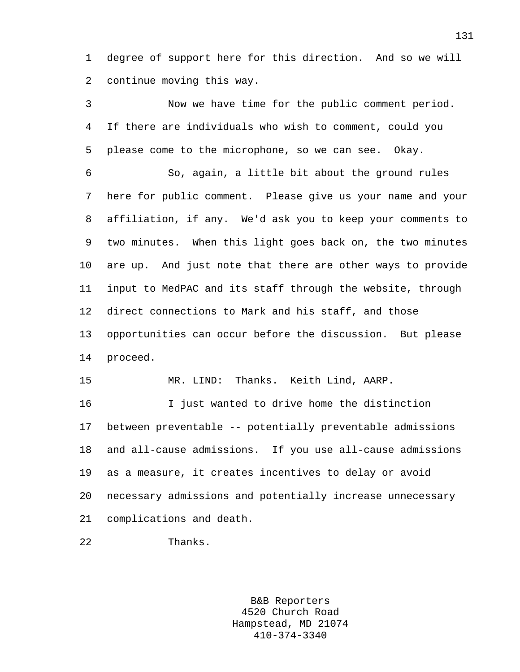1 degree of support here for this direction. And so we will 2 continue moving this way.

3 Now we have time for the public comment period. 4 If there are individuals who wish to comment, could you 5 please come to the microphone, so we can see. Okay. 6 So, again, a little bit about the ground rules 7 here for public comment. Please give us your name and your 8 affiliation, if any. We'd ask you to keep your comments to 9 two minutes. When this light goes back on, the two minutes 10 are up. And just note that there are other ways to provide 11 input to MedPAC and its staff through the website, through 12 direct connections to Mark and his staff, and those 13 opportunities can occur before the discussion. But please 14 proceed. 15 MR. LIND: Thanks. Keith Lind, AARP. 16 I just wanted to drive home the distinction 17 between preventable -- potentially preventable admissions 18 and all-cause admissions. If you use all-cause admissions 19 as a measure, it creates incentives to delay or avoid 20 necessary admissions and potentially increase unnecessary

21 complications and death.

22 Thanks.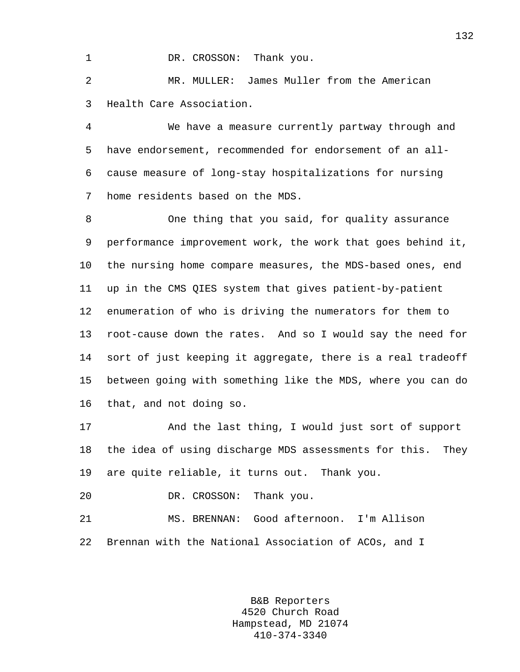1 DR. CROSSON: Thank you.

2 MR. MULLER: James Muller from the American 3 Health Care Association.

4 We have a measure currently partway through and 5 have endorsement, recommended for endorsement of an all-6 cause measure of long-stay hospitalizations for nursing 7 home residents based on the MDS.

8 One thing that you said, for quality assurance 9 performance improvement work, the work that goes behind it, 10 the nursing home compare measures, the MDS-based ones, end 11 up in the CMS QIES system that gives patient-by-patient 12 enumeration of who is driving the numerators for them to 13 root-cause down the rates. And so I would say the need for 14 sort of just keeping it aggregate, there is a real tradeoff 15 between going with something like the MDS, where you can do 16 that, and not doing so.

17 And the last thing, I would just sort of support 18 the idea of using discharge MDS assessments for this. They 19 are quite reliable, it turns out. Thank you.

20 DR. CROSSON: Thank you.

21 MS. BRENNAN: Good afternoon. I'm Allison 22 Brennan with the National Association of ACOs, and I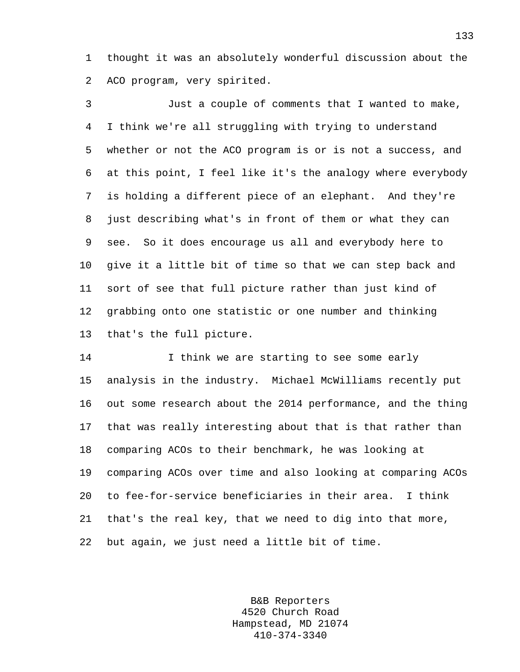1 thought it was an absolutely wonderful discussion about the 2 ACO program, very spirited.

3 Just a couple of comments that I wanted to make, 4 I think we're all struggling with trying to understand 5 whether or not the ACO program is or is not a success, and 6 at this point, I feel like it's the analogy where everybody 7 is holding a different piece of an elephant. And they're 8 just describing what's in front of them or what they can 9 see. So it does encourage us all and everybody here to 10 give it a little bit of time so that we can step back and 11 sort of see that full picture rather than just kind of 12 grabbing onto one statistic or one number and thinking 13 that's the full picture.

14 **I** think we are starting to see some early 15 analysis in the industry. Michael McWilliams recently put 16 out some research about the 2014 performance, and the thing 17 that was really interesting about that is that rather than 18 comparing ACOs to their benchmark, he was looking at 19 comparing ACOs over time and also looking at comparing ACOs 20 to fee-for-service beneficiaries in their area. I think 21 that's the real key, that we need to dig into that more, 22 but again, we just need a little bit of time.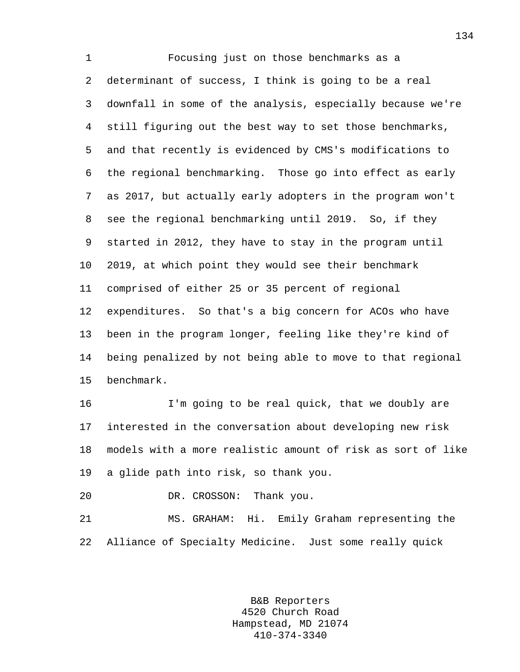1 Focusing just on those benchmarks as a 2 determinant of success, I think is going to be a real 3 downfall in some of the analysis, especially because we're 4 still figuring out the best way to set those benchmarks, 5 and that recently is evidenced by CMS's modifications to 6 the regional benchmarking. Those go into effect as early 7 as 2017, but actually early adopters in the program won't 8 see the regional benchmarking until 2019. So, if they 9 started in 2012, they have to stay in the program until 10 2019, at which point they would see their benchmark 11 comprised of either 25 or 35 percent of regional 12 expenditures. So that's a big concern for ACOs who have 13 been in the program longer, feeling like they're kind of 14 being penalized by not being able to move to that regional 15 benchmark.

16 I'm going to be real quick, that we doubly are 17 interested in the conversation about developing new risk 18 models with a more realistic amount of risk as sort of like 19 a glide path into risk, so thank you.

20 DR. CROSSON: Thank you.

21 MS. GRAHAM: Hi. Emily Graham representing the 22 Alliance of Specialty Medicine. Just some really quick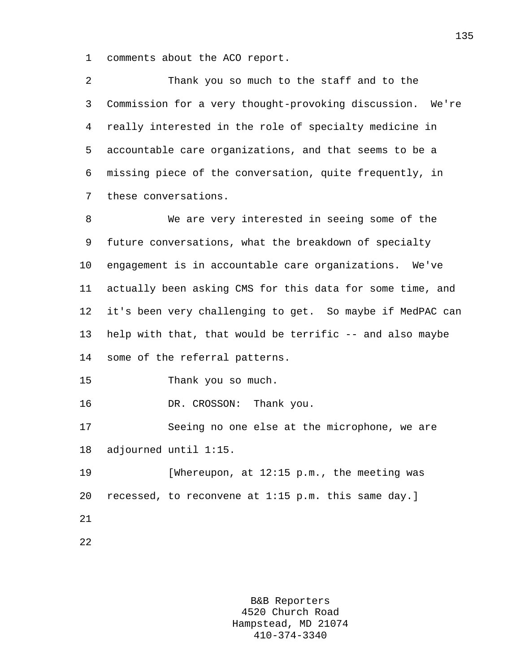1 comments about the ACO report.

2 Thank you so much to the staff and to the 3 Commission for a very thought-provoking discussion. We're 4 really interested in the role of specialty medicine in 5 accountable care organizations, and that seems to be a 6 missing piece of the conversation, quite frequently, in 7 these conversations.

8 We are very interested in seeing some of the 9 future conversations, what the breakdown of specialty 10 engagement is in accountable care organizations. We've 11 actually been asking CMS for this data for some time, and 12 it's been very challenging to get. So maybe if MedPAC can 13 help with that, that would be terrific -- and also maybe 14 some of the referral patterns.

15 Thank you so much.

16 DR. CROSSON: Thank you.

17 Seeing no one else at the microphone, we are 18 adjourned until 1:15.

19 [Whereupon, at 12:15 p.m., the meeting was 20 recessed, to reconvene at 1:15 p.m. this same day.] 21

22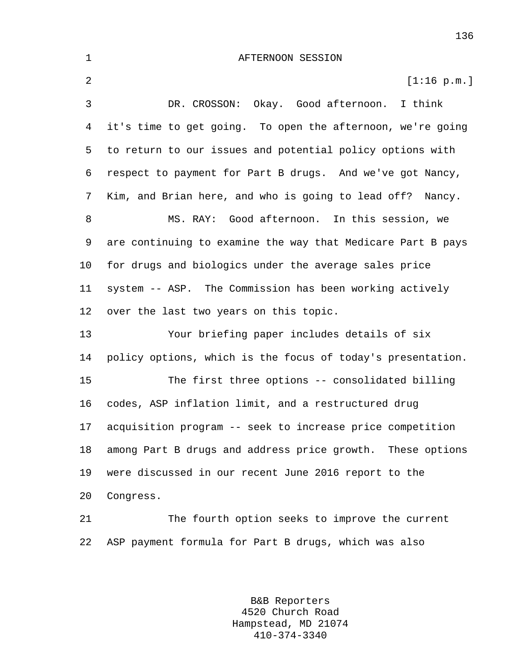| $\mathbf 1$    | AFTERNOON SESSION                                           |
|----------------|-------------------------------------------------------------|
| $\overline{a}$ | [1:16 p.m.]                                                 |
| 3              | Okay. Good afternoon. I think<br>DR. CROSSON:               |
| 4              | it's time to get going. To open the afternoon, we're going  |
| 5              | to return to our issues and potential policy options with   |
| 6              | respect to payment for Part B drugs. And we've got Nancy,   |
| 7              | Kim, and Brian here, and who is going to lead off? Nancy.   |
| 8              | MS. RAY: Good afternoon. In this session, we                |
| 9              | are continuing to examine the way that Medicare Part B pays |
| 10             | for drugs and biologics under the average sales price       |
| 11             | system -- ASP. The Commission has been working actively     |
| 12             | over the last two years on this topic.                      |
| 13             | Your briefing paper includes details of six                 |
| 14             | policy options, which is the focus of today's presentation. |
| 15             | The first three options -- consolidated billing             |
| 16             | codes, ASP inflation limit, and a restructured drug         |
| 17             | acquisition program -- seek to increase price competition   |
| 18             | among Part B drugs and address price growth. These options  |
| 19             | were discussed in our recent June 2016 report to the        |
| 20             | Congress.                                                   |
| 21             | The fourth option seeks to improve the current              |
| 22             | ASP payment formula for Part B drugs, which was also        |

B&B Reporters 4520 Church Road Hampstead, MD 21074 410-374-3340

136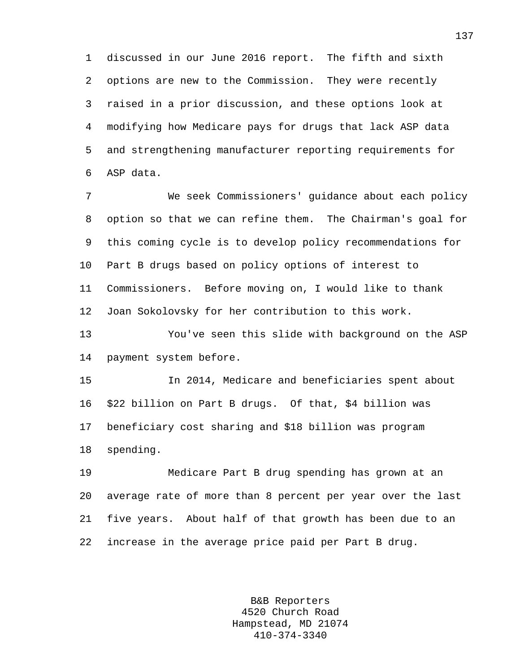1 discussed in our June 2016 report. The fifth and sixth 2 options are new to the Commission. They were recently 3 raised in a prior discussion, and these options look at 4 modifying how Medicare pays for drugs that lack ASP data 5 and strengthening manufacturer reporting requirements for 6 ASP data.

7 We seek Commissioners' guidance about each policy 8 option so that we can refine them. The Chairman's goal for 9 this coming cycle is to develop policy recommendations for 10 Part B drugs based on policy options of interest to 11 Commissioners. Before moving on, I would like to thank 12 Joan Sokolovsky for her contribution to this work.

13 You've seen this slide with background on the ASP 14 payment system before.

15 In 2014, Medicare and beneficiaries spent about 16 \$22 billion on Part B drugs. Of that, \$4 billion was 17 beneficiary cost sharing and \$18 billion was program 18 spending.

19 Medicare Part B drug spending has grown at an 20 average rate of more than 8 percent per year over the last 21 five years. About half of that growth has been due to an 22 increase in the average price paid per Part B drug.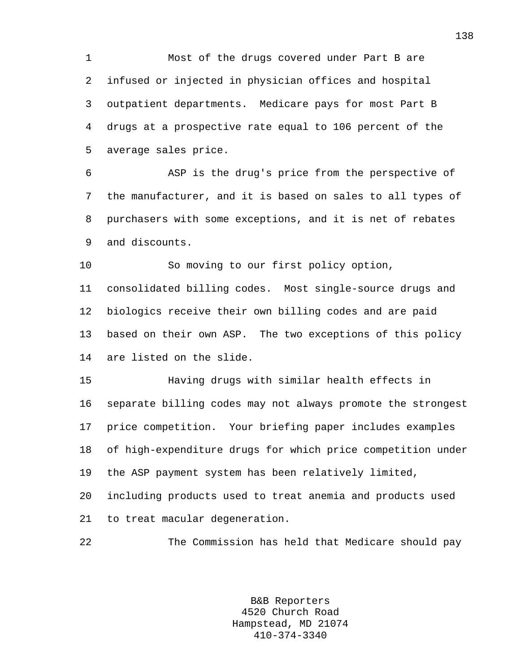1 Most of the drugs covered under Part B are 2 infused or injected in physician offices and hospital 3 outpatient departments. Medicare pays for most Part B 4 drugs at a prospective rate equal to 106 percent of the 5 average sales price.

6 ASP is the drug's price from the perspective of 7 the manufacturer, and it is based on sales to all types of 8 purchasers with some exceptions, and it is net of rebates 9 and discounts.

10 So moving to our first policy option, 11 consolidated billing codes. Most single-source drugs and 12 biologics receive their own billing codes and are paid 13 based on their own ASP. The two exceptions of this policy 14 are listed on the slide.

15 Having drugs with similar health effects in 16 separate billing codes may not always promote the strongest 17 price competition. Your briefing paper includes examples 18 of high-expenditure drugs for which price competition under 19 the ASP payment system has been relatively limited, 20 including products used to treat anemia and products used

21 to treat macular degeneration.

22 The Commission has held that Medicare should pay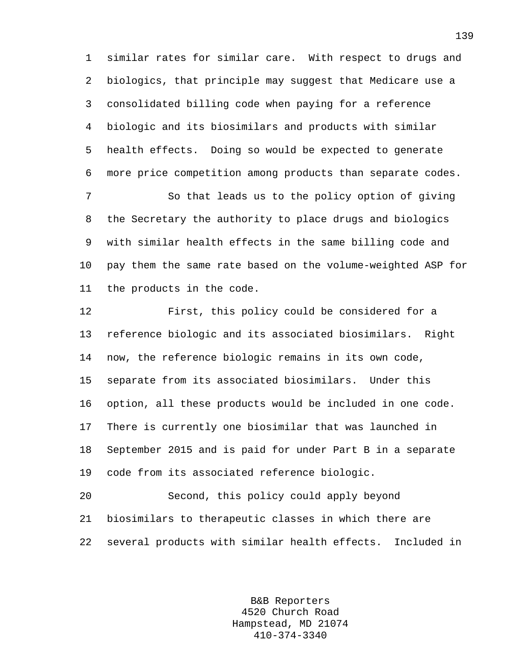1 similar rates for similar care. With respect to drugs and 2 biologics, that principle may suggest that Medicare use a 3 consolidated billing code when paying for a reference 4 biologic and its biosimilars and products with similar 5 health effects. Doing so would be expected to generate 6 more price competition among products than separate codes.

7 So that leads us to the policy option of giving 8 the Secretary the authority to place drugs and biologics 9 with similar health effects in the same billing code and 10 pay them the same rate based on the volume-weighted ASP for 11 the products in the code.

12 First, this policy could be considered for a 13 reference biologic and its associated biosimilars. Right 14 now, the reference biologic remains in its own code, 15 separate from its associated biosimilars. Under this 16 option, all these products would be included in one code. 17 There is currently one biosimilar that was launched in 18 September 2015 and is paid for under Part B in a separate 19 code from its associated reference biologic.

20 Second, this policy could apply beyond 21 biosimilars to therapeutic classes in which there are 22 several products with similar health effects. Included in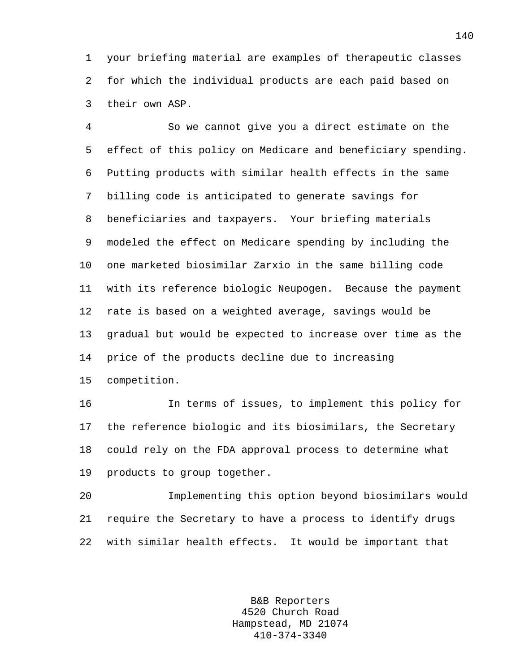1 your briefing material are examples of therapeutic classes 2 for which the individual products are each paid based on 3 their own ASP.

4 So we cannot give you a direct estimate on the 5 effect of this policy on Medicare and beneficiary spending. 6 Putting products with similar health effects in the same 7 billing code is anticipated to generate savings for 8 beneficiaries and taxpayers. Your briefing materials 9 modeled the effect on Medicare spending by including the 10 one marketed biosimilar Zarxio in the same billing code 11 with its reference biologic Neupogen. Because the payment 12 rate is based on a weighted average, savings would be 13 gradual but would be expected to increase over time as the 14 price of the products decline due to increasing 15 competition.

16 In terms of issues, to implement this policy for 17 the reference biologic and its biosimilars, the Secretary 18 could rely on the FDA approval process to determine what 19 products to group together.

20 Implementing this option beyond biosimilars would 21 require the Secretary to have a process to identify drugs 22 with similar health effects. It would be important that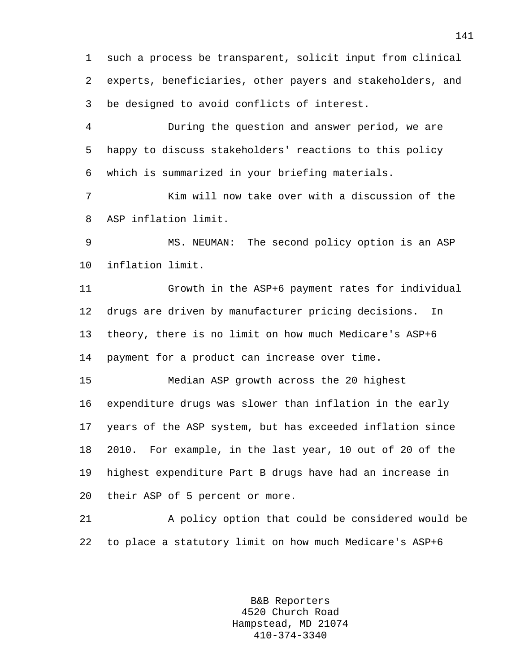1 such a process be transparent, solicit input from clinical 2 experts, beneficiaries, other payers and stakeholders, and 3 be designed to avoid conflicts of interest.

4 During the question and answer period, we are 5 happy to discuss stakeholders' reactions to this policy 6 which is summarized in your briefing materials.

7 Kim will now take over with a discussion of the 8 ASP inflation limit.

9 MS. NEUMAN: The second policy option is an ASP 10 inflation limit.

11 Growth in the ASP+6 payment rates for individual 12 drugs are driven by manufacturer pricing decisions. In 13 theory, there is no limit on how much Medicare's ASP+6 14 payment for a product can increase over time.

15 Median ASP growth across the 20 highest 16 expenditure drugs was slower than inflation in the early 17 years of the ASP system, but has exceeded inflation since 18 2010. For example, in the last year, 10 out of 20 of the 19 highest expenditure Part B drugs have had an increase in 20 their ASP of 5 percent or more.

21 A policy option that could be considered would be 22 to place a statutory limit on how much Medicare's ASP+6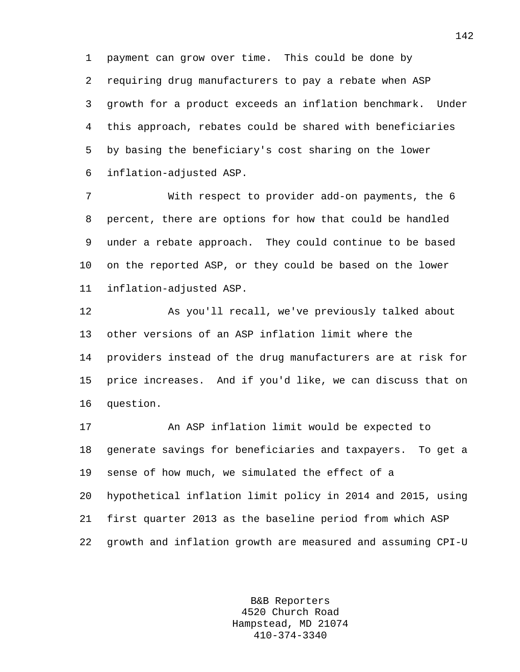1 payment can grow over time. This could be done by

2 requiring drug manufacturers to pay a rebate when ASP 3 growth for a product exceeds an inflation benchmark. Under 4 this approach, rebates could be shared with beneficiaries 5 by basing the beneficiary's cost sharing on the lower 6 inflation-adjusted ASP.

7 With respect to provider add-on payments, the 6 8 percent, there are options for how that could be handled 9 under a rebate approach. They could continue to be based 10 on the reported ASP, or they could be based on the lower 11 inflation-adjusted ASP.

12 As you'll recall, we've previously talked about 13 other versions of an ASP inflation limit where the 14 providers instead of the drug manufacturers are at risk for 15 price increases. And if you'd like, we can discuss that on 16 question.

17 An ASP inflation limit would be expected to 18 generate savings for beneficiaries and taxpayers. To get a 19 sense of how much, we simulated the effect of a 20 hypothetical inflation limit policy in 2014 and 2015, using 21 first quarter 2013 as the baseline period from which ASP 22 growth and inflation growth are measured and assuming CPI-U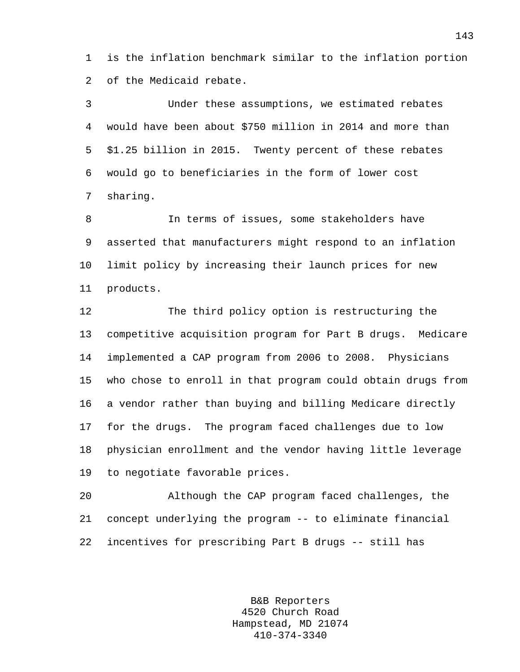1 is the inflation benchmark similar to the inflation portion 2 of the Medicaid rebate.

3 Under these assumptions, we estimated rebates 4 would have been about \$750 million in 2014 and more than 5 \$1.25 billion in 2015. Twenty percent of these rebates 6 would go to beneficiaries in the form of lower cost 7 sharing.

8 In terms of issues, some stakeholders have 9 asserted that manufacturers might respond to an inflation 10 limit policy by increasing their launch prices for new 11 products.

12 The third policy option is restructuring the 13 competitive acquisition program for Part B drugs. Medicare 14 implemented a CAP program from 2006 to 2008. Physicians 15 who chose to enroll in that program could obtain drugs from 16 a vendor rather than buying and billing Medicare directly 17 for the drugs. The program faced challenges due to low 18 physician enrollment and the vendor having little leverage 19 to negotiate favorable prices.

20 Although the CAP program faced challenges, the 21 concept underlying the program -- to eliminate financial 22 incentives for prescribing Part B drugs -- still has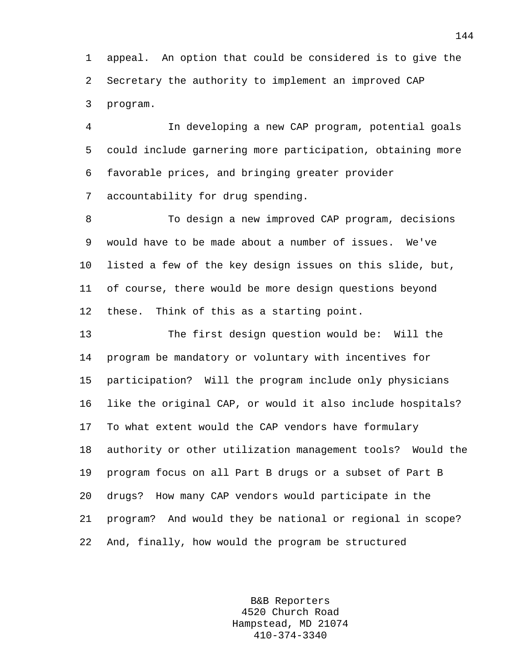1 appeal. An option that could be considered is to give the 2 Secretary the authority to implement an improved CAP 3 program.

4 In developing a new CAP program, potential goals 5 could include garnering more participation, obtaining more 6 favorable prices, and bringing greater provider 7 accountability for drug spending.

8 To design a new improved CAP program, decisions 9 would have to be made about a number of issues. We've 10 listed a few of the key design issues on this slide, but, 11 of course, there would be more design questions beyond 12 these. Think of this as a starting point.

13 The first design question would be: Will the 14 program be mandatory or voluntary with incentives for 15 participation? Will the program include only physicians 16 like the original CAP, or would it also include hospitals? 17 To what extent would the CAP vendors have formulary 18 authority or other utilization management tools? Would the 19 program focus on all Part B drugs or a subset of Part B 20 drugs? How many CAP vendors would participate in the 21 program? And would they be national or regional in scope? 22 And, finally, how would the program be structured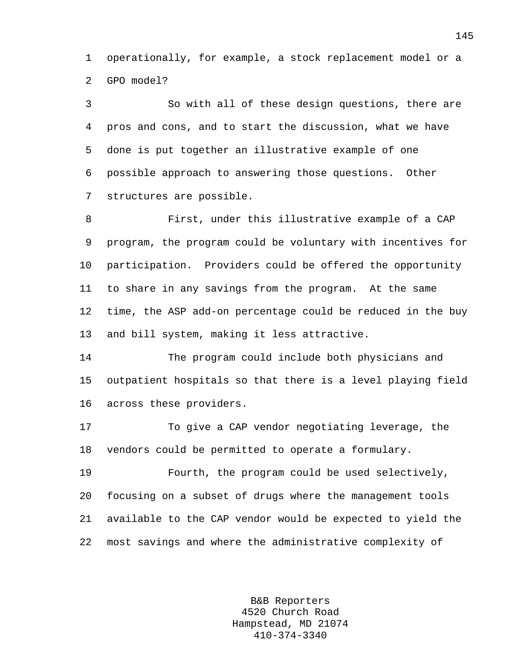1 operationally, for example, a stock replacement model or a 2 GPO model?

3 So with all of these design questions, there are 4 pros and cons, and to start the discussion, what we have 5 done is put together an illustrative example of one 6 possible approach to answering those questions. Other 7 structures are possible.

8 First, under this illustrative example of a CAP 9 program, the program could be voluntary with incentives for 10 participation. Providers could be offered the opportunity 11 to share in any savings from the program. At the same 12 time, the ASP add-on percentage could be reduced in the buy 13 and bill system, making it less attractive.

14 The program could include both physicians and 15 outpatient hospitals so that there is a level playing field 16 across these providers.

17 To give a CAP vendor negotiating leverage, the 18 vendors could be permitted to operate a formulary.

19 Fourth, the program could be used selectively, 20 focusing on a subset of drugs where the management tools 21 available to the CAP vendor would be expected to yield the 22 most savings and where the administrative complexity of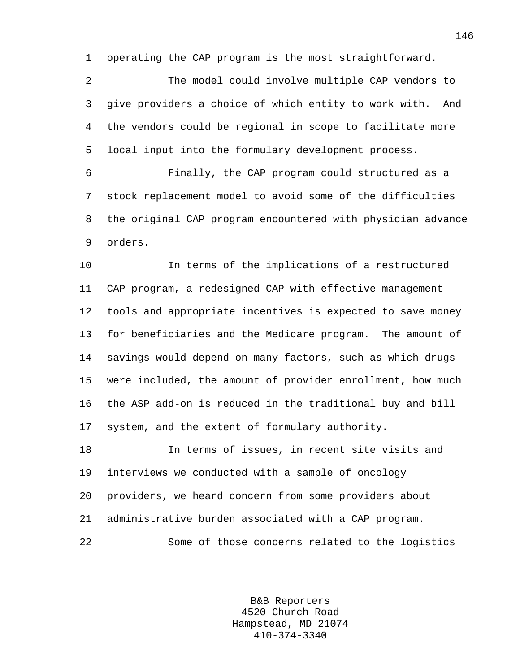1 operating the CAP program is the most straightforward.

2 The model could involve multiple CAP vendors to 3 give providers a choice of which entity to work with. And 4 the vendors could be regional in scope to facilitate more 5 local input into the formulary development process.

6 Finally, the CAP program could structured as a 7 stock replacement model to avoid some of the difficulties 8 the original CAP program encountered with physician advance 9 orders.

10 In terms of the implications of a restructured 11 CAP program, a redesigned CAP with effective management 12 tools and appropriate incentives is expected to save money 13 for beneficiaries and the Medicare program. The amount of 14 savings would depend on many factors, such as which drugs 15 were included, the amount of provider enrollment, how much 16 the ASP add-on is reduced in the traditional buy and bill 17 system, and the extent of formulary authority.

18 In terms of issues, in recent site visits and 19 interviews we conducted with a sample of oncology 20 providers, we heard concern from some providers about 21 administrative burden associated with a CAP program. 22 Some of those concerns related to the logistics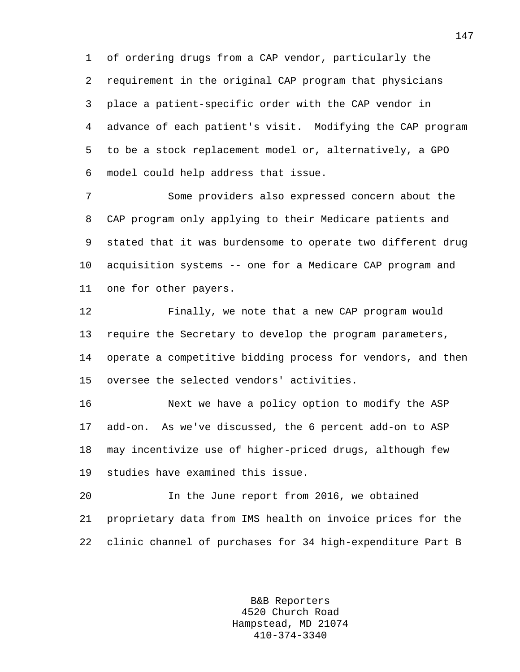1 of ordering drugs from a CAP vendor, particularly the 2 requirement in the original CAP program that physicians 3 place a patient-specific order with the CAP vendor in 4 advance of each patient's visit. Modifying the CAP program 5 to be a stock replacement model or, alternatively, a GPO 6 model could help address that issue.

7 Some providers also expressed concern about the 8 CAP program only applying to their Medicare patients and 9 stated that it was burdensome to operate two different drug 10 acquisition systems -- one for a Medicare CAP program and 11 one for other payers.

12 Finally, we note that a new CAP program would 13 require the Secretary to develop the program parameters, 14 operate a competitive bidding process for vendors, and then 15 oversee the selected vendors' activities.

16 Next we have a policy option to modify the ASP 17 add-on. As we've discussed, the 6 percent add-on to ASP 18 may incentivize use of higher-priced drugs, although few 19 studies have examined this issue.

20 In the June report from 2016, we obtained 21 proprietary data from IMS health on invoice prices for the 22 clinic channel of purchases for 34 high-expenditure Part B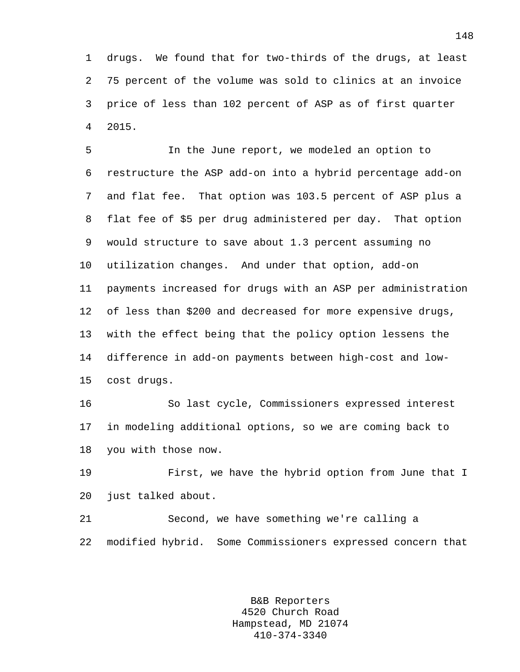1 drugs. We found that for two-thirds of the drugs, at least 2 75 percent of the volume was sold to clinics at an invoice 3 price of less than 102 percent of ASP as of first quarter 4 2015.

5 In the June report, we modeled an option to 6 restructure the ASP add-on into a hybrid percentage add-on 7 and flat fee. That option was 103.5 percent of ASP plus a 8 flat fee of \$5 per drug administered per day. That option 9 would structure to save about 1.3 percent assuming no 10 utilization changes. And under that option, add-on 11 payments increased for drugs with an ASP per administration 12 of less than \$200 and decreased for more expensive drugs, 13 with the effect being that the policy option lessens the 14 difference in add-on payments between high-cost and low-15 cost drugs.

16 So last cycle, Commissioners expressed interest 17 in modeling additional options, so we are coming back to 18 you with those now.

19 First, we have the hybrid option from June that I 20 just talked about.

21 Second, we have something we're calling a 22 modified hybrid. Some Commissioners expressed concern that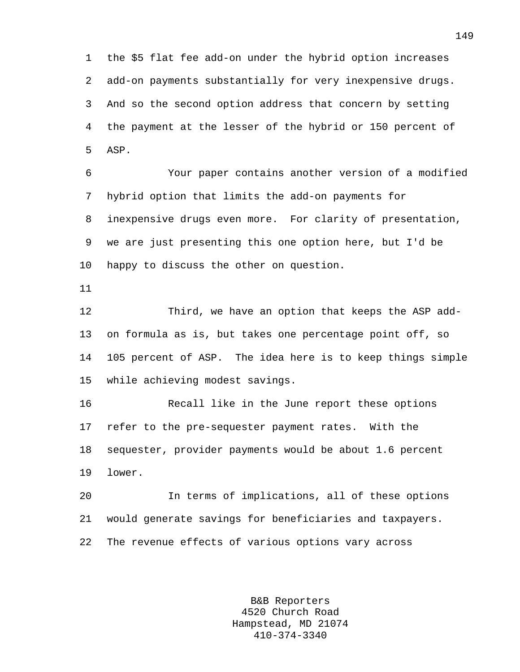1 the \$5 flat fee add-on under the hybrid option increases 2 add-on payments substantially for very inexpensive drugs. 3 And so the second option address that concern by setting 4 the payment at the lesser of the hybrid or 150 percent of 5 ASP.

6 Your paper contains another version of a modified 7 hybrid option that limits the add-on payments for 8 inexpensive drugs even more. For clarity of presentation, 9 we are just presenting this one option here, but I'd be 10 happy to discuss the other on question.

11

12 Third, we have an option that keeps the ASP add-13 on formula as is, but takes one percentage point off, so 14 105 percent of ASP. The idea here is to keep things simple 15 while achieving modest savings.

16 Recall like in the June report these options 17 refer to the pre-sequester payment rates. With the 18 sequester, provider payments would be about 1.6 percent 19 lower.

20 In terms of implications, all of these options 21 would generate savings for beneficiaries and taxpayers. 22 The revenue effects of various options vary across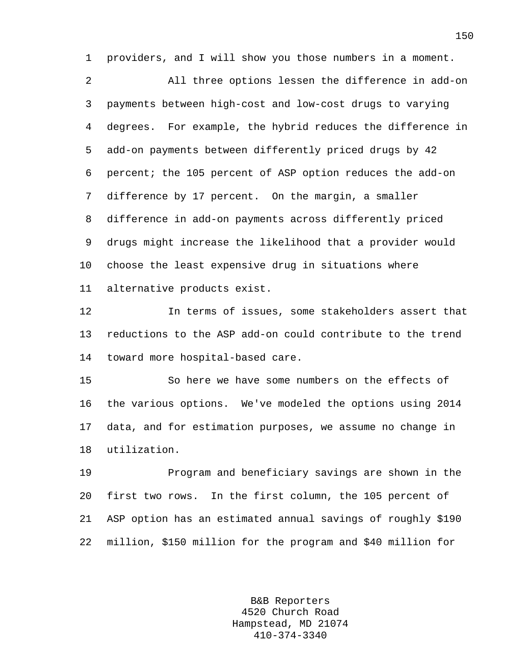1 providers, and I will show you those numbers in a moment.

2 All three options lessen the difference in add-on 3 payments between high-cost and low-cost drugs to varying 4 degrees. For example, the hybrid reduces the difference in 5 add-on payments between differently priced drugs by 42 6 percent; the 105 percent of ASP option reduces the add-on 7 difference by 17 percent. On the margin, a smaller 8 difference in add-on payments across differently priced 9 drugs might increase the likelihood that a provider would 10 choose the least expensive drug in situations where 11 alternative products exist.

12 In terms of issues, some stakeholders assert that 13 reductions to the ASP add-on could contribute to the trend 14 toward more hospital-based care.

15 So here we have some numbers on the effects of 16 the various options. We've modeled the options using 2014 17 data, and for estimation purposes, we assume no change in 18 utilization.

19 Program and beneficiary savings are shown in the 20 first two rows. In the first column, the 105 percent of 21 ASP option has an estimated annual savings of roughly \$190 22 million, \$150 million for the program and \$40 million for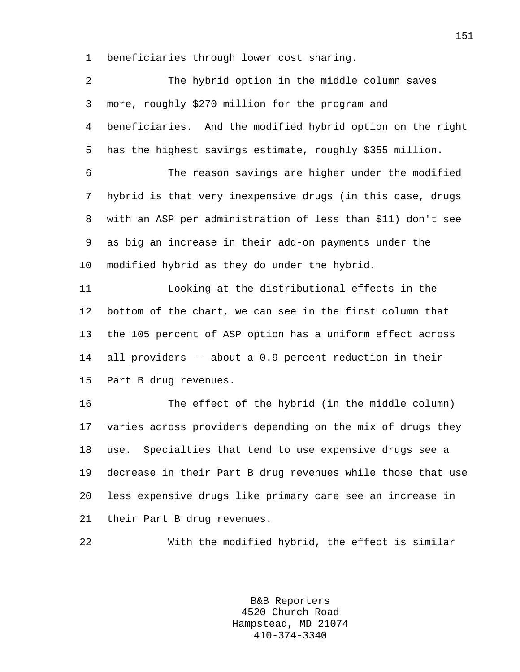1 beneficiaries through lower cost sharing.

| $\overline{2}$ | The hybrid option in the middle column saves                |
|----------------|-------------------------------------------------------------|
| 3              | more, roughly \$270 million for the program and             |
| 4              | beneficiaries. And the modified hybrid option on the right  |
| 5              | has the highest savings estimate, roughly \$355 million.    |
| 6              | The reason savings are higher under the modified            |
| 7              | hybrid is that very inexpensive drugs (in this case, drugs  |
| 8              | with an ASP per administration of less than \$11) don't see |
| 9              | as big an increase in their add-on payments under the       |
| 10             | modified hybrid as they do under the hybrid.                |
| 11             | Looking at the distributional effects in the                |
| 12             | bottom of the chart, we can see in the first column that    |
| 13             | the 105 percent of ASP option has a uniform effect across   |
| 14             | all providers -- about a 0.9 percent reduction in their     |
| 15             | Part B drug revenues.                                       |
| 16             | The effect of the hybrid (in the middle column)             |
| 17             | varies across providers depending on the mix of drugs they  |
| 18             | Specialties that tend to use expensive drugs see a<br>use.  |
| 19             | decrease in their Part B drug revenues while those that use |
| 20             | less expensive drugs like primary care see an increase in   |
| 21             | their Part B drug revenues.                                 |
| 22             | With the modified hybrid, the effect is similar             |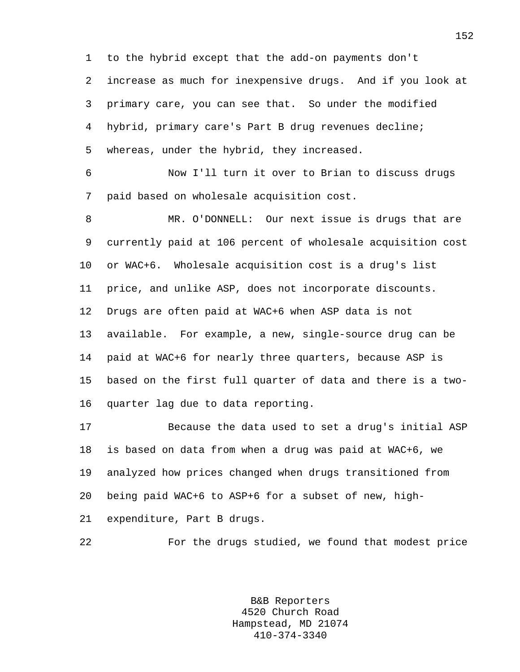1 to the hybrid except that the add-on payments don't 2 increase as much for inexpensive drugs. And if you look at 3 primary care, you can see that. So under the modified 4 hybrid, primary care's Part B drug revenues decline; 5 whereas, under the hybrid, they increased.

6 Now I'll turn it over to Brian to discuss drugs 7 paid based on wholesale acquisition cost.

8 MR. O'DONNELL: Our next issue is drugs that are 9 currently paid at 106 percent of wholesale acquisition cost 10 or WAC+6. Wholesale acquisition cost is a drug's list 11 price, and unlike ASP, does not incorporate discounts. 12 Drugs are often paid at WAC+6 when ASP data is not 13 available. For example, a new, single-source drug can be 14 paid at WAC+6 for nearly three quarters, because ASP is 15 based on the first full quarter of data and there is a two-16 quarter lag due to data reporting.

17 Because the data used to set a drug's initial ASP 18 is based on data from when a drug was paid at WAC+6, we 19 analyzed how prices changed when drugs transitioned from 20 being paid WAC+6 to ASP+6 for a subset of new, high-21 expenditure, Part B drugs.

22 For the drugs studied, we found that modest price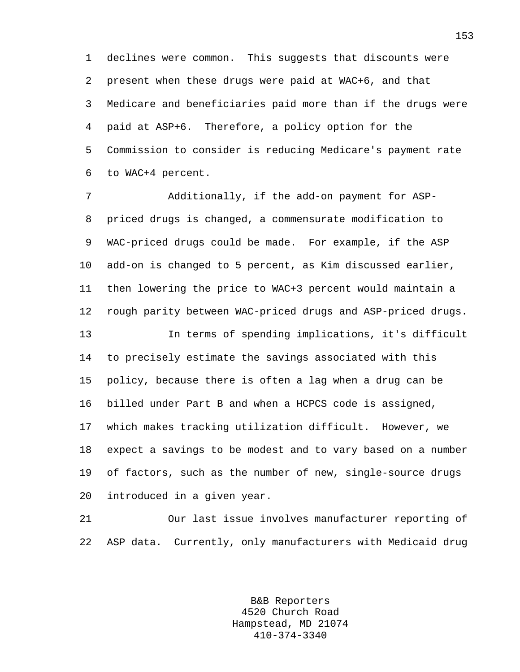1 declines were common. This suggests that discounts were 2 present when these drugs were paid at WAC+6, and that 3 Medicare and beneficiaries paid more than if the drugs were 4 paid at ASP+6. Therefore, a policy option for the 5 Commission to consider is reducing Medicare's payment rate 6 to WAC+4 percent.

7 Additionally, if the add-on payment for ASP-8 priced drugs is changed, a commensurate modification to 9 WAC-priced drugs could be made. For example, if the ASP 10 add-on is changed to 5 percent, as Kim discussed earlier, 11 then lowering the price to WAC+3 percent would maintain a 12 rough parity between WAC-priced drugs and ASP-priced drugs. 13 In terms of spending implications, it's difficult 14 to precisely estimate the savings associated with this 15 policy, because there is often a lag when a drug can be 16 billed under Part B and when a HCPCS code is assigned, 17 which makes tracking utilization difficult. However, we 18 expect a savings to be modest and to vary based on a number 19 of factors, such as the number of new, single-source drugs 20 introduced in a given year.

21 Our last issue involves manufacturer reporting of 22 ASP data. Currently, only manufacturers with Medicaid drug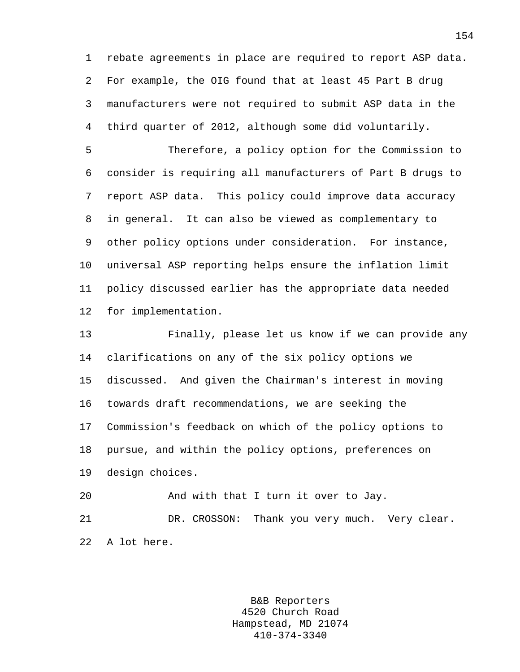1 rebate agreements in place are required to report ASP data. 2 For example, the OIG found that at least 45 Part B drug 3 manufacturers were not required to submit ASP data in the 4 third quarter of 2012, although some did voluntarily.

5 Therefore, a policy option for the Commission to 6 consider is requiring all manufacturers of Part B drugs to 7 report ASP data. This policy could improve data accuracy 8 in general. It can also be viewed as complementary to 9 other policy options under consideration. For instance, 10 universal ASP reporting helps ensure the inflation limit 11 policy discussed earlier has the appropriate data needed 12 for implementation.

13 Finally, please let us know if we can provide any 14 clarifications on any of the six policy options we 15 discussed. And given the Chairman's interest in moving 16 towards draft recommendations, we are seeking the 17 Commission's feedback on which of the policy options to 18 pursue, and within the policy options, preferences on 19 design choices.

20 And with that I turn it over to Jay. 21 DR. CROSSON: Thank you very much. Very clear. 22 A lot here.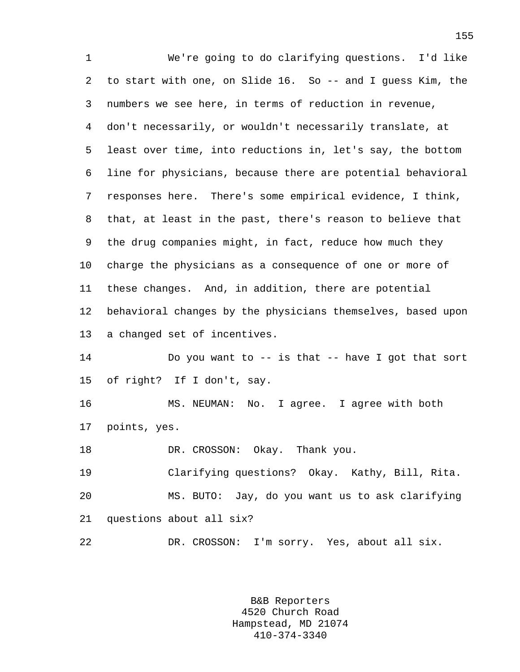1 We're going to do clarifying questions. I'd like 2 to start with one, on Slide 16. So -- and I guess Kim, the 3 numbers we see here, in terms of reduction in revenue, 4 don't necessarily, or wouldn't necessarily translate, at 5 least over time, into reductions in, let's say, the bottom 6 line for physicians, because there are potential behavioral 7 responses here. There's some empirical evidence, I think, 8 that, at least in the past, there's reason to believe that 9 the drug companies might, in fact, reduce how much they 10 charge the physicians as a consequence of one or more of 11 these changes. And, in addition, there are potential 12 behavioral changes by the physicians themselves, based upon 13 a changed set of incentives. 14 Do you want to -- is that -- have I got that sort 15 of right? If I don't, say. 16 MS. NEUMAN: No. I agree. I agree with both 17 points, yes. 18 DR. CROSSON: Okay. Thank you. 19 Clarifying questions? Okay. Kathy, Bill, Rita. 20 MS. BUTO: Jay, do you want us to ask clarifying 21 questions about all six? 22 DR. CROSSON: I'm sorry. Yes, about all six.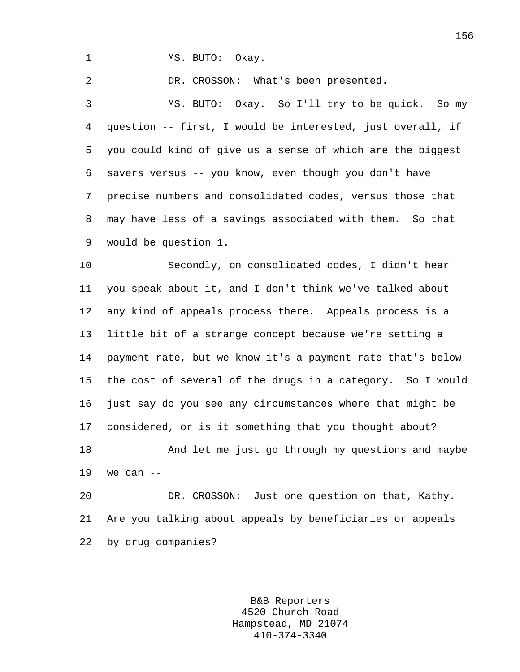1 MS. BUTO: Okay.

2 DR. CROSSON: What's been presented.

3 MS. BUTO: Okay. So I'll try to be quick. So my 4 question -- first, I would be interested, just overall, if 5 you could kind of give us a sense of which are the biggest 6 savers versus -- you know, even though you don't have 7 precise numbers and consolidated codes, versus those that 8 may have less of a savings associated with them. So that 9 would be question 1.

10 Secondly, on consolidated codes, I didn't hear 11 you speak about it, and I don't think we've talked about 12 any kind of appeals process there. Appeals process is a 13 little bit of a strange concept because we're setting a 14 payment rate, but we know it's a payment rate that's below 15 the cost of several of the drugs in a category. So I would 16 just say do you see any circumstances where that might be 17 considered, or is it something that you thought about? 18 And let me just go through my questions and maybe 19 we can --

20 DR. CROSSON: Just one question on that, Kathy. 21 Are you talking about appeals by beneficiaries or appeals 22 by drug companies?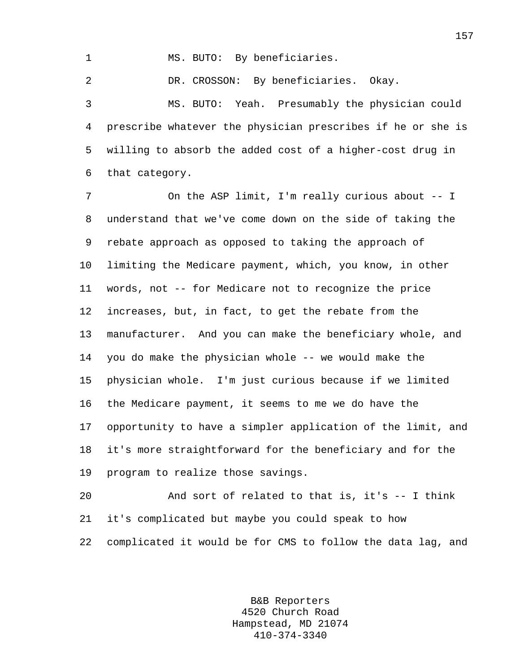1 MS. BUTO: By beneficiaries.

2 DR. CROSSON: By beneficiaries. Okay.

3 MS. BUTO: Yeah. Presumably the physician could 4 prescribe whatever the physician prescribes if he or she is 5 willing to absorb the added cost of a higher-cost drug in 6 that category.

7 On the ASP limit, I'm really curious about -- I 8 understand that we've come down on the side of taking the 9 rebate approach as opposed to taking the approach of 10 limiting the Medicare payment, which, you know, in other 11 words, not -- for Medicare not to recognize the price 12 increases, but, in fact, to get the rebate from the 13 manufacturer. And you can make the beneficiary whole, and 14 you do make the physician whole -- we would make the 15 physician whole. I'm just curious because if we limited 16 the Medicare payment, it seems to me we do have the 17 opportunity to have a simpler application of the limit, and 18 it's more straightforward for the beneficiary and for the 19 program to realize those savings.

20 And sort of related to that is, it's -- I think 21 it's complicated but maybe you could speak to how 22 complicated it would be for CMS to follow the data lag, and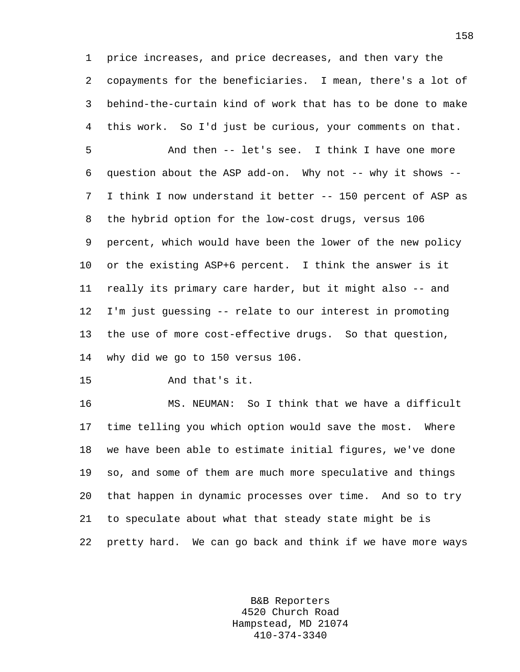1 price increases, and price decreases, and then vary the 2 copayments for the beneficiaries. I mean, there's a lot of 3 behind-the-curtain kind of work that has to be done to make 4 this work. So I'd just be curious, your comments on that.

5 And then -- let's see. I think I have one more 6 question about the ASP add-on. Why not -- why it shows -- 7 I think I now understand it better -- 150 percent of ASP as 8 the hybrid option for the low-cost drugs, versus 106 9 percent, which would have been the lower of the new policy 10 or the existing ASP+6 percent. I think the answer is it 11 really its primary care harder, but it might also -- and 12 I'm just guessing -- relate to our interest in promoting 13 the use of more cost-effective drugs. So that question, 14 why did we go to 150 versus 106.

15 And that's it.

16 MS. NEUMAN: So I think that we have a difficult 17 time telling you which option would save the most. Where 18 we have been able to estimate initial figures, we've done 19 so, and some of them are much more speculative and things 20 that happen in dynamic processes over time. And so to try 21 to speculate about what that steady state might be is 22 pretty hard. We can go back and think if we have more ways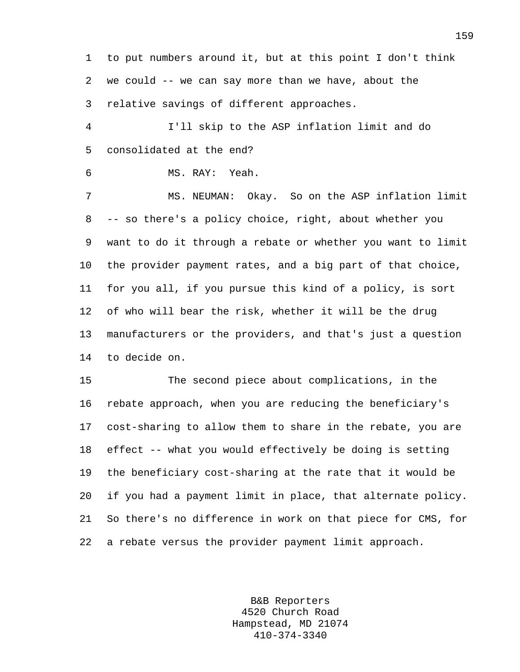1 to put numbers around it, but at this point I don't think 2 we could -- we can say more than we have, about the 3 relative savings of different approaches.

4 I'll skip to the ASP inflation limit and do 5 consolidated at the end?

```
6 MS. RAY: Yeah.
```
7 MS. NEUMAN: Okay. So on the ASP inflation limit 8 -- so there's a policy choice, right, about whether you 9 want to do it through a rebate or whether you want to limit 10 the provider payment rates, and a big part of that choice, 11 for you all, if you pursue this kind of a policy, is sort 12 of who will bear the risk, whether it will be the drug 13 manufacturers or the providers, and that's just a question 14 to decide on.

15 The second piece about complications, in the 16 rebate approach, when you are reducing the beneficiary's 17 cost-sharing to allow them to share in the rebate, you are 18 effect -- what you would effectively be doing is setting 19 the beneficiary cost-sharing at the rate that it would be 20 if you had a payment limit in place, that alternate policy. 21 So there's no difference in work on that piece for CMS, for 22 a rebate versus the provider payment limit approach.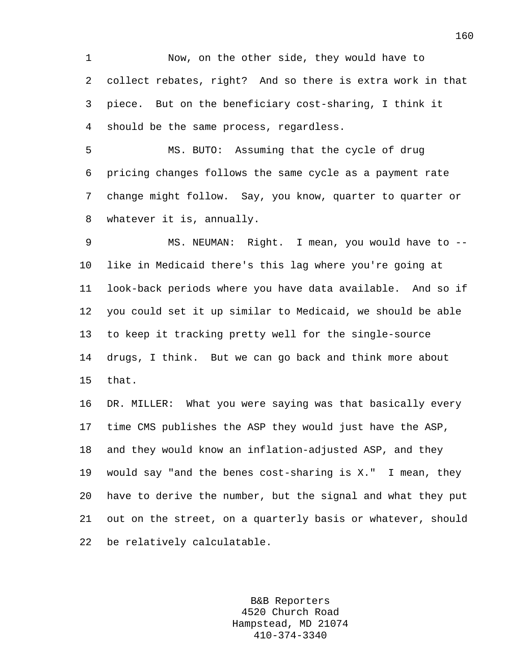1 Now, on the other side, they would have to 2 collect rebates, right? And so there is extra work in that 3 piece. But on the beneficiary cost-sharing, I think it 4 should be the same process, regardless.

5 MS. BUTO: Assuming that the cycle of drug 6 pricing changes follows the same cycle as a payment rate 7 change might follow. Say, you know, quarter to quarter or 8 whatever it is, annually.

9 MS. NEUMAN: Right. I mean, you would have to -- 10 like in Medicaid there's this lag where you're going at 11 look-back periods where you have data available. And so if 12 you could set it up similar to Medicaid, we should be able 13 to keep it tracking pretty well for the single-source 14 drugs, I think. But we can go back and think more about 15 that.

16 DR. MILLER: What you were saying was that basically every 17 time CMS publishes the ASP they would just have the ASP, 18 and they would know an inflation-adjusted ASP, and they 19 would say "and the benes cost-sharing is X." I mean, they 20 have to derive the number, but the signal and what they put 21 out on the street, on a quarterly basis or whatever, should 22 be relatively calculatable.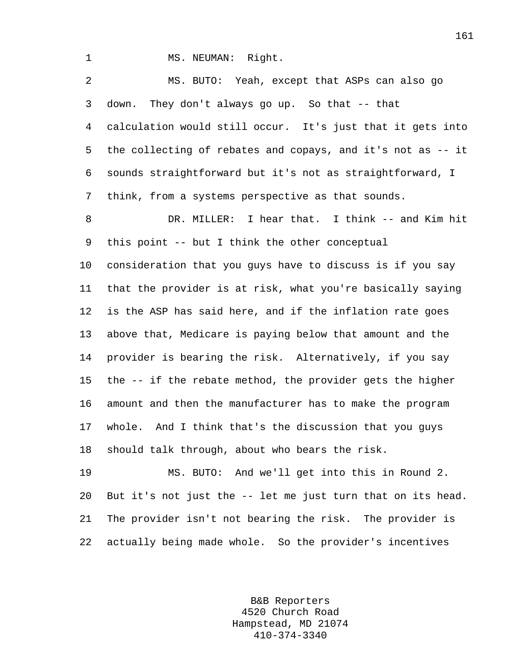1 MS. NEUMAN: Right.

2 MS. BUTO: Yeah, except that ASPs can also go 3 down. They don't always go up. So that -- that 4 calculation would still occur. It's just that it gets into 5 the collecting of rebates and copays, and it's not as -- it 6 sounds straightforward but it's not as straightforward, I 7 think, from a systems perspective as that sounds. 8 DR. MILLER: I hear that. I think -- and Kim hit 9 this point -- but I think the other conceptual 10 consideration that you guys have to discuss is if you say 11 that the provider is at risk, what you're basically saying 12 is the ASP has said here, and if the inflation rate goes 13 above that, Medicare is paying below that amount and the 14 provider is bearing the risk. Alternatively, if you say 15 the -- if the rebate method, the provider gets the higher 16 amount and then the manufacturer has to make the program 17 whole. And I think that's the discussion that you guys 18 should talk through, about who bears the risk. 19 MS. BUTO: And we'll get into this in Round 2. 20 But it's not just the -- let me just turn that on its head. 21 The provider isn't not bearing the risk. The provider is

22 actually being made whole. So the provider's incentives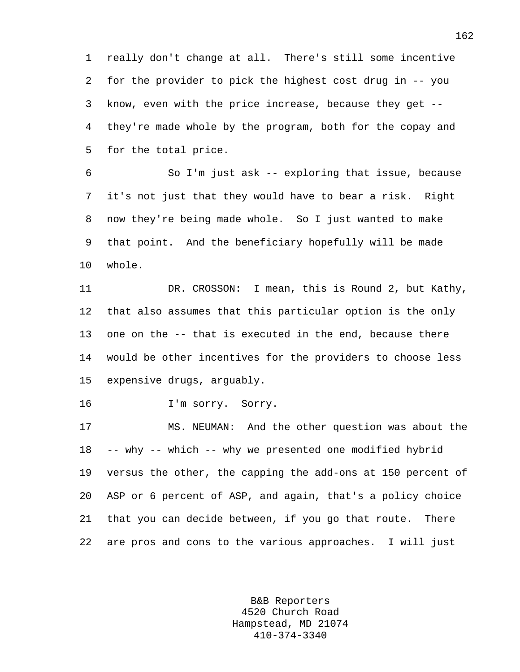1 really don't change at all. There's still some incentive 2 for the provider to pick the highest cost drug in -- you 3 know, even with the price increase, because they get -- 4 they're made whole by the program, both for the copay and 5 for the total price.

6 So I'm just ask -- exploring that issue, because 7 it's not just that they would have to bear a risk. Right 8 now they're being made whole. So I just wanted to make 9 that point. And the beneficiary hopefully will be made 10 whole.

11 DR. CROSSON: I mean, this is Round 2, but Kathy, 12 that also assumes that this particular option is the only 13 one on the -- that is executed in the end, because there 14 would be other incentives for the providers to choose less 15 expensive drugs, arguably.

16 I'm sorry. Sorry.

17 MS. NEUMAN: And the other question was about the 18 -- why -- which -- why we presented one modified hybrid 19 versus the other, the capping the add-ons at 150 percent of 20 ASP or 6 percent of ASP, and again, that's a policy choice 21 that you can decide between, if you go that route. There 22 are pros and cons to the various approaches. I will just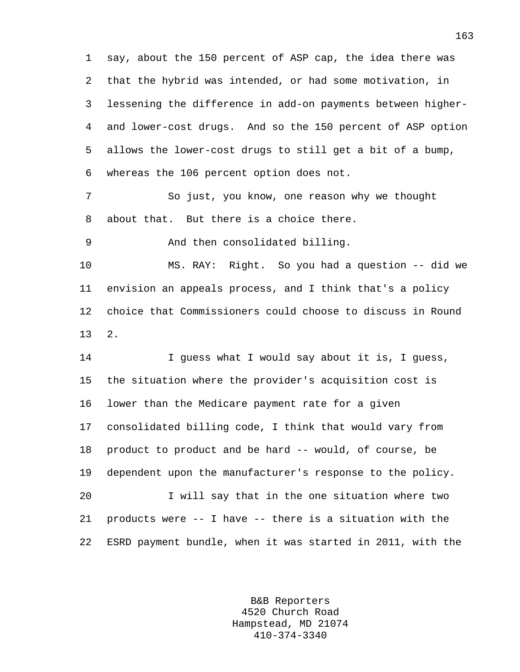1 say, about the 150 percent of ASP cap, the idea there was 2 that the hybrid was intended, or had some motivation, in 3 lessening the difference in add-on payments between higher-4 and lower-cost drugs. And so the 150 percent of ASP option 5 allows the lower-cost drugs to still get a bit of a bump, 6 whereas the 106 percent option does not. 7 So just, you know, one reason why we thought

8 about that. But there is a choice there.

9 And then consolidated billing.

10 MS. RAY: Right. So you had a question -- did we 11 envision an appeals process, and I think that's a policy 12 choice that Commissioners could choose to discuss in Round 13 2.

14 I guess what I would say about it is, I guess, 15 the situation where the provider's acquisition cost is 16 lower than the Medicare payment rate for a given 17 consolidated billing code, I think that would vary from 18 product to product and be hard -- would, of course, be 19 dependent upon the manufacturer's response to the policy. 20 I will say that in the one situation where two 21 products were -- I have -- there is a situation with the 22 ESRD payment bundle, when it was started in 2011, with the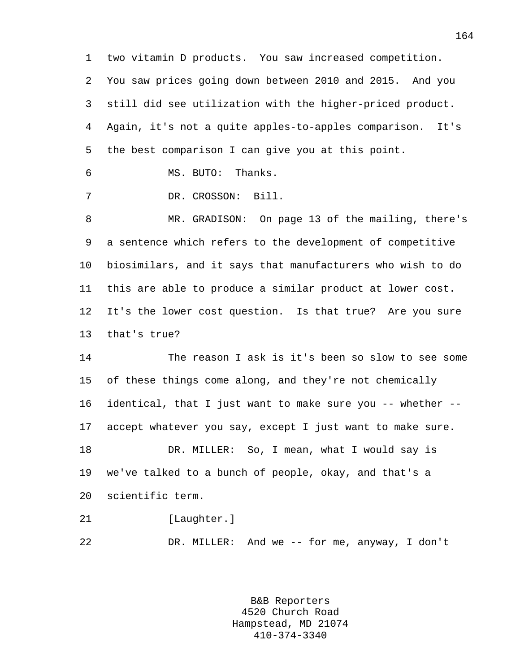1 two vitamin D products. You saw increased competition. 2 You saw prices going down between 2010 and 2015. And you 3 still did see utilization with the higher-priced product. 4 Again, it's not a quite apples-to-apples comparison. It's 5 the best comparison I can give you at this point. 6 MS. BUTO: Thanks. 7 DR. CROSSON: Bill.

8 MR. GRADISON: On page 13 of the mailing, there's 9 a sentence which refers to the development of competitive 10 biosimilars, and it says that manufacturers who wish to do 11 this are able to produce a similar product at lower cost. 12 It's the lower cost question. Is that true? Are you sure 13 that's true?

14 The reason I ask is it's been so slow to see some 15 of these things come along, and they're not chemically 16 identical, that I just want to make sure you -- whether -- 17 accept whatever you say, except I just want to make sure. 18 DR. MILLER: So, I mean, what I would say is 19 we've talked to a bunch of people, okay, and that's a 20 scientific term. 21 [Laughter.]

22 DR. MILLER: And we -- for me, anyway, I don't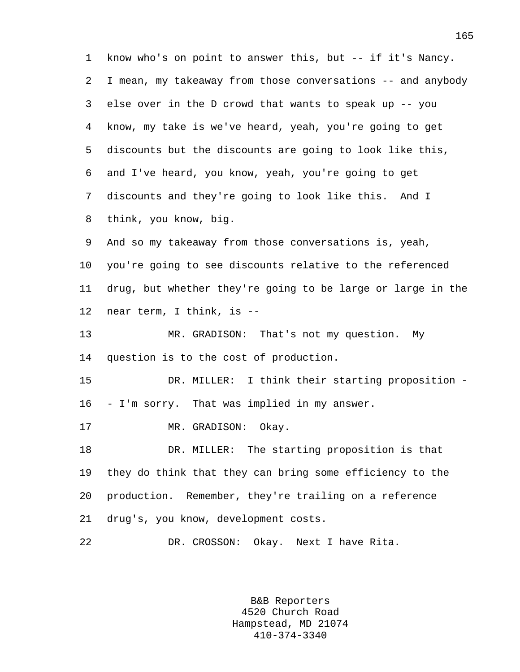1 know who's on point to answer this, but -- if it's Nancy. 2 I mean, my takeaway from those conversations -- and anybody 3 else over in the D crowd that wants to speak up -- you 4 know, my take is we've heard, yeah, you're going to get 5 discounts but the discounts are going to look like this, 6 and I've heard, you know, yeah, you're going to get 7 discounts and they're going to look like this. And I 8 think, you know, big. 9 And so my takeaway from those conversations is, yeah, 10 you're going to see discounts relative to the referenced 11 drug, but whether they're going to be large or large in the 12 near term, I think, is -- 13 MR. GRADISON: That's not my question. My 14 question is to the cost of production. 15 DR. MILLER: I think their starting proposition - 16 - I'm sorry. That was implied in my answer. 17 MR. GRADISON: Okay. 18 DR. MILLER: The starting proposition is that 19 they do think that they can bring some efficiency to the 20 production. Remember, they're trailing on a reference 21 drug's, you know, development costs. 22 DR. CROSSON: Okay. Next I have Rita.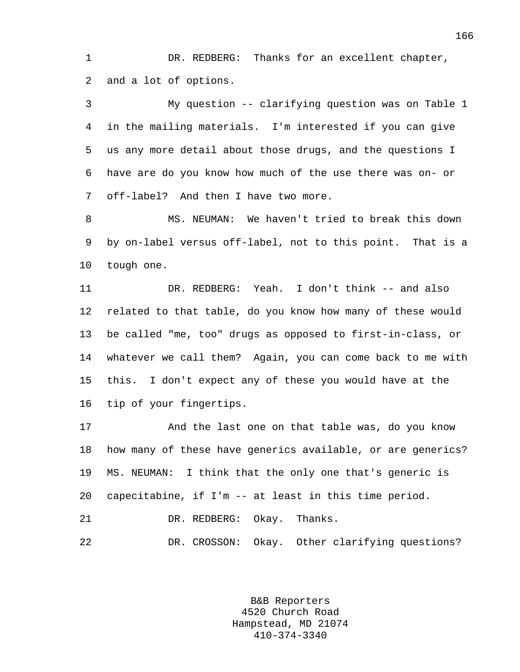1 DR. REDBERG: Thanks for an excellent chapter, 2 and a lot of options.

3 My question -- clarifying question was on Table 1 4 in the mailing materials. I'm interested if you can give 5 us any more detail about those drugs, and the questions I 6 have are do you know how much of the use there was on- or 7 off-label? And then I have two more.

8 MS. NEUMAN: We haven't tried to break this down 9 by on-label versus off-label, not to this point. That is a 10 tough one.

11 DR. REDBERG: Yeah. I don't think -- and also 12 related to that table, do you know how many of these would 13 be called "me, too" drugs as opposed to first-in-class, or 14 whatever we call them? Again, you can come back to me with 15 this. I don't expect any of these you would have at the 16 tip of your fingertips.

17 And the last one on that table was, do you know 18 how many of these have generics available, or are generics? 19 MS. NEUMAN: I think that the only one that's generic is 20 capecitabine, if I'm -- at least in this time period. 21 DR. REDBERG: Okay. Thanks. 22 DR. CROSSON: Okay. Other clarifying questions?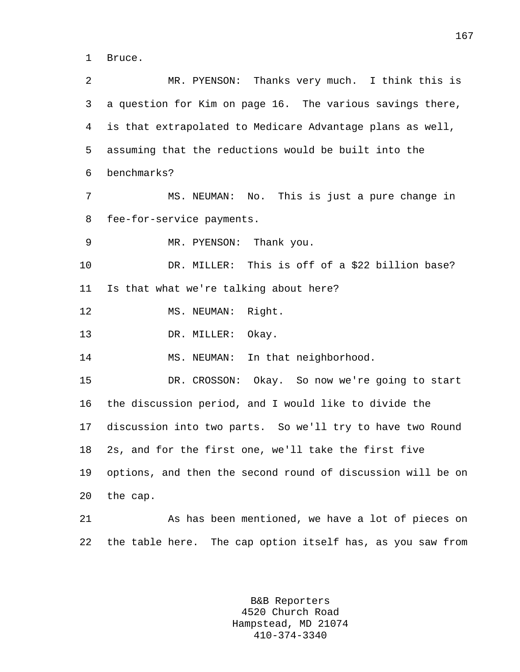1 Bruce.

2 MR. PYENSON: Thanks very much. I think this is 3 a question for Kim on page 16. The various savings there, 4 is that extrapolated to Medicare Advantage plans as well, 5 assuming that the reductions would be built into the 6 benchmarks? 7 MS. NEUMAN: No. This is just a pure change in 8 fee-for-service payments. 9 MR. PYENSON: Thank you. 10 DR. MILLER: This is off of a \$22 billion base? 11 Is that what we're talking about here? 12 MS. NEUMAN: Right. 13 DR. MILLER: Okay. 14 MS. NEUMAN: In that neighborhood. 15 DR. CROSSON: Okay. So now we're going to start 16 the discussion period, and I would like to divide the 17 discussion into two parts. So we'll try to have two Round 18 2s, and for the first one, we'll take the first five 19 options, and then the second round of discussion will be on 20 the cap. 21 As has been mentioned, we have a lot of pieces on 22 the table here. The cap option itself has, as you saw from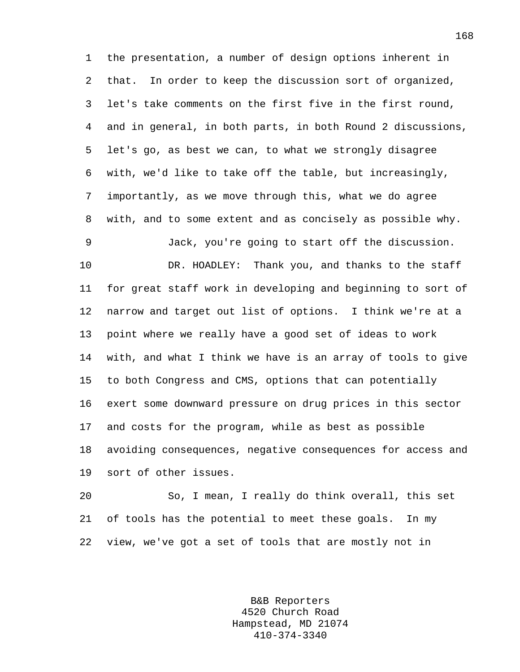1 the presentation, a number of design options inherent in 2 that. In order to keep the discussion sort of organized, 3 let's take comments on the first five in the first round, 4 and in general, in both parts, in both Round 2 discussions, 5 let's go, as best we can, to what we strongly disagree 6 with, we'd like to take off the table, but increasingly, 7 importantly, as we move through this, what we do agree 8 with, and to some extent and as concisely as possible why. 9 Jack, you're going to start off the discussion. 10 DR. HOADLEY: Thank you, and thanks to the staff

11 for great staff work in developing and beginning to sort of 12 narrow and target out list of options. I think we're at a 13 point where we really have a good set of ideas to work 14 with, and what I think we have is an array of tools to give 15 to both Congress and CMS, options that can potentially 16 exert some downward pressure on drug prices in this sector 17 and costs for the program, while as best as possible 18 avoiding consequences, negative consequences for access and 19 sort of other issues.

20 So, I mean, I really do think overall, this set 21 of tools has the potential to meet these goals. In my 22 view, we've got a set of tools that are mostly not in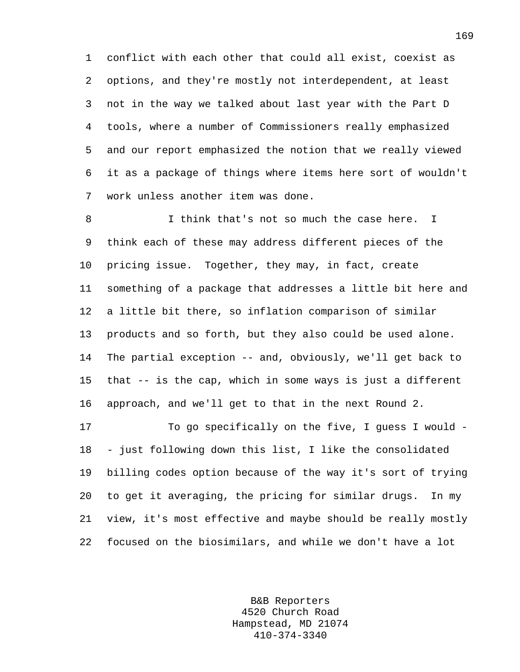1 conflict with each other that could all exist, coexist as 2 options, and they're mostly not interdependent, at least 3 not in the way we talked about last year with the Part D 4 tools, where a number of Commissioners really emphasized 5 and our report emphasized the notion that we really viewed 6 it as a package of things where items here sort of wouldn't 7 work unless another item was done.

8 I think that's not so much the case here. I 9 think each of these may address different pieces of the 10 pricing issue. Together, they may, in fact, create 11 something of a package that addresses a little bit here and 12 a little bit there, so inflation comparison of similar 13 products and so forth, but they also could be used alone. 14 The partial exception -- and, obviously, we'll get back to 15 that -- is the cap, which in some ways is just a different 16 approach, and we'll get to that in the next Round 2.

17 To go specifically on the five, I guess I would - 18 - just following down this list, I like the consolidated 19 billing codes option because of the way it's sort of trying 20 to get it averaging, the pricing for similar drugs. In my 21 view, it's most effective and maybe should be really mostly 22 focused on the biosimilars, and while we don't have a lot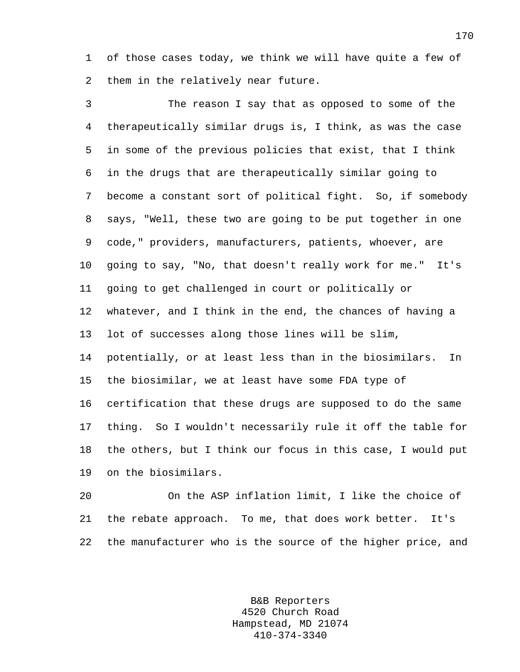1 of those cases today, we think we will have quite a few of 2 them in the relatively near future.

3 The reason I say that as opposed to some of the 4 therapeutically similar drugs is, I think, as was the case 5 in some of the previous policies that exist, that I think 6 in the drugs that are therapeutically similar going to 7 become a constant sort of political fight. So, if somebody 8 says, "Well, these two are going to be put together in one 9 code," providers, manufacturers, patients, whoever, are 10 going to say, "No, that doesn't really work for me." It's 11 going to get challenged in court or politically or 12 whatever, and I think in the end, the chances of having a 13 lot of successes along those lines will be slim, 14 potentially, or at least less than in the biosimilars. In 15 the biosimilar, we at least have some FDA type of 16 certification that these drugs are supposed to do the same 17 thing. So I wouldn't necessarily rule it off the table for 18 the others, but I think our focus in this case, I would put 19 on the biosimilars.

20 On the ASP inflation limit, I like the choice of 21 the rebate approach. To me, that does work better. It's 22 the manufacturer who is the source of the higher price, and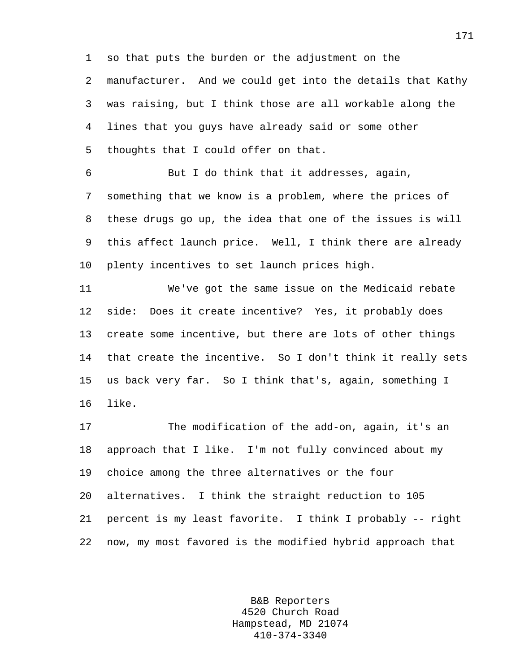1 so that puts the burden or the adjustment on the 2 manufacturer. And we could get into the details that Kathy 3 was raising, but I think those are all workable along the 4 lines that you guys have already said or some other 5 thoughts that I could offer on that.

6 But I do think that it addresses, again, 7 something that we know is a problem, where the prices of 8 these drugs go up, the idea that one of the issues is will 9 this affect launch price. Well, I think there are already 10 plenty incentives to set launch prices high.

11 We've got the same issue on the Medicaid rebate 12 side: Does it create incentive? Yes, it probably does 13 create some incentive, but there are lots of other things 14 that create the incentive. So I don't think it really sets 15 us back very far. So I think that's, again, something I 16 like.

17 The modification of the add-on, again, it's an 18 approach that I like. I'm not fully convinced about my 19 choice among the three alternatives or the four 20 alternatives. I think the straight reduction to 105 21 percent is my least favorite. I think I probably -- right 22 now, my most favored is the modified hybrid approach that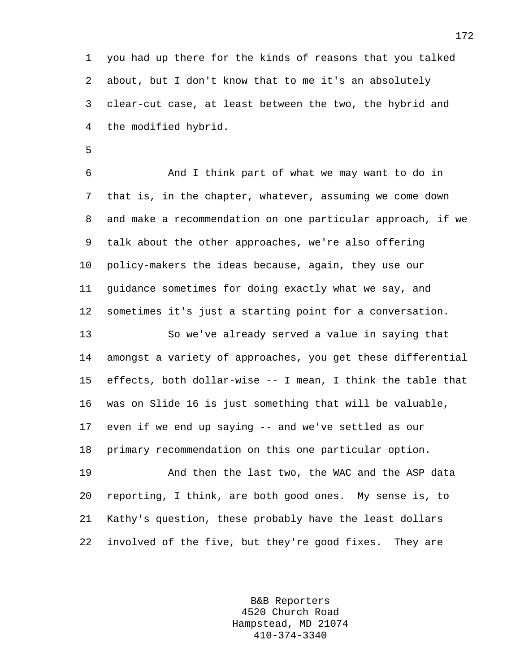1 you had up there for the kinds of reasons that you talked 2 about, but I don't know that to me it's an absolutely 3 clear-cut case, at least between the two, the hybrid and 4 the modified hybrid.

5

6 And I think part of what we may want to do in 7 that is, in the chapter, whatever, assuming we come down 8 and make a recommendation on one particular approach, if we 9 talk about the other approaches, we're also offering 10 policy-makers the ideas because, again, they use our 11 guidance sometimes for doing exactly what we say, and 12 sometimes it's just a starting point for a conversation. 13 So we've already served a value in saying that

14 amongst a variety of approaches, you get these differential 15 effects, both dollar-wise -- I mean, I think the table that 16 was on Slide 16 is just something that will be valuable, 17 even if we end up saying -- and we've settled as our 18 primary recommendation on this one particular option.

19 And then the last two, the WAC and the ASP data 20 reporting, I think, are both good ones. My sense is, to 21 Kathy's question, these probably have the least dollars 22 involved of the five, but they're good fixes. They are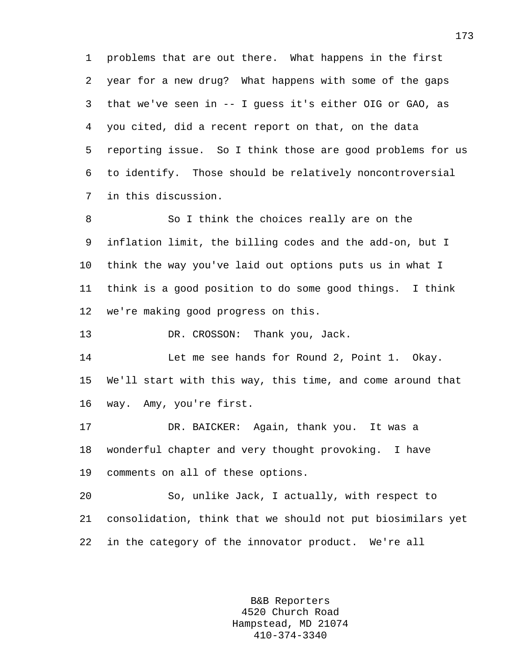1 problems that are out there. What happens in the first 2 year for a new drug? What happens with some of the gaps 3 that we've seen in -- I guess it's either OIG or GAO, as 4 you cited, did a recent report on that, on the data 5 reporting issue. So I think those are good problems for us 6 to identify. Those should be relatively noncontroversial 7 in this discussion.

8 So I think the choices really are on the 9 inflation limit, the billing codes and the add-on, but I 10 think the way you've laid out options puts us in what I 11 think is a good position to do some good things. I think 12 we're making good progress on this.

13 DR. CROSSON: Thank you, Jack.

14 Let me see hands for Round 2, Point 1. Okay. 15 We'll start with this way, this time, and come around that 16 way. Amy, you're first.

17 DR. BAICKER: Again, thank you. It was a 18 wonderful chapter and very thought provoking. I have 19 comments on all of these options.

20 So, unlike Jack, I actually, with respect to 21 consolidation, think that we should not put biosimilars yet 22 in the category of the innovator product. We're all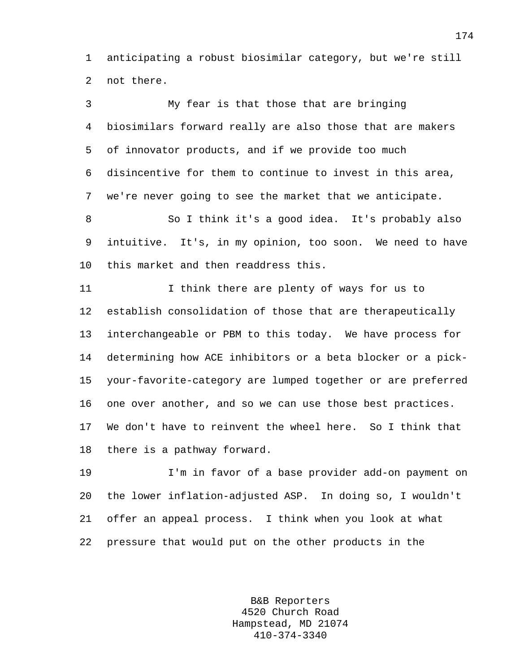1 anticipating a robust biosimilar category, but we're still 2 not there.

3 My fear is that those that are bringing 4 biosimilars forward really are also those that are makers 5 of innovator products, and if we provide too much 6 disincentive for them to continue to invest in this area, 7 we're never going to see the market that we anticipate.

8 So I think it's a good idea. It's probably also 9 intuitive. It's, in my opinion, too soon. We need to have 10 this market and then readdress this.

11 I think there are plenty of ways for us to 12 establish consolidation of those that are therapeutically 13 interchangeable or PBM to this today. We have process for 14 determining how ACE inhibitors or a beta blocker or a pick-15 your-favorite-category are lumped together or are preferred 16 one over another, and so we can use those best practices. 17 We don't have to reinvent the wheel here. So I think that 18 there is a pathway forward.

19 I'm in favor of a base provider add-on payment on 20 the lower inflation-adjusted ASP. In doing so, I wouldn't 21 offer an appeal process. I think when you look at what 22 pressure that would put on the other products in the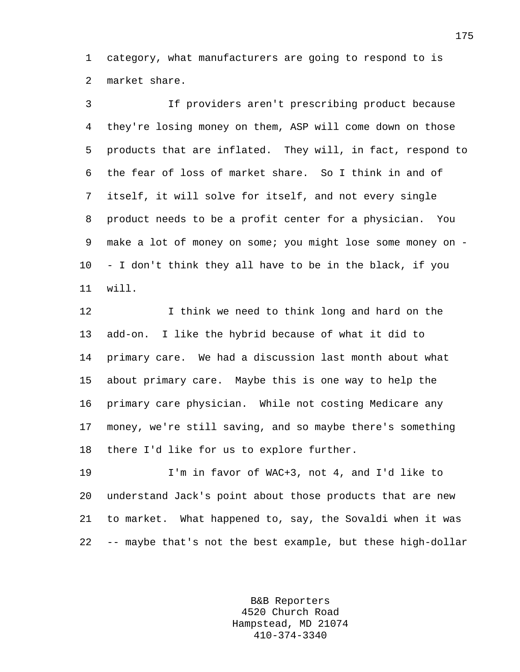1 category, what manufacturers are going to respond to is 2 market share.

3 If providers aren't prescribing product because 4 they're losing money on them, ASP will come down on those 5 products that are inflated. They will, in fact, respond to 6 the fear of loss of market share. So I think in and of 7 itself, it will solve for itself, and not every single 8 product needs to be a profit center for a physician. You 9 make a lot of money on some; you might lose some money on - 10 - I don't think they all have to be in the black, if you 11 will.

12 I think we need to think long and hard on the 13 add-on. I like the hybrid because of what it did to 14 primary care. We had a discussion last month about what 15 about primary care. Maybe this is one way to help the 16 primary care physician. While not costing Medicare any 17 money, we're still saving, and so maybe there's something 18 there I'd like for us to explore further.

19 I'm in favor of WAC+3, not 4, and I'd like to 20 understand Jack's point about those products that are new 21 to market. What happened to, say, the Sovaldi when it was 22 -- maybe that's not the best example, but these high-dollar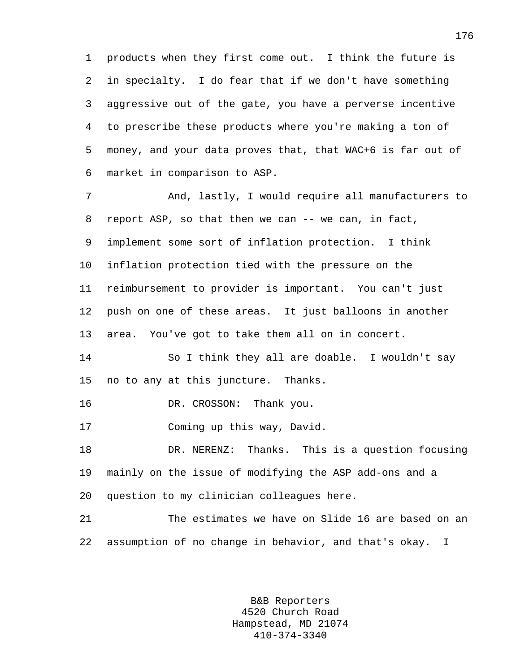1 products when they first come out. I think the future is 2 in specialty. I do fear that if we don't have something 3 aggressive out of the gate, you have a perverse incentive 4 to prescribe these products where you're making a ton of 5 money, and your data proves that, that WAC+6 is far out of 6 market in comparison to ASP.

7 And, lastly, I would require all manufacturers to 8 report ASP, so that then we can -- we can, in fact, 9 implement some sort of inflation protection. I think 10 inflation protection tied with the pressure on the 11 reimbursement to provider is important. You can't just 12 push on one of these areas. It just balloons in another 13 area. You've got to take them all on in concert.

14 So I think they all are doable. I wouldn't say 15 no to any at this juncture. Thanks.

16 DR. CROSSON: Thank you.

17 Coming up this way, David.

18 DR. NERENZ: Thanks. This is a question focusing 19 mainly on the issue of modifying the ASP add-ons and a 20 question to my clinician colleagues here.

21 The estimates we have on Slide 16 are based on an 22 assumption of no change in behavior, and that's okay. I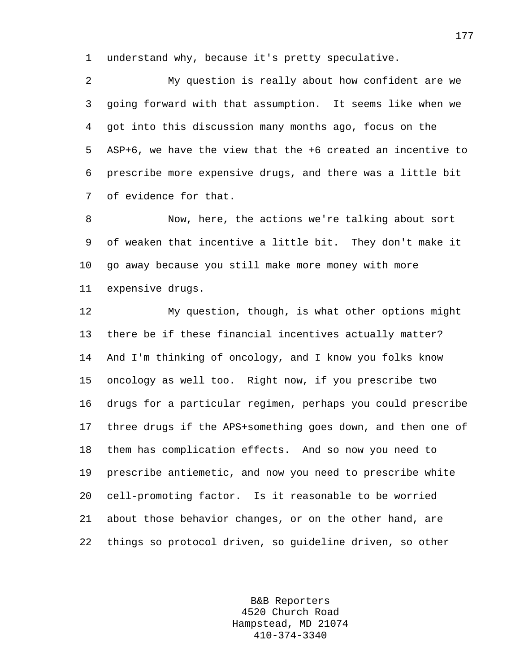1 understand why, because it's pretty speculative.

2 My question is really about how confident are we 3 going forward with that assumption. It seems like when we 4 got into this discussion many months ago, focus on the 5 ASP+6, we have the view that the +6 created an incentive to 6 prescribe more expensive drugs, and there was a little bit 7 of evidence for that.

8 Now, here, the actions we're talking about sort 9 of weaken that incentive a little bit. They don't make it 10 go away because you still make more money with more 11 expensive drugs.

12 My question, though, is what other options might 13 there be if these financial incentives actually matter? 14 And I'm thinking of oncology, and I know you folks know 15 oncology as well too. Right now, if you prescribe two 16 drugs for a particular regimen, perhaps you could prescribe 17 three drugs if the APS+something goes down, and then one of 18 them has complication effects. And so now you need to 19 prescribe antiemetic, and now you need to prescribe white 20 cell-promoting factor. Is it reasonable to be worried 21 about those behavior changes, or on the other hand, are 22 things so protocol driven, so guideline driven, so other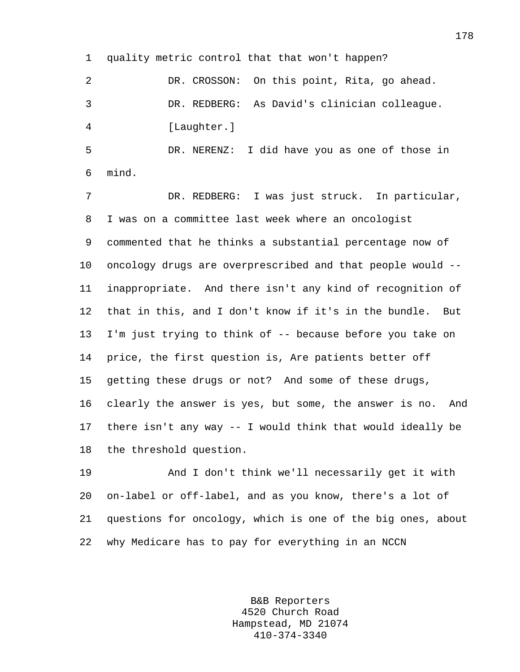1 quality metric control that that won't happen?

2 DR. CROSSON: On this point, Rita, go ahead. 3 DR. REDBERG: As David's clinician colleague. 4 [Laughter.]

5 DR. NERENZ: I did have you as one of those in 6 mind.

7 DR. REDBERG: I was just struck. In particular, 8 I was on a committee last week where an oncologist 9 commented that he thinks a substantial percentage now of 10 oncology drugs are overprescribed and that people would -- 11 inappropriate. And there isn't any kind of recognition of 12 that in this, and I don't know if it's in the bundle. But 13 I'm just trying to think of -- because before you take on 14 price, the first question is, Are patients better off 15 getting these drugs or not? And some of these drugs, 16 clearly the answer is yes, but some, the answer is no. And 17 there isn't any way -- I would think that would ideally be 18 the threshold question.

19 And I don't think we'll necessarily get it with 20 on-label or off-label, and as you know, there's a lot of 21 questions for oncology, which is one of the big ones, about 22 why Medicare has to pay for everything in an NCCN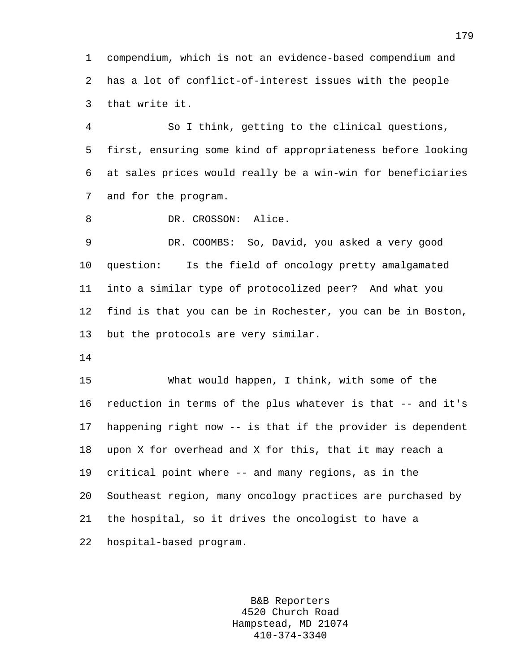1 compendium, which is not an evidence-based compendium and 2 has a lot of conflict-of-interest issues with the people 3 that write it.

4 So I think, getting to the clinical questions, 5 first, ensuring some kind of appropriateness before looking 6 at sales prices would really be a win-win for beneficiaries 7 and for the program.

8 DR. CROSSON: Alice.

9 DR. COOMBS: So, David, you asked a very good 10 question: Is the field of oncology pretty amalgamated 11 into a similar type of protocolized peer? And what you 12 find is that you can be in Rochester, you can be in Boston, 13 but the protocols are very similar.

14

15 What would happen, I think, with some of the 16 reduction in terms of the plus whatever is that -- and it's 17 happening right now -- is that if the provider is dependent 18 upon X for overhead and X for this, that it may reach a 19 critical point where -- and many regions, as in the 20 Southeast region, many oncology practices are purchased by 21 the hospital, so it drives the oncologist to have a 22 hospital-based program.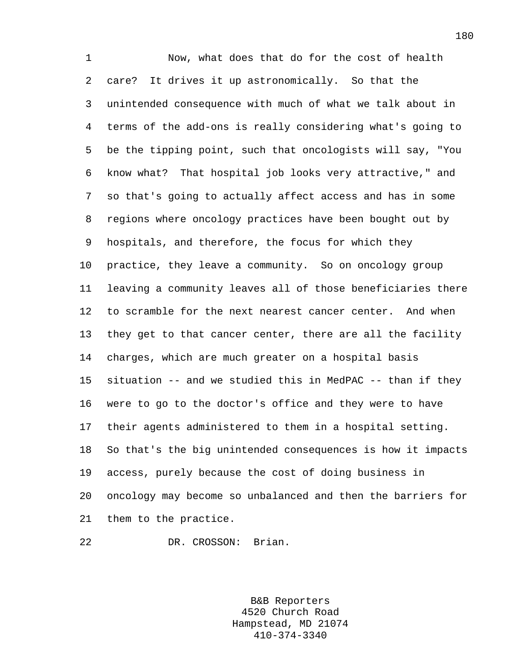1 Now, what does that do for the cost of health 2 care? It drives it up astronomically. So that the 3 unintended consequence with much of what we talk about in 4 terms of the add-ons is really considering what's going to 5 be the tipping point, such that oncologists will say, "You 6 know what? That hospital job looks very attractive," and 7 so that's going to actually affect access and has in some 8 regions where oncology practices have been bought out by 9 hospitals, and therefore, the focus for which they 10 practice, they leave a community. So on oncology group 11 leaving a community leaves all of those beneficiaries there 12 to scramble for the next nearest cancer center. And when 13 they get to that cancer center, there are all the facility 14 charges, which are much greater on a hospital basis 15 situation -- and we studied this in MedPAC -- than if they 16 were to go to the doctor's office and they were to have 17 their agents administered to them in a hospital setting. 18 So that's the big unintended consequences is how it impacts 19 access, purely because the cost of doing business in 20 oncology may become so unbalanced and then the barriers for 21 them to the practice.

22 DR. CROSSON: Brian.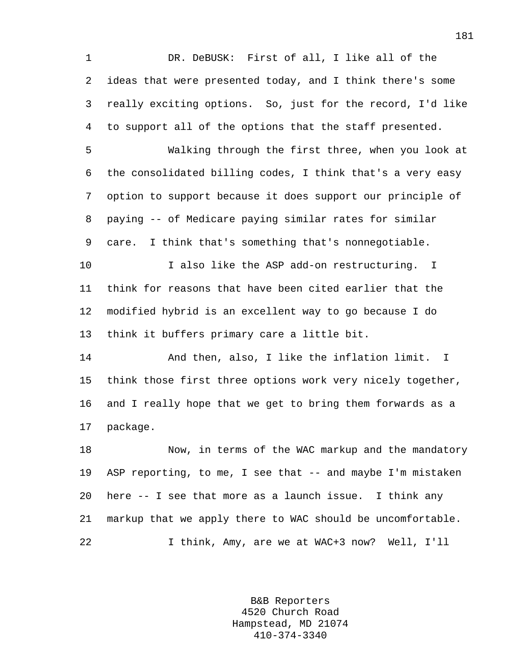1 DR. DeBUSK: First of all, I like all of the 2 ideas that were presented today, and I think there's some 3 really exciting options. So, just for the record, I'd like 4 to support all of the options that the staff presented.

5 Walking through the first three, when you look at 6 the consolidated billing codes, I think that's a very easy 7 option to support because it does support our principle of 8 paying -- of Medicare paying similar rates for similar 9 care. I think that's something that's nonnegotiable.

10 I also like the ASP add-on restructuring. I 11 think for reasons that have been cited earlier that the 12 modified hybrid is an excellent way to go because I do 13 think it buffers primary care a little bit.

14 And then, also, I like the inflation limit. I 15 think those first three options work very nicely together, 16 and I really hope that we get to bring them forwards as a 17 package.

18 Now, in terms of the WAC markup and the mandatory 19 ASP reporting, to me, I see that -- and maybe I'm mistaken 20 here -- I see that more as a launch issue. I think any 21 markup that we apply there to WAC should be uncomfortable. 22 I think, Amy, are we at WAC+3 now? Well, I'll

> B&B Reporters 4520 Church Road Hampstead, MD 21074 410-374-3340

181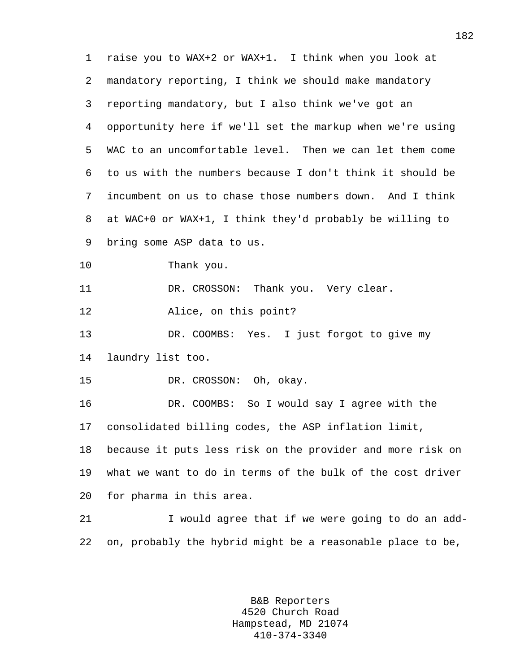| $\mathbf 1$ | raise you to WAX+2 or WAX+1. I think when you look at      |
|-------------|------------------------------------------------------------|
| 2           | mandatory reporting, I think we should make mandatory      |
| 3           | reporting mandatory, but I also think we've got an         |
| 4           | opportunity here if we'll set the markup when we're using  |
| 5           | WAC to an uncomfortable level. Then we can let them come   |
| 6           | to us with the numbers because I don't think it should be  |
| 7           | incumbent on us to chase those numbers down. And I think   |
| 8           | at WAC+0 or WAX+1, I think they'd probably be willing to   |
| 9           | bring some ASP data to us.                                 |
| 10          | Thank you.                                                 |
| 11          | DR. CROSSON: Thank you. Very clear.                        |
| 12          | Alice, on this point?                                      |
| 13          | DR. COOMBS: Yes. I just forgot to give my                  |
| 14          | laundry list too.                                          |
| 15          | DR. CROSSON: Oh, okay.                                     |
| 16          | DR. COOMBS: So I would say I agree with the                |
| 17          | consolidated billing codes, the ASP inflation limit,       |
| 18          | because it puts less risk on the provider and more risk on |
| 19          | what we want to do in terms of the bulk of the cost driver |
| 20          | for pharma in this area.                                   |
| 21          | I would agree that if we were going to do an add-          |
| 22          | on, probably the hybrid might be a reasonable place to be, |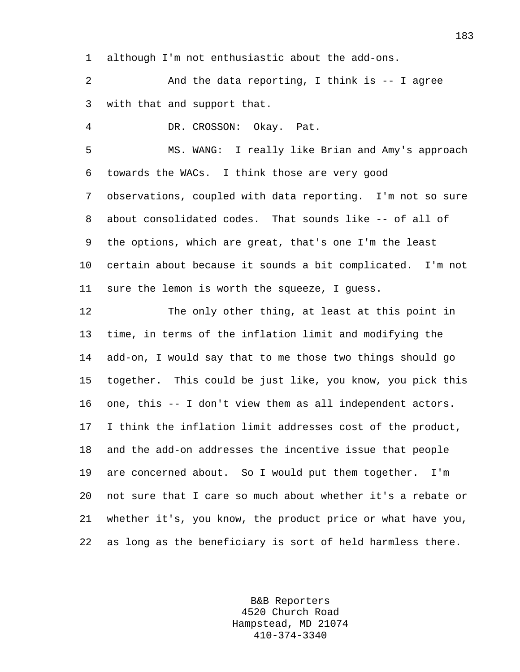1 although I'm not enthusiastic about the add-ons.

2 And the data reporting, I think is -- I agree 3 with that and support that.

4 DR. CROSSON: Okay. Pat.

5 MS. WANG: I really like Brian and Amy's approach 6 towards the WACs. I think those are very good 7 observations, coupled with data reporting. I'm not so sure 8 about consolidated codes. That sounds like -- of all of 9 the options, which are great, that's one I'm the least 10 certain about because it sounds a bit complicated. I'm not 11 sure the lemon is worth the squeeze, I guess.

12 The only other thing, at least at this point in 13 time, in terms of the inflation limit and modifying the 14 add-on, I would say that to me those two things should go 15 together. This could be just like, you know, you pick this 16 one, this -- I don't view them as all independent actors. 17 I think the inflation limit addresses cost of the product, 18 and the add-on addresses the incentive issue that people 19 are concerned about. So I would put them together. I'm 20 not sure that I care so much about whether it's a rebate or 21 whether it's, you know, the product price or what have you, 22 as long as the beneficiary is sort of held harmless there.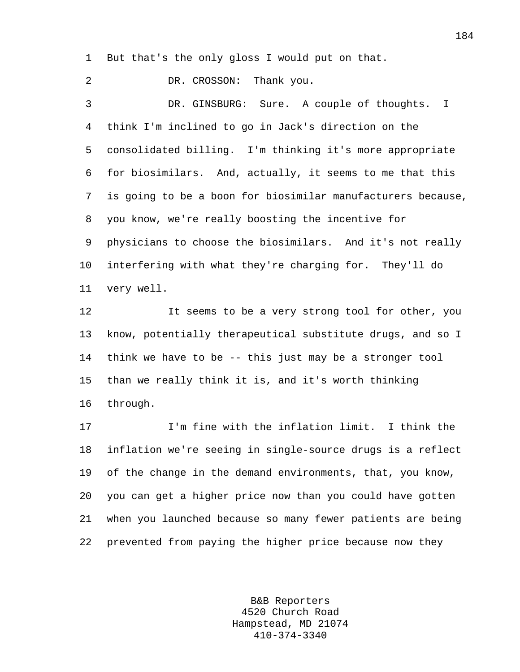1 But that's the only gloss I would put on that.

2 DR. CROSSON: Thank you.

3 DR. GINSBURG: Sure. A couple of thoughts. I 4 think I'm inclined to go in Jack's direction on the 5 consolidated billing. I'm thinking it's more appropriate 6 for biosimilars. And, actually, it seems to me that this 7 is going to be a boon for biosimilar manufacturers because, 8 you know, we're really boosting the incentive for 9 physicians to choose the biosimilars. And it's not really 10 interfering with what they're charging for. They'll do 11 very well.

12 It seems to be a very strong tool for other, you 13 know, potentially therapeutical substitute drugs, and so I 14 think we have to be -- this just may be a stronger tool 15 than we really think it is, and it's worth thinking 16 through.

17 I'm fine with the inflation limit. I think the 18 inflation we're seeing in single-source drugs is a reflect 19 of the change in the demand environments, that, you know, 20 you can get a higher price now than you could have gotten 21 when you launched because so many fewer patients are being 22 prevented from paying the higher price because now they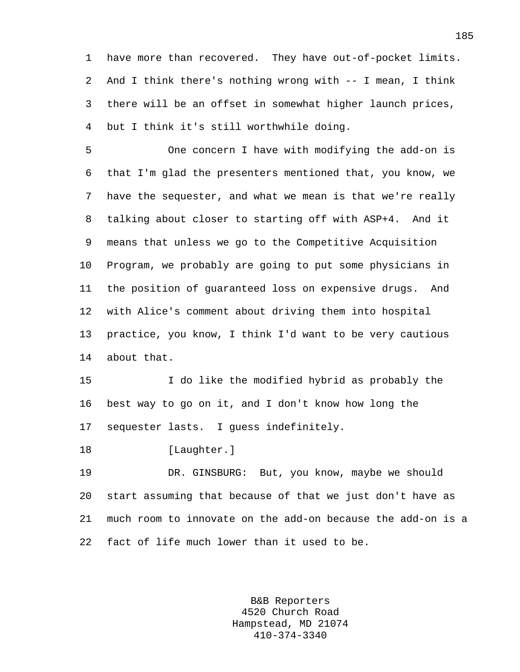1 have more than recovered. They have out-of-pocket limits. 2 And I think there's nothing wrong with -- I mean, I think 3 there will be an offset in somewhat higher launch prices, 4 but I think it's still worthwhile doing.

5 One concern I have with modifying the add-on is 6 that I'm glad the presenters mentioned that, you know, we 7 have the sequester, and what we mean is that we're really 8 talking about closer to starting off with ASP+4. And it 9 means that unless we go to the Competitive Acquisition 10 Program, we probably are going to put some physicians in 11 the position of guaranteed loss on expensive drugs. And 12 with Alice's comment about driving them into hospital 13 practice, you know, I think I'd want to be very cautious 14 about that.

15 I do like the modified hybrid as probably the 16 best way to go on it, and I don't know how long the 17 sequester lasts. I guess indefinitely.

18 [Laughter.]

19 DR. GINSBURG: But, you know, maybe we should 20 start assuming that because of that we just don't have as 21 much room to innovate on the add-on because the add-on is a 22 fact of life much lower than it used to be.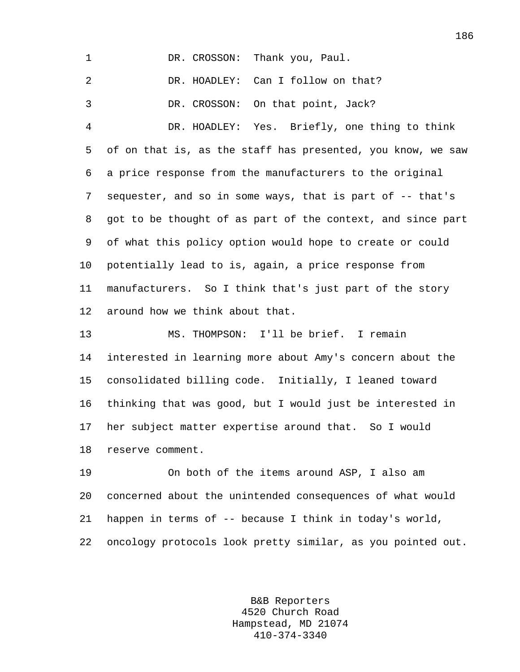1 DR. CROSSON: Thank you, Paul. 2 DR. HOADLEY: Can I follow on that? 3 DR. CROSSON: On that point, Jack? 4 DR. HOADLEY: Yes. Briefly, one thing to think 5 of on that is, as the staff has presented, you know, we saw 6 a price response from the manufacturers to the original 7 sequester, and so in some ways, that is part of -- that's 8 got to be thought of as part of the context, and since part 9 of what this policy option would hope to create or could 10 potentially lead to is, again, a price response from 11 manufacturers. So I think that's just part of the story 12 around how we think about that. 13 MS. THOMPSON: I'll be brief. I remain 14 interested in learning more about Amy's concern about the 15 consolidated billing code. Initially, I leaned toward 16 thinking that was good, but I would just be interested in 17 her subject matter expertise around that. So I would 18 reserve comment.

19 On both of the items around ASP, I also am 20 concerned about the unintended consequences of what would 21 happen in terms of -- because I think in today's world, 22 oncology protocols look pretty similar, as you pointed out.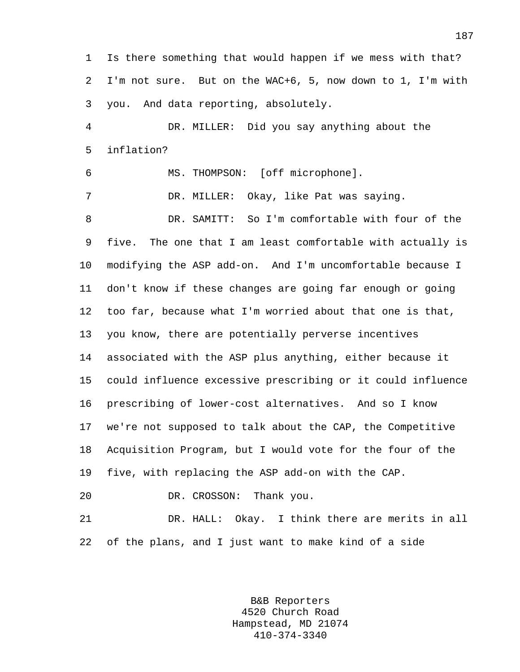1 Is there something that would happen if we mess with that? 2 I'm not sure. But on the WAC+6, 5, now down to 1, I'm with 3 you. And data reporting, absolutely.

4 DR. MILLER: Did you say anything about the 5 inflation?

6 MS. THOMPSON: [off microphone].

7 DR. MILLER: Okay, like Pat was saying.

8 DR. SAMITT: So I'm comfortable with four of the 9 five. The one that I am least comfortable with actually is 10 modifying the ASP add-on. And I'm uncomfortable because I 11 don't know if these changes are going far enough or going 12 too far, because what I'm worried about that one is that, 13 you know, there are potentially perverse incentives 14 associated with the ASP plus anything, either because it 15 could influence excessive prescribing or it could influence 16 prescribing of lower-cost alternatives. And so I know 17 we're not supposed to talk about the CAP, the Competitive 18 Acquisition Program, but I would vote for the four of the 19 five, with replacing the ASP add-on with the CAP.

20 DR. CROSSON: Thank you.

21 DR. HALL: Okay. I think there are merits in all 22 of the plans, and I just want to make kind of a side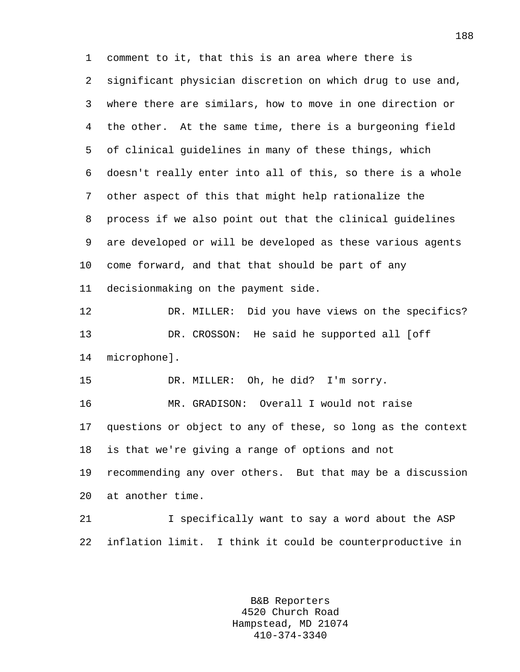1 comment to it, that this is an area where there is 2 significant physician discretion on which drug to use and, 3 where there are similars, how to move in one direction or 4 the other. At the same time, there is a burgeoning field 5 of clinical guidelines in many of these things, which 6 doesn't really enter into all of this, so there is a whole 7 other aspect of this that might help rationalize the 8 process if we also point out that the clinical guidelines 9 are developed or will be developed as these various agents 10 come forward, and that that should be part of any 11 decisionmaking on the payment side. 12 DR. MILLER: Did you have views on the specifics? 13 DR. CROSSON: He said he supported all [off 14 microphone]. 15 DR. MILLER: Oh, he did? I'm sorry. 16 MR. GRADISON: Overall I would not raise 17 questions or object to any of these, so long as the context 18 is that we're giving a range of options and not 19 recommending any over others. But that may be a discussion 20 at another time. 21 I specifically want to say a word about the ASP 22 inflation limit. I think it could be counterproductive in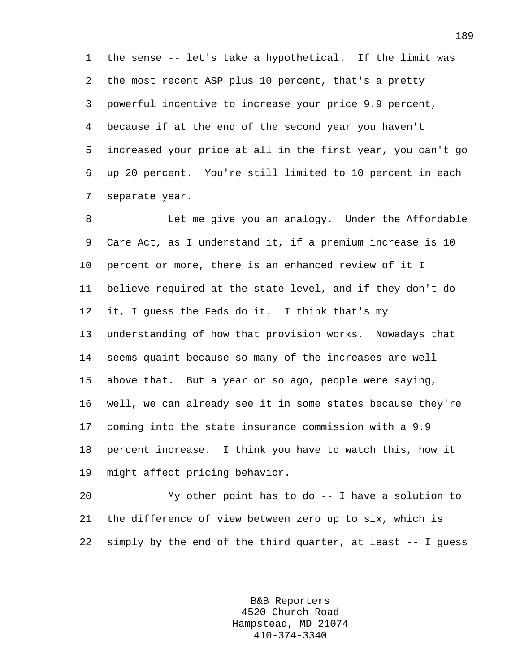1 the sense -- let's take a hypothetical. If the limit was 2 the most recent ASP plus 10 percent, that's a pretty 3 powerful incentive to increase your price 9.9 percent, 4 because if at the end of the second year you haven't 5 increased your price at all in the first year, you can't go 6 up 20 percent. You're still limited to 10 percent in each 7 separate year.

8 Let me give you an analogy. Under the Affordable 9 Care Act, as I understand it, if a premium increase is 10 10 percent or more, there is an enhanced review of it I 11 believe required at the state level, and if they don't do 12 it, I guess the Feds do it. I think that's my 13 understanding of how that provision works. Nowadays that 14 seems quaint because so many of the increases are well 15 above that. But a year or so ago, people were saying, 16 well, we can already see it in some states because they're 17 coming into the state insurance commission with a 9.9 18 percent increase. I think you have to watch this, how it 19 might affect pricing behavior.

20 My other point has to do -- I have a solution to 21 the difference of view between zero up to six, which is 22 simply by the end of the third quarter, at least -- I guess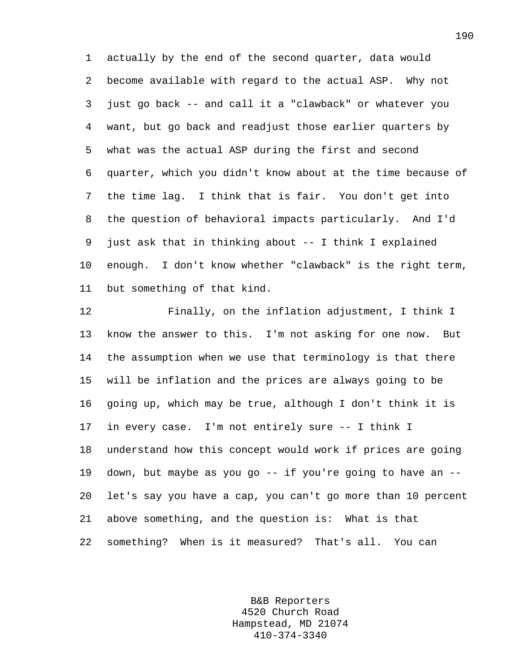1 actually by the end of the second quarter, data would 2 become available with regard to the actual ASP. Why not 3 just go back -- and call it a "clawback" or whatever you 4 want, but go back and readjust those earlier quarters by 5 what was the actual ASP during the first and second 6 quarter, which you didn't know about at the time because of 7 the time lag. I think that is fair. You don't get into 8 the question of behavioral impacts particularly. And I'd 9 just ask that in thinking about -- I think I explained 10 enough. I don't know whether "clawback" is the right term, 11 but something of that kind.

12 Finally, on the inflation adjustment, I think I 13 know the answer to this. I'm not asking for one now. But 14 the assumption when we use that terminology is that there 15 will be inflation and the prices are always going to be 16 going up, which may be true, although I don't think it is 17 in every case. I'm not entirely sure -- I think I 18 understand how this concept would work if prices are going 19 down, but maybe as you go -- if you're going to have an -- 20 let's say you have a cap, you can't go more than 10 percent 21 above something, and the question is: What is that 22 something? When is it measured? That's all. You can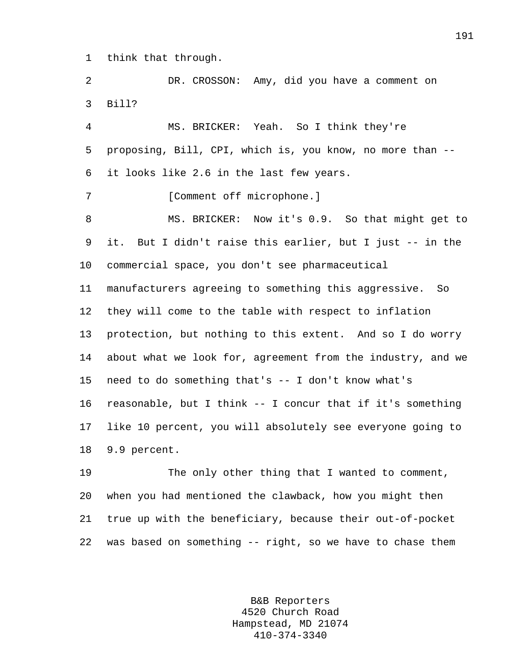1 think that through.

2 DR. CROSSON: Amy, did you have a comment on 3 Bill?

4 MS. BRICKER: Yeah. So I think they're 5 proposing, Bill, CPI, which is, you know, no more than -- 6 it looks like 2.6 in the last few years.

7 [Comment off microphone.]

8 MS. BRICKER: Now it's 0.9. So that might get to 9 it. But I didn't raise this earlier, but I just -- in the 10 commercial space, you don't see pharmaceutical 11 manufacturers agreeing to something this aggressive. So 12 they will come to the table with respect to inflation 13 protection, but nothing to this extent. And so I do worry 14 about what we look for, agreement from the industry, and we 15 need to do something that's -- I don't know what's 16 reasonable, but I think -- I concur that if it's something

17 like 10 percent, you will absolutely see everyone going to 18 9.9 percent.

19 The only other thing that I wanted to comment, 20 when you had mentioned the clawback, how you might then 21 true up with the beneficiary, because their out-of-pocket 22 was based on something -- right, so we have to chase them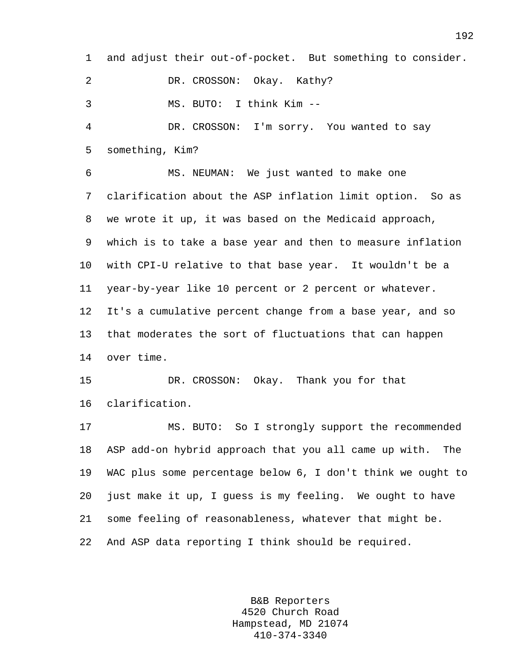1 and adjust their out-of-pocket. But something to consider.

2 DR. CROSSON: Okay. Kathy?

3 MS. BUTO: I think Kim --

4 DR. CROSSON: I'm sorry. You wanted to say 5 something, Kim?

6 MS. NEUMAN: We just wanted to make one 7 clarification about the ASP inflation limit option. So as 8 we wrote it up, it was based on the Medicaid approach, 9 which is to take a base year and then to measure inflation 10 with CPI-U relative to that base year. It wouldn't be a 11 year-by-year like 10 percent or 2 percent or whatever. 12 It's a cumulative percent change from a base year, and so 13 that moderates the sort of fluctuations that can happen 14 over time.

15 DR. CROSSON: Okay. Thank you for that 16 clarification.

17 MS. BUTO: So I strongly support the recommended 18 ASP add-on hybrid approach that you all came up with. The 19 WAC plus some percentage below 6, I don't think we ought to 20 just make it up, I guess is my feeling. We ought to have 21 some feeling of reasonableness, whatever that might be. 22 And ASP data reporting I think should be required.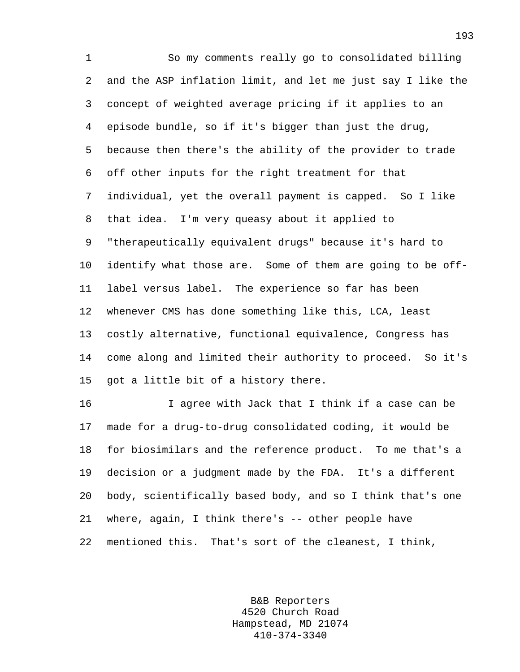1 So my comments really go to consolidated billing 2 and the ASP inflation limit, and let me just say I like the 3 concept of weighted average pricing if it applies to an 4 episode bundle, so if it's bigger than just the drug, 5 because then there's the ability of the provider to trade 6 off other inputs for the right treatment for that 7 individual, yet the overall payment is capped. So I like 8 that idea. I'm very queasy about it applied to 9 "therapeutically equivalent drugs" because it's hard to 10 identify what those are. Some of them are going to be off-11 label versus label. The experience so far has been 12 whenever CMS has done something like this, LCA, least 13 costly alternative, functional equivalence, Congress has 14 come along and limited their authority to proceed. So it's 15 got a little bit of a history there.

16 I agree with Jack that I think if a case can be 17 made for a drug-to-drug consolidated coding, it would be 18 for biosimilars and the reference product. To me that's a 19 decision or a judgment made by the FDA. It's a different 20 body, scientifically based body, and so I think that's one 21 where, again, I think there's -- other people have 22 mentioned this. That's sort of the cleanest, I think,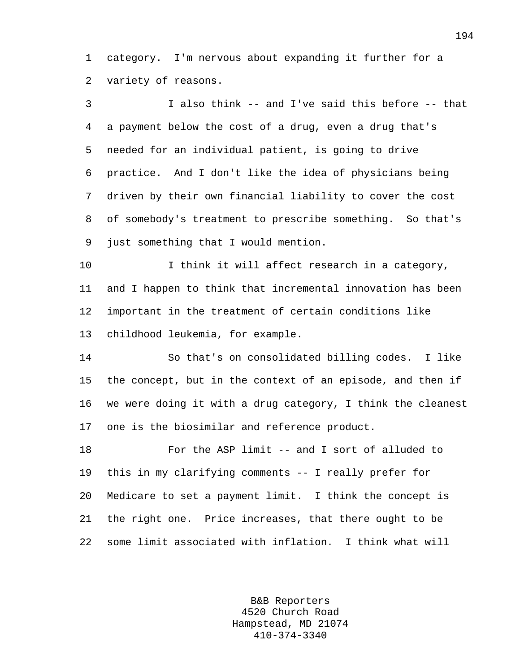1 category. I'm nervous about expanding it further for a 2 variety of reasons.

3 I also think -- and I've said this before -- that 4 a payment below the cost of a drug, even a drug that's 5 needed for an individual patient, is going to drive 6 practice. And I don't like the idea of physicians being 7 driven by their own financial liability to cover the cost 8 of somebody's treatment to prescribe something. So that's 9 just something that I would mention.

10 I think it will affect research in a category, 11 and I happen to think that incremental innovation has been 12 important in the treatment of certain conditions like 13 childhood leukemia, for example.

14 So that's on consolidated billing codes. I like 15 the concept, but in the context of an episode, and then if 16 we were doing it with a drug category, I think the cleanest 17 one is the biosimilar and reference product.

18 For the ASP limit -- and I sort of alluded to 19 this in my clarifying comments -- I really prefer for 20 Medicare to set a payment limit. I think the concept is 21 the right one. Price increases, that there ought to be 22 some limit associated with inflation. I think what will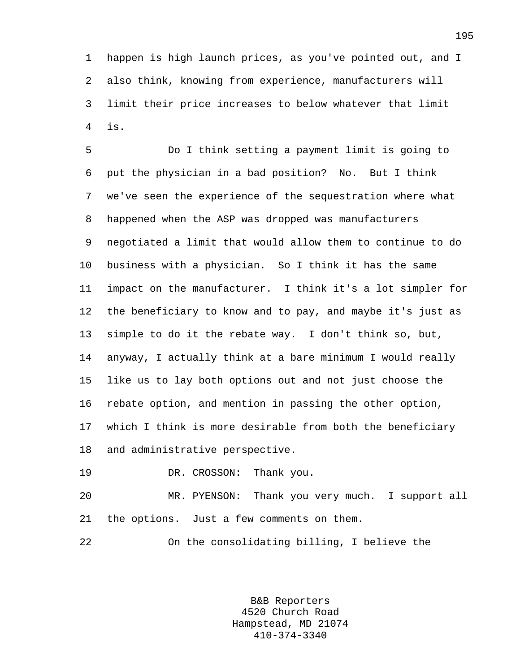1 happen is high launch prices, as you've pointed out, and I 2 also think, knowing from experience, manufacturers will 3 limit their price increases to below whatever that limit 4 is.

5 Do I think setting a payment limit is going to 6 put the physician in a bad position? No. But I think 7 we've seen the experience of the sequestration where what 8 happened when the ASP was dropped was manufacturers 9 negotiated a limit that would allow them to continue to do 10 business with a physician. So I think it has the same 11 impact on the manufacturer. I think it's a lot simpler for 12 the beneficiary to know and to pay, and maybe it's just as 13 simple to do it the rebate way. I don't think so, but, 14 anyway, I actually think at a bare minimum I would really 15 like us to lay both options out and not just choose the 16 rebate option, and mention in passing the other option, 17 which I think is more desirable from both the beneficiary 18 and administrative perspective.

19 DR. CROSSON: Thank you.

20 MR. PYENSON: Thank you very much. I support all 21 the options. Just a few comments on them.

22 On the consolidating billing, I believe the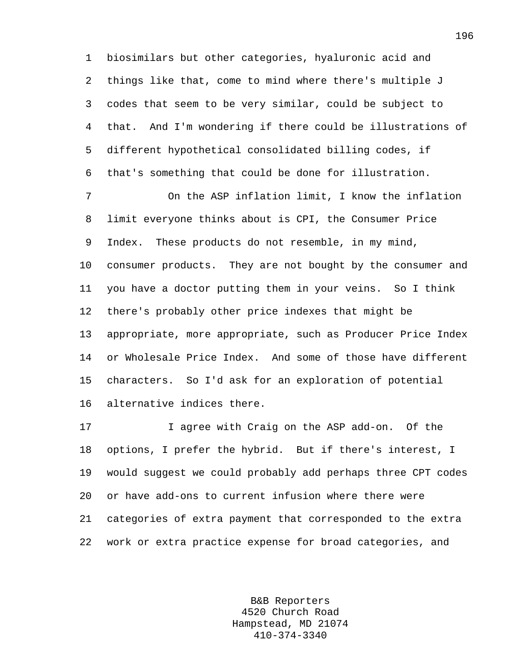1 biosimilars but other categories, hyaluronic acid and 2 things like that, come to mind where there's multiple J 3 codes that seem to be very similar, could be subject to 4 that. And I'm wondering if there could be illustrations of 5 different hypothetical consolidated billing codes, if 6 that's something that could be done for illustration.

7 On the ASP inflation limit, I know the inflation 8 limit everyone thinks about is CPI, the Consumer Price 9 Index. These products do not resemble, in my mind, 10 consumer products. They are not bought by the consumer and 11 you have a doctor putting them in your veins. So I think 12 there's probably other price indexes that might be 13 appropriate, more appropriate, such as Producer Price Index 14 or Wholesale Price Index. And some of those have different 15 characters. So I'd ask for an exploration of potential 16 alternative indices there.

17 I agree with Craig on the ASP add-on. Of the 18 options, I prefer the hybrid. But if there's interest, I 19 would suggest we could probably add perhaps three CPT codes 20 or have add-ons to current infusion where there were 21 categories of extra payment that corresponded to the extra 22 work or extra practice expense for broad categories, and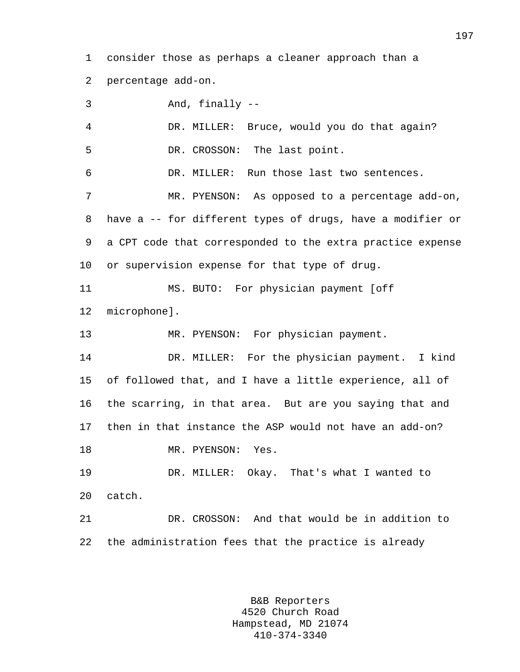1 consider those as perhaps a cleaner approach than a 2 percentage add-on.

3 And, finally -- 4 DR. MILLER: Bruce, would you do that again? 5 DR. CROSSON: The last point. 6 DR. MILLER: Run those last two sentences. 7 MR. PYENSON: As opposed to a percentage add-on, 8 have a -- for different types of drugs, have a modifier or 9 a CPT code that corresponded to the extra practice expense 10 or supervision expense for that type of drug. 11 MS. BUTO: For physician payment [off 12 microphone]. 13 MR. PYENSON: For physician payment. 14 DR. MILLER: For the physician payment. I kind 15 of followed that, and I have a little experience, all of 16 the scarring, in that area. But are you saying that and 17 then in that instance the ASP would not have an add-on? 18 MR. PYENSON: Yes. 19 DR. MILLER: Okay. That's what I wanted to 20 catch. 21 DR. CROSSON: And that would be in addition to 22 the administration fees that the practice is already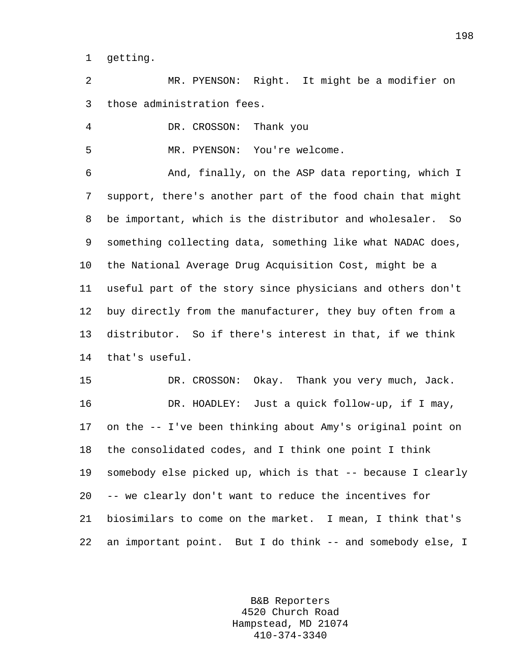1 getting.

2 MR. PYENSON: Right. It might be a modifier on 3 those administration fees.

4 DR. CROSSON: Thank you

5 MR. PYENSON: You're welcome.

6 And, finally, on the ASP data reporting, which I 7 support, there's another part of the food chain that might 8 be important, which is the distributor and wholesaler. So 9 something collecting data, something like what NADAC does, 10 the National Average Drug Acquisition Cost, might be a 11 useful part of the story since physicians and others don't 12 buy directly from the manufacturer, they buy often from a 13 distributor. So if there's interest in that, if we think 14 that's useful.

15 DR. CROSSON: Okay. Thank you very much, Jack. 16 DR. HOADLEY: Just a quick follow-up, if I may, 17 on the -- I've been thinking about Amy's original point on 18 the consolidated codes, and I think one point I think 19 somebody else picked up, which is that -- because I clearly 20 -- we clearly don't want to reduce the incentives for 21 biosimilars to come on the market. I mean, I think that's 22 an important point. But I do think -- and somebody else, I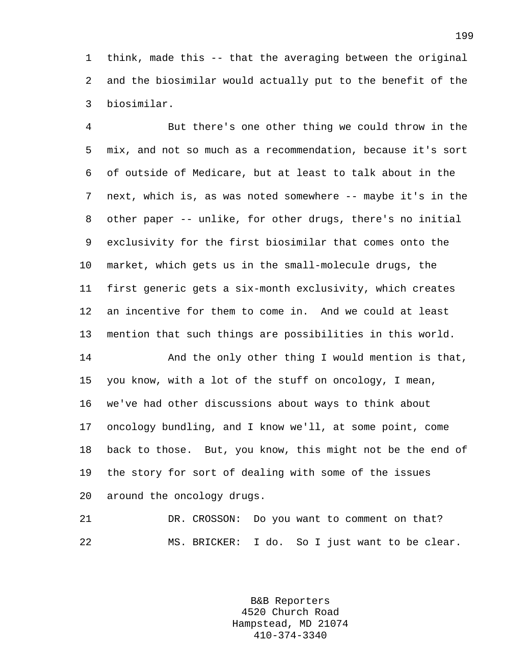1 think, made this -- that the averaging between the original 2 and the biosimilar would actually put to the benefit of the 3 biosimilar.

4 But there's one other thing we could throw in the 5 mix, and not so much as a recommendation, because it's sort 6 of outside of Medicare, but at least to talk about in the 7 next, which is, as was noted somewhere -- maybe it's in the 8 other paper -- unlike, for other drugs, there's no initial 9 exclusivity for the first biosimilar that comes onto the 10 market, which gets us in the small-molecule drugs, the 11 first generic gets a six-month exclusivity, which creates 12 an incentive for them to come in. And we could at least 13 mention that such things are possibilities in this world.

14 And the only other thing I would mention is that, 15 you know, with a lot of the stuff on oncology, I mean, 16 we've had other discussions about ways to think about 17 oncology bundling, and I know we'll, at some point, come 18 back to those. But, you know, this might not be the end of 19 the story for sort of dealing with some of the issues 20 around the oncology drugs.

21 DR. CROSSON: Do you want to comment on that? 22 MS. BRICKER: I do. So I just want to be clear.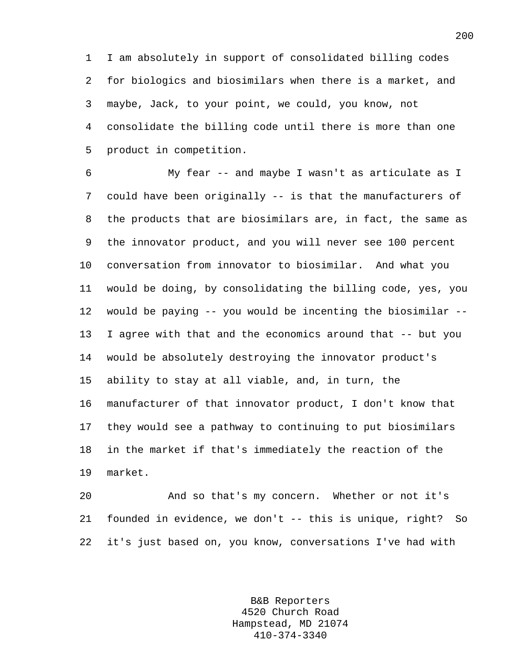1 I am absolutely in support of consolidated billing codes 2 for biologics and biosimilars when there is a market, and 3 maybe, Jack, to your point, we could, you know, not 4 consolidate the billing code until there is more than one 5 product in competition.

6 My fear -- and maybe I wasn't as articulate as I 7 could have been originally -- is that the manufacturers of 8 the products that are biosimilars are, in fact, the same as 9 the innovator product, and you will never see 100 percent 10 conversation from innovator to biosimilar. And what you 11 would be doing, by consolidating the billing code, yes, you 12 would be paying -- you would be incenting the biosimilar -- 13 I agree with that and the economics around that -- but you 14 would be absolutely destroying the innovator product's 15 ability to stay at all viable, and, in turn, the 16 manufacturer of that innovator product, I don't know that 17 they would see a pathway to continuing to put biosimilars 18 in the market if that's immediately the reaction of the 19 market.

20 And so that's my concern. Whether or not it's 21 founded in evidence, we don't -- this is unique, right? So 22 it's just based on, you know, conversations I've had with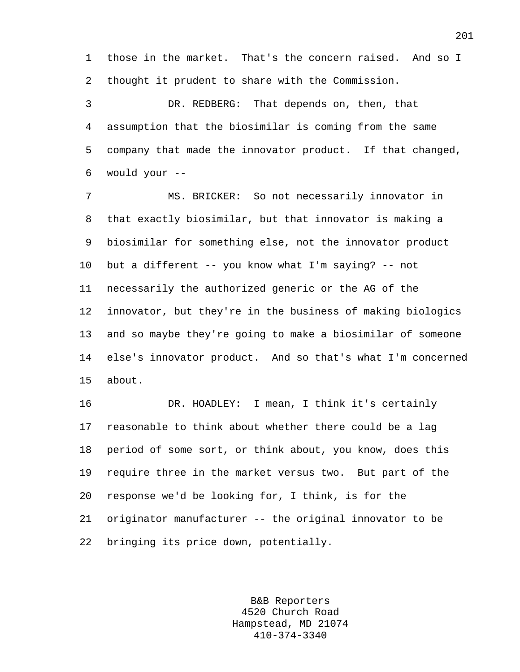1 those in the market. That's the concern raised. And so I 2 thought it prudent to share with the Commission.

3 DR. REDBERG: That depends on, then, that 4 assumption that the biosimilar is coming from the same 5 company that made the innovator product. If that changed, 6 would your --

7 MS. BRICKER: So not necessarily innovator in 8 that exactly biosimilar, but that innovator is making a 9 biosimilar for something else, not the innovator product 10 but a different -- you know what I'm saying? -- not 11 necessarily the authorized generic or the AG of the 12 innovator, but they're in the business of making biologics 13 and so maybe they're going to make a biosimilar of someone 14 else's innovator product. And so that's what I'm concerned 15 about.

16 DR. HOADLEY: I mean, I think it's certainly 17 reasonable to think about whether there could be a lag 18 period of some sort, or think about, you know, does this 19 require three in the market versus two. But part of the 20 response we'd be looking for, I think, is for the 21 originator manufacturer -- the original innovator to be 22 bringing its price down, potentially.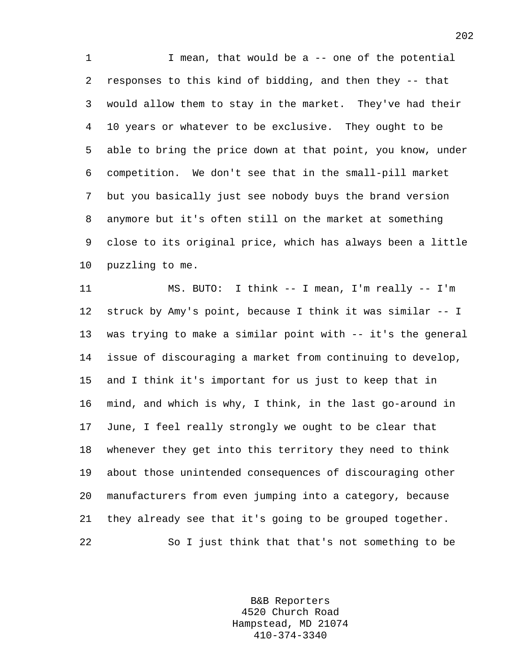1 I mean, that would be a -- one of the potential 2 responses to this kind of bidding, and then they -- that 3 would allow them to stay in the market. They've had their 4 10 years or whatever to be exclusive. They ought to be 5 able to bring the price down at that point, you know, under 6 competition. We don't see that in the small-pill market 7 but you basically just see nobody buys the brand version 8 anymore but it's often still on the market at something 9 close to its original price, which has always been a little 10 puzzling to me.

11 MS. BUTO: I think -- I mean, I'm really -- I'm 12 struck by Amy's point, because I think it was similar -- I 13 was trying to make a similar point with -- it's the general 14 issue of discouraging a market from continuing to develop, 15 and I think it's important for us just to keep that in 16 mind, and which is why, I think, in the last go-around in 17 June, I feel really strongly we ought to be clear that 18 whenever they get into this territory they need to think 19 about those unintended consequences of discouraging other 20 manufacturers from even jumping into a category, because 21 they already see that it's going to be grouped together. 22 So I just think that that's not something to be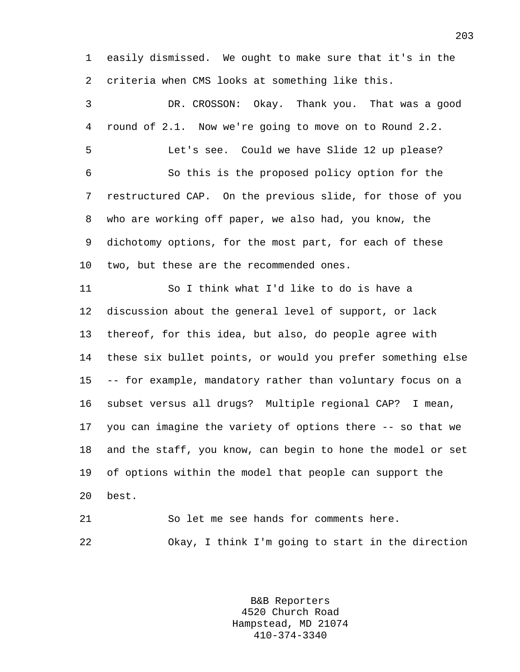1 easily dismissed. We ought to make sure that it's in the 2 criteria when CMS looks at something like this.

3 DR. CROSSON: Okay. Thank you. That was a good 4 round of 2.1. Now we're going to move on to Round 2.2. 5 Let's see. Could we have Slide 12 up please? 6 So this is the proposed policy option for the 7 restructured CAP. On the previous slide, for those of you 8 who are working off paper, we also had, you know, the 9 dichotomy options, for the most part, for each of these 10 two, but these are the recommended ones. 11 So I think what I'd like to do is have a 12 discussion about the general level of support, or lack 13 thereof, for this idea, but also, do people agree with 14 these six bullet points, or would you prefer something else 15 -- for example, mandatory rather than voluntary focus on a 16 subset versus all drugs? Multiple regional CAP? I mean, 17 you can imagine the variety of options there -- so that we 18 and the staff, you know, can begin to hone the model or set 19 of options within the model that people can support the 20 best. 21 So let me see hands for comments here. 22 Okay, I think I'm going to start in the direction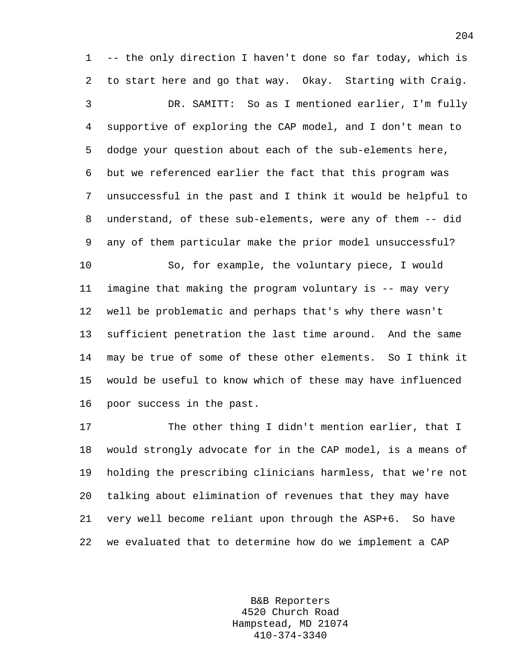1 -- the only direction I haven't done so far today, which is 2 to start here and go that way. Okay. Starting with Craig. 3 DR. SAMITT: So as I mentioned earlier, I'm fully

4 supportive of exploring the CAP model, and I don't mean to 5 dodge your question about each of the sub-elements here, 6 but we referenced earlier the fact that this program was 7 unsuccessful in the past and I think it would be helpful to 8 understand, of these sub-elements, were any of them -- did 9 any of them particular make the prior model unsuccessful?

10 So, for example, the voluntary piece, I would 11 imagine that making the program voluntary is -- may very 12 well be problematic and perhaps that's why there wasn't 13 sufficient penetration the last time around. And the same 14 may be true of some of these other elements. So I think it 15 would be useful to know which of these may have influenced 16 poor success in the past.

17 The other thing I didn't mention earlier, that I 18 would strongly advocate for in the CAP model, is a means of 19 holding the prescribing clinicians harmless, that we're not 20 talking about elimination of revenues that they may have 21 very well become reliant upon through the ASP+6. So have 22 we evaluated that to determine how do we implement a CAP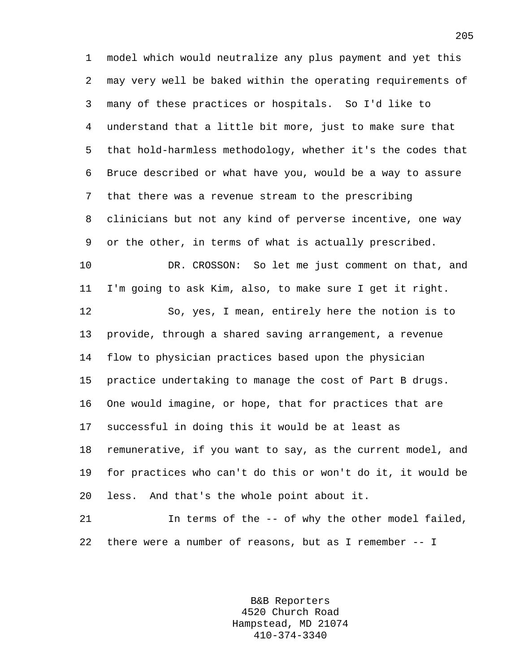1 model which would neutralize any plus payment and yet this 2 may very well be baked within the operating requirements of 3 many of these practices or hospitals. So I'd like to 4 understand that a little bit more, just to make sure that 5 that hold-harmless methodology, whether it's the codes that 6 Bruce described or what have you, would be a way to assure 7 that there was a revenue stream to the prescribing 8 clinicians but not any kind of perverse incentive, one way 9 or the other, in terms of what is actually prescribed. 10 DR. CROSSON: So let me just comment on that, and 11 I'm going to ask Kim, also, to make sure I get it right. 12 So, yes, I mean, entirely here the notion is to 13 provide, through a shared saving arrangement, a revenue 14 flow to physician practices based upon the physician 15 practice undertaking to manage the cost of Part B drugs. 16 One would imagine, or hope, that for practices that are 17 successful in doing this it would be at least as 18 remunerative, if you want to say, as the current model, and 19 for practices who can't do this or won't do it, it would be 20 less. And that's the whole point about it. 21 In terms of the -- of why the other model failed,

22 there were a number of reasons, but as I remember -- I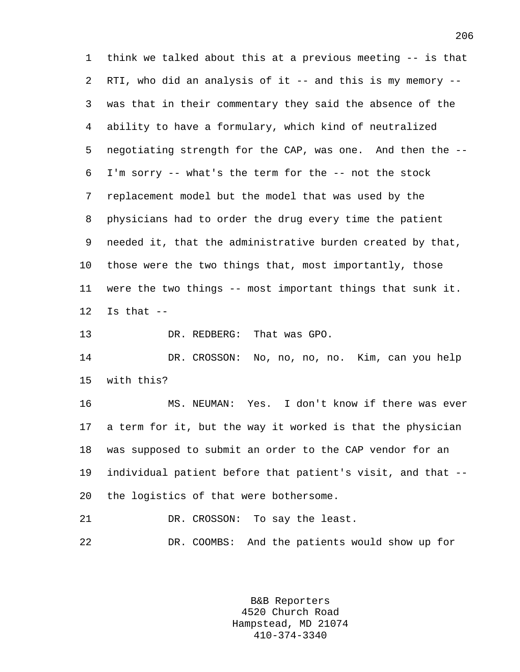1 think we talked about this at a previous meeting -- is that 2 RTI, who did an analysis of it -- and this is my memory -- 3 was that in their commentary they said the absence of the 4 ability to have a formulary, which kind of neutralized 5 negotiating strength for the CAP, was one. And then the -- 6 I'm sorry -- what's the term for the -- not the stock 7 replacement model but the model that was used by the 8 physicians had to order the drug every time the patient 9 needed it, that the administrative burden created by that, 10 those were the two things that, most importantly, those 11 were the two things -- most important things that sunk it.  $12$  Is that  $-$ 

13 DR. REDBERG: That was GPO.

14 DR. CROSSON: No, no, no, no. Kim, can you help 15 with this?

16 MS. NEUMAN: Yes. I don't know if there was ever 17 a term for it, but the way it worked is that the physician 18 was supposed to submit an order to the CAP vendor for an 19 individual patient before that patient's visit, and that -- 20 the logistics of that were bothersome.

21 DR. CROSSON: To say the least.

22 DR. COOMBS: And the patients would show up for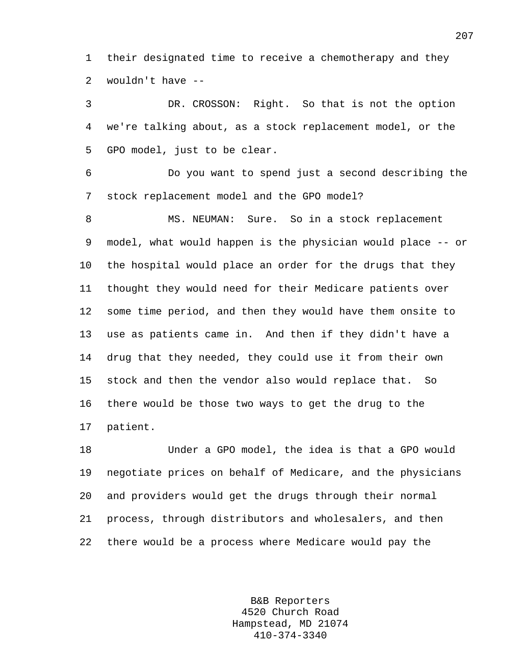1 their designated time to receive a chemotherapy and they 2 wouldn't have --

3 DR. CROSSON: Right. So that is not the option 4 we're talking about, as a stock replacement model, or the 5 GPO model, just to be clear.

6 Do you want to spend just a second describing the 7 stock replacement model and the GPO model?

8 MS. NEUMAN: Sure. So in a stock replacement 9 model, what would happen is the physician would place -- or 10 the hospital would place an order for the drugs that they 11 thought they would need for their Medicare patients over 12 some time period, and then they would have them onsite to 13 use as patients came in. And then if they didn't have a 14 drug that they needed, they could use it from their own 15 stock and then the vendor also would replace that. So 16 there would be those two ways to get the drug to the 17 patient.

18 Under a GPO model, the idea is that a GPO would 19 negotiate prices on behalf of Medicare, and the physicians 20 and providers would get the drugs through their normal 21 process, through distributors and wholesalers, and then 22 there would be a process where Medicare would pay the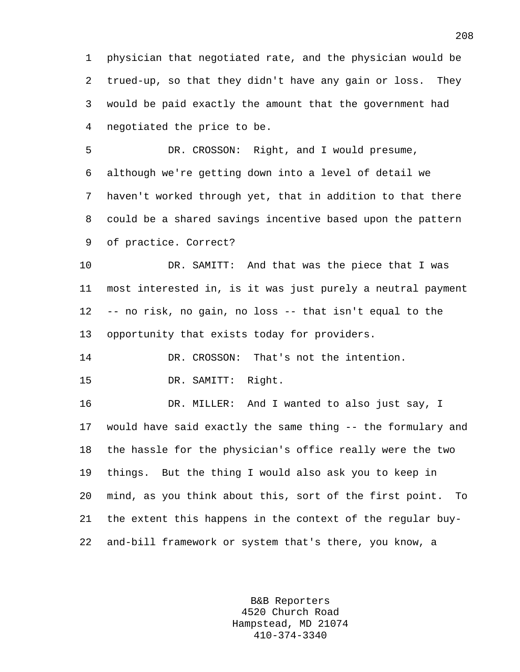1 physician that negotiated rate, and the physician would be 2 trued-up, so that they didn't have any gain or loss. They 3 would be paid exactly the amount that the government had 4 negotiated the price to be.

5 DR. CROSSON: Right, and I would presume, 6 although we're getting down into a level of detail we 7 haven't worked through yet, that in addition to that there 8 could be a shared savings incentive based upon the pattern 9 of practice. Correct?

10 DR. SAMITT: And that was the piece that I was 11 most interested in, is it was just purely a neutral payment 12 -- no risk, no gain, no loss -- that isn't equal to the 13 opportunity that exists today for providers.

14 DR. CROSSON: That's not the intention.

15 DR. SAMITT: Right.

16 DR. MILLER: And I wanted to also just say, I 17 would have said exactly the same thing -- the formulary and 18 the hassle for the physician's office really were the two 19 things. But the thing I would also ask you to keep in 20 mind, as you think about this, sort of the first point. To 21 the extent this happens in the context of the regular buy-22 and-bill framework or system that's there, you know, a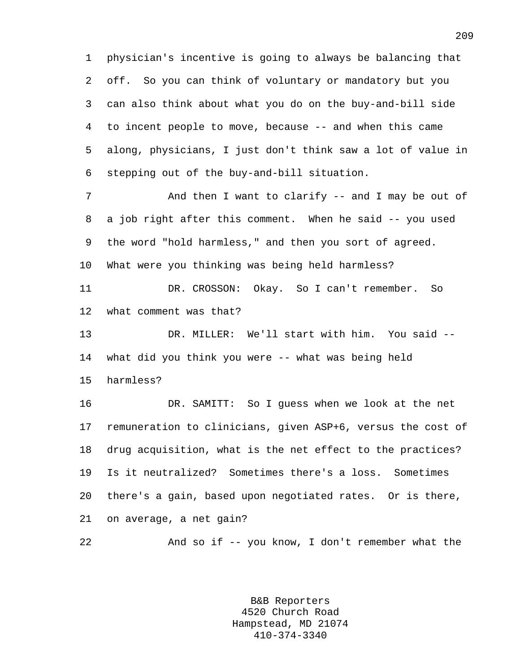1 physician's incentive is going to always be balancing that 2 off. So you can think of voluntary or mandatory but you 3 can also think about what you do on the buy-and-bill side 4 to incent people to move, because -- and when this came 5 along, physicians, I just don't think saw a lot of value in 6 stepping out of the buy-and-bill situation.

7 And then I want to clarify -- and I may be out of 8 a job right after this comment. When he said -- you used 9 the word "hold harmless," and then you sort of agreed. 10 What were you thinking was being held harmless?

11 DR. CROSSON: Okay. So I can't remember. So 12 what comment was that?

13 DR. MILLER: We'll start with him. You said -- 14 what did you think you were -- what was being held

15 harmless?

16 DR. SAMITT: So I guess when we look at the net 17 remuneration to clinicians, given ASP+6, versus the cost of 18 drug acquisition, what is the net effect to the practices? 19 Is it neutralized? Sometimes there's a loss. Sometimes 20 there's a gain, based upon negotiated rates. Or is there, 21 on average, a net gain?

22 And so if -- you know, I don't remember what the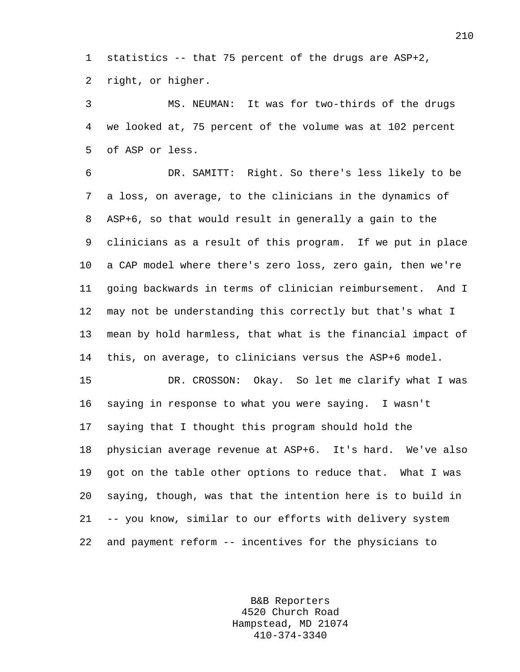1 statistics -- that 75 percent of the drugs are ASP+2, 2 right, or higher.

3 MS. NEUMAN: It was for two-thirds of the drugs 4 we looked at, 75 percent of the volume was at 102 percent 5 of ASP or less.

6 DR. SAMITT: Right. So there's less likely to be 7 a loss, on average, to the clinicians in the dynamics of 8 ASP+6, so that would result in generally a gain to the 9 clinicians as a result of this program. If we put in place 10 a CAP model where there's zero loss, zero gain, then we're 11 going backwards in terms of clinician reimbursement. And I 12 may not be understanding this correctly but that's what I 13 mean by hold harmless, that what is the financial impact of 14 this, on average, to clinicians versus the ASP+6 model.

15 DR. CROSSON: Okay. So let me clarify what I was 16 saying in response to what you were saying. I wasn't 17 saying that I thought this program should hold the 18 physician average revenue at ASP+6. It's hard. We've also 19 got on the table other options to reduce that. What I was 20 saying, though, was that the intention here is to build in 21 -- you know, similar to our efforts with delivery system 22 and payment reform -- incentives for the physicians to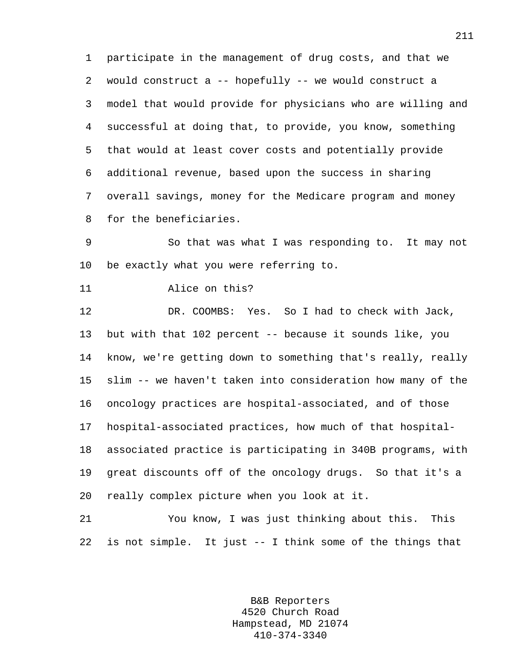1 participate in the management of drug costs, and that we 2 would construct a -- hopefully -- we would construct a 3 model that would provide for physicians who are willing and 4 successful at doing that, to provide, you know, something 5 that would at least cover costs and potentially provide 6 additional revenue, based upon the success in sharing 7 overall savings, money for the Medicare program and money 8 for the beneficiaries.

9 So that was what I was responding to. It may not 10 be exactly what you were referring to.

11 Alice on this?

12 DR. COOMBS: Yes. So I had to check with Jack, 13 but with that 102 percent -- because it sounds like, you 14 know, we're getting down to something that's really, really 15 slim -- we haven't taken into consideration how many of the 16 oncology practices are hospital-associated, and of those 17 hospital-associated practices, how much of that hospital-18 associated practice is participating in 340B programs, with 19 great discounts off of the oncology drugs. So that it's a 20 really complex picture when you look at it.

21 You know, I was just thinking about this. This 22 is not simple. It just -- I think some of the things that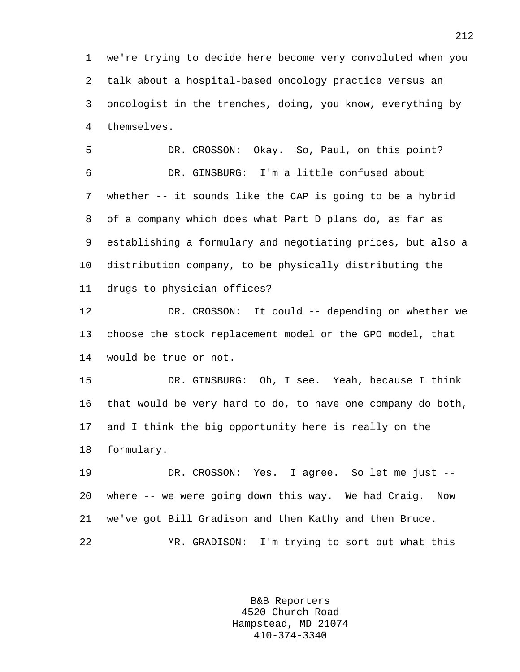1 we're trying to decide here become very convoluted when you 2 talk about a hospital-based oncology practice versus an 3 oncologist in the trenches, doing, you know, everything by 4 themselves.

5 DR. CROSSON: Okay. So, Paul, on this point? 6 DR. GINSBURG: I'm a little confused about 7 whether -- it sounds like the CAP is going to be a hybrid 8 of a company which does what Part D plans do, as far as 9 establishing a formulary and negotiating prices, but also a 10 distribution company, to be physically distributing the 11 drugs to physician offices?

12 DR. CROSSON: It could -- depending on whether we 13 choose the stock replacement model or the GPO model, that 14 would be true or not.

15 DR. GINSBURG: Oh, I see. Yeah, because I think 16 that would be very hard to do, to have one company do both, 17 and I think the big opportunity here is really on the 18 formulary.

19 DR. CROSSON: Yes. I agree. So let me just -- 20 where -- we were going down this way. We had Craig. Now 21 we've got Bill Gradison and then Kathy and then Bruce. 22 MR. GRADISON: I'm trying to sort out what this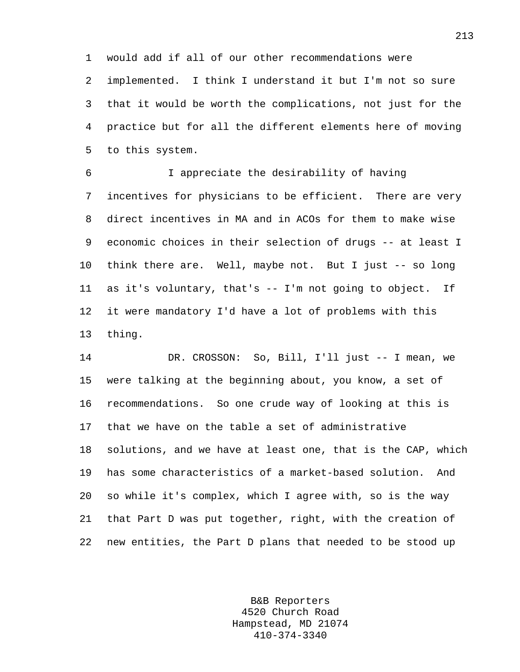1 would add if all of our other recommendations were

2 implemented. I think I understand it but I'm not so sure 3 that it would be worth the complications, not just for the 4 practice but for all the different elements here of moving 5 to this system.

6 I appreciate the desirability of having 7 incentives for physicians to be efficient. There are very 8 direct incentives in MA and in ACOs for them to make wise 9 economic choices in their selection of drugs -- at least I 10 think there are. Well, maybe not. But I just -- so long 11 as it's voluntary, that's -- I'm not going to object. If 12 it were mandatory I'd have a lot of problems with this 13 thing.

14 DR. CROSSON: So, Bill, I'll just -- I mean, we 15 were talking at the beginning about, you know, a set of 16 recommendations. So one crude way of looking at this is 17 that we have on the table a set of administrative 18 solutions, and we have at least one, that is the CAP, which 19 has some characteristics of a market-based solution. And 20 so while it's complex, which I agree with, so is the way 21 that Part D was put together, right, with the creation of 22 new entities, the Part D plans that needed to be stood up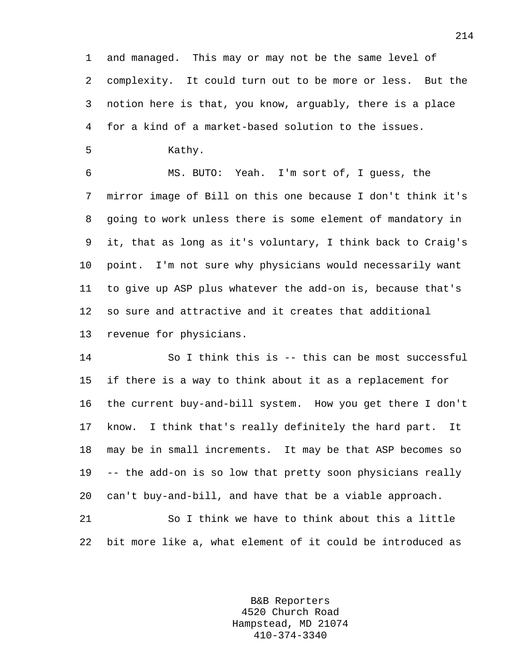1 and managed. This may or may not be the same level of 2 complexity. It could turn out to be more or less. But the 3 notion here is that, you know, arguably, there is a place 4 for a kind of a market-based solution to the issues.

5 Kathy.

6 MS. BUTO: Yeah. I'm sort of, I guess, the 7 mirror image of Bill on this one because I don't think it's 8 going to work unless there is some element of mandatory in 9 it, that as long as it's voluntary, I think back to Craig's 10 point. I'm not sure why physicians would necessarily want 11 to give up ASP plus whatever the add-on is, because that's 12 so sure and attractive and it creates that additional 13 revenue for physicians.

14 So I think this is -- this can be most successful 15 if there is a way to think about it as a replacement for 16 the current buy-and-bill system. How you get there I don't 17 know. I think that's really definitely the hard part. It 18 may be in small increments. It may be that ASP becomes so 19 -- the add-on is so low that pretty soon physicians really 20 can't buy-and-bill, and have that be a viable approach.

21 So I think we have to think about this a little 22 bit more like a, what element of it could be introduced as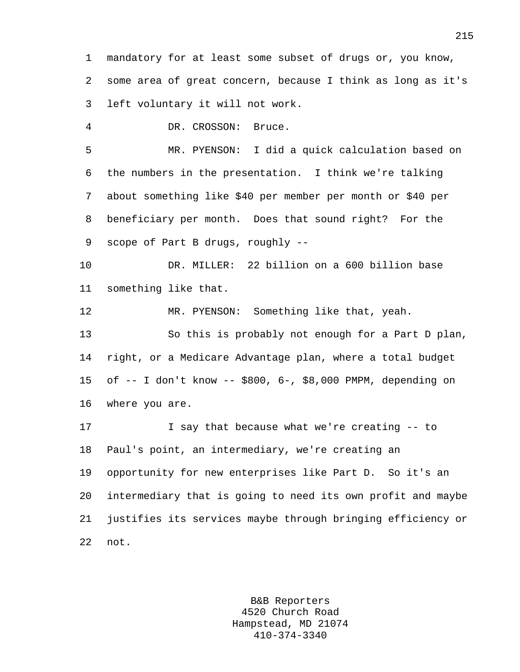1 mandatory for at least some subset of drugs or, you know, 2 some area of great concern, because I think as long as it's 3 left voluntary it will not work.

4 DR. CROSSON: Bruce.

5 MR. PYENSON: I did a quick calculation based on 6 the numbers in the presentation. I think we're talking 7 about something like \$40 per member per month or \$40 per 8 beneficiary per month. Does that sound right? For the 9 scope of Part B drugs, roughly --

10 DR. MILLER: 22 billion on a 600 billion base 11 something like that.

12 MR. PYENSON: Something like that, yeah. 13 So this is probably not enough for a Part D plan, 14 right, or a Medicare Advantage plan, where a total budget 15 of -- I don't know -- \$800, 6-, \$8,000 PMPM, depending on 16 where you are.

17 I say that because what we're creating -- to 18 Paul's point, an intermediary, we're creating an 19 opportunity for new enterprises like Part D. So it's an 20 intermediary that is going to need its own profit and maybe 21 justifies its services maybe through bringing efficiency or 22 not.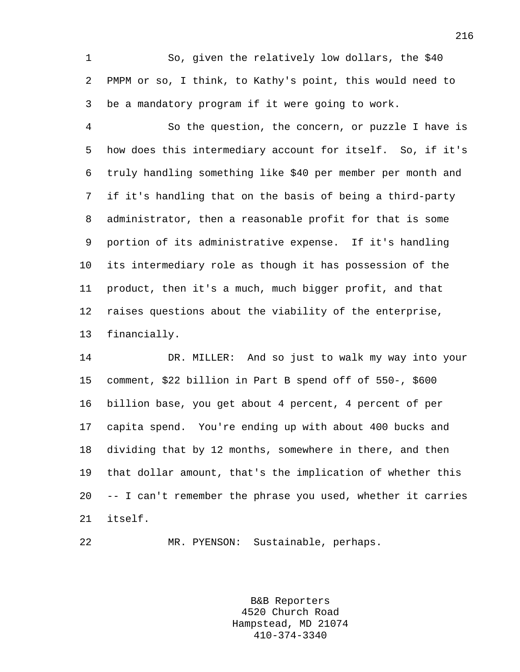1 So, given the relatively low dollars, the \$40 2 PMPM or so, I think, to Kathy's point, this would need to 3 be a mandatory program if it were going to work.

4 So the question, the concern, or puzzle I have is 5 how does this intermediary account for itself. So, if it's 6 truly handling something like \$40 per member per month and 7 if it's handling that on the basis of being a third-party 8 administrator, then a reasonable profit for that is some 9 portion of its administrative expense. If it's handling 10 its intermediary role as though it has possession of the 11 product, then it's a much, much bigger profit, and that 12 raises questions about the viability of the enterprise, 13 financially.

14 DR. MILLER: And so just to walk my way into your 15 comment, \$22 billion in Part B spend off of 550-, \$600 16 billion base, you get about 4 percent, 4 percent of per 17 capita spend. You're ending up with about 400 bucks and 18 dividing that by 12 months, somewhere in there, and then 19 that dollar amount, that's the implication of whether this 20 -- I can't remember the phrase you used, whether it carries 21 itself.

22 MR. PYENSON: Sustainable, perhaps.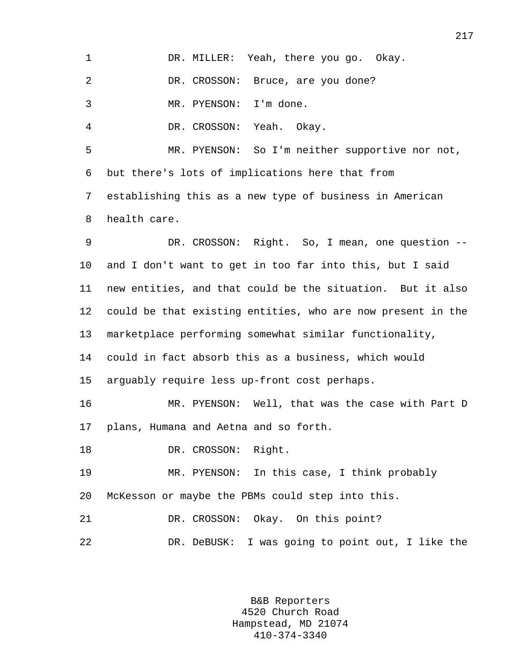| 1       | DR. MILLER: Yeah, there you go. Okay.                       |
|---------|-------------------------------------------------------------|
| 2       | DR. CROSSON: Bruce, are you done?                           |
| 3       | I'm done.<br>MR. PYENSON:                                   |
| 4       | DR. CROSSON:<br>Yeah. Okay.                                 |
| 5       | MR. PYENSON: So I'm neither supportive nor not,             |
| 6       | but there's lots of implications here that from             |
| 7       | establishing this as a new type of business in American     |
| 8       | health care.                                                |
| 9       | DR. CROSSON: Right. So, I mean, one question --             |
| $10 \,$ | and I don't want to get in too far into this, but I said    |
| 11      | new entities, and that could be the situation. But it also  |
| 12      | could be that existing entities, who are now present in the |
| 13      | marketplace performing somewhat similar functionality,      |
| 14      | could in fact absorb this as a business, which would        |
| 15      | arguably require less up-front cost perhaps.                |
| 16      | MR. PYENSON: Well, that was the case with Part D            |
|         | 17 plans, Humana and Aetna and so forth.                    |
| 18      | DR. CROSSON: Right.                                         |
| 19      | MR. PYENSON: In this case, I think probably                 |
| 20      | McKesson or maybe the PBMs could step into this.            |
| 21      | DR. CROSSON: Okay. On this point?                           |
| 22      | DR. DeBUSK: I was going to point out, I like the            |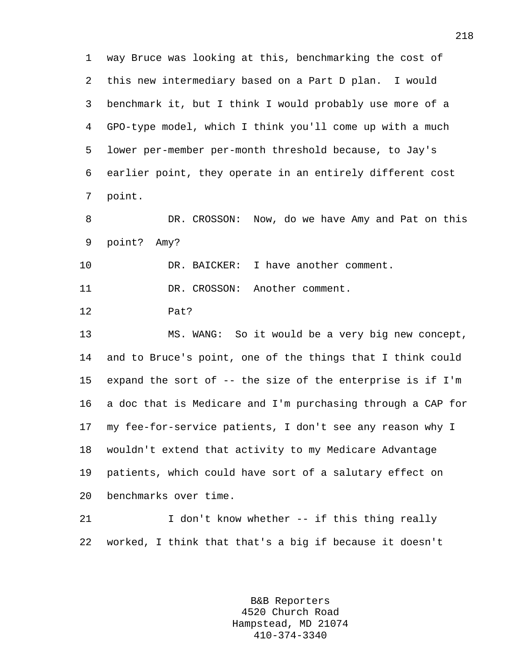1 way Bruce was looking at this, benchmarking the cost of 2 this new intermediary based on a Part D plan. I would 3 benchmark it, but I think I would probably use more of a 4 GPO-type model, which I think you'll come up with a much 5 lower per-member per-month threshold because, to Jay's 6 earlier point, they operate in an entirely different cost 7 point.

8 DR. CROSSON: Now, do we have Amy and Pat on this 9 point? Amy?

10 DR. BAICKER: I have another comment.

11 DR. CROSSON: Another comment.

12 Pat?

13 MS. WANG: So it would be a very big new concept, 14 and to Bruce's point, one of the things that I think could 15 expand the sort of -- the size of the enterprise is if I'm 16 a doc that is Medicare and I'm purchasing through a CAP for 17 my fee-for-service patients, I don't see any reason why I 18 wouldn't extend that activity to my Medicare Advantage 19 patients, which could have sort of a salutary effect on 20 benchmarks over time.

21 I don't know whether -- if this thing really 22 worked, I think that that's a big if because it doesn't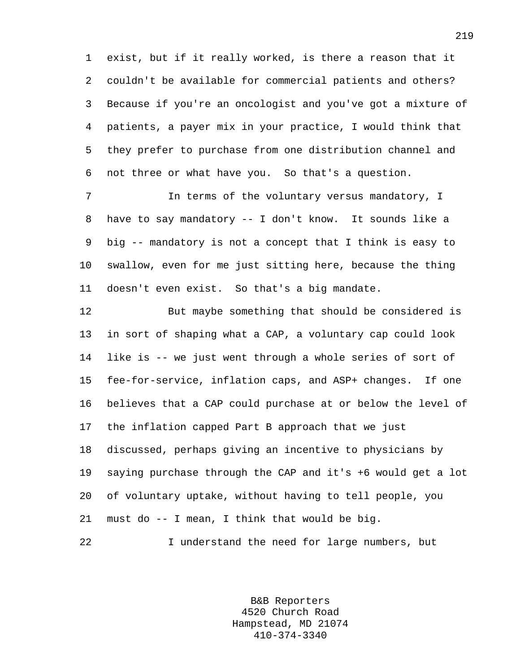1 exist, but if it really worked, is there a reason that it 2 couldn't be available for commercial patients and others? 3 Because if you're an oncologist and you've got a mixture of 4 patients, a payer mix in your practice, I would think that 5 they prefer to purchase from one distribution channel and 6 not three or what have you. So that's a question.

7 In terms of the voluntary versus mandatory, I 8 have to say mandatory -- I don't know. It sounds like a 9 big -- mandatory is not a concept that I think is easy to 10 swallow, even for me just sitting here, because the thing 11 doesn't even exist. So that's a big mandate.

12 But maybe something that should be considered is 13 in sort of shaping what a CAP, a voluntary cap could look 14 like is -- we just went through a whole series of sort of 15 fee-for-service, inflation caps, and ASP+ changes. If one 16 believes that a CAP could purchase at or below the level of 17 the inflation capped Part B approach that we just 18 discussed, perhaps giving an incentive to physicians by 19 saying purchase through the CAP and it's +6 would get a lot 20 of voluntary uptake, without having to tell people, you 21 must do -- I mean, I think that would be big.

22 I understand the need for large numbers, but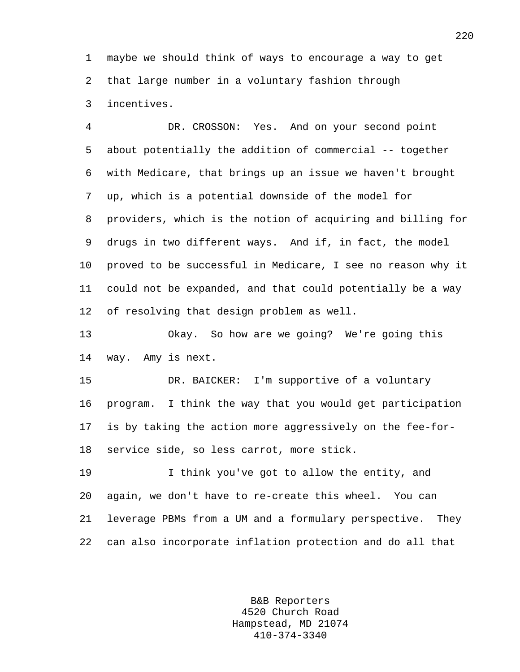1 maybe we should think of ways to encourage a way to get 2 that large number in a voluntary fashion through 3 incentives.

4 DR. CROSSON: Yes. And on your second point 5 about potentially the addition of commercial -- together 6 with Medicare, that brings up an issue we haven't brought 7 up, which is a potential downside of the model for 8 providers, which is the notion of acquiring and billing for 9 drugs in two different ways. And if, in fact, the model 10 proved to be successful in Medicare, I see no reason why it 11 could not be expanded, and that could potentially be a way 12 of resolving that design problem as well.

13 Okay. So how are we going? We're going this 14 way. Amy is next.

15 DR. BAICKER: I'm supportive of a voluntary 16 program. I think the way that you would get participation 17 is by taking the action more aggressively on the fee-for-18 service side, so less carrot, more stick.

19 I think you've got to allow the entity, and 20 again, we don't have to re-create this wheel. You can 21 leverage PBMs from a UM and a formulary perspective. They 22 can also incorporate inflation protection and do all that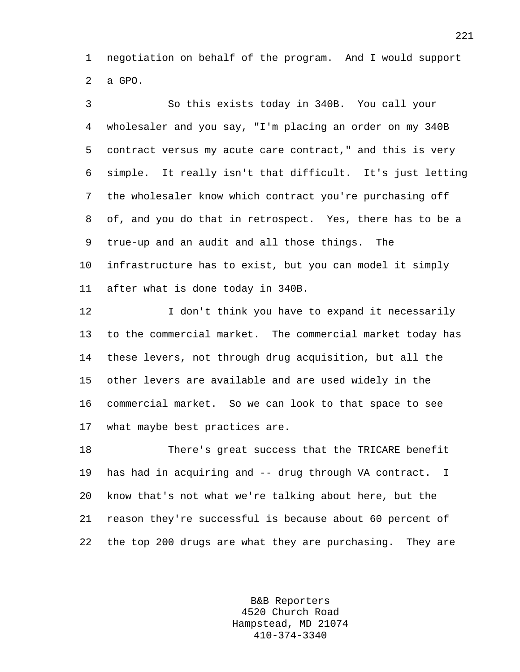1 negotiation on behalf of the program. And I would support 2 a GPO.

3 So this exists today in 340B. You call your 4 wholesaler and you say, "I'm placing an order on my 340B 5 contract versus my acute care contract," and this is very 6 simple. It really isn't that difficult. It's just letting 7 the wholesaler know which contract you're purchasing off 8 of, and you do that in retrospect. Yes, there has to be a 9 true-up and an audit and all those things. The 10 infrastructure has to exist, but you can model it simply 11 after what is done today in 340B.

12 I don't think you have to expand it necessarily 13 to the commercial market. The commercial market today has 14 these levers, not through drug acquisition, but all the 15 other levers are available and are used widely in the 16 commercial market. So we can look to that space to see 17 what maybe best practices are.

18 There's great success that the TRICARE benefit 19 has had in acquiring and -- drug through VA contract. I 20 know that's not what we're talking about here, but the 21 reason they're successful is because about 60 percent of 22 the top 200 drugs are what they are purchasing. They are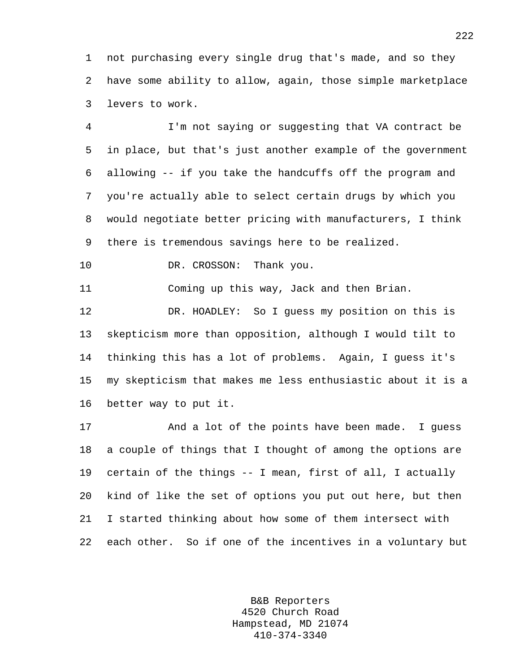1 not purchasing every single drug that's made, and so they 2 have some ability to allow, again, those simple marketplace 3 levers to work.

4 I'm not saying or suggesting that VA contract be 5 in place, but that's just another example of the government 6 allowing -- if you take the handcuffs off the program and 7 you're actually able to select certain drugs by which you 8 would negotiate better pricing with manufacturers, I think 9 there is tremendous savings here to be realized.

10 DR. CROSSON: Thank you.

11 Coming up this way, Jack and then Brian.

12 DR. HOADLEY: So I guess my position on this is 13 skepticism more than opposition, although I would tilt to 14 thinking this has a lot of problems. Again, I guess it's 15 my skepticism that makes me less enthusiastic about it is a 16 better way to put it.

17 And a lot of the points have been made. I guess 18 a couple of things that I thought of among the options are 19 certain of the things -- I mean, first of all, I actually 20 kind of like the set of options you put out here, but then 21 I started thinking about how some of them intersect with 22 each other. So if one of the incentives in a voluntary but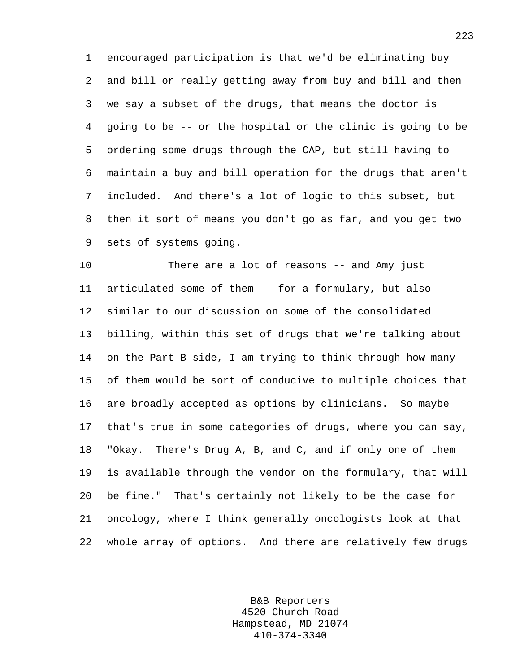1 encouraged participation is that we'd be eliminating buy 2 and bill or really getting away from buy and bill and then 3 we say a subset of the drugs, that means the doctor is 4 going to be -- or the hospital or the clinic is going to be 5 ordering some drugs through the CAP, but still having to 6 maintain a buy and bill operation for the drugs that aren't 7 included. And there's a lot of logic to this subset, but 8 then it sort of means you don't go as far, and you get two 9 sets of systems going.

10 There are a lot of reasons -- and Amy just 11 articulated some of them -- for a formulary, but also 12 similar to our discussion on some of the consolidated 13 billing, within this set of drugs that we're talking about 14 on the Part B side, I am trying to think through how many 15 of them would be sort of conducive to multiple choices that 16 are broadly accepted as options by clinicians. So maybe 17 that's true in some categories of drugs, where you can say, 18 "Okay. There's Drug A, B, and C, and if only one of them 19 is available through the vendor on the formulary, that will 20 be fine." That's certainly not likely to be the case for 21 oncology, where I think generally oncologists look at that 22 whole array of options. And there are relatively few drugs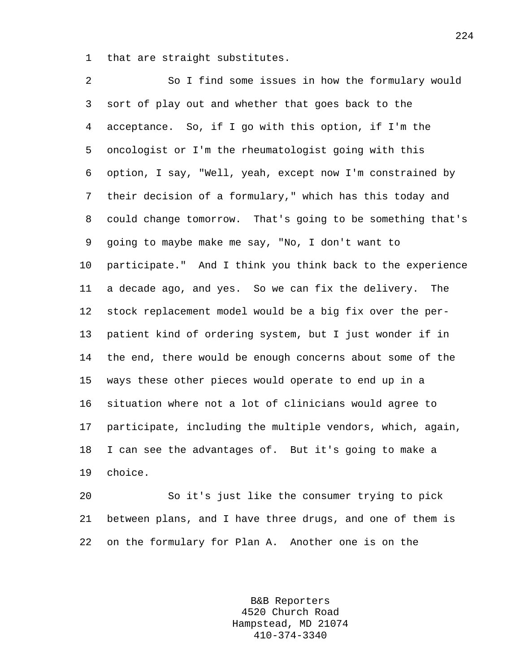1 that are straight substitutes.

2 So I find some issues in how the formulary would 3 sort of play out and whether that goes back to the 4 acceptance. So, if I go with this option, if I'm the 5 oncologist or I'm the rheumatologist going with this 6 option, I say, "Well, yeah, except now I'm constrained by 7 their decision of a formulary," which has this today and 8 could change tomorrow. That's going to be something that's 9 going to maybe make me say, "No, I don't want to 10 participate." And I think you think back to the experience 11 a decade ago, and yes. So we can fix the delivery. The 12 stock replacement model would be a big fix over the per-13 patient kind of ordering system, but I just wonder if in 14 the end, there would be enough concerns about some of the 15 ways these other pieces would operate to end up in a 16 situation where not a lot of clinicians would agree to 17 participate, including the multiple vendors, which, again, 18 I can see the advantages of. But it's going to make a 19 choice.

20 So it's just like the consumer trying to pick 21 between plans, and I have three drugs, and one of them is 22 on the formulary for Plan A. Another one is on the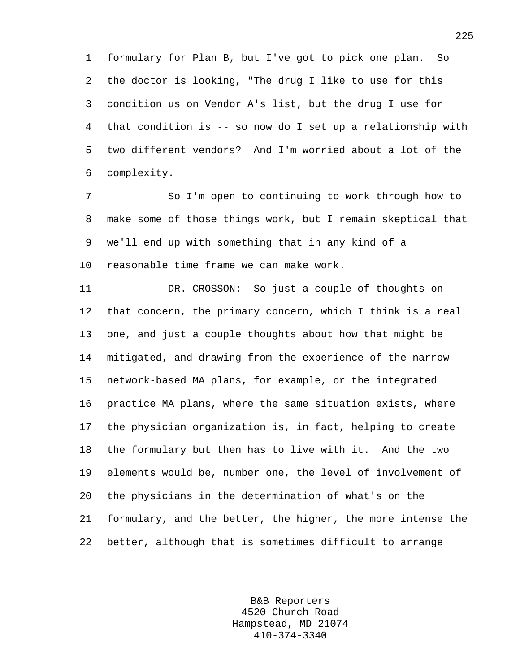1 formulary for Plan B, but I've got to pick one plan. So 2 the doctor is looking, "The drug I like to use for this 3 condition us on Vendor A's list, but the drug I use for 4 that condition is -- so now do I set up a relationship with 5 two different vendors? And I'm worried about a lot of the 6 complexity.

7 So I'm open to continuing to work through how to 8 make some of those things work, but I remain skeptical that 9 we'll end up with something that in any kind of a 10 reasonable time frame we can make work.

11 DR. CROSSON: So just a couple of thoughts on 12 that concern, the primary concern, which I think is a real 13 one, and just a couple thoughts about how that might be 14 mitigated, and drawing from the experience of the narrow 15 network-based MA plans, for example, or the integrated 16 practice MA plans, where the same situation exists, where 17 the physician organization is, in fact, helping to create 18 the formulary but then has to live with it. And the two 19 elements would be, number one, the level of involvement of 20 the physicians in the determination of what's on the 21 formulary, and the better, the higher, the more intense the 22 better, although that is sometimes difficult to arrange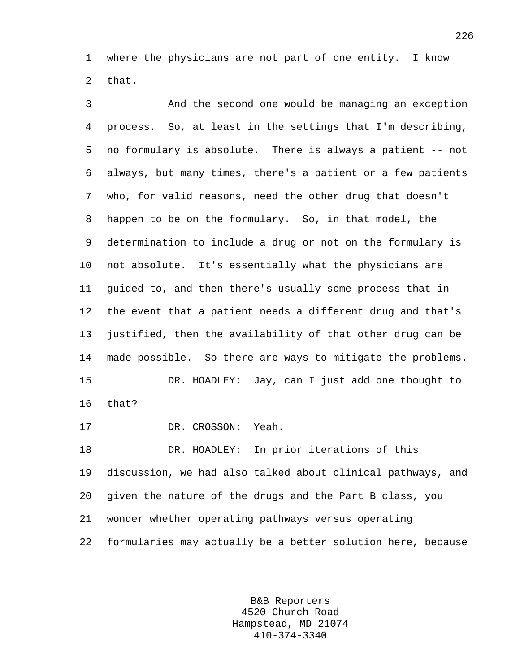1 where the physicians are not part of one entity. I know 2 that.

3 And the second one would be managing an exception 4 process. So, at least in the settings that I'm describing, 5 no formulary is absolute. There is always a patient -- not 6 always, but many times, there's a patient or a few patients 7 who, for valid reasons, need the other drug that doesn't 8 happen to be on the formulary. So, in that model, the 9 determination to include a drug or not on the formulary is 10 not absolute. It's essentially what the physicians are 11 guided to, and then there's usually some process that in 12 the event that a patient needs a different drug and that's 13 justified, then the availability of that other drug can be 14 made possible. So there are ways to mitigate the problems. 15 DR. HOADLEY: Jay, can I just add one thought to 16 that? 17 DR. CROSSON: Yeah. 18 DR. HOADLEY: In prior iterations of this

19 discussion, we had also talked about clinical pathways, and 20 given the nature of the drugs and the Part B class, you 21 wonder whether operating pathways versus operating 22 formularies may actually be a better solution here, because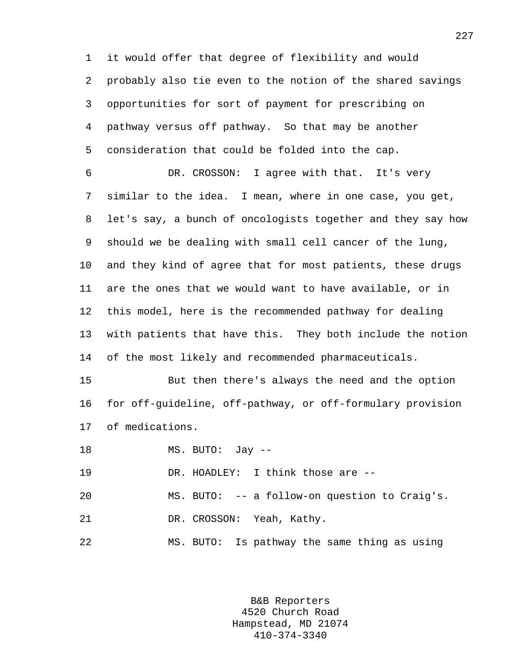1 it would offer that degree of flexibility and would 2 probably also tie even to the notion of the shared savings 3 opportunities for sort of payment for prescribing on 4 pathway versus off pathway. So that may be another 5 consideration that could be folded into the cap.

6 DR. CROSSON: I agree with that. It's very 7 similar to the idea. I mean, where in one case, you get, 8 let's say, a bunch of oncologists together and they say how 9 should we be dealing with small cell cancer of the lung, 10 and they kind of agree that for most patients, these drugs 11 are the ones that we would want to have available, or in 12 this model, here is the recommended pathway for dealing 13 with patients that have this. They both include the notion 14 of the most likely and recommended pharmaceuticals.

15 But then there's always the need and the option 16 for off-guideline, off-pathway, or off-formulary provision 17 of medications.

18 MS. BUTO: Jay --

19 DR. HOADLEY: I think those are --

20 MS. BUTO: -- a follow-on question to Craig's.

21 DR. CROSSON: Yeah, Kathy.

22 MS. BUTO: Is pathway the same thing as using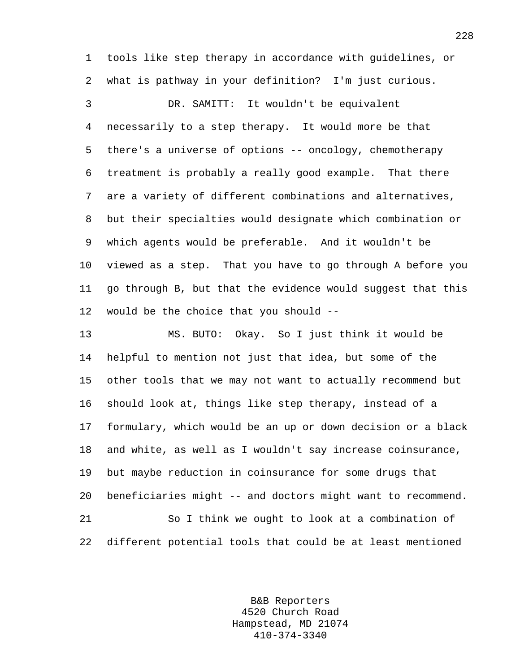1 tools like step therapy in accordance with guidelines, or 2 what is pathway in your definition? I'm just curious.

3 DR. SAMITT: It wouldn't be equivalent 4 necessarily to a step therapy. It would more be that 5 there's a universe of options -- oncology, chemotherapy 6 treatment is probably a really good example. That there 7 are a variety of different combinations and alternatives, 8 but their specialties would designate which combination or 9 which agents would be preferable. And it wouldn't be 10 viewed as a step. That you have to go through A before you 11 go through B, but that the evidence would suggest that this 12 would be the choice that you should --

13 MS. BUTO: Okay. So I just think it would be 14 helpful to mention not just that idea, but some of the 15 other tools that we may not want to actually recommend but 16 should look at, things like step therapy, instead of a 17 formulary, which would be an up or down decision or a black 18 and white, as well as I wouldn't say increase coinsurance, 19 but maybe reduction in coinsurance for some drugs that 20 beneficiaries might -- and doctors might want to recommend. 21 So I think we ought to look at a combination of 22 different potential tools that could be at least mentioned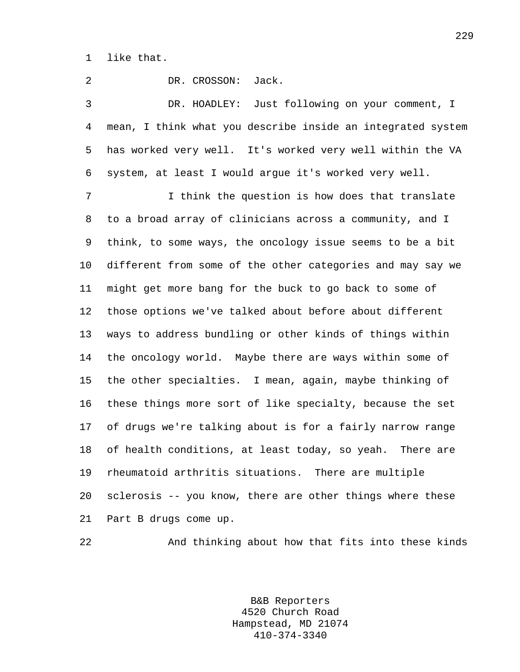1 like that.

2 DR. CROSSON: Jack. 3 DR. HOADLEY: Just following on your comment, I 4 mean, I think what you describe inside an integrated system 5 has worked very well. It's worked very well within the VA 6 system, at least I would argue it's worked very well. 7 I think the question is how does that translate 8 to a broad array of clinicians across a community, and I 9 think, to some ways, the oncology issue seems to be a bit 10 different from some of the other categories and may say we 11 might get more bang for the buck to go back to some of 12 those options we've talked about before about different 13 ways to address bundling or other kinds of things within 14 the oncology world. Maybe there are ways within some of 15 the other specialties. I mean, again, maybe thinking of 16 these things more sort of like specialty, because the set 17 of drugs we're talking about is for a fairly narrow range 18 of health conditions, at least today, so yeah. There are 19 rheumatoid arthritis situations. There are multiple 20 sclerosis -- you know, there are other things where these 21 Part B drugs come up.

22 And thinking about how that fits into these kinds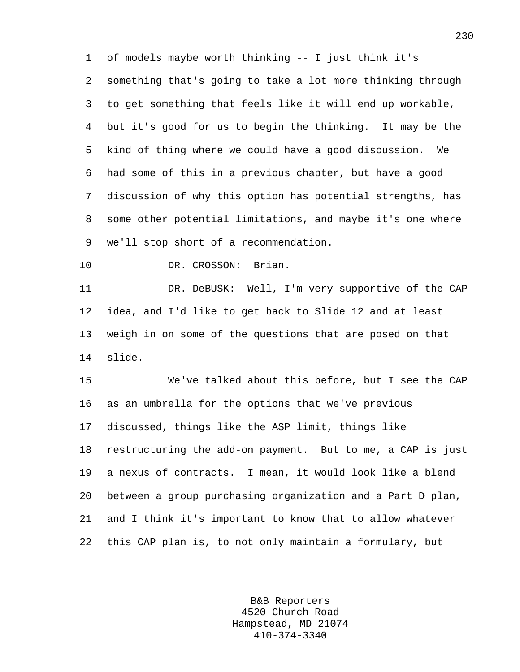1 of models maybe worth thinking -- I just think it's 2 something that's going to take a lot more thinking through 3 to get something that feels like it will end up workable, 4 but it's good for us to begin the thinking. It may be the 5 kind of thing where we could have a good discussion. We 6 had some of this in a previous chapter, but have a good 7 discussion of why this option has potential strengths, has 8 some other potential limitations, and maybe it's one where 9 we'll stop short of a recommendation.

10 DR. CROSSON: Brian.

11 DR. DeBUSK: Well, I'm very supportive of the CAP 12 idea, and I'd like to get back to Slide 12 and at least 13 weigh in on some of the questions that are posed on that 14 slide.

15 We've talked about this before, but I see the CAP 16 as an umbrella for the options that we've previous 17 discussed, things like the ASP limit, things like 18 restructuring the add-on payment. But to me, a CAP is just 19 a nexus of contracts. I mean, it would look like a blend 20 between a group purchasing organization and a Part D plan, 21 and I think it's important to know that to allow whatever 22 this CAP plan is, to not only maintain a formulary, but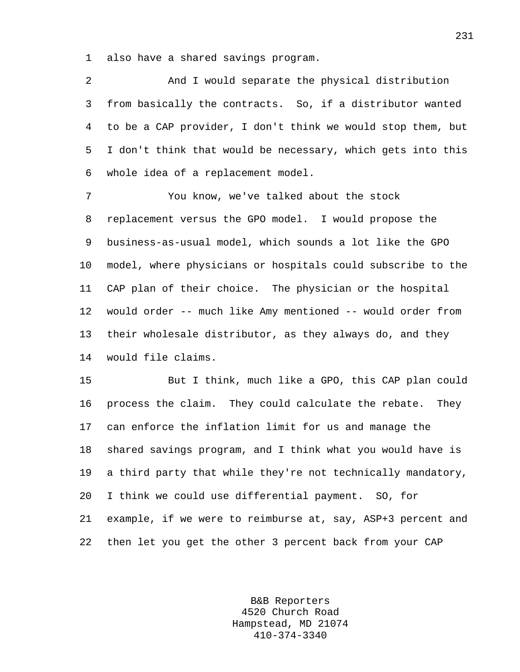1 also have a shared savings program.

2 And I would separate the physical distribution 3 from basically the contracts. So, if a distributor wanted 4 to be a CAP provider, I don't think we would stop them, but 5 I don't think that would be necessary, which gets into this 6 whole idea of a replacement model.

7 You know, we've talked about the stock 8 replacement versus the GPO model. I would propose the 9 business-as-usual model, which sounds a lot like the GPO 10 model, where physicians or hospitals could subscribe to the 11 CAP plan of their choice. The physician or the hospital 12 would order -- much like Amy mentioned -- would order from 13 their wholesale distributor, as they always do, and they 14 would file claims.

15 But I think, much like a GPO, this CAP plan could 16 process the claim. They could calculate the rebate. They 17 can enforce the inflation limit for us and manage the 18 shared savings program, and I think what you would have is 19 a third party that while they're not technically mandatory, 20 I think we could use differential payment. SO, for 21 example, if we were to reimburse at, say, ASP+3 percent and 22 then let you get the other 3 percent back from your CAP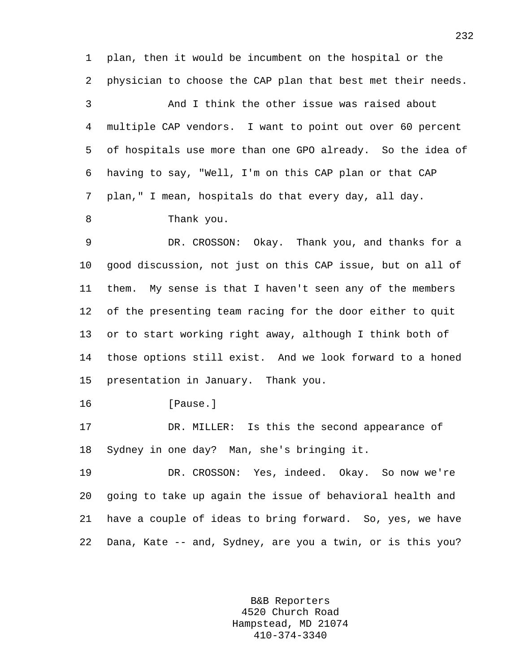1 plan, then it would be incumbent on the hospital or the 2 physician to choose the CAP plan that best met their needs.

3 And I think the other issue was raised about 4 multiple CAP vendors. I want to point out over 60 percent 5 of hospitals use more than one GPO already. So the idea of 6 having to say, "Well, I'm on this CAP plan or that CAP 7 plan," I mean, hospitals do that every day, all day.

8 Thank you.

9 DR. CROSSON: Okay. Thank you, and thanks for a 10 good discussion, not just on this CAP issue, but on all of 11 them. My sense is that I haven't seen any of the members 12 of the presenting team racing for the door either to quit 13 or to start working right away, although I think both of 14 those options still exist. And we look forward to a honed 15 presentation in January. Thank you.

16 [Pause.]

17 DR. MILLER: Is this the second appearance of 18 Sydney in one day? Man, she's bringing it.

19 DR. CROSSON: Yes, indeed. Okay. So now we're 20 going to take up again the issue of behavioral health and 21 have a couple of ideas to bring forward. So, yes, we have 22 Dana, Kate -- and, Sydney, are you a twin, or is this you?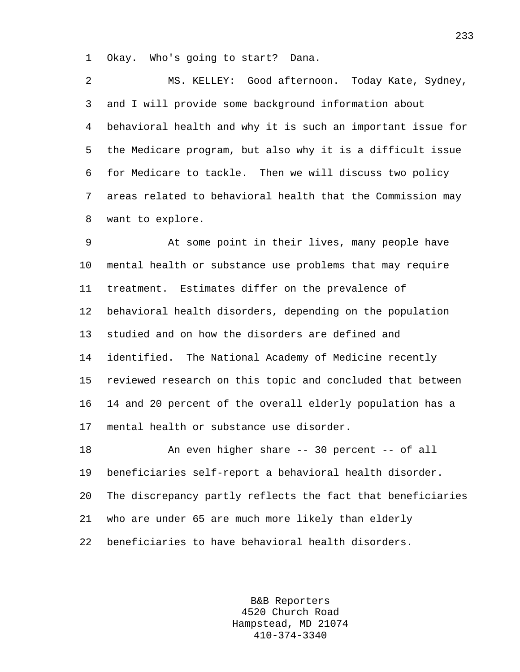1 Okay. Who's going to start? Dana.

2 MS. KELLEY: Good afternoon. Today Kate, Sydney, 3 and I will provide some background information about 4 behavioral health and why it is such an important issue for 5 the Medicare program, but also why it is a difficult issue 6 for Medicare to tackle. Then we will discuss two policy 7 areas related to behavioral health that the Commission may 8 want to explore.

9 At some point in their lives, many people have 10 mental health or substance use problems that may require 11 treatment. Estimates differ on the prevalence of 12 behavioral health disorders, depending on the population 13 studied and on how the disorders are defined and 14 identified. The National Academy of Medicine recently 15 reviewed research on this topic and concluded that between 16 14 and 20 percent of the overall elderly population has a 17 mental health or substance use disorder.

18 An even higher share -- 30 percent -- of all 19 beneficiaries self-report a behavioral health disorder. 20 The discrepancy partly reflects the fact that beneficiaries 21 who are under 65 are much more likely than elderly 22 beneficiaries to have behavioral health disorders.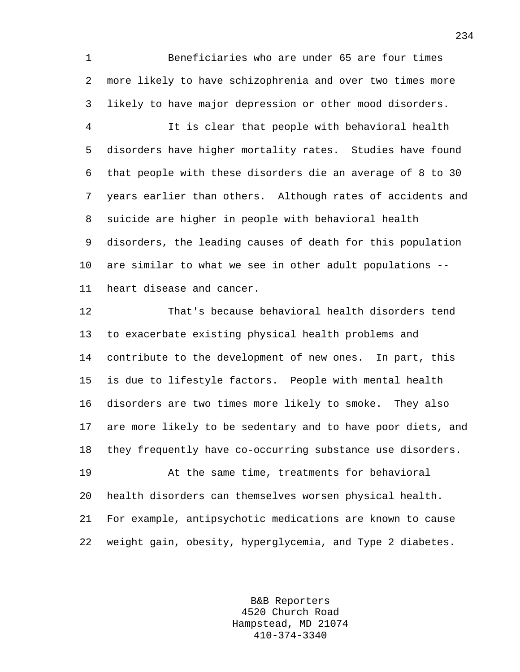1 Beneficiaries who are under 65 are four times 2 more likely to have schizophrenia and over two times more 3 likely to have major depression or other mood disorders.

4 It is clear that people with behavioral health 5 disorders have higher mortality rates. Studies have found 6 that people with these disorders die an average of 8 to 30 7 years earlier than others. Although rates of accidents and 8 suicide are higher in people with behavioral health 9 disorders, the leading causes of death for this population 10 are similar to what we see in other adult populations -- 11 heart disease and cancer.

12 That's because behavioral health disorders tend 13 to exacerbate existing physical health problems and 14 contribute to the development of new ones. In part, this 15 is due to lifestyle factors. People with mental health 16 disorders are two times more likely to smoke. They also 17 are more likely to be sedentary and to have poor diets, and 18 they frequently have co-occurring substance use disorders.

19 At the same time, treatments for behavioral 20 health disorders can themselves worsen physical health. 21 For example, antipsychotic medications are known to cause 22 weight gain, obesity, hyperglycemia, and Type 2 diabetes.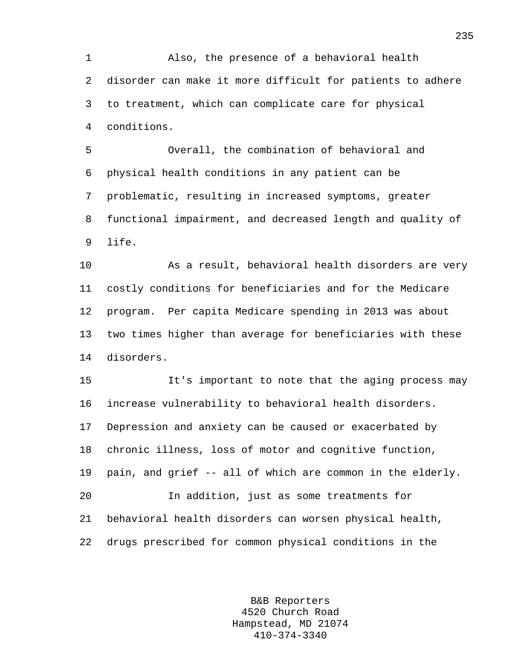1 Also, the presence of a behavioral health 2 disorder can make it more difficult for patients to adhere 3 to treatment, which can complicate care for physical 4 conditions.

5 Overall, the combination of behavioral and 6 physical health conditions in any patient can be 7 problematic, resulting in increased symptoms, greater 8 functional impairment, and decreased length and quality of 9 life.

10 As a result, behavioral health disorders are very 11 costly conditions for beneficiaries and for the Medicare 12 program. Per capita Medicare spending in 2013 was about 13 two times higher than average for beneficiaries with these 14 disorders.

15 It's important to note that the aging process may 16 increase vulnerability to behavioral health disorders. 17 Depression and anxiety can be caused or exacerbated by 18 chronic illness, loss of motor and cognitive function, 19 pain, and grief -- all of which are common in the elderly. 20 In addition, just as some treatments for 21 behavioral health disorders can worsen physical health, 22 drugs prescribed for common physical conditions in the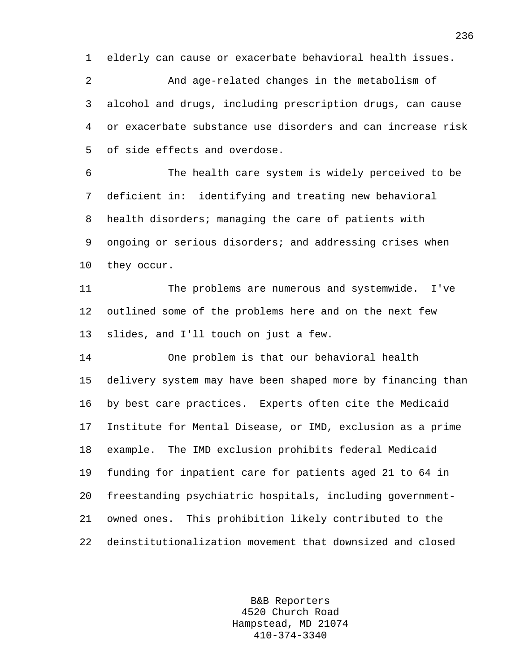1 elderly can cause or exacerbate behavioral health issues.

2 And age-related changes in the metabolism of 3 alcohol and drugs, including prescription drugs, can cause 4 or exacerbate substance use disorders and can increase risk 5 of side effects and overdose.

6 The health care system is widely perceived to be 7 deficient in: identifying and treating new behavioral 8 health disorders; managing the care of patients with 9 ongoing or serious disorders; and addressing crises when 10 they occur.

11 The problems are numerous and systemwide. I've 12 outlined some of the problems here and on the next few 13 slides, and I'll touch on just a few.

14 One problem is that our behavioral health 15 delivery system may have been shaped more by financing than 16 by best care practices. Experts often cite the Medicaid 17 Institute for Mental Disease, or IMD, exclusion as a prime 18 example. The IMD exclusion prohibits federal Medicaid 19 funding for inpatient care for patients aged 21 to 64 in 20 freestanding psychiatric hospitals, including government-21 owned ones. This prohibition likely contributed to the 22 deinstitutionalization movement that downsized and closed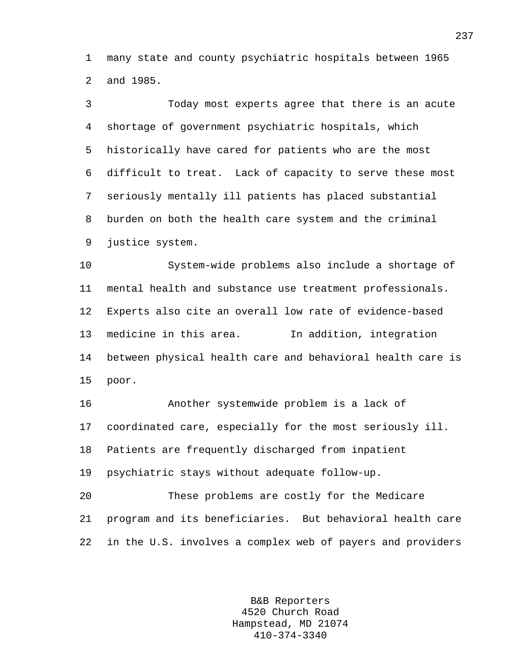1 many state and county psychiatric hospitals between 1965 2 and 1985.

3 Today most experts agree that there is an acute 4 shortage of government psychiatric hospitals, which 5 historically have cared for patients who are the most 6 difficult to treat. Lack of capacity to serve these most 7 seriously mentally ill patients has placed substantial 8 burden on both the health care system and the criminal 9 justice system. 10 System-wide problems also include a shortage of 11 mental health and substance use treatment professionals. 12 Experts also cite an overall low rate of evidence-based 13 medicine in this area. In addition, integration 14 between physical health care and behavioral health care is 15 poor. 16 Another systemwide problem is a lack of 17 coordinated care, especially for the most seriously ill. 18 Patients are frequently discharged from inpatient 19 psychiatric stays without adequate follow-up.

20 These problems are costly for the Medicare 21 program and its beneficiaries. But behavioral health care 22 in the U.S. involves a complex web of payers and providers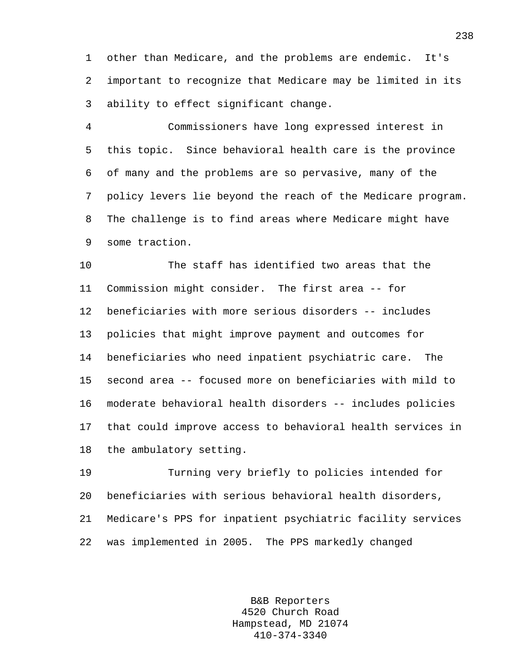1 other than Medicare, and the problems are endemic. It's 2 important to recognize that Medicare may be limited in its 3 ability to effect significant change.

4 Commissioners have long expressed interest in 5 this topic. Since behavioral health care is the province 6 of many and the problems are so pervasive, many of the 7 policy levers lie beyond the reach of the Medicare program. 8 The challenge is to find areas where Medicare might have 9 some traction.

10 The staff has identified two areas that the 11 Commission might consider. The first area -- for 12 beneficiaries with more serious disorders -- includes 13 policies that might improve payment and outcomes for 14 beneficiaries who need inpatient psychiatric care. The 15 second area -- focused more on beneficiaries with mild to 16 moderate behavioral health disorders -- includes policies 17 that could improve access to behavioral health services in 18 the ambulatory setting.

19 Turning very briefly to policies intended for 20 beneficiaries with serious behavioral health disorders, 21 Medicare's PPS for inpatient psychiatric facility services 22 was implemented in 2005. The PPS markedly changed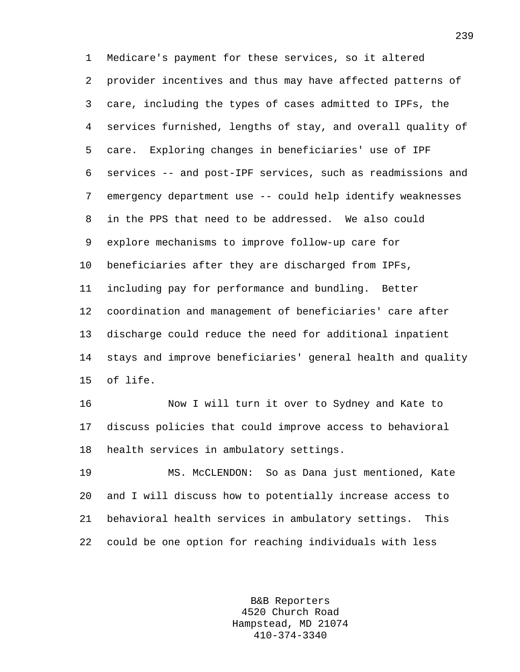1 Medicare's payment for these services, so it altered 2 provider incentives and thus may have affected patterns of 3 care, including the types of cases admitted to IPFs, the 4 services furnished, lengths of stay, and overall quality of 5 care. Exploring changes in beneficiaries' use of IPF 6 services -- and post-IPF services, such as readmissions and 7 emergency department use -- could help identify weaknesses 8 in the PPS that need to be addressed. We also could 9 explore mechanisms to improve follow-up care for 10 beneficiaries after they are discharged from IPFs, 11 including pay for performance and bundling. Better 12 coordination and management of beneficiaries' care after 13 discharge could reduce the need for additional inpatient 14 stays and improve beneficiaries' general health and quality 15 of life.

16 Now I will turn it over to Sydney and Kate to 17 discuss policies that could improve access to behavioral 18 health services in ambulatory settings.

19 MS. McCLENDON: So as Dana just mentioned, Kate 20 and I will discuss how to potentially increase access to 21 behavioral health services in ambulatory settings. This 22 could be one option for reaching individuals with less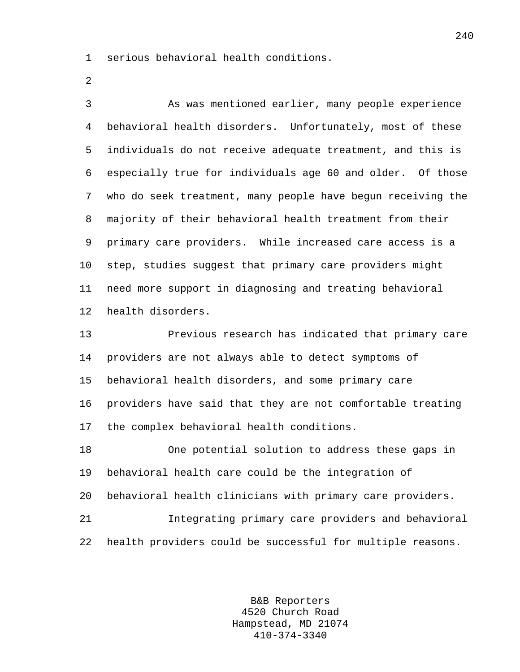1 serious behavioral health conditions.

2

3 As was mentioned earlier, many people experience 4 behavioral health disorders. Unfortunately, most of these 5 individuals do not receive adequate treatment, and this is 6 especially true for individuals age 60 and older. Of those 7 who do seek treatment, many people have begun receiving the 8 majority of their behavioral health treatment from their 9 primary care providers. While increased care access is a 10 step, studies suggest that primary care providers might 11 need more support in diagnosing and treating behavioral 12 health disorders.

13 Previous research has indicated that primary care 14 providers are not always able to detect symptoms of 15 behavioral health disorders, and some primary care 16 providers have said that they are not comfortable treating 17 the complex behavioral health conditions.

18 One potential solution to address these gaps in 19 behavioral health care could be the integration of 20 behavioral health clinicians with primary care providers. 21 Integrating primary care providers and behavioral 22 health providers could be successful for multiple reasons.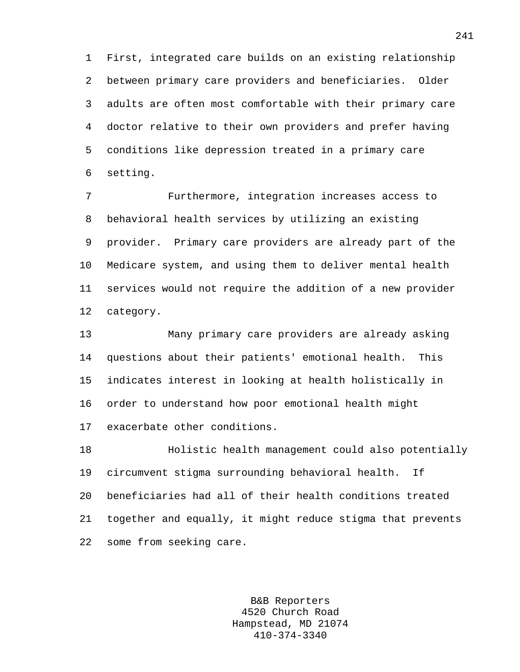1 First, integrated care builds on an existing relationship 2 between primary care providers and beneficiaries. Older 3 adults are often most comfortable with their primary care 4 doctor relative to their own providers and prefer having 5 conditions like depression treated in a primary care 6 setting.

7 Furthermore, integration increases access to 8 behavioral health services by utilizing an existing 9 provider. Primary care providers are already part of the 10 Medicare system, and using them to deliver mental health 11 services would not require the addition of a new provider 12 category.

13 Many primary care providers are already asking 14 questions about their patients' emotional health. This 15 indicates interest in looking at health holistically in 16 order to understand how poor emotional health might 17 exacerbate other conditions.

18 Holistic health management could also potentially 19 circumvent stigma surrounding behavioral health. If 20 beneficiaries had all of their health conditions treated 21 together and equally, it might reduce stigma that prevents 22 some from seeking care.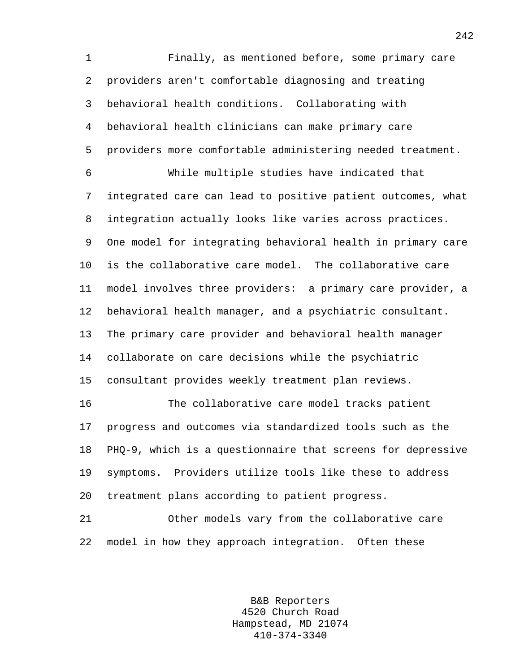1 Finally, as mentioned before, some primary care 2 providers aren't comfortable diagnosing and treating 3 behavioral health conditions. Collaborating with 4 behavioral health clinicians can make primary care 5 providers more comfortable administering needed treatment. 6 While multiple studies have indicated that 7 integrated care can lead to positive patient outcomes, what 8 integration actually looks like varies across practices. 9 One model for integrating behavioral health in primary care 10 is the collaborative care model. The collaborative care 11 model involves three providers: a primary care provider, a 12 behavioral health manager, and a psychiatric consultant. 13 The primary care provider and behavioral health manager 14 collaborate on care decisions while the psychiatric 15 consultant provides weekly treatment plan reviews. 16 The collaborative care model tracks patient 17 progress and outcomes via standardized tools such as the

19 symptoms. Providers utilize tools like these to address 20 treatment plans according to patient progress.

18 PHQ-9, which is a questionnaire that screens for depressive

21 Other models vary from the collaborative care 22 model in how they approach integration. Often these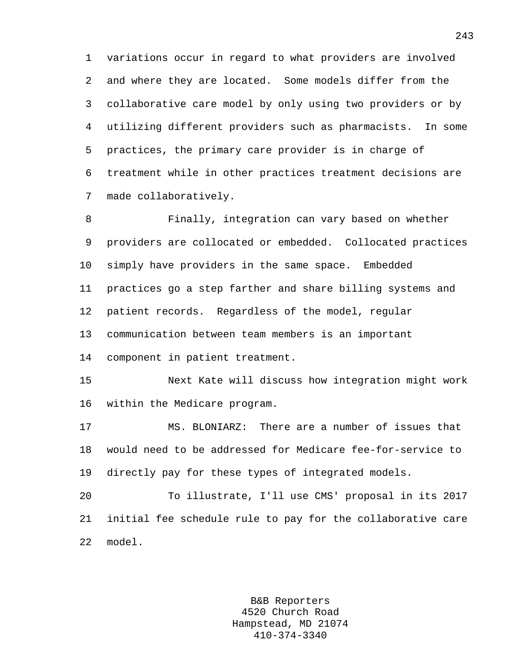1 variations occur in regard to what providers are involved 2 and where they are located. Some models differ from the 3 collaborative care model by only using two providers or by 4 utilizing different providers such as pharmacists. In some 5 practices, the primary care provider is in charge of 6 treatment while in other practices treatment decisions are 7 made collaboratively.

8 Finally, integration can vary based on whether 9 providers are collocated or embedded. Collocated practices 10 simply have providers in the same space. Embedded 11 practices go a step farther and share billing systems and 12 patient records. Regardless of the model, regular 13 communication between team members is an important 14 component in patient treatment.

15 Next Kate will discuss how integration might work 16 within the Medicare program.

17 MS. BLONIARZ: There are a number of issues that 18 would need to be addressed for Medicare fee-for-service to 19 directly pay for these types of integrated models.

20 To illustrate, I'll use CMS' proposal in its 2017 21 initial fee schedule rule to pay for the collaborative care 22 model.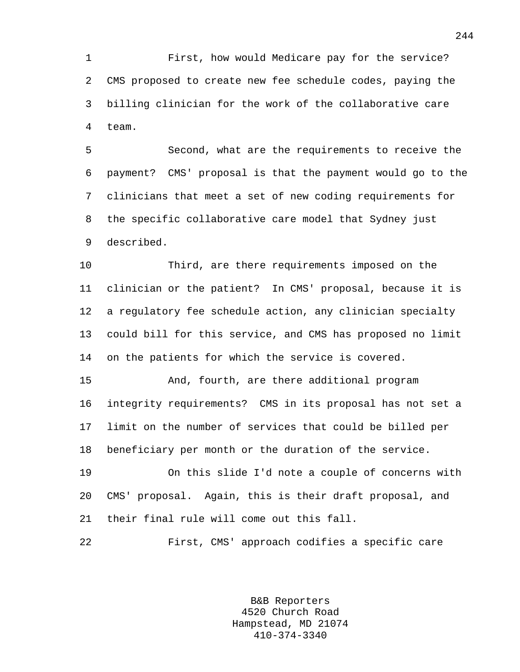1 First, how would Medicare pay for the service? 2 CMS proposed to create new fee schedule codes, paying the 3 billing clinician for the work of the collaborative care 4 team.

5 Second, what are the requirements to receive the 6 payment? CMS' proposal is that the payment would go to the 7 clinicians that meet a set of new coding requirements for 8 the specific collaborative care model that Sydney just 9 described.

10 Third, are there requirements imposed on the 11 clinician or the patient? In CMS' proposal, because it is 12 a regulatory fee schedule action, any clinician specialty 13 could bill for this service, and CMS has proposed no limit 14 on the patients for which the service is covered.

15 And, fourth, are there additional program 16 integrity requirements? CMS in its proposal has not set a 17 limit on the number of services that could be billed per 18 beneficiary per month or the duration of the service.

19 On this slide I'd note a couple of concerns with 20 CMS' proposal. Again, this is their draft proposal, and 21 their final rule will come out this fall.

22 First, CMS' approach codifies a specific care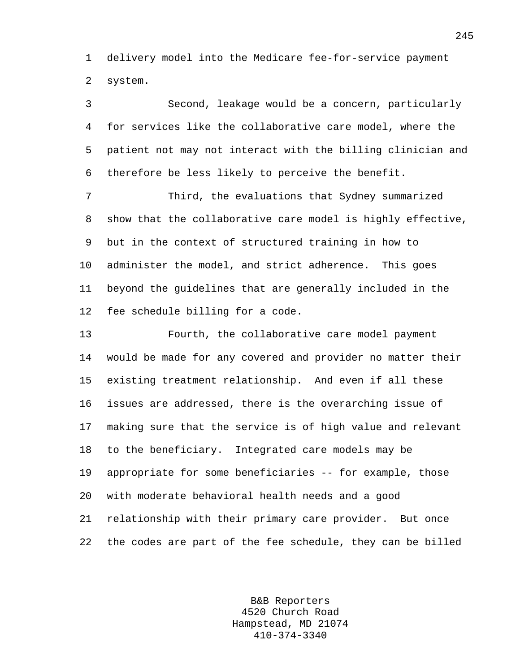1 delivery model into the Medicare fee-for-service payment 2 system.

3 Second, leakage would be a concern, particularly 4 for services like the collaborative care model, where the 5 patient not may not interact with the billing clinician and 6 therefore be less likely to perceive the benefit.

7 Third, the evaluations that Sydney summarized 8 show that the collaborative care model is highly effective, 9 but in the context of structured training in how to 10 administer the model, and strict adherence. This goes 11 beyond the guidelines that are generally included in the 12 fee schedule billing for a code.

13 Fourth, the collaborative care model payment 14 would be made for any covered and provider no matter their 15 existing treatment relationship. And even if all these 16 issues are addressed, there is the overarching issue of 17 making sure that the service is of high value and relevant 18 to the beneficiary. Integrated care models may be 19 appropriate for some beneficiaries -- for example, those 20 with moderate behavioral health needs and a good 21 relationship with their primary care provider. But once 22 the codes are part of the fee schedule, they can be billed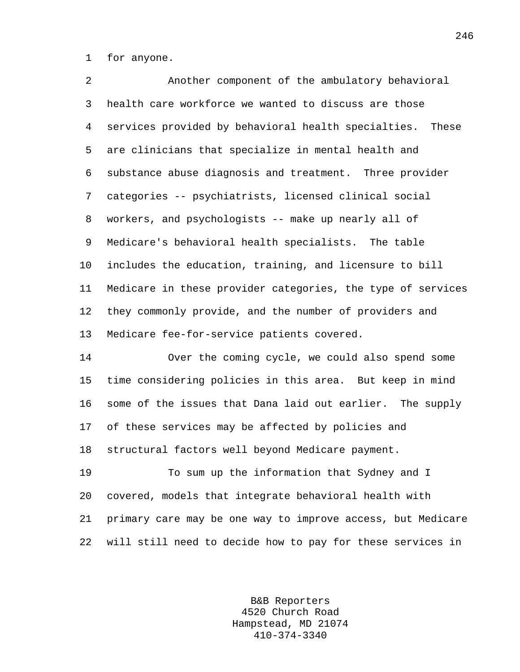1 for anyone.

2 Another component of the ambulatory behavioral 3 health care workforce we wanted to discuss are those 4 services provided by behavioral health specialties. These 5 are clinicians that specialize in mental health and 6 substance abuse diagnosis and treatment. Three provider 7 categories -- psychiatrists, licensed clinical social 8 workers, and psychologists -- make up nearly all of 9 Medicare's behavioral health specialists. The table 10 includes the education, training, and licensure to bill 11 Medicare in these provider categories, the type of services 12 they commonly provide, and the number of providers and 13 Medicare fee-for-service patients covered.

14 Over the coming cycle, we could also spend some 15 time considering policies in this area. But keep in mind 16 some of the issues that Dana laid out earlier. The supply 17 of these services may be affected by policies and 18 structural factors well beyond Medicare payment.

19 To sum up the information that Sydney and I 20 covered, models that integrate behavioral health with 21 primary care may be one way to improve access, but Medicare 22 will still need to decide how to pay for these services in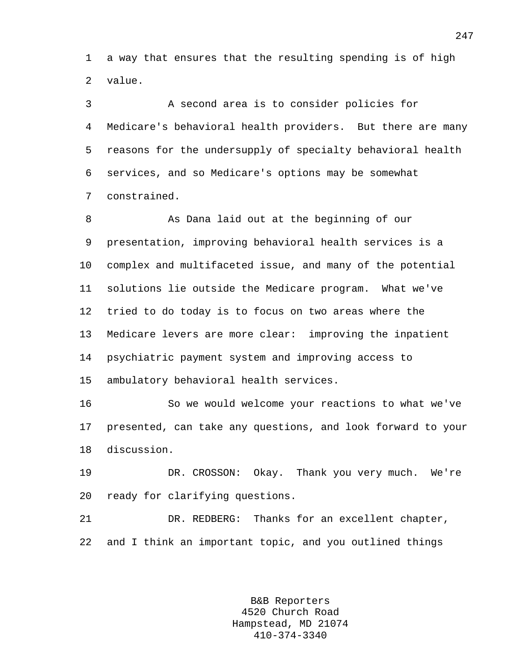1 a way that ensures that the resulting spending is of high 2 value.

3 A second area is to consider policies for 4 Medicare's behavioral health providers. But there are many 5 reasons for the undersupply of specialty behavioral health 6 services, and so Medicare's options may be somewhat 7 constrained.

8 As Dana laid out at the beginning of our 9 presentation, improving behavioral health services is a 10 complex and multifaceted issue, and many of the potential 11 solutions lie outside the Medicare program. What we've 12 tried to do today is to focus on two areas where the 13 Medicare levers are more clear: improving the inpatient 14 psychiatric payment system and improving access to 15 ambulatory behavioral health services.

16 So we would welcome your reactions to what we've 17 presented, can take any questions, and look forward to your 18 discussion.

19 DR. CROSSON: Okay. Thank you very much. We're 20 ready for clarifying questions.

21 DR. REDBERG: Thanks for an excellent chapter, 22 and I think an important topic, and you outlined things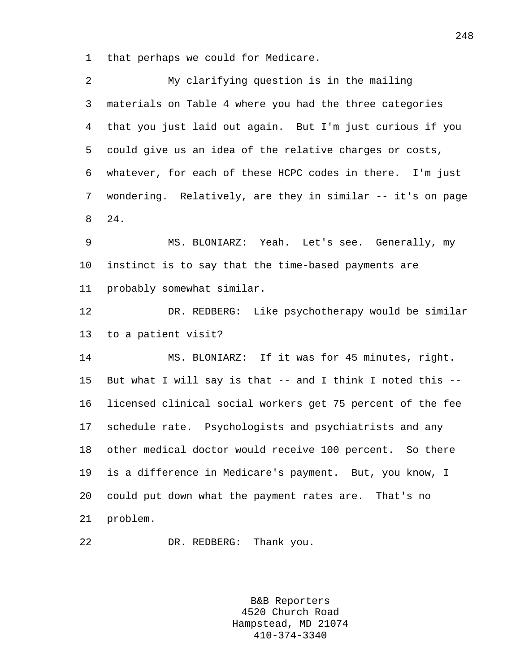1 that perhaps we could for Medicare.

| 2  | My clarifying question is in the mailing                   |
|----|------------------------------------------------------------|
| 3  | materials on Table 4 where you had the three categories    |
| 4  | that you just laid out again. But I'm just curious if you  |
| 5  | could give us an idea of the relative charges or costs,    |
| 6  | whatever, for each of these HCPC codes in there. I'm just  |
| 7  | wondering. Relatively, are they in similar -- it's on page |
| 8  | 24.                                                        |
| 9  | MS. BLONIARZ: Yeah. Let's see. Generally, my               |
| 10 | instinct is to say that the time-based payments are        |
| 11 | probably somewhat similar.                                 |
| 12 | DR. REDBERG: Like psychotherapy would be similar           |
| 13 | to a patient visit?                                        |
| 14 | MS. BLONIARZ: If it was for 45 minutes, right.             |
| 15 | But what I will say is that -- and I think I noted this -- |
| 16 | licensed clinical social workers get 75 percent of the fee |
| 17 | schedule rate. Psychologists and psychiatrists and any     |
| 18 | other medical doctor would receive 100 percent. So there   |
| 19 | is a difference in Medicare's payment. But, you know, I    |
| 20 | could put down what the payment rates are. That's no       |
| 21 | problem.                                                   |
| 22 | DR. REDBERG: Thank you.                                    |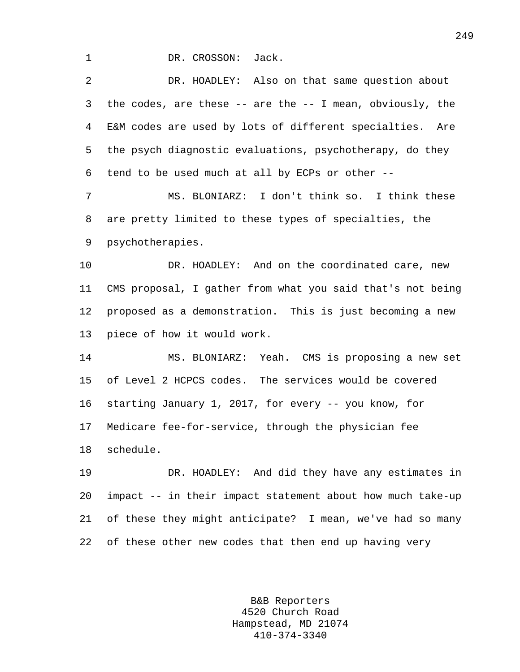1 DR. CROSSON: Jack.

2 DR. HOADLEY: Also on that same question about 3 the codes, are these -- are the -- I mean, obviously, the 4 E&M codes are used by lots of different specialties. Are 5 the psych diagnostic evaluations, psychotherapy, do they 6 tend to be used much at all by ECPs or other --

7 MS. BLONIARZ: I don't think so. I think these 8 are pretty limited to these types of specialties, the 9 psychotherapies.

10 DR. HOADLEY: And on the coordinated care, new 11 CMS proposal, I gather from what you said that's not being 12 proposed as a demonstration. This is just becoming a new 13 piece of how it would work.

14 MS. BLONIARZ: Yeah. CMS is proposing a new set 15 of Level 2 HCPCS codes. The services would be covered 16 starting January 1, 2017, for every -- you know, for 17 Medicare fee-for-service, through the physician fee 18 schedule.

19 DR. HOADLEY: And did they have any estimates in 20 impact -- in their impact statement about how much take-up 21 of these they might anticipate? I mean, we've had so many 22 of these other new codes that then end up having very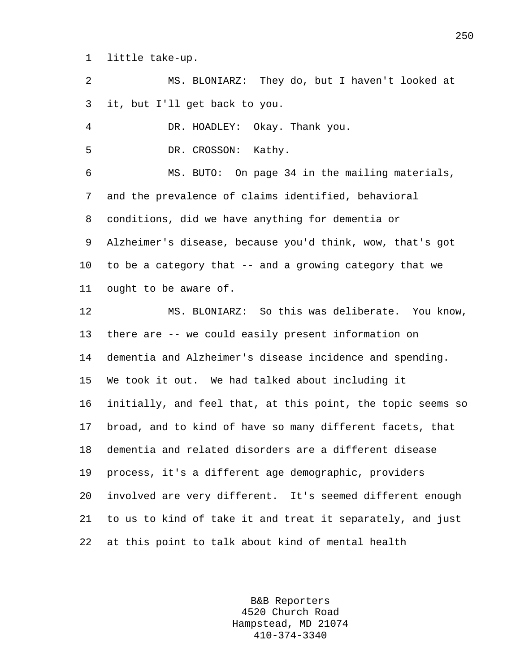1 little take-up.

2 MS. BLONIARZ: They do, but I haven't looked at 3 it, but I'll get back to you.

4 DR. HOADLEY: Okay. Thank you.

5 DR. CROSSON: Kathy.

6 MS. BUTO: On page 34 in the mailing materials, 7 and the prevalence of claims identified, behavioral 8 conditions, did we have anything for dementia or 9 Alzheimer's disease, because you'd think, wow, that's got 10 to be a category that -- and a growing category that we 11 ought to be aware of.

12 MS. BLONIARZ: So this was deliberate. You know, 13 there are -- we could easily present information on 14 dementia and Alzheimer's disease incidence and spending. 15 We took it out. We had talked about including it 16 initially, and feel that, at this point, the topic seems so 17 broad, and to kind of have so many different facets, that 18 dementia and related disorders are a different disease 19 process, it's a different age demographic, providers 20 involved are very different. It's seemed different enough 21 to us to kind of take it and treat it separately, and just 22 at this point to talk about kind of mental health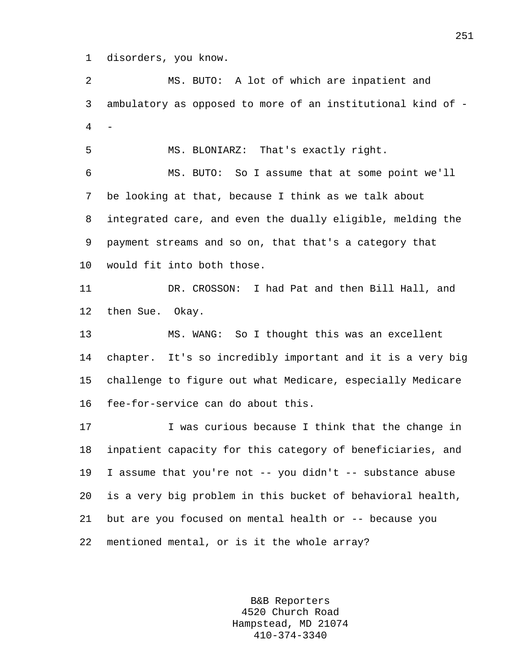1 disorders, you know.

2 MS. BUTO: A lot of which are inpatient and 3 ambulatory as opposed to more of an institutional kind of - 4 -

5 MS. BLONIARZ: That's exactly right.

6 MS. BUTO: So I assume that at some point we'll 7 be looking at that, because I think as we talk about 8 integrated care, and even the dually eligible, melding the 9 payment streams and so on, that that's a category that 10 would fit into both those.

11 DR. CROSSON: I had Pat and then Bill Hall, and 12 then Sue. Okay.

13 MS. WANG: So I thought this was an excellent 14 chapter. It's so incredibly important and it is a very big 15 challenge to figure out what Medicare, especially Medicare 16 fee-for-service can do about this.

17 Twas curious because I think that the change in 18 inpatient capacity for this category of beneficiaries, and 19 I assume that you're not -- you didn't -- substance abuse 20 is a very big problem in this bucket of behavioral health, 21 but are you focused on mental health or -- because you 22 mentioned mental, or is it the whole array?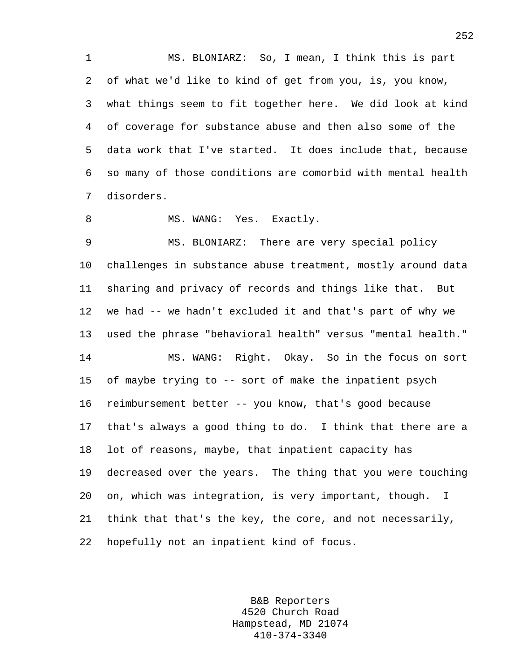1 MS. BLONIARZ: So, I mean, I think this is part 2 of what we'd like to kind of get from you, is, you know, 3 what things seem to fit together here. We did look at kind 4 of coverage for substance abuse and then also some of the 5 data work that I've started. It does include that, because 6 so many of those conditions are comorbid with mental health 7 disorders.

8 MS. WANG: Yes. Exactly.

9 MS. BLONIARZ: There are very special policy 10 challenges in substance abuse treatment, mostly around data 11 sharing and privacy of records and things like that. But 12 we had -- we hadn't excluded it and that's part of why we 13 used the phrase "behavioral health" versus "mental health." 14 MS. WANG: Right. Okay. So in the focus on sort 15 of maybe trying to -- sort of make the inpatient psych 16 reimbursement better -- you know, that's good because 17 that's always a good thing to do. I think that there are a 18 lot of reasons, maybe, that inpatient capacity has 19 decreased over the years. The thing that you were touching 20 on, which was integration, is very important, though. I 21 think that that's the key, the core, and not necessarily, 22 hopefully not an inpatient kind of focus.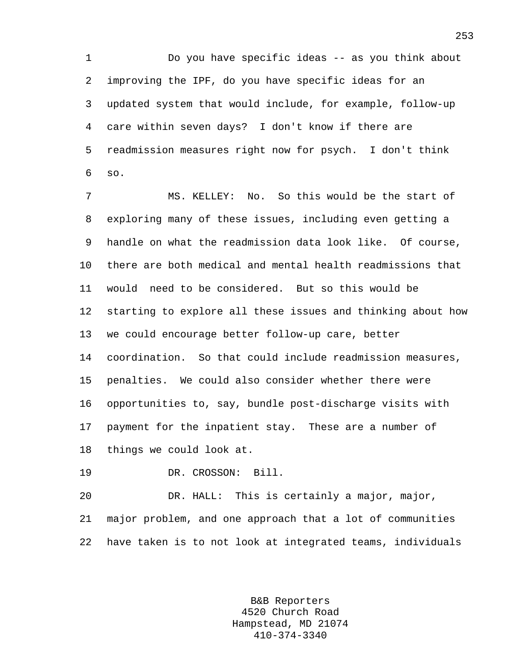1 Do you have specific ideas -- as you think about 2 improving the IPF, do you have specific ideas for an 3 updated system that would include, for example, follow-up 4 care within seven days? I don't know if there are 5 readmission measures right now for psych. I don't think 6 so.

7 MS. KELLEY: No. So this would be the start of 8 exploring many of these issues, including even getting a 9 handle on what the readmission data look like. Of course, 10 there are both medical and mental health readmissions that 11 would need to be considered. But so this would be 12 starting to explore all these issues and thinking about how 13 we could encourage better follow-up care, better 14 coordination. So that could include readmission measures, 15 penalties. We could also consider whether there were 16 opportunities to, say, bundle post-discharge visits with 17 payment for the inpatient stay. These are a number of 18 things we could look at.

19 DR. CROSSON: Bill.

20 DR. HALL: This is certainly a major, major, 21 major problem, and one approach that a lot of communities 22 have taken is to not look at integrated teams, individuals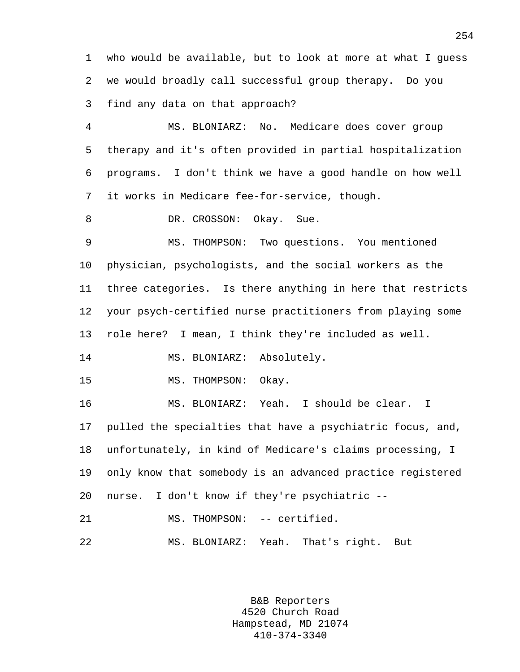1 who would be available, but to look at more at what I guess 2 we would broadly call successful group therapy. Do you 3 find any data on that approach?

4 MS. BLONIARZ: No. Medicare does cover group 5 therapy and it's often provided in partial hospitalization 6 programs. I don't think we have a good handle on how well 7 it works in Medicare fee-for-service, though.

8 DR. CROSSON: Okay. Sue.

9 MS. THOMPSON: Two questions. You mentioned 10 physician, psychologists, and the social workers as the 11 three categories. Is there anything in here that restricts 12 your psych-certified nurse practitioners from playing some 13 role here? I mean, I think they're included as well.

14 MS. BLONIARZ: Absolutely.

15 MS. THOMPSON: Okay.

16 MS. BLONIARZ: Yeah. I should be clear. I 17 pulled the specialties that have a psychiatric focus, and, 18 unfortunately, in kind of Medicare's claims processing, I 19 only know that somebody is an advanced practice registered 20 nurse. I don't know if they're psychiatric -- 21 MS. THOMPSON: -- certified.

22 MS. BLONIARZ: Yeah. That's right. But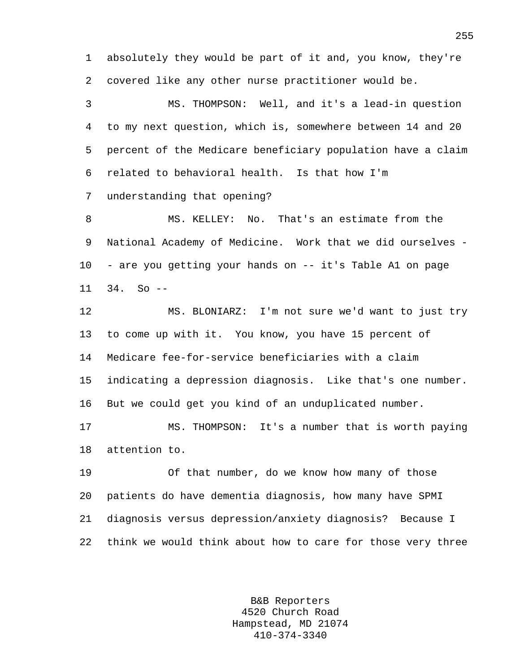1 absolutely they would be part of it and, you know, they're 2 covered like any other nurse practitioner would be.

3 MS. THOMPSON: Well, and it's a lead-in question 4 to my next question, which is, somewhere between 14 and 20 5 percent of the Medicare beneficiary population have a claim 6 related to behavioral health. Is that how I'm 7 understanding that opening?

8 MS. KELLEY: No. That's an estimate from the 9 National Academy of Medicine. Work that we did ourselves - 10 - are you getting your hands on -- it's Table A1 on page 11 34. So --

12 MS. BLONIARZ: I'm not sure we'd want to just try 13 to come up with it. You know, you have 15 percent of 14 Medicare fee-for-service beneficiaries with a claim 15 indicating a depression diagnosis. Like that's one number. 16 But we could get you kind of an unduplicated number.

17 MS. THOMPSON: It's a number that is worth paying 18 attention to.

19 Of that number, do we know how many of those 20 patients do have dementia diagnosis, how many have SPMI 21 diagnosis versus depression/anxiety diagnosis? Because I 22 think we would think about how to care for those very three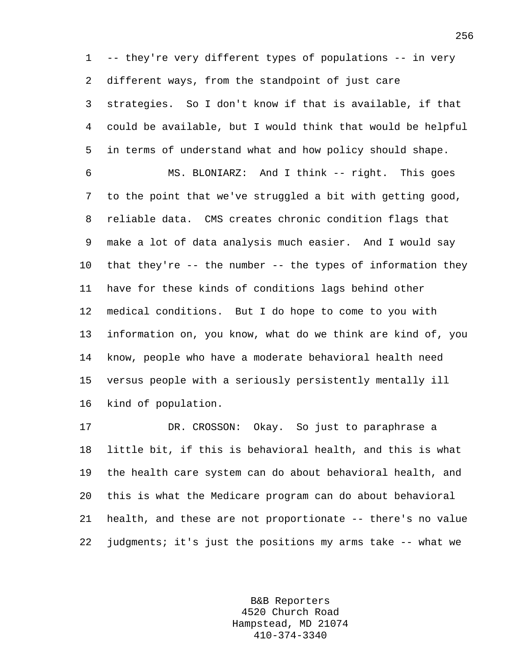1 -- they're very different types of populations -- in very 2 different ways, from the standpoint of just care 3 strategies. So I don't know if that is available, if that 4 could be available, but I would think that would be helpful 5 in terms of understand what and how policy should shape. 6 MS. BLONIARZ: And I think -- right. This goes

7 to the point that we've struggled a bit with getting good, 8 reliable data. CMS creates chronic condition flags that 9 make a lot of data analysis much easier. And I would say 10 that they're -- the number -- the types of information they 11 have for these kinds of conditions lags behind other 12 medical conditions. But I do hope to come to you with 13 information on, you know, what do we think are kind of, you 14 know, people who have a moderate behavioral health need 15 versus people with a seriously persistently mentally ill 16 kind of population.

17 DR. CROSSON: Okay. So just to paraphrase a 18 little bit, if this is behavioral health, and this is what 19 the health care system can do about behavioral health, and 20 this is what the Medicare program can do about behavioral 21 health, and these are not proportionate -- there's no value 22 judgments; it's just the positions my arms take -- what we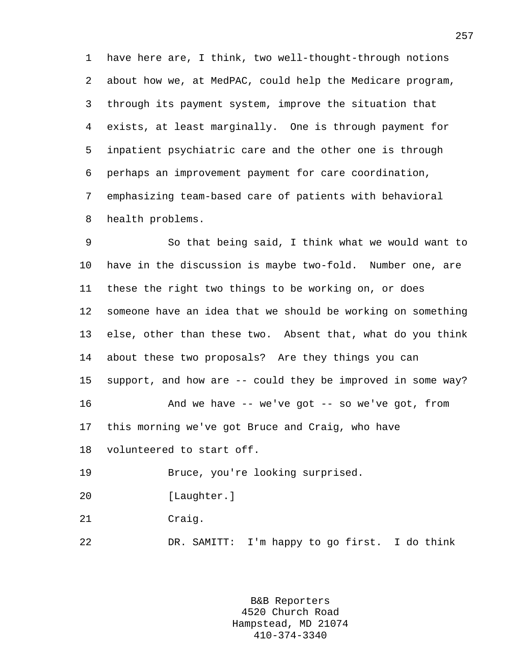1 have here are, I think, two well-thought-through notions 2 about how we, at MedPAC, could help the Medicare program, 3 through its payment system, improve the situation that 4 exists, at least marginally. One is through payment for 5 inpatient psychiatric care and the other one is through 6 perhaps an improvement payment for care coordination, 7 emphasizing team-based care of patients with behavioral 8 health problems.

9 So that being said, I think what we would want to 10 have in the discussion is maybe two-fold. Number one, are 11 these the right two things to be working on, or does 12 someone have an idea that we should be working on something 13 else, other than these two. Absent that, what do you think 14 about these two proposals? Are they things you can 15 support, and how are -- could they be improved in some way? 16 And we have -- we've got -- so we've got, from 17 this morning we've got Bruce and Craig, who have 18 volunteered to start off. 19 Bruce, you're looking surprised. 20 [Laughter.] 21 Craig.

22 DR. SAMITT: I'm happy to go first. I do think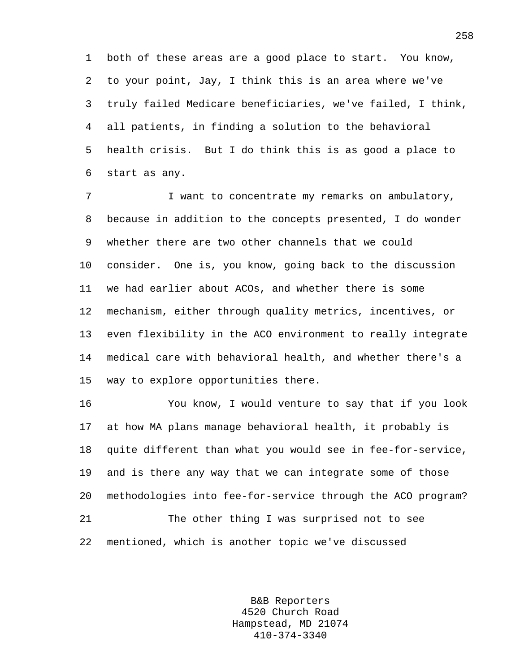1 both of these areas are a good place to start. You know, 2 to your point, Jay, I think this is an area where we've 3 truly failed Medicare beneficiaries, we've failed, I think, 4 all patients, in finding a solution to the behavioral 5 health crisis. But I do think this is as good a place to 6 start as any.

7 I want to concentrate my remarks on ambulatory, 8 because in addition to the concepts presented, I do wonder 9 whether there are two other channels that we could 10 consider. One is, you know, going back to the discussion 11 we had earlier about ACOs, and whether there is some 12 mechanism, either through quality metrics, incentives, or 13 even flexibility in the ACO environment to really integrate 14 medical care with behavioral health, and whether there's a 15 way to explore opportunities there.

16 You know, I would venture to say that if you look 17 at how MA plans manage behavioral health, it probably is 18 quite different than what you would see in fee-for-service, 19 and is there any way that we can integrate some of those 20 methodologies into fee-for-service through the ACO program? 21 The other thing I was surprised not to see 22 mentioned, which is another topic we've discussed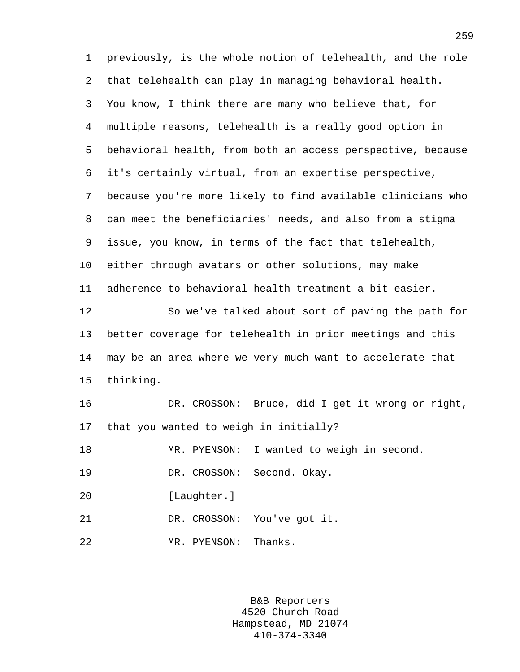1 previously, is the whole notion of telehealth, and the role 2 that telehealth can play in managing behavioral health. 3 You know, I think there are many who believe that, for 4 multiple reasons, telehealth is a really good option in 5 behavioral health, from both an access perspective, because 6 it's certainly virtual, from an expertise perspective, 7 because you're more likely to find available clinicians who 8 can meet the beneficiaries' needs, and also from a stigma 9 issue, you know, in terms of the fact that telehealth, 10 either through avatars or other solutions, may make 11 adherence to behavioral health treatment a bit easier. 12 So we've talked about sort of paving the path for 13 better coverage for telehealth in prior meetings and this 14 may be an area where we very much want to accelerate that 15 thinking. 16 DR. CROSSON: Bruce, did I get it wrong or right, 17 that you wanted to weigh in initially? 18 MR. PYENSON: I wanted to weigh in second. 19 DR. CROSSON: Second. Okay. 20 [Laughter.] 21 DR. CROSSON: You've got it. 22 MR. PYENSON: Thanks.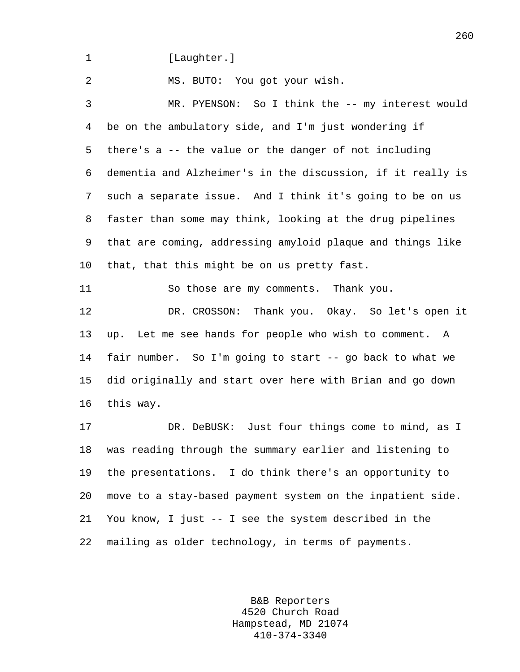1 [Laughter.]

2 MS. BUTO: You got your wish.

3 MR. PYENSON: So I think the -- my interest would 4 be on the ambulatory side, and I'm just wondering if 5 there's a -- the value or the danger of not including 6 dementia and Alzheimer's in the discussion, if it really is 7 such a separate issue. And I think it's going to be on us 8 faster than some may think, looking at the drug pipelines 9 that are coming, addressing amyloid plaque and things like 10 that, that this might be on us pretty fast.

11 So those are my comments. Thank you.

12 DR. CROSSON: Thank you. Okay. So let's open it 13 up. Let me see hands for people who wish to comment. A 14 fair number. So I'm going to start -- go back to what we 15 did originally and start over here with Brian and go down 16 this way.

17 DR. DeBUSK: Just four things come to mind, as I 18 was reading through the summary earlier and listening to 19 the presentations. I do think there's an opportunity to 20 move to a stay-based payment system on the inpatient side. 21 You know, I just -- I see the system described in the 22 mailing as older technology, in terms of payments.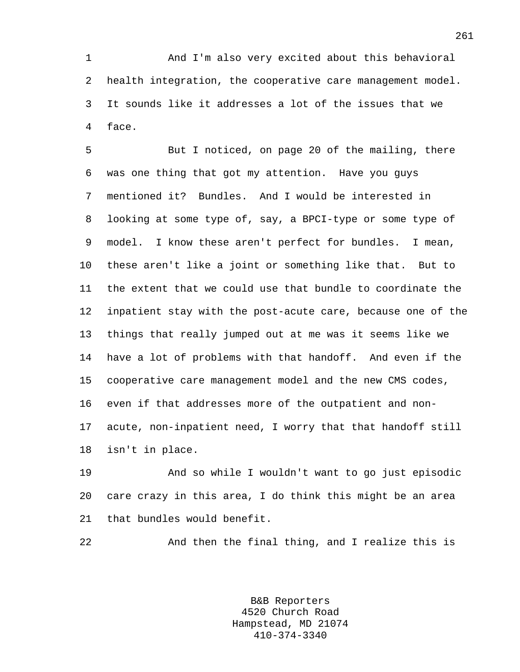1 And I'm also very excited about this behavioral 2 health integration, the cooperative care management model. 3 It sounds like it addresses a lot of the issues that we 4 face.

5 But I noticed, on page 20 of the mailing, there 6 was one thing that got my attention. Have you guys 7 mentioned it? Bundles. And I would be interested in 8 looking at some type of, say, a BPCI-type or some type of 9 model. I know these aren't perfect for bundles. I mean, 10 these aren't like a joint or something like that. But to 11 the extent that we could use that bundle to coordinate the 12 inpatient stay with the post-acute care, because one of the 13 things that really jumped out at me was it seems like we 14 have a lot of problems with that handoff. And even if the 15 cooperative care management model and the new CMS codes, 16 even if that addresses more of the outpatient and non-17 acute, non-inpatient need, I worry that that handoff still 18 isn't in place.

19 And so while I wouldn't want to go just episodic 20 care crazy in this area, I do think this might be an area 21 that bundles would benefit.

22 And then the final thing, and I realize this is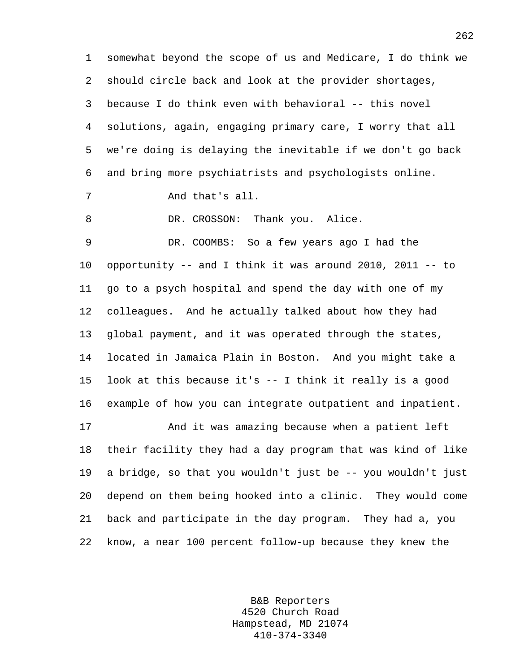1 somewhat beyond the scope of us and Medicare, I do think we 2 should circle back and look at the provider shortages, 3 because I do think even with behavioral -- this novel 4 solutions, again, engaging primary care, I worry that all 5 we're doing is delaying the inevitable if we don't go back 6 and bring more psychiatrists and psychologists online. 7 And that's all. 8 DR. CROSSON: Thank you. Alice. 9 DR. COOMBS: So a few years ago I had the 10 opportunity -- and I think it was around 2010, 2011 -- to 11 go to a psych hospital and spend the day with one of my 12 colleagues. And he actually talked about how they had 13 global payment, and it was operated through the states, 14 located in Jamaica Plain in Boston. And you might take a 15 look at this because it's -- I think it really is a good 16 example of how you can integrate outpatient and inpatient. 17 And it was amazing because when a patient left 18 their facility they had a day program that was kind of like 19 a bridge, so that you wouldn't just be -- you wouldn't just

20 depend on them being hooked into a clinic. They would come 21 back and participate in the day program. They had a, you 22 know, a near 100 percent follow-up because they knew the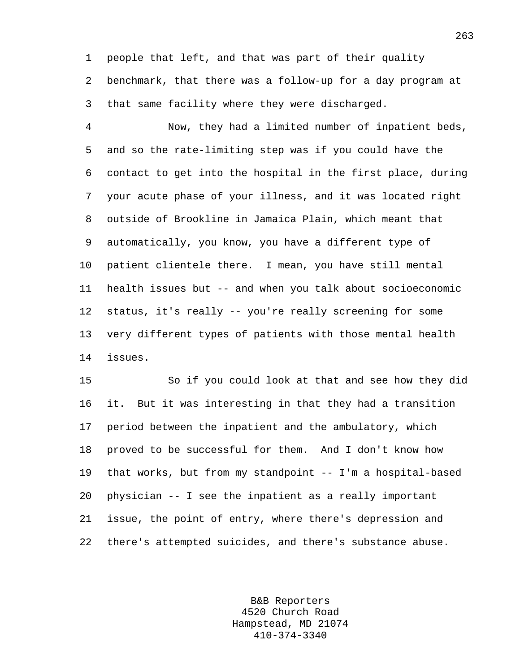1 people that left, and that was part of their quality 2 benchmark, that there was a follow-up for a day program at 3 that same facility where they were discharged.

4 Now, they had a limited number of inpatient beds, 5 and so the rate-limiting step was if you could have the 6 contact to get into the hospital in the first place, during 7 your acute phase of your illness, and it was located right 8 outside of Brookline in Jamaica Plain, which meant that 9 automatically, you know, you have a different type of 10 patient clientele there. I mean, you have still mental 11 health issues but -- and when you talk about socioeconomic 12 status, it's really -- you're really screening for some 13 very different types of patients with those mental health 14 issues.

15 So if you could look at that and see how they did 16 it. But it was interesting in that they had a transition 17 period between the inpatient and the ambulatory, which 18 proved to be successful for them. And I don't know how 19 that works, but from my standpoint -- I'm a hospital-based 20 physician -- I see the inpatient as a really important 21 issue, the point of entry, where there's depression and 22 there's attempted suicides, and there's substance abuse.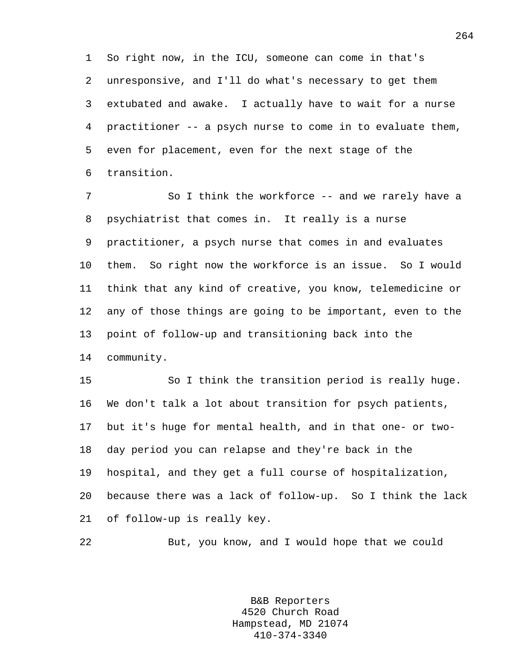1 So right now, in the ICU, someone can come in that's 2 unresponsive, and I'll do what's necessary to get them 3 extubated and awake. I actually have to wait for a nurse 4 practitioner -- a psych nurse to come in to evaluate them, 5 even for placement, even for the next stage of the 6 transition.

7 So I think the workforce -- and we rarely have a 8 psychiatrist that comes in. It really is a nurse 9 practitioner, a psych nurse that comes in and evaluates 10 them. So right now the workforce is an issue. So I would 11 think that any kind of creative, you know, telemedicine or 12 any of those things are going to be important, even to the 13 point of follow-up and transitioning back into the 14 community.

15 So I think the transition period is really huge. 16 We don't talk a lot about transition for psych patients, 17 but it's huge for mental health, and in that one- or two-18 day period you can relapse and they're back in the 19 hospital, and they get a full course of hospitalization, 20 because there was a lack of follow-up. So I think the lack 21 of follow-up is really key.

22 But, you know, and I would hope that we could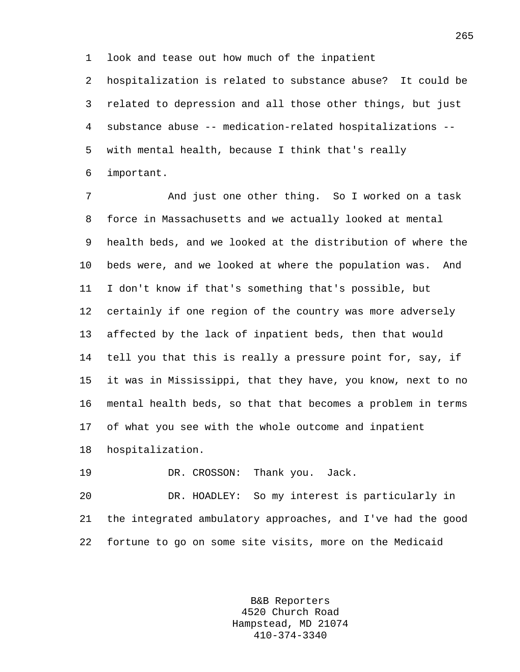1 look and tease out how much of the inpatient

2 hospitalization is related to substance abuse? It could be 3 related to depression and all those other things, but just 4 substance abuse -- medication-related hospitalizations -- 5 with mental health, because I think that's really 6 important.

7 And just one other thing. So I worked on a task 8 force in Massachusetts and we actually looked at mental 9 health beds, and we looked at the distribution of where the 10 beds were, and we looked at where the population was. And 11 I don't know if that's something that's possible, but 12 certainly if one region of the country was more adversely 13 affected by the lack of inpatient beds, then that would 14 tell you that this is really a pressure point for, say, if 15 it was in Mississippi, that they have, you know, next to no 16 mental health beds, so that that becomes a problem in terms 17 of what you see with the whole outcome and inpatient 18 hospitalization.

19 DR. CROSSON: Thank you. Jack.

20 DR. HOADLEY: So my interest is particularly in 21 the integrated ambulatory approaches, and I've had the good 22 fortune to go on some site visits, more on the Medicaid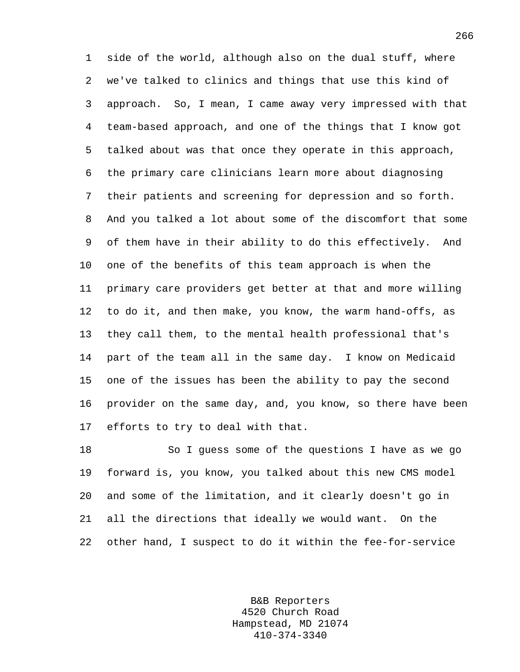1 side of the world, although also on the dual stuff, where 2 we've talked to clinics and things that use this kind of 3 approach. So, I mean, I came away very impressed with that 4 team-based approach, and one of the things that I know got 5 talked about was that once they operate in this approach, 6 the primary care clinicians learn more about diagnosing 7 their patients and screening for depression and so forth. 8 And you talked a lot about some of the discomfort that some 9 of them have in their ability to do this effectively. And 10 one of the benefits of this team approach is when the 11 primary care providers get better at that and more willing 12 to do it, and then make, you know, the warm hand-offs, as 13 they call them, to the mental health professional that's 14 part of the team all in the same day. I know on Medicaid 15 one of the issues has been the ability to pay the second 16 provider on the same day, and, you know, so there have been 17 efforts to try to deal with that.

18 So I guess some of the questions I have as we go 19 forward is, you know, you talked about this new CMS model 20 and some of the limitation, and it clearly doesn't go in 21 all the directions that ideally we would want. On the 22 other hand, I suspect to do it within the fee-for-service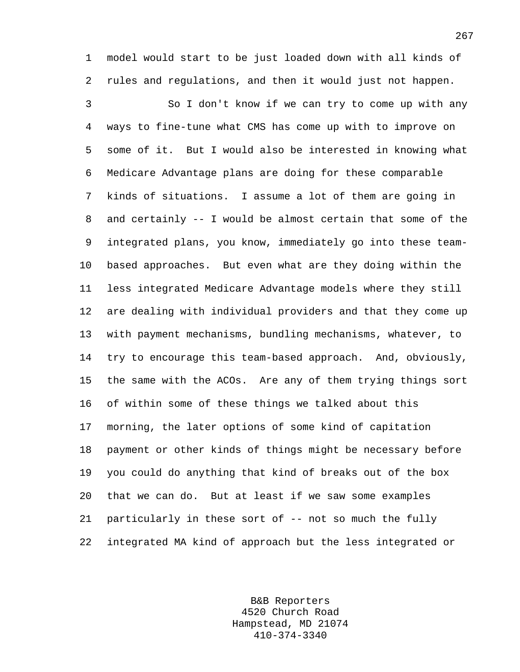1 model would start to be just loaded down with all kinds of 2 rules and regulations, and then it would just not happen.

3 So I don't know if we can try to come up with any 4 ways to fine-tune what CMS has come up with to improve on 5 some of it. But I would also be interested in knowing what 6 Medicare Advantage plans are doing for these comparable 7 kinds of situations. I assume a lot of them are going in 8 and certainly -- I would be almost certain that some of the 9 integrated plans, you know, immediately go into these team-10 based approaches. But even what are they doing within the 11 less integrated Medicare Advantage models where they still 12 are dealing with individual providers and that they come up 13 with payment mechanisms, bundling mechanisms, whatever, to 14 try to encourage this team-based approach. And, obviously, 15 the same with the ACOs. Are any of them trying things sort 16 of within some of these things we talked about this 17 morning, the later options of some kind of capitation 18 payment or other kinds of things might be necessary before 19 you could do anything that kind of breaks out of the box 20 that we can do. But at least if we saw some examples 21 particularly in these sort of -- not so much the fully 22 integrated MA kind of approach but the less integrated or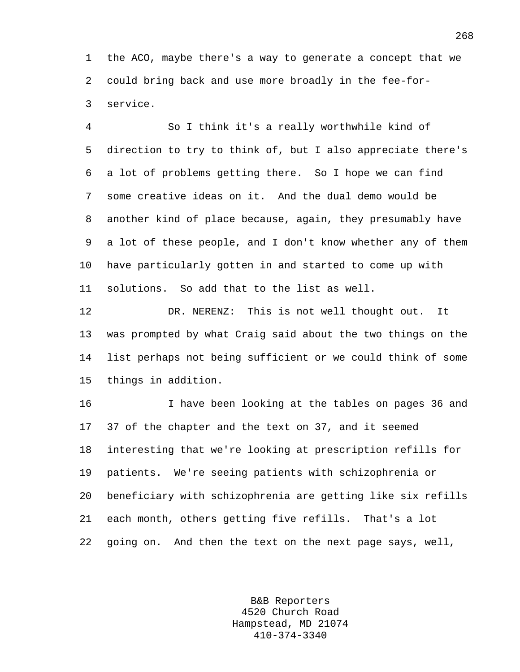1 the ACO, maybe there's a way to generate a concept that we 2 could bring back and use more broadly in the fee-for-3 service.

4 So I think it's a really worthwhile kind of 5 direction to try to think of, but I also appreciate there's 6 a lot of problems getting there. So I hope we can find 7 some creative ideas on it. And the dual demo would be 8 another kind of place because, again, they presumably have 9 a lot of these people, and I don't know whether any of them 10 have particularly gotten in and started to come up with 11 solutions. So add that to the list as well.

12 DR. NERENZ: This is not well thought out. It 13 was prompted by what Craig said about the two things on the 14 list perhaps not being sufficient or we could think of some 15 things in addition.

16 I have been looking at the tables on pages 36 and 17 37 of the chapter and the text on 37, and it seemed 18 interesting that we're looking at prescription refills for 19 patients. We're seeing patients with schizophrenia or 20 beneficiary with schizophrenia are getting like six refills 21 each month, others getting five refills. That's a lot 22 going on. And then the text on the next page says, well,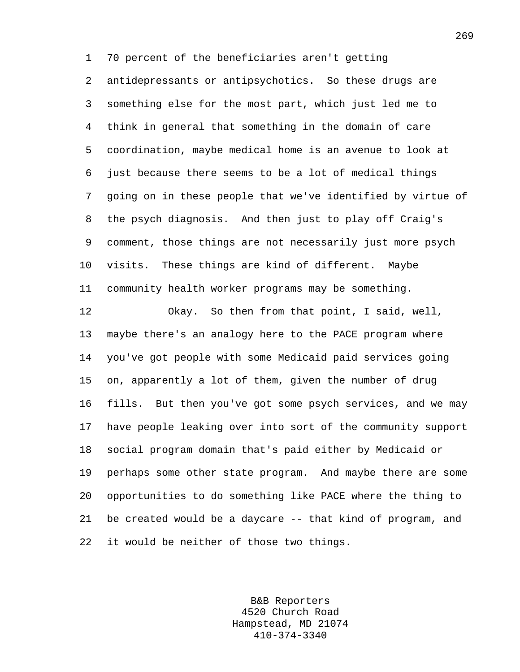1 70 percent of the beneficiaries aren't getting 2 antidepressants or antipsychotics. So these drugs are 3 something else for the most part, which just led me to 4 think in general that something in the domain of care 5 coordination, maybe medical home is an avenue to look at 6 just because there seems to be a lot of medical things 7 going on in these people that we've identified by virtue of 8 the psych diagnosis. And then just to play off Craig's 9 comment, those things are not necessarily just more psych 10 visits. These things are kind of different. Maybe 11 community health worker programs may be something.

12 Okay. So then from that point, I said, well, 13 maybe there's an analogy here to the PACE program where 14 you've got people with some Medicaid paid services going 15 on, apparently a lot of them, given the number of drug 16 fills. But then you've got some psych services, and we may 17 have people leaking over into sort of the community support 18 social program domain that's paid either by Medicaid or 19 perhaps some other state program. And maybe there are some 20 opportunities to do something like PACE where the thing to 21 be created would be a daycare -- that kind of program, and 22 it would be neither of those two things.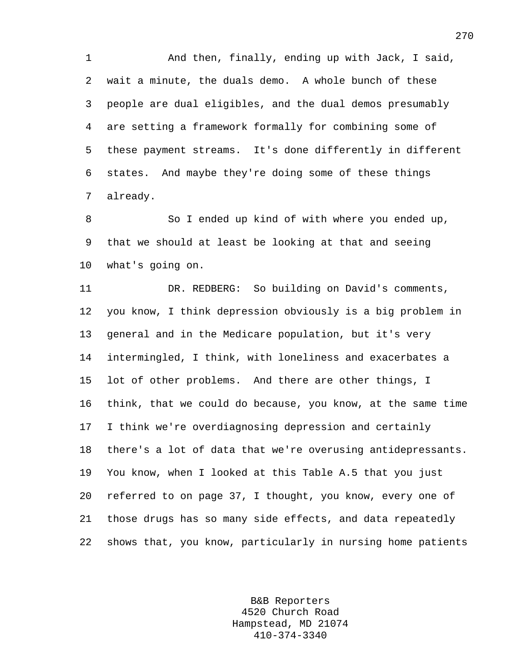1 And then, finally, ending up with Jack, I said, 2 wait a minute, the duals demo. A whole bunch of these 3 people are dual eligibles, and the dual demos presumably 4 are setting a framework formally for combining some of 5 these payment streams. It's done differently in different 6 states. And maybe they're doing some of these things 7 already.

8 So I ended up kind of with where you ended up, 9 that we should at least be looking at that and seeing 10 what's going on.

11 DR. REDBERG: So building on David's comments, 12 you know, I think depression obviously is a big problem in 13 general and in the Medicare population, but it's very 14 intermingled, I think, with loneliness and exacerbates a 15 lot of other problems. And there are other things, I 16 think, that we could do because, you know, at the same time 17 I think we're overdiagnosing depression and certainly 18 there's a lot of data that we're overusing antidepressants. 19 You know, when I looked at this Table A.5 that you just 20 referred to on page 37, I thought, you know, every one of 21 those drugs has so many side effects, and data repeatedly 22 shows that, you know, particularly in nursing home patients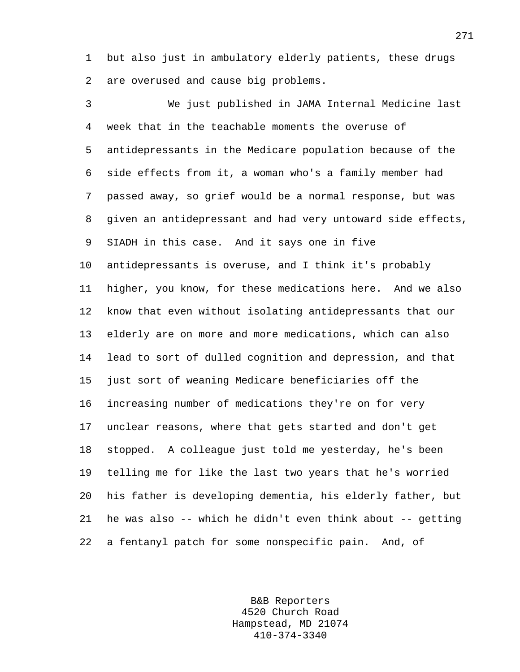1 but also just in ambulatory elderly patients, these drugs 2 are overused and cause big problems.

3 We just published in JAMA Internal Medicine last 4 week that in the teachable moments the overuse of 5 antidepressants in the Medicare population because of the 6 side effects from it, a woman who's a family member had 7 passed away, so grief would be a normal response, but was 8 given an antidepressant and had very untoward side effects, 9 SIADH in this case. And it says one in five 10 antidepressants is overuse, and I think it's probably 11 higher, you know, for these medications here. And we also 12 know that even without isolating antidepressants that our 13 elderly are on more and more medications, which can also 14 lead to sort of dulled cognition and depression, and that 15 just sort of weaning Medicare beneficiaries off the 16 increasing number of medications they're on for very 17 unclear reasons, where that gets started and don't get 18 stopped. A colleague just told me yesterday, he's been 19 telling me for like the last two years that he's worried 20 his father is developing dementia, his elderly father, but 21 he was also -- which he didn't even think about -- getting 22 a fentanyl patch for some nonspecific pain. And, of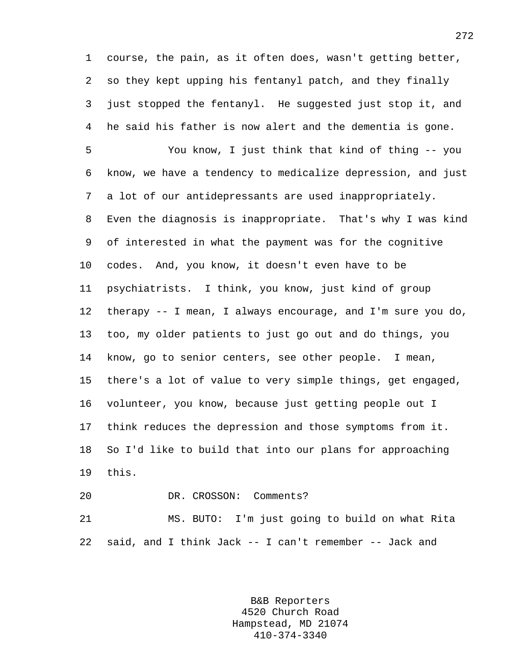1 course, the pain, as it often does, wasn't getting better, 2 so they kept upping his fentanyl patch, and they finally 3 just stopped the fentanyl. He suggested just stop it, and 4 he said his father is now alert and the dementia is gone.

5 You know, I just think that kind of thing -- you 6 know, we have a tendency to medicalize depression, and just 7 a lot of our antidepressants are used inappropriately. 8 Even the diagnosis is inappropriate. That's why I was kind 9 of interested in what the payment was for the cognitive 10 codes. And, you know, it doesn't even have to be 11 psychiatrists. I think, you know, just kind of group 12 therapy -- I mean, I always encourage, and I'm sure you do, 13 too, my older patients to just go out and do things, you 14 know, go to senior centers, see other people. I mean, 15 there's a lot of value to very simple things, get engaged, 16 volunteer, you know, because just getting people out I 17 think reduces the depression and those symptoms from it. 18 So I'd like to build that into our plans for approaching 19 this.

20 DR. CROSSON: Comments?

21 MS. BUTO: I'm just going to build on what Rita 22 said, and I think Jack -- I can't remember -- Jack and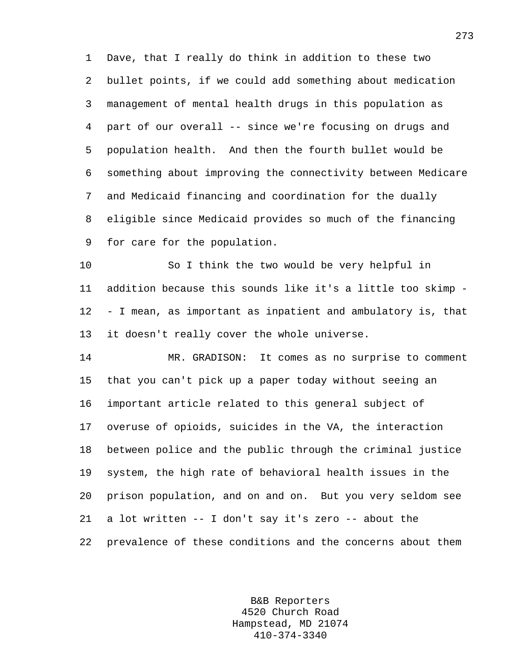1 Dave, that I really do think in addition to these two 2 bullet points, if we could add something about medication 3 management of mental health drugs in this population as 4 part of our overall -- since we're focusing on drugs and 5 population health. And then the fourth bullet would be 6 something about improving the connectivity between Medicare 7 and Medicaid financing and coordination for the dually 8 eligible since Medicaid provides so much of the financing 9 for care for the population.

10 So I think the two would be very helpful in 11 addition because this sounds like it's a little too skimp - 12 - I mean, as important as inpatient and ambulatory is, that 13 it doesn't really cover the whole universe.

14 MR. GRADISON: It comes as no surprise to comment 15 that you can't pick up a paper today without seeing an 16 important article related to this general subject of 17 overuse of opioids, suicides in the VA, the interaction 18 between police and the public through the criminal justice 19 system, the high rate of behavioral health issues in the 20 prison population, and on and on. But you very seldom see 21 a lot written -- I don't say it's zero -- about the 22 prevalence of these conditions and the concerns about them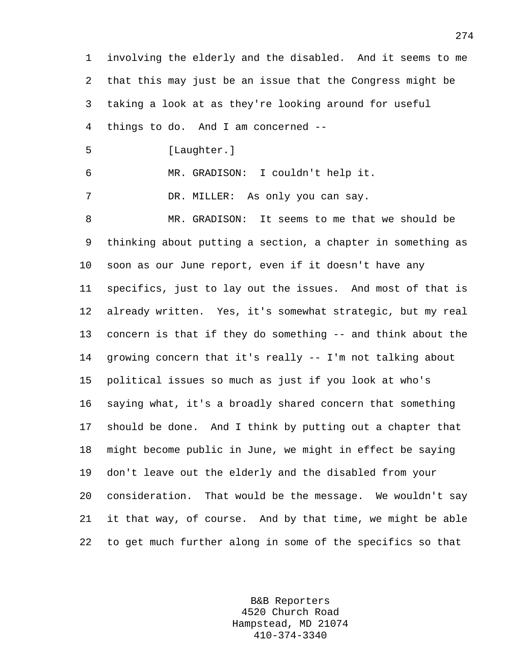1 involving the elderly and the disabled. And it seems to me 2 that this may just be an issue that the Congress might be 3 taking a look at as they're looking around for useful 4 things to do. And I am concerned -- 5 [Laughter.] 6 MR. GRADISON: I couldn't help it. 7 DR. MILLER: As only you can say. 8 MR. GRADISON: It seems to me that we should be 9 thinking about putting a section, a chapter in something as 10 soon as our June report, even if it doesn't have any 11 specifics, just to lay out the issues. And most of that is 12 already written. Yes, it's somewhat strategic, but my real 13 concern is that if they do something -- and think about the 14 growing concern that it's really -- I'm not talking about 15 political issues so much as just if you look at who's 16 saying what, it's a broadly shared concern that something 17 should be done. And I think by putting out a chapter that 18 might become public in June, we might in effect be saying 19 don't leave out the elderly and the disabled from your 20 consideration. That would be the message. We wouldn't say 21 it that way, of course. And by that time, we might be able 22 to get much further along in some of the specifics so that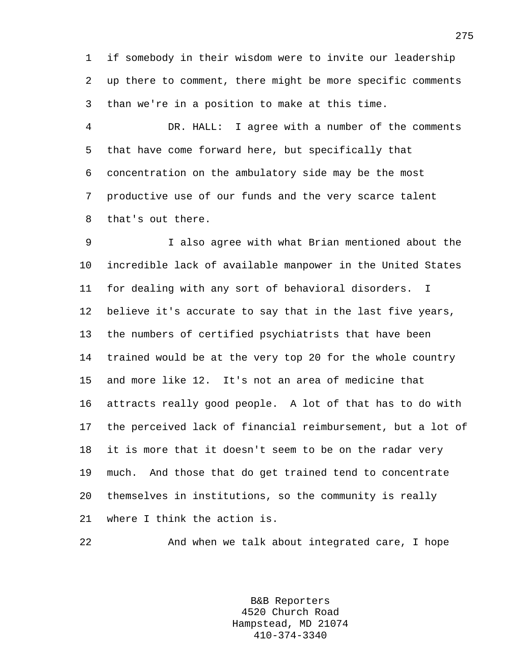1 if somebody in their wisdom were to invite our leadership 2 up there to comment, there might be more specific comments 3 than we're in a position to make at this time.

4 DR. HALL: I agree with a number of the comments 5 that have come forward here, but specifically that 6 concentration on the ambulatory side may be the most 7 productive use of our funds and the very scarce talent 8 that's out there.

9 I also agree with what Brian mentioned about the 10 incredible lack of available manpower in the United States 11 for dealing with any sort of behavioral disorders. I 12 believe it's accurate to say that in the last five years, 13 the numbers of certified psychiatrists that have been 14 trained would be at the very top 20 for the whole country 15 and more like 12. It's not an area of medicine that 16 attracts really good people. A lot of that has to do with 17 the perceived lack of financial reimbursement, but a lot of 18 it is more that it doesn't seem to be on the radar very 19 much. And those that do get trained tend to concentrate 20 themselves in institutions, so the community is really 21 where I think the action is.

22 And when we talk about integrated care, I hope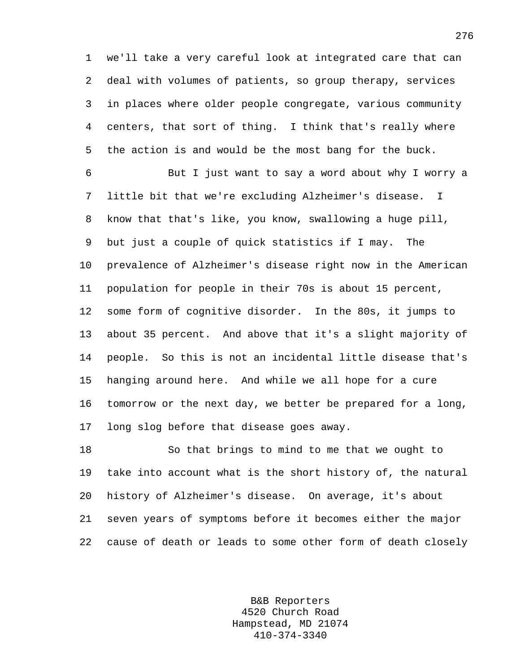1 we'll take a very careful look at integrated care that can 2 deal with volumes of patients, so group therapy, services 3 in places where older people congregate, various community 4 centers, that sort of thing. I think that's really where 5 the action is and would be the most bang for the buck.

6 But I just want to say a word about why I worry a 7 little bit that we're excluding Alzheimer's disease. I 8 know that that's like, you know, swallowing a huge pill, 9 but just a couple of quick statistics if I may. The 10 prevalence of Alzheimer's disease right now in the American 11 population for people in their 70s is about 15 percent, 12 some form of cognitive disorder. In the 80s, it jumps to 13 about 35 percent. And above that it's a slight majority of 14 people. So this is not an incidental little disease that's 15 hanging around here. And while we all hope for a cure 16 tomorrow or the next day, we better be prepared for a long, 17 long slog before that disease goes away.

18 So that brings to mind to me that we ought to 19 take into account what is the short history of, the natural 20 history of Alzheimer's disease. On average, it's about 21 seven years of symptoms before it becomes either the major 22 cause of death or leads to some other form of death closely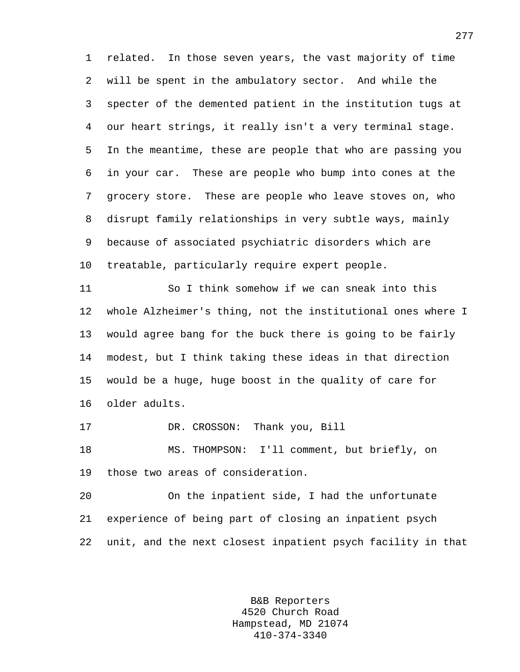1 related. In those seven years, the vast majority of time 2 will be spent in the ambulatory sector. And while the 3 specter of the demented patient in the institution tugs at 4 our heart strings, it really isn't a very terminal stage. 5 In the meantime, these are people that who are passing you 6 in your car. These are people who bump into cones at the 7 grocery store. These are people who leave stoves on, who 8 disrupt family relationships in very subtle ways, mainly 9 because of associated psychiatric disorders which are 10 treatable, particularly require expert people.

11 So I think somehow if we can sneak into this 12 whole Alzheimer's thing, not the institutional ones where I 13 would agree bang for the buck there is going to be fairly 14 modest, but I think taking these ideas in that direction 15 would be a huge, huge boost in the quality of care for 16 older adults.

17 DR. CROSSON: Thank you, Bill

18 MS. THOMPSON: I'll comment, but briefly, on 19 those two areas of consideration.

20 On the inpatient side, I had the unfortunate 21 experience of being part of closing an inpatient psych 22 unit, and the next closest inpatient psych facility in that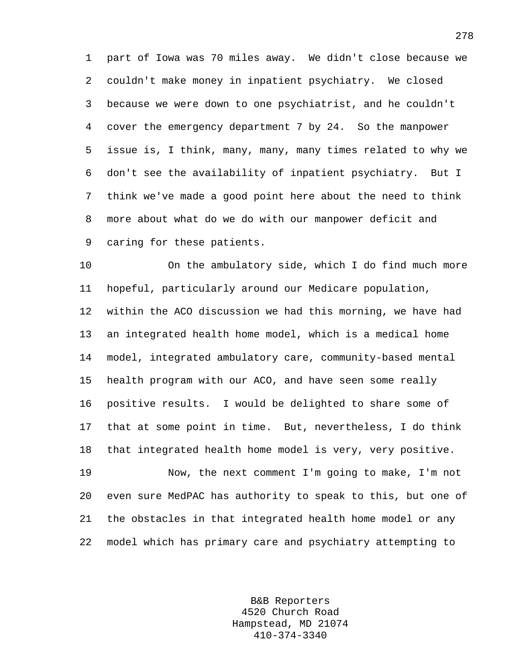1 part of Iowa was 70 miles away. We didn't close because we 2 couldn't make money in inpatient psychiatry. We closed 3 because we were down to one psychiatrist, and he couldn't 4 cover the emergency department 7 by 24. So the manpower 5 issue is, I think, many, many, many times related to why we 6 don't see the availability of inpatient psychiatry. But I 7 think we've made a good point here about the need to think 8 more about what do we do with our manpower deficit and 9 caring for these patients.

10 On the ambulatory side, which I do find much more 11 hopeful, particularly around our Medicare population, 12 within the ACO discussion we had this morning, we have had 13 an integrated health home model, which is a medical home 14 model, integrated ambulatory care, community-based mental 15 health program with our ACO, and have seen some really 16 positive results. I would be delighted to share some of 17 that at some point in time. But, nevertheless, I do think 18 that integrated health home model is very, very positive.

19 Now, the next comment I'm going to make, I'm not 20 even sure MedPAC has authority to speak to this, but one of 21 the obstacles in that integrated health home model or any 22 model which has primary care and psychiatry attempting to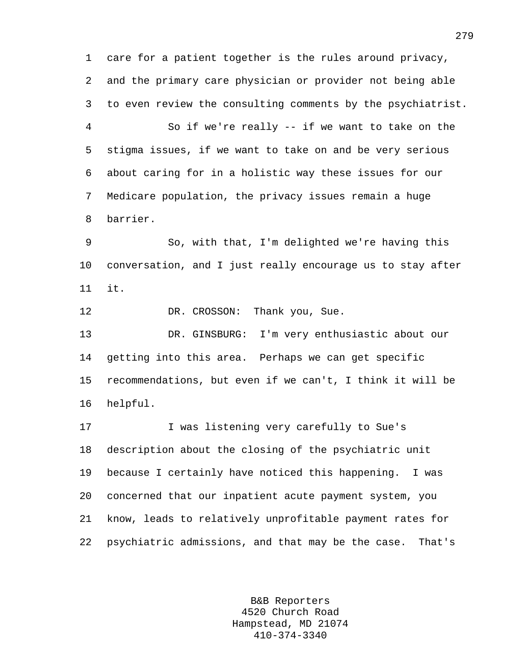1 care for a patient together is the rules around privacy, 2 and the primary care physician or provider not being able 3 to even review the consulting comments by the psychiatrist. 4 So if we're really -- if we want to take on the 5 stigma issues, if we want to take on and be very serious 6 about caring for in a holistic way these issues for our 7 Medicare population, the privacy issues remain a huge 8 barrier. 9 So, with that, I'm delighted we're having this 10 conversation, and I just really encourage us to stay after 11 it.

12 DR. CROSSON: Thank you, Sue.

13 DR. GINSBURG: I'm very enthusiastic about our 14 getting into this area. Perhaps we can get specific 15 recommendations, but even if we can't, I think it will be 16 helpful.

17 I was listening very carefully to Sue's 18 description about the closing of the psychiatric unit 19 because I certainly have noticed this happening. I was 20 concerned that our inpatient acute payment system, you 21 know, leads to relatively unprofitable payment rates for 22 psychiatric admissions, and that may be the case. That's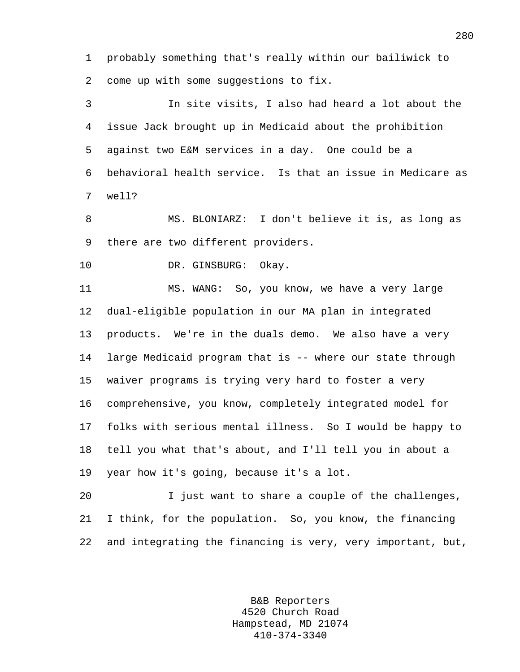1 probably something that's really within our bailiwick to 2 come up with some suggestions to fix.

3 In site visits, I also had heard a lot about the 4 issue Jack brought up in Medicaid about the prohibition 5 against two E&M services in a day. One could be a 6 behavioral health service. Is that an issue in Medicare as 7 well?

8 MS. BLONIARZ: I don't believe it is, as long as 9 there are two different providers.

10 DR. GINSBURG: Okay.

11 MS. WANG: So, you know, we have a very large 12 dual-eligible population in our MA plan in integrated 13 products. We're in the duals demo. We also have a very 14 large Medicaid program that is -- where our state through 15 waiver programs is trying very hard to foster a very 16 comprehensive, you know, completely integrated model for 17 folks with serious mental illness. So I would be happy to 18 tell you what that's about, and I'll tell you in about a 19 year how it's going, because it's a lot.

20 I just want to share a couple of the challenges, 21 I think, for the population. So, you know, the financing 22 and integrating the financing is very, very important, but,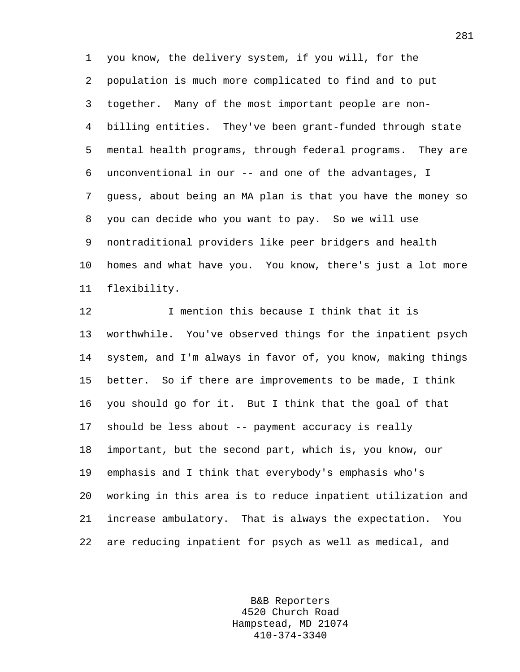1 you know, the delivery system, if you will, for the 2 population is much more complicated to find and to put 3 together. Many of the most important people are non-4 billing entities. They've been grant-funded through state 5 mental health programs, through federal programs. They are 6 unconventional in our -- and one of the advantages, I 7 guess, about being an MA plan is that you have the money so 8 you can decide who you want to pay. So we will use 9 nontraditional providers like peer bridgers and health 10 homes and what have you. You know, there's just a lot more 11 flexibility.

12 I mention this because I think that it is 13 worthwhile. You've observed things for the inpatient psych 14 system, and I'm always in favor of, you know, making things 15 better. So if there are improvements to be made, I think 16 you should go for it. But I think that the goal of that 17 should be less about -- payment accuracy is really 18 important, but the second part, which is, you know, our 19 emphasis and I think that everybody's emphasis who's 20 working in this area is to reduce inpatient utilization and 21 increase ambulatory. That is always the expectation. You 22 are reducing inpatient for psych as well as medical, and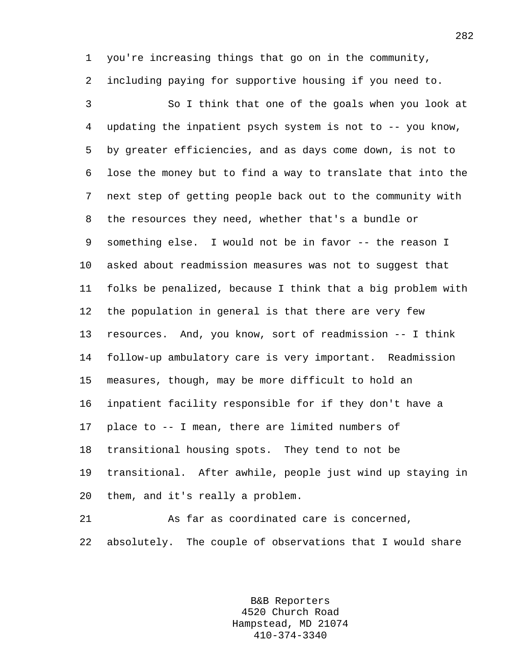1 you're increasing things that go on in the community, 2 including paying for supportive housing if you need to.

3 So I think that one of the goals when you look at 4 updating the inpatient psych system is not to -- you know, 5 by greater efficiencies, and as days come down, is not to 6 lose the money but to find a way to translate that into the 7 next step of getting people back out to the community with 8 the resources they need, whether that's a bundle or 9 something else. I would not be in favor -- the reason I 10 asked about readmission measures was not to suggest that 11 folks be penalized, because I think that a big problem with 12 the population in general is that there are very few 13 resources. And, you know, sort of readmission -- I think 14 follow-up ambulatory care is very important. Readmission 15 measures, though, may be more difficult to hold an 16 inpatient facility responsible for if they don't have a 17 place to -- I mean, there are limited numbers of 18 transitional housing spots. They tend to not be 19 transitional. After awhile, people just wind up staying in 20 them, and it's really a problem.

21 As far as coordinated care is concerned, 22 absolutely. The couple of observations that I would share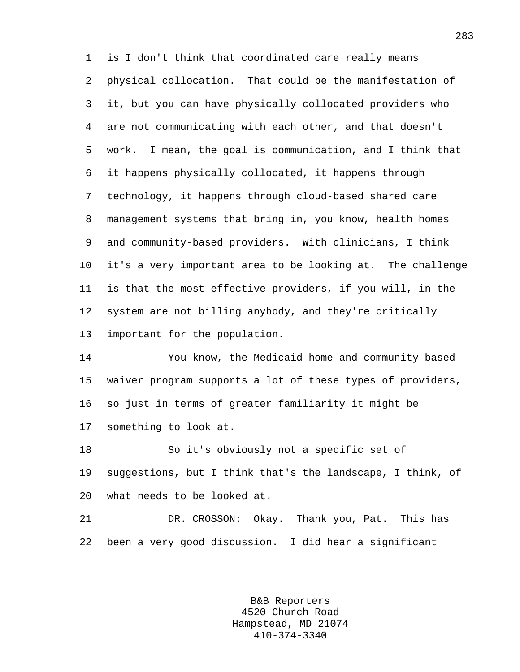1 is I don't think that coordinated care really means 2 physical collocation. That could be the manifestation of 3 it, but you can have physically collocated providers who 4 are not communicating with each other, and that doesn't 5 work. I mean, the goal is communication, and I think that 6 it happens physically collocated, it happens through 7 technology, it happens through cloud-based shared care 8 management systems that bring in, you know, health homes 9 and community-based providers. With clinicians, I think 10 it's a very important area to be looking at. The challenge 11 is that the most effective providers, if you will, in the 12 system are not billing anybody, and they're critically 13 important for the population.

14 You know, the Medicaid home and community-based 15 waiver program supports a lot of these types of providers, 16 so just in terms of greater familiarity it might be 17 something to look at.

18 So it's obviously not a specific set of 19 suggestions, but I think that's the landscape, I think, of 20 what needs to be looked at.

21 DR. CROSSON: Okay. Thank you, Pat. This has 22 been a very good discussion. I did hear a significant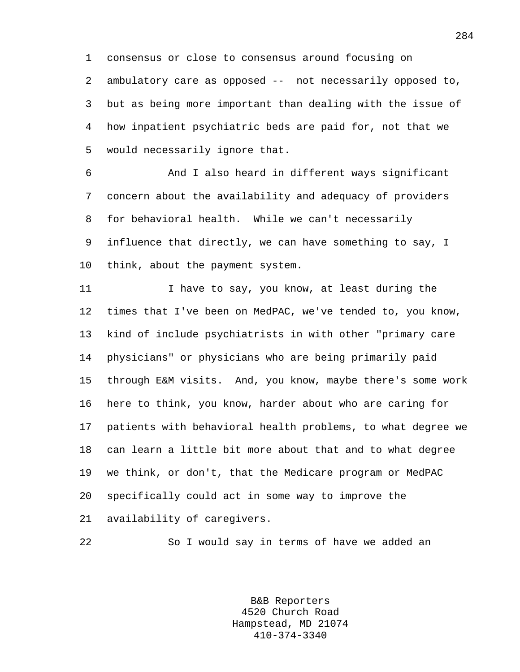1 consensus or close to consensus around focusing on 2 ambulatory care as opposed -- not necessarily opposed to, 3 but as being more important than dealing with the issue of 4 how inpatient psychiatric beds are paid for, not that we 5 would necessarily ignore that.

6 And I also heard in different ways significant 7 concern about the availability and adequacy of providers 8 for behavioral health. While we can't necessarily 9 influence that directly, we can have something to say, I 10 think, about the payment system.

11 I have to say, you know, at least during the 12 times that I've been on MedPAC, we've tended to, you know, 13 kind of include psychiatrists in with other "primary care 14 physicians" or physicians who are being primarily paid 15 through E&M visits. And, you know, maybe there's some work 16 here to think, you know, harder about who are caring for 17 patients with behavioral health problems, to what degree we 18 can learn a little bit more about that and to what degree 19 we think, or don't, that the Medicare program or MedPAC 20 specifically could act in some way to improve the 21 availability of caregivers.

22 So I would say in terms of have we added an

B&B Reporters 4520 Church Road Hampstead, MD 21074 410-374-3340

284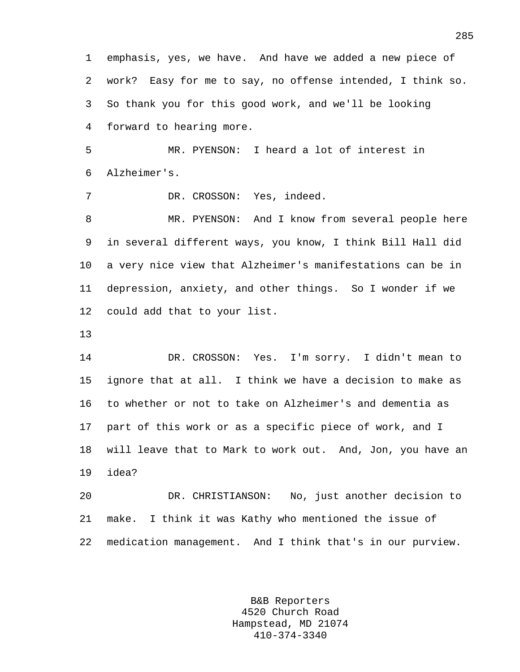1 emphasis, yes, we have. And have we added a new piece of 2 work? Easy for me to say, no offense intended, I think so. 3 So thank you for this good work, and we'll be looking 4 forward to hearing more.

5 MR. PYENSON: I heard a lot of interest in 6 Alzheimer's.

7 DR. CROSSON: Yes, indeed.

8 MR. PYENSON: And I know from several people here 9 in several different ways, you know, I think Bill Hall did 10 a very nice view that Alzheimer's manifestations can be in 11 depression, anxiety, and other things. So I wonder if we 12 could add that to your list.

13

14 DR. CROSSON: Yes. I'm sorry. I didn't mean to 15 ignore that at all. I think we have a decision to make as 16 to whether or not to take on Alzheimer's and dementia as 17 part of this work or as a specific piece of work, and I 18 will leave that to Mark to work out. And, Jon, you have an 19 idea?

20 DR. CHRISTIANSON: No, just another decision to 21 make. I think it was Kathy who mentioned the issue of 22 medication management. And I think that's in our purview.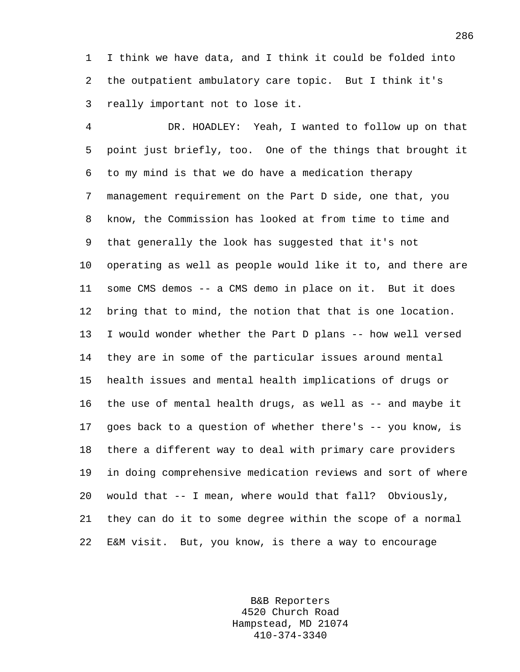1 I think we have data, and I think it could be folded into 2 the outpatient ambulatory care topic. But I think it's 3 really important not to lose it.

4 DR. HOADLEY: Yeah, I wanted to follow up on that 5 point just briefly, too. One of the things that brought it 6 to my mind is that we do have a medication therapy 7 management requirement on the Part D side, one that, you 8 know, the Commission has looked at from time to time and 9 that generally the look has suggested that it's not 10 operating as well as people would like it to, and there are 11 some CMS demos -- a CMS demo in place on it. But it does 12 bring that to mind, the notion that that is one location. 13 I would wonder whether the Part D plans -- how well versed 14 they are in some of the particular issues around mental 15 health issues and mental health implications of drugs or 16 the use of mental health drugs, as well as -- and maybe it 17 goes back to a question of whether there's -- you know, is 18 there a different way to deal with primary care providers 19 in doing comprehensive medication reviews and sort of where 20 would that -- I mean, where would that fall? Obviously, 21 they can do it to some degree within the scope of a normal 22 E&M visit. But, you know, is there a way to encourage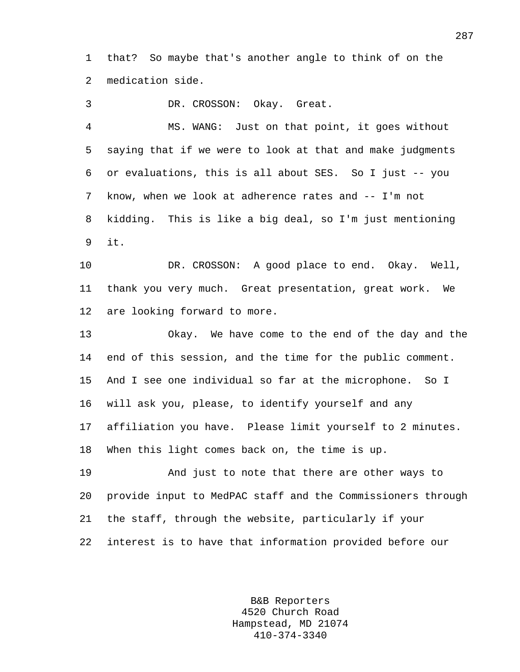1 that? So maybe that's another angle to think of on the 2 medication side.

3 DR. CROSSON: Okay. Great.

4 MS. WANG: Just on that point, it goes without 5 saying that if we were to look at that and make judgments 6 or evaluations, this is all about SES. So I just -- you 7 know, when we look at adherence rates and -- I'm not 8 kidding. This is like a big deal, so I'm just mentioning 9 it.

10 DR. CROSSON: A good place to end. Okay. Well, 11 thank you very much. Great presentation, great work. We 12 are looking forward to more.

13 Okay. We have come to the end of the day and the 14 end of this session, and the time for the public comment. 15 And I see one individual so far at the microphone. So I 16 will ask you, please, to identify yourself and any 17 affiliation you have. Please limit yourself to 2 minutes. 18 When this light comes back on, the time is up.

19 And just to note that there are other ways to 20 provide input to MedPAC staff and the Commissioners through 21 the staff, through the website, particularly if your 22 interest is to have that information provided before our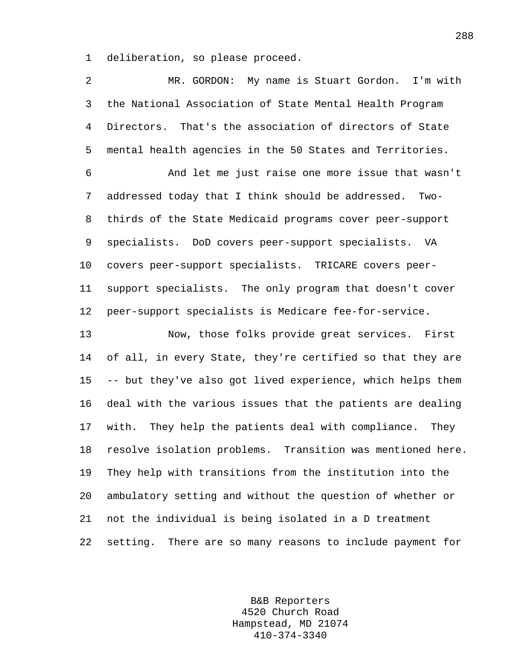1 deliberation, so please proceed.

2 MR. GORDON: My name is Stuart Gordon. I'm with 3 the National Association of State Mental Health Program 4 Directors. That's the association of directors of State 5 mental health agencies in the 50 States and Territories. 6 And let me just raise one more issue that wasn't 7 addressed today that I think should be addressed. Two-8 thirds of the State Medicaid programs cover peer-support 9 specialists. DoD covers peer-support specialists. VA 10 covers peer-support specialists. TRICARE covers peer-11 support specialists. The only program that doesn't cover 12 peer-support specialists is Medicare fee-for-service. 13 Now, those folks provide great services. First 14 of all, in every State, they're certified so that they are 15 -- but they've also got lived experience, which helps them 16 deal with the various issues that the patients are dealing 17 with. They help the patients deal with compliance. They 18 resolve isolation problems. Transition was mentioned here. 19 They help with transitions from the institution into the 20 ambulatory setting and without the question of whether or 21 not the individual is being isolated in a D treatment 22 setting. There are so many reasons to include payment for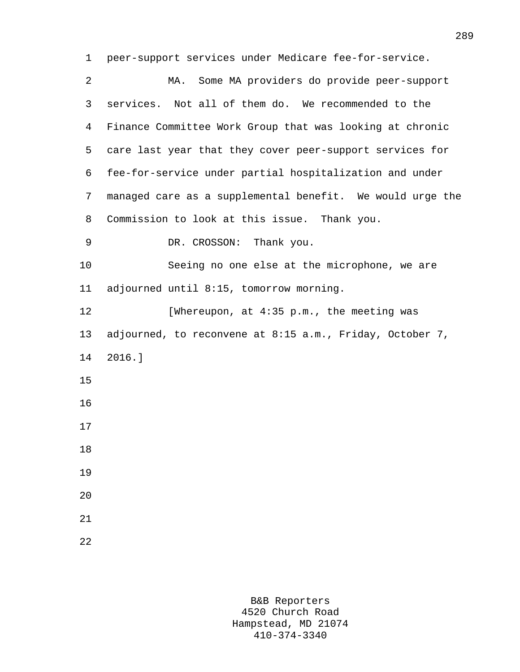1 peer-support services under Medicare fee-for-service.

| 2  | Some MA providers do provide peer-support<br>MA.          |
|----|-----------------------------------------------------------|
| 3  | services. Not all of them do. We recommended to the       |
| 4  | Finance Committee Work Group that was looking at chronic  |
| 5  | care last year that they cover peer-support services for  |
| 6  | fee-for-service under partial hospitalization and under   |
| 7  | managed care as a supplemental benefit. We would urge the |
| 8  | Commission to look at this issue. Thank you.              |
| 9  | DR. CROSSON: Thank you.                                   |
| 10 | Seeing no one else at the microphone, we are              |
| 11 | adjourned until 8:15, tomorrow morning.                   |
| 12 | [Whereupon, at 4:35 p.m., the meeting was                 |
| 13 | adjourned, to reconvene at 8:15 a.m., Friday, October 7,  |
| 14 | $2016.$ ]                                                 |
| 15 |                                                           |
| 16 |                                                           |
| 17 |                                                           |
| 18 |                                                           |
| 19 |                                                           |
| 20 |                                                           |
| 21 |                                                           |
| 22 |                                                           |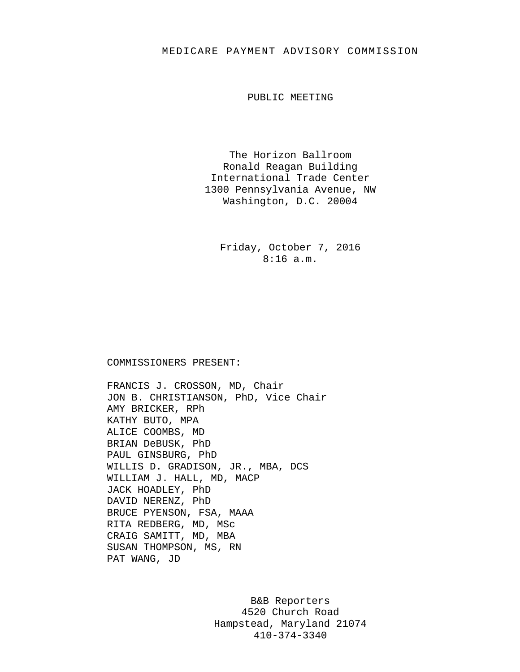## MEDICARE PAYMENT ADVISORY COMMISSION

PUBLIC MEETING

The Horizon Ballroom Ronald Reagan Building International Trade Center 1300 Pennsylvania Avenue, NW Washington, D.C. 20004

Friday, October 7, 2016 8:16 a.m.

## COMMISSIONERS PRESENT:

FRANCIS J. CROSSON, MD, Chair JON B. CHRISTIANSON, PhD, Vice Chair AMY BRICKER, RPh KATHY BUTO, MPA ALICE COOMBS, MD BRIAN DeBUSK, PhD PAUL GINSBURG, PhD WILLIS D. GRADISON, JR., MBA, DCS WILLIAM J. HALL, MD, MACP JACK HOADLEY, PhD DAVID NERENZ, PhD BRUCE PYENSON, FSA, MAAA RITA REDBERG, MD, MSc CRAIG SAMITT, MD, MBA SUSAN THOMPSON, MS, RN PAT WANG, JD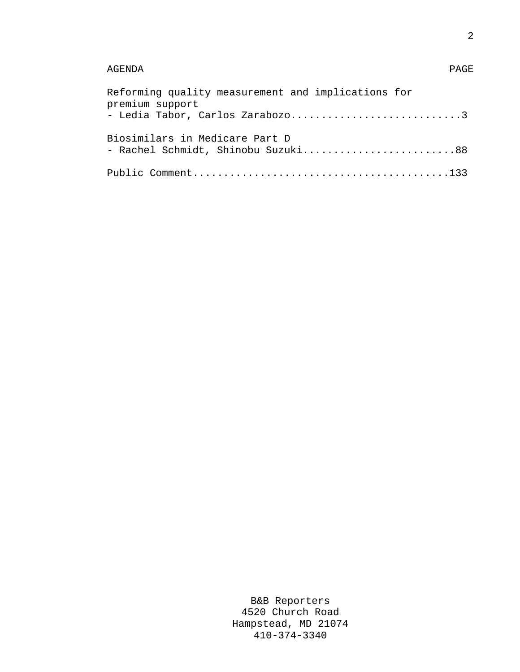## AGENDA PAGE

| Reforming quality measurement and implications for<br>premium support<br>- Ledia Tabor, Carlos Zarabozo3 |
|----------------------------------------------------------------------------------------------------------|
| Biosimilars in Medicare Part D<br>- Rachel Schmidt, Shinobu Suzuki88                                     |
|                                                                                                          |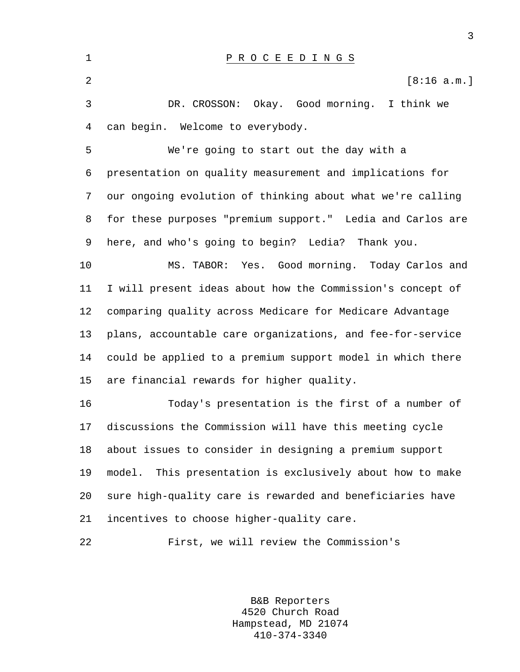1 P R O C E E D I N G S 2  $\sim$  [8:16 a.m.] 3 DR. CROSSON: Okay. Good morning. I think we 4 can begin. Welcome to everybody. 5 We're going to start out the day with a 6 presentation on quality measurement and implications for 7 our ongoing evolution of thinking about what we're calling 8 for these purposes "premium support." Ledia and Carlos are 9 here, and who's going to begin? Ledia? Thank you. 10 MS. TABOR: Yes. Good morning. Today Carlos and 11 I will present ideas about how the Commission's concept of 12 comparing quality across Medicare for Medicare Advantage 13 plans, accountable care organizations, and fee-for-service 14 could be applied to a premium support model in which there 15 are financial rewards for higher quality. 16 Today's presentation is the first of a number of 17 discussions the Commission will have this meeting cycle 18 about issues to consider in designing a premium support 19 model. This presentation is exclusively about how to make 20 sure high-quality care is rewarded and beneficiaries have 21 incentives to choose higher-quality care. 22 First, we will review the Commission's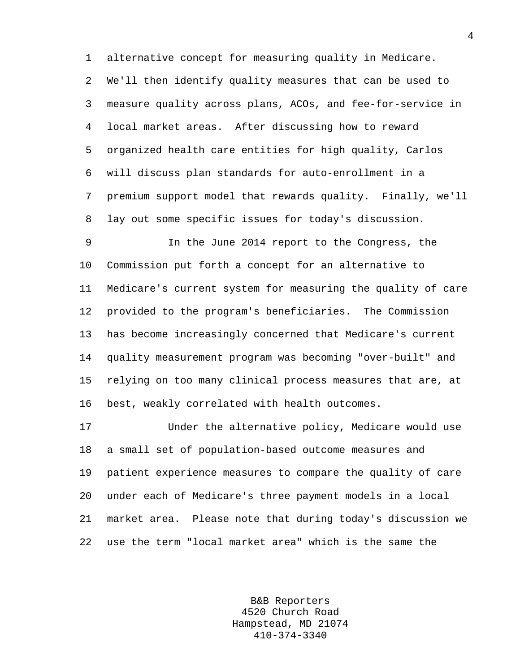1 alternative concept for measuring quality in Medicare. 2 We'll then identify quality measures that can be used to 3 measure quality across plans, ACOs, and fee-for-service in 4 local market areas. After discussing how to reward 5 organized health care entities for high quality, Carlos 6 will discuss plan standards for auto-enrollment in a 7 premium support model that rewards quality. Finally, we'll 8 lay out some specific issues for today's discussion.

9 In the June 2014 report to the Congress, the 10 Commission put forth a concept for an alternative to 11 Medicare's current system for measuring the quality of care 12 provided to the program's beneficiaries. The Commission 13 has become increasingly concerned that Medicare's current 14 quality measurement program was becoming "over-built" and 15 relying on too many clinical process measures that are, at 16 best, weakly correlated with health outcomes.

17 Under the alternative policy, Medicare would use 18 a small set of population-based outcome measures and 19 patient experience measures to compare the quality of care 20 under each of Medicare's three payment models in a local 21 market area. Please note that during today's discussion we 22 use the term "local market area" which is the same the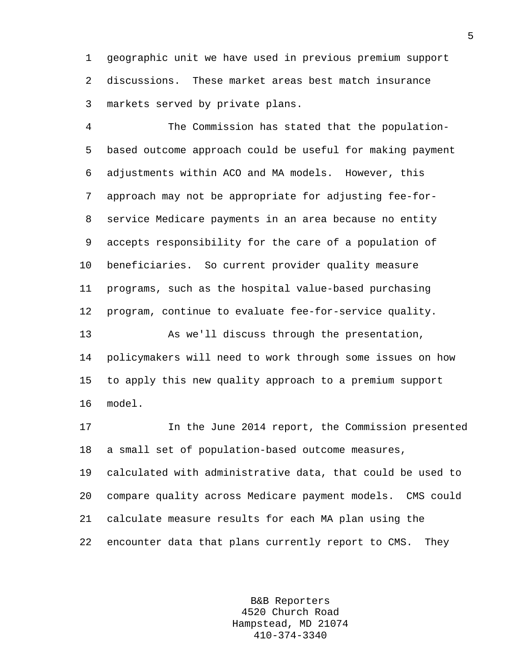1 geographic unit we have used in previous premium support 2 discussions. These market areas best match insurance 3 markets served by private plans.

4 The Commission has stated that the population-5 based outcome approach could be useful for making payment 6 adjustments within ACO and MA models. However, this 7 approach may not be appropriate for adjusting fee-for-8 service Medicare payments in an area because no entity 9 accepts responsibility for the care of a population of 10 beneficiaries. So current provider quality measure 11 programs, such as the hospital value-based purchasing 12 program, continue to evaluate fee-for-service quality.

13 As we'll discuss through the presentation, 14 policymakers will need to work through some issues on how 15 to apply this new quality approach to a premium support 16 model.

17 In the June 2014 report, the Commission presented 18 a small set of population-based outcome measures,

19 calculated with administrative data, that could be used to 20 compare quality across Medicare payment models. CMS could 21 calculate measure results for each MA plan using the 22 encounter data that plans currently report to CMS. They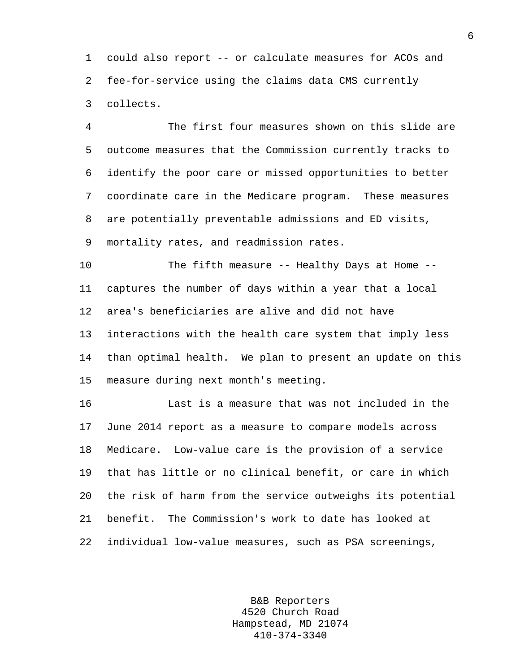1 could also report -- or calculate measures for ACOs and 2 fee-for-service using the claims data CMS currently 3 collects.

4 The first four measures shown on this slide are 5 outcome measures that the Commission currently tracks to 6 identify the poor care or missed opportunities to better 7 coordinate care in the Medicare program. These measures 8 are potentially preventable admissions and ED visits, 9 mortality rates, and readmission rates.

10 The fifth measure -- Healthy Days at Home -- 11 captures the number of days within a year that a local 12 area's beneficiaries are alive and did not have 13 interactions with the health care system that imply less 14 than optimal health. We plan to present an update on this 15 measure during next month's meeting.

16 Last is a measure that was not included in the 17 June 2014 report as a measure to compare models across 18 Medicare. Low-value care is the provision of a service 19 that has little or no clinical benefit, or care in which 20 the risk of harm from the service outweighs its potential 21 benefit. The Commission's work to date has looked at 22 individual low-value measures, such as PSA screenings,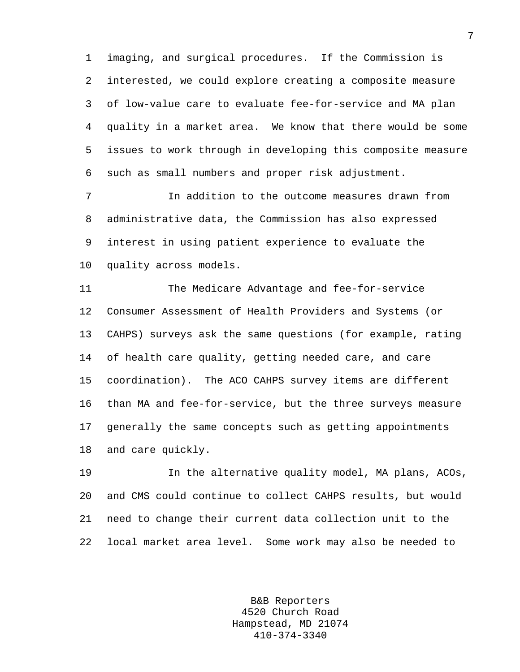1 imaging, and surgical procedures. If the Commission is 2 interested, we could explore creating a composite measure 3 of low-value care to evaluate fee-for-service and MA plan 4 quality in a market area. We know that there would be some 5 issues to work through in developing this composite measure 6 such as small numbers and proper risk adjustment.

7 In addition to the outcome measures drawn from 8 administrative data, the Commission has also expressed 9 interest in using patient experience to evaluate the 10 quality across models.

11 The Medicare Advantage and fee-for-service 12 Consumer Assessment of Health Providers and Systems (or 13 CAHPS) surveys ask the same questions (for example, rating 14 of health care quality, getting needed care, and care 15 coordination). The ACO CAHPS survey items are different 16 than MA and fee-for-service, but the three surveys measure 17 generally the same concepts such as getting appointments 18 and care quickly.

19 In the alternative quality model, MA plans, ACOs, 20 and CMS could continue to collect CAHPS results, but would 21 need to change their current data collection unit to the 22 local market area level. Some work may also be needed to

> B&B Reporters 4520 Church Road Hampstead, MD 21074 410-374-3340

7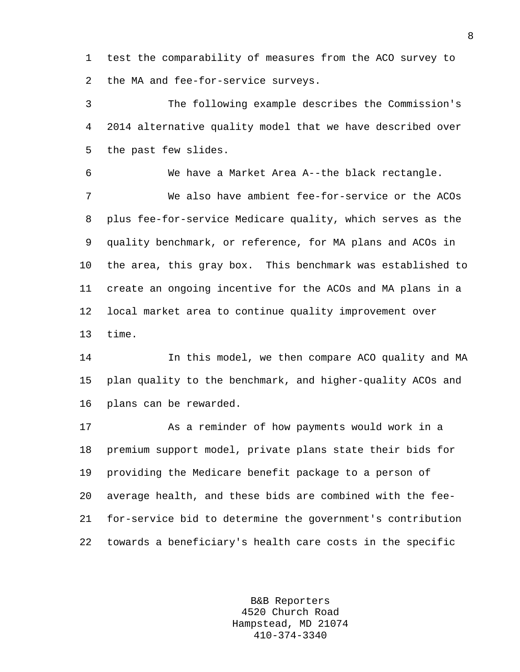1 test the comparability of measures from the ACO survey to 2 the MA and fee-for-service surveys.

3 The following example describes the Commission's 4 2014 alternative quality model that we have described over 5 the past few slides.

6 We have a Market Area A--the black rectangle. 7 We also have ambient fee-for-service or the ACOs 8 plus fee-for-service Medicare quality, which serves as the 9 quality benchmark, or reference, for MA plans and ACOs in 10 the area, this gray box. This benchmark was established to 11 create an ongoing incentive for the ACOs and MA plans in a 12 local market area to continue quality improvement over 13 time.

14 In this model, we then compare ACO quality and MA 15 plan quality to the benchmark, and higher-quality ACOs and 16 plans can be rewarded.

17 As a reminder of how payments would work in a 18 premium support model, private plans state their bids for 19 providing the Medicare benefit package to a person of 20 average health, and these bids are combined with the fee-21 for-service bid to determine the government's contribution 22 towards a beneficiary's health care costs in the specific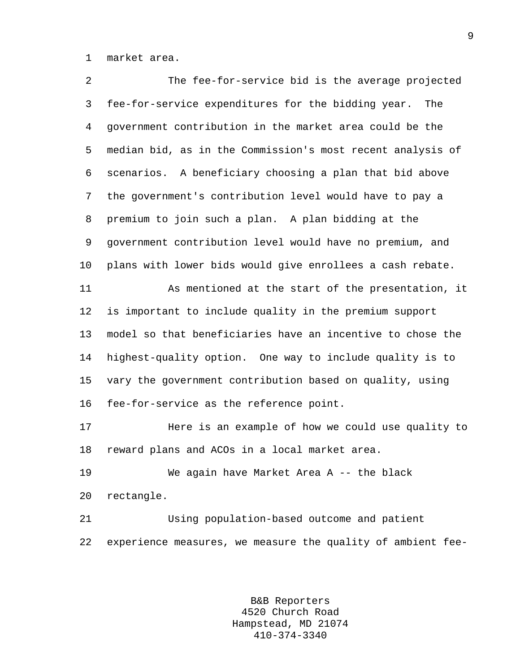1 market area.

| 2       | The fee-for-service bid is the average projected            |
|---------|-------------------------------------------------------------|
| 3       | fee-for-service expenditures for the bidding year.<br>The   |
| 4       | government contribution in the market area could be the     |
| 5       | median bid, as in the Commission's most recent analysis of  |
| 6       | scenarios. A beneficiary choosing a plan that bid above     |
| 7       | the government's contribution level would have to pay a     |
| 8       | premium to join such a plan. A plan bidding at the          |
| 9       | government contribution level would have no premium, and    |
| $10 \,$ | plans with lower bids would give enrollees a cash rebate.   |
| 11      | As mentioned at the start of the presentation, it           |
| 12      | is important to include quality in the premium support      |
| 13      | model so that beneficiaries have an incentive to chose the  |
| 14      | highest-quality option. One way to include quality is to    |
| 15      | vary the government contribution based on quality, using    |
| 16      | fee-for-service as the reference point.                     |
| 17      | Here is an example of how we could use quality to           |
| 18      | reward plans and ACOs in a local market area.               |
| 19      | We again have Market Area A -- the black                    |
| 20      | rectangle.                                                  |
| 21      | Using population-based outcome and patient                  |
| 22      | experience measures, we measure the quality of ambient fee- |
|         |                                                             |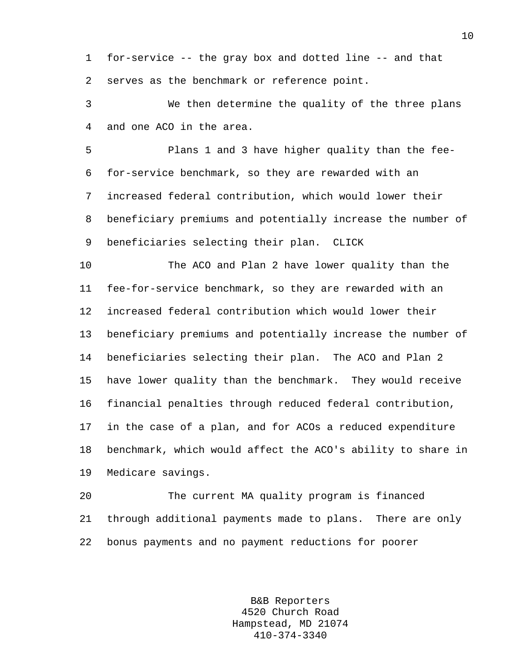1 for-service -- the gray box and dotted line -- and that 2 serves as the benchmark or reference point.

3 We then determine the quality of the three plans 4 and one ACO in the area.

5 Plans 1 and 3 have higher quality than the fee-6 for-service benchmark, so they are rewarded with an 7 increased federal contribution, which would lower their 8 beneficiary premiums and potentially increase the number of 9 beneficiaries selecting their plan. CLICK

10 The ACO and Plan 2 have lower quality than the 11 fee-for-service benchmark, so they are rewarded with an 12 increased federal contribution which would lower their 13 beneficiary premiums and potentially increase the number of 14 beneficiaries selecting their plan. The ACO and Plan 2 15 have lower quality than the benchmark. They would receive 16 financial penalties through reduced federal contribution, 17 in the case of a plan, and for ACOs a reduced expenditure 18 benchmark, which would affect the ACO's ability to share in 19 Medicare savings.

20 The current MA quality program is financed 21 through additional payments made to plans. There are only 22 bonus payments and no payment reductions for poorer

> B&B Reporters 4520 Church Road Hampstead, MD 21074 410-374-3340

10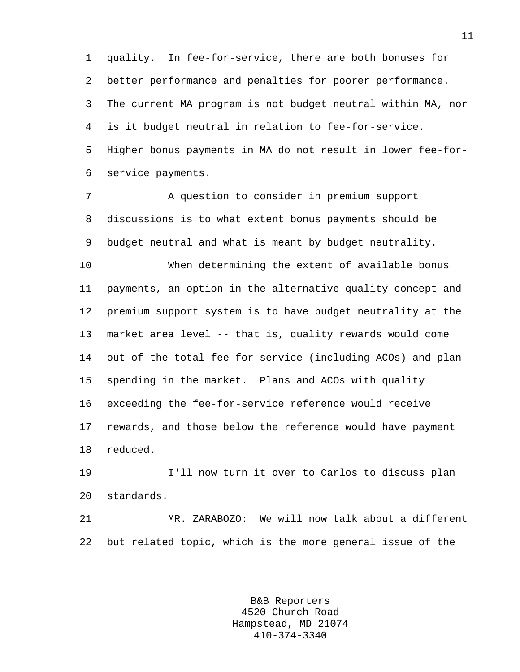1 quality. In fee-for-service, there are both bonuses for 2 better performance and penalties for poorer performance. 3 The current MA program is not budget neutral within MA, nor 4 is it budget neutral in relation to fee-for-service. 5 Higher bonus payments in MA do not result in lower fee-for-6 service payments.

7 A question to consider in premium support 8 discussions is to what extent bonus payments should be 9 budget neutral and what is meant by budget neutrality.

10 When determining the extent of available bonus 11 payments, an option in the alternative quality concept and 12 premium support system is to have budget neutrality at the 13 market area level -- that is, quality rewards would come 14 out of the total fee-for-service (including ACOs) and plan 15 spending in the market. Plans and ACOs with quality 16 exceeding the fee-for-service reference would receive 17 rewards, and those below the reference would have payment 18 reduced.

19 I'll now turn it over to Carlos to discuss plan 20 standards.

21 MR. ZARABOZO: We will now talk about a different 22 but related topic, which is the more general issue of the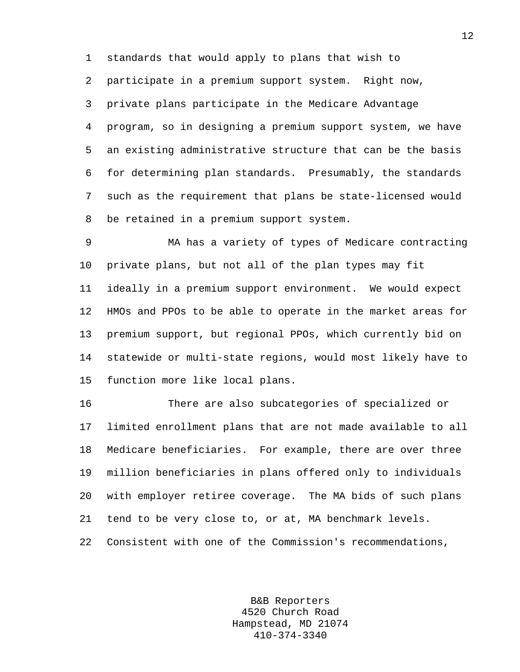1 standards that would apply to plans that wish to

2 participate in a premium support system. Right now,

3 private plans participate in the Medicare Advantage 4 program, so in designing a premium support system, we have 5 an existing administrative structure that can be the basis 6 for determining plan standards. Presumably, the standards 7 such as the requirement that plans be state-licensed would 8 be retained in a premium support system.

9 MA has a variety of types of Medicare contracting 10 private plans, but not all of the plan types may fit 11 ideally in a premium support environment. We would expect 12 HMOs and PPOs to be able to operate in the market areas for 13 premium support, but regional PPOs, which currently bid on 14 statewide or multi-state regions, would most likely have to 15 function more like local plans.

16 There are also subcategories of specialized or 17 limited enrollment plans that are not made available to all 18 Medicare beneficiaries. For example, there are over three 19 million beneficiaries in plans offered only to individuals 20 with employer retiree coverage. The MA bids of such plans 21 tend to be very close to, or at, MA benchmark levels. 22 Consistent with one of the Commission's recommendations,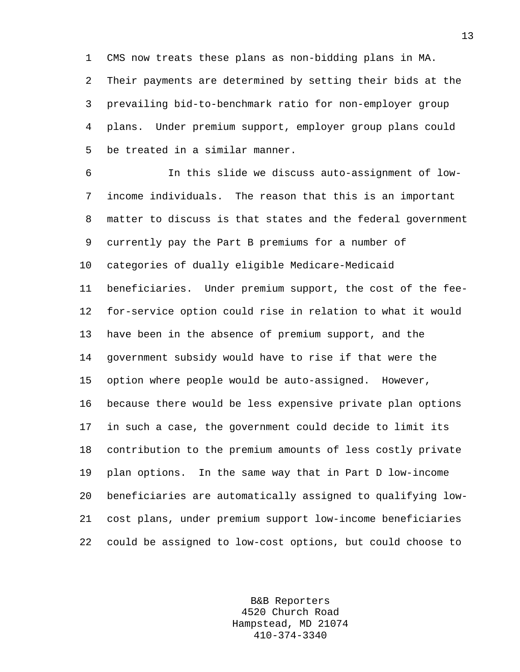1 CMS now treats these plans as non-bidding plans in MA. 2 Their payments are determined by setting their bids at the 3 prevailing bid-to-benchmark ratio for non-employer group 4 plans. Under premium support, employer group plans could 5 be treated in a similar manner.

6 In this slide we discuss auto-assignment of low-7 income individuals. The reason that this is an important 8 matter to discuss is that states and the federal government 9 currently pay the Part B premiums for a number of 10 categories of dually eligible Medicare-Medicaid 11 beneficiaries. Under premium support, the cost of the fee-12 for-service option could rise in relation to what it would 13 have been in the absence of premium support, and the 14 government subsidy would have to rise if that were the 15 option where people would be auto-assigned. However, 16 because there would be less expensive private plan options 17 in such a case, the government could decide to limit its 18 contribution to the premium amounts of less costly private 19 plan options. In the same way that in Part D low-income 20 beneficiaries are automatically assigned to qualifying low-21 cost plans, under premium support low-income beneficiaries 22 could be assigned to low-cost options, but could choose to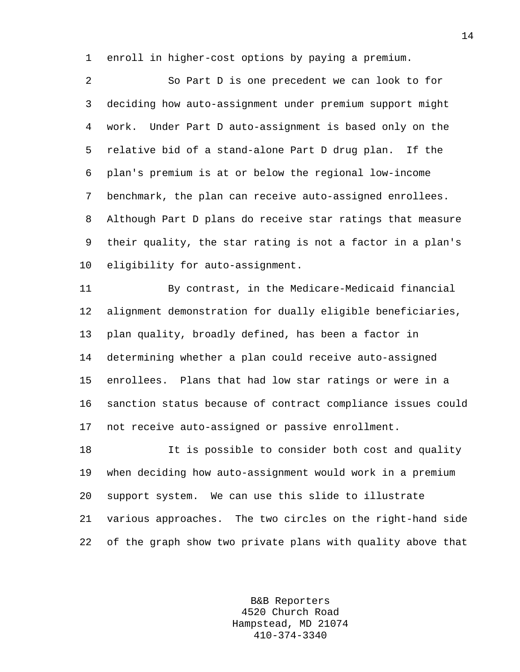1 enroll in higher-cost options by paying a premium.

2 So Part D is one precedent we can look to for 3 deciding how auto-assignment under premium support might 4 work. Under Part D auto-assignment is based only on the 5 relative bid of a stand-alone Part D drug plan. If the 6 plan's premium is at or below the regional low-income 7 benchmark, the plan can receive auto-assigned enrollees. 8 Although Part D plans do receive star ratings that measure 9 their quality, the star rating is not a factor in a plan's 10 eligibility for auto-assignment.

11 By contrast, in the Medicare-Medicaid financial 12 alignment demonstration for dually eligible beneficiaries, 13 plan quality, broadly defined, has been a factor in 14 determining whether a plan could receive auto-assigned 15 enrollees. Plans that had low star ratings or were in a 16 sanction status because of contract compliance issues could 17 not receive auto-assigned or passive enrollment.

18 It is possible to consider both cost and quality 19 when deciding how auto-assignment would work in a premium 20 support system. We can use this slide to illustrate 21 various approaches. The two circles on the right-hand side 22 of the graph show two private plans with quality above that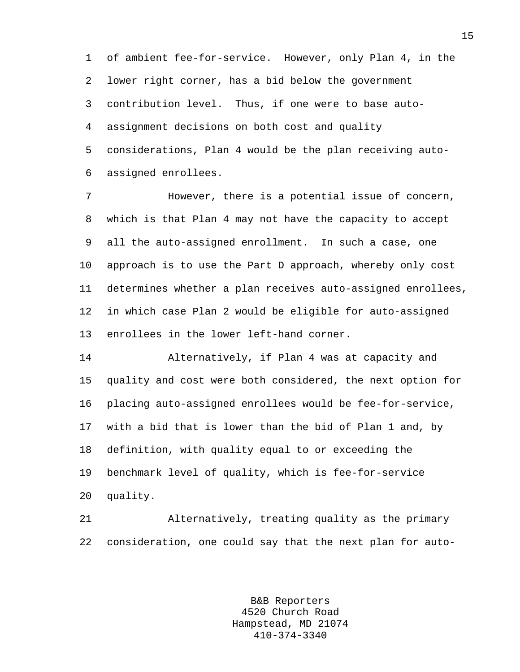1 of ambient fee-for-service. However, only Plan 4, in the 2 lower right corner, has a bid below the government 3 contribution level. Thus, if one were to base auto-4 assignment decisions on both cost and quality 5 considerations, Plan 4 would be the plan receiving auto-6 assigned enrollees.

7 However, there is a potential issue of concern, 8 which is that Plan 4 may not have the capacity to accept 9 all the auto-assigned enrollment. In such a case, one 10 approach is to use the Part D approach, whereby only cost 11 determines whether a plan receives auto-assigned enrollees, 12 in which case Plan 2 would be eligible for auto-assigned 13 enrollees in the lower left-hand corner.

14 Alternatively, if Plan 4 was at capacity and 15 quality and cost were both considered, the next option for 16 placing auto-assigned enrollees would be fee-for-service, 17 with a bid that is lower than the bid of Plan 1 and, by 18 definition, with quality equal to or exceeding the 19 benchmark level of quality, which is fee-for-service 20 quality.

21 Alternatively, treating quality as the primary 22 consideration, one could say that the next plan for auto-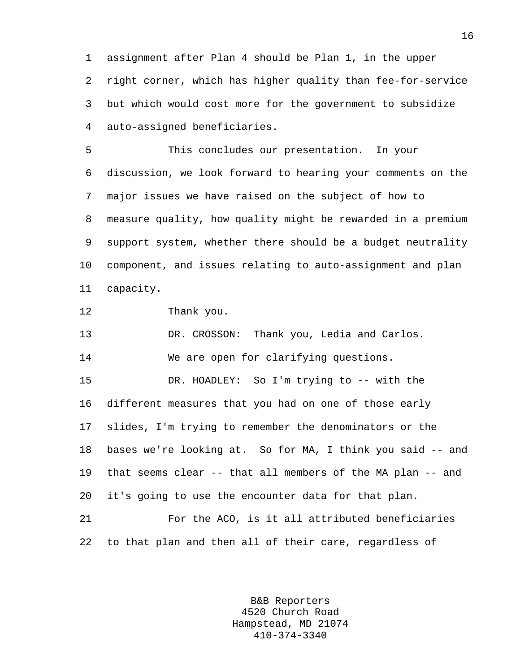1 assignment after Plan 4 should be Plan 1, in the upper 2 right corner, which has higher quality than fee-for-service 3 but which would cost more for the government to subsidize 4 auto-assigned beneficiaries.

5 This concludes our presentation. In your 6 discussion, we look forward to hearing your comments on the 7 major issues we have raised on the subject of how to 8 measure quality, how quality might be rewarded in a premium 9 support system, whether there should be a budget neutrality 10 component, and issues relating to auto-assignment and plan 11 capacity.

12 Thank you.

13 DR. CROSSON: Thank you, Ledia and Carlos. 14 We are open for clarifying questions.

15 DR. HOADLEY: So I'm trying to -- with the 16 different measures that you had on one of those early 17 slides, I'm trying to remember the denominators or the 18 bases we're looking at. So for MA, I think you said -- and 19 that seems clear -- that all members of the MA plan -- and 20 it's going to use the encounter data for that plan.

21 For the ACO, is it all attributed beneficiaries 22 to that plan and then all of their care, regardless of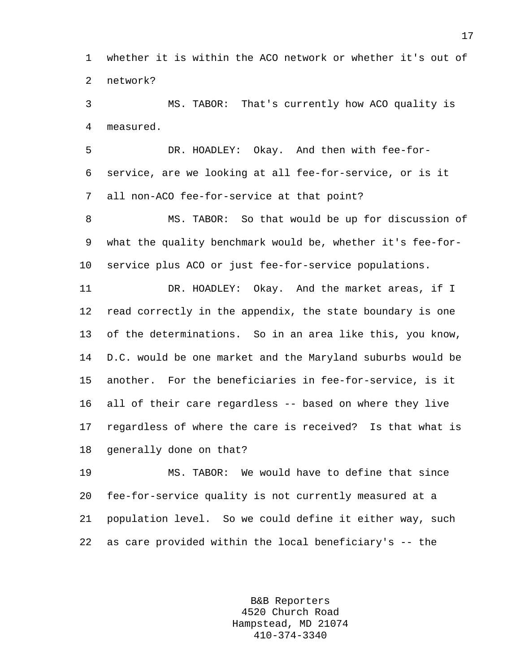1 whether it is within the ACO network or whether it's out of 2 network?

3 MS. TABOR: That's currently how ACO quality is 4 measured.

5 DR. HOADLEY: Okay. And then with fee-for-6 service, are we looking at all fee-for-service, or is it 7 all non-ACO fee-for-service at that point?

8 MS. TABOR: So that would be up for discussion of 9 what the quality benchmark would be, whether it's fee-for-10 service plus ACO or just fee-for-service populations.

11 DR. HOADLEY: Okay. And the market areas, if I 12 read correctly in the appendix, the state boundary is one 13 of the determinations. So in an area like this, you know, 14 D.C. would be one market and the Maryland suburbs would be 15 another. For the beneficiaries in fee-for-service, is it 16 all of their care regardless -- based on where they live 17 regardless of where the care is received? Is that what is 18 generally done on that?

19 MS. TABOR: We would have to define that since 20 fee-for-service quality is not currently measured at a 21 population level. So we could define it either way, such 22 as care provided within the local beneficiary's -- the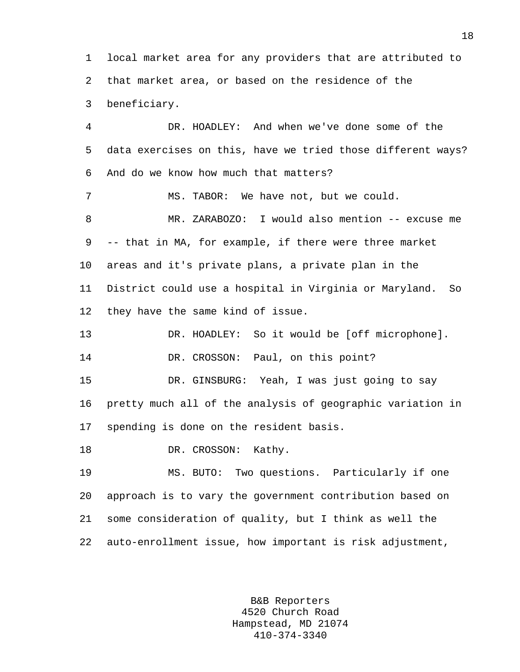1 local market area for any providers that are attributed to 2 that market area, or based on the residence of the 3 beneficiary.

4 DR. HOADLEY: And when we've done some of the 5 data exercises on this, have we tried those different ways? 6 And do we know how much that matters? 7 MS. TABOR: We have not, but we could. 8 MR. ZARABOZO: I would also mention -- excuse me 9 -- that in MA, for example, if there were three market 10 areas and it's private plans, a private plan in the 11 District could use a hospital in Virginia or Maryland. So 12 they have the same kind of issue. 13 DR. HOADLEY: So it would be [off microphone]. 14 DR. CROSSON: Paul, on this point? 15 DR. GINSBURG: Yeah, I was just going to say 16 pretty much all of the analysis of geographic variation in 17 spending is done on the resident basis. 18 DR. CROSSON: Kathy. 19 MS. BUTO: Two questions. Particularly if one 20 approach is to vary the government contribution based on 21 some consideration of quality, but I think as well the

> B&B Reporters 4520 Church Road Hampstead, MD 21074 410-374-3340

22 auto-enrollment issue, how important is risk adjustment,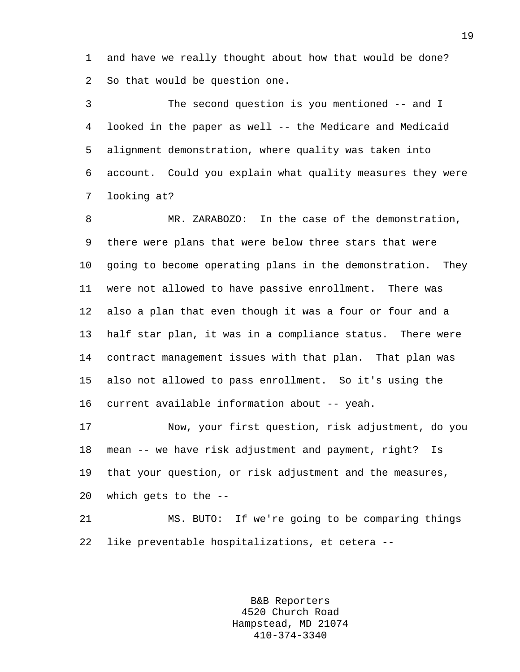1 and have we really thought about how that would be done? 2 So that would be question one.

3 The second question is you mentioned -- and I 4 looked in the paper as well -- the Medicare and Medicaid 5 alignment demonstration, where quality was taken into 6 account. Could you explain what quality measures they were 7 looking at?

8 MR. ZARABOZO: In the case of the demonstration, 9 there were plans that were below three stars that were 10 going to become operating plans in the demonstration. They 11 were not allowed to have passive enrollment. There was 12 also a plan that even though it was a four or four and a 13 half star plan, it was in a compliance status. There were 14 contract management issues with that plan. That plan was 15 also not allowed to pass enrollment. So it's using the 16 current available information about -- yeah.

17 Now, your first question, risk adjustment, do you 18 mean -- we have risk adjustment and payment, right? Is 19 that your question, or risk adjustment and the measures, 20 which gets to the --

21 MS. BUTO: If we're going to be comparing things 22 like preventable hospitalizations, et cetera --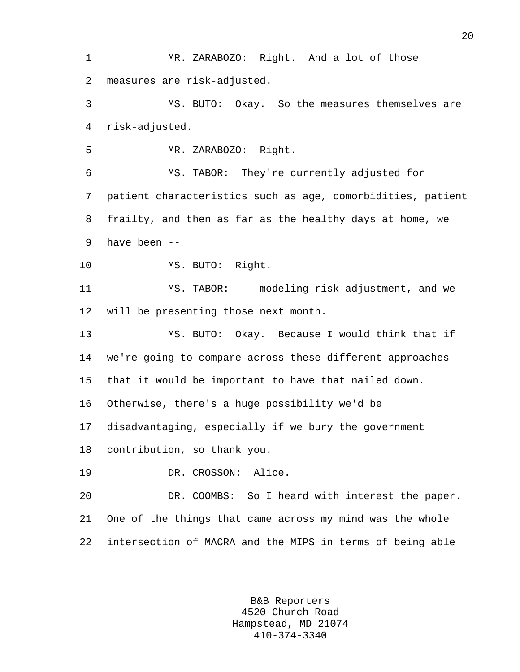1 MR. ZARABOZO: Right. And a lot of those 2 measures are risk-adjusted.

3 MS. BUTO: Okay. So the measures themselves are 4 risk-adjusted.

5 MR. ZARABOZO: Right.

6 MS. TABOR: They're currently adjusted for 7 patient characteristics such as age, comorbidities, patient 8 frailty, and then as far as the healthy days at home, we 9 have been --

10 MS. BUTO: Right.

11 MS. TABOR: -- modeling risk adjustment, and we 12 will be presenting those next month.

13 MS. BUTO: Okay. Because I would think that if 14 we're going to compare across these different approaches 15 that it would be important to have that nailed down.

16 Otherwise, there's a huge possibility we'd be

17 disadvantaging, especially if we bury the government

18 contribution, so thank you.

19 DR. CROSSON: Alice.

20 DR. COOMBS: So I heard with interest the paper. 21 One of the things that came across my mind was the whole 22 intersection of MACRA and the MIPS in terms of being able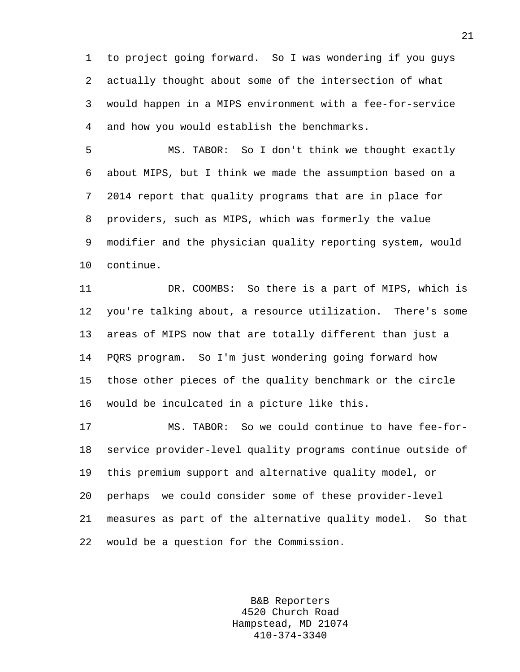1 to project going forward. So I was wondering if you guys 2 actually thought about some of the intersection of what 3 would happen in a MIPS environment with a fee-for-service 4 and how you would establish the benchmarks.

5 MS. TABOR: So I don't think we thought exactly 6 about MIPS, but I think we made the assumption based on a 7 2014 report that quality programs that are in place for 8 providers, such as MIPS, which was formerly the value 9 modifier and the physician quality reporting system, would 10 continue.

11 DR. COOMBS: So there is a part of MIPS, which is 12 you're talking about, a resource utilization. There's some 13 areas of MIPS now that are totally different than just a 14 PQRS program. So I'm just wondering going forward how 15 those other pieces of the quality benchmark or the circle 16 would be inculcated in a picture like this.

17 MS. TABOR: So we could continue to have fee-for-18 service provider-level quality programs continue outside of 19 this premium support and alternative quality model, or 20 perhaps we could consider some of these provider-level 21 measures as part of the alternative quality model. So that 22 would be a question for the Commission.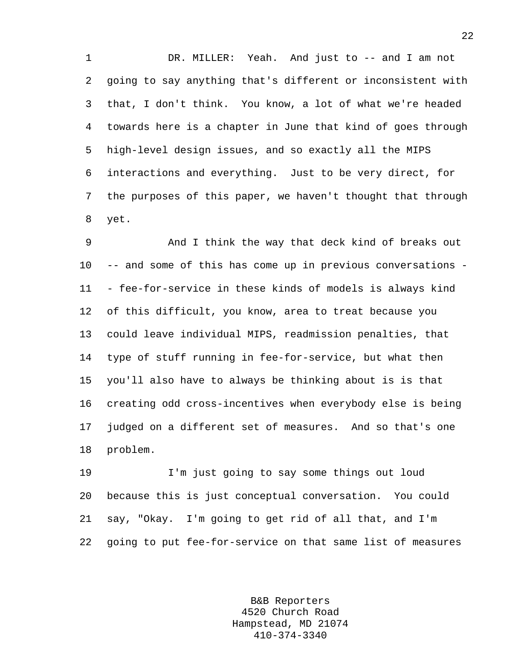1 DR. MILLER: Yeah. And just to -- and I am not 2 going to say anything that's different or inconsistent with 3 that, I don't think. You know, a lot of what we're headed 4 towards here is a chapter in June that kind of goes through 5 high-level design issues, and so exactly all the MIPS 6 interactions and everything. Just to be very direct, for 7 the purposes of this paper, we haven't thought that through 8 yet.

9 And I think the way that deck kind of breaks out 10 -- and some of this has come up in previous conversations - 11 - fee-for-service in these kinds of models is always kind 12 of this difficult, you know, area to treat because you 13 could leave individual MIPS, readmission penalties, that 14 type of stuff running in fee-for-service, but what then 15 you'll also have to always be thinking about is is that 16 creating odd cross-incentives when everybody else is being 17 judged on a different set of measures. And so that's one 18 problem.

19 I'm just going to say some things out loud 20 because this is just conceptual conversation. You could 21 say, "Okay. I'm going to get rid of all that, and I'm 22 going to put fee-for-service on that same list of measures

> B&B Reporters 4520 Church Road Hampstead, MD 21074 410-374-3340

22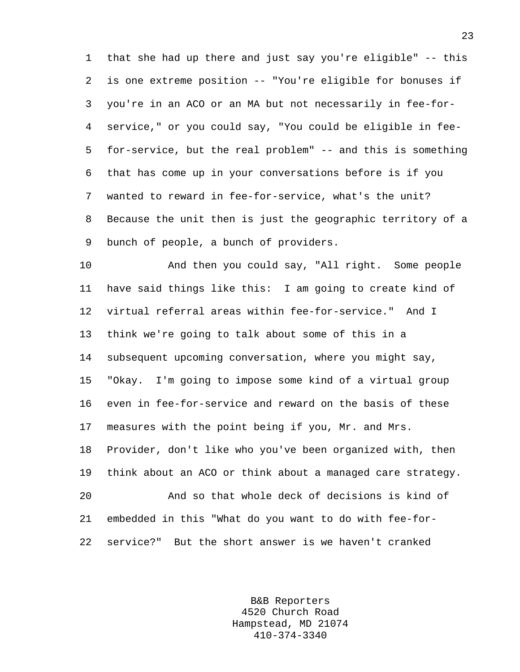1 that she had up there and just say you're eligible" -- this 2 is one extreme position -- "You're eligible for bonuses if 3 you're in an ACO or an MA but not necessarily in fee-for-4 service," or you could say, "You could be eligible in fee-5 for-service, but the real problem" -- and this is something 6 that has come up in your conversations before is if you 7 wanted to reward in fee-for-service, what's the unit? 8 Because the unit then is just the geographic territory of a 9 bunch of people, a bunch of providers.

10 And then you could say, "All right. Some people 11 have said things like this: I am going to create kind of 12 virtual referral areas within fee-for-service." And I 13 think we're going to talk about some of this in a 14 subsequent upcoming conversation, where you might say, 15 "Okay. I'm going to impose some kind of a virtual group 16 even in fee-for-service and reward on the basis of these 17 measures with the point being if you, Mr. and Mrs. 18 Provider, don't like who you've been organized with, then 19 think about an ACO or think about a managed care strategy. 20 And so that whole deck of decisions is kind of 21 embedded in this "What do you want to do with fee-for-22 service?" But the short answer is we haven't cranked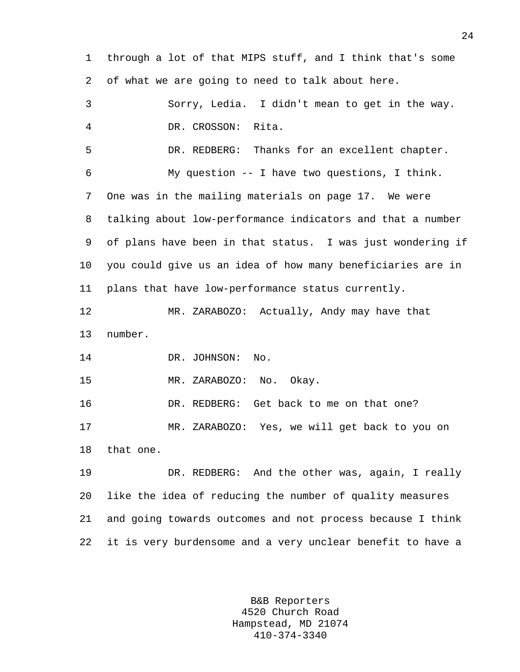1 through a lot of that MIPS stuff, and I think that's some 2 of what we are going to need to talk about here. 3 Sorry, Ledia. I didn't mean to get in the way. 4 DR. CROSSON: Rita. 5 DR. REDBERG: Thanks for an excellent chapter. 6 My question -- I have two questions, I think. 7 One was in the mailing materials on page 17. We were 8 talking about low-performance indicators and that a number 9 of plans have been in that status. I was just wondering if 10 you could give us an idea of how many beneficiaries are in 11 plans that have low-performance status currently. 12 MR. ZARABOZO: Actually, Andy may have that 13 number. 14 DR. JOHNSON: No. 15 MR. ZARABOZO: No. Okay. 16 DR. REDBERG: Get back to me on that one? 17 MR. ZARABOZO: Yes, we will get back to you on 18 that one. 19 DR. REDBERG: And the other was, again, I really 20 like the idea of reducing the number of quality measures 21 and going towards outcomes and not process because I think 22 it is very burdensome and a very unclear benefit to have a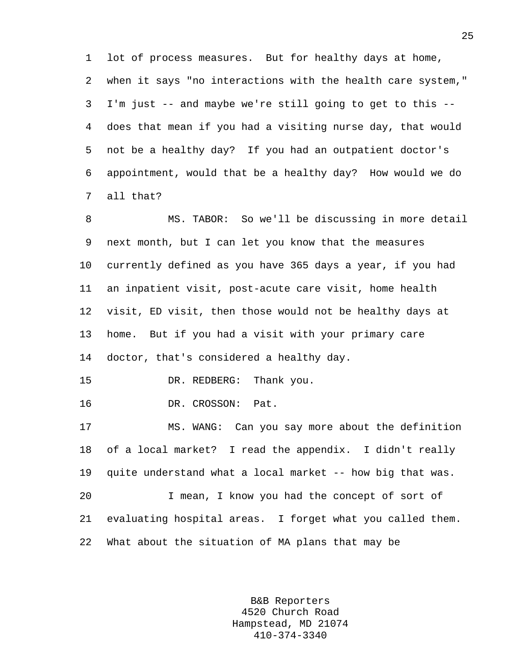1 lot of process measures. But for healthy days at home, 2 when it says "no interactions with the health care system," 3 I'm just -- and maybe we're still going to get to this -- 4 does that mean if you had a visiting nurse day, that would 5 not be a healthy day? If you had an outpatient doctor's 6 appointment, would that be a healthy day? How would we do 7 all that?

8 MS. TABOR: So we'll be discussing in more detail 9 next month, but I can let you know that the measures 10 currently defined as you have 365 days a year, if you had 11 an inpatient visit, post-acute care visit, home health 12 visit, ED visit, then those would not be healthy days at 13 home. But if you had a visit with your primary care 14 doctor, that's considered a healthy day. 15 DR. REDBERG: Thank you. 16 DR. CROSSON: Pat. 17 MS. WANG: Can you say more about the definition 18 of a local market? I read the appendix. I didn't really 19 quite understand what a local market -- how big that was.

20 I mean, I know you had the concept of sort of 21 evaluating hospital areas. I forget what you called them. 22 What about the situation of MA plans that may be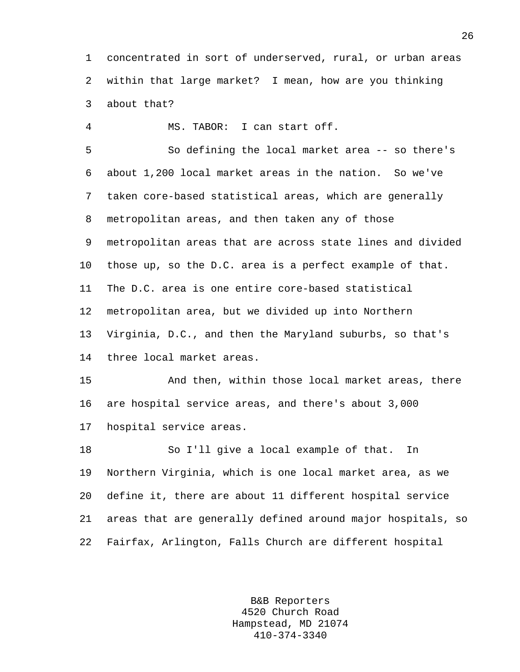1 concentrated in sort of underserved, rural, or urban areas 2 within that large market? I mean, how are you thinking 3 about that?

4 MS. TABOR: I can start off. 5 So defining the local market area -- so there's 6 about 1,200 local market areas in the nation. So we've 7 taken core-based statistical areas, which are generally 8 metropolitan areas, and then taken any of those 9 metropolitan areas that are across state lines and divided 10 those up, so the D.C. area is a perfect example of that. 11 The D.C. area is one entire core-based statistical 12 metropolitan area, but we divided up into Northern 13 Virginia, D.C., and then the Maryland suburbs, so that's 14 three local market areas. 15 And then, within those local market areas, there

16 are hospital service areas, and there's about 3,000 17 hospital service areas.

18 So I'll give a local example of that. In 19 Northern Virginia, which is one local market area, as we 20 define it, there are about 11 different hospital service 21 areas that are generally defined around major hospitals, so 22 Fairfax, Arlington, Falls Church are different hospital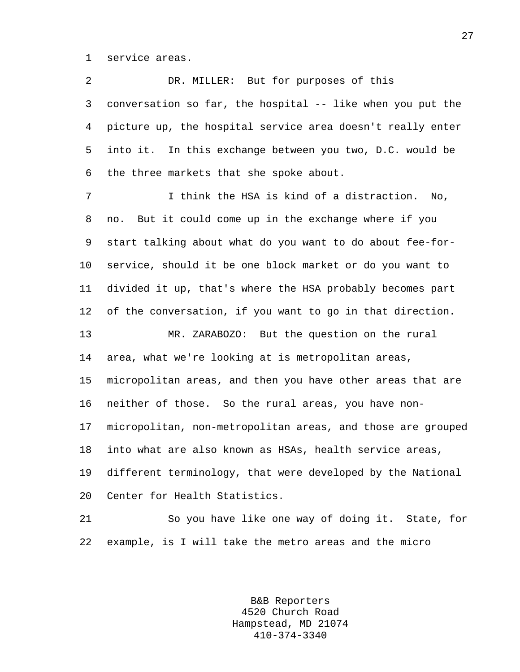1 service areas.

2 DR. MILLER: But for purposes of this 3 conversation so far, the hospital -- like when you put the 4 picture up, the hospital service area doesn't really enter 5 into it. In this exchange between you two, D.C. would be 6 the three markets that she spoke about. 7 I think the HSA is kind of a distraction. No, 8 no. But it could come up in the exchange where if you 9 start talking about what do you want to do about fee-for-10 service, should it be one block market or do you want to 11 divided it up, that's where the HSA probably becomes part

12 of the conversation, if you want to go in that direction.

13 MR. ZARABOZO: But the question on the rural 14 area, what we're looking at is metropolitan areas, 15 micropolitan areas, and then you have other areas that are 16 neither of those. So the rural areas, you have non-17 micropolitan, non-metropolitan areas, and those are grouped 18 into what are also known as HSAs, health service areas, 19 different terminology, that were developed by the National

20 Center for Health Statistics.

21 So you have like one way of doing it. State, for 22 example, is I will take the metro areas and the micro

> B&B Reporters 4520 Church Road Hampstead, MD 21074 410-374-3340

27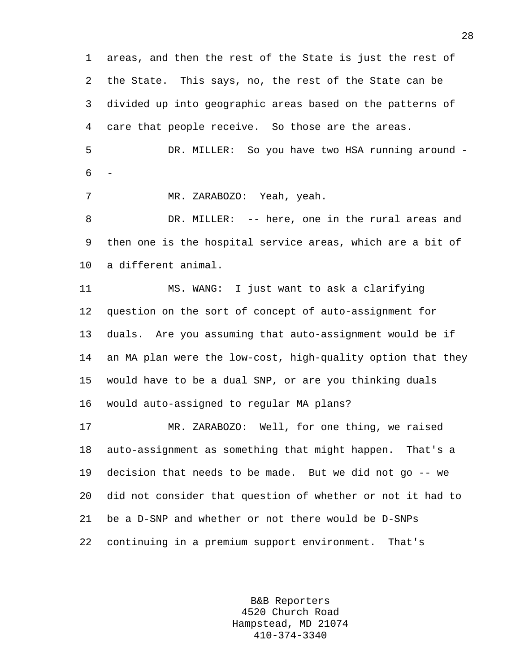1 areas, and then the rest of the State is just the rest of 2 the State. This says, no, the rest of the State can be 3 divided up into geographic areas based on the patterns of 4 care that people receive. So those are the areas. 5 DR. MILLER: So you have two HSA running around -

6 -

7 MR. ZARABOZO: Yeah, yeah.

8 DR. MILLER: -- here, one in the rural areas and 9 then one is the hospital service areas, which are a bit of 10 a different animal.

11 MS. WANG: I just want to ask a clarifying 12 question on the sort of concept of auto-assignment for 13 duals. Are you assuming that auto-assignment would be if 14 an MA plan were the low-cost, high-quality option that they 15 would have to be a dual SNP, or are you thinking duals 16 would auto-assigned to regular MA plans?

17 MR. ZARABOZO: Well, for one thing, we raised 18 auto-assignment as something that might happen. That's a 19 decision that needs to be made. But we did not go -- we 20 did not consider that question of whether or not it had to 21 be a D-SNP and whether or not there would be D-SNPs 22 continuing in a premium support environment. That's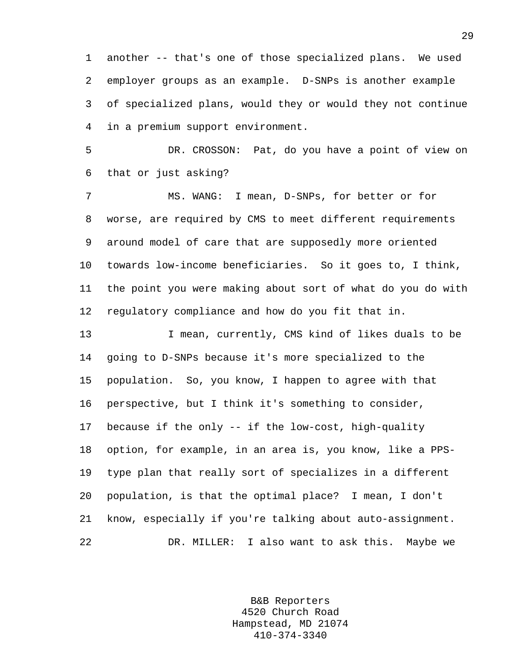1 another -- that's one of those specialized plans. We used 2 employer groups as an example. D-SNPs is another example 3 of specialized plans, would they or would they not continue 4 in a premium support environment.

5 DR. CROSSON: Pat, do you have a point of view on 6 that or just asking?

7 MS. WANG: I mean, D-SNPs, for better or for 8 worse, are required by CMS to meet different requirements 9 around model of care that are supposedly more oriented 10 towards low-income beneficiaries. So it goes to, I think, 11 the point you were making about sort of what do you do with 12 regulatory compliance and how do you fit that in.

13 I mean, currently, CMS kind of likes duals to be 14 going to D-SNPs because it's more specialized to the 15 population. So, you know, I happen to agree with that 16 perspective, but I think it's something to consider, 17 because if the only -- if the low-cost, high-quality 18 option, for example, in an area is, you know, like a PPS-19 type plan that really sort of specializes in a different 20 population, is that the optimal place? I mean, I don't 21 know, especially if you're talking about auto-assignment. 22 DR. MILLER: I also want to ask this. Maybe we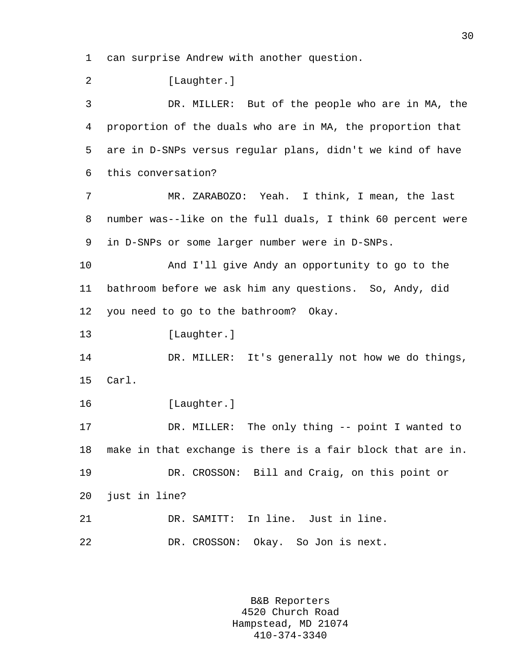1 can surprise Andrew with another question.

2 [Laughter.] 3 DR. MILLER: But of the people who are in MA, the 4 proportion of the duals who are in MA, the proportion that 5 are in D-SNPs versus regular plans, didn't we kind of have 6 this conversation? 7 MR. ZARABOZO: Yeah. I think, I mean, the last 8 number was--like on the full duals, I think 60 percent were 9 in D-SNPs or some larger number were in D-SNPs. 10 And I'll give Andy an opportunity to go to the 11 bathroom before we ask him any questions. So, Andy, did 12 you need to go to the bathroom? Okay. 13 [Laughter.] 14 DR. MILLER: It's generally not how we do things, 15 Carl. 16 [Laughter.] 17 DR. MILLER: The only thing -- point I wanted to 18 make in that exchange is there is a fair block that are in. 19 DR. CROSSON: Bill and Craig, on this point or 20 just in line? 21 DR. SAMITT: In line. Just in line. 22 DR. CROSSON: Okay. So Jon is next.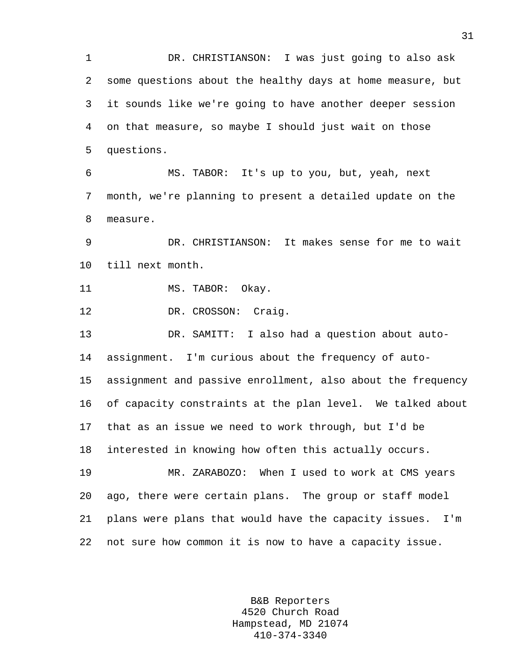1 DR. CHRISTIANSON: I was just going to also ask 2 some questions about the healthy days at home measure, but 3 it sounds like we're going to have another deeper session 4 on that measure, so maybe I should just wait on those 5 questions.

6 MS. TABOR: It's up to you, but, yeah, next 7 month, we're planning to present a detailed update on the 8 measure.

9 DR. CHRISTIANSON: It makes sense for me to wait 10 till next month.

11 MS. TABOR: Okay.

12 DR. CROSSON: Craig.

13 DR. SAMITT: I also had a question about auto-14 assignment. I'm curious about the frequency of auto-15 assignment and passive enrollment, also about the frequency 16 of capacity constraints at the plan level. We talked about 17 that as an issue we need to work through, but I'd be 18 interested in knowing how often this actually occurs.

19 MR. ZARABOZO: When I used to work at CMS years 20 ago, there were certain plans. The group or staff model 21 plans were plans that would have the capacity issues. I'm 22 not sure how common it is now to have a capacity issue.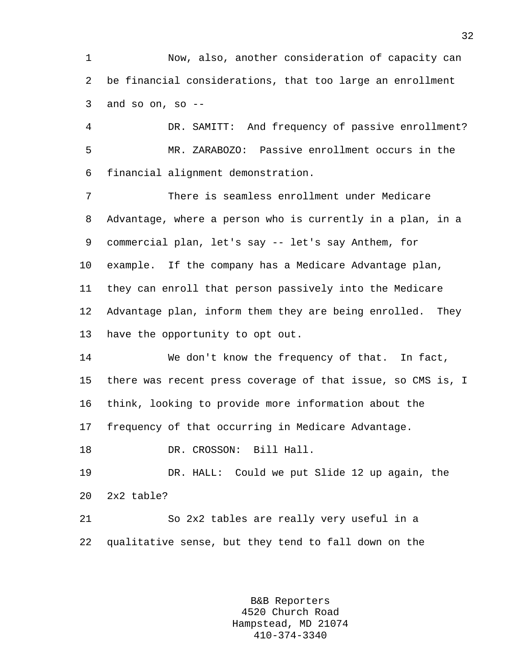1 Now, also, another consideration of capacity can 2 be financial considerations, that too large an enrollment  $3$  and so on, so  $-$ 

4 DR. SAMITT: And frequency of passive enrollment? 5 MR. ZARABOZO: Passive enrollment occurs in the 6 financial alignment demonstration.

7 There is seamless enrollment under Medicare 8 Advantage, where a person who is currently in a plan, in a 9 commercial plan, let's say -- let's say Anthem, for 10 example. If the company has a Medicare Advantage plan, 11 they can enroll that person passively into the Medicare 12 Advantage plan, inform them they are being enrolled. They 13 have the opportunity to opt out.

14 We don't know the frequency of that. In fact, 15 there was recent press coverage of that issue, so CMS is, I 16 think, looking to provide more information about the 17 frequency of that occurring in Medicare Advantage.

18 DR. CROSSON: Bill Hall.

19 DR. HALL: Could we put Slide 12 up again, the 20 2x2 table?

21 So 2x2 tables are really very useful in a 22 qualitative sense, but they tend to fall down on the

> B&B Reporters 4520 Church Road Hampstead, MD 21074 410-374-3340

32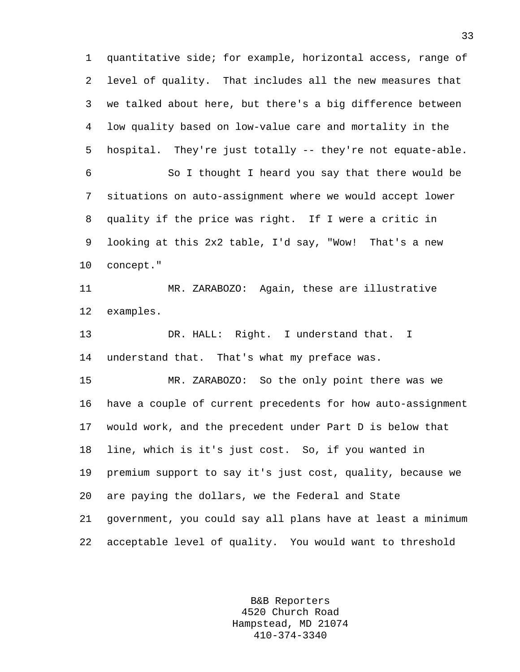1 quantitative side; for example, horizontal access, range of 2 level of quality. That includes all the new measures that 3 we talked about here, but there's a big difference between 4 low quality based on low-value care and mortality in the 5 hospital. They're just totally -- they're not equate-able. 6 So I thought I heard you say that there would be 7 situations on auto-assignment where we would accept lower 8 quality if the price was right. If I were a critic in 9 looking at this 2x2 table, I'd say, "Wow! That's a new 10 concept." 11 MR. ZARABOZO: Again, these are illustrative 12 examples. 13 DR. HALL: Right. I understand that. I 14 understand that. That's what my preface was. 15 MR. ZARABOZO: So the only point there was we 16 have a couple of current precedents for how auto-assignment 17 would work, and the precedent under Part D is below that 18 line, which is it's just cost. So, if you wanted in 19 premium support to say it's just cost, quality, because we 20 are paying the dollars, we the Federal and State 21 government, you could say all plans have at least a minimum 22 acceptable level of quality. You would want to threshold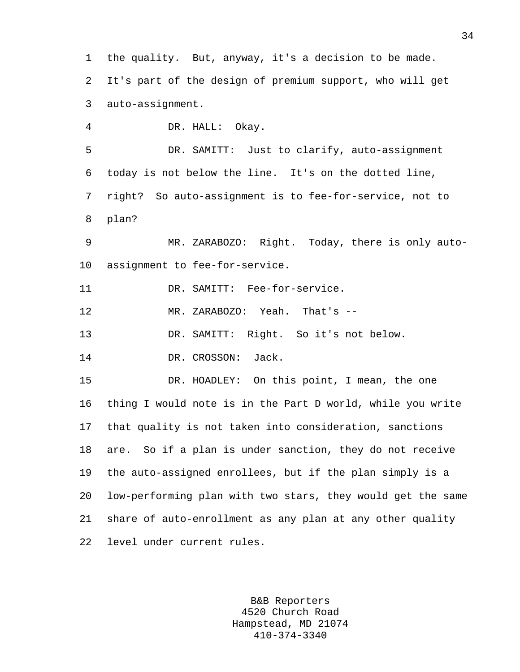1 the quality. But, anyway, it's a decision to be made. 2 It's part of the design of premium support, who will get 3 auto-assignment. 4 DR. HALL: Okay. 5 DR. SAMITT: Just to clarify, auto-assignment 6 today is not below the line. It's on the dotted line, 7 right? So auto-assignment is to fee-for-service, not to 8 plan? 9 MR. ZARABOZO: Right. Today, there is only auto-10 assignment to fee-for-service. 11 DR. SAMITT: Fee-for-service. 12 MR. ZARABOZO: Yeah. That's -- 13 DR. SAMITT: Right. So it's not below. 14 DR. CROSSON: Jack. 15 DR. HOADLEY: On this point, I mean, the one 16 thing I would note is in the Part D world, while you write 17 that quality is not taken into consideration, sanctions 18 are. So if a plan is under sanction, they do not receive 19 the auto-assigned enrollees, but if the plan simply is a 20 low-performing plan with two stars, they would get the same 21 share of auto-enrollment as any plan at any other quality 22 level under current rules.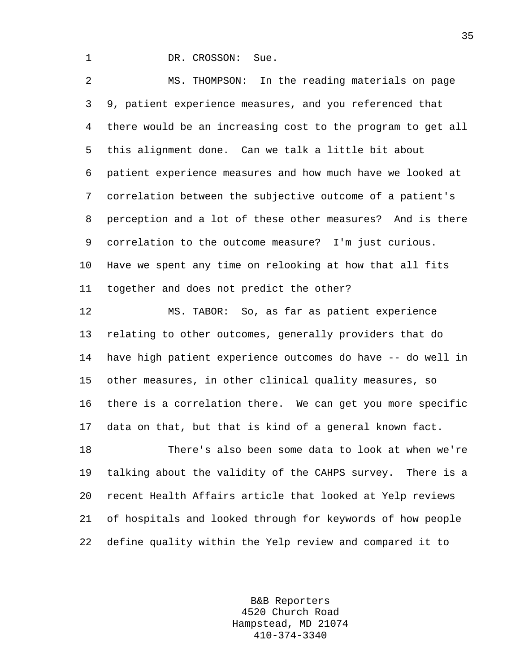1 DR. CROSSON: Sue.

2 MS. THOMPSON: In the reading materials on page 3 9, patient experience measures, and you referenced that 4 there would be an increasing cost to the program to get all 5 this alignment done. Can we talk a little bit about 6 patient experience measures and how much have we looked at 7 correlation between the subjective outcome of a patient's 8 perception and a lot of these other measures? And is there 9 correlation to the outcome measure? I'm just curious. 10 Have we spent any time on relooking at how that all fits 11 together and does not predict the other?

12 MS. TABOR: So, as far as patient experience 13 relating to other outcomes, generally providers that do 14 have high patient experience outcomes do have -- do well in 15 other measures, in other clinical quality measures, so 16 there is a correlation there. We can get you more specific 17 data on that, but that is kind of a general known fact. 18 There's also been some data to look at when we're

19 talking about the validity of the CAHPS survey. There is a 20 recent Health Affairs article that looked at Yelp reviews 21 of hospitals and looked through for keywords of how people 22 define quality within the Yelp review and compared it to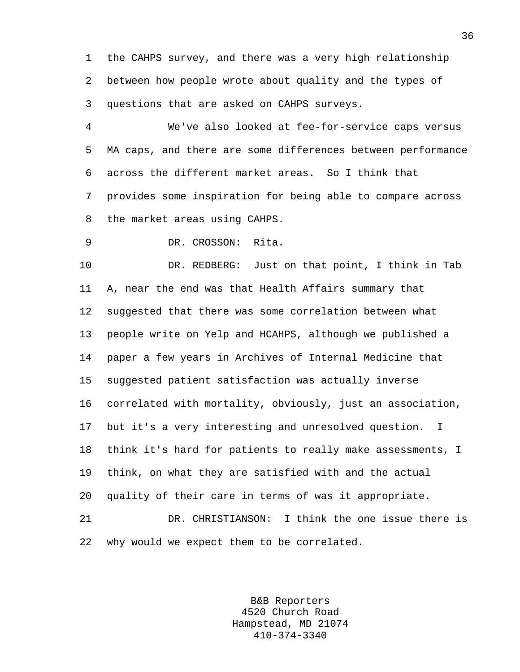1 the CAHPS survey, and there was a very high relationship 2 between how people wrote about quality and the types of 3 questions that are asked on CAHPS surveys.

4 We've also looked at fee-for-service caps versus 5 MA caps, and there are some differences between performance 6 across the different market areas. So I think that 7 provides some inspiration for being able to compare across 8 the market areas using CAHPS.

9 DR. CROSSON: Rita.

10 DR. REDBERG: Just on that point, I think in Tab 11 A, near the end was that Health Affairs summary that 12 suggested that there was some correlation between what 13 people write on Yelp and HCAHPS, although we published a 14 paper a few years in Archives of Internal Medicine that 15 suggested patient satisfaction was actually inverse 16 correlated with mortality, obviously, just an association, 17 but it's a very interesting and unresolved question. I 18 think it's hard for patients to really make assessments, I 19 think, on what they are satisfied with and the actual 20 quality of their care in terms of was it appropriate. 21 DR. CHRISTIANSON: I think the one issue there is

22 why would we expect them to be correlated.

B&B Reporters 4520 Church Road Hampstead, MD 21074 410-374-3340

36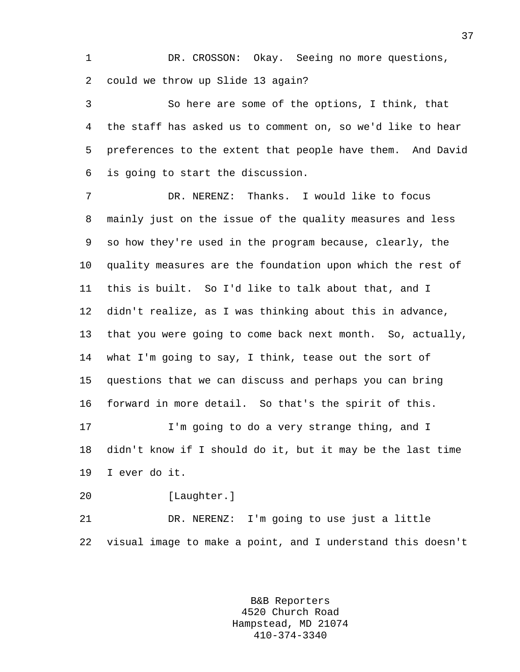1 DR. CROSSON: Okay. Seeing no more questions, 2 could we throw up Slide 13 again?

3 So here are some of the options, I think, that 4 the staff has asked us to comment on, so we'd like to hear 5 preferences to the extent that people have them. And David 6 is going to start the discussion.

7 DR. NERENZ: Thanks. I would like to focus 8 mainly just on the issue of the quality measures and less 9 so how they're used in the program because, clearly, the 10 quality measures are the foundation upon which the rest of 11 this is built. So I'd like to talk about that, and I 12 didn't realize, as I was thinking about this in advance, 13 that you were going to come back next month. So, actually, 14 what I'm going to say, I think, tease out the sort of 15 questions that we can discuss and perhaps you can bring 16 forward in more detail. So that's the spirit of this. 17 I'm going to do a very strange thing, and I 18 didn't know if I should do it, but it may be the last time

19 I ever do it.

20 [Laughter.]

21 DR. NERENZ: I'm going to use just a little 22 visual image to make a point, and I understand this doesn't

> B&B Reporters 4520 Church Road Hampstead, MD 21074 410-374-3340

37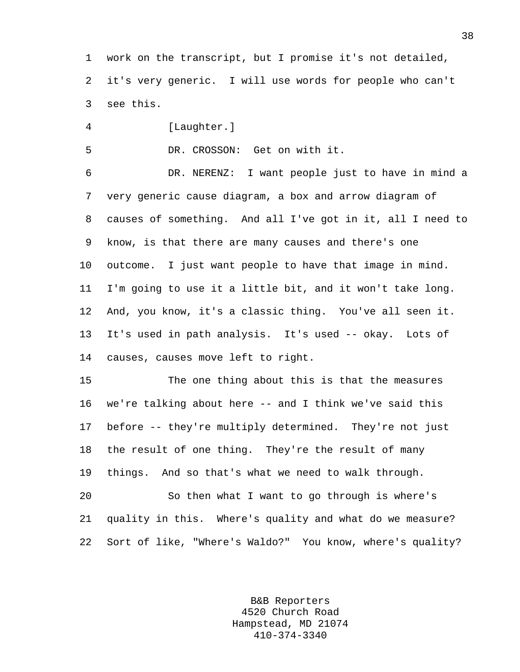1 work on the transcript, but I promise it's not detailed, 2 it's very generic. I will use words for people who can't 3 see this.

4 [Laughter.]

5 DR. CROSSON: Get on with it.

6 DR. NERENZ: I want people just to have in mind a 7 very generic cause diagram, a box and arrow diagram of 8 causes of something. And all I've got in it, all I need to 9 know, is that there are many causes and there's one 10 outcome. I just want people to have that image in mind. 11 I'm going to use it a little bit, and it won't take long. 12 And, you know, it's a classic thing. You've all seen it. 13 It's used in path analysis. It's used -- okay. Lots of 14 causes, causes move left to right.

15 The one thing about this is that the measures 16 we're talking about here -- and I think we've said this 17 before -- they're multiply determined. They're not just 18 the result of one thing. They're the result of many 19 things. And so that's what we need to walk through.

20 So then what I want to go through is where's 21 quality in this. Where's quality and what do we measure? 22 Sort of like, "Where's Waldo?" You know, where's quality?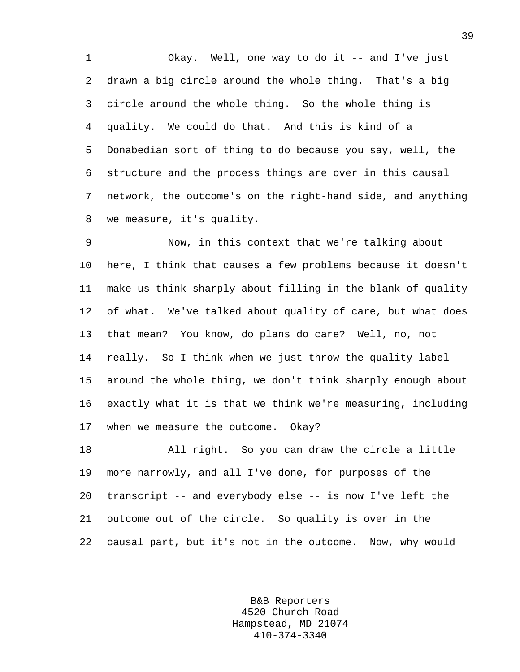1 Okay. Well, one way to do it -- and I've just 2 drawn a big circle around the whole thing. That's a big 3 circle around the whole thing. So the whole thing is 4 quality. We could do that. And this is kind of a 5 Donabedian sort of thing to do because you say, well, the 6 structure and the process things are over in this causal 7 network, the outcome's on the right-hand side, and anything 8 we measure, it's quality.

9 Now, in this context that we're talking about 10 here, I think that causes a few problems because it doesn't 11 make us think sharply about filling in the blank of quality 12 of what. We've talked about quality of care, but what does 13 that mean? You know, do plans do care? Well, no, not 14 really. So I think when we just throw the quality label 15 around the whole thing, we don't think sharply enough about 16 exactly what it is that we think we're measuring, including 17 when we measure the outcome. Okay?

18 All right. So you can draw the circle a little 19 more narrowly, and all I've done, for purposes of the 20 transcript -- and everybody else -- is now I've left the 21 outcome out of the circle. So quality is over in the 22 causal part, but it's not in the outcome. Now, why would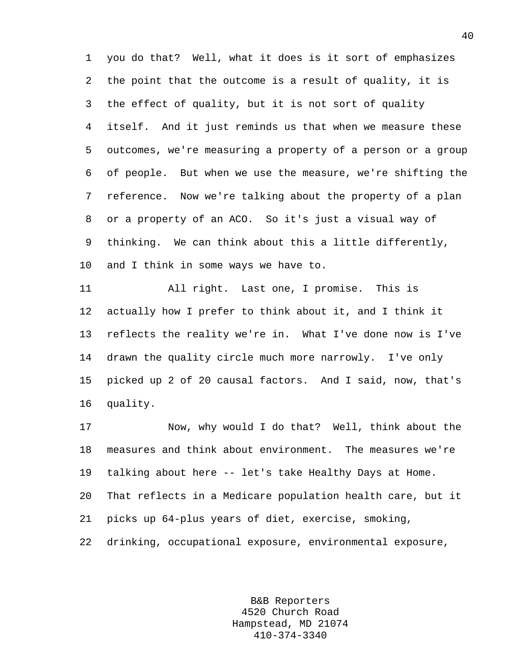1 you do that? Well, what it does is it sort of emphasizes 2 the point that the outcome is a result of quality, it is 3 the effect of quality, but it is not sort of quality 4 itself. And it just reminds us that when we measure these 5 outcomes, we're measuring a property of a person or a group 6 of people. But when we use the measure, we're shifting the 7 reference. Now we're talking about the property of a plan 8 or a property of an ACO. So it's just a visual way of 9 thinking. We can think about this a little differently, 10 and I think in some ways we have to.

11 All right. Last one, I promise. This is 12 actually how I prefer to think about it, and I think it 13 reflects the reality we're in. What I've done now is I've 14 drawn the quality circle much more narrowly. I've only 15 picked up 2 of 20 causal factors. And I said, now, that's 16 quality.

17 Now, why would I do that? Well, think about the 18 measures and think about environment. The measures we're 19 talking about here -- let's take Healthy Days at Home. 20 That reflects in a Medicare population health care, but it 21 picks up 64-plus years of diet, exercise, smoking, 22 drinking, occupational exposure, environmental exposure,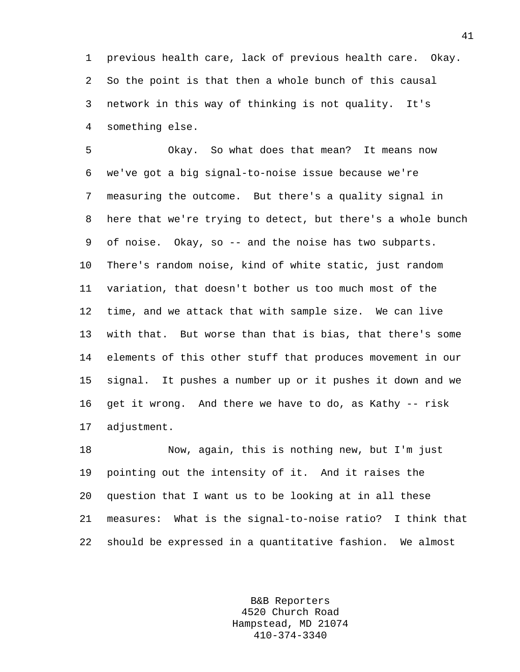1 previous health care, lack of previous health care. Okay. 2 So the point is that then a whole bunch of this causal 3 network in this way of thinking is not quality. It's 4 something else.

5 Okay. So what does that mean? It means now 6 we've got a big signal-to-noise issue because we're 7 measuring the outcome. But there's a quality signal in 8 here that we're trying to detect, but there's a whole bunch 9 of noise. Okay, so -- and the noise has two subparts. 10 There's random noise, kind of white static, just random 11 variation, that doesn't bother us too much most of the 12 time, and we attack that with sample size. We can live 13 with that. But worse than that is bias, that there's some 14 elements of this other stuff that produces movement in our 15 signal. It pushes a number up or it pushes it down and we 16 get it wrong. And there we have to do, as Kathy -- risk 17 adjustment.

18 Now, again, this is nothing new, but I'm just 19 pointing out the intensity of it. And it raises the 20 question that I want us to be looking at in all these 21 measures: What is the signal-to-noise ratio? I think that 22 should be expressed in a quantitative fashion. We almost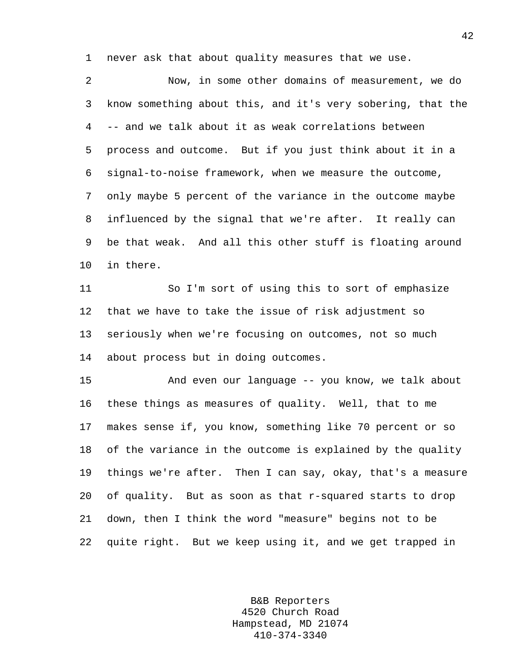1 never ask that about quality measures that we use.

2 Now, in some other domains of measurement, we do 3 know something about this, and it's very sobering, that the 4 -- and we talk about it as weak correlations between 5 process and outcome. But if you just think about it in a 6 signal-to-noise framework, when we measure the outcome, 7 only maybe 5 percent of the variance in the outcome maybe 8 influenced by the signal that we're after. It really can 9 be that weak. And all this other stuff is floating around 10 in there.

11 So I'm sort of using this to sort of emphasize 12 that we have to take the issue of risk adjustment so 13 seriously when we're focusing on outcomes, not so much 14 about process but in doing outcomes.

15 And even our language -- you know, we talk about 16 these things as measures of quality. Well, that to me 17 makes sense if, you know, something like 70 percent or so 18 of the variance in the outcome is explained by the quality 19 things we're after. Then I can say, okay, that's a measure 20 of quality. But as soon as that r-squared starts to drop 21 down, then I think the word "measure" begins not to be 22 quite right. But we keep using it, and we get trapped in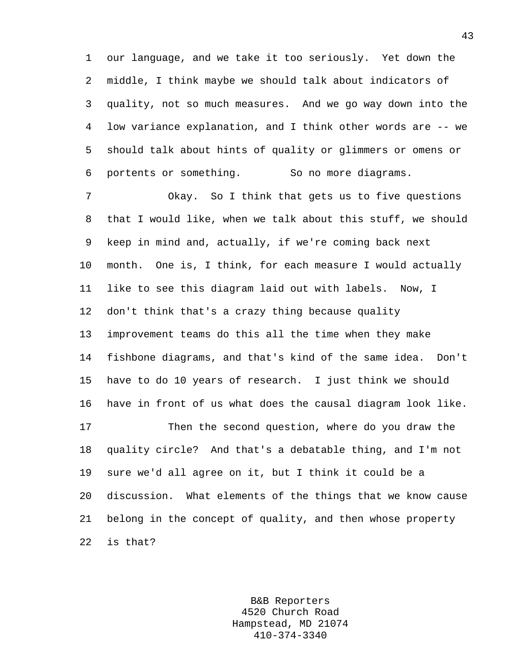1 our language, and we take it too seriously. Yet down the 2 middle, I think maybe we should talk about indicators of 3 quality, not so much measures. And we go way down into the 4 low variance explanation, and I think other words are -- we 5 should talk about hints of quality or glimmers or omens or 6 portents or something. So no more diagrams.

7 Okay. So I think that gets us to five questions 8 that I would like, when we talk about this stuff, we should 9 keep in mind and, actually, if we're coming back next 10 month. One is, I think, for each measure I would actually 11 like to see this diagram laid out with labels. Now, I 12 don't think that's a crazy thing because quality 13 improvement teams do this all the time when they make 14 fishbone diagrams, and that's kind of the same idea. Don't 15 have to do 10 years of research. I just think we should 16 have in front of us what does the causal diagram look like. 17 Then the second question, where do you draw the 18 quality circle? And that's a debatable thing, and I'm not 19 sure we'd all agree on it, but I think it could be a 20 discussion. What elements of the things that we know cause 21 belong in the concept of quality, and then whose property 22 is that?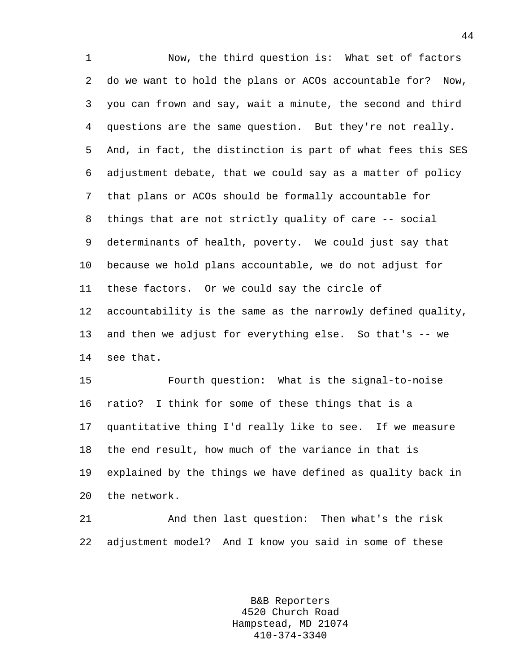1 Now, the third question is: What set of factors 2 do we want to hold the plans or ACOs accountable for? Now, 3 you can frown and say, wait a minute, the second and third 4 questions are the same question. But they're not really. 5 And, in fact, the distinction is part of what fees this SES 6 adjustment debate, that we could say as a matter of policy 7 that plans or ACOs should be formally accountable for 8 things that are not strictly quality of care -- social 9 determinants of health, poverty. We could just say that 10 because we hold plans accountable, we do not adjust for 11 these factors. Or we could say the circle of 12 accountability is the same as the narrowly defined quality, 13 and then we adjust for everything else. So that's -- we 14 see that.

15 Fourth question: What is the signal-to-noise 16 ratio? I think for some of these things that is a 17 quantitative thing I'd really like to see. If we measure 18 the end result, how much of the variance in that is 19 explained by the things we have defined as quality back in 20 the network.

21 And then last question: Then what's the risk 22 adjustment model? And I know you said in some of these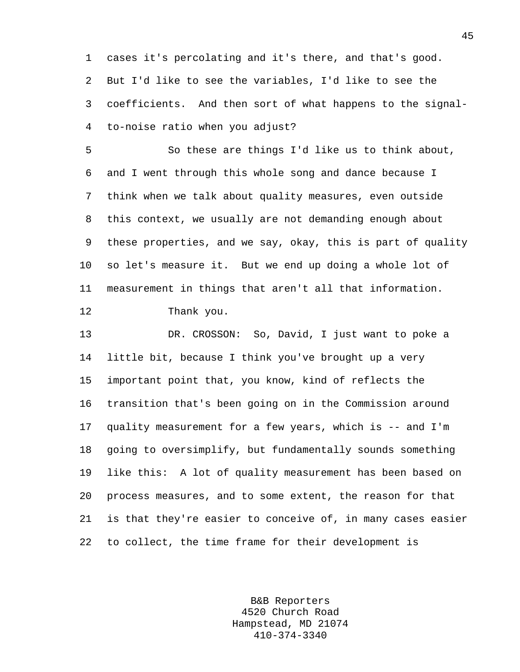1 cases it's percolating and it's there, and that's good. 2 But I'd like to see the variables, I'd like to see the 3 coefficients. And then sort of what happens to the signal-4 to-noise ratio when you adjust?

5 So these are things I'd like us to think about, 6 and I went through this whole song and dance because I 7 think when we talk about quality measures, even outside 8 this context, we usually are not demanding enough about 9 these properties, and we say, okay, this is part of quality 10 so let's measure it. But we end up doing a whole lot of 11 measurement in things that aren't all that information. 12 Thank you.

13 DR. CROSSON: So, David, I just want to poke a 14 little bit, because I think you've brought up a very 15 important point that, you know, kind of reflects the 16 transition that's been going on in the Commission around 17 quality measurement for a few years, which is -- and I'm 18 going to oversimplify, but fundamentally sounds something 19 like this: A lot of quality measurement has been based on 20 process measures, and to some extent, the reason for that 21 is that they're easier to conceive of, in many cases easier 22 to collect, the time frame for their development is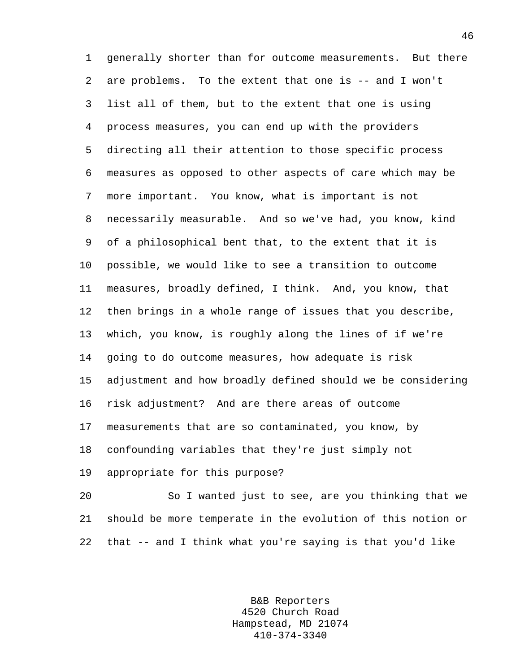1 generally shorter than for outcome measurements. But there 2 are problems. To the extent that one is -- and I won't 3 list all of them, but to the extent that one is using 4 process measures, you can end up with the providers 5 directing all their attention to those specific process 6 measures as opposed to other aspects of care which may be 7 more important. You know, what is important is not 8 necessarily measurable. And so we've had, you know, kind 9 of a philosophical bent that, to the extent that it is 10 possible, we would like to see a transition to outcome 11 measures, broadly defined, I think. And, you know, that 12 then brings in a whole range of issues that you describe, 13 which, you know, is roughly along the lines of if we're 14 going to do outcome measures, how adequate is risk 15 adjustment and how broadly defined should we be considering 16 risk adjustment? And are there areas of outcome 17 measurements that are so contaminated, you know, by 18 confounding variables that they're just simply not 19 appropriate for this purpose?

20 So I wanted just to see, are you thinking that we 21 should be more temperate in the evolution of this notion or 22 that -- and I think what you're saying is that you'd like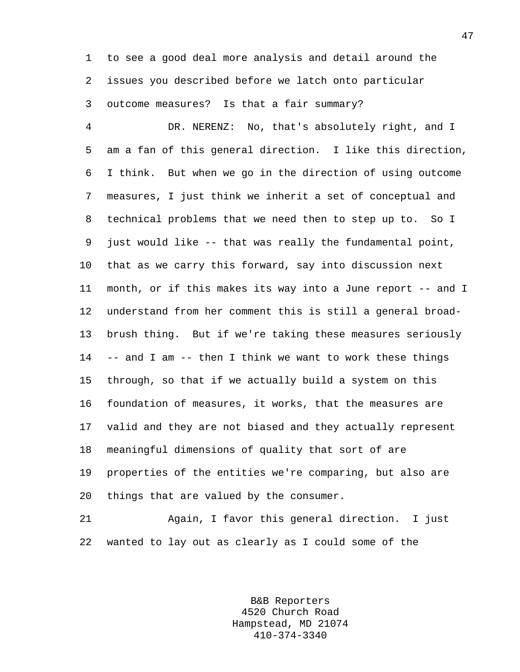1 to see a good deal more analysis and detail around the 2 issues you described before we latch onto particular 3 outcome measures? Is that a fair summary?

4 DR. NERENZ: No, that's absolutely right, and I 5 am a fan of this general direction. I like this direction, 6 I think. But when we go in the direction of using outcome 7 measures, I just think we inherit a set of conceptual and 8 technical problems that we need then to step up to. So I 9 just would like -- that was really the fundamental point, 10 that as we carry this forward, say into discussion next 11 month, or if this makes its way into a June report -- and I 12 understand from her comment this is still a general broad-13 brush thing. But if we're taking these measures seriously 14 -- and I am -- then I think we want to work these things 15 through, so that if we actually build a system on this 16 foundation of measures, it works, that the measures are 17 valid and they are not biased and they actually represent 18 meaningful dimensions of quality that sort of are 19 properties of the entities we're comparing, but also are 20 things that are valued by the consumer.

21 Again, I favor this general direction. I just 22 wanted to lay out as clearly as I could some of the

> B&B Reporters 4520 Church Road Hampstead, MD 21074 410-374-3340

47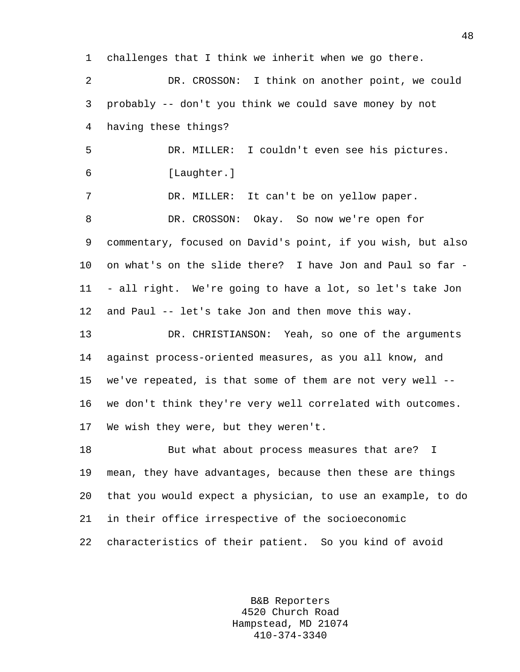1 challenges that I think we inherit when we go there.

2 DR. CROSSON: I think on another point, we could 3 probably -- don't you think we could save money by not 4 having these things?

5 DR. MILLER: I couldn't even see his pictures. 6 [Laughter.]

7 DR. MILLER: It can't be on yellow paper. 8 DR. CROSSON: Okay. So now we're open for 9 commentary, focused on David's point, if you wish, but also 10 on what's on the slide there? I have Jon and Paul so far - 11 - all right. We're going to have a lot, so let's take Jon 12 and Paul -- let's take Jon and then move this way.

13 DR. CHRISTIANSON: Yeah, so one of the arguments 14 against process-oriented measures, as you all know, and 15 we've repeated, is that some of them are not very well -- 16 we don't think they're very well correlated with outcomes. 17 We wish they were, but they weren't.

18 But what about process measures that are? I 19 mean, they have advantages, because then these are things 20 that you would expect a physician, to use an example, to do 21 in their office irrespective of the socioeconomic 22 characteristics of their patient. So you kind of avoid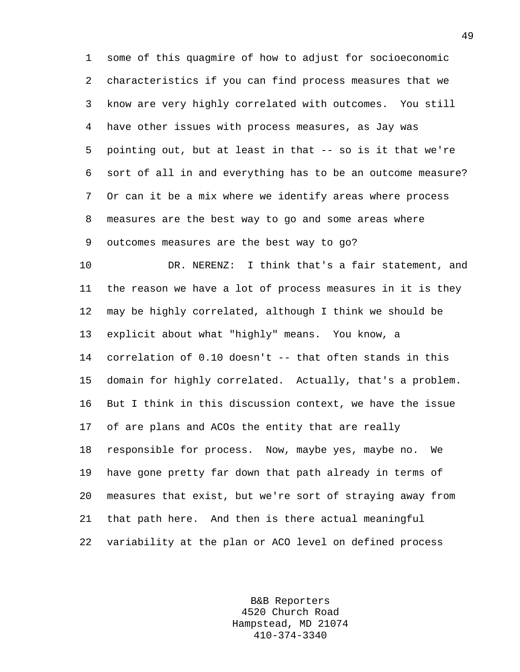1 some of this quagmire of how to adjust for socioeconomic 2 characteristics if you can find process measures that we 3 know are very highly correlated with outcomes. You still 4 have other issues with process measures, as Jay was 5 pointing out, but at least in that -- so is it that we're 6 sort of all in and everything has to be an outcome measure? 7 Or can it be a mix where we identify areas where process 8 measures are the best way to go and some areas where 9 outcomes measures are the best way to go?

10 DR. NERENZ: I think that's a fair statement, and 11 the reason we have a lot of process measures in it is they 12 may be highly correlated, although I think we should be 13 explicit about what "highly" means. You know, a 14 correlation of 0.10 doesn't -- that often stands in this 15 domain for highly correlated. Actually, that's a problem. 16 But I think in this discussion context, we have the issue 17 of are plans and ACOs the entity that are really 18 responsible for process. Now, maybe yes, maybe no. We 19 have gone pretty far down that path already in terms of 20 measures that exist, but we're sort of straying away from 21 that path here. And then is there actual meaningful 22 variability at the plan or ACO level on defined process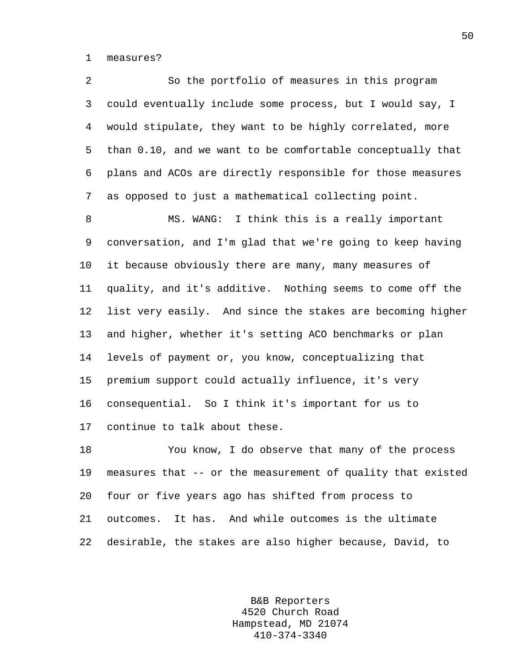1 measures?

2 So the portfolio of measures in this program 3 could eventually include some process, but I would say, I 4 would stipulate, they want to be highly correlated, more 5 than 0.10, and we want to be comfortable conceptually that 6 plans and ACOs are directly responsible for those measures 7 as opposed to just a mathematical collecting point.

8 MS. WANG: I think this is a really important 9 conversation, and I'm glad that we're going to keep having 10 it because obviously there are many, many measures of 11 quality, and it's additive. Nothing seems to come off the 12 list very easily. And since the stakes are becoming higher 13 and higher, whether it's setting ACO benchmarks or plan 14 levels of payment or, you know, conceptualizing that 15 premium support could actually influence, it's very 16 consequential. So I think it's important for us to 17 continue to talk about these.

18 You know, I do observe that many of the process 19 measures that -- or the measurement of quality that existed 20 four or five years ago has shifted from process to 21 outcomes. It has. And while outcomes is the ultimate 22 desirable, the stakes are also higher because, David, to

> B&B Reporters 4520 Church Road Hampstead, MD 21074 410-374-3340

50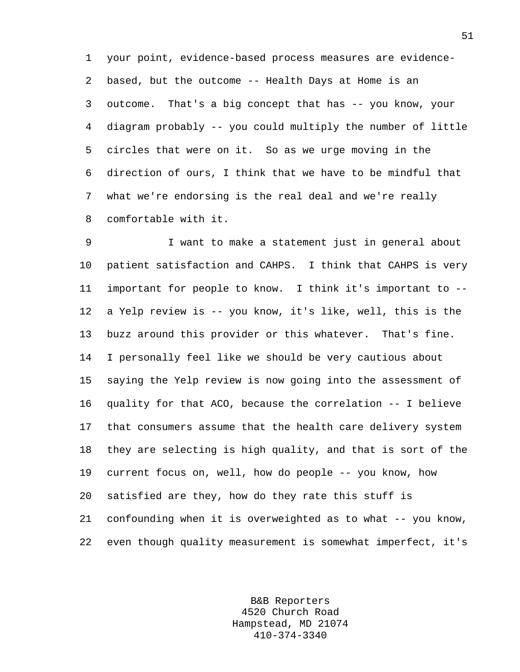1 your point, evidence-based process measures are evidence-2 based, but the outcome -- Health Days at Home is an 3 outcome. That's a big concept that has -- you know, your 4 diagram probably -- you could multiply the number of little 5 circles that were on it. So as we urge moving in the 6 direction of ours, I think that we have to be mindful that 7 what we're endorsing is the real deal and we're really 8 comfortable with it.

9 I want to make a statement just in general about 10 patient satisfaction and CAHPS. I think that CAHPS is very 11 important for people to know. I think it's important to -- 12 a Yelp review is -- you know, it's like, well, this is the 13 buzz around this provider or this whatever. That's fine. 14 I personally feel like we should be very cautious about 15 saying the Yelp review is now going into the assessment of 16 quality for that ACO, because the correlation -- I believe 17 that consumers assume that the health care delivery system 18 they are selecting is high quality, and that is sort of the 19 current focus on, well, how do people -- you know, how 20 satisfied are they, how do they rate this stuff is 21 confounding when it is overweighted as to what -- you know, 22 even though quality measurement is somewhat imperfect, it's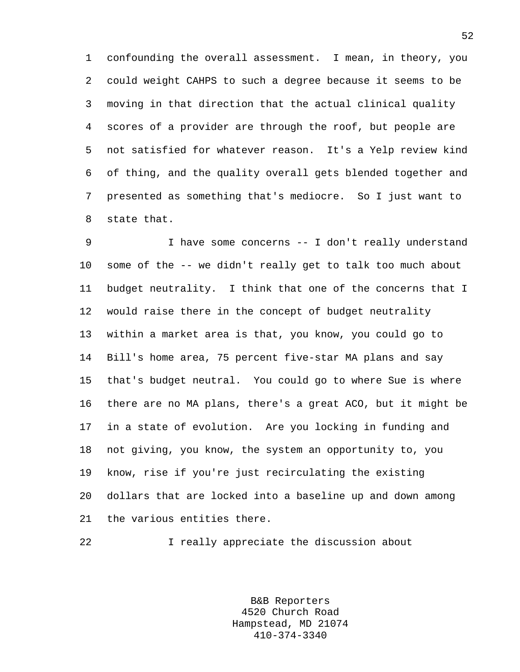1 confounding the overall assessment. I mean, in theory, you 2 could weight CAHPS to such a degree because it seems to be 3 moving in that direction that the actual clinical quality 4 scores of a provider are through the roof, but people are 5 not satisfied for whatever reason. It's a Yelp review kind 6 of thing, and the quality overall gets blended together and 7 presented as something that's mediocre. So I just want to 8 state that.

9 I have some concerns -- I don't really understand 10 some of the -- we didn't really get to talk too much about 11 budget neutrality. I think that one of the concerns that I 12 would raise there in the concept of budget neutrality 13 within a market area is that, you know, you could go to 14 Bill's home area, 75 percent five-star MA plans and say 15 that's budget neutral. You could go to where Sue is where 16 there are no MA plans, there's a great ACO, but it might be 17 in a state of evolution. Are you locking in funding and 18 not giving, you know, the system an opportunity to, you 19 know, rise if you're just recirculating the existing 20 dollars that are locked into a baseline up and down among 21 the various entities there.

22 I really appreciate the discussion about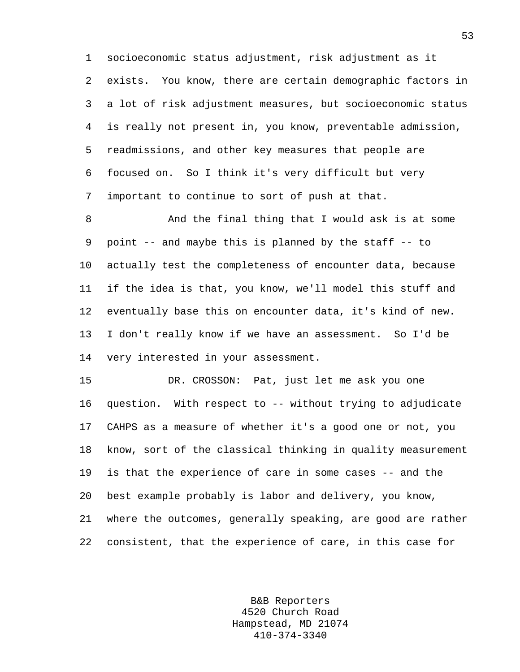1 socioeconomic status adjustment, risk adjustment as it 2 exists. You know, there are certain demographic factors in 3 a lot of risk adjustment measures, but socioeconomic status 4 is really not present in, you know, preventable admission, 5 readmissions, and other key measures that people are 6 focused on. So I think it's very difficult but very 7 important to continue to sort of push at that.

8 And the final thing that I would ask is at some 9 point -- and maybe this is planned by the staff -- to 10 actually test the completeness of encounter data, because 11 if the idea is that, you know, we'll model this stuff and 12 eventually base this on encounter data, it's kind of new. 13 I don't really know if we have an assessment. So I'd be 14 very interested in your assessment.

15 DR. CROSSON: Pat, just let me ask you one 16 question. With respect to -- without trying to adjudicate 17 CAHPS as a measure of whether it's a good one or not, you 18 know, sort of the classical thinking in quality measurement 19 is that the experience of care in some cases -- and the 20 best example probably is labor and delivery, you know, 21 where the outcomes, generally speaking, are good are rather 22 consistent, that the experience of care, in this case for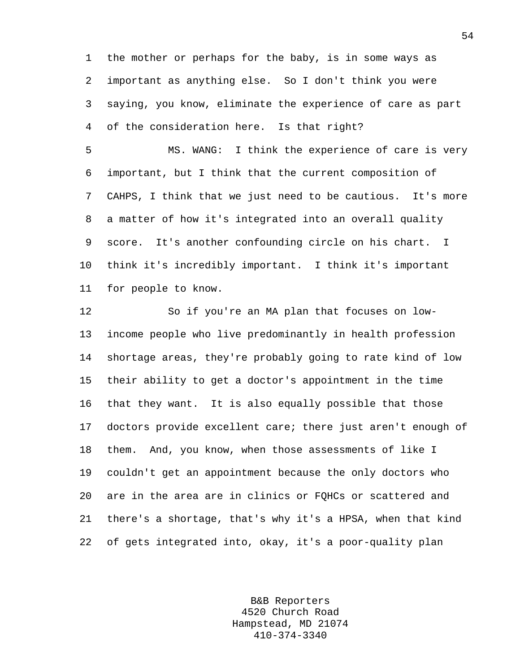1 the mother or perhaps for the baby, is in some ways as 2 important as anything else. So I don't think you were 3 saying, you know, eliminate the experience of care as part 4 of the consideration here. Is that right?

5 MS. WANG: I think the experience of care is very 6 important, but I think that the current composition of 7 CAHPS, I think that we just need to be cautious. It's more 8 a matter of how it's integrated into an overall quality 9 score. It's another confounding circle on his chart. I 10 think it's incredibly important. I think it's important 11 for people to know.

12 So if you're an MA plan that focuses on low-13 income people who live predominantly in health profession 14 shortage areas, they're probably going to rate kind of low 15 their ability to get a doctor's appointment in the time 16 that they want. It is also equally possible that those 17 doctors provide excellent care; there just aren't enough of 18 them. And, you know, when those assessments of like I 19 couldn't get an appointment because the only doctors who 20 are in the area are in clinics or FQHCs or scattered and 21 there's a shortage, that's why it's a HPSA, when that kind 22 of gets integrated into, okay, it's a poor-quality plan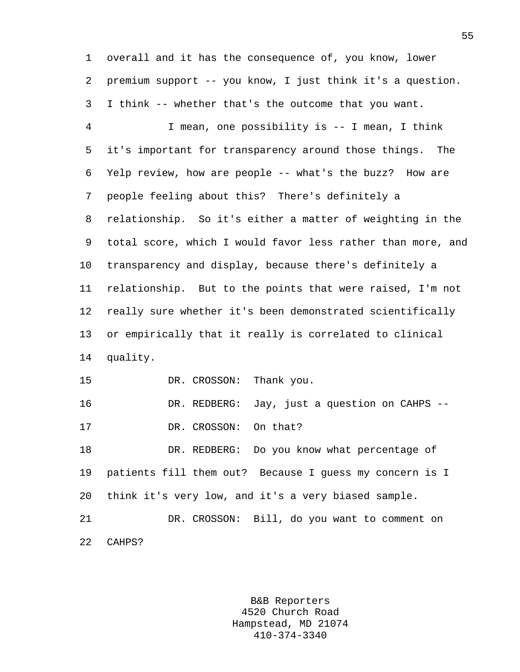1 overall and it has the consequence of, you know, lower 2 premium support -- you know, I just think it's a question. 3 I think -- whether that's the outcome that you want.

4 I mean, one possibility is -- I mean, I think 5 it's important for transparency around those things. The 6 Yelp review, how are people -- what's the buzz? How are 7 people feeling about this? There's definitely a 8 relationship. So it's either a matter of weighting in the 9 total score, which I would favor less rather than more, and 10 transparency and display, because there's definitely a 11 relationship. But to the points that were raised, I'm not 12 really sure whether it's been demonstrated scientifically 13 or empirically that it really is correlated to clinical 14 quality. 15 DR. CROSSON: Thank you.

16 DR. REDBERG: Jay, just a question on CAHPS -- 17 DR. CROSSON: On that?

18 DR. REDBERG: Do you know what percentage of 19 patients fill them out? Because I guess my concern is I 20 think it's very low, and it's a very biased sample.

21 DR. CROSSON: Bill, do you want to comment on 22 CAHPS?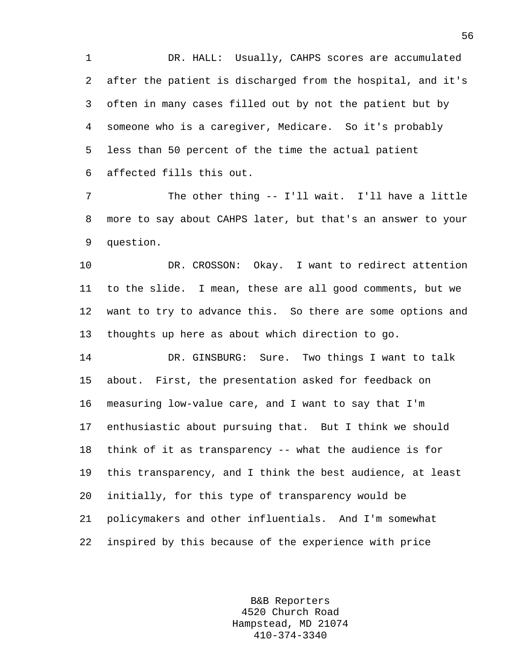1 DR. HALL: Usually, CAHPS scores are accumulated 2 after the patient is discharged from the hospital, and it's 3 often in many cases filled out by not the patient but by 4 someone who is a caregiver, Medicare. So it's probably 5 less than 50 percent of the time the actual patient 6 affected fills this out.

7 The other thing -- I'll wait. I'll have a little 8 more to say about CAHPS later, but that's an answer to your 9 question.

10 DR. CROSSON: Okay. I want to redirect attention 11 to the slide. I mean, these are all good comments, but we 12 want to try to advance this. So there are some options and 13 thoughts up here as about which direction to go.

14 DR. GINSBURG: Sure. Two things I want to talk 15 about. First, the presentation asked for feedback on 16 measuring low-value care, and I want to say that I'm 17 enthusiastic about pursuing that. But I think we should 18 think of it as transparency -- what the audience is for 19 this transparency, and I think the best audience, at least 20 initially, for this type of transparency would be 21 policymakers and other influentials. And I'm somewhat 22 inspired by this because of the experience with price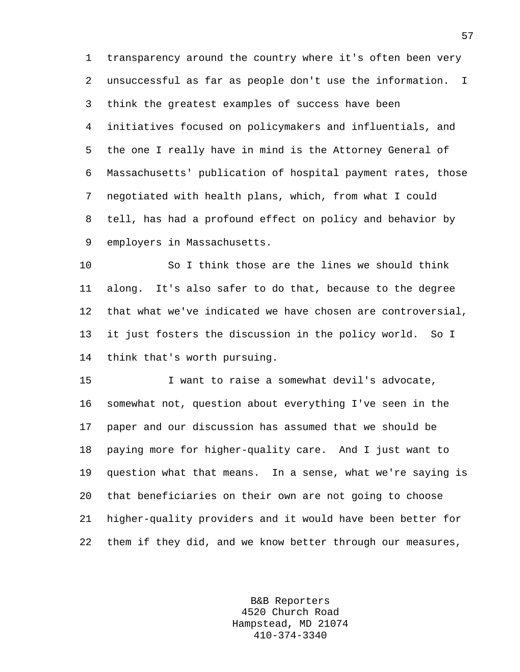1 transparency around the country where it's often been very 2 unsuccessful as far as people don't use the information. I 3 think the greatest examples of success have been 4 initiatives focused on policymakers and influentials, and 5 the one I really have in mind is the Attorney General of 6 Massachusetts' publication of hospital payment rates, those 7 negotiated with health plans, which, from what I could 8 tell, has had a profound effect on policy and behavior by 9 employers in Massachusetts.

10 So I think those are the lines we should think 11 along. It's also safer to do that, because to the degree 12 that what we've indicated we have chosen are controversial, 13 it just fosters the discussion in the policy world. So I 14 think that's worth pursuing.

15 I want to raise a somewhat devil's advocate, 16 somewhat not, question about everything I've seen in the 17 paper and our discussion has assumed that we should be 18 paying more for higher-quality care. And I just want to 19 question what that means. In a sense, what we're saying is 20 that beneficiaries on their own are not going to choose 21 higher-quality providers and it would have been better for 22 them if they did, and we know better through our measures,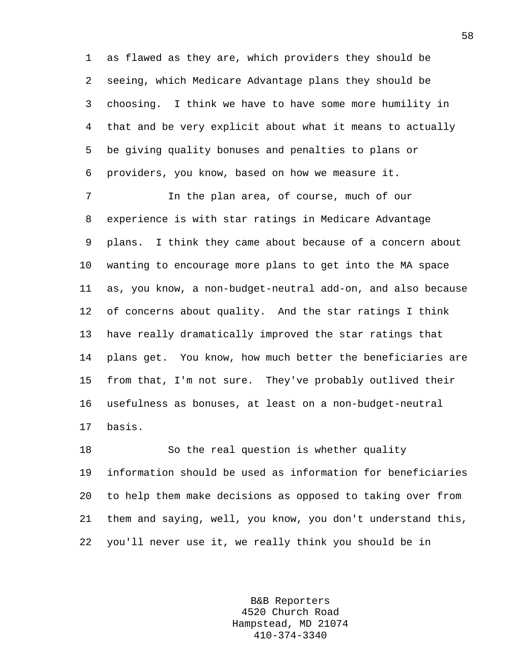1 as flawed as they are, which providers they should be 2 seeing, which Medicare Advantage plans they should be 3 choosing. I think we have to have some more humility in 4 that and be very explicit about what it means to actually 5 be giving quality bonuses and penalties to plans or 6 providers, you know, based on how we measure it.

7 In the plan area, of course, much of our 8 experience is with star ratings in Medicare Advantage 9 plans. I think they came about because of a concern about 10 wanting to encourage more plans to get into the MA space 11 as, you know, a non-budget-neutral add-on, and also because 12 of concerns about quality. And the star ratings I think 13 have really dramatically improved the star ratings that 14 plans get. You know, how much better the beneficiaries are 15 from that, I'm not sure. They've probably outlived their 16 usefulness as bonuses, at least on a non-budget-neutral 17 basis.

18 So the real question is whether quality 19 information should be used as information for beneficiaries 20 to help them make decisions as opposed to taking over from 21 them and saying, well, you know, you don't understand this, 22 you'll never use it, we really think you should be in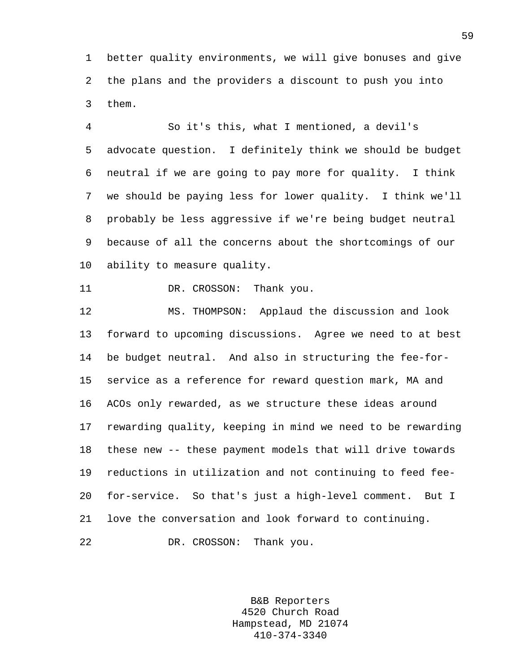1 better quality environments, we will give bonuses and give 2 the plans and the providers a discount to push you into 3 them.

4 So it's this, what I mentioned, a devil's 5 advocate question. I definitely think we should be budget 6 neutral if we are going to pay more for quality. I think 7 we should be paying less for lower quality. I think we'll 8 probably be less aggressive if we're being budget neutral 9 because of all the concerns about the shortcomings of our 10 ability to measure quality.

11 DR. CROSSON: Thank you.

12 MS. THOMPSON: Applaud the discussion and look 13 forward to upcoming discussions. Agree we need to at best 14 be budget neutral. And also in structuring the fee-for-15 service as a reference for reward question mark, MA and 16 ACOs only rewarded, as we structure these ideas around 17 rewarding quality, keeping in mind we need to be rewarding 18 these new -- these payment models that will drive towards 19 reductions in utilization and not continuing to feed fee-20 for-service. So that's just a high-level comment. But I 21 love the conversation and look forward to continuing. 22 DR. CROSSON: Thank you.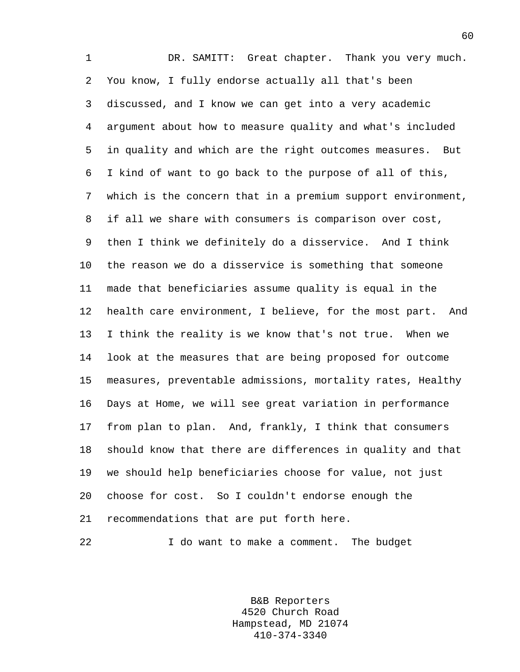1 DR. SAMITT: Great chapter. Thank you very much. 2 You know, I fully endorse actually all that's been 3 discussed, and I know we can get into a very academic 4 argument about how to measure quality and what's included 5 in quality and which are the right outcomes measures. But 6 I kind of want to go back to the purpose of all of this, 7 which is the concern that in a premium support environment, 8 if all we share with consumers is comparison over cost, 9 then I think we definitely do a disservice. And I think 10 the reason we do a disservice is something that someone 11 made that beneficiaries assume quality is equal in the 12 health care environment, I believe, for the most part. And 13 I think the reality is we know that's not true. When we 14 look at the measures that are being proposed for outcome 15 measures, preventable admissions, mortality rates, Healthy 16 Days at Home, we will see great variation in performance 17 from plan to plan. And, frankly, I think that consumers 18 should know that there are differences in quality and that 19 we should help beneficiaries choose for value, not just 20 choose for cost. So I couldn't endorse enough the 21 recommendations that are put forth here.

22 I do want to make a comment. The budget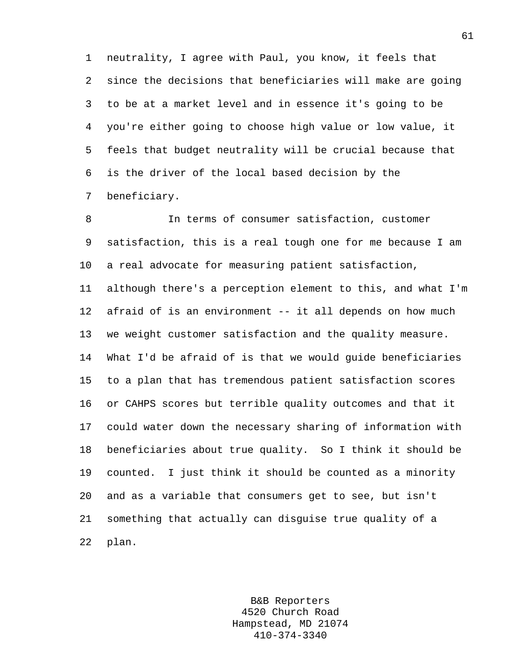1 neutrality, I agree with Paul, you know, it feels that 2 since the decisions that beneficiaries will make are going 3 to be at a market level and in essence it's going to be 4 you're either going to choose high value or low value, it 5 feels that budget neutrality will be crucial because that 6 is the driver of the local based decision by the 7 beneficiary.

8 In terms of consumer satisfaction, customer 9 satisfaction, this is a real tough one for me because I am 10 a real advocate for measuring patient satisfaction, 11 although there's a perception element to this, and what I'm 12 afraid of is an environment -- it all depends on how much 13 we weight customer satisfaction and the quality measure. 14 What I'd be afraid of is that we would guide beneficiaries 15 to a plan that has tremendous patient satisfaction scores 16 or CAHPS scores but terrible quality outcomes and that it 17 could water down the necessary sharing of information with 18 beneficiaries about true quality. So I think it should be 19 counted. I just think it should be counted as a minority 20 and as a variable that consumers get to see, but isn't 21 something that actually can disguise true quality of a 22 plan.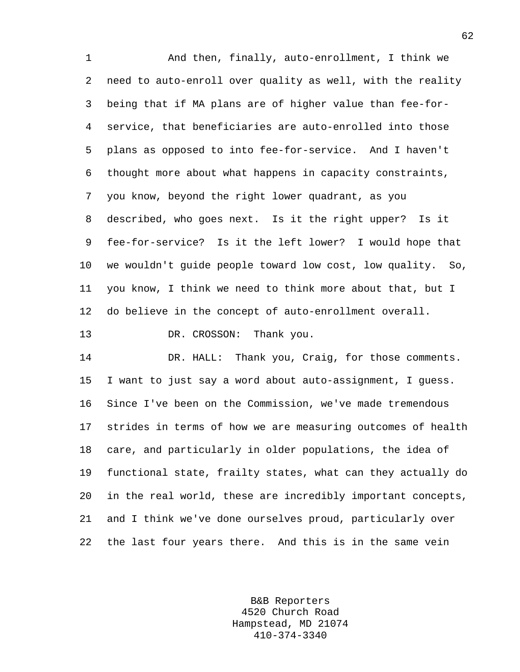1 And then, finally, auto-enrollment, I think we 2 need to auto-enroll over quality as well, with the reality 3 being that if MA plans are of higher value than fee-for-4 service, that beneficiaries are auto-enrolled into those 5 plans as opposed to into fee-for-service. And I haven't 6 thought more about what happens in capacity constraints, 7 you know, beyond the right lower quadrant, as you 8 described, who goes next. Is it the right upper? Is it 9 fee-for-service? Is it the left lower? I would hope that 10 we wouldn't guide people toward low cost, low quality. So, 11 you know, I think we need to think more about that, but I 12 do believe in the concept of auto-enrollment overall.

13 DR. CROSSON: Thank you.

14 DR. HALL: Thank you, Craig, for those comments. 15 I want to just say a word about auto-assignment, I guess. 16 Since I've been on the Commission, we've made tremendous 17 strides in terms of how we are measuring outcomes of health 18 care, and particularly in older populations, the idea of 19 functional state, frailty states, what can they actually do 20 in the real world, these are incredibly important concepts, 21 and I think we've done ourselves proud, particularly over 22 the last four years there. And this is in the same vein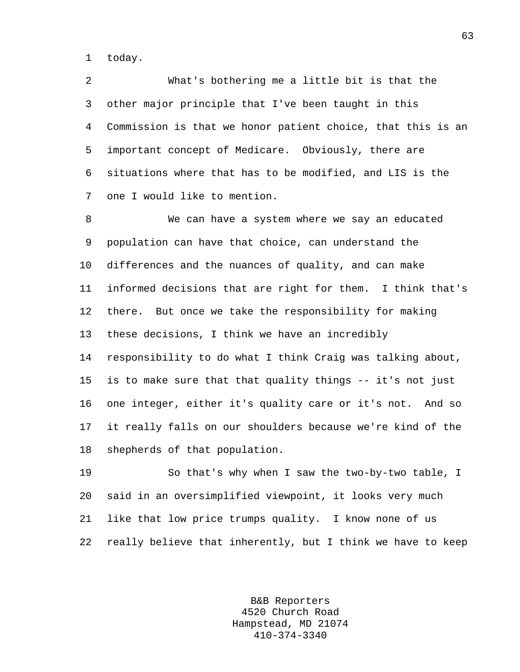1 today.

2 What's bothering me a little bit is that the 3 other major principle that I've been taught in this 4 Commission is that we honor patient choice, that this is an 5 important concept of Medicare. Obviously, there are 6 situations where that has to be modified, and LIS is the 7 one I would like to mention.

8 We can have a system where we say an educated 9 population can have that choice, can understand the 10 differences and the nuances of quality, and can make 11 informed decisions that are right for them. I think that's 12 there. But once we take the responsibility for making 13 these decisions, I think we have an incredibly 14 responsibility to do what I think Craig was talking about, 15 is to make sure that that quality things -- it's not just 16 one integer, either it's quality care or it's not. And so 17 it really falls on our shoulders because we're kind of the 18 shepherds of that population.

19 So that's why when I saw the two-by-two table, I 20 said in an oversimplified viewpoint, it looks very much 21 like that low price trumps quality. I know none of us 22 really believe that inherently, but I think we have to keep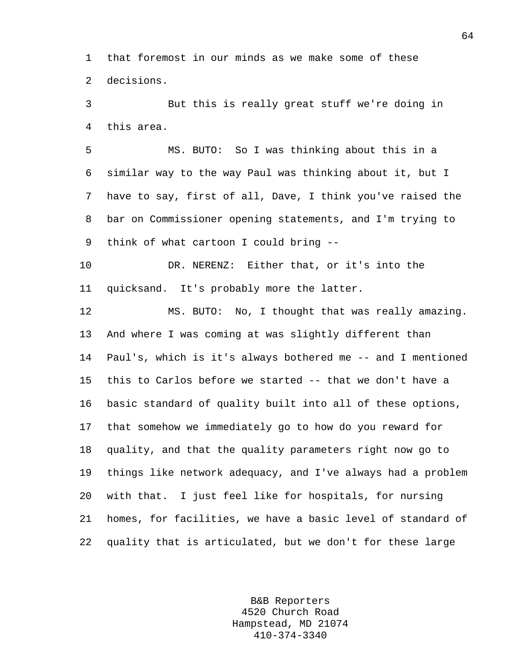1 that foremost in our minds as we make some of these 2 decisions.

3 But this is really great stuff we're doing in 4 this area.

5 MS. BUTO: So I was thinking about this in a 6 similar way to the way Paul was thinking about it, but I 7 have to say, first of all, Dave, I think you've raised the 8 bar on Commissioner opening statements, and I'm trying to 9 think of what cartoon I could bring --

10 DR. NERENZ: Either that, or it's into the 11 quicksand. It's probably more the latter.

12 MS. BUTO: No, I thought that was really amazing. 13 And where I was coming at was slightly different than 14 Paul's, which is it's always bothered me -- and I mentioned 15 this to Carlos before we started -- that we don't have a 16 basic standard of quality built into all of these options, 17 that somehow we immediately go to how do you reward for 18 quality, and that the quality parameters right now go to 19 things like network adequacy, and I've always had a problem 20 with that. I just feel like for hospitals, for nursing 21 homes, for facilities, we have a basic level of standard of 22 quality that is articulated, but we don't for these large

> B&B Reporters 4520 Church Road Hampstead, MD 21074 410-374-3340

64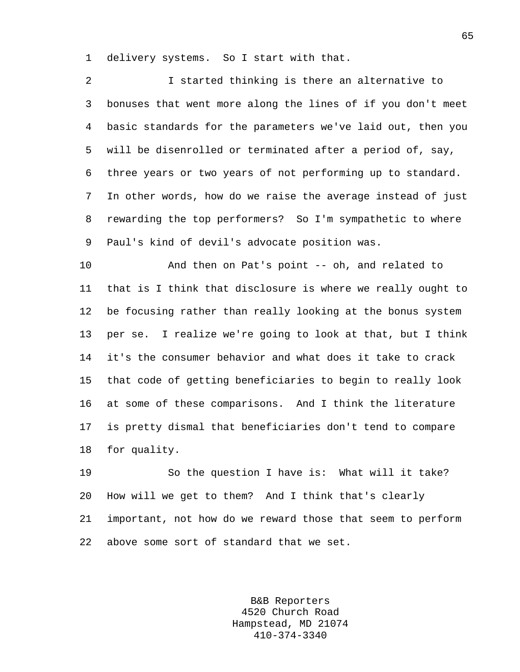1 delivery systems. So I start with that.

2 I started thinking is there an alternative to 3 bonuses that went more along the lines of if you don't meet 4 basic standards for the parameters we've laid out, then you 5 will be disenrolled or terminated after a period of, say, 6 three years or two years of not performing up to standard. 7 In other words, how do we raise the average instead of just 8 rewarding the top performers? So I'm sympathetic to where 9 Paul's kind of devil's advocate position was.

10 And then on Pat's point -- oh, and related to 11 that is I think that disclosure is where we really ought to 12 be focusing rather than really looking at the bonus system 13 per se. I realize we're going to look at that, but I think 14 it's the consumer behavior and what does it take to crack 15 that code of getting beneficiaries to begin to really look 16 at some of these comparisons. And I think the literature 17 is pretty dismal that beneficiaries don't tend to compare 18 for quality.

19 So the question I have is: What will it take? 20 How will we get to them? And I think that's clearly 21 important, not how do we reward those that seem to perform 22 above some sort of standard that we set.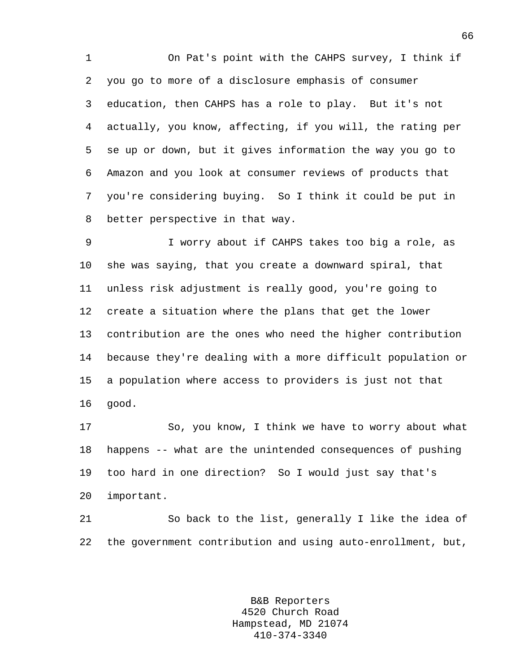1 On Pat's point with the CAHPS survey, I think if 2 you go to more of a disclosure emphasis of consumer 3 education, then CAHPS has a role to play. But it's not 4 actually, you know, affecting, if you will, the rating per 5 se up or down, but it gives information the way you go to 6 Amazon and you look at consumer reviews of products that 7 you're considering buying. So I think it could be put in 8 better perspective in that way.

9 I worry about if CAHPS takes too big a role, as 10 she was saying, that you create a downward spiral, that 11 unless risk adjustment is really good, you're going to 12 create a situation where the plans that get the lower 13 contribution are the ones who need the higher contribution 14 because they're dealing with a more difficult population or 15 a population where access to providers is just not that 16 good.

17 So, you know, I think we have to worry about what 18 happens -- what are the unintended consequences of pushing 19 too hard in one direction? So I would just say that's 20 important.

21 So back to the list, generally I like the idea of 22 the government contribution and using auto-enrollment, but,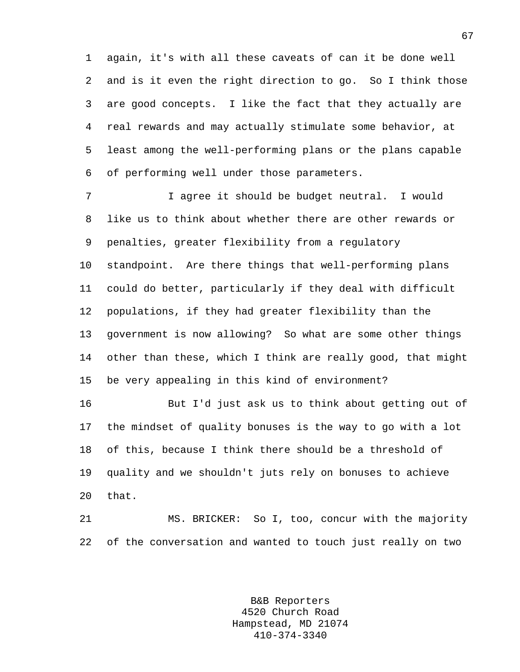1 again, it's with all these caveats of can it be done well 2 and is it even the right direction to go. So I think those 3 are good concepts. I like the fact that they actually are 4 real rewards and may actually stimulate some behavior, at 5 least among the well-performing plans or the plans capable 6 of performing well under those parameters.

7 I agree it should be budget neutral. I would 8 like us to think about whether there are other rewards or 9 penalties, greater flexibility from a regulatory 10 standpoint. Are there things that well-performing plans 11 could do better, particularly if they deal with difficult 12 populations, if they had greater flexibility than the 13 government is now allowing? So what are some other things 14 other than these, which I think are really good, that might 15 be very appealing in this kind of environment?

16 But I'd just ask us to think about getting out of 17 the mindset of quality bonuses is the way to go with a lot 18 of this, because I think there should be a threshold of 19 quality and we shouldn't juts rely on bonuses to achieve 20 that.

21 MS. BRICKER: So I, too, concur with the majority 22 of the conversation and wanted to touch just really on two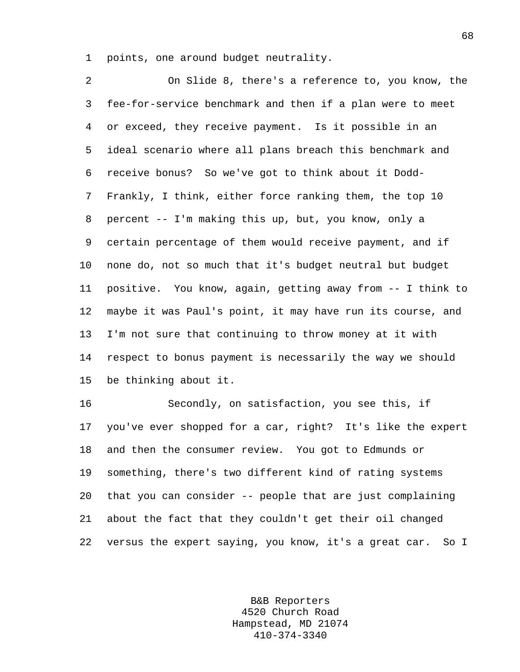1 points, one around budget neutrality.

2 On Slide 8, there's a reference to, you know, the 3 fee-for-service benchmark and then if a plan were to meet 4 or exceed, they receive payment. Is it possible in an 5 ideal scenario where all plans breach this benchmark and 6 receive bonus? So we've got to think about it Dodd-7 Frankly, I think, either force ranking them, the top 10 8 percent -- I'm making this up, but, you know, only a 9 certain percentage of them would receive payment, and if 10 none do, not so much that it's budget neutral but budget 11 positive. You know, again, getting away from -- I think to 12 maybe it was Paul's point, it may have run its course, and 13 I'm not sure that continuing to throw money at it with 14 respect to bonus payment is necessarily the way we should 15 be thinking about it.

16 Secondly, on satisfaction, you see this, if 17 you've ever shopped for a car, right? It's like the expert 18 and then the consumer review. You got to Edmunds or 19 something, there's two different kind of rating systems 20 that you can consider -- people that are just complaining 21 about the fact that they couldn't get their oil changed 22 versus the expert saying, you know, it's a great car. So I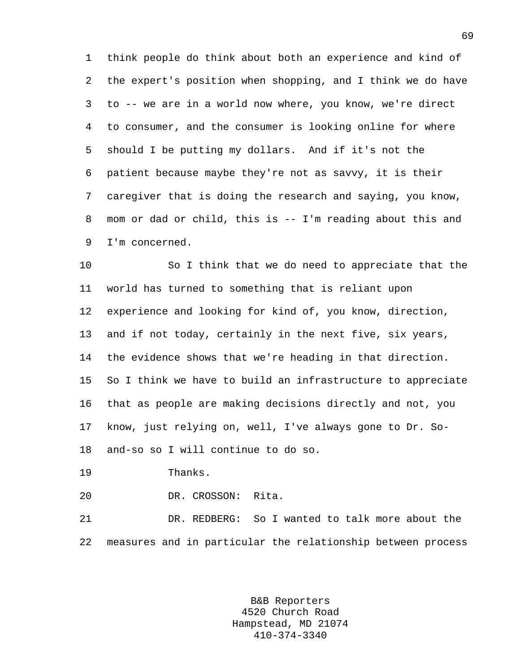1 think people do think about both an experience and kind of 2 the expert's position when shopping, and I think we do have 3 to -- we are in a world now where, you know, we're direct 4 to consumer, and the consumer is looking online for where 5 should I be putting my dollars. And if it's not the 6 patient because maybe they're not as savvy, it is their 7 caregiver that is doing the research and saying, you know, 8 mom or dad or child, this is -- I'm reading about this and 9 I'm concerned.

10 So I think that we do need to appreciate that the 11 world has turned to something that is reliant upon 12 experience and looking for kind of, you know, direction, 13 and if not today, certainly in the next five, six years, 14 the evidence shows that we're heading in that direction. 15 So I think we have to build an infrastructure to appreciate 16 that as people are making decisions directly and not, you 17 know, just relying on, well, I've always gone to Dr. So-18 and-so so I will continue to do so.

19 Thanks.

20 DR. CROSSON: Rita.

21 DR. REDBERG: So I wanted to talk more about the 22 measures and in particular the relationship between process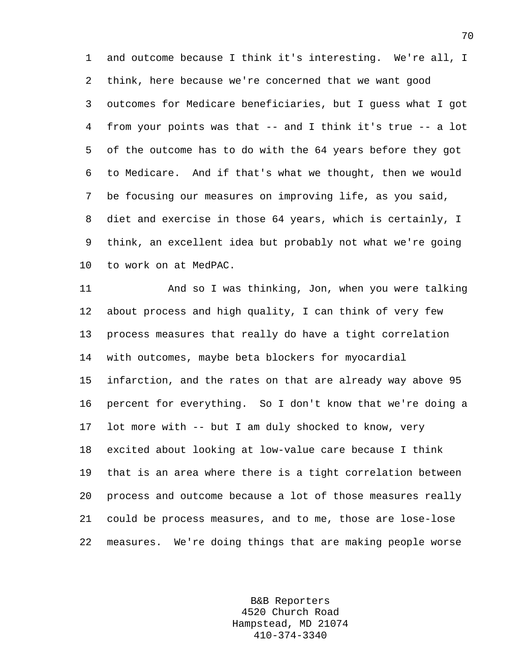1 and outcome because I think it's interesting. We're all, I 2 think, here because we're concerned that we want good 3 outcomes for Medicare beneficiaries, but I guess what I got 4 from your points was that -- and I think it's true -- a lot 5 of the outcome has to do with the 64 years before they got 6 to Medicare. And if that's what we thought, then we would 7 be focusing our measures on improving life, as you said, 8 diet and exercise in those 64 years, which is certainly, I 9 think, an excellent idea but probably not what we're going 10 to work on at MedPAC.

11 And so I was thinking, Jon, when you were talking 12 about process and high quality, I can think of very few 13 process measures that really do have a tight correlation 14 with outcomes, maybe beta blockers for myocardial 15 infarction, and the rates on that are already way above 95 16 percent for everything. So I don't know that we're doing a 17 lot more with -- but I am duly shocked to know, very 18 excited about looking at low-value care because I think 19 that is an area where there is a tight correlation between 20 process and outcome because a lot of those measures really 21 could be process measures, and to me, those are lose-lose 22 measures. We're doing things that are making people worse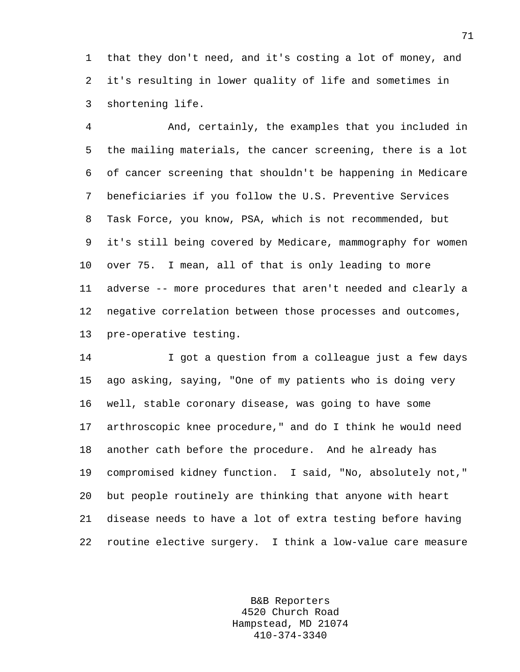1 that they don't need, and it's costing a lot of money, and 2 it's resulting in lower quality of life and sometimes in 3 shortening life.

4 And, certainly, the examples that you included in 5 the mailing materials, the cancer screening, there is a lot 6 of cancer screening that shouldn't be happening in Medicare 7 beneficiaries if you follow the U.S. Preventive Services 8 Task Force, you know, PSA, which is not recommended, but 9 it's still being covered by Medicare, mammography for women 10 over 75. I mean, all of that is only leading to more 11 adverse -- more procedures that aren't needed and clearly a 12 negative correlation between those processes and outcomes, 13 pre-operative testing.

14 I got a question from a colleague just a few days 15 ago asking, saying, "One of my patients who is doing very 16 well, stable coronary disease, was going to have some 17 arthroscopic knee procedure," and do I think he would need 18 another cath before the procedure. And he already has 19 compromised kidney function. I said, "No, absolutely not," 20 but people routinely are thinking that anyone with heart 21 disease needs to have a lot of extra testing before having 22 routine elective surgery. I think a low-value care measure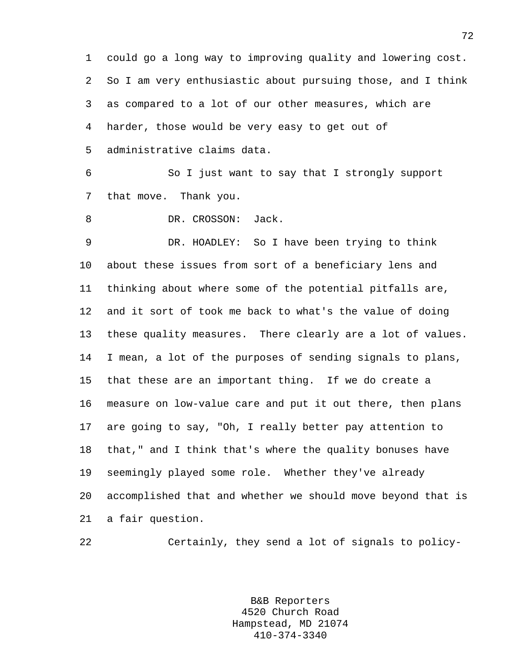1 could go a long way to improving quality and lowering cost. 2 So I am very enthusiastic about pursuing those, and I think 3 as compared to a lot of our other measures, which are 4 harder, those would be very easy to get out of 5 administrative claims data.

6 So I just want to say that I strongly support 7 that move. Thank you.

8 DR. CROSSON: Jack.

9 DR. HOADLEY: So I have been trying to think 10 about these issues from sort of a beneficiary lens and 11 thinking about where some of the potential pitfalls are, 12 and it sort of took me back to what's the value of doing 13 these quality measures. There clearly are a lot of values. 14 I mean, a lot of the purposes of sending signals to plans, 15 that these are an important thing. If we do create a 16 measure on low-value care and put it out there, then plans 17 are going to say, "Oh, I really better pay attention to 18 that," and I think that's where the quality bonuses have 19 seemingly played some role. Whether they've already 20 accomplished that and whether we should move beyond that is 21 a fair question.

22 Certainly, they send a lot of signals to policy-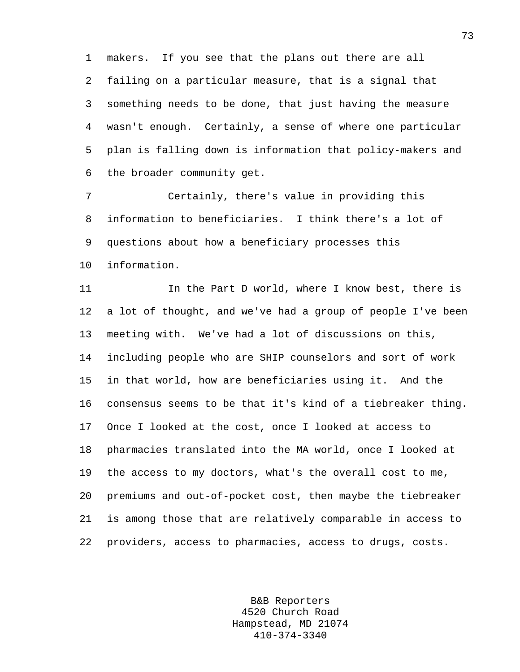1 makers. If you see that the plans out there are all 2 failing on a particular measure, that is a signal that 3 something needs to be done, that just having the measure 4 wasn't enough. Certainly, a sense of where one particular 5 plan is falling down is information that policy-makers and 6 the broader community get.

7 Certainly, there's value in providing this 8 information to beneficiaries. I think there's a lot of 9 questions about how a beneficiary processes this 10 information.

11 In the Part D world, where I know best, there is 12 a lot of thought, and we've had a group of people I've been 13 meeting with. We've had a lot of discussions on this, 14 including people who are SHIP counselors and sort of work 15 in that world, how are beneficiaries using it. And the 16 consensus seems to be that it's kind of a tiebreaker thing. 17 Once I looked at the cost, once I looked at access to 18 pharmacies translated into the MA world, once I looked at 19 the access to my doctors, what's the overall cost to me, 20 premiums and out-of-pocket cost, then maybe the tiebreaker 21 is among those that are relatively comparable in access to 22 providers, access to pharmacies, access to drugs, costs.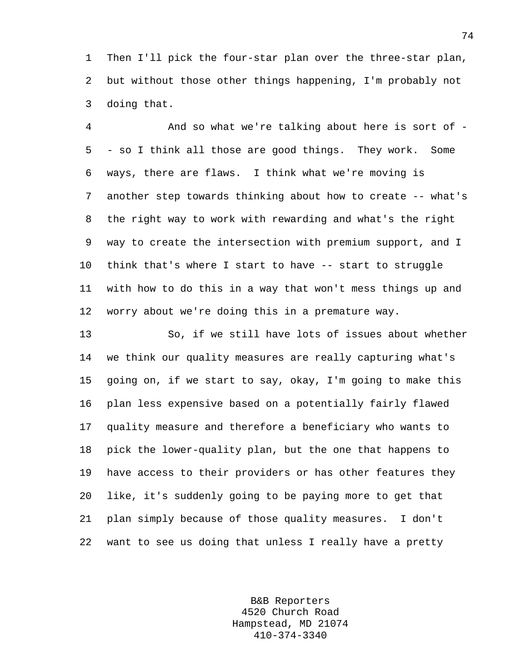1 Then I'll pick the four-star plan over the three-star plan, 2 but without those other things happening, I'm probably not 3 doing that.

4 And so what we're talking about here is sort of - 5 - so I think all those are good things. They work. Some 6 ways, there are flaws. I think what we're moving is 7 another step towards thinking about how to create -- what's 8 the right way to work with rewarding and what's the right 9 way to create the intersection with premium support, and I 10 think that's where I start to have -- start to struggle 11 with how to do this in a way that won't mess things up and 12 worry about we're doing this in a premature way.

13 So, if we still have lots of issues about whether 14 we think our quality measures are really capturing what's 15 going on, if we start to say, okay, I'm going to make this 16 plan less expensive based on a potentially fairly flawed 17 quality measure and therefore a beneficiary who wants to 18 pick the lower-quality plan, but the one that happens to 19 have access to their providers or has other features they 20 like, it's suddenly going to be paying more to get that 21 plan simply because of those quality measures. I don't 22 want to see us doing that unless I really have a pretty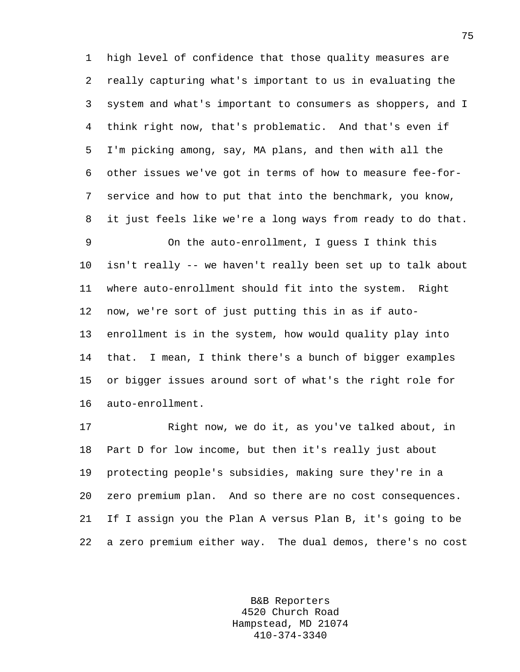1 high level of confidence that those quality measures are 2 really capturing what's important to us in evaluating the 3 system and what's important to consumers as shoppers, and I 4 think right now, that's problematic. And that's even if 5 I'm picking among, say, MA plans, and then with all the 6 other issues we've got in terms of how to measure fee-for-7 service and how to put that into the benchmark, you know, 8 it just feels like we're a long ways from ready to do that.

9 On the auto-enrollment, I guess I think this 10 isn't really -- we haven't really been set up to talk about 11 where auto-enrollment should fit into the system. Right 12 now, we're sort of just putting this in as if auto-13 enrollment is in the system, how would quality play into 14 that. I mean, I think there's a bunch of bigger examples 15 or bigger issues around sort of what's the right role for 16 auto-enrollment.

17 Right now, we do it, as you've talked about, in 18 Part D for low income, but then it's really just about 19 protecting people's subsidies, making sure they're in a 20 zero premium plan. And so there are no cost consequences. 21 If I assign you the Plan A versus Plan B, it's going to be 22 a zero premium either way. The dual demos, there's no cost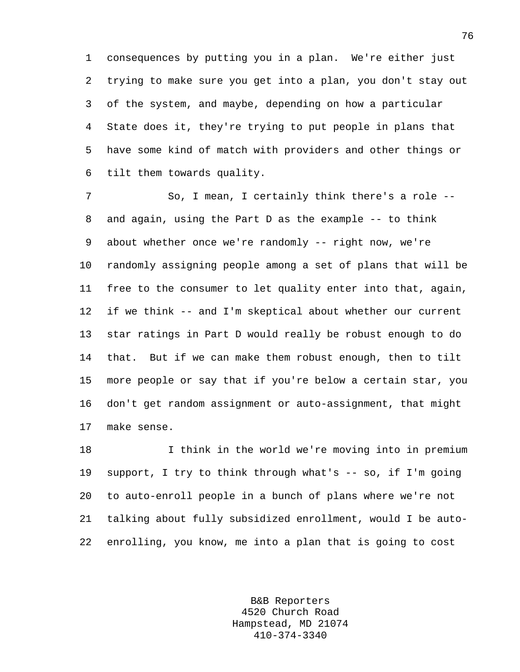1 consequences by putting you in a plan. We're either just 2 trying to make sure you get into a plan, you don't stay out 3 of the system, and maybe, depending on how a particular 4 State does it, they're trying to put people in plans that 5 have some kind of match with providers and other things or 6 tilt them towards quality.

7 So, I mean, I certainly think there's a role -- 8 and again, using the Part D as the example -- to think 9 about whether once we're randomly -- right now, we're 10 randomly assigning people among a set of plans that will be 11 free to the consumer to let quality enter into that, again, 12 if we think -- and I'm skeptical about whether our current 13 star ratings in Part D would really be robust enough to do 14 that. But if we can make them robust enough, then to tilt 15 more people or say that if you're below a certain star, you 16 don't get random assignment or auto-assignment, that might 17 make sense.

18 I think in the world we're moving into in premium 19 support, I try to think through what's -- so, if I'm going 20 to auto-enroll people in a bunch of plans where we're not 21 talking about fully subsidized enrollment, would I be auto-22 enrolling, you know, me into a plan that is going to cost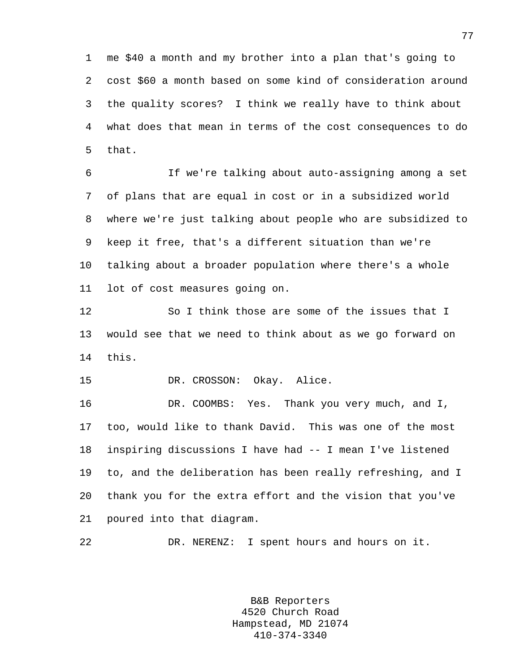1 me \$40 a month and my brother into a plan that's going to 2 cost \$60 a month based on some kind of consideration around 3 the quality scores? I think we really have to think about 4 what does that mean in terms of the cost consequences to do 5 that.

6 If we're talking about auto-assigning among a set 7 of plans that are equal in cost or in a subsidized world 8 where we're just talking about people who are subsidized to 9 keep it free, that's a different situation than we're 10 talking about a broader population where there's a whole 11 lot of cost measures going on.

12 So I think those are some of the issues that I 13 would see that we need to think about as we go forward on 14 this.

15 DR. CROSSON: Okay. Alice.

16 DR. COOMBS: Yes. Thank you very much, and I, 17 too, would like to thank David. This was one of the most 18 inspiring discussions I have had -- I mean I've listened 19 to, and the deliberation has been really refreshing, and I 20 thank you for the extra effort and the vision that you've 21 poured into that diagram.

22 DR. NERENZ: I spent hours and hours on it.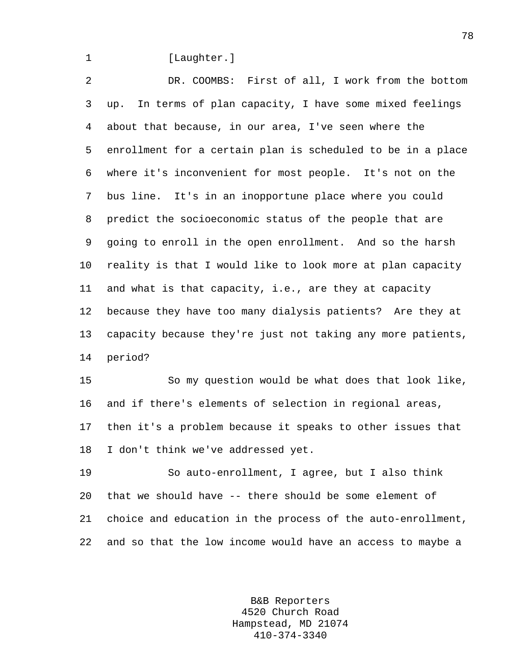## 1 [Laughter.]

2 DR. COOMBS: First of all, I work from the bottom 3 up. In terms of plan capacity, I have some mixed feelings 4 about that because, in our area, I've seen where the 5 enrollment for a certain plan is scheduled to be in a place 6 where it's inconvenient for most people. It's not on the 7 bus line. It's in an inopportune place where you could 8 predict the socioeconomic status of the people that are 9 going to enroll in the open enrollment. And so the harsh 10 reality is that I would like to look more at plan capacity 11 and what is that capacity, i.e., are they at capacity 12 because they have too many dialysis patients? Are they at 13 capacity because they're just not taking any more patients, 14 period?

15 So my question would be what does that look like, 16 and if there's elements of selection in regional areas, 17 then it's a problem because it speaks to other issues that 18 I don't think we've addressed yet.

19 So auto-enrollment, I agree, but I also think 20 that we should have -- there should be some element of 21 choice and education in the process of the auto-enrollment, 22 and so that the low income would have an access to maybe a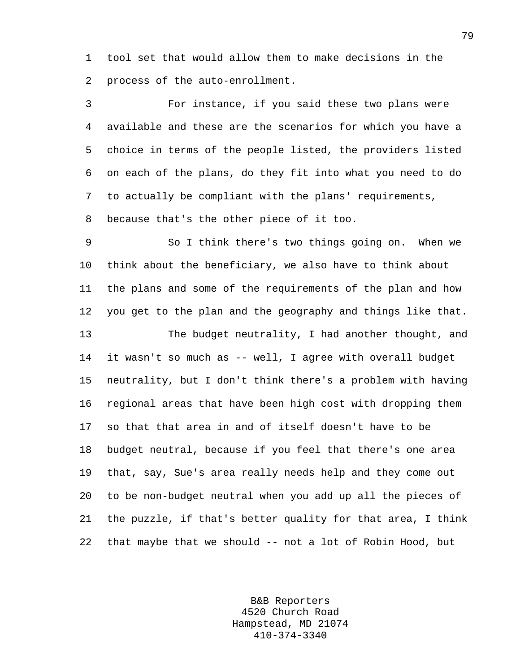1 tool set that would allow them to make decisions in the 2 process of the auto-enrollment.

3 For instance, if you said these two plans were 4 available and these are the scenarios for which you have a 5 choice in terms of the people listed, the providers listed 6 on each of the plans, do they fit into what you need to do 7 to actually be compliant with the plans' requirements, 8 because that's the other piece of it too.

9 So I think there's two things going on. When we 10 think about the beneficiary, we also have to think about 11 the plans and some of the requirements of the plan and how 12 you get to the plan and the geography and things like that. 13 The budget neutrality, I had another thought, and 14 it wasn't so much as -- well, I agree with overall budget 15 neutrality, but I don't think there's a problem with having 16 regional areas that have been high cost with dropping them 17 so that that area in and of itself doesn't have to be 18 budget neutral, because if you feel that there's one area 19 that, say, Sue's area really needs help and they come out 20 to be non-budget neutral when you add up all the pieces of 21 the puzzle, if that's better quality for that area, I think 22 that maybe that we should -- not a lot of Robin Hood, but

> B&B Reporters 4520 Church Road Hampstead, MD 21074 410-374-3340

79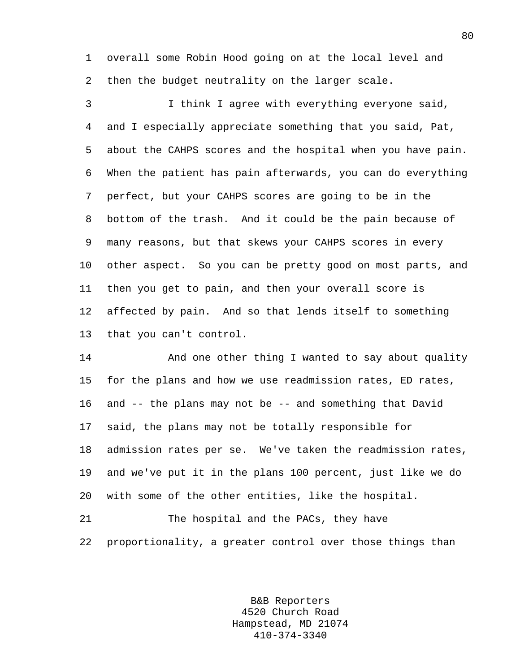1 overall some Robin Hood going on at the local level and 2 then the budget neutrality on the larger scale.

3 I think I agree with everything everyone said, 4 and I especially appreciate something that you said, Pat, 5 about the CAHPS scores and the hospital when you have pain. 6 When the patient has pain afterwards, you can do everything 7 perfect, but your CAHPS scores are going to be in the 8 bottom of the trash. And it could be the pain because of 9 many reasons, but that skews your CAHPS scores in every 10 other aspect. So you can be pretty good on most parts, and 11 then you get to pain, and then your overall score is 12 affected by pain. And so that lends itself to something 13 that you can't control.

14 And one other thing I wanted to say about quality 15 for the plans and how we use readmission rates, ED rates, 16 and -- the plans may not be -- and something that David 17 said, the plans may not be totally responsible for 18 admission rates per se. We've taken the readmission rates, 19 and we've put it in the plans 100 percent, just like we do 20 with some of the other entities, like the hospital.

21 The hospital and the PACs, they have 22 proportionality, a greater control over those things than

> B&B Reporters 4520 Church Road Hampstead, MD 21074 410-374-3340

80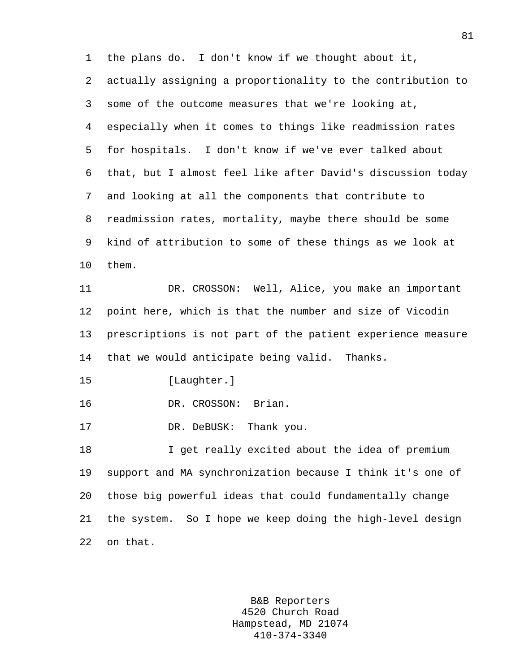1 the plans do. I don't know if we thought about it, 2 actually assigning a proportionality to the contribution to 3 some of the outcome measures that we're looking at, 4 especially when it comes to things like readmission rates 5 for hospitals. I don't know if we've ever talked about 6 that, but I almost feel like after David's discussion today 7 and looking at all the components that contribute to 8 readmission rates, mortality, maybe there should be some 9 kind of attribution to some of these things as we look at 10 them. 11 DR. CROSSON: Well, Alice, you make an important 12 point here, which is that the number and size of Vicodin 13 prescriptions is not part of the patient experience measure 14 that we would anticipate being valid. Thanks. 15 [Laughter.] 16 DR. CROSSON: Brian. 17 DR. DeBUSK: Thank you. 18 I get really excited about the idea of premium 19 support and MA synchronization because I think it's one of 20 those big powerful ideas that could fundamentally change 21 the system. So I hope we keep doing the high-level design 22 on that.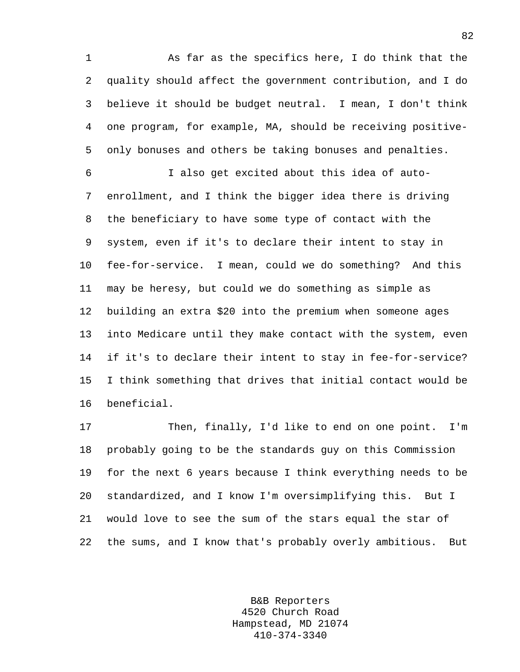1 As far as the specifics here, I do think that the 2 quality should affect the government contribution, and I do 3 believe it should be budget neutral. I mean, I don't think 4 one program, for example, MA, should be receiving positive-5 only bonuses and others be taking bonuses and penalties.

6 I also get excited about this idea of auto-7 enrollment, and I think the bigger idea there is driving 8 the beneficiary to have some type of contact with the 9 system, even if it's to declare their intent to stay in 10 fee-for-service. I mean, could we do something? And this 11 may be heresy, but could we do something as simple as 12 building an extra \$20 into the premium when someone ages 13 into Medicare until they make contact with the system, even 14 if it's to declare their intent to stay in fee-for-service? 15 I think something that drives that initial contact would be 16 beneficial.

17 Then, finally, I'd like to end on one point. I'm 18 probably going to be the standards guy on this Commission 19 for the next 6 years because I think everything needs to be 20 standardized, and I know I'm oversimplifying this. But I 21 would love to see the sum of the stars equal the star of 22 the sums, and I know that's probably overly ambitious. But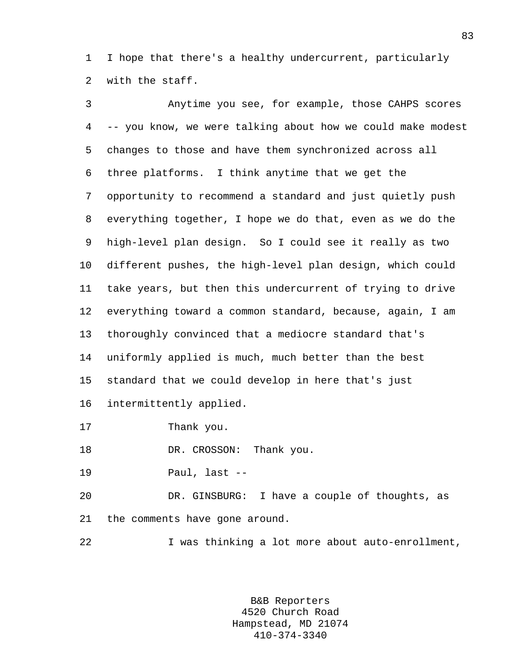1 I hope that there's a healthy undercurrent, particularly 2 with the staff.

3 Anytime you see, for example, those CAHPS scores 4 -- you know, we were talking about how we could make modest 5 changes to those and have them synchronized across all 6 three platforms. I think anytime that we get the 7 opportunity to recommend a standard and just quietly push 8 everything together, I hope we do that, even as we do the 9 high-level plan design. So I could see it really as two 10 different pushes, the high-level plan design, which could 11 take years, but then this undercurrent of trying to drive 12 everything toward a common standard, because, again, I am 13 thoroughly convinced that a mediocre standard that's 14 uniformly applied is much, much better than the best 15 standard that we could develop in here that's just 16 intermittently applied. 17 Thank you. 18 DR. CROSSON: Thank you. 19 Paul, last --

20 DR. GINSBURG: I have a couple of thoughts, as 21 the comments have gone around.

22 I was thinking a lot more about auto-enrollment,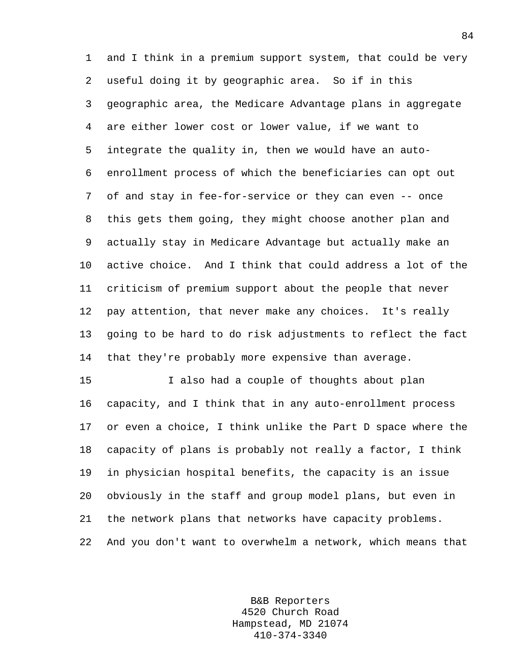1 and I think in a premium support system, that could be very 2 useful doing it by geographic area. So if in this 3 geographic area, the Medicare Advantage plans in aggregate 4 are either lower cost or lower value, if we want to 5 integrate the quality in, then we would have an auto-6 enrollment process of which the beneficiaries can opt out 7 of and stay in fee-for-service or they can even -- once 8 this gets them going, they might choose another plan and 9 actually stay in Medicare Advantage but actually make an 10 active choice. And I think that could address a lot of the 11 criticism of premium support about the people that never 12 pay attention, that never make any choices. It's really 13 going to be hard to do risk adjustments to reflect the fact 14 that they're probably more expensive than average.

15 I also had a couple of thoughts about plan 16 capacity, and I think that in any auto-enrollment process 17 or even a choice, I think unlike the Part D space where the 18 capacity of plans is probably not really a factor, I think 19 in physician hospital benefits, the capacity is an issue 20 obviously in the staff and group model plans, but even in 21 the network plans that networks have capacity problems. 22 And you don't want to overwhelm a network, which means that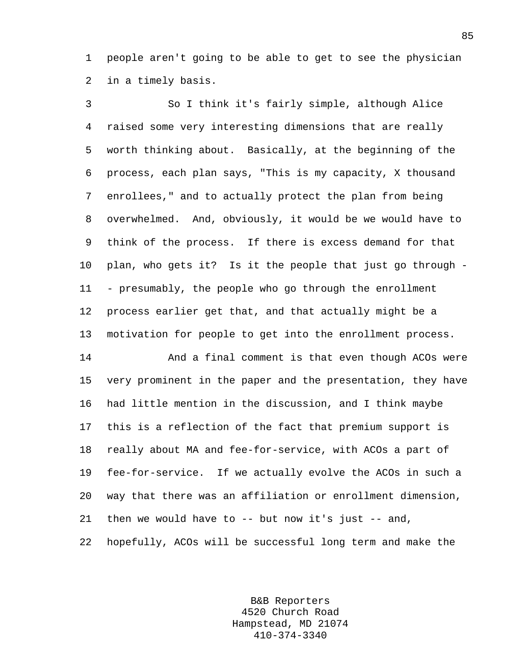1 people aren't going to be able to get to see the physician 2 in a timely basis.

3 So I think it's fairly simple, although Alice 4 raised some very interesting dimensions that are really 5 worth thinking about. Basically, at the beginning of the 6 process, each plan says, "This is my capacity, X thousand 7 enrollees," and to actually protect the plan from being 8 overwhelmed. And, obviously, it would be we would have to 9 think of the process. If there is excess demand for that 10 plan, who gets it? Is it the people that just go through - 11 - presumably, the people who go through the enrollment 12 process earlier get that, and that actually might be a 13 motivation for people to get into the enrollment process.

14 And a final comment is that even though ACOs were 15 very prominent in the paper and the presentation, they have 16 had little mention in the discussion, and I think maybe 17 this is a reflection of the fact that premium support is 18 really about MA and fee-for-service, with ACOs a part of 19 fee-for-service. If we actually evolve the ACOs in such a 20 way that there was an affiliation or enrollment dimension, 21 then we would have to -- but now it's just -- and, 22 hopefully, ACOs will be successful long term and make the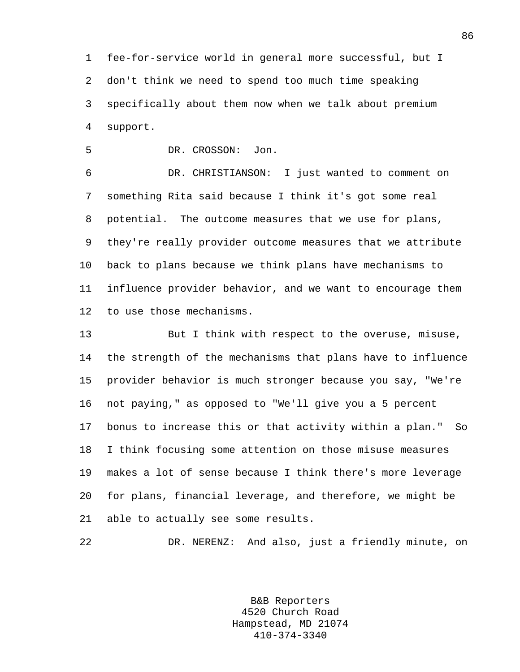1 fee-for-service world in general more successful, but I 2 don't think we need to spend too much time speaking 3 specifically about them now when we talk about premium 4 support.

5 DR. CROSSON: Jon.

6 DR. CHRISTIANSON: I just wanted to comment on 7 something Rita said because I think it's got some real 8 potential. The outcome measures that we use for plans, 9 they're really provider outcome measures that we attribute 10 back to plans because we think plans have mechanisms to 11 influence provider behavior, and we want to encourage them 12 to use those mechanisms.

13 But I think with respect to the overuse, misuse, 14 the strength of the mechanisms that plans have to influence 15 provider behavior is much stronger because you say, "We're 16 not paying," as opposed to "We'll give you a 5 percent 17 bonus to increase this or that activity within a plan." So 18 I think focusing some attention on those misuse measures 19 makes a lot of sense because I think there's more leverage 20 for plans, financial leverage, and therefore, we might be 21 able to actually see some results.

22 DR. NERENZ: And also, just a friendly minute, on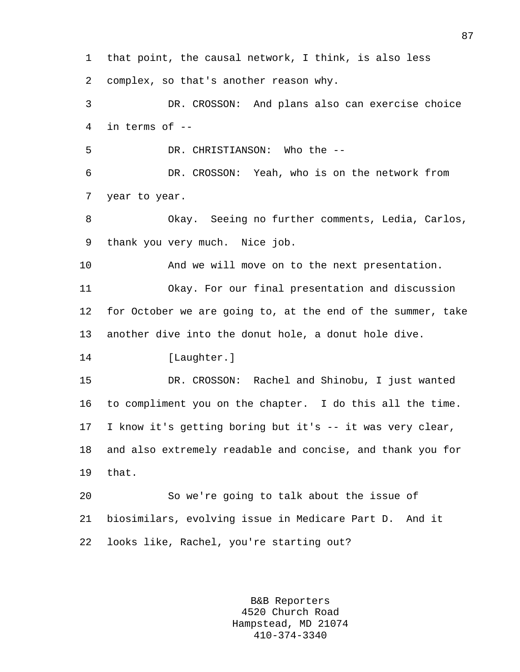1 that point, the causal network, I think, is also less 2 complex, so that's another reason why. 3 DR. CROSSON: And plans also can exercise choice 4 in terms of -- 5 DR. CHRISTIANSON: Who the -- 6 DR. CROSSON: Yeah, who is on the network from 7 year to year. 8 Okay. Seeing no further comments, Ledia, Carlos, 9 thank you very much. Nice job. 10 And we will move on to the next presentation. 11 Okay. For our final presentation and discussion 12 for October we are going to, at the end of the summer, take 13 another dive into the donut hole, a donut hole dive. 14 [Laughter.] 15 DR. CROSSON: Rachel and Shinobu, I just wanted 16 to compliment you on the chapter. I do this all the time. 17 I know it's getting boring but it's -- it was very clear, 18 and also extremely readable and concise, and thank you for 19 that. 20 So we're going to talk about the issue of 21 biosimilars, evolving issue in Medicare Part D. And it 22 looks like, Rachel, you're starting out?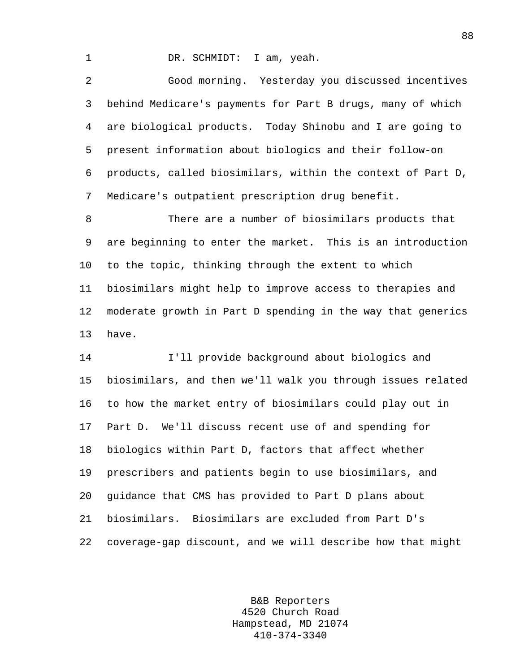1 DR. SCHMIDT: I am, yeah.

2 Good morning. Yesterday you discussed incentives 3 behind Medicare's payments for Part B drugs, many of which 4 are biological products. Today Shinobu and I are going to 5 present information about biologics and their follow-on 6 products, called biosimilars, within the context of Part D, 7 Medicare's outpatient prescription drug benefit.

8 There are a number of biosimilars products that 9 are beginning to enter the market. This is an introduction 10 to the topic, thinking through the extent to which 11 biosimilars might help to improve access to therapies and 12 moderate growth in Part D spending in the way that generics 13 have.

14 I'll provide background about biologics and 15 biosimilars, and then we'll walk you through issues related 16 to how the market entry of biosimilars could play out in 17 Part D. We'll discuss recent use of and spending for 18 biologics within Part D, factors that affect whether 19 prescribers and patients begin to use biosimilars, and 20 guidance that CMS has provided to Part D plans about 21 biosimilars. Biosimilars are excluded from Part D's 22 coverage-gap discount, and we will describe how that might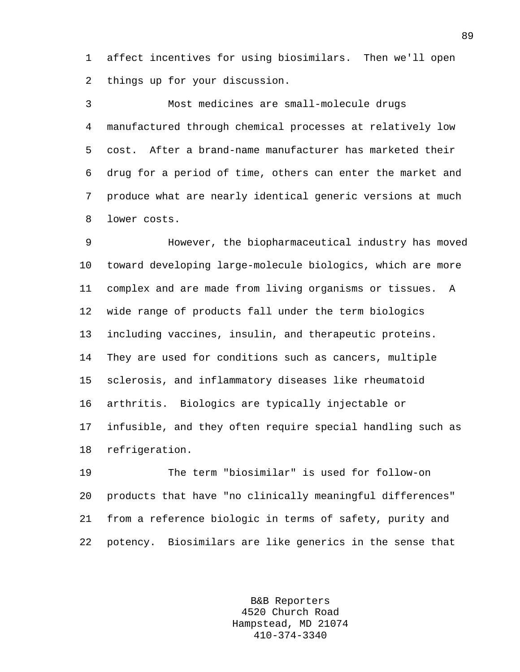1 affect incentives for using biosimilars. Then we'll open 2 things up for your discussion.

3 Most medicines are small-molecule drugs 4 manufactured through chemical processes at relatively low 5 cost. After a brand-name manufacturer has marketed their 6 drug for a period of time, others can enter the market and 7 produce what are nearly identical generic versions at much 8 lower costs.

9 However, the biopharmaceutical industry has moved 10 toward developing large-molecule biologics, which are more 11 complex and are made from living organisms or tissues. A 12 wide range of products fall under the term biologics 13 including vaccines, insulin, and therapeutic proteins. 14 They are used for conditions such as cancers, multiple 15 sclerosis, and inflammatory diseases like rheumatoid 16 arthritis. Biologics are typically injectable or 17 infusible, and they often require special handling such as 18 refrigeration.

19 The term "biosimilar" is used for follow-on 20 products that have "no clinically meaningful differences" 21 from a reference biologic in terms of safety, purity and 22 potency. Biosimilars are like generics in the sense that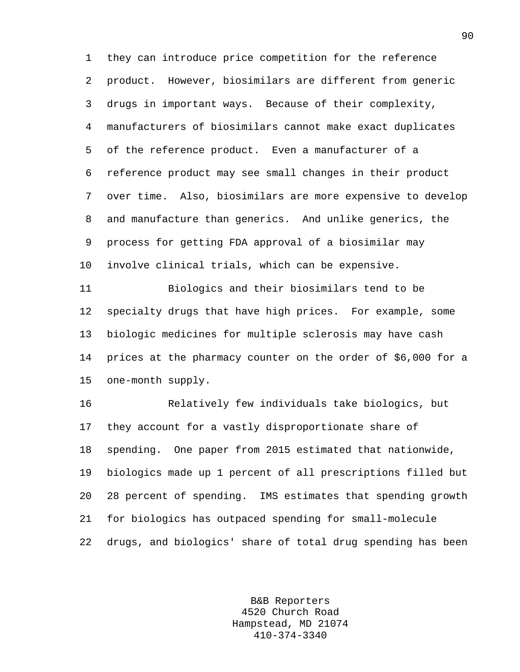1 they can introduce price competition for the reference 2 product. However, biosimilars are different from generic 3 drugs in important ways. Because of their complexity, 4 manufacturers of biosimilars cannot make exact duplicates 5 of the reference product. Even a manufacturer of a 6 reference product may see small changes in their product 7 over time. Also, biosimilars are more expensive to develop 8 and manufacture than generics. And unlike generics, the 9 process for getting FDA approval of a biosimilar may 10 involve clinical trials, which can be expensive.

11 Biologics and their biosimilars tend to be 12 specialty drugs that have high prices. For example, some 13 biologic medicines for multiple sclerosis may have cash 14 prices at the pharmacy counter on the order of \$6,000 for a 15 one-month supply.

16 Relatively few individuals take biologics, but 17 they account for a vastly disproportionate share of 18 spending. One paper from 2015 estimated that nationwide, 19 biologics made up 1 percent of all prescriptions filled but 20 28 percent of spending. IMS estimates that spending growth 21 for biologics has outpaced spending for small-molecule 22 drugs, and biologics' share of total drug spending has been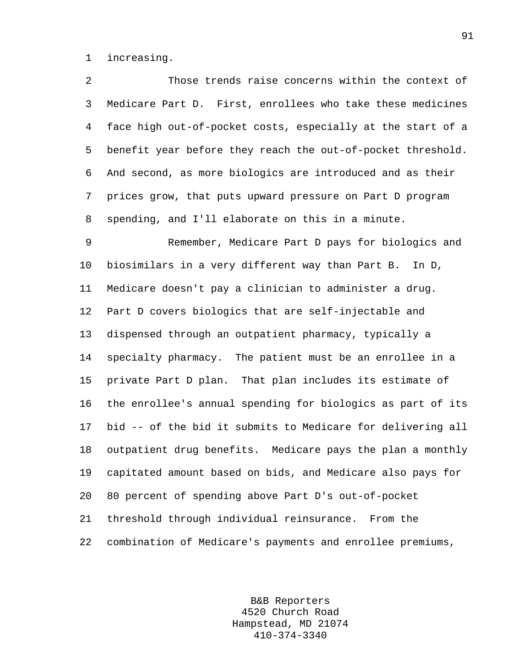1 increasing.

2 Those trends raise concerns within the context of 3 Medicare Part D. First, enrollees who take these medicines 4 face high out-of-pocket costs, especially at the start of a 5 benefit year before they reach the out-of-pocket threshold. 6 And second, as more biologics are introduced and as their 7 prices grow, that puts upward pressure on Part D program 8 spending, and I'll elaborate on this in a minute. 9 Remember, Medicare Part D pays for biologics and 10 biosimilars in a very different way than Part B. In D, 11 Medicare doesn't pay a clinician to administer a drug. 12 Part D covers biologics that are self-injectable and 13 dispensed through an outpatient pharmacy, typically a 14 specialty pharmacy. The patient must be an enrollee in a 15 private Part D plan. That plan includes its estimate of 16 the enrollee's annual spending for biologics as part of its 17 bid -- of the bid it submits to Medicare for delivering all 18 outpatient drug benefits. Medicare pays the plan a monthly 19 capitated amount based on bids, and Medicare also pays for 20 80 percent of spending above Part D's out-of-pocket 21 threshold through individual reinsurance. From the 22 combination of Medicare's payments and enrollee premiums,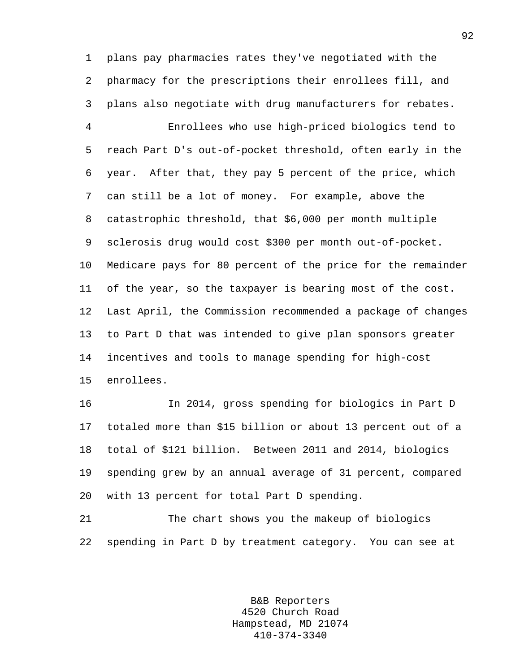1 plans pay pharmacies rates they've negotiated with the 2 pharmacy for the prescriptions their enrollees fill, and 3 plans also negotiate with drug manufacturers for rebates. 4 Enrollees who use high-priced biologics tend to 5 reach Part D's out-of-pocket threshold, often early in the 6 year. After that, they pay 5 percent of the price, which 7 can still be a lot of money. For example, above the 8 catastrophic threshold, that \$6,000 per month multiple 9 sclerosis drug would cost \$300 per month out-of-pocket. 10 Medicare pays for 80 percent of the price for the remainder 11 of the year, so the taxpayer is bearing most of the cost. 12 Last April, the Commission recommended a package of changes 13 to Part D that was intended to give plan sponsors greater 14 incentives and tools to manage spending for high-cost 15 enrollees.

16 In 2014, gross spending for biologics in Part D 17 totaled more than \$15 billion or about 13 percent out of a 18 total of \$121 billion. Between 2011 and 2014, biologics 19 spending grew by an annual average of 31 percent, compared 20 with 13 percent for total Part D spending.

21 The chart shows you the makeup of biologics 22 spending in Part D by treatment category. You can see at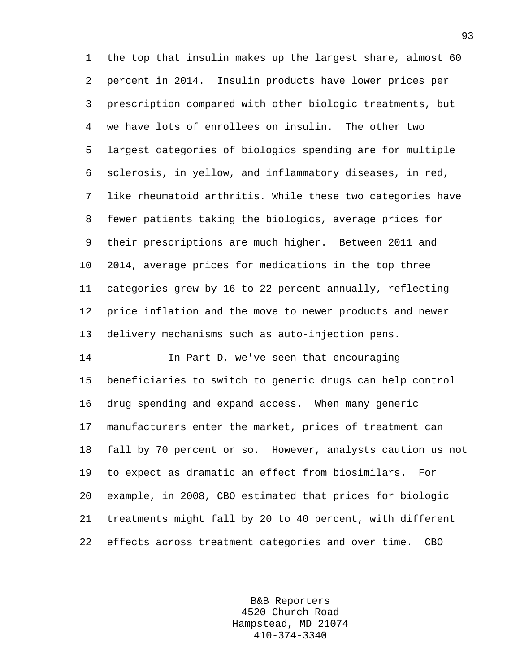1 the top that insulin makes up the largest share, almost 60 2 percent in 2014. Insulin products have lower prices per 3 prescription compared with other biologic treatments, but 4 we have lots of enrollees on insulin. The other two 5 largest categories of biologics spending are for multiple 6 sclerosis, in yellow, and inflammatory diseases, in red, 7 like rheumatoid arthritis. While these two categories have 8 fewer patients taking the biologics, average prices for 9 their prescriptions are much higher. Between 2011 and 10 2014, average prices for medications in the top three 11 categories grew by 16 to 22 percent annually, reflecting 12 price inflation and the move to newer products and newer 13 delivery mechanisms such as auto-injection pens.

14 In Part D, we've seen that encouraging 15 beneficiaries to switch to generic drugs can help control 16 drug spending and expand access. When many generic 17 manufacturers enter the market, prices of treatment can 18 fall by 70 percent or so. However, analysts caution us not 19 to expect as dramatic an effect from biosimilars. For 20 example, in 2008, CBO estimated that prices for biologic 21 treatments might fall by 20 to 40 percent, with different 22 effects across treatment categories and over time. CBO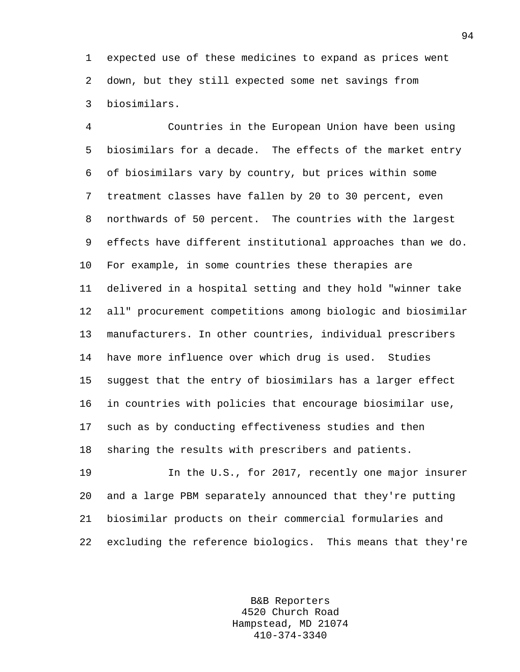1 expected use of these medicines to expand as prices went 2 down, but they still expected some net savings from 3 biosimilars.

4 Countries in the European Union have been using 5 biosimilars for a decade. The effects of the market entry 6 of biosimilars vary by country, but prices within some 7 treatment classes have fallen by 20 to 30 percent, even 8 northwards of 50 percent. The countries with the largest 9 effects have different institutional approaches than we do. 10 For example, in some countries these therapies are 11 delivered in a hospital setting and they hold "winner take 12 all" procurement competitions among biologic and biosimilar 13 manufacturers. In other countries, individual prescribers 14 have more influence over which drug is used. Studies 15 suggest that the entry of biosimilars has a larger effect 16 in countries with policies that encourage biosimilar use, 17 such as by conducting effectiveness studies and then 18 sharing the results with prescribers and patients.

19 In the U.S., for 2017, recently one major insurer 20 and a large PBM separately announced that they're putting 21 biosimilar products on their commercial formularies and 22 excluding the reference biologics. This means that they're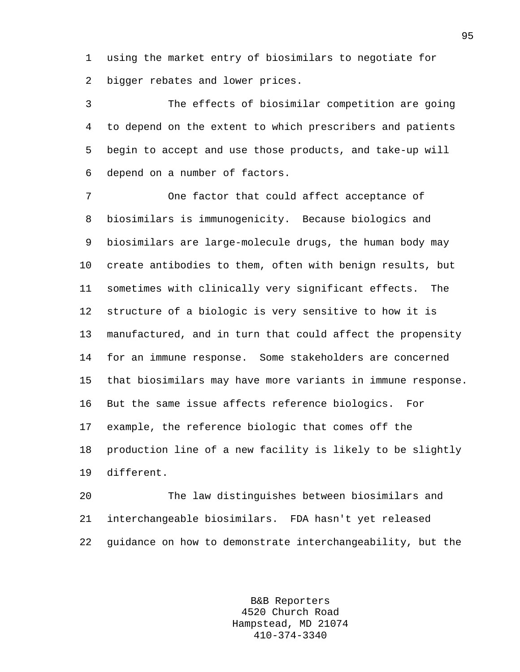1 using the market entry of biosimilars to negotiate for 2 bigger rebates and lower prices.

3 The effects of biosimilar competition are going 4 to depend on the extent to which prescribers and patients 5 begin to accept and use those products, and take-up will 6 depend on a number of factors.

7 One factor that could affect acceptance of 8 biosimilars is immunogenicity. Because biologics and 9 biosimilars are large-molecule drugs, the human body may 10 create antibodies to them, often with benign results, but 11 sometimes with clinically very significant effects. The 12 structure of a biologic is very sensitive to how it is 13 manufactured, and in turn that could affect the propensity 14 for an immune response. Some stakeholders are concerned 15 that biosimilars may have more variants in immune response. 16 But the same issue affects reference biologics. For 17 example, the reference biologic that comes off the 18 production line of a new facility is likely to be slightly 19 different.

20 The law distinguishes between biosimilars and 21 interchangeable biosimilars. FDA hasn't yet released 22 guidance on how to demonstrate interchangeability, but the

> B&B Reporters 4520 Church Road Hampstead, MD 21074 410-374-3340

95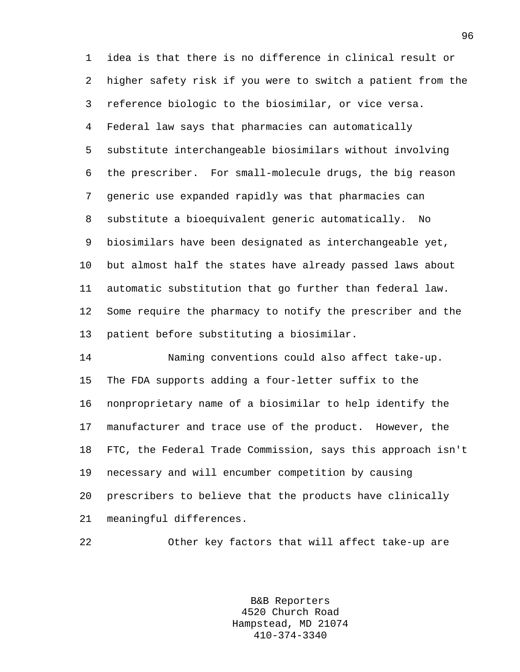1 idea is that there is no difference in clinical result or 2 higher safety risk if you were to switch a patient from the 3 reference biologic to the biosimilar, or vice versa. 4 Federal law says that pharmacies can automatically 5 substitute interchangeable biosimilars without involving 6 the prescriber. For small-molecule drugs, the big reason 7 generic use expanded rapidly was that pharmacies can 8 substitute a bioequivalent generic automatically. No 9 biosimilars have been designated as interchangeable yet, 10 but almost half the states have already passed laws about 11 automatic substitution that go further than federal law. 12 Some require the pharmacy to notify the prescriber and the 13 patient before substituting a biosimilar.

14 Naming conventions could also affect take-up. 15 The FDA supports adding a four-letter suffix to the 16 nonproprietary name of a biosimilar to help identify the 17 manufacturer and trace use of the product. However, the 18 FTC, the Federal Trade Commission, says this approach isn't 19 necessary and will encumber competition by causing 20 prescribers to believe that the products have clinically 21 meaningful differences.

22 Other key factors that will affect take-up are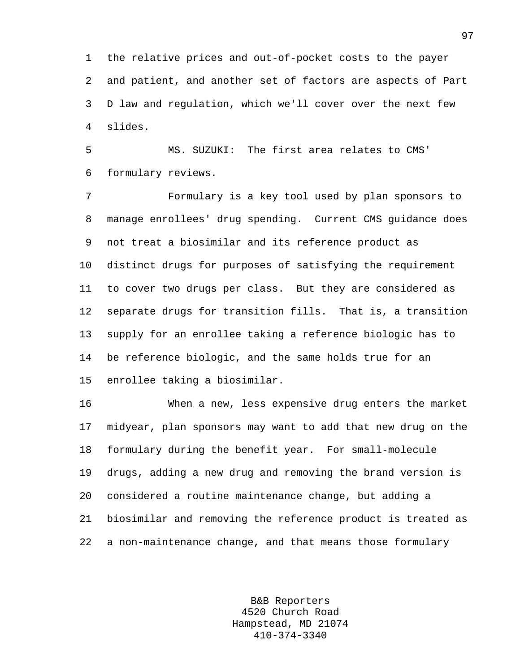1 the relative prices and out-of-pocket costs to the payer 2 and patient, and another set of factors are aspects of Part 3 D law and regulation, which we'll cover over the next few 4 slides.

5 MS. SUZUKI: The first area relates to CMS' 6 formulary reviews.

7 Formulary is a key tool used by plan sponsors to 8 manage enrollees' drug spending. Current CMS guidance does 9 not treat a biosimilar and its reference product as 10 distinct drugs for purposes of satisfying the requirement 11 to cover two drugs per class. But they are considered as 12 separate drugs for transition fills. That is, a transition 13 supply for an enrollee taking a reference biologic has to 14 be reference biologic, and the same holds true for an 15 enrollee taking a biosimilar.

16 When a new, less expensive drug enters the market 17 midyear, plan sponsors may want to add that new drug on the 18 formulary during the benefit year. For small-molecule 19 drugs, adding a new drug and removing the brand version is 20 considered a routine maintenance change, but adding a 21 biosimilar and removing the reference product is treated as 22 a non-maintenance change, and that means those formulary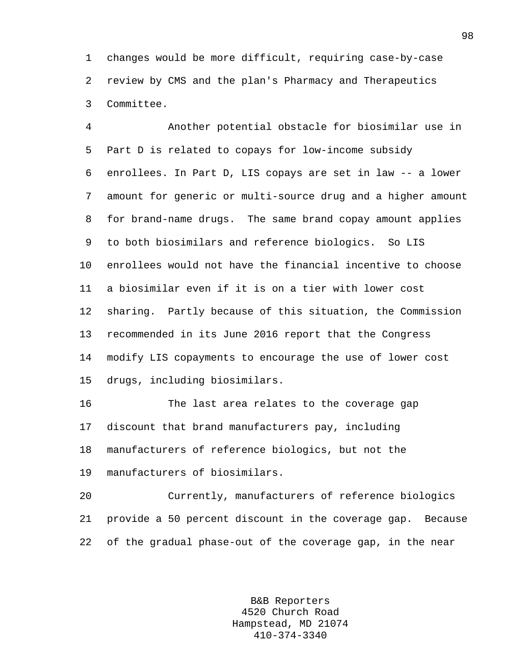1 changes would be more difficult, requiring case-by-case 2 review by CMS and the plan's Pharmacy and Therapeutics 3 Committee.

4 Another potential obstacle for biosimilar use in 5 Part D is related to copays for low-income subsidy 6 enrollees. In Part D, LIS copays are set in law -- a lower 7 amount for generic or multi-source drug and a higher amount 8 for brand-name drugs. The same brand copay amount applies 9 to both biosimilars and reference biologics. So LIS 10 enrollees would not have the financial incentive to choose 11 a biosimilar even if it is on a tier with lower cost 12 sharing. Partly because of this situation, the Commission 13 recommended in its June 2016 report that the Congress 14 modify LIS copayments to encourage the use of lower cost 15 drugs, including biosimilars.

16 The last area relates to the coverage gap 17 discount that brand manufacturers pay, including 18 manufacturers of reference biologics, but not the 19 manufacturers of biosimilars.

20 Currently, manufacturers of reference biologics 21 provide a 50 percent discount in the coverage gap. Because 22 of the gradual phase-out of the coverage gap, in the near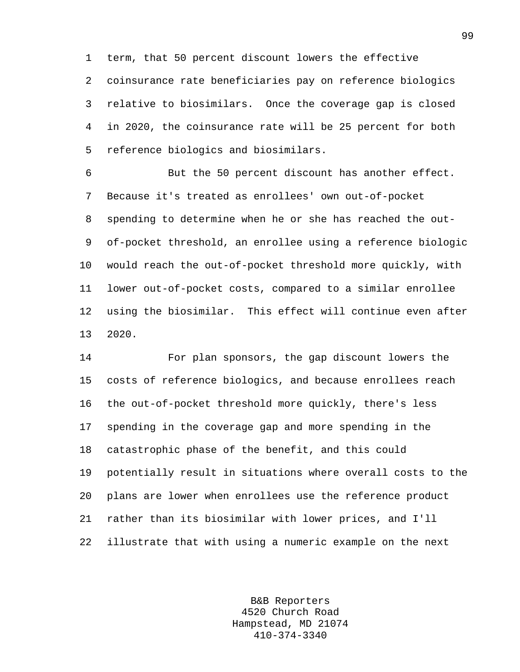1 term, that 50 percent discount lowers the effective 2 coinsurance rate beneficiaries pay on reference biologics 3 relative to biosimilars. Once the coverage gap is closed 4 in 2020, the coinsurance rate will be 25 percent for both 5 reference biologics and biosimilars.

6 But the 50 percent discount has another effect. 7 Because it's treated as enrollees' own out-of-pocket 8 spending to determine when he or she has reached the out-9 of-pocket threshold, an enrollee using a reference biologic 10 would reach the out-of-pocket threshold more quickly, with 11 lower out-of-pocket costs, compared to a similar enrollee 12 using the biosimilar. This effect will continue even after 13 2020.

14 For plan sponsors, the gap discount lowers the 15 costs of reference biologics, and because enrollees reach 16 the out-of-pocket threshold more quickly, there's less 17 spending in the coverage gap and more spending in the 18 catastrophic phase of the benefit, and this could 19 potentially result in situations where overall costs to the 20 plans are lower when enrollees use the reference product 21 rather than its biosimilar with lower prices, and I'll 22 illustrate that with using a numeric example on the next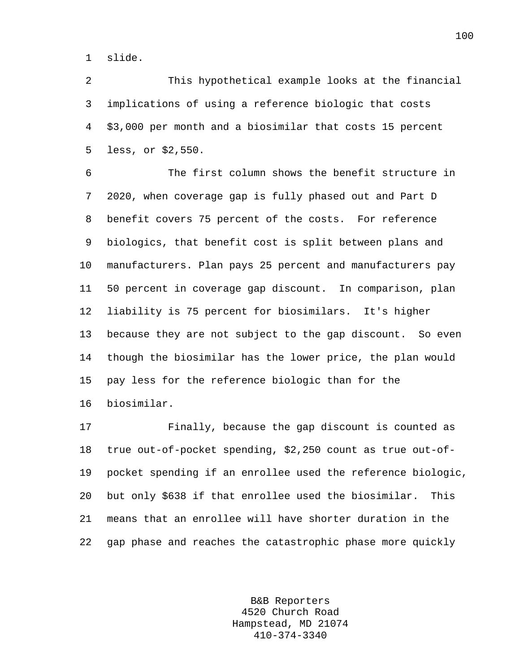1 slide.

2 This hypothetical example looks at the financial 3 implications of using a reference biologic that costs 4 \$3,000 per month and a biosimilar that costs 15 percent 5 less, or \$2,550.

6 The first column shows the benefit structure in 7 2020, when coverage gap is fully phased out and Part D 8 benefit covers 75 percent of the costs. For reference 9 biologics, that benefit cost is split between plans and 10 manufacturers. Plan pays 25 percent and manufacturers pay 11 50 percent in coverage gap discount. In comparison, plan 12 liability is 75 percent for biosimilars. It's higher 13 because they are not subject to the gap discount. So even 14 though the biosimilar has the lower price, the plan would 15 pay less for the reference biologic than for the 16 biosimilar.

17 Finally, because the gap discount is counted as 18 true out-of-pocket spending, \$2,250 count as true out-of-19 pocket spending if an enrollee used the reference biologic, 20 but only \$638 if that enrollee used the biosimilar. This 21 means that an enrollee will have shorter duration in the 22 gap phase and reaches the catastrophic phase more quickly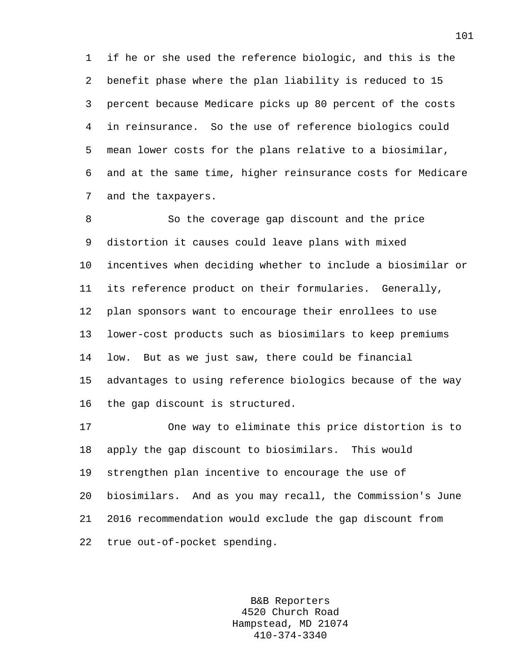1 if he or she used the reference biologic, and this is the 2 benefit phase where the plan liability is reduced to 15 3 percent because Medicare picks up 80 percent of the costs 4 in reinsurance. So the use of reference biologics could 5 mean lower costs for the plans relative to a biosimilar, 6 and at the same time, higher reinsurance costs for Medicare 7 and the taxpayers.

8 So the coverage gap discount and the price 9 distortion it causes could leave plans with mixed 10 incentives when deciding whether to include a biosimilar or 11 its reference product on their formularies. Generally, 12 plan sponsors want to encourage their enrollees to use 13 lower-cost products such as biosimilars to keep premiums 14 low. But as we just saw, there could be financial 15 advantages to using reference biologics because of the way 16 the gap discount is structured.

17 One way to eliminate this price distortion is to 18 apply the gap discount to biosimilars. This would 19 strengthen plan incentive to encourage the use of 20 biosimilars. And as you may recall, the Commission's June 21 2016 recommendation would exclude the gap discount from 22 true out-of-pocket spending.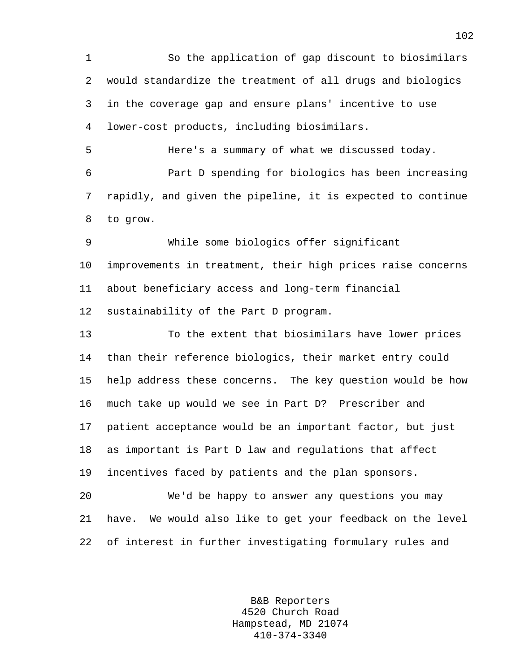1 So the application of gap discount to biosimilars 2 would standardize the treatment of all drugs and biologics 3 in the coverage gap and ensure plans' incentive to use 4 lower-cost products, including biosimilars.

5 Here's a summary of what we discussed today. 6 Part D spending for biologics has been increasing 7 rapidly, and given the pipeline, it is expected to continue 8 to grow.

9 While some biologics offer significant 10 improvements in treatment, their high prices raise concerns 11 about beneficiary access and long-term financial 12 sustainability of the Part D program.

13 To the extent that biosimilars have lower prices 14 than their reference biologics, their market entry could 15 help address these concerns. The key question would be how 16 much take up would we see in Part D? Prescriber and 17 patient acceptance would be an important factor, but just 18 as important is Part D law and regulations that affect 19 incentives faced by patients and the plan sponsors.

20 We'd be happy to answer any questions you may 21 have. We would also like to get your feedback on the level 22 of interest in further investigating formulary rules and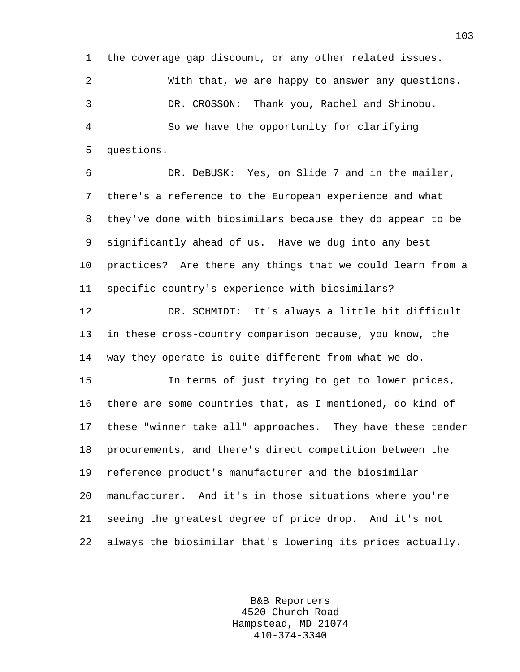1 the coverage gap discount, or any other related issues. 2 With that, we are happy to answer any questions. 3 DR. CROSSON: Thank you, Rachel and Shinobu. 4 So we have the opportunity for clarifying 5 questions.

6 DR. DeBUSK: Yes, on Slide 7 and in the mailer, 7 there's a reference to the European experience and what 8 they've done with biosimilars because they do appear to be 9 significantly ahead of us. Have we dug into any best 10 practices? Are there any things that we could learn from a 11 specific country's experience with biosimilars?

12 DR. SCHMIDT: It's always a little bit difficult 13 in these cross-country comparison because, you know, the 14 way they operate is quite different from what we do.

15 In terms of just trying to get to lower prices, 16 there are some countries that, as I mentioned, do kind of 17 these "winner take all" approaches. They have these tender 18 procurements, and there's direct competition between the 19 reference product's manufacturer and the biosimilar 20 manufacturer. And it's in those situations where you're 21 seeing the greatest degree of price drop. And it's not 22 always the biosimilar that's lowering its prices actually.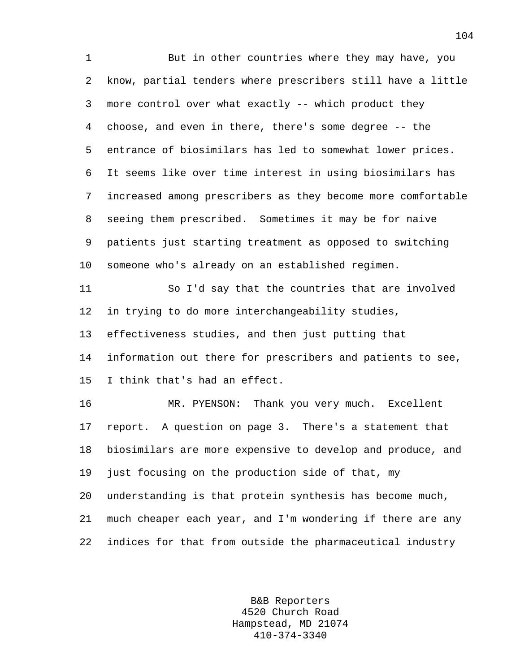1 But in other countries where they may have, you 2 know, partial tenders where prescribers still have a little 3 more control over what exactly -- which product they 4 choose, and even in there, there's some degree -- the 5 entrance of biosimilars has led to somewhat lower prices. 6 It seems like over time interest in using biosimilars has 7 increased among prescribers as they become more comfortable 8 seeing them prescribed. Sometimes it may be for naive 9 patients just starting treatment as opposed to switching 10 someone who's already on an established regimen. 11 So I'd say that the countries that are involved 12 in trying to do more interchangeability studies, 13 effectiveness studies, and then just putting that 14 information out there for prescribers and patients to see, 15 I think that's had an effect. 16 MR. PYENSON: Thank you very much. Excellent 17 report. A question on page 3. There's a statement that 18 biosimilars are more expensive to develop and produce, and 19 just focusing on the production side of that, my 20 understanding is that protein synthesis has become much, 21 much cheaper each year, and I'm wondering if there are any 22 indices for that from outside the pharmaceutical industry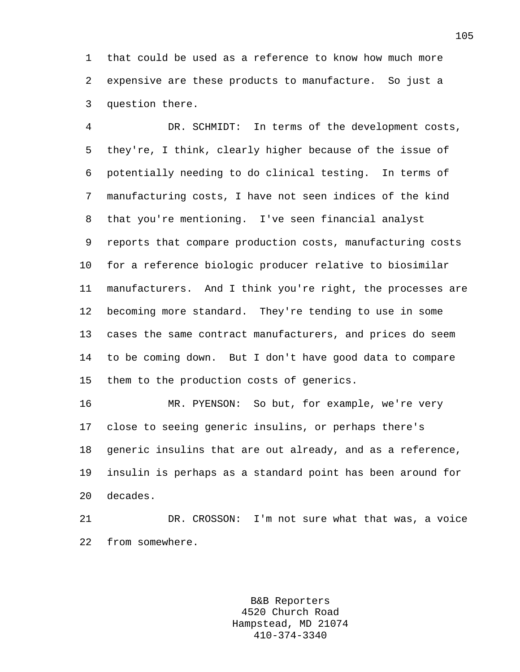1 that could be used as a reference to know how much more 2 expensive are these products to manufacture. So just a 3 question there.

4 DR. SCHMIDT: In terms of the development costs, 5 they're, I think, clearly higher because of the issue of 6 potentially needing to do clinical testing. In terms of 7 manufacturing costs, I have not seen indices of the kind 8 that you're mentioning. I've seen financial analyst 9 reports that compare production costs, manufacturing costs 10 for a reference biologic producer relative to biosimilar 11 manufacturers. And I think you're right, the processes are 12 becoming more standard. They're tending to use in some 13 cases the same contract manufacturers, and prices do seem 14 to be coming down. But I don't have good data to compare 15 them to the production costs of generics.

16 MR. PYENSON: So but, for example, we're very 17 close to seeing generic insulins, or perhaps there's 18 generic insulins that are out already, and as a reference, 19 insulin is perhaps as a standard point has been around for 20 decades.

21 DR. CROSSON: I'm not sure what that was, a voice 22 from somewhere.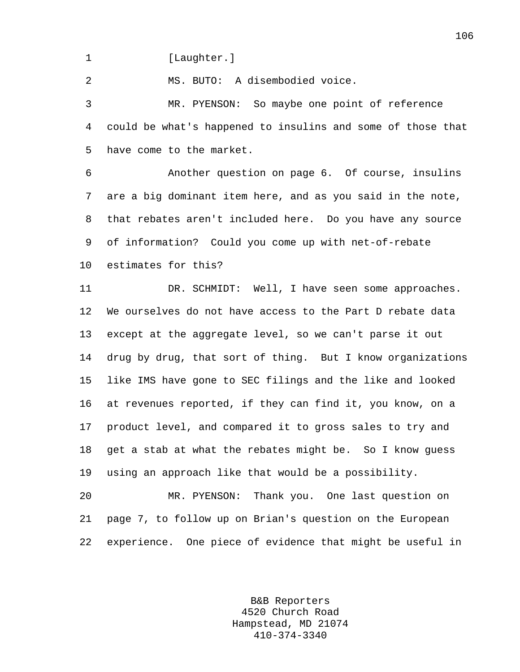1 [Laughter.]

2 MS. BUTO: A disembodied voice.

3 MR. PYENSON: So maybe one point of reference 4 could be what's happened to insulins and some of those that 5 have come to the market.

6 Another question on page 6. Of course, insulins 7 are a big dominant item here, and as you said in the note, 8 that rebates aren't included here. Do you have any source 9 of information? Could you come up with net-of-rebate 10 estimates for this?

11 DR. SCHMIDT: Well, I have seen some approaches. 12 We ourselves do not have access to the Part D rebate data 13 except at the aggregate level, so we can't parse it out 14 drug by drug, that sort of thing. But I know organizations 15 like IMS have gone to SEC filings and the like and looked 16 at revenues reported, if they can find it, you know, on a 17 product level, and compared it to gross sales to try and 18 get a stab at what the rebates might be. So I know guess 19 using an approach like that would be a possibility.

20 MR. PYENSON: Thank you. One last question on 21 page 7, to follow up on Brian's question on the European 22 experience. One piece of evidence that might be useful in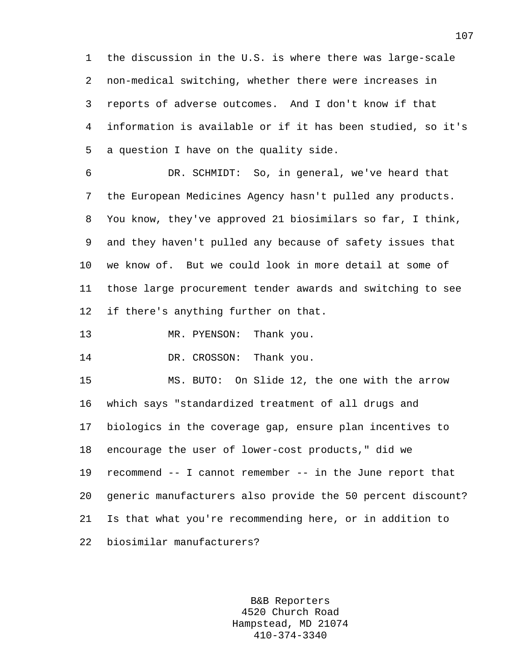1 the discussion in the U.S. is where there was large-scale 2 non-medical switching, whether there were increases in 3 reports of adverse outcomes. And I don't know if that 4 information is available or if it has been studied, so it's 5 a question I have on the quality side.

6 DR. SCHMIDT: So, in general, we've heard that 7 the European Medicines Agency hasn't pulled any products. 8 You know, they've approved 21 biosimilars so far, I think, 9 and they haven't pulled any because of safety issues that 10 we know of. But we could look in more detail at some of 11 those large procurement tender awards and switching to see 12 if there's anything further on that.

13 MR. PYENSON: Thank you.

14 DR. CROSSON: Thank you.

15 MS. BUTO: On Slide 12, the one with the arrow 16 which says "standardized treatment of all drugs and 17 biologics in the coverage gap, ensure plan incentives to 18 encourage the user of lower-cost products," did we 19 recommend -- I cannot remember -- in the June report that 20 generic manufacturers also provide the 50 percent discount? 21 Is that what you're recommending here, or in addition to 22 biosimilar manufacturers?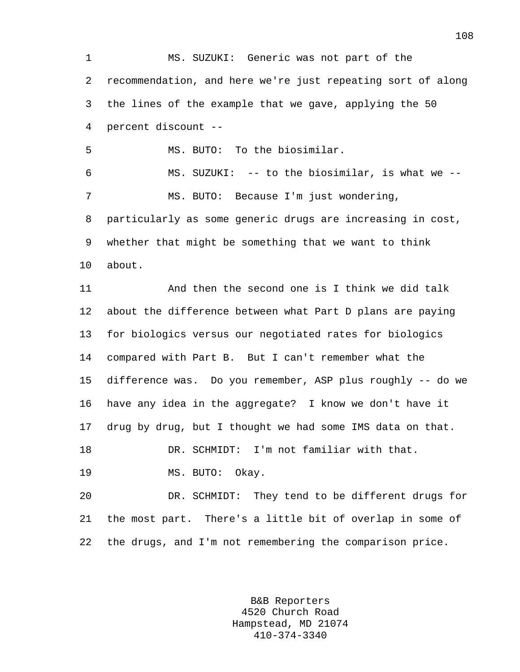1 MS. SUZUKI: Generic was not part of the 2 recommendation, and here we're just repeating sort of along 3 the lines of the example that we gave, applying the 50 4 percent discount -- 5 MS. BUTO: To the biosimilar. 6 MS. SUZUKI: -- to the biosimilar, is what we -- 7 MS. BUTO: Because I'm just wondering, 8 particularly as some generic drugs are increasing in cost, 9 whether that might be something that we want to think 10 about. 11 And then the second one is I think we did talk 12 about the difference between what Part D plans are paying 13 for biologics versus our negotiated rates for biologics 14 compared with Part B. But I can't remember what the 15 difference was. Do you remember, ASP plus roughly -- do we 16 have any idea in the aggregate? I know we don't have it 17 drug by drug, but I thought we had some IMS data on that. 18 DR. SCHMIDT: I'm not familiar with that. 19 MS. BUTO: Okay. 20 DR. SCHMIDT: They tend to be different drugs for 21 the most part. There's a little bit of overlap in some of 22 the drugs, and I'm not remembering the comparison price.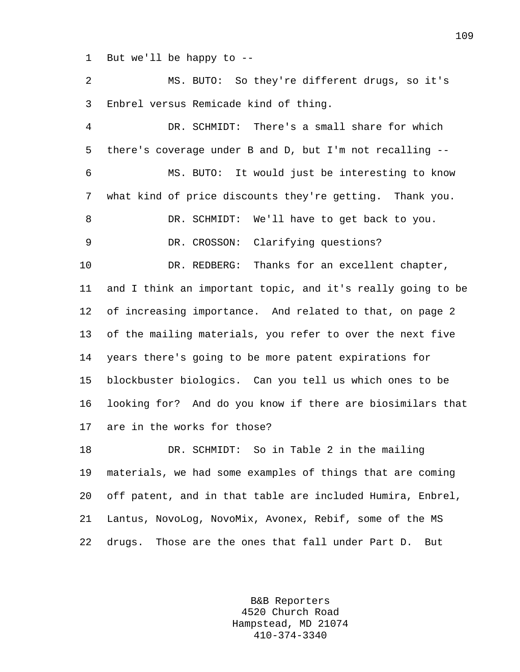1 But we'll be happy to --

2 MS. BUTO: So they're different drugs, so it's 3 Enbrel versus Remicade kind of thing. 4 DR. SCHMIDT: There's a small share for which 5 there's coverage under B and D, but I'm not recalling -- 6 MS. BUTO: It would just be interesting to know 7 what kind of price discounts they're getting. Thank you. 8 DR. SCHMIDT: We'll have to get back to you. 9 DR. CROSSON: Clarifying questions? 10 DR. REDBERG: Thanks for an excellent chapter, 11 and I think an important topic, and it's really going to be 12 of increasing importance. And related to that, on page 2 13 of the mailing materials, you refer to over the next five 14 years there's going to be more patent expirations for 15 blockbuster biologics. Can you tell us which ones to be 16 looking for? And do you know if there are biosimilars that 17 are in the works for those? 18 DR. SCHMIDT: So in Table 2 in the mailing 19 materials, we had some examples of things that are coming 20 off patent, and in that table are included Humira, Enbrel, 21 Lantus, NovoLog, NovoMix, Avonex, Rebif, some of the MS

22 drugs. Those are the ones that fall under Part D. But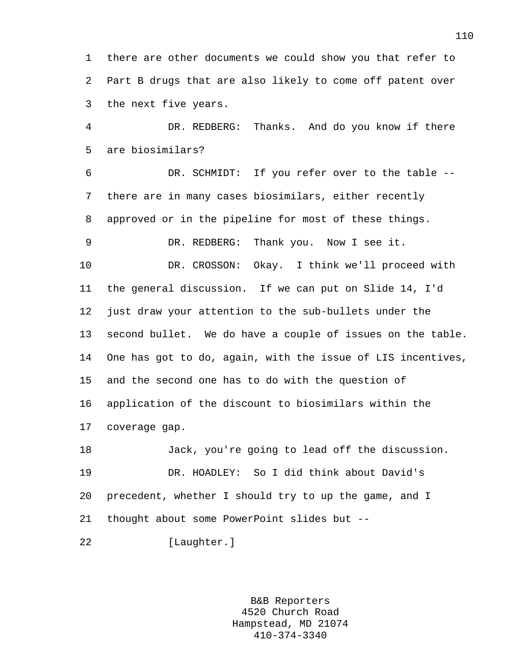1 there are other documents we could show you that refer to 2 Part B drugs that are also likely to come off patent over 3 the next five years.

4 DR. REDBERG: Thanks. And do you know if there 5 are biosimilars?

6 DR. SCHMIDT: If you refer over to the table -- 7 there are in many cases biosimilars, either recently 8 approved or in the pipeline for most of these things. 9 DR. REDBERG: Thank you. Now I see it. 10 DR. CROSSON: Okay. I think we'll proceed with 11 the general discussion. If we can put on Slide 14, I'd 12 just draw your attention to the sub-bullets under the 13 second bullet. We do have a couple of issues on the table. 14 One has got to do, again, with the issue of LIS incentives, 15 and the second one has to do with the question of 16 application of the discount to biosimilars within the 17 coverage gap. 18 Jack, you're going to lead off the discussion. 19 DR. HOADLEY: So I did think about David's 20 precedent, whether I should try to up the game, and I

21 thought about some PowerPoint slides but --

22 [Laughter.]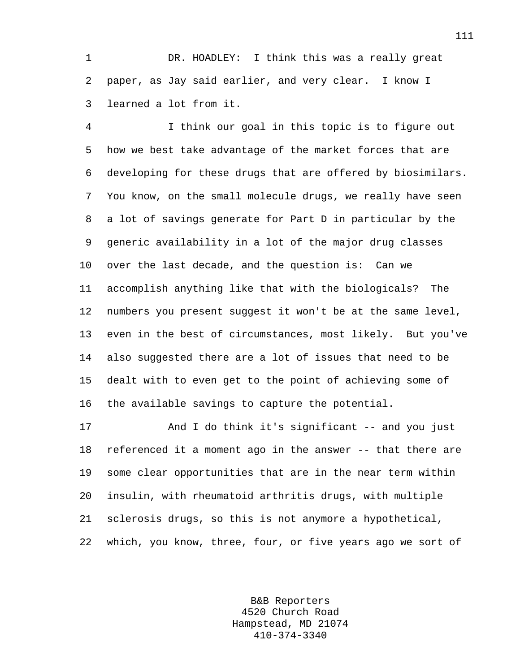1 DR. HOADLEY: I think this was a really great 2 paper, as Jay said earlier, and very clear. I know I 3 learned a lot from it.

4 I think our goal in this topic is to figure out 5 how we best take advantage of the market forces that are 6 developing for these drugs that are offered by biosimilars. 7 You know, on the small molecule drugs, we really have seen 8 a lot of savings generate for Part D in particular by the 9 generic availability in a lot of the major drug classes 10 over the last decade, and the question is: Can we 11 accomplish anything like that with the biologicals? The 12 numbers you present suggest it won't be at the same level, 13 even in the best of circumstances, most likely. But you've 14 also suggested there are a lot of issues that need to be 15 dealt with to even get to the point of achieving some of 16 the available savings to capture the potential.

17 And I do think it's significant -- and you just 18 referenced it a moment ago in the answer -- that there are 19 some clear opportunities that are in the near term within 20 insulin, with rheumatoid arthritis drugs, with multiple 21 sclerosis drugs, so this is not anymore a hypothetical, 22 which, you know, three, four, or five years ago we sort of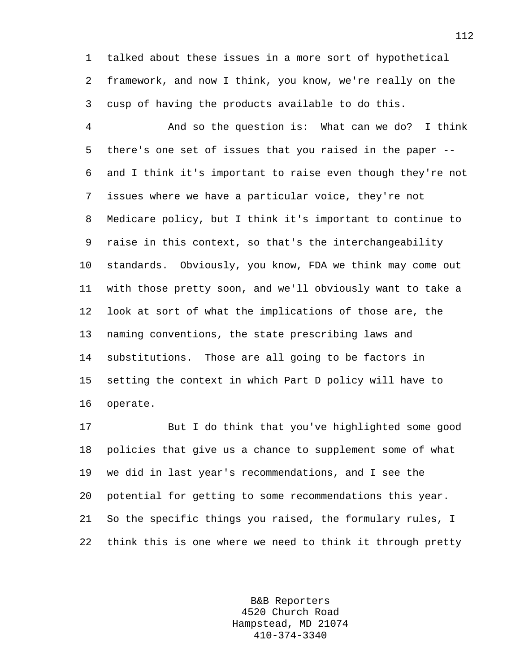1 talked about these issues in a more sort of hypothetical 2 framework, and now I think, you know, we're really on the 3 cusp of having the products available to do this.

4 And so the question is: What can we do? I think 5 there's one set of issues that you raised in the paper -- 6 and I think it's important to raise even though they're not 7 issues where we have a particular voice, they're not 8 Medicare policy, but I think it's important to continue to 9 raise in this context, so that's the interchangeability 10 standards. Obviously, you know, FDA we think may come out 11 with those pretty soon, and we'll obviously want to take a 12 look at sort of what the implications of those are, the 13 naming conventions, the state prescribing laws and 14 substitutions. Those are all going to be factors in 15 setting the context in which Part D policy will have to 16 operate.

17 But I do think that you've highlighted some good 18 policies that give us a chance to supplement some of what 19 we did in last year's recommendations, and I see the 20 potential for getting to some recommendations this year. 21 So the specific things you raised, the formulary rules, I 22 think this is one where we need to think it through pretty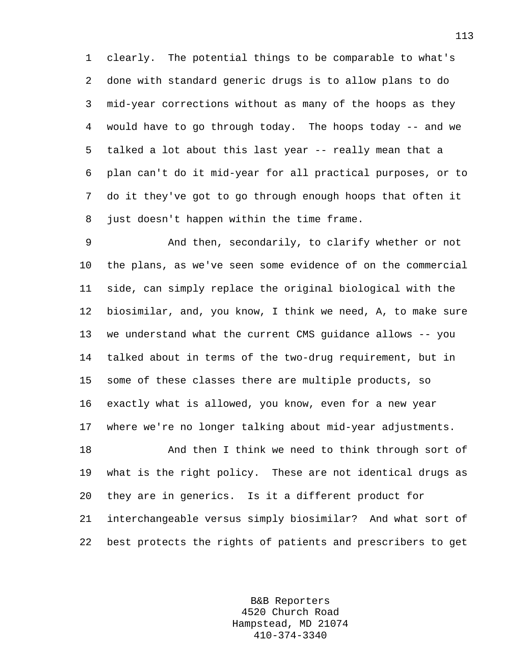1 clearly. The potential things to be comparable to what's 2 done with standard generic drugs is to allow plans to do 3 mid-year corrections without as many of the hoops as they 4 would have to go through today. The hoops today -- and we 5 talked a lot about this last year -- really mean that a 6 plan can't do it mid-year for all practical purposes, or to 7 do it they've got to go through enough hoops that often it 8 just doesn't happen within the time frame.

9 And then, secondarily, to clarify whether or not 10 the plans, as we've seen some evidence of on the commercial 11 side, can simply replace the original biological with the 12 biosimilar, and, you know, I think we need, A, to make sure 13 we understand what the current CMS guidance allows -- you 14 talked about in terms of the two-drug requirement, but in 15 some of these classes there are multiple products, so 16 exactly what is allowed, you know, even for a new year 17 where we're no longer talking about mid-year adjustments.

18 And then I think we need to think through sort of 19 what is the right policy. These are not identical drugs as 20 they are in generics. Is it a different product for 21 interchangeable versus simply biosimilar? And what sort of 22 best protects the rights of patients and prescribers to get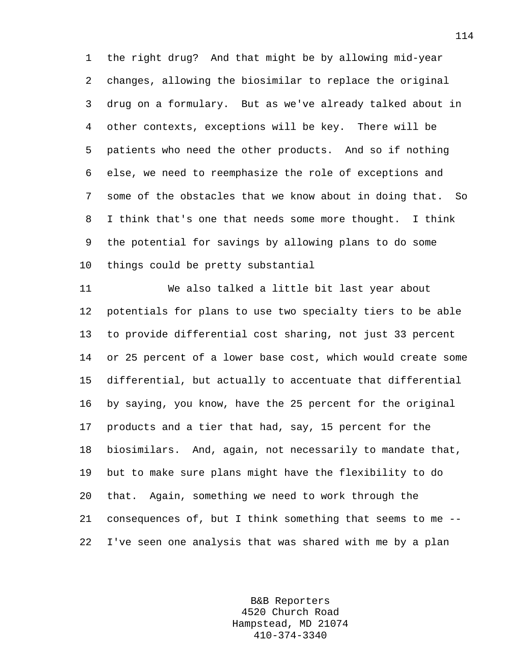1 the right drug? And that might be by allowing mid-year 2 changes, allowing the biosimilar to replace the original 3 drug on a formulary. But as we've already talked about in 4 other contexts, exceptions will be key. There will be 5 patients who need the other products. And so if nothing 6 else, we need to reemphasize the role of exceptions and 7 some of the obstacles that we know about in doing that. So 8 I think that's one that needs some more thought. I think 9 the potential for savings by allowing plans to do some 10 things could be pretty substantial

11 We also talked a little bit last year about 12 potentials for plans to use two specialty tiers to be able 13 to provide differential cost sharing, not just 33 percent 14 or 25 percent of a lower base cost, which would create some 15 differential, but actually to accentuate that differential 16 by saying, you know, have the 25 percent for the original 17 products and a tier that had, say, 15 percent for the 18 biosimilars. And, again, not necessarily to mandate that, 19 but to make sure plans might have the flexibility to do 20 that. Again, something we need to work through the 21 consequences of, but I think something that seems to me -- 22 I've seen one analysis that was shared with me by a plan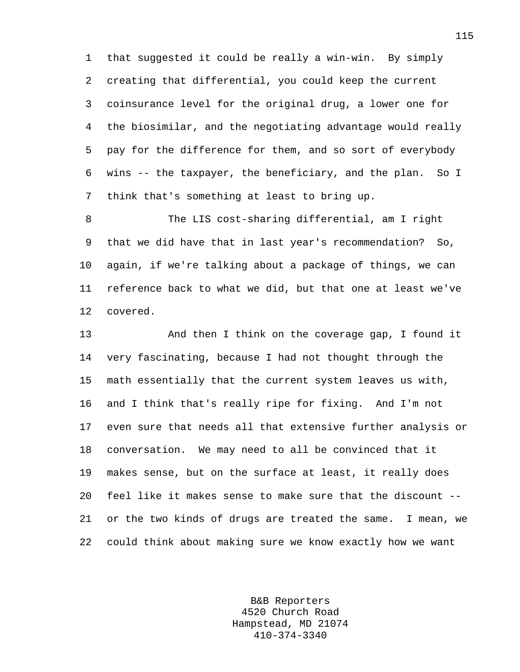1 that suggested it could be really a win-win. By simply 2 creating that differential, you could keep the current 3 coinsurance level for the original drug, a lower one for 4 the biosimilar, and the negotiating advantage would really 5 pay for the difference for them, and so sort of everybody 6 wins -- the taxpayer, the beneficiary, and the plan. So I 7 think that's something at least to bring up.

8 The LIS cost-sharing differential, am I right 9 that we did have that in last year's recommendation? So, 10 again, if we're talking about a package of things, we can 11 reference back to what we did, but that one at least we've 12 covered.

13 And then I think on the coverage gap, I found it 14 very fascinating, because I had not thought through the 15 math essentially that the current system leaves us with, 16 and I think that's really ripe for fixing. And I'm not 17 even sure that needs all that extensive further analysis or 18 conversation. We may need to all be convinced that it 19 makes sense, but on the surface at least, it really does 20 feel like it makes sense to make sure that the discount -- 21 or the two kinds of drugs are treated the same. I mean, we 22 could think about making sure we know exactly how we want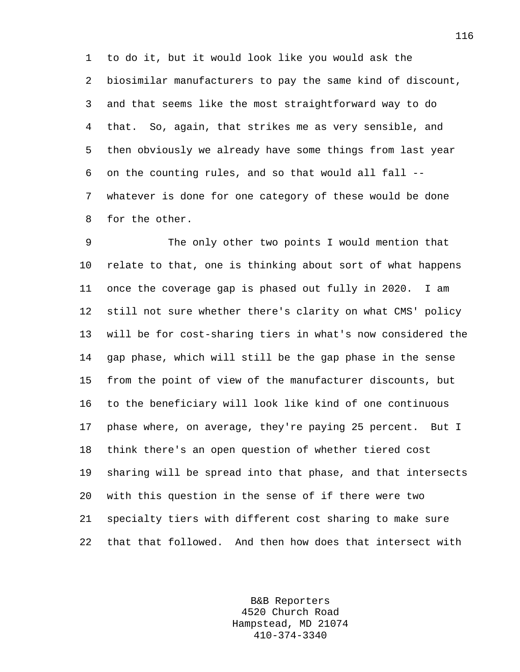1 to do it, but it would look like you would ask the 2 biosimilar manufacturers to pay the same kind of discount, 3 and that seems like the most straightforward way to do 4 that. So, again, that strikes me as very sensible, and 5 then obviously we already have some things from last year 6 on the counting rules, and so that would all fall -- 7 whatever is done for one category of these would be done 8 for the other.

9 The only other two points I would mention that 10 relate to that, one is thinking about sort of what happens 11 once the coverage gap is phased out fully in 2020. I am 12 still not sure whether there's clarity on what CMS' policy 13 will be for cost-sharing tiers in what's now considered the 14 gap phase, which will still be the gap phase in the sense 15 from the point of view of the manufacturer discounts, but 16 to the beneficiary will look like kind of one continuous 17 phase where, on average, they're paying 25 percent. But I 18 think there's an open question of whether tiered cost 19 sharing will be spread into that phase, and that intersects 20 with this question in the sense of if there were two 21 specialty tiers with different cost sharing to make sure 22 that that followed. And then how does that intersect with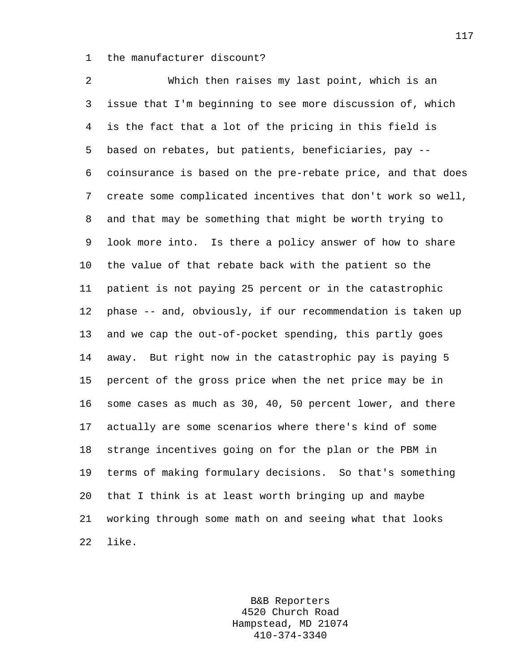1 the manufacturer discount?

2 Which then raises my last point, which is an 3 issue that I'm beginning to see more discussion of, which 4 is the fact that a lot of the pricing in this field is 5 based on rebates, but patients, beneficiaries, pay -- 6 coinsurance is based on the pre-rebate price, and that does 7 create some complicated incentives that don't work so well, 8 and that may be something that might be worth trying to 9 look more into. Is there a policy answer of how to share 10 the value of that rebate back with the patient so the 11 patient is not paying 25 percent or in the catastrophic 12 phase -- and, obviously, if our recommendation is taken up 13 and we cap the out-of-pocket spending, this partly goes 14 away. But right now in the catastrophic pay is paying 5 15 percent of the gross price when the net price may be in 16 some cases as much as 30, 40, 50 percent lower, and there 17 actually are some scenarios where there's kind of some 18 strange incentives going on for the plan or the PBM in 19 terms of making formulary decisions. So that's something 20 that I think is at least worth bringing up and maybe 21 working through some math on and seeing what that looks 22 like.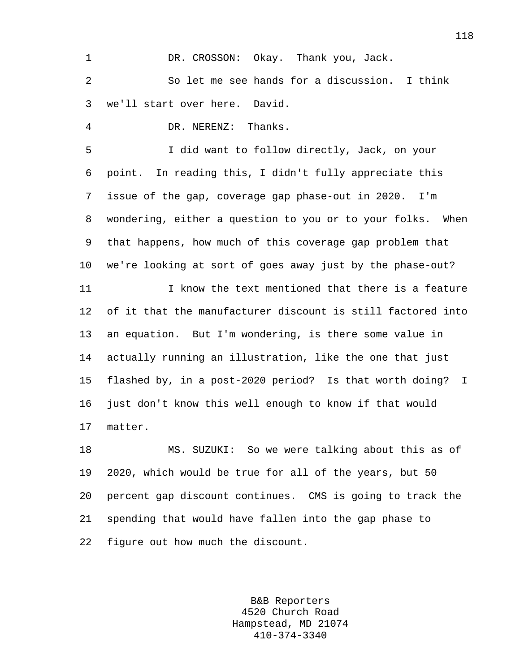1 DR. CROSSON: Okay. Thank you, Jack. 2 So let me see hands for a discussion. I think 3 we'll start over here. David.

4 DR. NERENZ: Thanks.

5 I did want to follow directly, Jack, on your 6 point. In reading this, I didn't fully appreciate this 7 issue of the gap, coverage gap phase-out in 2020. I'm 8 wondering, either a question to you or to your folks. When 9 that happens, how much of this coverage gap problem that 10 we're looking at sort of goes away just by the phase-out?

11 I know the text mentioned that there is a feature 12 of it that the manufacturer discount is still factored into 13 an equation. But I'm wondering, is there some value in 14 actually running an illustration, like the one that just 15 flashed by, in a post-2020 period? Is that worth doing? I 16 just don't know this well enough to know if that would 17 matter.

18 MS. SUZUKI: So we were talking about this as of 19 2020, which would be true for all of the years, but 50 20 percent gap discount continues. CMS is going to track the 21 spending that would have fallen into the gap phase to 22 figure out how much the discount.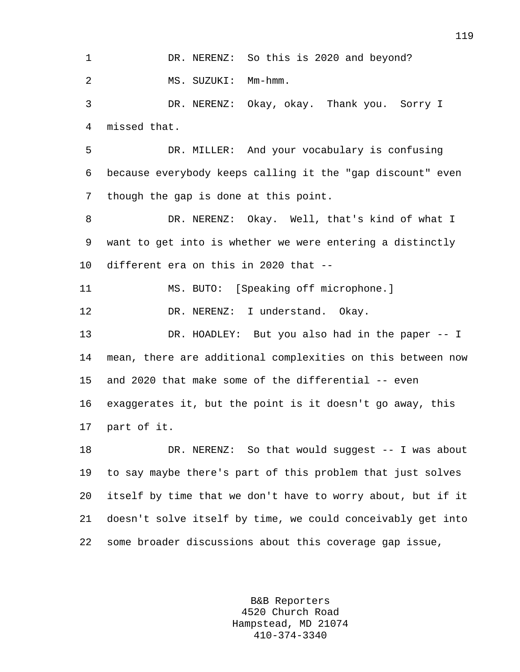1 DR. NERENZ: So this is 2020 and beyond? 2 MS. SUZUKI: Mm-hmm. 3 DR. NERENZ: Okay, okay. Thank you. Sorry I 4 missed that.

5 DR. MILLER: And your vocabulary is confusing 6 because everybody keeps calling it the "gap discount" even 7 though the gap is done at this point.

8 DR. NERENZ: Okay. Well, that's kind of what I 9 want to get into is whether we were entering a distinctly 10 different era on this in 2020 that --

11 MS. BUTO: [Speaking off microphone.]

12 DR. NERENZ: I understand. Okay.

13 DR. HOADLEY: But you also had in the paper -- I 14 mean, there are additional complexities on this between now 15 and 2020 that make some of the differential -- even 16 exaggerates it, but the point is it doesn't go away, this 17 part of it.

18 DR. NERENZ: So that would suggest -- I was about 19 to say maybe there's part of this problem that just solves 20 itself by time that we don't have to worry about, but if it 21 doesn't solve itself by time, we could conceivably get into 22 some broader discussions about this coverage gap issue,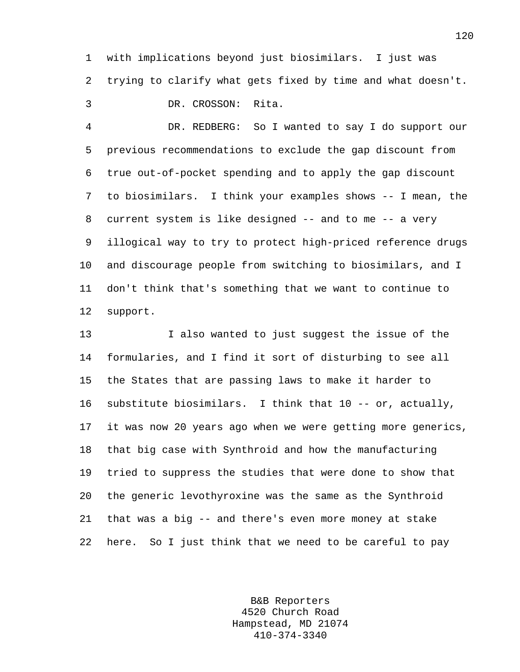1 with implications beyond just biosimilars. I just was 2 trying to clarify what gets fixed by time and what doesn't. 3 DR. CROSSON: Rita.

4 DR. REDBERG: So I wanted to say I do support our 5 previous recommendations to exclude the gap discount from 6 true out-of-pocket spending and to apply the gap discount 7 to biosimilars. I think your examples shows -- I mean, the 8 current system is like designed -- and to me -- a very 9 illogical way to try to protect high-priced reference drugs 10 and discourage people from switching to biosimilars, and I 11 don't think that's something that we want to continue to 12 support.

13 I also wanted to just suggest the issue of the 14 formularies, and I find it sort of disturbing to see all 15 the States that are passing laws to make it harder to 16 substitute biosimilars. I think that 10 -- or, actually, 17 it was now 20 years ago when we were getting more generics, 18 that big case with Synthroid and how the manufacturing 19 tried to suppress the studies that were done to show that 20 the generic levothyroxine was the same as the Synthroid 21 that was a big -- and there's even more money at stake 22 here. So I just think that we need to be careful to pay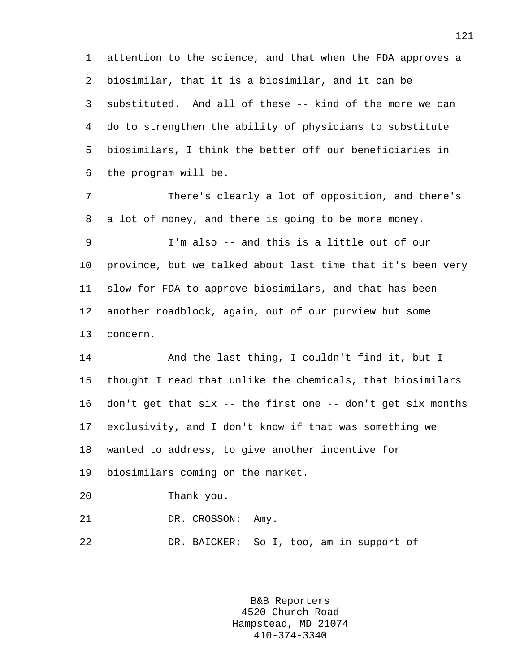1 attention to the science, and that when the FDA approves a 2 biosimilar, that it is a biosimilar, and it can be 3 substituted. And all of these -- kind of the more we can 4 do to strengthen the ability of physicians to substitute 5 biosimilars, I think the better off our beneficiaries in 6 the program will be.

7 There's clearly a lot of opposition, and there's 8 a lot of money, and there is going to be more money.

9 I'm also -- and this is a little out of our 10 province, but we talked about last time that it's been very 11 slow for FDA to approve biosimilars, and that has been 12 another roadblock, again, out of our purview but some 13 concern.

14 And the last thing, I couldn't find it, but I 15 thought I read that unlike the chemicals, that biosimilars 16 don't get that six -- the first one -- don't get six months 17 exclusivity, and I don't know if that was something we 18 wanted to address, to give another incentive for 19 biosimilars coming on the market.

20 Thank you.

21 DR. CROSSON: Amy.

22 DR. BAICKER: So I, too, am in support of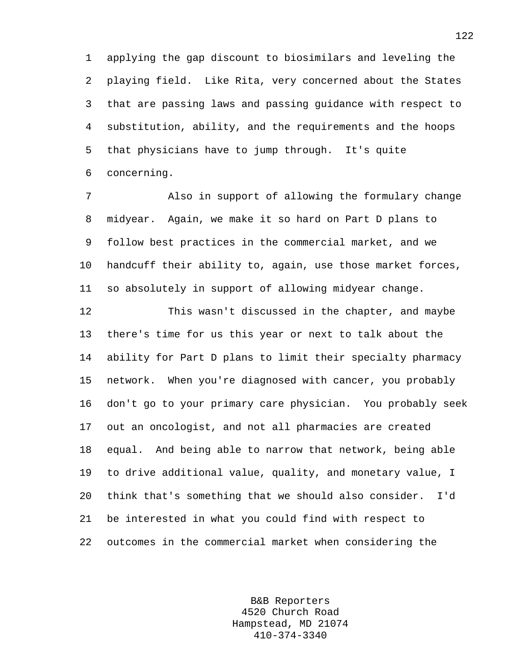1 applying the gap discount to biosimilars and leveling the 2 playing field. Like Rita, very concerned about the States 3 that are passing laws and passing guidance with respect to 4 substitution, ability, and the requirements and the hoops 5 that physicians have to jump through. It's quite 6 concerning.

7 Also in support of allowing the formulary change 8 midyear. Again, we make it so hard on Part D plans to 9 follow best practices in the commercial market, and we 10 handcuff their ability to, again, use those market forces, 11 so absolutely in support of allowing midyear change.

12 This wasn't discussed in the chapter, and maybe 13 there's time for us this year or next to talk about the 14 ability for Part D plans to limit their specialty pharmacy 15 network. When you're diagnosed with cancer, you probably 16 don't go to your primary care physician. You probably seek 17 out an oncologist, and not all pharmacies are created 18 equal. And being able to narrow that network, being able 19 to drive additional value, quality, and monetary value, I 20 think that's something that we should also consider. I'd 21 be interested in what you could find with respect to 22 outcomes in the commercial market when considering the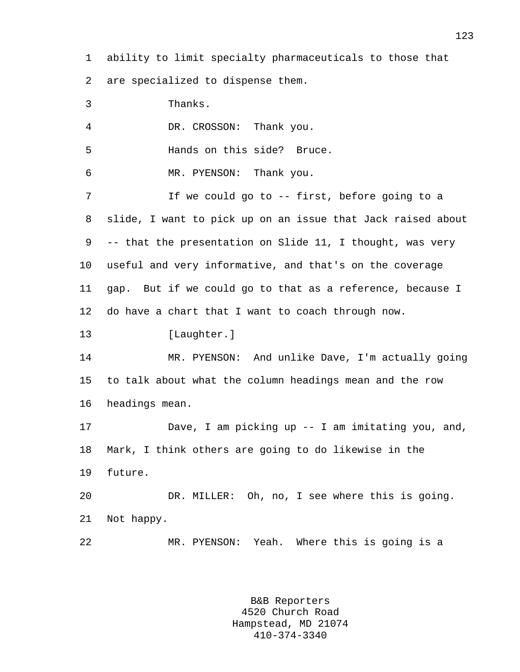1 ability to limit specialty pharmaceuticals to those that

2 are specialized to dispense them.

3 Thanks. 4 DR. CROSSON: Thank you. 5 Hands on this side? Bruce. 6 MR. PYENSON: Thank you. 7 If we could go to -- first, before going to a 8 slide, I want to pick up on an issue that Jack raised about 9 -- that the presentation on Slide 11, I thought, was very 10 useful and very informative, and that's on the coverage 11 gap. But if we could go to that as a reference, because I 12 do have a chart that I want to coach through now. 13 [Laughter.] 14 MR. PYENSON: And unlike Dave, I'm actually going 15 to talk about what the column headings mean and the row 16 headings mean. 17 Dave, I am picking up -- I am imitating you, and, 18 Mark, I think others are going to do likewise in the 19 future. 20 DR. MILLER: Oh, no, I see where this is going. 21 Not happy.

> B&B Reporters 4520 Church Road Hampstead, MD 21074 410-374-3340

22 MR. PYENSON: Yeah. Where this is going is a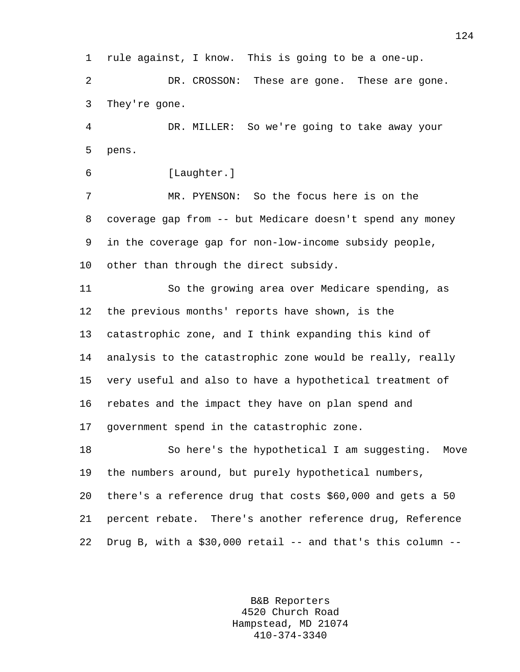1 rule against, I know. This is going to be a one-up. 2 DR. CROSSON: These are gone. These are gone. 3 They're gone.

4 DR. MILLER: So we're going to take away your 5 pens.

```
6 [Laughter.]
```
7 MR. PYENSON: So the focus here is on the 8 coverage gap from -- but Medicare doesn't spend any money 9 in the coverage gap for non-low-income subsidy people, 10 other than through the direct subsidy.

11 So the growing area over Medicare spending, as 12 the previous months' reports have shown, is the 13 catastrophic zone, and I think expanding this kind of 14 analysis to the catastrophic zone would be really, really 15 very useful and also to have a hypothetical treatment of 16 rebates and the impact they have on plan spend and 17 government spend in the catastrophic zone.

18 So here's the hypothetical I am suggesting. Move 19 the numbers around, but purely hypothetical numbers, 20 there's a reference drug that costs \$60,000 and gets a 50 21 percent rebate. There's another reference drug, Reference 22 Drug B, with a  $$30,000$  retail  $-$  and that's this column  $-$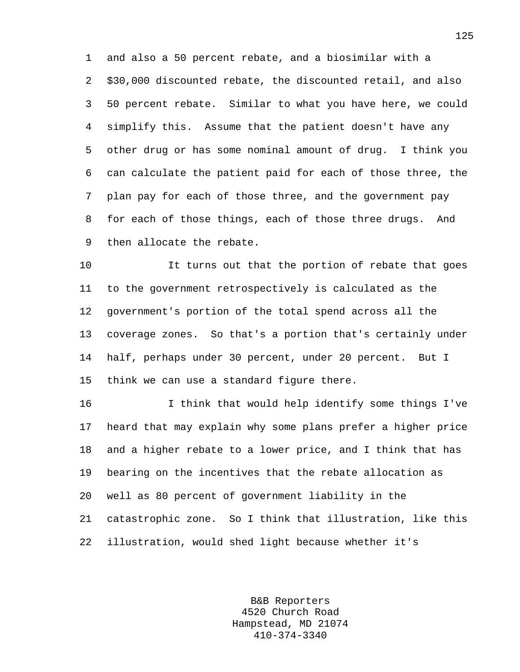1 and also a 50 percent rebate, and a biosimilar with a 2 \$30,000 discounted rebate, the discounted retail, and also 3 50 percent rebate. Similar to what you have here, we could 4 simplify this. Assume that the patient doesn't have any 5 other drug or has some nominal amount of drug. I think you 6 can calculate the patient paid for each of those three, the 7 plan pay for each of those three, and the government pay 8 for each of those things, each of those three drugs. And 9 then allocate the rebate.

10 It turns out that the portion of rebate that goes 11 to the government retrospectively is calculated as the 12 government's portion of the total spend across all the 13 coverage zones. So that's a portion that's certainly under 14 half, perhaps under 30 percent, under 20 percent. But I 15 think we can use a standard figure there.

16 I think that would help identify some things I've 17 heard that may explain why some plans prefer a higher price 18 and a higher rebate to a lower price, and I think that has 19 bearing on the incentives that the rebate allocation as 20 well as 80 percent of government liability in the 21 catastrophic zone. So I think that illustration, like this 22 illustration, would shed light because whether it's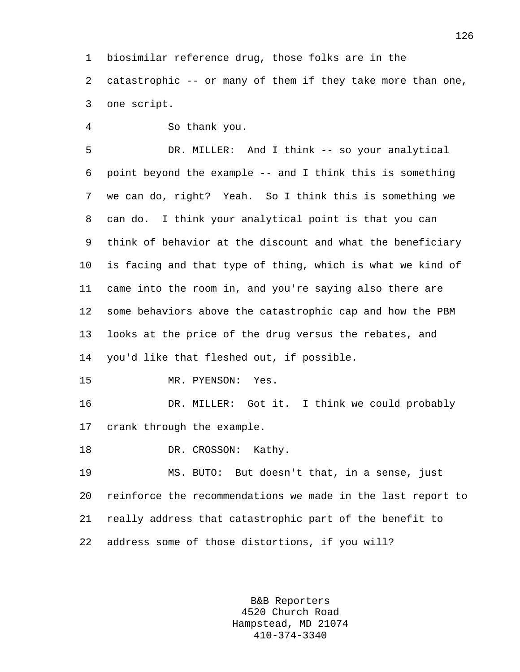1 biosimilar reference drug, those folks are in the 2 catastrophic -- or many of them if they take more than one, 3 one script.

4 So thank you.

5 DR. MILLER: And I think -- so your analytical 6 point beyond the example -- and I think this is something 7 we can do, right? Yeah. So I think this is something we 8 can do. I think your analytical point is that you can 9 think of behavior at the discount and what the beneficiary 10 is facing and that type of thing, which is what we kind of 11 came into the room in, and you're saying also there are 12 some behaviors above the catastrophic cap and how the PBM 13 looks at the price of the drug versus the rebates, and 14 you'd like that fleshed out, if possible.

15 MR. PYENSON: Yes.

16 DR. MILLER: Got it. I think we could probably 17 crank through the example.

18 DR. CROSSON: Kathy.

19 MS. BUTO: But doesn't that, in a sense, just 20 reinforce the recommendations we made in the last report to 21 really address that catastrophic part of the benefit to 22 address some of those distortions, if you will?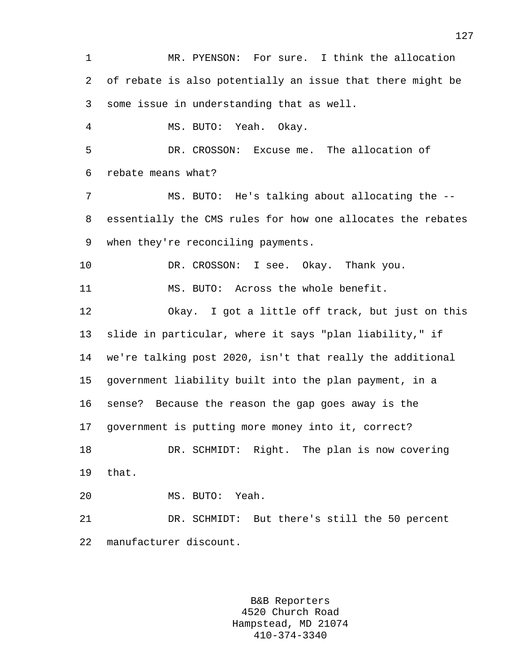1 MR. PYENSON: For sure. I think the allocation 2 of rebate is also potentially an issue that there might be 3 some issue in understanding that as well. 4 MS. BUTO: Yeah. Okay. 5 DR. CROSSON: Excuse me. The allocation of 6 rebate means what? 7 MS. BUTO: He's talking about allocating the -- 8 essentially the CMS rules for how one allocates the rebates 9 when they're reconciling payments. 10 DR. CROSSON: I see. Okay. Thank you. 11 MS. BUTO: Across the whole benefit. 12 Okay. I got a little off track, but just on this 13 slide in particular, where it says "plan liability," if 14 we're talking post 2020, isn't that really the additional 15 government liability built into the plan payment, in a 16 sense? Because the reason the gap goes away is the 17 government is putting more money into it, correct? 18 DR. SCHMIDT: Right. The plan is now covering 19 that. 20 MS. BUTO: Yeah. 21 DR. SCHMIDT: But there's still the 50 percent 22 manufacturer discount.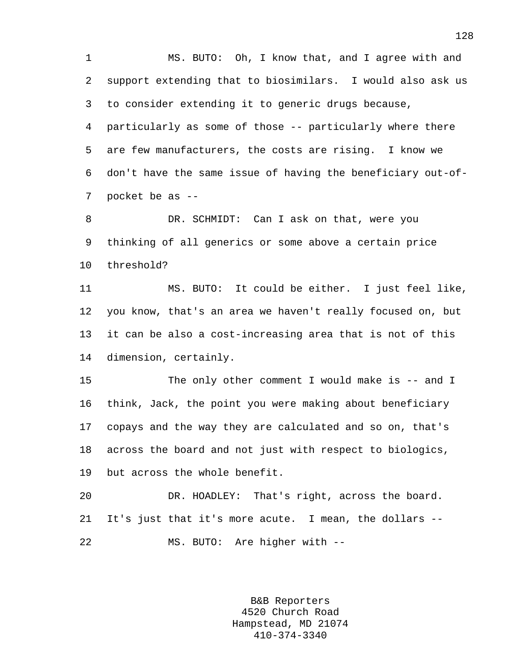1 MS. BUTO: Oh, I know that, and I agree with and 2 support extending that to biosimilars. I would also ask us 3 to consider extending it to generic drugs because, 4 particularly as some of those -- particularly where there 5 are few manufacturers, the costs are rising. I know we 6 don't have the same issue of having the beneficiary out-of-7 pocket be as --

8 DR. SCHMIDT: Can I ask on that, were you 9 thinking of all generics or some above a certain price 10 threshold?

11 MS. BUTO: It could be either. I just feel like, 12 you know, that's an area we haven't really focused on, but 13 it can be also a cost-increasing area that is not of this 14 dimension, certainly.

15 The only other comment I would make is -- and I 16 think, Jack, the point you were making about beneficiary 17 copays and the way they are calculated and so on, that's 18 across the board and not just with respect to biologics, 19 but across the whole benefit.

20 DR. HOADLEY: That's right, across the board. 21 It's just that it's more acute. I mean, the dollars -- 22 MS. BUTO: Are higher with --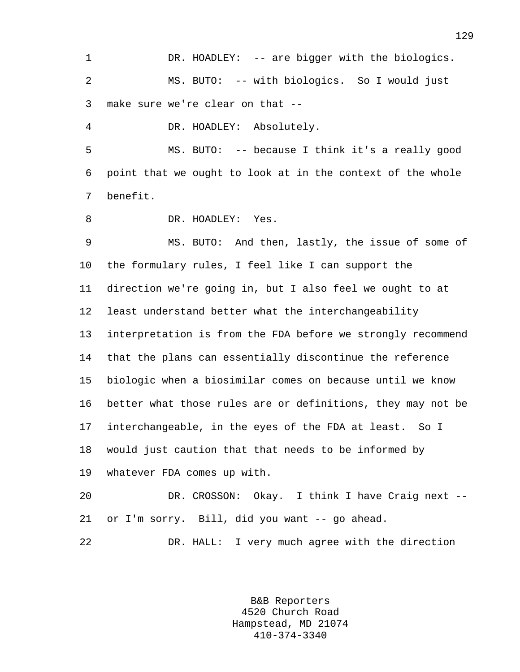1 DR. HOADLEY: -- are bigger with the biologics. 2 MS. BUTO: -- with biologics. So I would just 3 make sure we're clear on that --

4 DR. HOADLEY: Absolutely.

5 MS. BUTO: -- because I think it's a really good 6 point that we ought to look at in the context of the whole 7 benefit.

8 DR. HOADLEY: Yes.

9 MS. BUTO: And then, lastly, the issue of some of 10 the formulary rules, I feel like I can support the 11 direction we're going in, but I also feel we ought to at 12 least understand better what the interchangeability 13 interpretation is from the FDA before we strongly recommend 14 that the plans can essentially discontinue the reference 15 biologic when a biosimilar comes on because until we know 16 better what those rules are or definitions, they may not be 17 interchangeable, in the eyes of the FDA at least. So I 18 would just caution that that needs to be informed by 19 whatever FDA comes up with.

20 DR. CROSSON: Okay. I think I have Craig next -- 21 or I'm sorry. Bill, did you want -- go ahead.

22 DR. HALL: I very much agree with the direction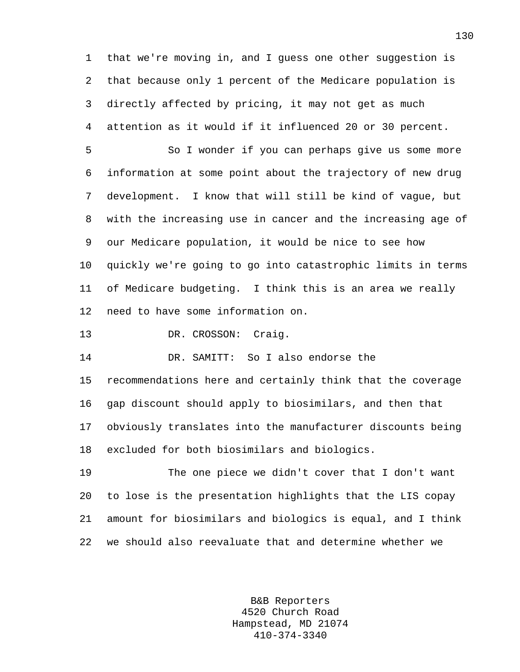1 that we're moving in, and I guess one other suggestion is 2 that because only 1 percent of the Medicare population is 3 directly affected by pricing, it may not get as much 4 attention as it would if it influenced 20 or 30 percent.

5 So I wonder if you can perhaps give us some more 6 information at some point about the trajectory of new drug 7 development. I know that will still be kind of vague, but 8 with the increasing use in cancer and the increasing age of 9 our Medicare population, it would be nice to see how 10 quickly we're going to go into catastrophic limits in terms 11 of Medicare budgeting. I think this is an area we really 12 need to have some information on.

13 DR. CROSSON: Craig.

14 DR. SAMITT: So I also endorse the

15 recommendations here and certainly think that the coverage 16 gap discount should apply to biosimilars, and then that 17 obviously translates into the manufacturer discounts being 18 excluded for both biosimilars and biologics.

19 The one piece we didn't cover that I don't want 20 to lose is the presentation highlights that the LIS copay 21 amount for biosimilars and biologics is equal, and I think 22 we should also reevaluate that and determine whether we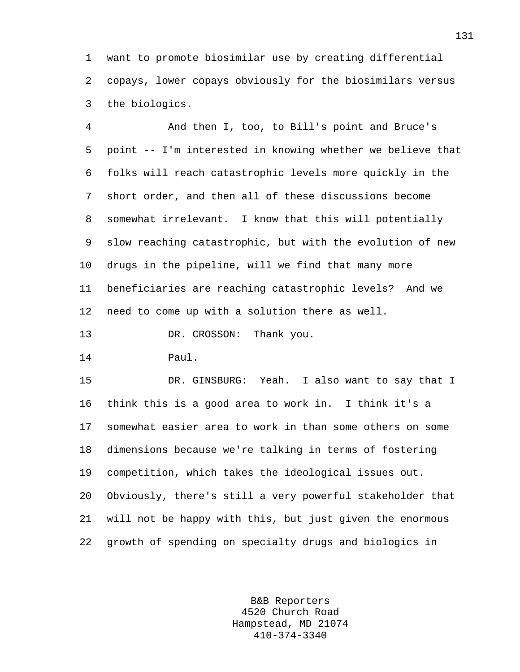1 want to promote biosimilar use by creating differential 2 copays, lower copays obviously for the biosimilars versus 3 the biologics.

4 And then I, too, to Bill's point and Bruce's 5 point -- I'm interested in knowing whether we believe that 6 folks will reach catastrophic levels more quickly in the 7 short order, and then all of these discussions become 8 somewhat irrelevant. I know that this will potentially 9 slow reaching catastrophic, but with the evolution of new 10 drugs in the pipeline, will we find that many more 11 beneficiaries are reaching catastrophic levels? And we 12 need to come up with a solution there as well.

13 DR. CROSSON: Thank you.

14 Paul.

15 DR. GINSBURG: Yeah. I also want to say that I 16 think this is a good area to work in. I think it's a 17 somewhat easier area to work in than some others on some 18 dimensions because we're talking in terms of fostering 19 competition, which takes the ideological issues out. 20 Obviously, there's still a very powerful stakeholder that 21 will not be happy with this, but just given the enormous 22 growth of spending on specialty drugs and biologics in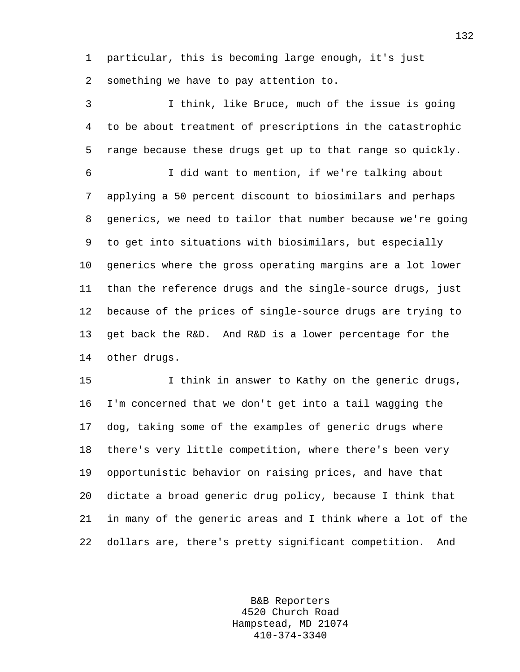1 particular, this is becoming large enough, it's just 2 something we have to pay attention to.

3 I think, like Bruce, much of the issue is going 4 to be about treatment of prescriptions in the catastrophic 5 range because these drugs get up to that range so quickly. 6 I did want to mention, if we're talking about 7 applying a 50 percent discount to biosimilars and perhaps 8 generics, we need to tailor that number because we're going 9 to get into situations with biosimilars, but especially 10 generics where the gross operating margins are a lot lower 11 than the reference drugs and the single-source drugs, just 12 because of the prices of single-source drugs are trying to 13 get back the R&D. And R&D is a lower percentage for the 14 other drugs.

15 15 I think in answer to Kathy on the generic drugs, 16 I'm concerned that we don't get into a tail wagging the 17 dog, taking some of the examples of generic drugs where 18 there's very little competition, where there's been very 19 opportunistic behavior on raising prices, and have that 20 dictate a broad generic drug policy, because I think that 21 in many of the generic areas and I think where a lot of the 22 dollars are, there's pretty significant competition. And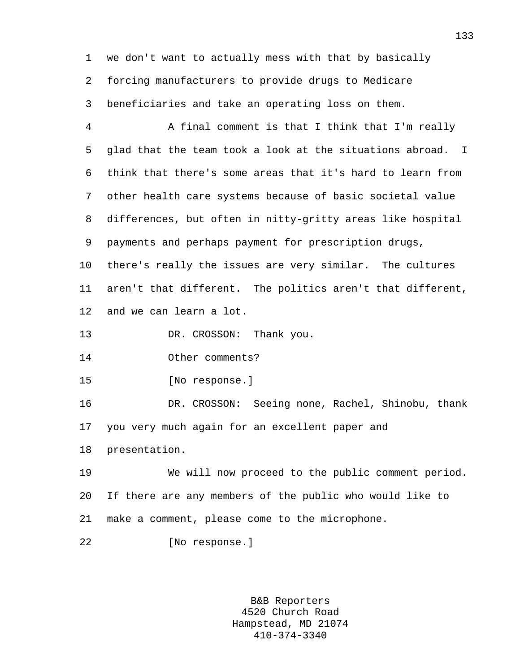1 we don't want to actually mess with that by basically 2 forcing manufacturers to provide drugs to Medicare 3 beneficiaries and take an operating loss on them.

4 A final comment is that I think that I'm really 5 glad that the team took a look at the situations abroad. I 6 think that there's some areas that it's hard to learn from 7 other health care systems because of basic societal value 8 differences, but often in nitty-gritty areas like hospital 9 payments and perhaps payment for prescription drugs,

10 there's really the issues are very similar. The cultures 11 aren't that different. The politics aren't that different, 12 and we can learn a lot.

13 DR. CROSSON: Thank you.

14 Other comments?

15 [No response.]

16 DR. CROSSON: Seeing none, Rachel, Shinobu, thank 17 you very much again for an excellent paper and

18 presentation.

19 We will now proceed to the public comment period. 20 If there are any members of the public who would like to 21 make a comment, please come to the microphone.

22 [No response.]